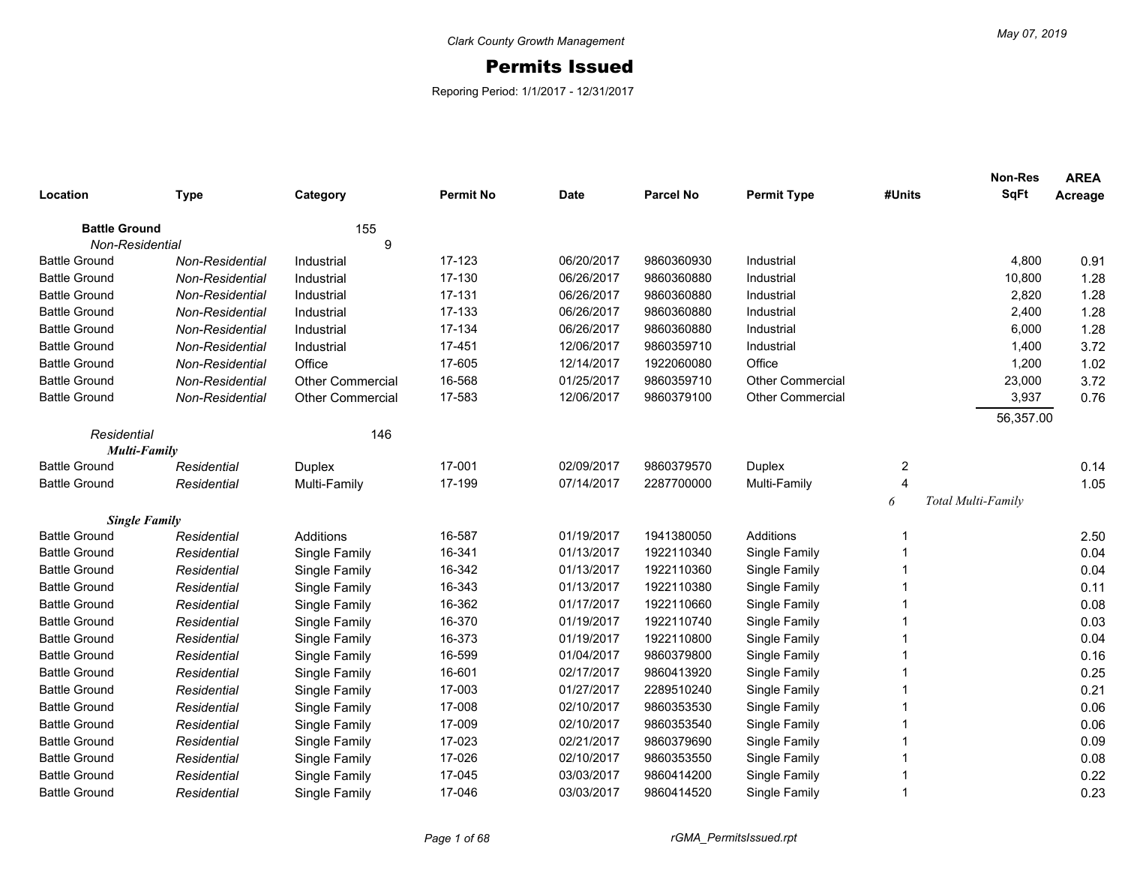## Permits Issued

Reporing Period: 1/1/2017 - 12/31/2017

|                      |                        |                         |                  |             |                  |                         |                | <b>Non-Res</b>     | <b>AREA</b> |
|----------------------|------------------------|-------------------------|------------------|-------------|------------------|-------------------------|----------------|--------------------|-------------|
| Location             | <b>Type</b>            | Category                | <b>Permit No</b> | <b>Date</b> | <b>Parcel No</b> | <b>Permit Type</b>      | #Units         | <b>SqFt</b>        | Acreage     |
| <b>Battle Ground</b> |                        | 155                     |                  |             |                  |                         |                |                    |             |
| Non-Residential      |                        | 9                       |                  |             |                  |                         |                |                    |             |
| <b>Battle Ground</b> | <b>Non-Residential</b> | Industrial              | 17-123           | 06/20/2017  | 9860360930       | Industrial              |                | 4,800              | 0.91        |
| <b>Battle Ground</b> | Non-Residential        | Industrial              | 17-130           | 06/26/2017  | 9860360880       | Industrial              |                | 10,800             | 1.28        |
| <b>Battle Ground</b> | Non-Residential        | Industrial              | 17-131           | 06/26/2017  | 9860360880       | Industrial              |                | 2,820              | 1.28        |
| <b>Battle Ground</b> | Non-Residential        | Industrial              | 17-133           | 06/26/2017  | 9860360880       | Industrial              |                | 2,400              | 1.28        |
| <b>Battle Ground</b> | Non-Residential        | Industrial              | 17-134           | 06/26/2017  | 9860360880       | Industrial              |                | 6,000              | 1.28        |
| <b>Battle Ground</b> | Non-Residential        | Industrial              | 17-451           | 12/06/2017  | 9860359710       | Industrial              |                | 1,400              | 3.72        |
| <b>Battle Ground</b> | Non-Residential        | Office                  | 17-605           | 12/14/2017  | 1922060080       | Office                  |                | 1,200              | 1.02        |
| <b>Battle Ground</b> | Non-Residential        | <b>Other Commercial</b> | 16-568           | 01/25/2017  | 9860359710       | <b>Other Commercial</b> |                | 23,000             | 3.72        |
| <b>Battle Ground</b> | Non-Residential        | <b>Other Commercial</b> | 17-583           | 12/06/2017  | 9860379100       | <b>Other Commercial</b> |                | 3,937              | 0.76        |
|                      |                        |                         |                  |             |                  |                         |                | 56,357.00          |             |
| Residential          |                        | 146                     |                  |             |                  |                         |                |                    |             |
|                      | <b>Multi-Family</b>    |                         |                  |             |                  |                         |                |                    |             |
| <b>Battle Ground</b> | Residential            | <b>Duplex</b>           | 17-001           | 02/09/2017  | 9860379570       | <b>Duplex</b>           | 2              |                    | 0.14        |
| <b>Battle Ground</b> | Residential            | Multi-Family            | 17-199           | 07/14/2017  | 2287700000       | Multi-Family            | $\overline{4}$ |                    | 1.05        |
|                      |                        |                         |                  |             |                  |                         | 6              | Total Multi-Family |             |
|                      | <b>Single Family</b>   |                         |                  |             |                  |                         |                |                    |             |
| <b>Battle Ground</b> | Residential            | Additions               | 16-587           | 01/19/2017  | 1941380050       | Additions               |                |                    | 2.50        |
| <b>Battle Ground</b> | Residential            | Single Family           | 16-341           | 01/13/2017  | 1922110340       | Single Family           |                |                    | 0.04        |
| <b>Battle Ground</b> | Residential            | Single Family           | 16-342           | 01/13/2017  | 1922110360       | Single Family           |                |                    | 0.04        |
| <b>Battle Ground</b> | Residential            | Single Family           | 16-343           | 01/13/2017  | 1922110380       | Single Family           |                |                    | 0.11        |
| <b>Battle Ground</b> | Residential            | Single Family           | 16-362           | 01/17/2017  | 1922110660       | Single Family           |                |                    | 0.08        |
| <b>Battle Ground</b> | Residential            | Single Family           | 16-370           | 01/19/2017  | 1922110740       | Single Family           |                |                    | 0.03        |
| <b>Battle Ground</b> | Residential            | Single Family           | 16-373           | 01/19/2017  | 1922110800       | Single Family           |                |                    | 0.04        |
| <b>Battle Ground</b> | Residential            | Single Family           | 16-599           | 01/04/2017  | 9860379800       | Single Family           |                |                    | 0.16        |
| <b>Battle Ground</b> | Residential            | Single Family           | 16-601           | 02/17/2017  | 9860413920       | Single Family           |                |                    | 0.25        |
| <b>Battle Ground</b> | Residential            | Single Family           | 17-003           | 01/27/2017  | 2289510240       | Single Family           |                |                    | 0.21        |
| <b>Battle Ground</b> | Residential            | Single Family           | 17-008           | 02/10/2017  | 9860353530       | Single Family           |                |                    | 0.06        |
| <b>Battle Ground</b> | Residential            | Single Family           | 17-009           | 02/10/2017  | 9860353540       | Single Family           |                |                    | 0.06        |
| <b>Battle Ground</b> | Residential            | Single Family           | 17-023           | 02/21/2017  | 9860379690       | Single Family           |                |                    | 0.09        |
| <b>Battle Ground</b> | Residential            | Single Family           | 17-026           | 02/10/2017  | 9860353550       | Single Family           |                |                    | 0.08        |
| <b>Battle Ground</b> | Residential            | Single Family           | 17-045           | 03/03/2017  | 9860414200       | Single Family           |                |                    | 0.22        |
| <b>Battle Ground</b> | Residential            | Single Family           | 17-046           | 03/03/2017  | 9860414520       | Single Family           |                |                    | 0.23        |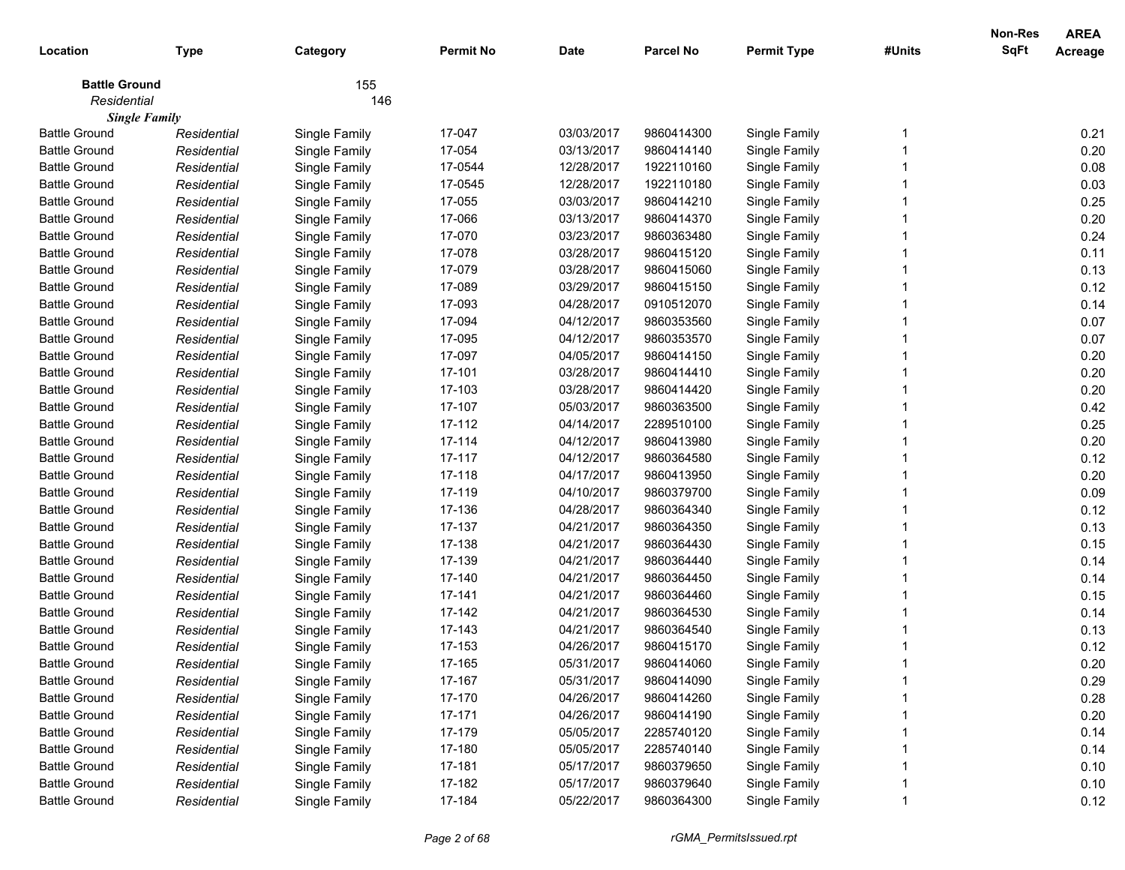|                      |                      |               |                  |             |                  |                    |        | Non-Res     | <b>AREA</b>    |
|----------------------|----------------------|---------------|------------------|-------------|------------------|--------------------|--------|-------------|----------------|
| Location             | <b>Type</b>          | Category      | <b>Permit No</b> | <b>Date</b> | <b>Parcel No</b> | <b>Permit Type</b> | #Units | <b>SqFt</b> | <b>Acreage</b> |
| <b>Battle Ground</b> |                      | 155           |                  |             |                  |                    |        |             |                |
| Residential          |                      | 146           |                  |             |                  |                    |        |             |                |
|                      | <b>Single Family</b> |               |                  |             |                  |                    |        |             |                |
| <b>Battle Ground</b> | Residential          | Single Family | 17-047           | 03/03/2017  | 9860414300       | Single Family      |        |             | 0.21           |
| <b>Battle Ground</b> | Residential          | Single Family | 17-054           | 03/13/2017  | 9860414140       | Single Family      |        |             | 0.20           |
| <b>Battle Ground</b> | Residential          | Single Family | 17-0544          | 12/28/2017  | 1922110160       | Single Family      |        |             | 0.08           |
| <b>Battle Ground</b> | Residential          | Single Family | 17-0545          | 12/28/2017  | 1922110180       | Single Family      |        |             | 0.03           |
| <b>Battle Ground</b> | Residential          | Single Family | 17-055           | 03/03/2017  | 9860414210       | Single Family      |        |             | 0.25           |
| <b>Battle Ground</b> | Residential          | Single Family | 17-066           | 03/13/2017  | 9860414370       | Single Family      |        |             | 0.20           |
| <b>Battle Ground</b> | Residential          | Single Family | 17-070           | 03/23/2017  | 9860363480       | Single Family      |        |             | 0.24           |
| <b>Battle Ground</b> | Residential          | Single Family | 17-078           | 03/28/2017  | 9860415120       | Single Family      |        |             | 0.11           |
| <b>Battle Ground</b> | Residential          | Single Family | 17-079           | 03/28/2017  | 9860415060       | Single Family      |        |             | 0.13           |
| <b>Battle Ground</b> | Residential          | Single Family | 17-089           | 03/29/2017  | 9860415150       | Single Family      |        |             | 0.12           |
| <b>Battle Ground</b> | Residential          | Single Family | 17-093           | 04/28/2017  | 0910512070       | Single Family      |        |             | 0.14           |
| <b>Battle Ground</b> | Residential          | Single Family | 17-094           | 04/12/2017  | 9860353560       | Single Family      |        |             | 0.07           |
| <b>Battle Ground</b> | Residential          | Single Family | 17-095           | 04/12/2017  | 9860353570       | Single Family      |        |             | 0.07           |
| <b>Battle Ground</b> | Residential          | Single Family | 17-097           | 04/05/2017  | 9860414150       | Single Family      |        |             | 0.20           |
| <b>Battle Ground</b> | Residential          | Single Family | 17-101           | 03/28/2017  | 9860414410       | Single Family      |        |             | 0.20           |
| <b>Battle Ground</b> | Residential          | Single Family | 17-103           | 03/28/2017  | 9860414420       | Single Family      |        |             | 0.20           |
| <b>Battle Ground</b> | Residential          | Single Family | 17-107           | 05/03/2017  | 9860363500       | Single Family      |        |             | 0.42           |
| <b>Battle Ground</b> | Residential          | Single Family | 17-112           | 04/14/2017  | 2289510100       | Single Family      |        |             | 0.25           |
| <b>Battle Ground</b> | Residential          | Single Family | 17-114           | 04/12/2017  | 9860413980       | Single Family      |        |             | 0.20           |
| <b>Battle Ground</b> | Residential          | Single Family | 17-117           | 04/12/2017  | 9860364580       | Single Family      |        |             | 0.12           |
| <b>Battle Ground</b> | Residential          | Single Family | 17-118           | 04/17/2017  | 9860413950       | Single Family      |        |             | 0.20           |
| <b>Battle Ground</b> | Residential          | Single Family | 17-119           | 04/10/2017  | 9860379700       | Single Family      |        |             | 0.09           |
| <b>Battle Ground</b> | Residential          | Single Family | 17-136           | 04/28/2017  | 9860364340       | Single Family      |        |             | 0.12           |
| <b>Battle Ground</b> | Residential          | Single Family | 17-137           | 04/21/2017  | 9860364350       | Single Family      |        |             | 0.13           |
| <b>Battle Ground</b> | Residential          | Single Family | 17-138           | 04/21/2017  | 9860364430       | Single Family      |        |             | 0.15           |
| <b>Battle Ground</b> | Residential          | Single Family | 17-139           | 04/21/2017  | 9860364440       | Single Family      |        |             | 0.14           |
| <b>Battle Ground</b> | Residential          | Single Family | 17-140           | 04/21/2017  | 9860364450       | Single Family      |        |             | 0.14           |
| <b>Battle Ground</b> | Residential          | Single Family | 17-141           | 04/21/2017  | 9860364460       | Single Family      |        |             | 0.15           |
| <b>Battle Ground</b> | Residential          | Single Family | 17-142           | 04/21/2017  | 9860364530       | Single Family      |        |             | 0.14           |
| <b>Battle Ground</b> | Residential          | Single Family | 17-143           | 04/21/2017  | 9860364540       | Single Family      |        |             | 0.13           |
| <b>Battle Ground</b> | Residential          | Single Family | 17-153           | 04/26/2017  | 9860415170       | Single Family      |        |             | 0.12           |
| <b>Battle Ground</b> | Residential          | Single Family | 17-165           | 05/31/2017  | 9860414060       | Single Family      |        |             | 0.20           |
| <b>Battle Ground</b> | Residential          | Single Family | 17-167           | 05/31/2017  | 9860414090       | Single Family      |        |             | 0.29           |
| <b>Battle Ground</b> | Residential          | Single Family | 17-170           | 04/26/2017  | 9860414260       | Single Family      |        |             | 0.28           |
| <b>Battle Ground</b> | Residential          | Single Family | 17-171           | 04/26/2017  | 9860414190       | Single Family      |        |             | 0.20           |
| <b>Battle Ground</b> | Residential          | Single Family | 17-179           | 05/05/2017  | 2285740120       | Single Family      |        |             | 0.14           |
| <b>Battle Ground</b> | Residential          | Single Family | 17-180           | 05/05/2017  | 2285740140       | Single Family      |        |             | 0.14           |
| <b>Battle Ground</b> | Residential          | Single Family | 17-181           | 05/17/2017  | 9860379650       | Single Family      |        |             | 0.10           |
| <b>Battle Ground</b> | Residential          | Single Family | 17-182           | 05/17/2017  | 9860379640       | Single Family      |        |             | 0.10           |
| <b>Battle Ground</b> | Residential          | Single Family | 17-184           | 05/22/2017  | 9860364300       | Single Family      |        |             | 0.12           |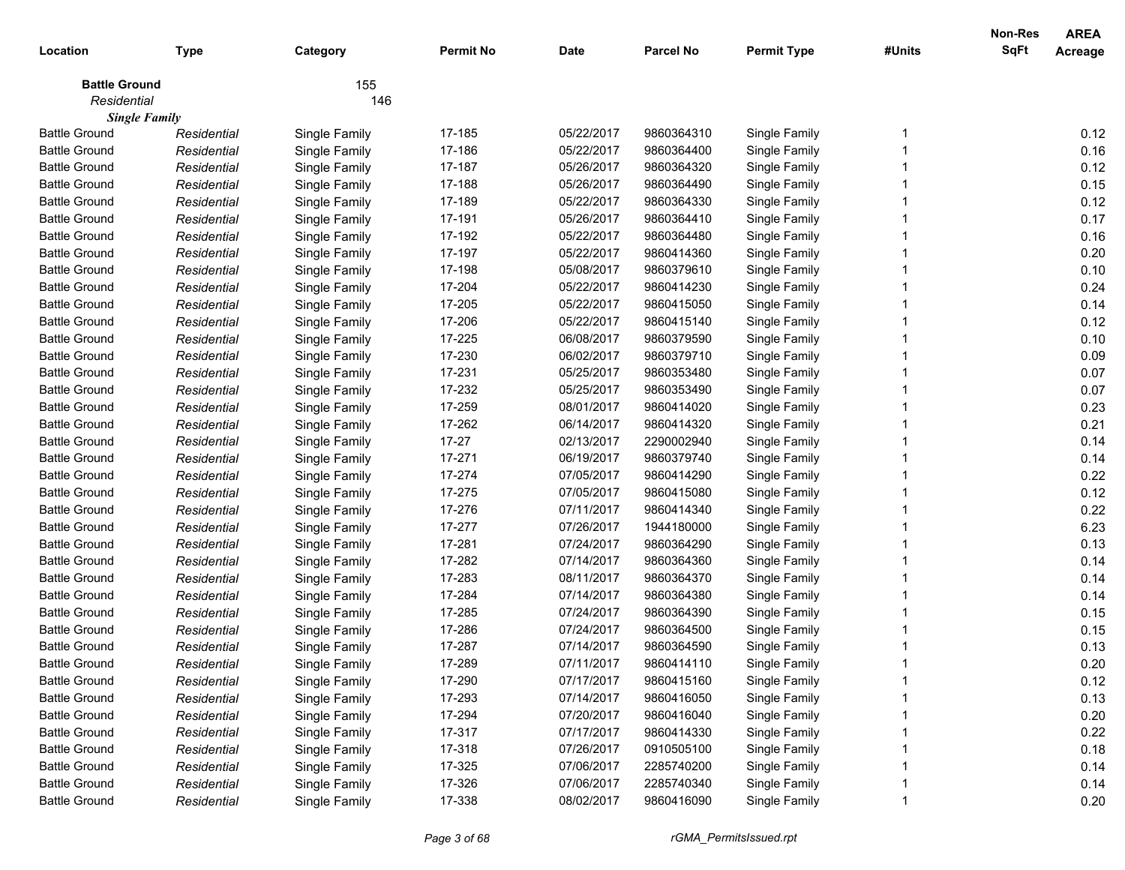| Location             | <b>Type</b>          | Category      | <b>Permit No</b> | <b>Date</b> | <b>Parcel No</b> | <b>Permit Type</b> | #Units | <b>Non-Res</b><br><b>SqFt</b> | <b>AREA</b><br>Acreage |
|----------------------|----------------------|---------------|------------------|-------------|------------------|--------------------|--------|-------------------------------|------------------------|
| <b>Battle Ground</b> |                      | 155           |                  |             |                  |                    |        |                               |                        |
| Residential          |                      | 146           |                  |             |                  |                    |        |                               |                        |
|                      | <b>Single Family</b> |               |                  |             |                  |                    |        |                               |                        |
| <b>Battle Ground</b> | Residential          | Single Family | 17-185           | 05/22/2017  | 9860364310       | Single Family      |        |                               | 0.12                   |
| <b>Battle Ground</b> | Residential          | Single Family | 17-186           | 05/22/2017  | 9860364400       | Single Family      |        |                               | 0.16                   |
| <b>Battle Ground</b> | Residential          | Single Family | 17-187           | 05/26/2017  | 9860364320       | Single Family      |        |                               | 0.12                   |
| <b>Battle Ground</b> | Residential          | Single Family | 17-188           | 05/26/2017  | 9860364490       | Single Family      |        |                               | 0.15                   |
| <b>Battle Ground</b> | Residential          | Single Family | 17-189           | 05/22/2017  | 9860364330       | Single Family      |        |                               | 0.12                   |
| <b>Battle Ground</b> | Residential          | Single Family | 17-191           | 05/26/2017  | 9860364410       | Single Family      |        |                               | 0.17                   |
| <b>Battle Ground</b> | Residential          | Single Family | 17-192           | 05/22/2017  | 9860364480       | Single Family      |        |                               | 0.16                   |
| <b>Battle Ground</b> | Residential          | Single Family | 17-197           | 05/22/2017  | 9860414360       | Single Family      |        |                               | 0.20                   |
| <b>Battle Ground</b> | Residential          | Single Family | 17-198           | 05/08/2017  | 9860379610       | Single Family      |        |                               | 0.10                   |
| <b>Battle Ground</b> | Residential          | Single Family | 17-204           | 05/22/2017  | 9860414230       | Single Family      |        |                               | 0.24                   |
| <b>Battle Ground</b> | Residential          | Single Family | 17-205           | 05/22/2017  | 9860415050       | Single Family      |        |                               | 0.14                   |
| <b>Battle Ground</b> | Residential          | Single Family | 17-206           | 05/22/2017  | 9860415140       | Single Family      |        |                               | 0.12                   |
| <b>Battle Ground</b> | Residential          | Single Family | 17-225           | 06/08/2017  | 9860379590       | Single Family      |        |                               | 0.10                   |
| <b>Battle Ground</b> | Residential          | Single Family | 17-230           | 06/02/2017  | 9860379710       | Single Family      |        |                               | 0.09                   |
| <b>Battle Ground</b> | Residential          | Single Family | 17-231           | 05/25/2017  | 9860353480       | Single Family      |        |                               | 0.07                   |
| <b>Battle Ground</b> | Residential          | Single Family | 17-232           | 05/25/2017  | 9860353490       | Single Family      |        |                               | 0.07                   |
| <b>Battle Ground</b> | Residential          | Single Family | 17-259           | 08/01/2017  | 9860414020       | Single Family      |        |                               | 0.23                   |
| <b>Battle Ground</b> | Residential          | Single Family | 17-262           | 06/14/2017  | 9860414320       | Single Family      |        |                               | 0.21                   |
| <b>Battle Ground</b> | Residential          | Single Family | $17 - 27$        | 02/13/2017  | 2290002940       | Single Family      |        |                               | 0.14                   |
| <b>Battle Ground</b> | Residential          | Single Family | 17-271           | 06/19/2017  | 9860379740       | Single Family      |        |                               | 0.14                   |
| <b>Battle Ground</b> | Residential          | Single Family | 17-274           | 07/05/2017  | 9860414290       | Single Family      |        |                               | 0.22                   |
| <b>Battle Ground</b> | Residential          | Single Family | 17-275           | 07/05/2017  | 9860415080       | Single Family      |        |                               | 0.12                   |
| <b>Battle Ground</b> | Residential          | Single Family | 17-276           | 07/11/2017  | 9860414340       | Single Family      |        |                               | 0.22                   |
| <b>Battle Ground</b> | Residential          | Single Family | 17-277           | 07/26/2017  | 1944180000       | Single Family      |        |                               | 6.23                   |
| <b>Battle Ground</b> | Residential          | Single Family | 17-281           | 07/24/2017  | 9860364290       | Single Family      |        |                               | 0.13                   |
| <b>Battle Ground</b> | Residential          | Single Family | 17-282           | 07/14/2017  | 9860364360       | Single Family      |        |                               | 0.14                   |
| <b>Battle Ground</b> | Residential          | Single Family | 17-283           | 08/11/2017  | 9860364370       | Single Family      |        |                               | 0.14                   |
| <b>Battle Ground</b> | Residential          | Single Family | 17-284           | 07/14/2017  | 9860364380       | Single Family      |        |                               | 0.14                   |
| <b>Battle Ground</b> | Residential          | Single Family | 17-285           | 07/24/2017  | 9860364390       | Single Family      |        |                               | 0.15                   |
| <b>Battle Ground</b> | Residential          | Single Family | 17-286           | 07/24/2017  | 9860364500       | Single Family      |        |                               | 0.15                   |
| <b>Battle Ground</b> | Residential          | Single Family | 17-287           | 07/14/2017  | 9860364590       | Single Family      |        |                               | 0.13                   |
| <b>Battle Ground</b> | Residential          | Single Family | 17-289           | 07/11/2017  | 9860414110       | Single Family      |        |                               | 0.20                   |
| <b>Battle Ground</b> | Residential          | Single Family | 17-290           | 07/17/2017  | 9860415160       | Single Family      |        |                               | 0.12                   |
| <b>Battle Ground</b> | Residential          | Single Family | 17-293           | 07/14/2017  | 9860416050       | Single Family      |        |                               | 0.13                   |
| <b>Battle Ground</b> | Residential          | Single Family | 17-294           | 07/20/2017  | 9860416040       | Single Family      |        |                               | 0.20                   |
| <b>Battle Ground</b> | Residential          | Single Family | 17-317           | 07/17/2017  | 9860414330       | Single Family      |        |                               | 0.22                   |
| <b>Battle Ground</b> | Residential          | Single Family | 17-318           | 07/26/2017  | 0910505100       | Single Family      |        |                               | 0.18                   |
| <b>Battle Ground</b> | Residential          | Single Family | 17-325           | 07/06/2017  | 2285740200       | Single Family      |        |                               | 0.14                   |
| <b>Battle Ground</b> | Residential          | Single Family | 17-326           | 07/06/2017  | 2285740340       | Single Family      |        |                               | 0.14                   |
| <b>Battle Ground</b> | Residential          | Single Family | 17-338           | 08/02/2017  | 9860416090       | Single Family      |        |                               | 0.20                   |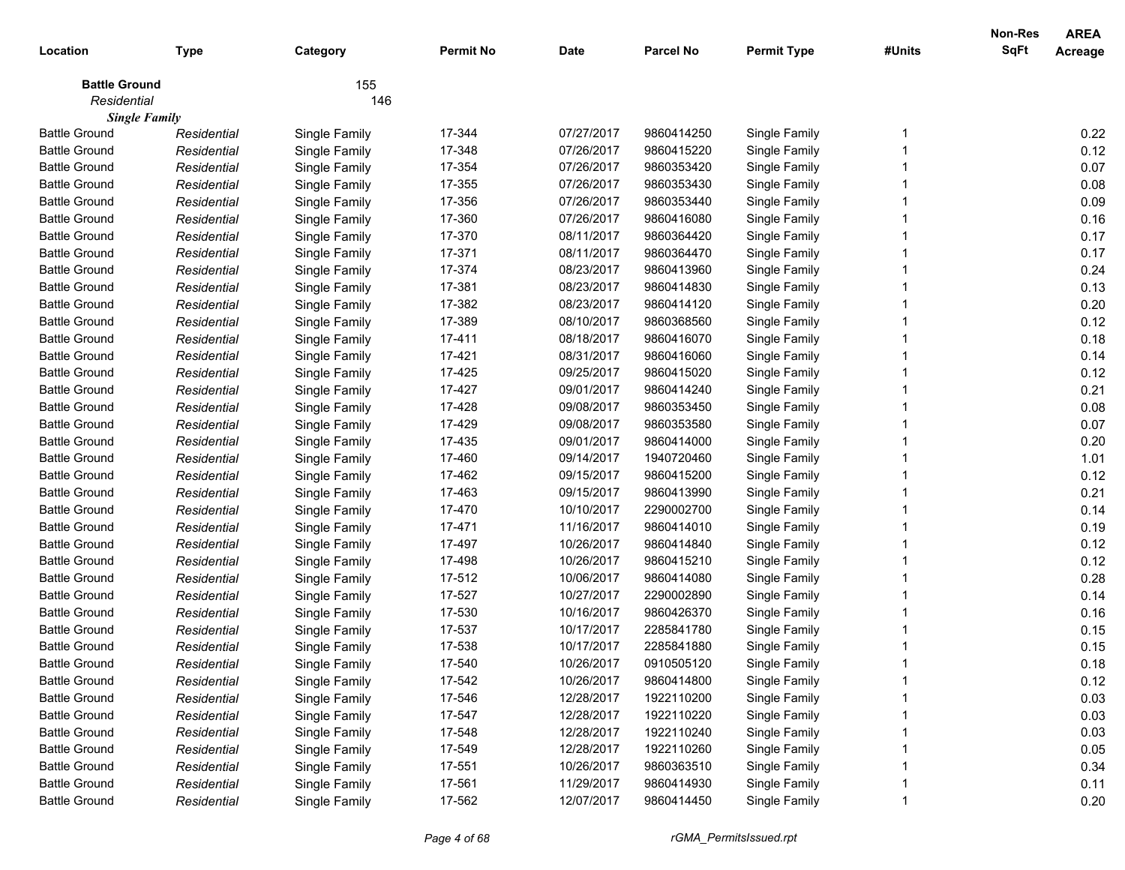| Location             | <b>Type</b>          | Category      | <b>Permit No</b> | <b>Date</b> | <b>Parcel No</b> | <b>Permit Type</b> | #Units | <b>Non-Res</b><br><b>SqFt</b> | <b>AREA</b><br>Acreage |
|----------------------|----------------------|---------------|------------------|-------------|------------------|--------------------|--------|-------------------------------|------------------------|
| <b>Battle Ground</b> |                      | 155           |                  |             |                  |                    |        |                               |                        |
| Residential          |                      | 146           |                  |             |                  |                    |        |                               |                        |
|                      | <b>Single Family</b> |               |                  |             |                  |                    |        |                               |                        |
| <b>Battle Ground</b> | Residential          | Single Family | 17-344           | 07/27/2017  | 9860414250       | Single Family      |        |                               | 0.22                   |
| <b>Battle Ground</b> | Residential          | Single Family | 17-348           | 07/26/2017  | 9860415220       | Single Family      |        |                               | 0.12                   |
| <b>Battle Ground</b> | Residential          | Single Family | 17-354           | 07/26/2017  | 9860353420       | Single Family      |        |                               | 0.07                   |
| <b>Battle Ground</b> | Residential          | Single Family | 17-355           | 07/26/2017  | 9860353430       | Single Family      |        |                               | 0.08                   |
| <b>Battle Ground</b> | Residential          | Single Family | 17-356           | 07/26/2017  | 9860353440       | Single Family      |        |                               | 0.09                   |
| <b>Battle Ground</b> | Residential          | Single Family | 17-360           | 07/26/2017  | 9860416080       | Single Family      |        |                               | 0.16                   |
| <b>Battle Ground</b> | Residential          | Single Family | 17-370           | 08/11/2017  | 9860364420       | Single Family      |        |                               | 0.17                   |
| <b>Battle Ground</b> | Residential          | Single Family | 17-371           | 08/11/2017  | 9860364470       | Single Family      |        |                               | 0.17                   |
| <b>Battle Ground</b> | Residential          | Single Family | 17-374           | 08/23/2017  | 9860413960       | Single Family      |        |                               | 0.24                   |
| <b>Battle Ground</b> | Residential          | Single Family | 17-381           | 08/23/2017  | 9860414830       | Single Family      |        |                               | 0.13                   |
| <b>Battle Ground</b> | Residential          | Single Family | 17-382           | 08/23/2017  | 9860414120       | Single Family      |        |                               | 0.20                   |
| <b>Battle Ground</b> | Residential          | Single Family | 17-389           | 08/10/2017  | 9860368560       | Single Family      |        |                               | 0.12                   |
| <b>Battle Ground</b> | Residential          | Single Family | 17-411           | 08/18/2017  | 9860416070       | Single Family      |        |                               | 0.18                   |
| <b>Battle Ground</b> | Residential          | Single Family | 17-421           | 08/31/2017  | 9860416060       | Single Family      |        |                               | 0.14                   |
| <b>Battle Ground</b> | Residential          | Single Family | 17-425           | 09/25/2017  | 9860415020       | Single Family      |        |                               | 0.12                   |
| <b>Battle Ground</b> | Residential          | Single Family | 17-427           | 09/01/2017  | 9860414240       | Single Family      |        |                               | 0.21                   |
| <b>Battle Ground</b> | Residential          | Single Family | 17-428           | 09/08/2017  | 9860353450       | Single Family      |        |                               | 0.08                   |
| <b>Battle Ground</b> | Residential          | Single Family | 17-429           | 09/08/2017  | 9860353580       | Single Family      |        |                               | 0.07                   |
| <b>Battle Ground</b> | Residential          | Single Family | 17-435           | 09/01/2017  | 9860414000       | Single Family      |        |                               | 0.20                   |
| <b>Battle Ground</b> | Residential          | Single Family | 17-460           | 09/14/2017  | 1940720460       | Single Family      |        |                               | 1.01                   |
| <b>Battle Ground</b> | Residential          | Single Family | 17-462           | 09/15/2017  | 9860415200       | Single Family      |        |                               | 0.12                   |
| <b>Battle Ground</b> | Residential          | Single Family | 17-463           | 09/15/2017  | 9860413990       | Single Family      |        |                               | 0.21                   |
| <b>Battle Ground</b> | Residential          | Single Family | 17-470           | 10/10/2017  | 2290002700       | Single Family      |        |                               | 0.14                   |
| <b>Battle Ground</b> | Residential          | Single Family | 17-471           | 11/16/2017  | 9860414010       | Single Family      |        |                               | 0.19                   |
| <b>Battle Ground</b> | Residential          | Single Family | 17-497           | 10/26/2017  | 9860414840       | Single Family      |        |                               | 0.12                   |
| <b>Battle Ground</b> | Residential          | Single Family | 17-498           | 10/26/2017  | 9860415210       | Single Family      |        |                               | 0.12                   |
| <b>Battle Ground</b> | Residential          | Single Family | 17-512           | 10/06/2017  | 9860414080       | Single Family      |        |                               | 0.28                   |
| <b>Battle Ground</b> | Residential          | Single Family | 17-527           | 10/27/2017  | 2290002890       | Single Family      |        |                               | 0.14                   |
| <b>Battle Ground</b> | Residential          | Single Family | 17-530           | 10/16/2017  | 9860426370       | Single Family      |        |                               | 0.16                   |
| <b>Battle Ground</b> | Residential          | Single Family | 17-537           | 10/17/2017  | 2285841780       | Single Family      |        |                               | 0.15                   |
| <b>Battle Ground</b> | Residential          | Single Family | 17-538           | 10/17/2017  | 2285841880       | Single Family      |        |                               | 0.15                   |
| <b>Battle Ground</b> | Residential          | Single Family | 17-540           | 10/26/2017  | 0910505120       | Single Family      |        |                               | 0.18                   |
| <b>Battle Ground</b> | Residential          | Single Family | 17-542           | 10/26/2017  | 9860414800       | Single Family      |        |                               | 0.12                   |
| <b>Battle Ground</b> | Residential          | Single Family | 17-546           | 12/28/2017  | 1922110200       | Single Family      |        |                               | 0.03                   |
| <b>Battle Ground</b> | Residential          | Single Family | 17-547           | 12/28/2017  | 1922110220       | Single Family      |        |                               | 0.03                   |
| <b>Battle Ground</b> | Residential          | Single Family | 17-548           | 12/28/2017  | 1922110240       | Single Family      |        |                               | 0.03                   |
| <b>Battle Ground</b> | Residential          | Single Family | 17-549           | 12/28/2017  | 1922110260       | Single Family      |        |                               | 0.05                   |
| <b>Battle Ground</b> | Residential          | Single Family | 17-551           | 10/26/2017  | 9860363510       | Single Family      |        |                               | 0.34                   |
| <b>Battle Ground</b> | Residential          | Single Family | 17-561           | 11/29/2017  | 9860414930       | Single Family      |        |                               | 0.11                   |
| <b>Battle Ground</b> | Residential          | Single Family | 17-562           | 12/07/2017  | 9860414450       | Single Family      |        |                               | 0.20                   |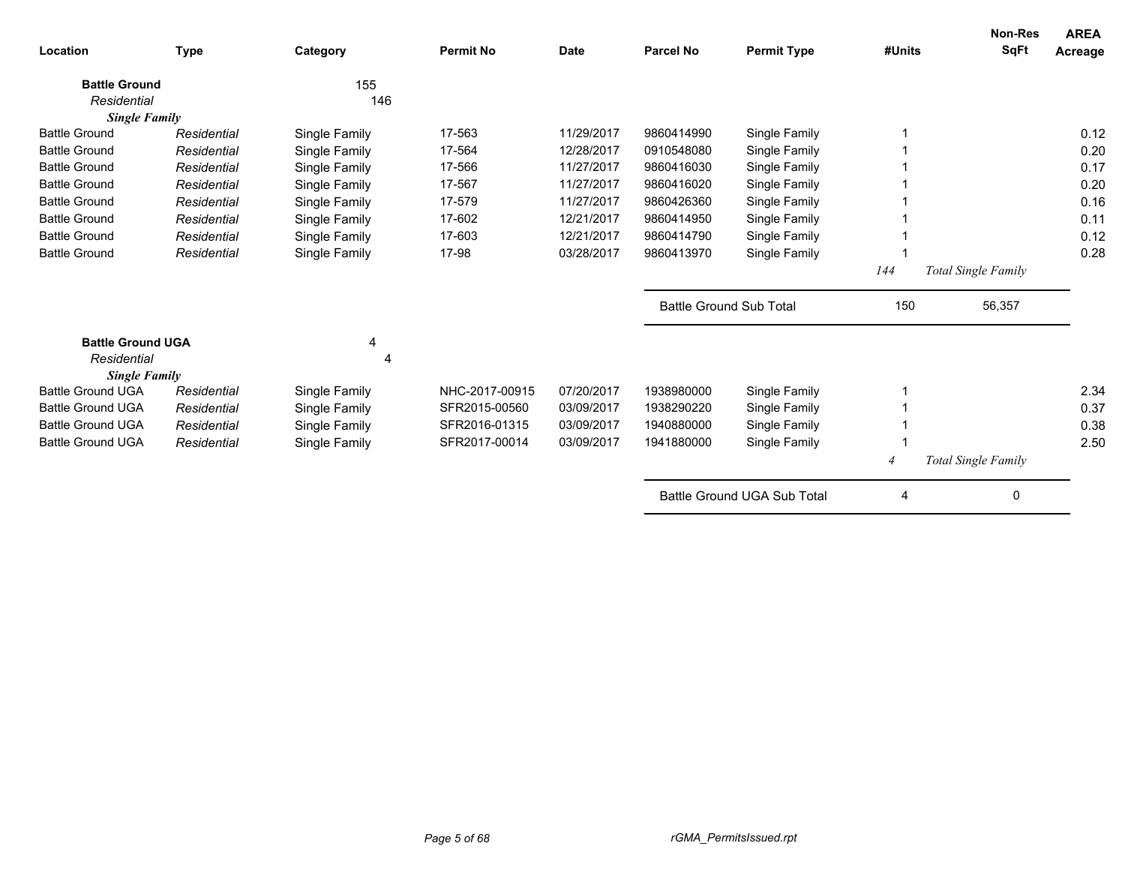| Location                            | <b>Type</b> | Category       | <b>Permit No</b> | <b>Date</b> | Parcel No                      | <b>Permit Type</b>          | #Units | <b>Non-Res</b><br><b>SqFt</b> | <b>AREA</b><br>Acreage |
|-------------------------------------|-------------|----------------|------------------|-------------|--------------------------------|-----------------------------|--------|-------------------------------|------------------------|
| <b>Battle Ground</b>                |             | 155            |                  |             |                                |                             |        |                               |                        |
| Residential                         |             | 146            |                  |             |                                |                             |        |                               |                        |
| <b>Single Family</b>                |             |                |                  |             |                                |                             |        |                               |                        |
| <b>Battle Ground</b>                | Residential | Single Family  | 17-563           | 11/29/2017  | 9860414990                     | Single Family               |        |                               | 0.12                   |
| <b>Battle Ground</b>                | Residential | Single Family  | 17-564           | 12/28/2017  | 0910548080                     | Single Family               |        |                               | 0.20                   |
| <b>Battle Ground</b>                | Residential | Single Family  | 17-566           | 11/27/2017  | 9860416030                     | Single Family               |        |                               | 0.17                   |
| <b>Battle Ground</b>                | Residential | Single Family  | 17-567           | 11/27/2017  | 9860416020                     | Single Family               |        |                               | 0.20                   |
| <b>Battle Ground</b>                | Residential | Single Family  | 17-579           | 11/27/2017  | 9860426360                     | Single Family               |        |                               | 0.16                   |
| <b>Battle Ground</b>                | Residential | Single Family  | 17-602           | 12/21/2017  | 9860414950                     | Single Family               |        |                               | 0.11                   |
| <b>Battle Ground</b>                | Residential | Single Family  | 17-603           | 12/21/2017  | 9860414790                     | Single Family               |        |                               | 0.12                   |
| <b>Battle Ground</b>                | Residential | Single Family  | 17-98            | 03/28/2017  | 9860413970                     | Single Family               |        |                               | 0.28                   |
|                                     |             |                |                  |             |                                |                             | 144    | Total Single Family           |                        |
|                                     |             |                |                  |             | <b>Battle Ground Sub Total</b> |                             | 150    | 56,357                        |                        |
| <b>Battle Ground UGA</b>            |             | 4              |                  |             |                                |                             |        |                               |                        |
| Residential<br><b>Single Family</b> |             | $\overline{4}$ |                  |             |                                |                             |        |                               |                        |
| <b>Battle Ground UGA</b>            | Residential | Single Family  | NHC-2017-00915   | 07/20/2017  | 1938980000                     | Single Family               |        |                               | 2.34                   |
| <b>Battle Ground UGA</b>            | Residential | Single Family  | SFR2015-00560    | 03/09/2017  | 1938290220                     | Single Family               |        |                               | 0.37                   |
| <b>Battle Ground UGA</b>            | Residential | Single Family  | SFR2016-01315    | 03/09/2017  | 1940880000                     | Single Family               |        |                               | 0.38                   |
| <b>Battle Ground UGA</b>            | Residential | Single Family  | SFR2017-00014    | 03/09/2017  | 1941880000                     | Single Family               |        |                               | 2.50                   |
|                                     |             |                |                  |             |                                |                             |        | Total Single Family           |                        |
|                                     |             |                |                  |             |                                | Battle Ground UGA Sub Total | 4      | 0                             |                        |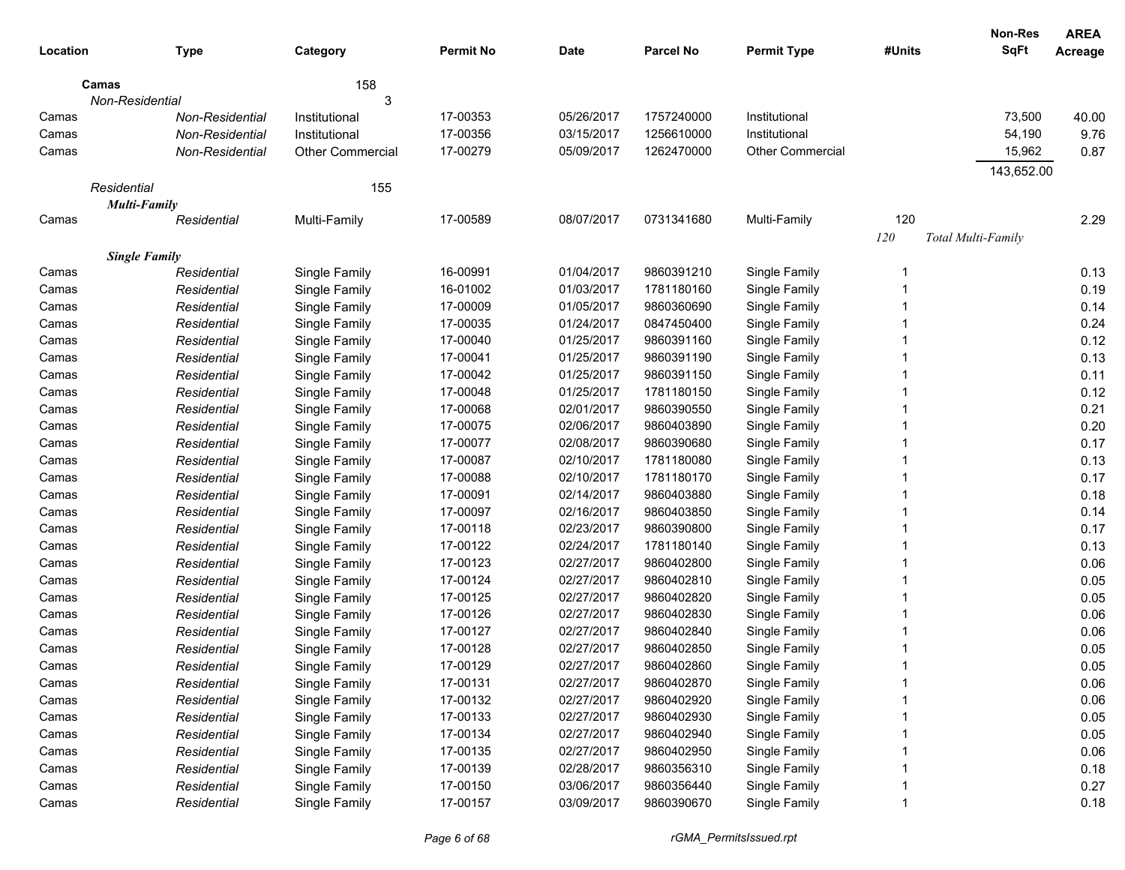|          |                      |                         |                  |             |            |                    |        | Non-Res            | <b>AREA</b>    |
|----------|----------------------|-------------------------|------------------|-------------|------------|--------------------|--------|--------------------|----------------|
| Location | <b>Type</b>          | Category                | <b>Permit No</b> | <b>Date</b> | Parcel No  | <b>Permit Type</b> | #Units | <b>SqFt</b>        | <b>Acreage</b> |
| Camas    |                      | 158                     |                  |             |            |                    |        |                    |                |
|          | Non-Residential      | 3                       |                  |             |            |                    |        |                    |                |
| Camas    | Non-Residential      | Institutional           | 17-00353         | 05/26/2017  | 1757240000 | Institutional      |        | 73,500             | 40.00          |
| Camas    | Non-Residential      | Institutional           | 17-00356         | 03/15/2017  | 1256610000 | Institutional      |        | 54,190             | 9.76           |
| Camas    | Non-Residential      | <b>Other Commercial</b> | 17-00279         | 05/09/2017  | 1262470000 | Other Commercial   |        | 15,962             | 0.87           |
|          |                      |                         |                  |             |            |                    |        | 143,652.00         |                |
|          | Residential          | 155                     |                  |             |            |                    |        |                    |                |
|          | <b>Multi-Family</b>  |                         |                  |             |            |                    |        |                    |                |
| Camas    | Residential          | Multi-Family            | 17-00589         | 08/07/2017  | 0731341680 | Multi-Family       | 120    |                    | 2.29           |
|          |                      |                         |                  |             |            |                    | 120    | Total Multi-Family |                |
|          | <b>Single Family</b> |                         |                  |             |            |                    |        |                    |                |
| Camas    | Residential          | Single Family           | 16-00991         | 01/04/2017  | 9860391210 | Single Family      | -1     |                    | 0.13           |
| Camas    | Residential          | Single Family           | 16-01002         | 01/03/2017  | 1781180160 | Single Family      |        |                    | 0.19           |
| Camas    | Residential          | Single Family           | 17-00009         | 01/05/2017  | 9860360690 | Single Family      |        |                    | 0.14           |
| Camas    | Residential          | Single Family           | 17-00035         | 01/24/2017  | 0847450400 | Single Family      |        |                    | 0.24           |
| Camas    | Residential          | Single Family           | 17-00040         | 01/25/2017  | 9860391160 | Single Family      |        |                    | 0.12           |
| Camas    | Residential          | Single Family           | 17-00041         | 01/25/2017  | 9860391190 | Single Family      |        |                    | 0.13           |
| Camas    | Residential          | Single Family           | 17-00042         | 01/25/2017  | 9860391150 | Single Family      |        |                    | 0.11           |
| Camas    | Residential          | Single Family           | 17-00048         | 01/25/2017  | 1781180150 | Single Family      |        |                    | 0.12           |
| Camas    | Residential          | Single Family           | 17-00068         | 02/01/2017  | 9860390550 | Single Family      |        |                    | 0.21           |
| Camas    | Residential          | Single Family           | 17-00075         | 02/06/2017  | 9860403890 | Single Family      |        |                    | 0.20           |
| Camas    | Residential          | Single Family           | 17-00077         | 02/08/2017  | 9860390680 | Single Family      |        |                    | 0.17           |
| Camas    | Residential          | Single Family           | 17-00087         | 02/10/2017  | 1781180080 | Single Family      |        |                    | 0.13           |
| Camas    | Residential          | Single Family           | 17-00088         | 02/10/2017  | 1781180170 | Single Family      |        |                    | 0.17           |
| Camas    | Residential          | Single Family           | 17-00091         | 02/14/2017  | 9860403880 | Single Family      |        |                    | 0.18           |
| Camas    | Residential          | Single Family           | 17-00097         | 02/16/2017  | 9860403850 | Single Family      |        |                    | 0.14           |
| Camas    | Residential          | Single Family           | 17-00118         | 02/23/2017  | 9860390800 | Single Family      |        |                    | 0.17           |
| Camas    | Residential          | Single Family           | 17-00122         | 02/24/2017  | 1781180140 | Single Family      |        |                    | 0.13           |
| Camas    | Residential          | Single Family           | 17-00123         | 02/27/2017  | 9860402800 | Single Family      |        |                    | 0.06           |
| Camas    | Residential          | Single Family           | 17-00124         | 02/27/2017  | 9860402810 | Single Family      |        |                    | 0.05           |
| Camas    | Residential          | Single Family           | 17-00125         | 02/27/2017  | 9860402820 | Single Family      |        |                    | 0.05           |
| Camas    | Residential          | Single Family           | 17-00126         | 02/27/2017  | 9860402830 | Single Family      |        |                    | 0.06           |
| Camas    | Residential          | Single Family           | 17-00127         | 02/27/2017  | 9860402840 | Single Family      |        |                    | 0.06           |
| Camas    | Residential          | Single Family           | 17-00128         | 02/27/2017  | 9860402850 | Single Family      |        |                    | 0.05           |
| Camas    | Residential          | Single Family           | 17-00129         | 02/27/2017  | 9860402860 | Single Family      |        |                    | 0.05           |
| Camas    | Residential          | Single Family           | 17-00131         | 02/27/2017  | 9860402870 | Single Family      |        |                    | 0.06           |
| Camas    | Residential          | Single Family           | 17-00132         | 02/27/2017  | 9860402920 | Single Family      |        |                    | 0.06           |
| Camas    | Residential          | Single Family           | 17-00133         | 02/27/2017  | 9860402930 | Single Family      |        |                    | 0.05           |
| Camas    | Residential          | Single Family           | 17-00134         | 02/27/2017  | 9860402940 | Single Family      |        |                    | 0.05           |
| Camas    | Residential          | Single Family           | 17-00135         | 02/27/2017  | 9860402950 | Single Family      |        |                    | 0.06           |
| Camas    | Residential          | Single Family           | 17-00139         | 02/28/2017  | 9860356310 | Single Family      |        |                    | 0.18           |
| Camas    | Residential          | Single Family           | 17-00150         | 03/06/2017  | 9860356440 | Single Family      |        |                    | 0.27           |
| Camas    | Residential          | Single Family           | 17-00157         | 03/09/2017  | 9860390670 | Single Family      |        |                    | 0.18           |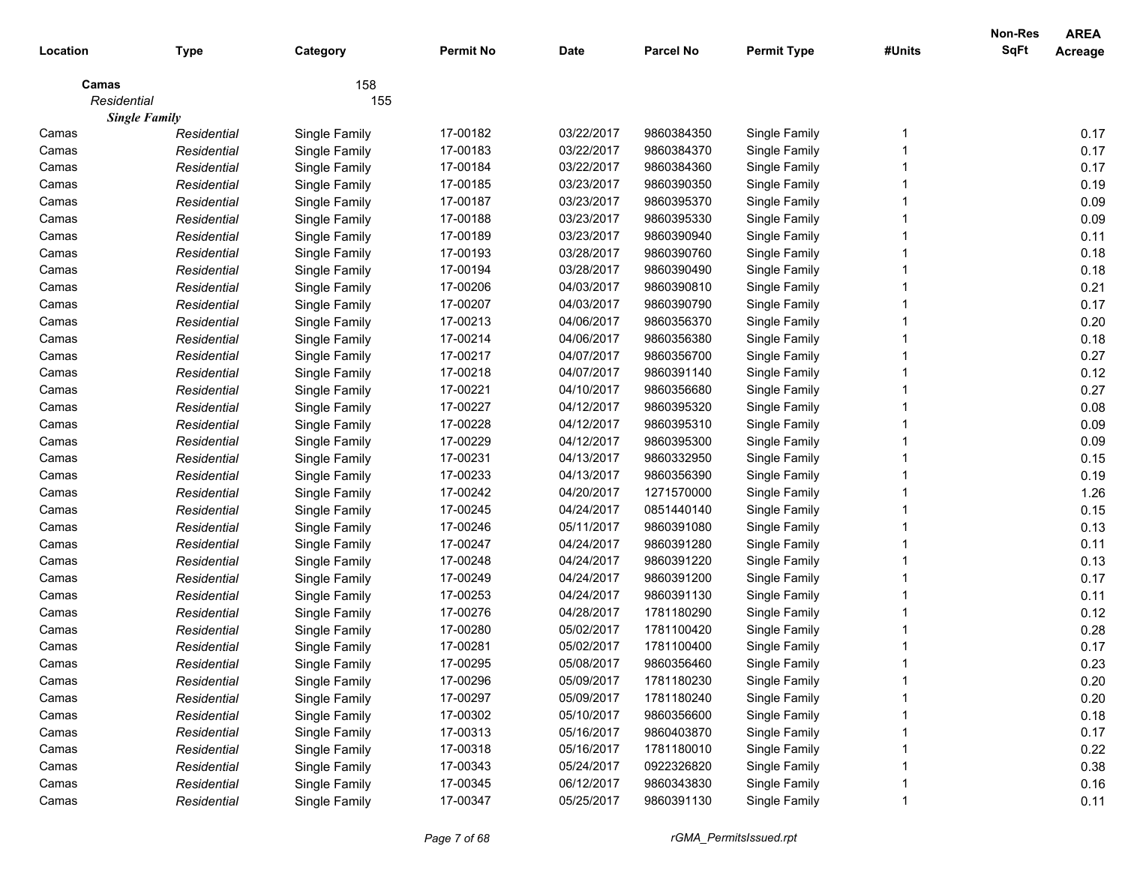|             |                      |               |                  |             |                  |                    |        | Non-Res     | <b>AREA</b>    |
|-------------|----------------------|---------------|------------------|-------------|------------------|--------------------|--------|-------------|----------------|
| Location    | <b>Type</b>          | Category      | <b>Permit No</b> | <b>Date</b> | <b>Parcel No</b> | <b>Permit Type</b> | #Units | <b>SqFt</b> | <b>Acreage</b> |
| Camas       |                      | 158           |                  |             |                  |                    |        |             |                |
| Residential |                      | 155           |                  |             |                  |                    |        |             |                |
|             | <b>Single Family</b> |               |                  |             |                  |                    |        |             |                |
| Camas       | Residential          | Single Family | 17-00182         | 03/22/2017  | 9860384350       | Single Family      |        |             | 0.17           |
| Camas       | Residential          | Single Family | 17-00183         | 03/22/2017  | 9860384370       | Single Family      |        |             | 0.17           |
| Camas       | Residential          | Single Family | 17-00184         | 03/22/2017  | 9860384360       | Single Family      |        |             | 0.17           |
| Camas       | Residential          | Single Family | 17-00185         | 03/23/2017  | 9860390350       | Single Family      |        |             | 0.19           |
| Camas       | Residential          | Single Family | 17-00187         | 03/23/2017  | 9860395370       | Single Family      |        |             | 0.09           |
| Camas       | Residential          | Single Family | 17-00188         | 03/23/2017  | 9860395330       | Single Family      |        |             | 0.09           |
| Camas       | Residential          | Single Family | 17-00189         | 03/23/2017  | 9860390940       | Single Family      |        |             | 0.11           |
| Camas       | Residential          | Single Family | 17-00193         | 03/28/2017  | 9860390760       | Single Family      |        |             | 0.18           |
| Camas       | Residential          | Single Family | 17-00194         | 03/28/2017  | 9860390490       | Single Family      |        |             | 0.18           |
| Camas       | Residential          | Single Family | 17-00206         | 04/03/2017  | 9860390810       | Single Family      |        |             | 0.21           |
| Camas       | Residential          | Single Family | 17-00207         | 04/03/2017  | 9860390790       | Single Family      |        |             | 0.17           |
| Camas       | Residential          | Single Family | 17-00213         | 04/06/2017  | 9860356370       | Single Family      |        |             | 0.20           |
| Camas       | Residential          | Single Family | 17-00214         | 04/06/2017  | 9860356380       | Single Family      |        |             | 0.18           |
| Camas       | Residential          | Single Family | 17-00217         | 04/07/2017  | 9860356700       | Single Family      |        |             | 0.27           |
| Camas       | Residential          | Single Family | 17-00218         | 04/07/2017  | 9860391140       | Single Family      |        |             | 0.12           |
| Camas       | Residential          | Single Family | 17-00221         | 04/10/2017  | 9860356680       | Single Family      |        |             | 0.27           |
| Camas       | Residential          | Single Family | 17-00227         | 04/12/2017  | 9860395320       | Single Family      |        |             | 0.08           |
| Camas       | Residential          | Single Family | 17-00228         | 04/12/2017  | 9860395310       | Single Family      |        |             | 0.09           |
| Camas       | Residential          | Single Family | 17-00229         | 04/12/2017  | 9860395300       | Single Family      |        |             | 0.09           |
| Camas       | Residential          | Single Family | 17-00231         | 04/13/2017  | 9860332950       | Single Family      |        |             | 0.15           |
| Camas       | Residential          | Single Family | 17-00233         | 04/13/2017  | 9860356390       | Single Family      |        |             | 0.19           |
| Camas       | Residential          | Single Family | 17-00242         | 04/20/2017  | 1271570000       | Single Family      |        |             | 1.26           |
| Camas       | Residential          | Single Family | 17-00245         | 04/24/2017  | 0851440140       | Single Family      |        |             | 0.15           |
| Camas       | Residential          | Single Family | 17-00246         | 05/11/2017  | 9860391080       | Single Family      |        |             | 0.13           |
| Camas       | Residential          | Single Family | 17-00247         | 04/24/2017  | 9860391280       | Single Family      |        |             | 0.11           |
| Camas       | Residential          | Single Family | 17-00248         | 04/24/2017  | 9860391220       | Single Family      |        |             | 0.13           |
| Camas       | Residential          | Single Family | 17-00249         | 04/24/2017  | 9860391200       | Single Family      |        |             | 0.17           |
| Camas       | Residential          | Single Family | 17-00253         | 04/24/2017  | 9860391130       | Single Family      |        |             | 0.11           |
| Camas       | Residential          | Single Family | 17-00276         | 04/28/2017  | 1781180290       | Single Family      |        |             | 0.12           |
| Camas       | Residential          | Single Family | 17-00280         | 05/02/2017  | 1781100420       | Single Family      |        |             | 0.28           |
| Camas       | Residential          | Single Family | 17-00281         | 05/02/2017  | 1781100400       | Single Family      |        |             | 0.17           |
| Camas       | Residential          | Single Family | 17-00295         | 05/08/2017  | 9860356460       | Single Family      |        |             | 0.23           |
| Camas       | Residential          | Single Family | 17-00296         | 05/09/2017  | 1781180230       | Single Family      |        |             | 0.20           |
| Camas       | Residential          | Single Family | 17-00297         | 05/09/2017  | 1781180240       | Single Family      |        |             | 0.20           |
| Camas       | Residential          | Single Family | 17-00302         | 05/10/2017  | 9860356600       | Single Family      |        |             | 0.18           |
| Camas       | Residential          | Single Family | 17-00313         | 05/16/2017  | 9860403870       | Single Family      |        |             | 0.17           |
| Camas       | Residential          | Single Family | 17-00318         | 05/16/2017  | 1781180010       | Single Family      |        |             | 0.22           |
| Camas       | Residential          | Single Family | 17-00343         | 05/24/2017  | 0922326820       | Single Family      |        |             | 0.38           |
| Camas       | Residential          | Single Family | 17-00345         | 06/12/2017  | 9860343830       | Single Family      |        |             | 0.16           |
| Camas       | Residential          | Single Family | 17-00347         | 05/25/2017  | 9860391130       | Single Family      |        |             | 0.11           |
|             |                      |               |                  |             |                  |                    |        |             |                |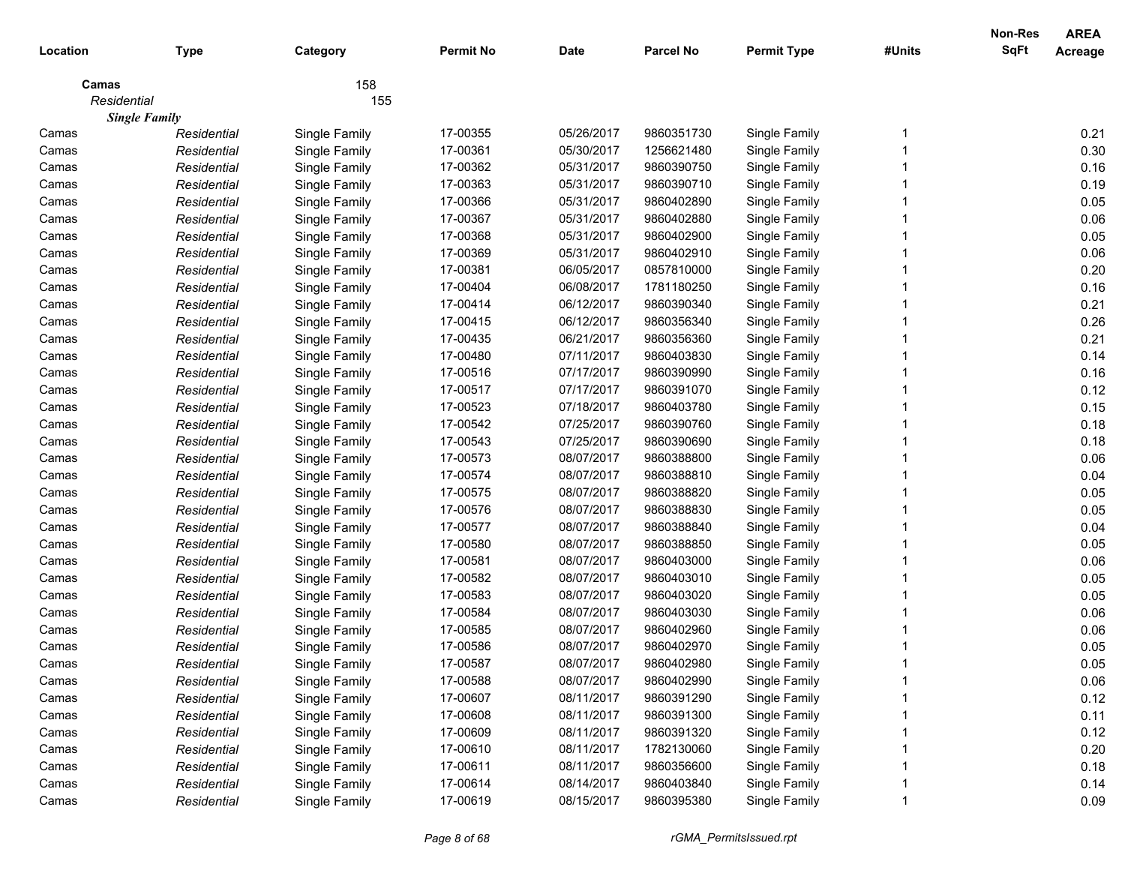|             |                      |               |                  |             |                  |                    |        | Non-Res     | <b>AREA</b>    |
|-------------|----------------------|---------------|------------------|-------------|------------------|--------------------|--------|-------------|----------------|
| Location    | <b>Type</b>          | Category      | <b>Permit No</b> | <b>Date</b> | <b>Parcel No</b> | <b>Permit Type</b> | #Units | <b>SqFt</b> | <b>Acreage</b> |
| Camas       |                      | 158           |                  |             |                  |                    |        |             |                |
| Residential |                      | 155           |                  |             |                  |                    |        |             |                |
|             | <b>Single Family</b> |               |                  |             |                  |                    |        |             |                |
| Camas       | Residential          | Single Family | 17-00355         | 05/26/2017  | 9860351730       | Single Family      |        |             | 0.21           |
| Camas       | Residential          | Single Family | 17-00361         | 05/30/2017  | 1256621480       | Single Family      |        |             | 0.30           |
| Camas       | Residential          | Single Family | 17-00362         | 05/31/2017  | 9860390750       | Single Family      |        |             | 0.16           |
| Camas       | Residential          | Single Family | 17-00363         | 05/31/2017  | 9860390710       | Single Family      |        |             | 0.19           |
| Camas       | Residential          | Single Family | 17-00366         | 05/31/2017  | 9860402890       | Single Family      |        |             | 0.05           |
| Camas       | Residential          | Single Family | 17-00367         | 05/31/2017  | 9860402880       | Single Family      |        |             | 0.06           |
| Camas       | Residential          | Single Family | 17-00368         | 05/31/2017  | 9860402900       | Single Family      |        |             | 0.05           |
| Camas       | Residential          | Single Family | 17-00369         | 05/31/2017  | 9860402910       | Single Family      |        |             | 0.06           |
| Camas       | Residential          | Single Family | 17-00381         | 06/05/2017  | 0857810000       | Single Family      |        |             | 0.20           |
| Camas       | Residential          | Single Family | 17-00404         | 06/08/2017  | 1781180250       | Single Family      |        |             | 0.16           |
| Camas       | Residential          | Single Family | 17-00414         | 06/12/2017  | 9860390340       | Single Family      |        |             | 0.21           |
| Camas       | Residential          | Single Family | 17-00415         | 06/12/2017  | 9860356340       | Single Family      |        |             | 0.26           |
| Camas       | Residential          | Single Family | 17-00435         | 06/21/2017  | 9860356360       | Single Family      |        |             | 0.21           |
| Camas       | Residential          | Single Family | 17-00480         | 07/11/2017  | 9860403830       | Single Family      |        |             | 0.14           |
| Camas       | Residential          | Single Family | 17-00516         | 07/17/2017  | 9860390990       | Single Family      |        |             | 0.16           |
| Camas       | Residential          | Single Family | 17-00517         | 07/17/2017  | 9860391070       | Single Family      |        |             | 0.12           |
| Camas       | Residential          | Single Family | 17-00523         | 07/18/2017  | 9860403780       | Single Family      |        |             | 0.15           |
| Camas       | Residential          | Single Family | 17-00542         | 07/25/2017  | 9860390760       | Single Family      |        |             | 0.18           |
| Camas       | Residential          | Single Family | 17-00543         | 07/25/2017  | 9860390690       | Single Family      |        |             | 0.18           |
| Camas       | Residential          | Single Family | 17-00573         | 08/07/2017  | 9860388800       | Single Family      |        |             | 0.06           |
| Camas       | Residential          | Single Family | 17-00574         | 08/07/2017  | 9860388810       | Single Family      |        |             | 0.04           |
| Camas       | Residential          | Single Family | 17-00575         | 08/07/2017  | 9860388820       | Single Family      |        |             | 0.05           |
| Camas       | Residential          | Single Family | 17-00576         | 08/07/2017  | 9860388830       | Single Family      |        |             | 0.05           |
| Camas       | Residential          | Single Family | 17-00577         | 08/07/2017  | 9860388840       | Single Family      |        |             | 0.04           |
| Camas       | Residential          | Single Family | 17-00580         | 08/07/2017  | 9860388850       | Single Family      |        |             | 0.05           |
| Camas       | Residential          | Single Family | 17-00581         | 08/07/2017  | 9860403000       | Single Family      |        |             | 0.06           |
| Camas       | Residential          | Single Family | 17-00582         | 08/07/2017  | 9860403010       | Single Family      |        |             | 0.05           |
| Camas       | Residential          | Single Family | 17-00583         | 08/07/2017  | 9860403020       | Single Family      |        |             | 0.05           |
| Camas       | Residential          | Single Family | 17-00584         | 08/07/2017  | 9860403030       | Single Family      |        |             | 0.06           |
| Camas       | Residential          | Single Family | 17-00585         | 08/07/2017  | 9860402960       | Single Family      |        |             | 0.06           |
| Camas       | Residential          | Single Family | 17-00586         | 08/07/2017  | 9860402970       | Single Family      |        |             | 0.05           |
| Camas       | Residential          | Single Family | 17-00587         | 08/07/2017  | 9860402980       | Single Family      |        |             | 0.05           |
| Camas       | Residential          | Single Family | 17-00588         | 08/07/2017  | 9860402990       | Single Family      |        |             | 0.06           |
| Camas       | Residential          | Single Family | 17-00607         | 08/11/2017  | 9860391290       | Single Family      |        |             | 0.12           |
| Camas       | Residential          | Single Family | 17-00608         | 08/11/2017  | 9860391300       | Single Family      |        |             | 0.11           |
| Camas       | Residential          | Single Family | 17-00609         | 08/11/2017  | 9860391320       | Single Family      |        |             | 0.12           |
| Camas       | Residential          | Single Family | 17-00610         | 08/11/2017  | 1782130060       | Single Family      |        |             | 0.20           |
| Camas       | Residential          | Single Family | 17-00611         | 08/11/2017  | 9860356600       | Single Family      |        |             | 0.18           |
| Camas       | Residential          | Single Family | 17-00614         | 08/14/2017  | 9860403840       | Single Family      |        |             | 0.14           |
| Camas       | Residential          | Single Family | 17-00619         | 08/15/2017  | 9860395380       | Single Family      |        |             | 0.09           |
|             |                      |               |                  |             |                  |                    |        |             |                |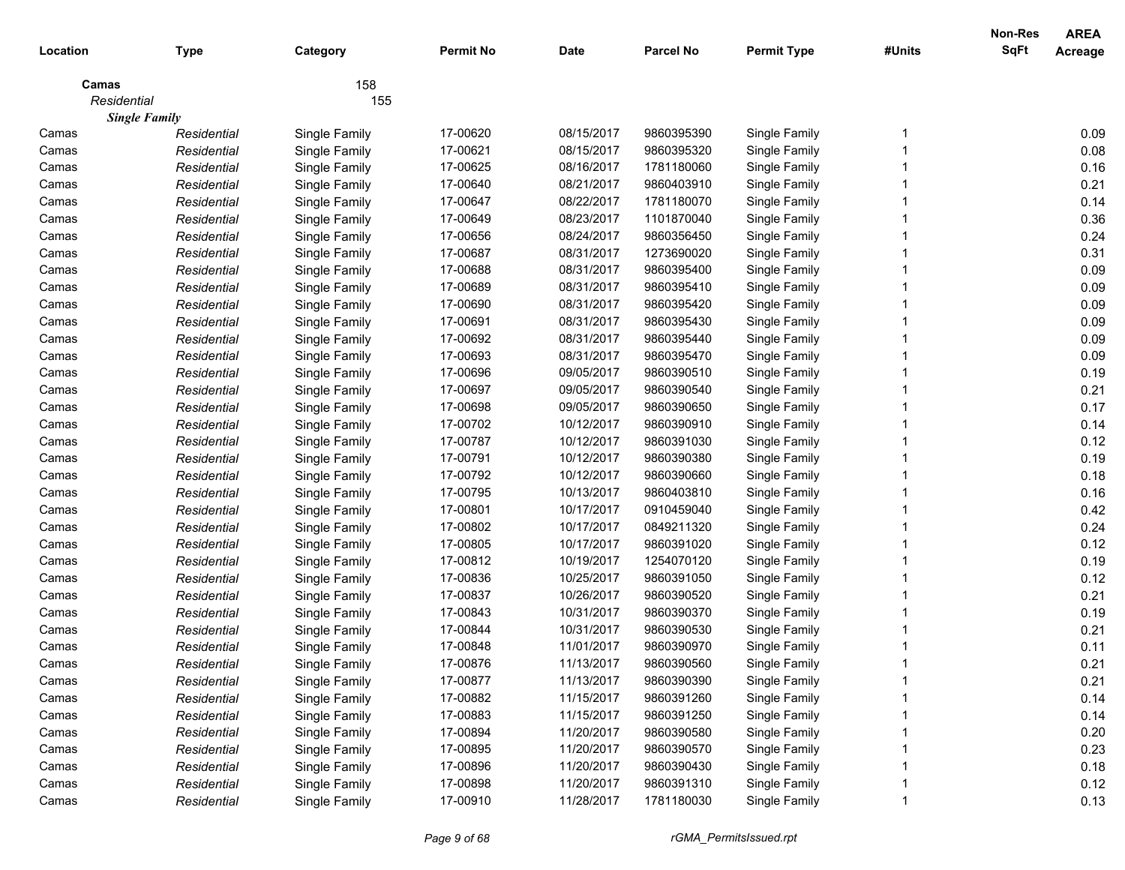|             |                      |               |                  |             |                  |                    |        | Non-Res     | <b>AREA</b>    |
|-------------|----------------------|---------------|------------------|-------------|------------------|--------------------|--------|-------------|----------------|
| Location    | <b>Type</b>          | Category      | <b>Permit No</b> | <b>Date</b> | <b>Parcel No</b> | <b>Permit Type</b> | #Units | <b>SqFt</b> | <b>Acreage</b> |
| Camas       |                      | 158           |                  |             |                  |                    |        |             |                |
| Residential |                      | 155           |                  |             |                  |                    |        |             |                |
|             | <b>Single Family</b> |               |                  |             |                  |                    |        |             |                |
| Camas       | Residential          | Single Family | 17-00620         | 08/15/2017  | 9860395390       | Single Family      |        |             | 0.09           |
| Camas       | Residential          | Single Family | 17-00621         | 08/15/2017  | 9860395320       | Single Family      |        |             | 0.08           |
| Camas       | Residential          | Single Family | 17-00625         | 08/16/2017  | 1781180060       | Single Family      |        |             | 0.16           |
| Camas       | Residential          | Single Family | 17-00640         | 08/21/2017  | 9860403910       | Single Family      |        |             | 0.21           |
| Camas       | Residential          | Single Family | 17-00647         | 08/22/2017  | 1781180070       | Single Family      |        |             | 0.14           |
| Camas       | Residential          | Single Family | 17-00649         | 08/23/2017  | 1101870040       | Single Family      |        |             | 0.36           |
| Camas       | Residential          | Single Family | 17-00656         | 08/24/2017  | 9860356450       | Single Family      |        |             | 0.24           |
| Camas       | Residential          | Single Family | 17-00687         | 08/31/2017  | 1273690020       | Single Family      |        |             | 0.31           |
| Camas       | Residential          | Single Family | 17-00688         | 08/31/2017  | 9860395400       | Single Family      |        |             | 0.09           |
| Camas       | Residential          | Single Family | 17-00689         | 08/31/2017  | 9860395410       | Single Family      |        |             | 0.09           |
| Camas       | Residential          | Single Family | 17-00690         | 08/31/2017  | 9860395420       | Single Family      |        |             | 0.09           |
| Camas       | Residential          | Single Family | 17-00691         | 08/31/2017  | 9860395430       | Single Family      |        |             | 0.09           |
| Camas       | Residential          | Single Family | 17-00692         | 08/31/2017  | 9860395440       | Single Family      |        |             | 0.09           |
| Camas       | Residential          | Single Family | 17-00693         | 08/31/2017  | 9860395470       | Single Family      |        |             | 0.09           |
| Camas       | Residential          | Single Family | 17-00696         | 09/05/2017  | 9860390510       | Single Family      |        |             | 0.19           |
| Camas       | Residential          | Single Family | 17-00697         | 09/05/2017  | 9860390540       | Single Family      |        |             | 0.21           |
| Camas       | Residential          | Single Family | 17-00698         | 09/05/2017  | 9860390650       | Single Family      |        |             | 0.17           |
| Camas       | Residential          | Single Family | 17-00702         | 10/12/2017  | 9860390910       | Single Family      |        |             | 0.14           |
| Camas       | Residential          | Single Family | 17-00787         | 10/12/2017  | 9860391030       | Single Family      |        |             | 0.12           |
| Camas       | Residential          | Single Family | 17-00791         | 10/12/2017  | 9860390380       | Single Family      |        |             | 0.19           |
| Camas       | Residential          | Single Family | 17-00792         | 10/12/2017  | 9860390660       | Single Family      |        |             | 0.18           |
| Camas       | Residential          | Single Family | 17-00795         | 10/13/2017  | 9860403810       | Single Family      |        |             | 0.16           |
| Camas       | Residential          | Single Family | 17-00801         | 10/17/2017  | 0910459040       | Single Family      |        |             | 0.42           |
| Camas       | Residential          | Single Family | 17-00802         | 10/17/2017  | 0849211320       | Single Family      |        |             | 0.24           |
| Camas       | Residential          | Single Family | 17-00805         | 10/17/2017  | 9860391020       | Single Family      |        |             | 0.12           |
| Camas       | Residential          | Single Family | 17-00812         | 10/19/2017  | 1254070120       | Single Family      |        |             | 0.19           |
| Camas       | Residential          | Single Family | 17-00836         | 10/25/2017  | 9860391050       | Single Family      |        |             | 0.12           |
| Camas       | Residential          | Single Family | 17-00837         | 10/26/2017  | 9860390520       | Single Family      |        |             | 0.21           |
| Camas       | Residential          | Single Family | 17-00843         | 10/31/2017  | 9860390370       | Single Family      |        |             | 0.19           |
| Camas       | Residential          | Single Family | 17-00844         | 10/31/2017  | 9860390530       | Single Family      |        |             | 0.21           |
| Camas       | Residential          | Single Family | 17-00848         | 11/01/2017  | 9860390970       | Single Family      |        |             | 0.11           |
| Camas       | Residential          | Single Family | 17-00876         | 11/13/2017  | 9860390560       | Single Family      |        |             | 0.21           |
| Camas       | Residential          | Single Family | 17-00877         | 11/13/2017  | 9860390390       | Single Family      |        |             | 0.21           |
| Camas       | Residential          | Single Family | 17-00882         | 11/15/2017  | 9860391260       | Single Family      |        |             | 0.14           |
| Camas       | Residential          | Single Family | 17-00883         | 11/15/2017  | 9860391250       | Single Family      |        |             | 0.14           |
| Camas       | Residential          | Single Family | 17-00894         | 11/20/2017  | 9860390580       | Single Family      |        |             | 0.20           |
| Camas       | Residential          | Single Family | 17-00895         | 11/20/2017  | 9860390570       | Single Family      |        |             | 0.23           |
| Camas       | Residential          | Single Family | 17-00896         | 11/20/2017  | 9860390430       | Single Family      |        |             | 0.18           |
| Camas       | Residential          | Single Family | 17-00898         | 11/20/2017  | 9860391310       | Single Family      |        |             | 0.12           |
| Camas       | Residential          | Single Family | 17-00910         | 11/28/2017  | 1781180030       | Single Family      |        |             | 0.13           |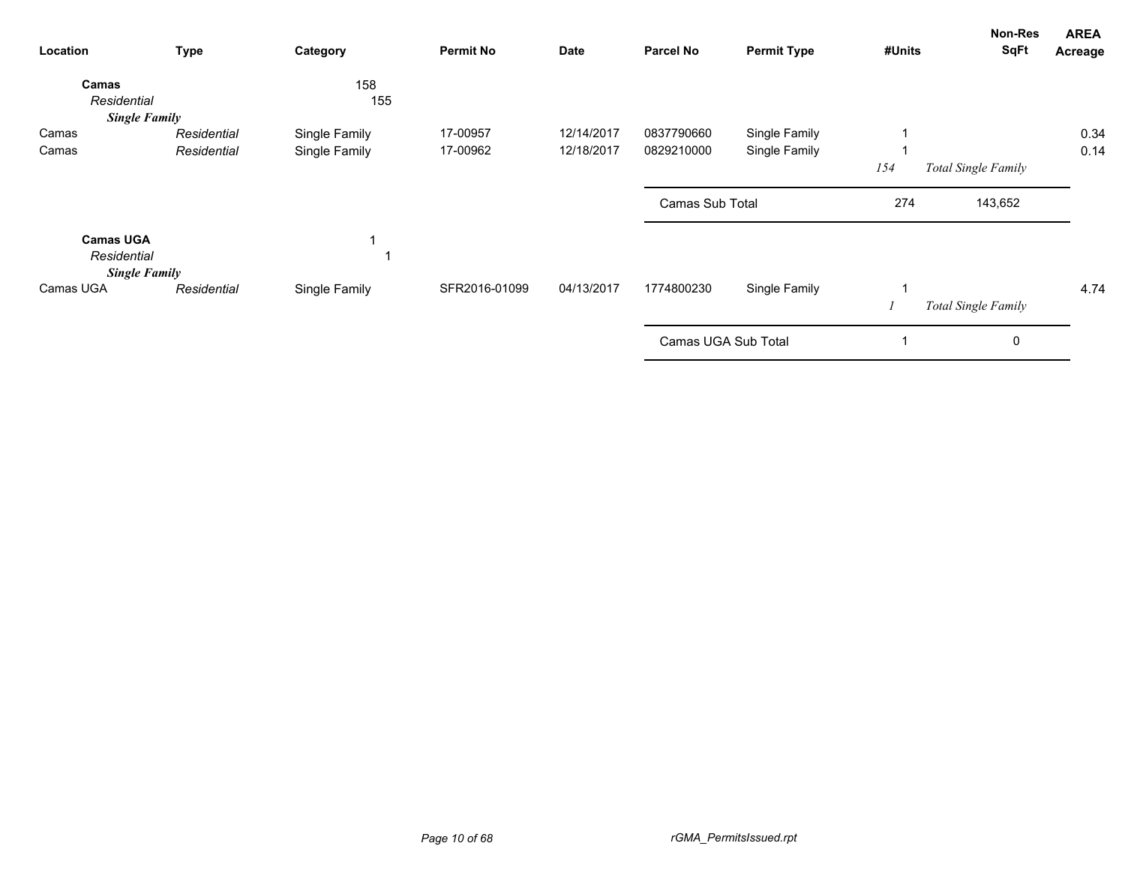| Location                        | <b>Type</b>          | Category      | <b>Permit No</b> | <b>Date</b> | <b>Parcel No</b>    | <b>Permit Type</b> | #Units | Non-Res<br><b>SqFt</b> | <b>AREA</b><br>Acreage |
|---------------------------------|----------------------|---------------|------------------|-------------|---------------------|--------------------|--------|------------------------|------------------------|
| Camas<br>Residential            | <b>Single Family</b> | 158<br>155    |                  |             |                     |                    |        |                        |                        |
| Camas                           | Residential          | Single Family | 17-00957         | 12/14/2017  | 0837790660          | Single Family      |        |                        | 0.34                   |
| Camas                           | Residential          | Single Family | 17-00962         | 12/18/2017  | 0829210000          | Single Family      |        |                        | 0.14                   |
|                                 |                      |               |                  |             |                     |                    | 154    | Total Single Family    |                        |
|                                 |                      |               |                  |             | Camas Sub Total     |                    | 274    | 143,652                |                        |
| <b>Camas UGA</b><br>Residential | <b>Single Family</b> |               |                  |             |                     |                    |        |                        |                        |
| Camas UGA                       | Residential          | Single Family | SFR2016-01099    | 04/13/2017  | 1774800230          | Single Family      |        |                        | 4.74                   |
|                                 |                      |               |                  |             |                     |                    |        | Total Single Family    |                        |
|                                 |                      |               |                  |             | Camas UGA Sub Total |                    |        | 0                      |                        |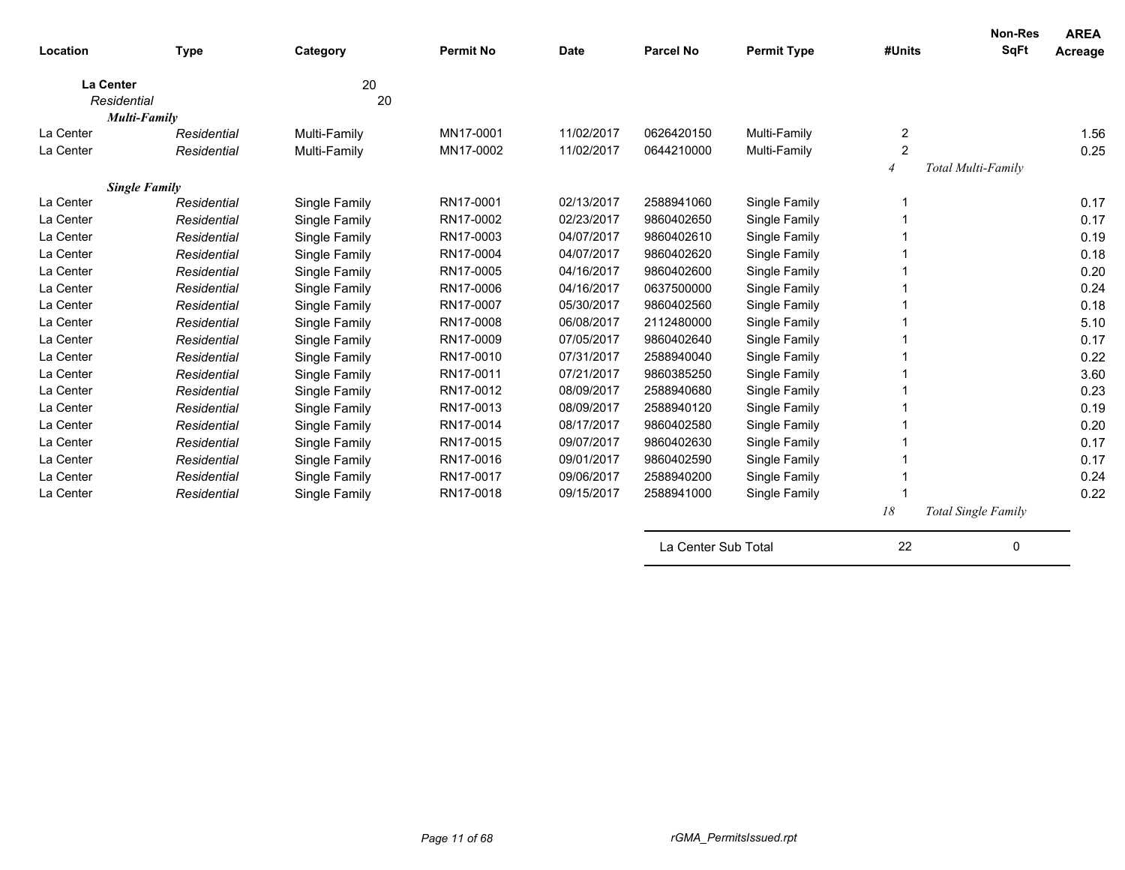| Location  | <b>Type</b>          | Category      | <b>Permit No</b> | <b>Date</b> | <b>Parcel No</b> | <b>Permit Type</b> | #Units         | Non-Res<br>SqFt     | <b>AREA</b><br>Acreage |
|-----------|----------------------|---------------|------------------|-------------|------------------|--------------------|----------------|---------------------|------------------------|
|           | <b>La Center</b>     | 20            |                  |             |                  |                    |                |                     |                        |
|           | Residential          | 20            |                  |             |                  |                    |                |                     |                        |
|           | <b>Multi-Family</b>  |               |                  |             |                  |                    |                |                     |                        |
| La Center | Residential          | Multi-Family  | MN17-0001        | 11/02/2017  | 0626420150       | Multi-Family       | 2              |                     | 1.56                   |
| La Center | Residential          | Multi-Family  | MN17-0002        | 11/02/2017  | 0644210000       | Multi-Family       | $\overline{c}$ |                     | 0.25                   |
|           |                      |               |                  |             |                  |                    | $\overline{4}$ | Total Multi-Family  |                        |
|           | <b>Single Family</b> |               |                  |             |                  |                    |                |                     |                        |
| La Center | Residential          | Single Family | RN17-0001        | 02/13/2017  | 2588941060       | Single Family      |                |                     | 0.17                   |
| La Center | Residential          | Single Family | RN17-0002        | 02/23/2017  | 9860402650       | Single Family      |                |                     | 0.17                   |
| La Center | Residential          | Single Family | RN17-0003        | 04/07/2017  | 9860402610       | Single Family      |                |                     | 0.19                   |
| La Center | Residential          | Single Family | RN17-0004        | 04/07/2017  | 9860402620       | Single Family      |                |                     | 0.18                   |
| La Center | Residential          | Single Family | RN17-0005        | 04/16/2017  | 9860402600       | Single Family      |                |                     | 0.20                   |
| La Center | Residential          | Single Family | RN17-0006        | 04/16/2017  | 0637500000       | Single Family      |                |                     | 0.24                   |
| La Center | Residential          | Single Family | RN17-0007        | 05/30/2017  | 9860402560       | Single Family      |                |                     | 0.18                   |
| La Center | Residential          | Single Family | RN17-0008        | 06/08/2017  | 2112480000       | Single Family      |                |                     | 5.10                   |
| La Center | Residential          | Single Family | RN17-0009        | 07/05/2017  | 9860402640       | Single Family      |                |                     | 0.17                   |
| La Center | Residential          | Single Family | RN17-0010        | 07/31/2017  | 2588940040       | Single Family      |                |                     | 0.22                   |
| La Center | Residential          | Single Family | RN17-0011        | 07/21/2017  | 9860385250       | Single Family      |                |                     | 3.60                   |
| La Center | Residential          | Single Family | RN17-0012        | 08/09/2017  | 2588940680       | Single Family      |                |                     | 0.23                   |
| La Center | Residential          | Single Family | RN17-0013        | 08/09/2017  | 2588940120       | Single Family      |                |                     | 0.19                   |
| La Center | Residential          | Single Family | RN17-0014        | 08/17/2017  | 9860402580       | Single Family      |                |                     | 0.20                   |
| La Center | Residential          | Single Family | RN17-0015        | 09/07/2017  | 9860402630       | Single Family      |                |                     | 0.17                   |
| La Center | Residential          | Single Family | RN17-0016        | 09/01/2017  | 9860402590       | Single Family      |                |                     | 0.17                   |
| La Center | Residential          | Single Family | RN17-0017        | 09/06/2017  | 2588940200       | Single Family      |                |                     | 0.24                   |
| La Center | Residential          | Single Family | RN17-0018        | 09/15/2017  | 2588941000       | Single Family      |                |                     | 0.22                   |
|           |                      |               |                  |             |                  |                    | 18             | Total Single Family |                        |

La Center Sub Total 22 0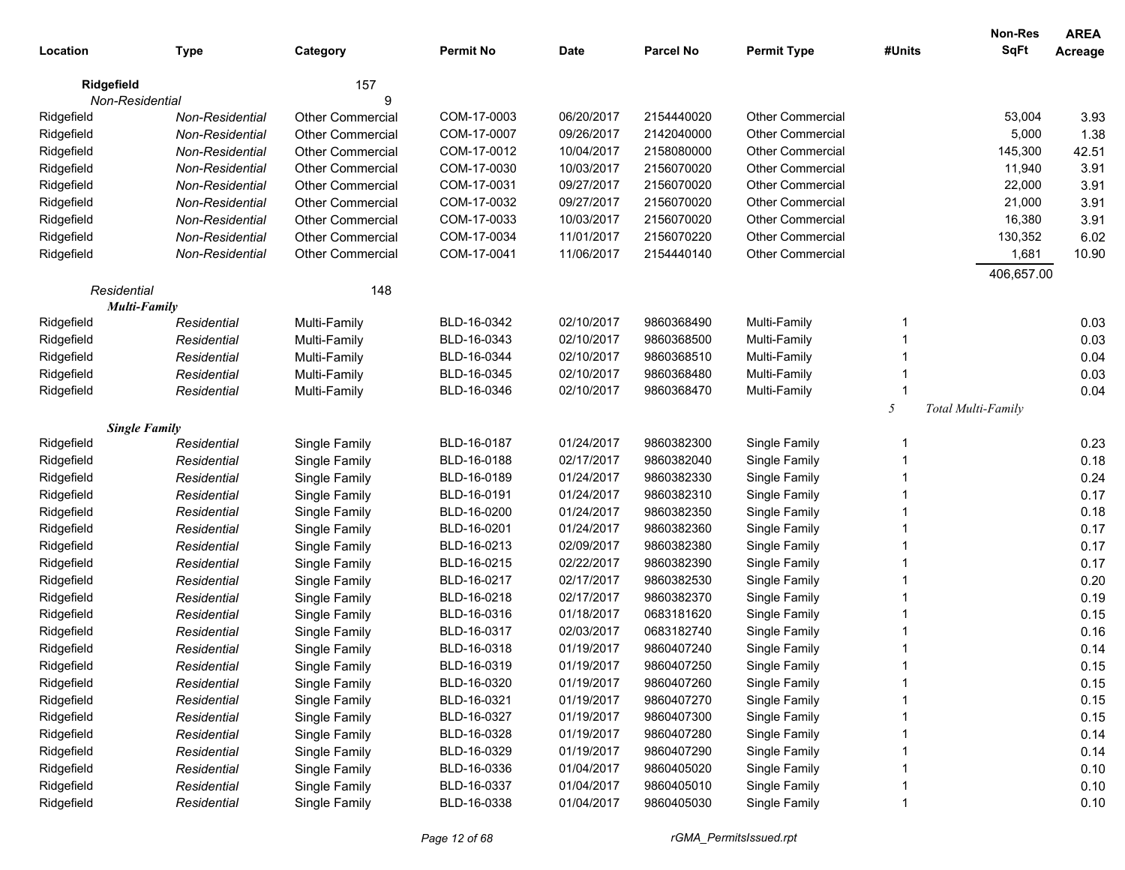| Location    | <b>Type</b>          | Category                | <b>Permit No</b> | <b>Date</b> | <b>Parcel No</b> | <b>Permit Type</b>      | #Units | Non-Res<br><b>SqFt</b> | <b>AREA</b><br>Acreage |
|-------------|----------------------|-------------------------|------------------|-------------|------------------|-------------------------|--------|------------------------|------------------------|
| Ridgefield  |                      | 157                     |                  |             |                  |                         |        |                        |                        |
|             | Non-Residential      | 9                       |                  |             |                  |                         |        |                        |                        |
| Ridgefield  | Non-Residential      | <b>Other Commercial</b> | COM-17-0003      | 06/20/2017  | 2154440020       | <b>Other Commercial</b> |        | 53,004                 | 3.93                   |
| Ridgefield  | Non-Residential      | <b>Other Commercial</b> | COM-17-0007      | 09/26/2017  | 2142040000       | <b>Other Commercial</b> |        | 5,000                  | 1.38                   |
| Ridgefield  | Non-Residential      | <b>Other Commercial</b> | COM-17-0012      | 10/04/2017  | 2158080000       | <b>Other Commercial</b> |        | 145,300                | 42.51                  |
| Ridgefield  | Non-Residential      | <b>Other Commercial</b> | COM-17-0030      | 10/03/2017  | 2156070020       | <b>Other Commercial</b> |        | 11,940                 | 3.91                   |
| Ridgefield  | Non-Residential      | <b>Other Commercial</b> | COM-17-0031      | 09/27/2017  | 2156070020       | <b>Other Commercial</b> |        | 22,000                 | 3.91                   |
| Ridgefield  | Non-Residential      | <b>Other Commercial</b> | COM-17-0032      | 09/27/2017  | 2156070020       | <b>Other Commercial</b> |        | 21,000                 | 3.91                   |
| Ridgefield  | Non-Residential      | <b>Other Commercial</b> | COM-17-0033      | 10/03/2017  | 2156070020       | <b>Other Commercial</b> |        | 16,380                 | 3.91                   |
| Ridgefield  | Non-Residential      | <b>Other Commercial</b> | COM-17-0034      | 11/01/2017  | 2156070220       | <b>Other Commercial</b> |        | 130,352                | 6.02                   |
| Ridgefield  | Non-Residential      | <b>Other Commercial</b> | COM-17-0041      | 11/06/2017  | 2154440140       | <b>Other Commercial</b> |        | 1,681                  | 10.90                  |
|             |                      |                         |                  |             |                  |                         |        | 406,657.00             |                        |
| Residential |                      | 148                     |                  |             |                  |                         |        |                        |                        |
|             | <b>Multi-Family</b>  |                         |                  |             |                  |                         |        |                        |                        |
| Ridgefield  | Residential          | Multi-Family            | BLD-16-0342      | 02/10/2017  | 9860368490       | Multi-Family            | -1     |                        | 0.03                   |
| Ridgefield  | Residential          | Multi-Family            | BLD-16-0343      | 02/10/2017  | 9860368500       | Multi-Family            |        |                        | 0.03                   |
| Ridgefield  | Residential          | Multi-Family            | BLD-16-0344      | 02/10/2017  | 9860368510       | Multi-Family            |        |                        | 0.04                   |
| Ridgefield  | Residential          | Multi-Family            | BLD-16-0345      | 02/10/2017  | 9860368480       | Multi-Family            |        |                        | 0.03                   |
| Ridgefield  | Residential          | Multi-Family            | BLD-16-0346      | 02/10/2017  | 9860368470       | Multi-Family            |        |                        | 0.04                   |
|             |                      |                         |                  |             |                  |                         | 5      | Total Multi-Family     |                        |
|             | <b>Single Family</b> |                         |                  |             |                  |                         |        |                        |                        |
| Ridgefield  | Residential          | Single Family           | BLD-16-0187      | 01/24/2017  | 9860382300       | Single Family           | -1     |                        | 0.23                   |
| Ridgefield  | Residential          | Single Family           | BLD-16-0188      | 02/17/2017  | 9860382040       | Single Family           |        |                        | 0.18                   |
| Ridgefield  | Residential          | Single Family           | BLD-16-0189      | 01/24/2017  | 9860382330       | Single Family           |        |                        | 0.24                   |
| Ridgefield  | Residential          | Single Family           | BLD-16-0191      | 01/24/2017  | 9860382310       | Single Family           |        |                        | 0.17                   |
| Ridgefield  | Residential          | Single Family           | BLD-16-0200      | 01/24/2017  | 9860382350       | Single Family           |        |                        | 0.18                   |
| Ridgefield  | Residential          | Single Family           | BLD-16-0201      | 01/24/2017  | 9860382360       | Single Family           |        |                        | 0.17                   |
| Ridgefield  | Residential          | Single Family           | BLD-16-0213      | 02/09/2017  | 9860382380       | Single Family           |        |                        | 0.17                   |
| Ridgefield  | Residential          | Single Family           | BLD-16-0215      | 02/22/2017  | 9860382390       | Single Family           |        |                        | 0.17                   |
| Ridgefield  | Residential          | Single Family           | BLD-16-0217      | 02/17/2017  | 9860382530       | Single Family           |        |                        | 0.20                   |
| Ridgefield  | Residential          | Single Family           | BLD-16-0218      | 02/17/2017  | 9860382370       | Single Family           |        |                        | 0.19                   |
| Ridgefield  | Residential          | Single Family           | BLD-16-0316      | 01/18/2017  | 0683181620       | Single Family           |        |                        | 0.15                   |
| Ridgefield  | Residential          | Single Family           | BLD-16-0317      | 02/03/2017  | 0683182740       | Single Family           |        |                        | 0.16                   |
| Ridgefield  | Residential          | Single Family           | BLD-16-0318      | 01/19/2017  | 9860407240       | Single Family           |        |                        | 0.14                   |
| Ridgefield  | Residential          | Single Family           | BLD-16-0319      | 01/19/2017  | 9860407250       | Single Family           |        |                        | 0.15                   |
| Ridgefield  | Residential          | Single Family           | BLD-16-0320      | 01/19/2017  | 9860407260       | Single Family           |        |                        | 0.15                   |
| Ridgefield  | Residential          | Single Family           | BLD-16-0321      | 01/19/2017  | 9860407270       | Single Family           |        |                        | 0.15                   |
| Ridgefield  | Residential          | Single Family           | BLD-16-0327      | 01/19/2017  | 9860407300       | Single Family           |        |                        | 0.15                   |
| Ridgefield  | Residential          | Single Family           | BLD-16-0328      | 01/19/2017  | 9860407280       | Single Family           |        |                        | 0.14                   |
| Ridgefield  | Residential          | Single Family           | BLD-16-0329      | 01/19/2017  | 9860407290       | Single Family           |        |                        | 0.14                   |
| Ridgefield  | Residential          | Single Family           | BLD-16-0336      | 01/04/2017  | 9860405020       | Single Family           |        |                        | 0.10                   |
| Ridgefield  | Residential          | Single Family           | BLD-16-0337      | 01/04/2017  | 9860405010       | Single Family           |        |                        | 0.10                   |
| Ridgefield  | Residential          | Single Family           | BLD-16-0338      | 01/04/2017  | 9860405030       | Single Family           |        |                        | 0.10                   |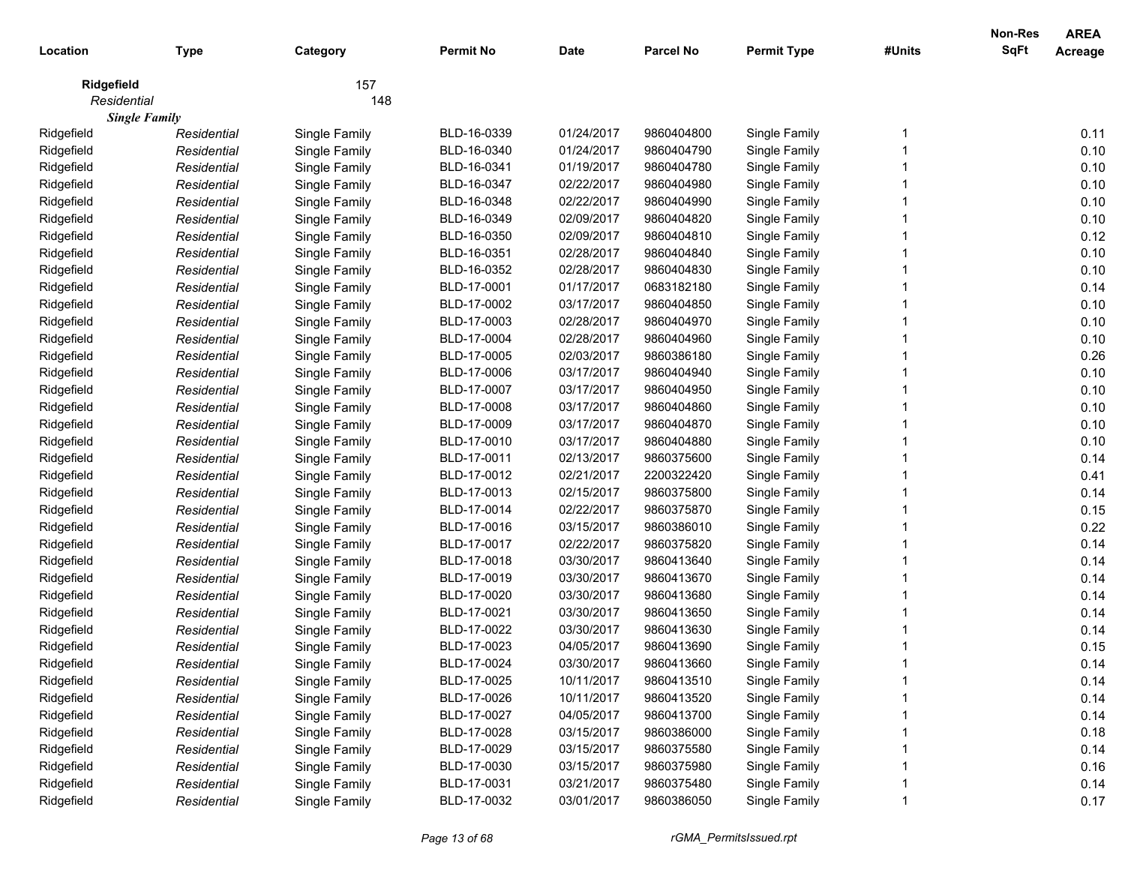| Location    | <b>Type</b>          | Category      | <b>Permit No</b> | <b>Date</b> | <b>Parcel No</b> | <b>Permit Type</b> | #Units | Non-Res<br><b>SqFt</b> | <b>AREA</b><br><b>Acreage</b> |
|-------------|----------------------|---------------|------------------|-------------|------------------|--------------------|--------|------------------------|-------------------------------|
|             |                      |               |                  |             |                  |                    |        |                        |                               |
| Ridgefield  |                      | 157           |                  |             |                  |                    |        |                        |                               |
| Residential |                      | 148           |                  |             |                  |                    |        |                        |                               |
|             | <b>Single Family</b> |               |                  |             |                  |                    |        |                        |                               |
| Ridgefield  | Residential          | Single Family | BLD-16-0339      | 01/24/2017  | 9860404800       | Single Family      |        |                        | 0.11                          |
| Ridgefield  | Residential          | Single Family | BLD-16-0340      | 01/24/2017  | 9860404790       | Single Family      |        |                        | 0.10                          |
| Ridgefield  | Residential          | Single Family | BLD-16-0341      | 01/19/2017  | 9860404780       | Single Family      |        |                        | 0.10                          |
| Ridgefield  | Residential          | Single Family | BLD-16-0347      | 02/22/2017  | 9860404980       | Single Family      |        |                        | 0.10                          |
| Ridgefield  | Residential          | Single Family | BLD-16-0348      | 02/22/2017  | 9860404990       | Single Family      |        |                        | 0.10                          |
| Ridgefield  | Residential          | Single Family | BLD-16-0349      | 02/09/2017  | 9860404820       | Single Family      |        |                        | 0.10                          |
| Ridgefield  | Residential          | Single Family | BLD-16-0350      | 02/09/2017  | 9860404810       | Single Family      |        |                        | 0.12                          |
| Ridgefield  | Residential          | Single Family | BLD-16-0351      | 02/28/2017  | 9860404840       | Single Family      |        |                        | 0.10                          |
| Ridgefield  | Residential          | Single Family | BLD-16-0352      | 02/28/2017  | 9860404830       | Single Family      |        |                        | 0.10                          |
| Ridgefield  | Residential          | Single Family | BLD-17-0001      | 01/17/2017  | 0683182180       | Single Family      |        |                        | 0.14                          |
| Ridgefield  | Residential          | Single Family | BLD-17-0002      | 03/17/2017  | 9860404850       | Single Family      |        |                        | 0.10                          |
| Ridgefield  | Residential          | Single Family | BLD-17-0003      | 02/28/2017  | 9860404970       | Single Family      |        |                        | 0.10                          |
| Ridgefield  | Residential          | Single Family | BLD-17-0004      | 02/28/2017  | 9860404960       | Single Family      |        |                        | 0.10                          |
| Ridgefield  | Residential          | Single Family | BLD-17-0005      | 02/03/2017  | 9860386180       | Single Family      |        |                        | 0.26                          |
| Ridgefield  | Residential          | Single Family | BLD-17-0006      | 03/17/2017  | 9860404940       | Single Family      |        |                        | 0.10                          |
| Ridgefield  | Residential          | Single Family | BLD-17-0007      | 03/17/2017  | 9860404950       | Single Family      |        |                        | 0.10                          |
| Ridgefield  | Residential          | Single Family | BLD-17-0008      | 03/17/2017  | 9860404860       | Single Family      |        |                        | 0.10                          |
| Ridgefield  | Residential          | Single Family | BLD-17-0009      | 03/17/2017  | 9860404870       | Single Family      |        |                        | 0.10                          |
| Ridgefield  | Residential          | Single Family | BLD-17-0010      | 03/17/2017  | 9860404880       | Single Family      |        |                        | 0.10                          |
| Ridgefield  | Residential          | Single Family | BLD-17-0011      | 02/13/2017  | 9860375600       | Single Family      |        |                        | 0.14                          |
| Ridgefield  | Residential          | Single Family | BLD-17-0012      | 02/21/2017  | 2200322420       | Single Family      |        |                        | 0.41                          |
| Ridgefield  | Residential          | Single Family | BLD-17-0013      | 02/15/2017  | 9860375800       | Single Family      |        |                        | 0.14                          |
| Ridgefield  | Residential          | Single Family | BLD-17-0014      | 02/22/2017  | 9860375870       | Single Family      |        |                        | 0.15                          |
| Ridgefield  | Residential          | Single Family | BLD-17-0016      | 03/15/2017  | 9860386010       | Single Family      |        |                        | 0.22                          |
| Ridgefield  | Residential          | Single Family | BLD-17-0017      | 02/22/2017  | 9860375820       | Single Family      |        |                        | 0.14                          |
| Ridgefield  | Residential          | Single Family | BLD-17-0018      | 03/30/2017  | 9860413640       | Single Family      |        |                        | 0.14                          |
| Ridgefield  | Residential          | Single Family | BLD-17-0019      | 03/30/2017  | 9860413670       | Single Family      |        |                        | 0.14                          |
| Ridgefield  | Residential          | Single Family | BLD-17-0020      | 03/30/2017  | 9860413680       | Single Family      |        |                        | 0.14                          |
| Ridgefield  | Residential          | Single Family | BLD-17-0021      | 03/30/2017  | 9860413650       | Single Family      |        |                        | 0.14                          |
| Ridgefield  | Residential          | Single Family | BLD-17-0022      | 03/30/2017  | 9860413630       | Single Family      |        |                        | 0.14                          |
| Ridgefield  | Residential          | Single Family | BLD-17-0023      | 04/05/2017  | 9860413690       | Single Family      |        |                        | 0.15                          |
| Ridgefield  | Residential          | Single Family | BLD-17-0024      | 03/30/2017  | 9860413660       | Single Family      |        |                        | 0.14                          |
| Ridgefield  | Residential          | Single Family | BLD-17-0025      | 10/11/2017  | 9860413510       | Single Family      |        |                        | 0.14                          |
| Ridgefield  | Residential          | Single Family | BLD-17-0026      | 10/11/2017  | 9860413520       | Single Family      |        |                        | 0.14                          |
| Ridgefield  | Residential          | Single Family | BLD-17-0027      | 04/05/2017  | 9860413700       | Single Family      |        |                        | 0.14                          |
| Ridgefield  | Residential          | Single Family | BLD-17-0028      | 03/15/2017  | 9860386000       | Single Family      |        |                        | 0.18                          |
| Ridgefield  | Residential          | Single Family | BLD-17-0029      | 03/15/2017  | 9860375580       | Single Family      |        |                        | 0.14                          |
| Ridgefield  | Residential          | Single Family | BLD-17-0030      | 03/15/2017  | 9860375980       | Single Family      |        |                        | 0.16                          |
| Ridgefield  | Residential          | Single Family | BLD-17-0031      | 03/21/2017  | 9860375480       | Single Family      |        |                        | 0.14                          |
| Ridgefield  | Residential          | Single Family | BLD-17-0032      | 03/01/2017  | 9860386050       | Single Family      |        |                        | 0.17                          |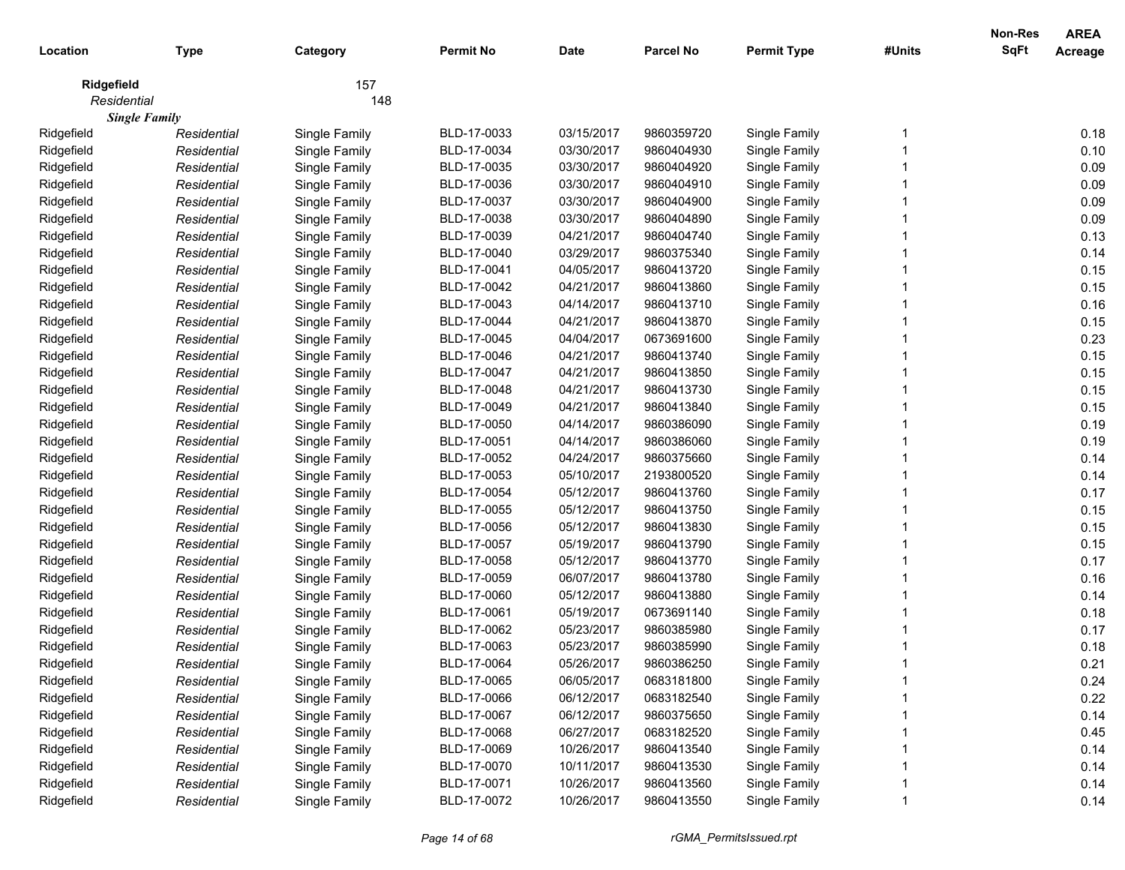| 157<br>Ridgefield<br>148<br>Residential<br><b>Single Family</b><br>BLD-17-0033<br>03/15/2017<br>0.18<br>Ridgefield<br>Single Family<br>9860359720<br>Single Family<br>Residential<br>03/30/2017<br>0.10<br>Ridgefield<br>Residential<br>Single Family<br>BLD-17-0034<br>9860404930<br>Single Family<br>BLD-17-0035<br>Ridgefield<br>Single Family<br>03/30/2017<br>9860404920<br>Single Family<br>0.09<br>Residential<br>Ridgefield<br>Single Family<br>BLD-17-0036<br>03/30/2017<br>Single Family<br>0.09<br>Residential<br>9860404910<br>0.09<br>Ridgefield<br>Single Family<br>Single Family<br>Residential<br>BLD-17-0037<br>03/30/2017<br>9860404900<br>0.09<br>Ridgefield<br>Single Family<br>Residential<br>BLD-17-0038<br>03/30/2017<br>9860404890<br>Single Family<br>0.13<br>Ridgefield<br>Single Family<br>04/21/2017<br>Residential<br>BLD-17-0039<br>9860404740<br>Single Family<br>Ridgefield<br>BLD-17-0040<br>03/29/2017<br>0.14<br>Residential<br>Single Family<br>9860375340<br>Single Family<br>Ridgefield<br>BLD-17-0041<br>04/05/2017<br>0.15<br>Residential<br>Single Family<br>9860413720<br>Single Family<br>Ridgefield<br>BLD-17-0042<br>04/21/2017<br>0.15<br>Single Family<br>9860413860<br>Single Family<br>Residential<br>Ridgefield<br>0.16<br>BLD-17-0043<br>04/14/2017<br>9860413710<br>Single Family<br>Residential<br>Single Family<br>0.15<br>Ridgefield<br>BLD-17-0044<br>Residential<br>Single Family<br>04/21/2017<br>9860413870<br>Single Family<br>0.23<br>Ridgefield<br>BLD-17-0045<br>04/04/2017<br>0673691600<br>Single Family<br>Residential<br>Single Family<br>0.15<br>Ridgefield<br>BLD-17-0046<br>04/21/2017<br>Single Family<br>Residential<br>Single Family<br>9860413740<br>0.15<br>Ridgefield<br>BLD-17-0047<br>Residential<br>Single Family<br>04/21/2017<br>9860413850<br>Single Family<br>Ridgefield<br>BLD-17-0048<br>0.15<br>Residential<br>Single Family<br>04/21/2017<br>9860413730<br>Single Family<br>Ridgefield<br>BLD-17-0049<br>0.15<br>Residential<br>Single Family<br>04/21/2017<br>9860413840<br>Single Family<br>Ridgefield<br>0.19<br>BLD-17-0050<br>04/14/2017<br>9860386090<br>Single Family<br>Residential<br>Single Family<br>0.19<br>Ridgefield<br>BLD-17-0051<br>Residential<br>Single Family<br>04/14/2017<br>9860386060<br>Single Family<br>0.14<br>Ridgefield<br>BLD-17-0052<br>Residential<br>Single Family<br>04/24/2017<br>9860375660<br>Single Family<br>Ridgefield<br>0.14<br>Residential<br>Single Family<br>BLD-17-0053<br>05/10/2017<br>2193800520<br>Single Family<br>0.17<br>Ridgefield<br>Residential<br>Single Family<br>BLD-17-0054<br>05/12/2017<br>9860413760<br>Single Family<br>0.15<br>Ridgefield<br>Residential<br>Single Family<br>BLD-17-0055<br>05/12/2017<br>9860413750<br>Single Family<br>0.15<br>Ridgefield<br>Residential<br>Single Family<br>BLD-17-0056<br>05/12/2017<br>9860413830<br>Single Family<br>0.15<br>Ridgefield<br>BLD-17-0057<br>05/19/2017<br>9860413790<br>Single Family<br>Residential<br>Single Family<br>0.17<br>Ridgefield<br>BLD-17-0058<br>05/12/2017<br>9860413770<br>Single Family<br>Residential<br>Single Family<br>0.16<br>Ridgefield<br>Residential<br>Single Family<br>BLD-17-0059<br>06/07/2017<br>9860413780<br>Single Family<br>0.14<br>Ridgefield<br>Residential<br>Single Family<br>BLD-17-0060<br>05/12/2017<br>9860413880<br>Single Family<br>0.18<br>Ridgefield<br>Residential<br>Single Family<br>BLD-17-0061<br>05/19/2017<br>0673691140<br>Single Family<br>0.17<br>Ridgefield<br>Residential<br>Single Family<br>BLD-17-0062<br>05/23/2017<br>9860385980<br>Single Family<br>0.18<br>Ridgefield<br>Single Family<br>BLD-17-0063<br>05/23/2017<br>9860385990<br>Single Family<br>Residential<br>Ridgefield<br>Single Family<br>BLD-17-0064<br>05/26/2017<br>Single Family<br>0.21<br>Residential<br>9860386250<br>06/05/2017<br>Ridgefield<br>BLD-17-0065<br>0683181800<br>Single Family<br>0.24<br>Residential<br>Single Family<br>0.22<br>Ridgefield<br>06/12/2017<br>Single Family<br>Residential<br>Single Family<br>BLD-17-0066<br>0683182540<br>0.14<br>Ridgefield<br>06/12/2017<br>Residential<br>Single Family<br>BLD-17-0067<br>9860375650<br>Single Family<br>0.45<br>Ridgefield<br>06/27/2017<br>Residential<br>Single Family<br>BLD-17-0068<br>0683182520<br>Single Family<br>0.14<br>Ridgefield<br>Residential<br>Single Family<br>BLD-17-0069<br>10/26/2017<br>9860413540<br>Single Family<br>0.14<br>Ridgefield<br>10/11/2017<br>Residential<br>Single Family<br>BLD-17-0070<br>9860413530<br>Single Family<br>0.14<br>Ridgefield<br>BLD-17-0071<br>10/26/2017<br>Single Family<br>Residential<br>Single Family<br>9860413560<br>BLD-17-0072<br>10/26/2017<br>9860413550 | Location   | <b>Type</b> | Category      | <b>Permit No</b> | <b>Date</b> | <b>Parcel No</b> | <b>Permit Type</b> | #Units | Non-Res<br><b>SqFt</b> | <b>AREA</b><br><b>Acreage</b> |
|------------------------------------------------------------------------------------------------------------------------------------------------------------------------------------------------------------------------------------------------------------------------------------------------------------------------------------------------------------------------------------------------------------------------------------------------------------------------------------------------------------------------------------------------------------------------------------------------------------------------------------------------------------------------------------------------------------------------------------------------------------------------------------------------------------------------------------------------------------------------------------------------------------------------------------------------------------------------------------------------------------------------------------------------------------------------------------------------------------------------------------------------------------------------------------------------------------------------------------------------------------------------------------------------------------------------------------------------------------------------------------------------------------------------------------------------------------------------------------------------------------------------------------------------------------------------------------------------------------------------------------------------------------------------------------------------------------------------------------------------------------------------------------------------------------------------------------------------------------------------------------------------------------------------------------------------------------------------------------------------------------------------------------------------------------------------------------------------------------------------------------------------------------------------------------------------------------------------------------------------------------------------------------------------------------------------------------------------------------------------------------------------------------------------------------------------------------------------------------------------------------------------------------------------------------------------------------------------------------------------------------------------------------------------------------------------------------------------------------------------------------------------------------------------------------------------------------------------------------------------------------------------------------------------------------------------------------------------------------------------------------------------------------------------------------------------------------------------------------------------------------------------------------------------------------------------------------------------------------------------------------------------------------------------------------------------------------------------------------------------------------------------------------------------------------------------------------------------------------------------------------------------------------------------------------------------------------------------------------------------------------------------------------------------------------------------------------------------------------------------------------------------------------------------------------------------------------------------------------------------------------------------------------------------------------------------------------------------------------------------------------------------------------------------------------------------------------------------------------------------------------------------------------------------------------------------------------------------------------------------------------------------------------------------------------------------------------------------------------------------------------------------------------------------------------------------------------------------------------------------------------------------------------------------------------------------------------------------------------------------------------------------------------------------------------------------------------------------------------------|------------|-------------|---------------|------------------|-------------|------------------|--------------------|--------|------------------------|-------------------------------|
|                                                                                                                                                                                                                                                                                                                                                                                                                                                                                                                                                                                                                                                                                                                                                                                                                                                                                                                                                                                                                                                                                                                                                                                                                                                                                                                                                                                                                                                                                                                                                                                                                                                                                                                                                                                                                                                                                                                                                                                                                                                                                                                                                                                                                                                                                                                                                                                                                                                                                                                                                                                                                                                                                                                                                                                                                                                                                                                                                                                                                                                                                                                                                                                                                                                                                                                                                                                                                                                                                                                                                                                                                                                                                                                                                                                                                                                                                                                                                                                                                                                                                                                                                                                                                                                                                                                                                                                                                                                                                                                                                                                                                                                                                                                                          |            |             |               |                  |             |                  |                    |        |                        |                               |
|                                                                                                                                                                                                                                                                                                                                                                                                                                                                                                                                                                                                                                                                                                                                                                                                                                                                                                                                                                                                                                                                                                                                                                                                                                                                                                                                                                                                                                                                                                                                                                                                                                                                                                                                                                                                                                                                                                                                                                                                                                                                                                                                                                                                                                                                                                                                                                                                                                                                                                                                                                                                                                                                                                                                                                                                                                                                                                                                                                                                                                                                                                                                                                                                                                                                                                                                                                                                                                                                                                                                                                                                                                                                                                                                                                                                                                                                                                                                                                                                                                                                                                                                                                                                                                                                                                                                                                                                                                                                                                                                                                                                                                                                                                                                          |            |             |               |                  |             |                  |                    |        |                        |                               |
|                                                                                                                                                                                                                                                                                                                                                                                                                                                                                                                                                                                                                                                                                                                                                                                                                                                                                                                                                                                                                                                                                                                                                                                                                                                                                                                                                                                                                                                                                                                                                                                                                                                                                                                                                                                                                                                                                                                                                                                                                                                                                                                                                                                                                                                                                                                                                                                                                                                                                                                                                                                                                                                                                                                                                                                                                                                                                                                                                                                                                                                                                                                                                                                                                                                                                                                                                                                                                                                                                                                                                                                                                                                                                                                                                                                                                                                                                                                                                                                                                                                                                                                                                                                                                                                                                                                                                                                                                                                                                                                                                                                                                                                                                                                                          |            |             |               |                  |             |                  |                    |        |                        |                               |
|                                                                                                                                                                                                                                                                                                                                                                                                                                                                                                                                                                                                                                                                                                                                                                                                                                                                                                                                                                                                                                                                                                                                                                                                                                                                                                                                                                                                                                                                                                                                                                                                                                                                                                                                                                                                                                                                                                                                                                                                                                                                                                                                                                                                                                                                                                                                                                                                                                                                                                                                                                                                                                                                                                                                                                                                                                                                                                                                                                                                                                                                                                                                                                                                                                                                                                                                                                                                                                                                                                                                                                                                                                                                                                                                                                                                                                                                                                                                                                                                                                                                                                                                                                                                                                                                                                                                                                                                                                                                                                                                                                                                                                                                                                                                          |            |             |               |                  |             |                  |                    |        |                        |                               |
|                                                                                                                                                                                                                                                                                                                                                                                                                                                                                                                                                                                                                                                                                                                                                                                                                                                                                                                                                                                                                                                                                                                                                                                                                                                                                                                                                                                                                                                                                                                                                                                                                                                                                                                                                                                                                                                                                                                                                                                                                                                                                                                                                                                                                                                                                                                                                                                                                                                                                                                                                                                                                                                                                                                                                                                                                                                                                                                                                                                                                                                                                                                                                                                                                                                                                                                                                                                                                                                                                                                                                                                                                                                                                                                                                                                                                                                                                                                                                                                                                                                                                                                                                                                                                                                                                                                                                                                                                                                                                                                                                                                                                                                                                                                                          |            |             |               |                  |             |                  |                    |        |                        |                               |
|                                                                                                                                                                                                                                                                                                                                                                                                                                                                                                                                                                                                                                                                                                                                                                                                                                                                                                                                                                                                                                                                                                                                                                                                                                                                                                                                                                                                                                                                                                                                                                                                                                                                                                                                                                                                                                                                                                                                                                                                                                                                                                                                                                                                                                                                                                                                                                                                                                                                                                                                                                                                                                                                                                                                                                                                                                                                                                                                                                                                                                                                                                                                                                                                                                                                                                                                                                                                                                                                                                                                                                                                                                                                                                                                                                                                                                                                                                                                                                                                                                                                                                                                                                                                                                                                                                                                                                                                                                                                                                                                                                                                                                                                                                                                          |            |             |               |                  |             |                  |                    |        |                        |                               |
|                                                                                                                                                                                                                                                                                                                                                                                                                                                                                                                                                                                                                                                                                                                                                                                                                                                                                                                                                                                                                                                                                                                                                                                                                                                                                                                                                                                                                                                                                                                                                                                                                                                                                                                                                                                                                                                                                                                                                                                                                                                                                                                                                                                                                                                                                                                                                                                                                                                                                                                                                                                                                                                                                                                                                                                                                                                                                                                                                                                                                                                                                                                                                                                                                                                                                                                                                                                                                                                                                                                                                                                                                                                                                                                                                                                                                                                                                                                                                                                                                                                                                                                                                                                                                                                                                                                                                                                                                                                                                                                                                                                                                                                                                                                                          |            |             |               |                  |             |                  |                    |        |                        |                               |
|                                                                                                                                                                                                                                                                                                                                                                                                                                                                                                                                                                                                                                                                                                                                                                                                                                                                                                                                                                                                                                                                                                                                                                                                                                                                                                                                                                                                                                                                                                                                                                                                                                                                                                                                                                                                                                                                                                                                                                                                                                                                                                                                                                                                                                                                                                                                                                                                                                                                                                                                                                                                                                                                                                                                                                                                                                                                                                                                                                                                                                                                                                                                                                                                                                                                                                                                                                                                                                                                                                                                                                                                                                                                                                                                                                                                                                                                                                                                                                                                                                                                                                                                                                                                                                                                                                                                                                                                                                                                                                                                                                                                                                                                                                                                          |            |             |               |                  |             |                  |                    |        |                        |                               |
|                                                                                                                                                                                                                                                                                                                                                                                                                                                                                                                                                                                                                                                                                                                                                                                                                                                                                                                                                                                                                                                                                                                                                                                                                                                                                                                                                                                                                                                                                                                                                                                                                                                                                                                                                                                                                                                                                                                                                                                                                                                                                                                                                                                                                                                                                                                                                                                                                                                                                                                                                                                                                                                                                                                                                                                                                                                                                                                                                                                                                                                                                                                                                                                                                                                                                                                                                                                                                                                                                                                                                                                                                                                                                                                                                                                                                                                                                                                                                                                                                                                                                                                                                                                                                                                                                                                                                                                                                                                                                                                                                                                                                                                                                                                                          |            |             |               |                  |             |                  |                    |        |                        |                               |
|                                                                                                                                                                                                                                                                                                                                                                                                                                                                                                                                                                                                                                                                                                                                                                                                                                                                                                                                                                                                                                                                                                                                                                                                                                                                                                                                                                                                                                                                                                                                                                                                                                                                                                                                                                                                                                                                                                                                                                                                                                                                                                                                                                                                                                                                                                                                                                                                                                                                                                                                                                                                                                                                                                                                                                                                                                                                                                                                                                                                                                                                                                                                                                                                                                                                                                                                                                                                                                                                                                                                                                                                                                                                                                                                                                                                                                                                                                                                                                                                                                                                                                                                                                                                                                                                                                                                                                                                                                                                                                                                                                                                                                                                                                                                          |            |             |               |                  |             |                  |                    |        |                        |                               |
|                                                                                                                                                                                                                                                                                                                                                                                                                                                                                                                                                                                                                                                                                                                                                                                                                                                                                                                                                                                                                                                                                                                                                                                                                                                                                                                                                                                                                                                                                                                                                                                                                                                                                                                                                                                                                                                                                                                                                                                                                                                                                                                                                                                                                                                                                                                                                                                                                                                                                                                                                                                                                                                                                                                                                                                                                                                                                                                                                                                                                                                                                                                                                                                                                                                                                                                                                                                                                                                                                                                                                                                                                                                                                                                                                                                                                                                                                                                                                                                                                                                                                                                                                                                                                                                                                                                                                                                                                                                                                                                                                                                                                                                                                                                                          |            |             |               |                  |             |                  |                    |        |                        |                               |
|                                                                                                                                                                                                                                                                                                                                                                                                                                                                                                                                                                                                                                                                                                                                                                                                                                                                                                                                                                                                                                                                                                                                                                                                                                                                                                                                                                                                                                                                                                                                                                                                                                                                                                                                                                                                                                                                                                                                                                                                                                                                                                                                                                                                                                                                                                                                                                                                                                                                                                                                                                                                                                                                                                                                                                                                                                                                                                                                                                                                                                                                                                                                                                                                                                                                                                                                                                                                                                                                                                                                                                                                                                                                                                                                                                                                                                                                                                                                                                                                                                                                                                                                                                                                                                                                                                                                                                                                                                                                                                                                                                                                                                                                                                                                          |            |             |               |                  |             |                  |                    |        |                        |                               |
|                                                                                                                                                                                                                                                                                                                                                                                                                                                                                                                                                                                                                                                                                                                                                                                                                                                                                                                                                                                                                                                                                                                                                                                                                                                                                                                                                                                                                                                                                                                                                                                                                                                                                                                                                                                                                                                                                                                                                                                                                                                                                                                                                                                                                                                                                                                                                                                                                                                                                                                                                                                                                                                                                                                                                                                                                                                                                                                                                                                                                                                                                                                                                                                                                                                                                                                                                                                                                                                                                                                                                                                                                                                                                                                                                                                                                                                                                                                                                                                                                                                                                                                                                                                                                                                                                                                                                                                                                                                                                                                                                                                                                                                                                                                                          |            |             |               |                  |             |                  |                    |        |                        |                               |
|                                                                                                                                                                                                                                                                                                                                                                                                                                                                                                                                                                                                                                                                                                                                                                                                                                                                                                                                                                                                                                                                                                                                                                                                                                                                                                                                                                                                                                                                                                                                                                                                                                                                                                                                                                                                                                                                                                                                                                                                                                                                                                                                                                                                                                                                                                                                                                                                                                                                                                                                                                                                                                                                                                                                                                                                                                                                                                                                                                                                                                                                                                                                                                                                                                                                                                                                                                                                                                                                                                                                                                                                                                                                                                                                                                                                                                                                                                                                                                                                                                                                                                                                                                                                                                                                                                                                                                                                                                                                                                                                                                                                                                                                                                                                          |            |             |               |                  |             |                  |                    |        |                        |                               |
|                                                                                                                                                                                                                                                                                                                                                                                                                                                                                                                                                                                                                                                                                                                                                                                                                                                                                                                                                                                                                                                                                                                                                                                                                                                                                                                                                                                                                                                                                                                                                                                                                                                                                                                                                                                                                                                                                                                                                                                                                                                                                                                                                                                                                                                                                                                                                                                                                                                                                                                                                                                                                                                                                                                                                                                                                                                                                                                                                                                                                                                                                                                                                                                                                                                                                                                                                                                                                                                                                                                                                                                                                                                                                                                                                                                                                                                                                                                                                                                                                                                                                                                                                                                                                                                                                                                                                                                                                                                                                                                                                                                                                                                                                                                                          |            |             |               |                  |             |                  |                    |        |                        |                               |
|                                                                                                                                                                                                                                                                                                                                                                                                                                                                                                                                                                                                                                                                                                                                                                                                                                                                                                                                                                                                                                                                                                                                                                                                                                                                                                                                                                                                                                                                                                                                                                                                                                                                                                                                                                                                                                                                                                                                                                                                                                                                                                                                                                                                                                                                                                                                                                                                                                                                                                                                                                                                                                                                                                                                                                                                                                                                                                                                                                                                                                                                                                                                                                                                                                                                                                                                                                                                                                                                                                                                                                                                                                                                                                                                                                                                                                                                                                                                                                                                                                                                                                                                                                                                                                                                                                                                                                                                                                                                                                                                                                                                                                                                                                                                          |            |             |               |                  |             |                  |                    |        |                        |                               |
|                                                                                                                                                                                                                                                                                                                                                                                                                                                                                                                                                                                                                                                                                                                                                                                                                                                                                                                                                                                                                                                                                                                                                                                                                                                                                                                                                                                                                                                                                                                                                                                                                                                                                                                                                                                                                                                                                                                                                                                                                                                                                                                                                                                                                                                                                                                                                                                                                                                                                                                                                                                                                                                                                                                                                                                                                                                                                                                                                                                                                                                                                                                                                                                                                                                                                                                                                                                                                                                                                                                                                                                                                                                                                                                                                                                                                                                                                                                                                                                                                                                                                                                                                                                                                                                                                                                                                                                                                                                                                                                                                                                                                                                                                                                                          |            |             |               |                  |             |                  |                    |        |                        |                               |
|                                                                                                                                                                                                                                                                                                                                                                                                                                                                                                                                                                                                                                                                                                                                                                                                                                                                                                                                                                                                                                                                                                                                                                                                                                                                                                                                                                                                                                                                                                                                                                                                                                                                                                                                                                                                                                                                                                                                                                                                                                                                                                                                                                                                                                                                                                                                                                                                                                                                                                                                                                                                                                                                                                                                                                                                                                                                                                                                                                                                                                                                                                                                                                                                                                                                                                                                                                                                                                                                                                                                                                                                                                                                                                                                                                                                                                                                                                                                                                                                                                                                                                                                                                                                                                                                                                                                                                                                                                                                                                                                                                                                                                                                                                                                          |            |             |               |                  |             |                  |                    |        |                        |                               |
|                                                                                                                                                                                                                                                                                                                                                                                                                                                                                                                                                                                                                                                                                                                                                                                                                                                                                                                                                                                                                                                                                                                                                                                                                                                                                                                                                                                                                                                                                                                                                                                                                                                                                                                                                                                                                                                                                                                                                                                                                                                                                                                                                                                                                                                                                                                                                                                                                                                                                                                                                                                                                                                                                                                                                                                                                                                                                                                                                                                                                                                                                                                                                                                                                                                                                                                                                                                                                                                                                                                                                                                                                                                                                                                                                                                                                                                                                                                                                                                                                                                                                                                                                                                                                                                                                                                                                                                                                                                                                                                                                                                                                                                                                                                                          |            |             |               |                  |             |                  |                    |        |                        |                               |
|                                                                                                                                                                                                                                                                                                                                                                                                                                                                                                                                                                                                                                                                                                                                                                                                                                                                                                                                                                                                                                                                                                                                                                                                                                                                                                                                                                                                                                                                                                                                                                                                                                                                                                                                                                                                                                                                                                                                                                                                                                                                                                                                                                                                                                                                                                                                                                                                                                                                                                                                                                                                                                                                                                                                                                                                                                                                                                                                                                                                                                                                                                                                                                                                                                                                                                                                                                                                                                                                                                                                                                                                                                                                                                                                                                                                                                                                                                                                                                                                                                                                                                                                                                                                                                                                                                                                                                                                                                                                                                                                                                                                                                                                                                                                          |            |             |               |                  |             |                  |                    |        |                        |                               |
|                                                                                                                                                                                                                                                                                                                                                                                                                                                                                                                                                                                                                                                                                                                                                                                                                                                                                                                                                                                                                                                                                                                                                                                                                                                                                                                                                                                                                                                                                                                                                                                                                                                                                                                                                                                                                                                                                                                                                                                                                                                                                                                                                                                                                                                                                                                                                                                                                                                                                                                                                                                                                                                                                                                                                                                                                                                                                                                                                                                                                                                                                                                                                                                                                                                                                                                                                                                                                                                                                                                                                                                                                                                                                                                                                                                                                                                                                                                                                                                                                                                                                                                                                                                                                                                                                                                                                                                                                                                                                                                                                                                                                                                                                                                                          |            |             |               |                  |             |                  |                    |        |                        |                               |
|                                                                                                                                                                                                                                                                                                                                                                                                                                                                                                                                                                                                                                                                                                                                                                                                                                                                                                                                                                                                                                                                                                                                                                                                                                                                                                                                                                                                                                                                                                                                                                                                                                                                                                                                                                                                                                                                                                                                                                                                                                                                                                                                                                                                                                                                                                                                                                                                                                                                                                                                                                                                                                                                                                                                                                                                                                                                                                                                                                                                                                                                                                                                                                                                                                                                                                                                                                                                                                                                                                                                                                                                                                                                                                                                                                                                                                                                                                                                                                                                                                                                                                                                                                                                                                                                                                                                                                                                                                                                                                                                                                                                                                                                                                                                          |            |             |               |                  |             |                  |                    |        |                        |                               |
|                                                                                                                                                                                                                                                                                                                                                                                                                                                                                                                                                                                                                                                                                                                                                                                                                                                                                                                                                                                                                                                                                                                                                                                                                                                                                                                                                                                                                                                                                                                                                                                                                                                                                                                                                                                                                                                                                                                                                                                                                                                                                                                                                                                                                                                                                                                                                                                                                                                                                                                                                                                                                                                                                                                                                                                                                                                                                                                                                                                                                                                                                                                                                                                                                                                                                                                                                                                                                                                                                                                                                                                                                                                                                                                                                                                                                                                                                                                                                                                                                                                                                                                                                                                                                                                                                                                                                                                                                                                                                                                                                                                                                                                                                                                                          |            |             |               |                  |             |                  |                    |        |                        |                               |
|                                                                                                                                                                                                                                                                                                                                                                                                                                                                                                                                                                                                                                                                                                                                                                                                                                                                                                                                                                                                                                                                                                                                                                                                                                                                                                                                                                                                                                                                                                                                                                                                                                                                                                                                                                                                                                                                                                                                                                                                                                                                                                                                                                                                                                                                                                                                                                                                                                                                                                                                                                                                                                                                                                                                                                                                                                                                                                                                                                                                                                                                                                                                                                                                                                                                                                                                                                                                                                                                                                                                                                                                                                                                                                                                                                                                                                                                                                                                                                                                                                                                                                                                                                                                                                                                                                                                                                                                                                                                                                                                                                                                                                                                                                                                          |            |             |               |                  |             |                  |                    |        |                        |                               |
|                                                                                                                                                                                                                                                                                                                                                                                                                                                                                                                                                                                                                                                                                                                                                                                                                                                                                                                                                                                                                                                                                                                                                                                                                                                                                                                                                                                                                                                                                                                                                                                                                                                                                                                                                                                                                                                                                                                                                                                                                                                                                                                                                                                                                                                                                                                                                                                                                                                                                                                                                                                                                                                                                                                                                                                                                                                                                                                                                                                                                                                                                                                                                                                                                                                                                                                                                                                                                                                                                                                                                                                                                                                                                                                                                                                                                                                                                                                                                                                                                                                                                                                                                                                                                                                                                                                                                                                                                                                                                                                                                                                                                                                                                                                                          |            |             |               |                  |             |                  |                    |        |                        |                               |
|                                                                                                                                                                                                                                                                                                                                                                                                                                                                                                                                                                                                                                                                                                                                                                                                                                                                                                                                                                                                                                                                                                                                                                                                                                                                                                                                                                                                                                                                                                                                                                                                                                                                                                                                                                                                                                                                                                                                                                                                                                                                                                                                                                                                                                                                                                                                                                                                                                                                                                                                                                                                                                                                                                                                                                                                                                                                                                                                                                                                                                                                                                                                                                                                                                                                                                                                                                                                                                                                                                                                                                                                                                                                                                                                                                                                                                                                                                                                                                                                                                                                                                                                                                                                                                                                                                                                                                                                                                                                                                                                                                                                                                                                                                                                          |            |             |               |                  |             |                  |                    |        |                        |                               |
|                                                                                                                                                                                                                                                                                                                                                                                                                                                                                                                                                                                                                                                                                                                                                                                                                                                                                                                                                                                                                                                                                                                                                                                                                                                                                                                                                                                                                                                                                                                                                                                                                                                                                                                                                                                                                                                                                                                                                                                                                                                                                                                                                                                                                                                                                                                                                                                                                                                                                                                                                                                                                                                                                                                                                                                                                                                                                                                                                                                                                                                                                                                                                                                                                                                                                                                                                                                                                                                                                                                                                                                                                                                                                                                                                                                                                                                                                                                                                                                                                                                                                                                                                                                                                                                                                                                                                                                                                                                                                                                                                                                                                                                                                                                                          |            |             |               |                  |             |                  |                    |        |                        |                               |
|                                                                                                                                                                                                                                                                                                                                                                                                                                                                                                                                                                                                                                                                                                                                                                                                                                                                                                                                                                                                                                                                                                                                                                                                                                                                                                                                                                                                                                                                                                                                                                                                                                                                                                                                                                                                                                                                                                                                                                                                                                                                                                                                                                                                                                                                                                                                                                                                                                                                                                                                                                                                                                                                                                                                                                                                                                                                                                                                                                                                                                                                                                                                                                                                                                                                                                                                                                                                                                                                                                                                                                                                                                                                                                                                                                                                                                                                                                                                                                                                                                                                                                                                                                                                                                                                                                                                                                                                                                                                                                                                                                                                                                                                                                                                          |            |             |               |                  |             |                  |                    |        |                        |                               |
|                                                                                                                                                                                                                                                                                                                                                                                                                                                                                                                                                                                                                                                                                                                                                                                                                                                                                                                                                                                                                                                                                                                                                                                                                                                                                                                                                                                                                                                                                                                                                                                                                                                                                                                                                                                                                                                                                                                                                                                                                                                                                                                                                                                                                                                                                                                                                                                                                                                                                                                                                                                                                                                                                                                                                                                                                                                                                                                                                                                                                                                                                                                                                                                                                                                                                                                                                                                                                                                                                                                                                                                                                                                                                                                                                                                                                                                                                                                                                                                                                                                                                                                                                                                                                                                                                                                                                                                                                                                                                                                                                                                                                                                                                                                                          |            |             |               |                  |             |                  |                    |        |                        |                               |
|                                                                                                                                                                                                                                                                                                                                                                                                                                                                                                                                                                                                                                                                                                                                                                                                                                                                                                                                                                                                                                                                                                                                                                                                                                                                                                                                                                                                                                                                                                                                                                                                                                                                                                                                                                                                                                                                                                                                                                                                                                                                                                                                                                                                                                                                                                                                                                                                                                                                                                                                                                                                                                                                                                                                                                                                                                                                                                                                                                                                                                                                                                                                                                                                                                                                                                                                                                                                                                                                                                                                                                                                                                                                                                                                                                                                                                                                                                                                                                                                                                                                                                                                                                                                                                                                                                                                                                                                                                                                                                                                                                                                                                                                                                                                          |            |             |               |                  |             |                  |                    |        |                        |                               |
|                                                                                                                                                                                                                                                                                                                                                                                                                                                                                                                                                                                                                                                                                                                                                                                                                                                                                                                                                                                                                                                                                                                                                                                                                                                                                                                                                                                                                                                                                                                                                                                                                                                                                                                                                                                                                                                                                                                                                                                                                                                                                                                                                                                                                                                                                                                                                                                                                                                                                                                                                                                                                                                                                                                                                                                                                                                                                                                                                                                                                                                                                                                                                                                                                                                                                                                                                                                                                                                                                                                                                                                                                                                                                                                                                                                                                                                                                                                                                                                                                                                                                                                                                                                                                                                                                                                                                                                                                                                                                                                                                                                                                                                                                                                                          |            |             |               |                  |             |                  |                    |        |                        |                               |
|                                                                                                                                                                                                                                                                                                                                                                                                                                                                                                                                                                                                                                                                                                                                                                                                                                                                                                                                                                                                                                                                                                                                                                                                                                                                                                                                                                                                                                                                                                                                                                                                                                                                                                                                                                                                                                                                                                                                                                                                                                                                                                                                                                                                                                                                                                                                                                                                                                                                                                                                                                                                                                                                                                                                                                                                                                                                                                                                                                                                                                                                                                                                                                                                                                                                                                                                                                                                                                                                                                                                                                                                                                                                                                                                                                                                                                                                                                                                                                                                                                                                                                                                                                                                                                                                                                                                                                                                                                                                                                                                                                                                                                                                                                                                          |            |             |               |                  |             |                  |                    |        |                        |                               |
|                                                                                                                                                                                                                                                                                                                                                                                                                                                                                                                                                                                                                                                                                                                                                                                                                                                                                                                                                                                                                                                                                                                                                                                                                                                                                                                                                                                                                                                                                                                                                                                                                                                                                                                                                                                                                                                                                                                                                                                                                                                                                                                                                                                                                                                                                                                                                                                                                                                                                                                                                                                                                                                                                                                                                                                                                                                                                                                                                                                                                                                                                                                                                                                                                                                                                                                                                                                                                                                                                                                                                                                                                                                                                                                                                                                                                                                                                                                                                                                                                                                                                                                                                                                                                                                                                                                                                                                                                                                                                                                                                                                                                                                                                                                                          |            |             |               |                  |             |                  |                    |        |                        |                               |
|                                                                                                                                                                                                                                                                                                                                                                                                                                                                                                                                                                                                                                                                                                                                                                                                                                                                                                                                                                                                                                                                                                                                                                                                                                                                                                                                                                                                                                                                                                                                                                                                                                                                                                                                                                                                                                                                                                                                                                                                                                                                                                                                                                                                                                                                                                                                                                                                                                                                                                                                                                                                                                                                                                                                                                                                                                                                                                                                                                                                                                                                                                                                                                                                                                                                                                                                                                                                                                                                                                                                                                                                                                                                                                                                                                                                                                                                                                                                                                                                                                                                                                                                                                                                                                                                                                                                                                                                                                                                                                                                                                                                                                                                                                                                          |            |             |               |                  |             |                  |                    |        |                        |                               |
|                                                                                                                                                                                                                                                                                                                                                                                                                                                                                                                                                                                                                                                                                                                                                                                                                                                                                                                                                                                                                                                                                                                                                                                                                                                                                                                                                                                                                                                                                                                                                                                                                                                                                                                                                                                                                                                                                                                                                                                                                                                                                                                                                                                                                                                                                                                                                                                                                                                                                                                                                                                                                                                                                                                                                                                                                                                                                                                                                                                                                                                                                                                                                                                                                                                                                                                                                                                                                                                                                                                                                                                                                                                                                                                                                                                                                                                                                                                                                                                                                                                                                                                                                                                                                                                                                                                                                                                                                                                                                                                                                                                                                                                                                                                                          |            |             |               |                  |             |                  |                    |        |                        |                               |
|                                                                                                                                                                                                                                                                                                                                                                                                                                                                                                                                                                                                                                                                                                                                                                                                                                                                                                                                                                                                                                                                                                                                                                                                                                                                                                                                                                                                                                                                                                                                                                                                                                                                                                                                                                                                                                                                                                                                                                                                                                                                                                                                                                                                                                                                                                                                                                                                                                                                                                                                                                                                                                                                                                                                                                                                                                                                                                                                                                                                                                                                                                                                                                                                                                                                                                                                                                                                                                                                                                                                                                                                                                                                                                                                                                                                                                                                                                                                                                                                                                                                                                                                                                                                                                                                                                                                                                                                                                                                                                                                                                                                                                                                                                                                          |            |             |               |                  |             |                  |                    |        |                        |                               |
|                                                                                                                                                                                                                                                                                                                                                                                                                                                                                                                                                                                                                                                                                                                                                                                                                                                                                                                                                                                                                                                                                                                                                                                                                                                                                                                                                                                                                                                                                                                                                                                                                                                                                                                                                                                                                                                                                                                                                                                                                                                                                                                                                                                                                                                                                                                                                                                                                                                                                                                                                                                                                                                                                                                                                                                                                                                                                                                                                                                                                                                                                                                                                                                                                                                                                                                                                                                                                                                                                                                                                                                                                                                                                                                                                                                                                                                                                                                                                                                                                                                                                                                                                                                                                                                                                                                                                                                                                                                                                                                                                                                                                                                                                                                                          |            |             |               |                  |             |                  |                    |        |                        |                               |
|                                                                                                                                                                                                                                                                                                                                                                                                                                                                                                                                                                                                                                                                                                                                                                                                                                                                                                                                                                                                                                                                                                                                                                                                                                                                                                                                                                                                                                                                                                                                                                                                                                                                                                                                                                                                                                                                                                                                                                                                                                                                                                                                                                                                                                                                                                                                                                                                                                                                                                                                                                                                                                                                                                                                                                                                                                                                                                                                                                                                                                                                                                                                                                                                                                                                                                                                                                                                                                                                                                                                                                                                                                                                                                                                                                                                                                                                                                                                                                                                                                                                                                                                                                                                                                                                                                                                                                                                                                                                                                                                                                                                                                                                                                                                          |            |             |               |                  |             |                  |                    |        |                        |                               |
|                                                                                                                                                                                                                                                                                                                                                                                                                                                                                                                                                                                                                                                                                                                                                                                                                                                                                                                                                                                                                                                                                                                                                                                                                                                                                                                                                                                                                                                                                                                                                                                                                                                                                                                                                                                                                                                                                                                                                                                                                                                                                                                                                                                                                                                                                                                                                                                                                                                                                                                                                                                                                                                                                                                                                                                                                                                                                                                                                                                                                                                                                                                                                                                                                                                                                                                                                                                                                                                                                                                                                                                                                                                                                                                                                                                                                                                                                                                                                                                                                                                                                                                                                                                                                                                                                                                                                                                                                                                                                                                                                                                                                                                                                                                                          |            |             |               |                  |             |                  |                    |        |                        |                               |
|                                                                                                                                                                                                                                                                                                                                                                                                                                                                                                                                                                                                                                                                                                                                                                                                                                                                                                                                                                                                                                                                                                                                                                                                                                                                                                                                                                                                                                                                                                                                                                                                                                                                                                                                                                                                                                                                                                                                                                                                                                                                                                                                                                                                                                                                                                                                                                                                                                                                                                                                                                                                                                                                                                                                                                                                                                                                                                                                                                                                                                                                                                                                                                                                                                                                                                                                                                                                                                                                                                                                                                                                                                                                                                                                                                                                                                                                                                                                                                                                                                                                                                                                                                                                                                                                                                                                                                                                                                                                                                                                                                                                                                                                                                                                          |            |             |               |                  |             |                  |                    |        |                        |                               |
|                                                                                                                                                                                                                                                                                                                                                                                                                                                                                                                                                                                                                                                                                                                                                                                                                                                                                                                                                                                                                                                                                                                                                                                                                                                                                                                                                                                                                                                                                                                                                                                                                                                                                                                                                                                                                                                                                                                                                                                                                                                                                                                                                                                                                                                                                                                                                                                                                                                                                                                                                                                                                                                                                                                                                                                                                                                                                                                                                                                                                                                                                                                                                                                                                                                                                                                                                                                                                                                                                                                                                                                                                                                                                                                                                                                                                                                                                                                                                                                                                                                                                                                                                                                                                                                                                                                                                                                                                                                                                                                                                                                                                                                                                                                                          |            |             |               |                  |             |                  |                    |        |                        |                               |
|                                                                                                                                                                                                                                                                                                                                                                                                                                                                                                                                                                                                                                                                                                                                                                                                                                                                                                                                                                                                                                                                                                                                                                                                                                                                                                                                                                                                                                                                                                                                                                                                                                                                                                                                                                                                                                                                                                                                                                                                                                                                                                                                                                                                                                                                                                                                                                                                                                                                                                                                                                                                                                                                                                                                                                                                                                                                                                                                                                                                                                                                                                                                                                                                                                                                                                                                                                                                                                                                                                                                                                                                                                                                                                                                                                                                                                                                                                                                                                                                                                                                                                                                                                                                                                                                                                                                                                                                                                                                                                                                                                                                                                                                                                                                          |            |             |               |                  |             |                  |                    |        |                        |                               |
|                                                                                                                                                                                                                                                                                                                                                                                                                                                                                                                                                                                                                                                                                                                                                                                                                                                                                                                                                                                                                                                                                                                                                                                                                                                                                                                                                                                                                                                                                                                                                                                                                                                                                                                                                                                                                                                                                                                                                                                                                                                                                                                                                                                                                                                                                                                                                                                                                                                                                                                                                                                                                                                                                                                                                                                                                                                                                                                                                                                                                                                                                                                                                                                                                                                                                                                                                                                                                                                                                                                                                                                                                                                                                                                                                                                                                                                                                                                                                                                                                                                                                                                                                                                                                                                                                                                                                                                                                                                                                                                                                                                                                                                                                                                                          | Ridgefield | Residential | Single Family |                  |             |                  | Single Family      |        |                        | 0.14                          |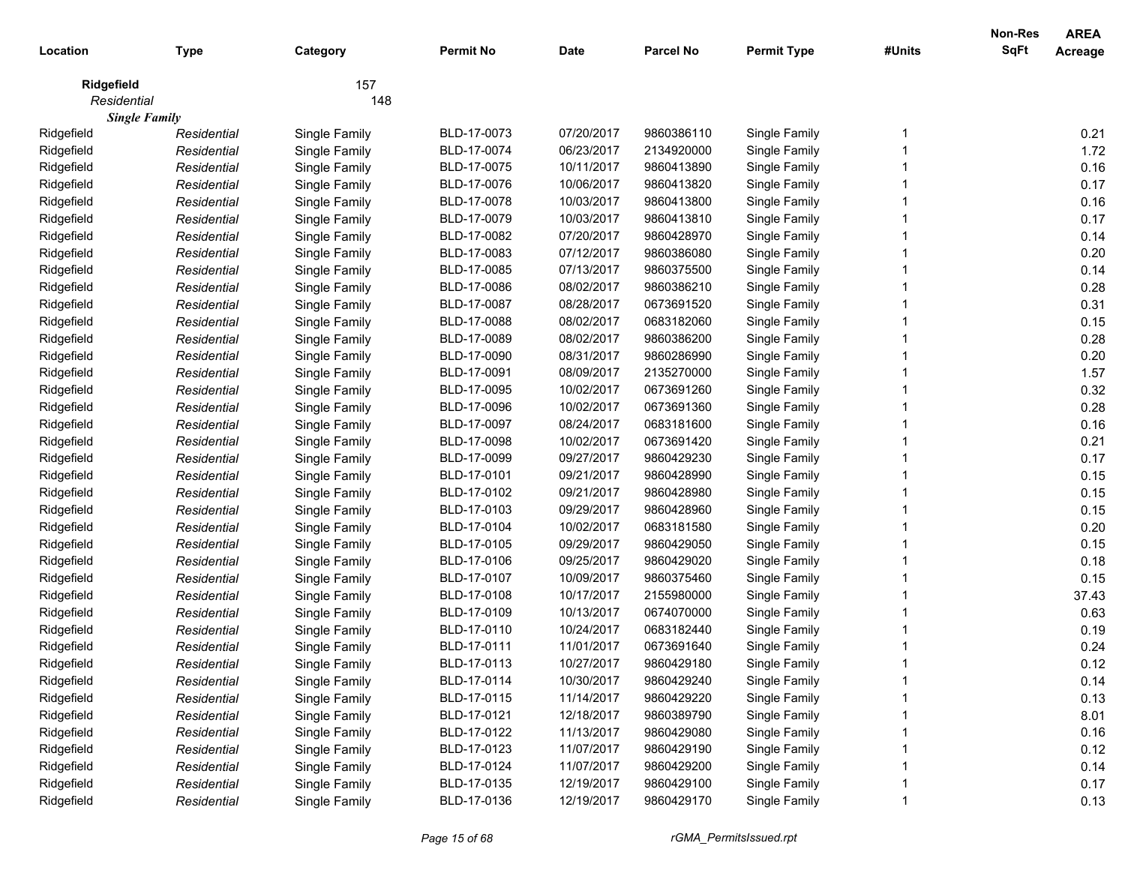|             |                      |               |                  |             |                  |                    |        | Non-Res     | <b>AREA</b>    |
|-------------|----------------------|---------------|------------------|-------------|------------------|--------------------|--------|-------------|----------------|
| Location    | <b>Type</b>          | Category      | <b>Permit No</b> | <b>Date</b> | <b>Parcel No</b> | <b>Permit Type</b> | #Units | <b>SqFt</b> | <b>Acreage</b> |
| Ridgefield  |                      | 157           |                  |             |                  |                    |        |             |                |
| Residential |                      | 148           |                  |             |                  |                    |        |             |                |
|             | <b>Single Family</b> |               |                  |             |                  |                    |        |             |                |
| Ridgefield  | Residential          | Single Family | BLD-17-0073      | 07/20/2017  | 9860386110       | Single Family      |        |             | 0.21           |
| Ridgefield  | Residential          | Single Family | BLD-17-0074      | 06/23/2017  | 2134920000       | Single Family      |        |             | 1.72           |
| Ridgefield  | Residential          | Single Family | BLD-17-0075      | 10/11/2017  | 9860413890       | Single Family      |        |             | 0.16           |
| Ridgefield  | Residential          | Single Family | BLD-17-0076      | 10/06/2017  | 9860413820       | Single Family      |        |             | 0.17           |
| Ridgefield  | Residential          | Single Family | BLD-17-0078      | 10/03/2017  | 9860413800       | Single Family      |        |             | 0.16           |
| Ridgefield  | Residential          | Single Family | BLD-17-0079      | 10/03/2017  | 9860413810       | Single Family      |        |             | 0.17           |
| Ridgefield  | Residential          | Single Family | BLD-17-0082      | 07/20/2017  | 9860428970       | Single Family      |        |             | 0.14           |
| Ridgefield  | Residential          | Single Family | BLD-17-0083      | 07/12/2017  | 9860386080       | Single Family      |        |             | 0.20           |
| Ridgefield  | Residential          | Single Family | BLD-17-0085      | 07/13/2017  | 9860375500       | Single Family      |        |             | 0.14           |
| Ridgefield  | Residential          | Single Family | BLD-17-0086      | 08/02/2017  | 9860386210       | Single Family      |        |             | 0.28           |
| Ridgefield  | Residential          | Single Family | BLD-17-0087      | 08/28/2017  | 0673691520       | Single Family      |        |             | 0.31           |
| Ridgefield  | Residential          | Single Family | BLD-17-0088      | 08/02/2017  | 0683182060       | Single Family      |        |             | 0.15           |
| Ridgefield  | Residential          | Single Family | BLD-17-0089      | 08/02/2017  | 9860386200       | Single Family      |        |             | 0.28           |
| Ridgefield  | Residential          | Single Family | BLD-17-0090      | 08/31/2017  | 9860286990       | Single Family      |        |             | 0.20           |
| Ridgefield  | Residential          | Single Family | BLD-17-0091      | 08/09/2017  | 2135270000       | Single Family      |        |             | 1.57           |
| Ridgefield  | Residential          | Single Family | BLD-17-0095      | 10/02/2017  | 0673691260       | Single Family      |        |             | 0.32           |
| Ridgefield  | Residential          | Single Family | BLD-17-0096      | 10/02/2017  | 0673691360       | Single Family      |        |             | 0.28           |
| Ridgefield  | Residential          | Single Family | BLD-17-0097      | 08/24/2017  | 0683181600       | Single Family      |        |             | 0.16           |
| Ridgefield  | Residential          | Single Family | BLD-17-0098      | 10/02/2017  | 0673691420       | Single Family      |        |             | 0.21           |
| Ridgefield  | Residential          | Single Family | BLD-17-0099      | 09/27/2017  | 9860429230       | Single Family      |        |             | 0.17           |
| Ridgefield  | Residential          | Single Family | BLD-17-0101      | 09/21/2017  | 9860428990       | Single Family      |        |             | 0.15           |
| Ridgefield  | Residential          | Single Family | BLD-17-0102      | 09/21/2017  | 9860428980       | Single Family      |        |             | 0.15           |
| Ridgefield  | Residential          | Single Family | BLD-17-0103      | 09/29/2017  | 9860428960       | Single Family      |        |             | 0.15           |
| Ridgefield  | Residential          | Single Family | BLD-17-0104      | 10/02/2017  | 0683181580       | Single Family      |        |             | 0.20           |
| Ridgefield  | Residential          | Single Family | BLD-17-0105      | 09/29/2017  | 9860429050       | Single Family      |        |             | 0.15           |
| Ridgefield  | Residential          | Single Family | BLD-17-0106      | 09/25/2017  | 9860429020       | Single Family      |        |             | 0.18           |
| Ridgefield  | Residential          | Single Family | BLD-17-0107      | 10/09/2017  | 9860375460       | Single Family      |        |             | 0.15           |
| Ridgefield  | Residential          | Single Family | BLD-17-0108      | 10/17/2017  | 2155980000       | Single Family      |        |             | 37.43          |
| Ridgefield  | Residential          | Single Family | BLD-17-0109      | 10/13/2017  | 0674070000       | Single Family      |        |             | 0.63           |
| Ridgefield  | Residential          | Single Family | BLD-17-0110      | 10/24/2017  | 0683182440       | Single Family      |        |             | 0.19           |
| Ridgefield  | Residential          | Single Family | BLD-17-0111      | 11/01/2017  | 0673691640       | Single Family      |        |             | 0.24           |
| Ridgefield  | Residential          | Single Family | BLD-17-0113      | 10/27/2017  | 9860429180       | Single Family      |        |             | 0.12           |
| Ridgefield  | Residential          | Single Family | BLD-17-0114      | 10/30/2017  | 9860429240       | Single Family      |        |             | 0.14           |
| Ridgefield  | Residential          | Single Family | BLD-17-0115      | 11/14/2017  | 9860429220       | Single Family      |        |             | 0.13           |
| Ridgefield  | Residential          | Single Family | BLD-17-0121      | 12/18/2017  | 9860389790       | Single Family      |        |             | 8.01           |
| Ridgefield  | Residential          | Single Family | BLD-17-0122      | 11/13/2017  | 9860429080       | Single Family      |        |             | 0.16           |
| Ridgefield  | Residential          | Single Family | BLD-17-0123      | 11/07/2017  | 9860429190       | Single Family      |        |             | 0.12           |
| Ridgefield  | Residential          | Single Family | BLD-17-0124      | 11/07/2017  | 9860429200       | Single Family      |        |             | 0.14           |
| Ridgefield  | Residential          | Single Family | BLD-17-0135      | 12/19/2017  | 9860429100       | Single Family      |        |             | 0.17           |
| Ridgefield  | Residential          | Single Family | BLD-17-0136      | 12/19/2017  | 9860429170       | Single Family      |        |             | 0.13           |
|             |                      |               |                  |             |                  |                    |        |             |                |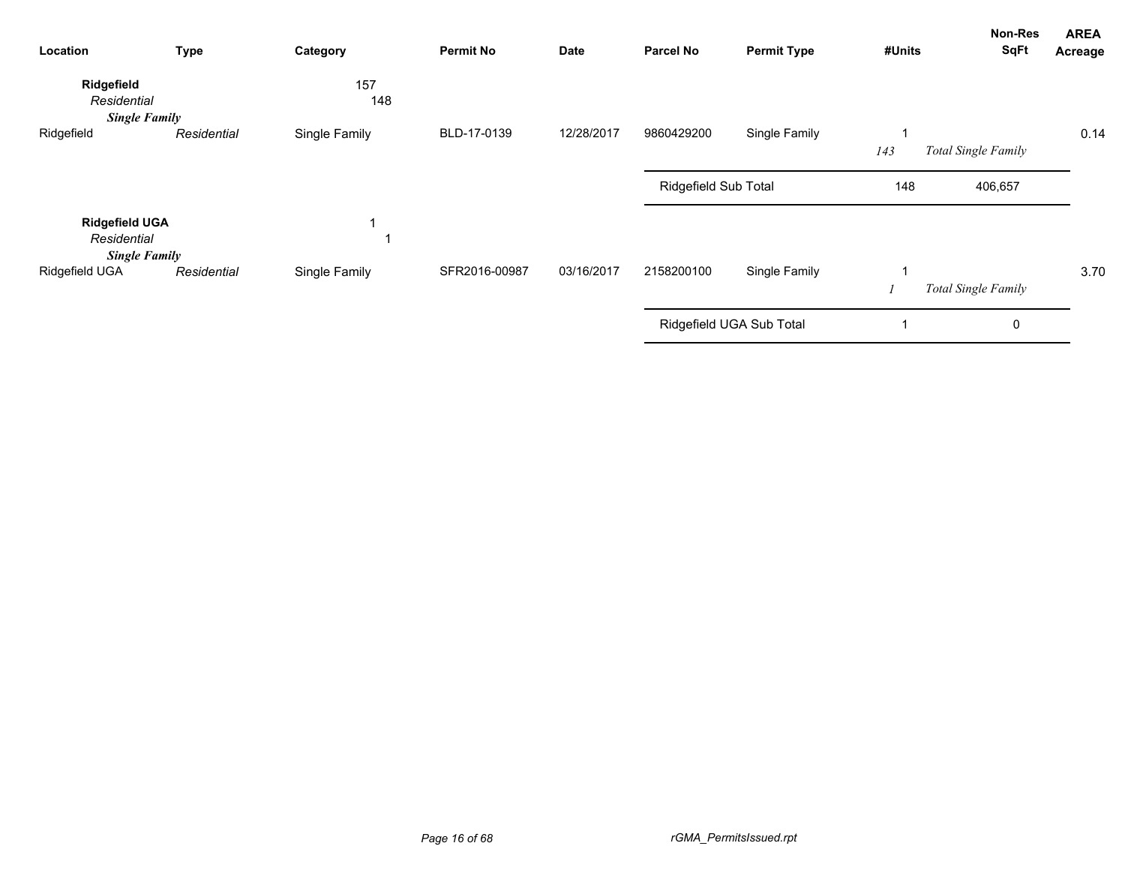| Location                                                     | <b>Type</b> | Category      | <b>Permit No</b> | <b>Date</b> | <b>Parcel No</b>     | <b>Permit Type</b>       | #Units | Non-Res<br>SqFt     | <b>AREA</b><br>Acreage |
|--------------------------------------------------------------|-------------|---------------|------------------|-------------|----------------------|--------------------------|--------|---------------------|------------------------|
| Ridgefield<br>Residential<br><b>Single Family</b>            |             | 157<br>148    |                  |             |                      |                          |        |                     |                        |
| Ridgefield                                                   | Residential | Single Family | BLD-17-0139      | 12/28/2017  | 9860429200           | Single Family            | 143    | Total Single Family | 0.14                   |
|                                                              |             |               |                  |             | Ridgefield Sub Total |                          | 148    | 406,657             |                        |
| <b>Ridgefield UGA</b><br>Residential<br><b>Single Family</b> |             |               |                  |             |                      |                          |        |                     |                        |
| Ridgefield UGA                                               | Residential | Single Family | SFR2016-00987    | 03/16/2017  | 2158200100           | Single Family            |        | Total Single Family | 3.70                   |
|                                                              |             |               |                  |             |                      | Ridgefield UGA Sub Total |        | 0                   |                        |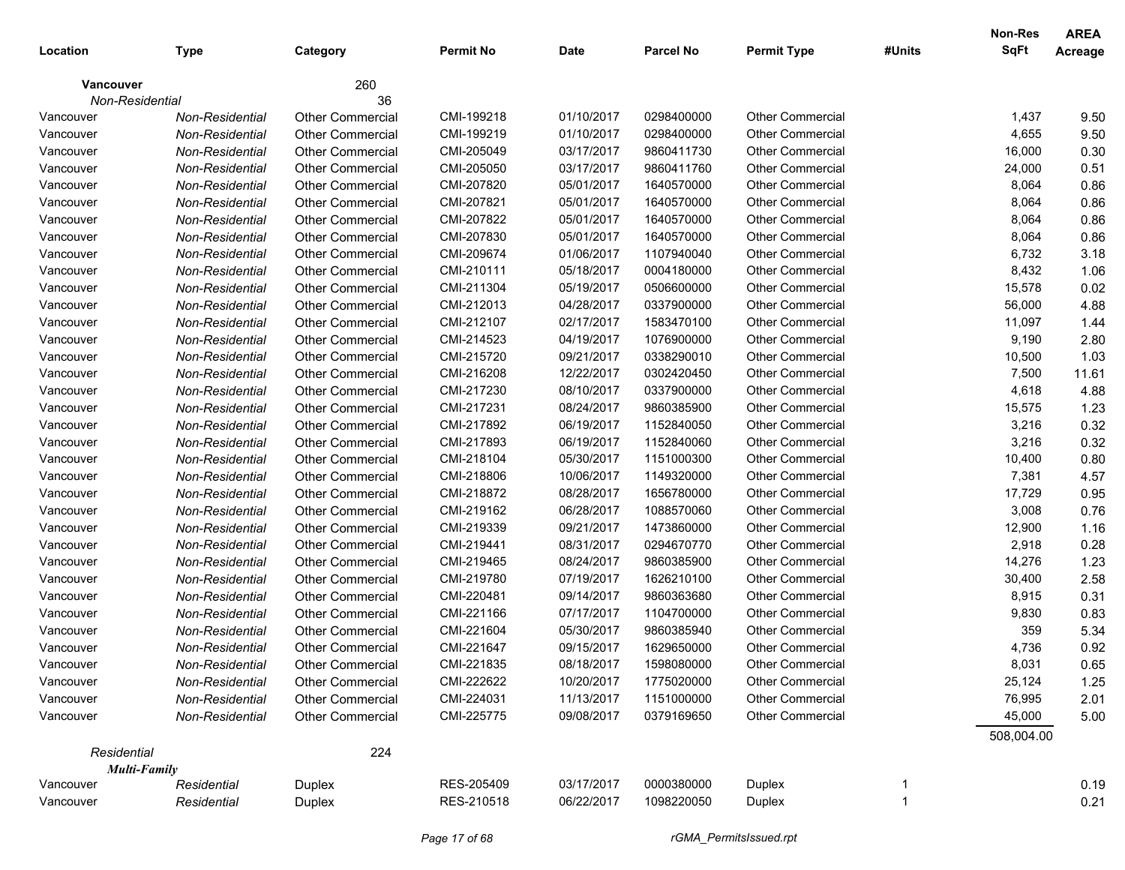| Location         | <b>Type</b>         | Category                | <b>Permit No</b> | Date       | Parcel No  | <b>Permit Type</b>      | #Units       | <b>Non-Res</b><br><b>SqFt</b> | <b>AREA</b><br>Acreage |
|------------------|---------------------|-------------------------|------------------|------------|------------|-------------------------|--------------|-------------------------------|------------------------|
| <b>Vancouver</b> |                     | 260                     |                  |            |            |                         |              |                               |                        |
| Non-Residential  |                     | 36                      |                  |            |            |                         |              |                               |                        |
| Vancouver        | Non-Residential     | <b>Other Commercial</b> | CMI-199218       | 01/10/2017 | 0298400000 | <b>Other Commercial</b> |              | 1,437                         | 9.50                   |
| Vancouver        | Non-Residential     | <b>Other Commercial</b> | CMI-199219       | 01/10/2017 | 0298400000 | Other Commercial        |              | 4,655                         | 9.50                   |
| Vancouver        | Non-Residential     | <b>Other Commercial</b> | CMI-205049       | 03/17/2017 | 9860411730 | Other Commercial        |              | 16,000                        | 0.30                   |
| Vancouver        | Non-Residential     | <b>Other Commercial</b> | CMI-205050       | 03/17/2017 | 9860411760 | Other Commercial        |              | 24,000                        | 0.51                   |
| Vancouver        | Non-Residential     | <b>Other Commercial</b> | CMI-207820       | 05/01/2017 | 1640570000 | Other Commercial        |              | 8,064                         | 0.86                   |
| Vancouver        | Non-Residential     | <b>Other Commercial</b> | CMI-207821       | 05/01/2017 | 1640570000 | Other Commercial        |              | 8,064                         | 0.86                   |
| Vancouver        | Non-Residential     | <b>Other Commercial</b> | CMI-207822       | 05/01/2017 | 1640570000 | <b>Other Commercial</b> |              | 8,064                         | 0.86                   |
| Vancouver        | Non-Residential     | <b>Other Commercial</b> | CMI-207830       | 05/01/2017 | 1640570000 | Other Commercial        |              | 8,064                         | 0.86                   |
| Vancouver        | Non-Residential     | <b>Other Commercial</b> | CMI-209674       | 01/06/2017 | 1107940040 | <b>Other Commercial</b> |              | 6,732                         | 3.18                   |
| Vancouver        | Non-Residential     | <b>Other Commercial</b> | CMI-210111       | 05/18/2017 | 0004180000 | Other Commercial        |              | 8,432                         | 1.06                   |
| Vancouver        | Non-Residential     | <b>Other Commercial</b> | CMI-211304       | 05/19/2017 | 0506600000 | Other Commercial        |              | 15,578                        | 0.02                   |
| Vancouver        | Non-Residential     | <b>Other Commercial</b> | CMI-212013       | 04/28/2017 | 0337900000 | Other Commercial        |              | 56,000                        | 4.88                   |
| Vancouver        | Non-Residential     | <b>Other Commercial</b> | CMI-212107       | 02/17/2017 | 1583470100 | Other Commercial        |              | 11,097                        | 1.44                   |
| Vancouver        | Non-Residential     | Other Commercial        | CMI-214523       | 04/19/2017 | 1076900000 | Other Commercial        |              | 9,190                         | 2.80                   |
| Vancouver        | Non-Residential     | <b>Other Commercial</b> | CMI-215720       | 09/21/2017 | 0338290010 | Other Commercial        |              | 10,500                        | 1.03                   |
| Vancouver        | Non-Residential     | <b>Other Commercial</b> | CMI-216208       | 12/22/2017 | 0302420450 | Other Commercial        |              | 7,500                         | 11.61                  |
| Vancouver        | Non-Residential     | <b>Other Commercial</b> | CMI-217230       | 08/10/2017 | 0337900000 | Other Commercial        |              | 4,618                         | 4.88                   |
| Vancouver        | Non-Residential     | <b>Other Commercial</b> | CMI-217231       | 08/24/2017 | 9860385900 | Other Commercial        |              | 15,575                        | 1.23                   |
| Vancouver        | Non-Residential     | <b>Other Commercial</b> | CMI-217892       | 06/19/2017 | 1152840050 | Other Commercial        |              | 3,216                         | 0.32                   |
| Vancouver        | Non-Residential     | <b>Other Commercial</b> | CMI-217893       | 06/19/2017 | 1152840060 | Other Commercial        |              | 3,216                         | 0.32                   |
| Vancouver        | Non-Residential     | <b>Other Commercial</b> | CMI-218104       | 05/30/2017 | 1151000300 | Other Commercial        |              | 10,400                        | 0.80                   |
| Vancouver        | Non-Residential     | <b>Other Commercial</b> | CMI-218806       | 10/06/2017 | 1149320000 | Other Commercial        |              | 7,381                         | 4.57                   |
| Vancouver        | Non-Residential     | <b>Other Commercial</b> | CMI-218872       | 08/28/2017 | 1656780000 | Other Commercial        |              | 17,729                        | 0.95                   |
| Vancouver        | Non-Residential     | <b>Other Commercial</b> | CMI-219162       | 06/28/2017 | 1088570060 | Other Commercial        |              | 3,008                         | 0.76                   |
| Vancouver        | Non-Residential     | <b>Other Commercial</b> | CMI-219339       | 09/21/2017 | 1473860000 | Other Commercial        |              | 12,900                        | 1.16                   |
| Vancouver        | Non-Residential     | <b>Other Commercial</b> | CMI-219441       | 08/31/2017 | 0294670770 | Other Commercial        |              | 2,918                         | 0.28                   |
| Vancouver        | Non-Residential     | <b>Other Commercial</b> | CMI-219465       | 08/24/2017 | 9860385900 | Other Commercial        |              | 14,276                        | 1.23                   |
| Vancouver        | Non-Residential     | <b>Other Commercial</b> | CMI-219780       | 07/19/2017 | 1626210100 | Other Commercial        |              | 30,400                        | 2.58                   |
| Vancouver        | Non-Residential     | <b>Other Commercial</b> | CMI-220481       | 09/14/2017 | 9860363680 | <b>Other Commercial</b> |              | 8,915                         | 0.31                   |
| Vancouver        | Non-Residential     | <b>Other Commercial</b> | CMI-221166       | 07/17/2017 | 1104700000 | Other Commercial        |              | 9,830                         | 0.83                   |
| Vancouver        | Non-Residential     | <b>Other Commercial</b> | CMI-221604       | 05/30/2017 | 9860385940 | <b>Other Commercial</b> |              | 359                           | 5.34                   |
| Vancouver        | Non-Residential     | <b>Other Commercial</b> | CMI-221647       | 09/15/2017 | 1629650000 | <b>Other Commercial</b> |              | 4,736                         | 0.92                   |
| Vancouver        | Non-Residential     | Other Commercial        | CMI-221835       | 08/18/2017 | 1598080000 | Other Commercial        |              | 8,031                         | 0.65                   |
| Vancouver        | Non-Residential     | Other Commercial        | CMI-222622       | 10/20/2017 | 1775020000 | <b>Other Commercial</b> |              | 25,124                        | 1.25                   |
| Vancouver        | Non-Residential     | <b>Other Commercial</b> | CMI-224031       | 11/13/2017 | 1151000000 | Other Commercial        |              | 76,995                        | 2.01                   |
| Vancouver        | Non-Residential     | <b>Other Commercial</b> | CMI-225775       | 09/08/2017 | 0379169650 | Other Commercial        |              | 45,000                        | 5.00                   |
|                  |                     |                         |                  |            |            |                         |              | 508,004.00                    |                        |
| Residential      |                     | 224                     |                  |            |            |                         |              |                               |                        |
|                  | <b>Multi-Family</b> |                         |                  |            |            |                         |              |                               |                        |
| Vancouver        | Residential         | Duplex                  | RES-205409       | 03/17/2017 | 0000380000 | Duplex                  | 1            |                               | 0.19                   |
| Vancouver        | Residential         | Duplex                  | RES-210518       | 06/22/2017 | 1098220050 | Duplex                  | $\mathbf{1}$ |                               | 0.21                   |
|                  |                     |                         |                  |            |            |                         |              |                               |                        |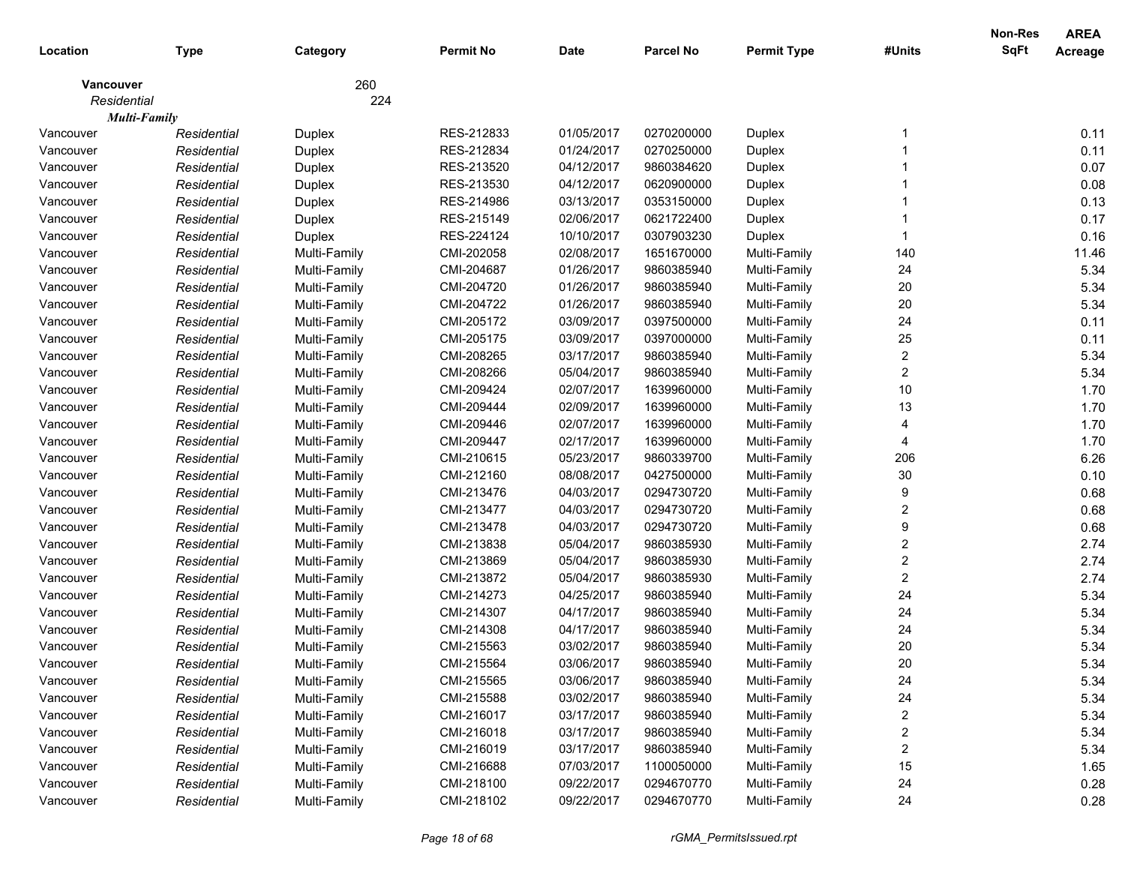|             |                     |              | <b>Permit No</b> |             | Parcel No  |                    |                         | <b>Non-Res</b><br><b>SqFt</b> | <b>AREA</b>    |
|-------------|---------------------|--------------|------------------|-------------|------------|--------------------|-------------------------|-------------------------------|----------------|
| Location    | <b>Type</b>         | Category     |                  | <b>Date</b> |            | <b>Permit Type</b> | #Units                  |                               | <b>Acreage</b> |
| Vancouver   |                     | 260          |                  |             |            |                    |                         |                               |                |
| Residential |                     | 224          |                  |             |            |                    |                         |                               |                |
|             | <b>Multi-Family</b> |              |                  |             |            |                    |                         |                               |                |
| Vancouver   | Residential         | Duplex       | RES-212833       | 01/05/2017  | 0270200000 | Duplex             |                         |                               | 0.11           |
| Vancouver   | Residential         | Duplex       | RES-212834       | 01/24/2017  | 0270250000 | Duplex             |                         |                               | 0.11           |
| Vancouver   | Residential         | Duplex       | RES-213520       | 04/12/2017  | 9860384620 | Duplex             |                         |                               | 0.07           |
| Vancouver   | Residential         | Duplex       | RES-213530       | 04/12/2017  | 0620900000 | Duplex             |                         |                               | 0.08           |
| Vancouver   | Residential         | Duplex       | RES-214986       | 03/13/2017  | 0353150000 | Duplex             |                         |                               | 0.13           |
| Vancouver   | Residential         | Duplex       | RES-215149       | 02/06/2017  | 0621722400 | Duplex             |                         |                               | 0.17           |
| Vancouver   | Residential         | Duplex       | RES-224124       | 10/10/2017  | 0307903230 | Duplex             |                         |                               | 0.16           |
| Vancouver   | Residential         | Multi-Family | CMI-202058       | 02/08/2017  | 1651670000 | Multi-Family       | 140                     |                               | 11.46          |
| Vancouver   | Residential         | Multi-Family | CMI-204687       | 01/26/2017  | 9860385940 | Multi-Family       | 24                      |                               | 5.34           |
| Vancouver   | Residential         | Multi-Family | CMI-204720       | 01/26/2017  | 9860385940 | Multi-Family       | $20\,$                  |                               | 5.34           |
| Vancouver   | Residential         | Multi-Family | CMI-204722       | 01/26/2017  | 9860385940 | Multi-Family       | 20                      |                               | 5.34           |
| Vancouver   | Residential         | Multi-Family | CMI-205172       | 03/09/2017  | 0397500000 | Multi-Family       | 24                      |                               | 0.11           |
| Vancouver   | Residential         | Multi-Family | CMI-205175       | 03/09/2017  | 0397000000 | Multi-Family       | 25                      |                               | 0.11           |
| Vancouver   | Residential         | Multi-Family | CMI-208265       | 03/17/2017  | 9860385940 | Multi-Family       | $\overline{\mathbf{c}}$ |                               | 5.34           |
| Vancouver   | Residential         | Multi-Family | CMI-208266       | 05/04/2017  | 9860385940 | Multi-Family       | $\overline{\mathbf{c}}$ |                               | 5.34           |
| Vancouver   | Residential         | Multi-Family | CMI-209424       | 02/07/2017  | 1639960000 | Multi-Family       | $10$                    |                               | 1.70           |
| Vancouver   | Residential         | Multi-Family | CMI-209444       | 02/09/2017  | 1639960000 | Multi-Family       | 13                      |                               | 1.70           |
| Vancouver   | Residential         | Multi-Family | CMI-209446       | 02/07/2017  | 1639960000 | Multi-Family       | 4                       |                               | 1.70           |
| Vancouver   | Residential         | Multi-Family | CMI-209447       | 02/17/2017  | 1639960000 | Multi-Family       | 4                       |                               | 1.70           |
| Vancouver   | Residential         | Multi-Family | CMI-210615       | 05/23/2017  | 9860339700 | Multi-Family       | 206                     |                               | 6.26           |
| Vancouver   | Residential         | Multi-Family | CMI-212160       | 08/08/2017  | 0427500000 | Multi-Family       | 30                      |                               | 0.10           |
| Vancouver   | Residential         | Multi-Family | CMI-213476       | 04/03/2017  | 0294730720 | Multi-Family       | 9                       |                               | 0.68           |
| Vancouver   | Residential         | Multi-Family | CMI-213477       | 04/03/2017  | 0294730720 | Multi-Family       | 2                       |                               | 0.68           |
| Vancouver   | Residential         | Multi-Family | CMI-213478       | 04/03/2017  | 0294730720 | Multi-Family       | 9                       |                               | 0.68           |
| Vancouver   | Residential         | Multi-Family | CMI-213838       | 05/04/2017  | 9860385930 | Multi-Family       | 2                       |                               | 2.74           |
| Vancouver   | Residential         | Multi-Family | CMI-213869       | 05/04/2017  | 9860385930 | Multi-Family       | 2                       |                               | 2.74           |
| Vancouver   | Residential         | Multi-Family | CMI-213872       | 05/04/2017  | 9860385930 | Multi-Family       | $\overline{2}$          |                               | 2.74           |
| Vancouver   | Residential         | Multi-Family | CMI-214273       | 04/25/2017  | 9860385940 | Multi-Family       | 24                      |                               | 5.34           |
| Vancouver   | Residential         | Multi-Family | CMI-214307       | 04/17/2017  | 9860385940 | Multi-Family       | 24                      |                               | 5.34           |
| Vancouver   | Residential         | Multi-Family | CMI-214308       | 04/17/2017  | 9860385940 | Multi-Family       | 24                      |                               | 5.34           |
| Vancouver   | Residential         | Multi-Family | CMI-215563       | 03/02/2017  | 9860385940 | Multi-Family       | 20                      |                               | 5.34           |
| Vancouver   | Residential         | Multi-Family | CMI-215564       | 03/06/2017  | 9860385940 | Multi-Family       | 20                      |                               | 5.34           |
| Vancouver   | Residential         | Multi-Family | CMI-215565       | 03/06/2017  | 9860385940 | Multi-Family       | 24                      |                               | 5.34           |
| Vancouver   | Residential         | Multi-Family | CMI-215588       | 03/02/2017  | 9860385940 | Multi-Family       | 24                      |                               | 5.34           |
| Vancouver   | Residential         | Multi-Family | CMI-216017       | 03/17/2017  | 9860385940 | Multi-Family       | 2                       |                               | 5.34           |
| Vancouver   | Residential         | Multi-Family | CMI-216018       | 03/17/2017  | 9860385940 | Multi-Family       | 2                       |                               | 5.34           |
| Vancouver   | Residential         | Multi-Family | CMI-216019       | 03/17/2017  | 9860385940 | Multi-Family       | 2                       |                               | 5.34           |
| Vancouver   | Residential         | Multi-Family | CMI-216688       | 07/03/2017  | 1100050000 | Multi-Family       | 15                      |                               | 1.65           |
| Vancouver   | Residential         | Multi-Family | CMI-218100       | 09/22/2017  | 0294670770 | Multi-Family       | 24                      |                               | 0.28           |
| Vancouver   | Residential         | Multi-Family | CMI-218102       | 09/22/2017  | 0294670770 | Multi-Family       | 24                      |                               | 0.28           |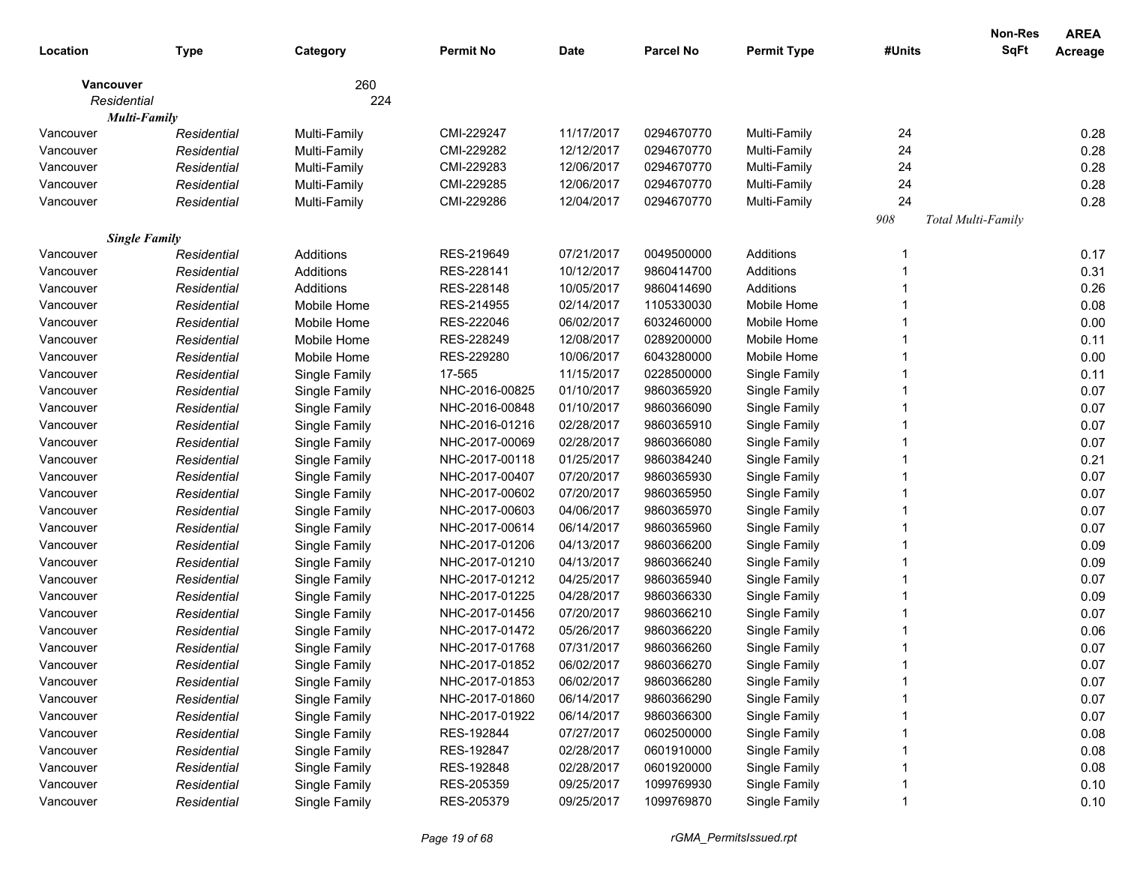|           |                      |               |                  |             |                  |                    |         | Non-Res            | <b>AREA</b> |
|-----------|----------------------|---------------|------------------|-------------|------------------|--------------------|---------|--------------------|-------------|
| Location  | <b>Type</b>          | Category      | <b>Permit No</b> | <b>Date</b> | <b>Parcel No</b> | <b>Permit Type</b> | #Units  | <b>SqFt</b>        | Acreage     |
|           | <b>Vancouver</b>     | 260           |                  |             |                  |                    |         |                    |             |
|           | Residential          | 224           |                  |             |                  |                    |         |                    |             |
|           | <b>Multi-Family</b>  |               |                  |             |                  |                    |         |                    |             |
| Vancouver | Residential          | Multi-Family  | CMI-229247       | 11/17/2017  | 0294670770       | Multi-Family       | 24      |                    | 0.28        |
| Vancouver | Residential          | Multi-Family  | CMI-229282       | 12/12/2017  | 0294670770       | Multi-Family       | 24      |                    | 0.28        |
| Vancouver | Residential          | Multi-Family  | CMI-229283       | 12/06/2017  | 0294670770       | Multi-Family       | 24      |                    | 0.28        |
| Vancouver | Residential          | Multi-Family  | CMI-229285       | 12/06/2017  | 0294670770       | Multi-Family       | 24      |                    | 0.28        |
| Vancouver | Residential          | Multi-Family  | CMI-229286       | 12/04/2017  | 0294670770       | Multi-Family       | 24      |                    | 0.28        |
|           |                      |               |                  |             |                  |                    | $908\,$ | Total Multi-Family |             |
|           | <b>Single Family</b> |               |                  |             |                  |                    |         |                    |             |
| Vancouver | Residential          | Additions     | RES-219649       | 07/21/2017  | 0049500000       | Additions          |         |                    | 0.17        |
| Vancouver | Residential          | Additions     | RES-228141       | 10/12/2017  | 9860414700       | Additions          |         |                    | 0.31        |
| Vancouver | Residential          | Additions     | RES-228148       | 10/05/2017  | 9860414690       | Additions          |         |                    | 0.26        |
| Vancouver | Residential          | Mobile Home   | RES-214955       | 02/14/2017  | 1105330030       | Mobile Home        |         |                    | 0.08        |
| Vancouver | Residential          | Mobile Home   | RES-222046       | 06/02/2017  | 6032460000       | Mobile Home        |         |                    | 0.00        |
| Vancouver | Residential          | Mobile Home   | RES-228249       | 12/08/2017  | 0289200000       | Mobile Home        |         |                    | 0.11        |
| Vancouver | Residential          | Mobile Home   | RES-229280       | 10/06/2017  | 6043280000       | Mobile Home        |         |                    | 0.00        |
| Vancouver | Residential          | Single Family | 17-565           | 11/15/2017  | 0228500000       | Single Family      |         |                    | 0.11        |
| Vancouver | Residential          | Single Family | NHC-2016-00825   | 01/10/2017  | 9860365920       | Single Family      |         |                    | 0.07        |
| Vancouver | Residential          | Single Family | NHC-2016-00848   | 01/10/2017  | 9860366090       | Single Family      |         |                    | 0.07        |
| Vancouver | Residential          | Single Family | NHC-2016-01216   | 02/28/2017  | 9860365910       | Single Family      |         |                    | 0.07        |
| Vancouver | Residential          | Single Family | NHC-2017-00069   | 02/28/2017  | 9860366080       | Single Family      |         |                    | 0.07        |
| Vancouver | Residential          | Single Family | NHC-2017-00118   | 01/25/2017  | 9860384240       | Single Family      |         |                    | 0.21        |
| Vancouver | Residential          | Single Family | NHC-2017-00407   | 07/20/2017  | 9860365930       | Single Family      |         |                    | 0.07        |
| Vancouver | Residential          | Single Family | NHC-2017-00602   | 07/20/2017  | 9860365950       | Single Family      |         |                    | 0.07        |
| Vancouver | Residential          | Single Family | NHC-2017-00603   | 04/06/2017  | 9860365970       | Single Family      |         |                    | 0.07        |
| Vancouver | Residential          | Single Family | NHC-2017-00614   | 06/14/2017  | 9860365960       | Single Family      |         |                    | 0.07        |
| Vancouver | Residential          | Single Family | NHC-2017-01206   | 04/13/2017  | 9860366200       | Single Family      |         |                    | 0.09        |
| Vancouver | Residential          | Single Family | NHC-2017-01210   | 04/13/2017  | 9860366240       | Single Family      |         |                    | 0.09        |
| Vancouver | Residential          | Single Family | NHC-2017-01212   | 04/25/2017  | 9860365940       | Single Family      |         |                    | 0.07        |
| Vancouver | Residential          | Single Family | NHC-2017-01225   | 04/28/2017  | 9860366330       | Single Family      |         |                    | 0.09        |
| Vancouver | Residential          | Single Family | NHC-2017-01456   | 07/20/2017  | 9860366210       | Single Family      |         |                    | 0.07        |
| Vancouver | Residential          | Single Family | NHC-2017-01472   | 05/26/2017  | 9860366220       | Single Family      |         |                    | 0.06        |
| Vancouver | Residential          | Single Family | NHC-2017-01768   | 07/31/2017  | 9860366260       | Single Family      |         |                    | 0.07        |
| Vancouver | Residential          | Single Family | NHC-2017-01852   | 06/02/2017  | 9860366270       | Single Family      |         |                    | 0.07        |
| Vancouver | Residential          | Single Family | NHC-2017-01853   | 06/02/2017  | 9860366280       | Single Family      |         |                    | 0.07        |
| Vancouver | Residential          | Single Family | NHC-2017-01860   | 06/14/2017  | 9860366290       | Single Family      |         |                    | 0.07        |
| Vancouver | Residential          | Single Family | NHC-2017-01922   | 06/14/2017  | 9860366300       | Single Family      |         |                    | 0.07        |
| Vancouver | Residential          | Single Family | RES-192844       | 07/27/2017  | 0602500000       | Single Family      |         |                    | 0.08        |
| Vancouver | Residential          | Single Family | RES-192847       | 02/28/2017  | 0601910000       | Single Family      |         |                    | 0.08        |
| Vancouver | Residential          | Single Family | RES-192848       | 02/28/2017  | 0601920000       | Single Family      |         |                    | 0.08        |
| Vancouver | Residential          | Single Family | RES-205359       | 09/25/2017  | 1099769930       | Single Family      |         |                    | 0.10        |
| Vancouver | Residential          | Single Family | RES-205379       | 09/25/2017  | 1099769870       | Single Family      |         |                    | 0.10        |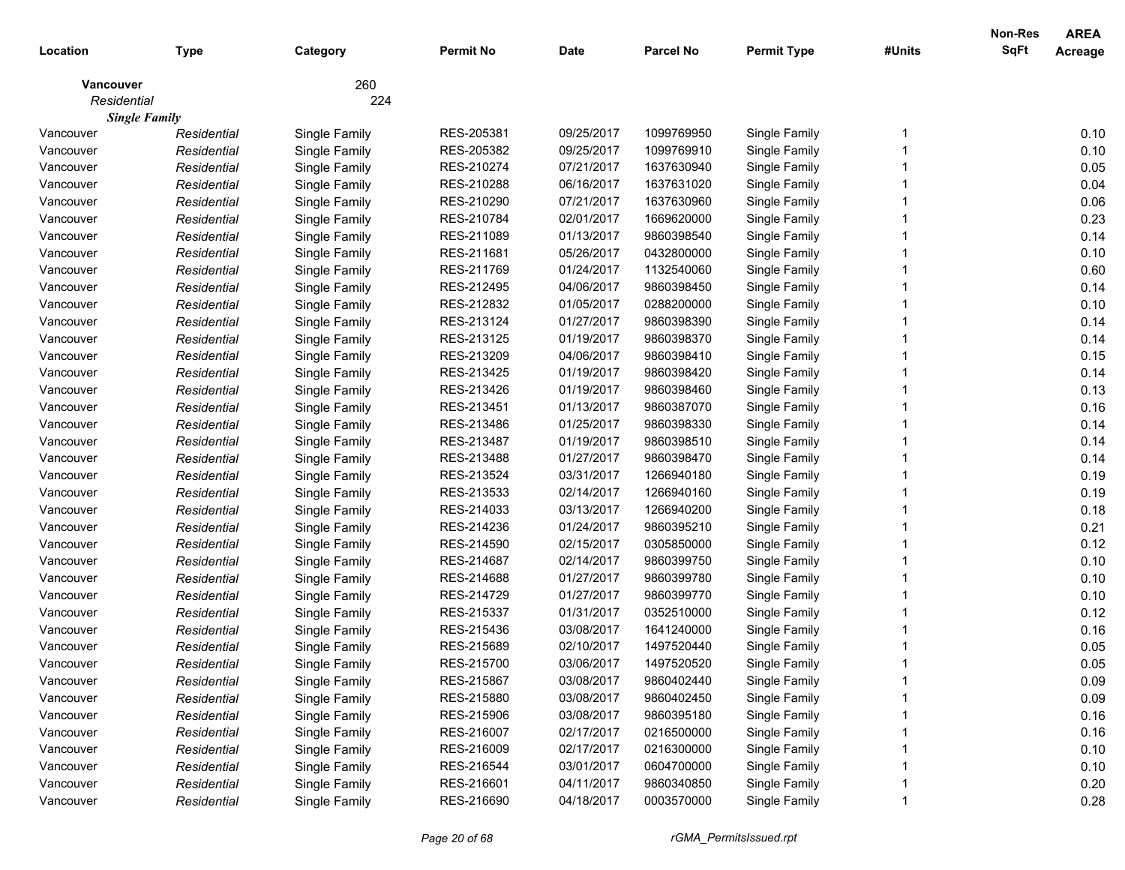| 260<br>Vancouver<br>224<br>Residential<br><b>Single Family</b><br>RES-205381<br>1099769950<br>Single Family<br>0.10<br>Single Family<br>09/25/2017<br>Vancouver<br>Residential<br>RES-205382<br>0.10<br>Residential<br>Single Family<br>09/25/2017<br>1099769910<br>Single Family<br>Vancouver<br>RES-210274<br>07/21/2017<br>1637630940<br>Single Family<br>0.05<br>Vancouver<br>Residential<br>Single Family<br>RES-210288<br>0.04<br>Residential<br>Single Family<br>06/16/2017<br>1637631020<br>Single Family<br>Vancouver<br>0.06<br>RES-210290<br>07/21/2017<br>Single Family<br>Residential<br>Single Family<br>1637630960<br>Vancouver<br>0.23<br>RES-210784<br>Residential<br>Single Family<br>02/01/2017<br>1669620000<br>Single Family<br>Vancouver<br>RES-211089<br>0.14<br>Residential<br>Single Family<br>01/13/2017<br>9860398540<br>Single Family<br>Vancouver<br>0.10<br>RES-211681<br>Residential<br>Single Family<br>05/26/2017<br>0432800000<br>Single Family<br>Vancouver<br>0.60<br>RES-211769<br>Residential<br>Single Family<br>01/24/2017<br>1132540060<br>Single Family<br>Vancouver<br>RES-212495<br>04/06/2017<br>Single Family<br>9860398450<br>Single Family<br>0.14<br>Vancouver<br>Residential<br>RES-212832<br>Single Family<br>01/05/2017<br>0288200000<br>Single Family<br>0.10<br>Vancouver<br>Residential<br>Single Family<br>RES-213124<br>01/27/2017<br>0.14<br>Residential<br>9860398390<br>Single Family<br>Vancouver<br>RES-213125<br>0.14<br>Vancouver<br>Residential<br>Single Family<br>01/19/2017<br>9860398370<br>Single Family<br>0.15<br>RES-213209<br>Vancouver<br>Residential<br>Single Family<br>04/06/2017<br>9860398410<br>Single Family<br>RES-213425<br>0.14<br>Vancouver<br>Residential<br>Single Family<br>01/19/2017<br>9860398420<br>Single Family<br>0.13<br>RES-213426<br>Vancouver<br>Residential<br>Single Family<br>01/19/2017<br>9860398460<br>Single Family<br>0.16<br>RES-213451<br>Vancouver<br>Residential<br>Single Family<br>01/13/2017<br>9860387070<br>Single Family<br>RES-213486<br>01/25/2017<br>Single Family<br>9860398330<br>Single Family<br>0.14<br>Vancouver<br>Residential<br>RES-213487<br>01/19/2017<br>9860398510<br>0.14<br>Vancouver<br>Residential<br>Single Family<br>Single Family<br>RES-213488<br>01/27/2017<br>0.14<br>Vancouver<br>Residential<br>Single Family<br>9860398470<br>Single Family<br>0.19<br>RES-213524<br>03/31/2017<br>Vancouver<br>Residential<br>Single Family<br>1266940180<br>Single Family<br>0.19<br>RES-213533<br>02/14/2017<br>Vancouver<br>Residential<br>Single Family<br>1266940160<br>Single Family<br>0.18<br>RES-214033<br>03/13/2017<br>1266940200<br>Vancouver<br>Residential<br>Single Family<br>Single Family<br>RES-214236<br>01/24/2017<br>9860395210<br>0.21<br>Vancouver<br>Residential<br>Single Family<br>Single Family<br>RES-214590<br>02/15/2017<br>0305850000<br>0.12<br>Vancouver<br>Single Family<br>Residential<br>Single Family<br>RES-214687<br>02/14/2017<br>0.10<br>Vancouver<br>9860399750<br>Single Family<br>Residential<br>Single Family<br>0.10<br>RES-214688<br>01/27/2017<br>9860399780<br>Vancouver<br>Residential<br>Single Family<br>Single Family<br>0.10<br>RES-214729<br>01/27/2017<br>9860399770<br>Vancouver<br>Residential<br>Single Family<br>Single Family<br>0.12<br>RES-215337<br>01/31/2017<br>0352510000<br>Vancouver<br>Residential<br>Single Family<br>Single Family<br>RES-215436<br>0.16<br>Residential<br>Single Family<br>03/08/2017<br>1641240000<br>Single Family<br>Vancouver<br>RES-215689<br>02/10/2017<br>1497520440<br>0.05<br>Vancouver<br>Residential<br>Single Family<br>Single Family<br>0.05<br>RES-215700<br>03/06/2017<br>1497520520<br>Single Family<br>Residential<br>Single Family<br>Vancouver<br>RES-215867<br>03/08/2017<br>9860402440<br>Single Family<br>0.09<br>Vancouver<br>Single Family<br>Residential<br>03/08/2017<br>Single Family<br>0.09<br>Single Family<br>RES-215880<br>9860402450<br>Vancouver<br>Residential<br>Single Family<br>RES-215906<br>03/08/2017<br>9860395180<br>Single Family<br>0.16<br>Vancouver<br>Residential<br>Single Family<br>RES-216007<br>02/17/2017<br>0216500000<br>Single Family<br>0.16<br>Vancouver<br>Residential<br>Single Family<br>RES-216009<br>02/17/2017<br>0216300000<br>Single Family<br>0.10<br>Vancouver<br>Residential<br>Single Family<br>RES-216544<br>03/01/2017<br>0604700000<br>Single Family<br>0.10<br>Vancouver<br>Residential<br>Single Family<br>RES-216601<br>04/11/2017<br>9860340850<br>Single Family<br>0.20<br>Vancouver<br>Residential<br>RES-216690<br>04/18/2017<br>0003570000<br>Single Family<br>0.28<br>Vancouver<br>Single Family<br>Residential |          |             |          |                  |             |           |                    |        | <b>Non-Res</b> | <b>AREA</b>    |
|--------------------------------------------------------------------------------------------------------------------------------------------------------------------------------------------------------------------------------------------------------------------------------------------------------------------------------------------------------------------------------------------------------------------------------------------------------------------------------------------------------------------------------------------------------------------------------------------------------------------------------------------------------------------------------------------------------------------------------------------------------------------------------------------------------------------------------------------------------------------------------------------------------------------------------------------------------------------------------------------------------------------------------------------------------------------------------------------------------------------------------------------------------------------------------------------------------------------------------------------------------------------------------------------------------------------------------------------------------------------------------------------------------------------------------------------------------------------------------------------------------------------------------------------------------------------------------------------------------------------------------------------------------------------------------------------------------------------------------------------------------------------------------------------------------------------------------------------------------------------------------------------------------------------------------------------------------------------------------------------------------------------------------------------------------------------------------------------------------------------------------------------------------------------------------------------------------------------------------------------------------------------------------------------------------------------------------------------------------------------------------------------------------------------------------------------------------------------------------------------------------------------------------------------------------------------------------------------------------------------------------------------------------------------------------------------------------------------------------------------------------------------------------------------------------------------------------------------------------------------------------------------------------------------------------------------------------------------------------------------------------------------------------------------------------------------------------------------------------------------------------------------------------------------------------------------------------------------------------------------------------------------------------------------------------------------------------------------------------------------------------------------------------------------------------------------------------------------------------------------------------------------------------------------------------------------------------------------------------------------------------------------------------------------------------------------------------------------------------------------------------------------------------------------------------------------------------------------------------------------------------------------------------------------------------------------------------------------------------------------------------------------------------------------------------------------------------------------------------------------------------------------------------------------------------------------------------------------------------------------------------------------------------------------------------------------------------------------------------------------------------------------------------------------------------------------------------------------------------------------------------------------------------------------------------------------------------------------------------------------------------------------------------------------------------------------------------------------------------|----------|-------------|----------|------------------|-------------|-----------|--------------------|--------|----------------|----------------|
|                                                                                                                                                                                                                                                                                                                                                                                                                                                                                                                                                                                                                                                                                                                                                                                                                                                                                                                                                                                                                                                                                                                                                                                                                                                                                                                                                                                                                                                                                                                                                                                                                                                                                                                                                                                                                                                                                                                                                                                                                                                                                                                                                                                                                                                                                                                                                                                                                                                                                                                                                                                                                                                                                                                                                                                                                                                                                                                                                                                                                                                                                                                                                                                                                                                                                                                                                                                                                                                                                                                                                                                                                                                                                                                                                                                                                                                                                                                                                                                                                                                                                                                                                                                                                                                                                                                                                                                                                                                                                                                                                                                                                                                                                                                                | Location | <b>Type</b> | Category | <b>Permit No</b> | <b>Date</b> | Parcel No | <b>Permit Type</b> | #Units | <b>SqFt</b>    | <b>Acreage</b> |
|                                                                                                                                                                                                                                                                                                                                                                                                                                                                                                                                                                                                                                                                                                                                                                                                                                                                                                                                                                                                                                                                                                                                                                                                                                                                                                                                                                                                                                                                                                                                                                                                                                                                                                                                                                                                                                                                                                                                                                                                                                                                                                                                                                                                                                                                                                                                                                                                                                                                                                                                                                                                                                                                                                                                                                                                                                                                                                                                                                                                                                                                                                                                                                                                                                                                                                                                                                                                                                                                                                                                                                                                                                                                                                                                                                                                                                                                                                                                                                                                                                                                                                                                                                                                                                                                                                                                                                                                                                                                                                                                                                                                                                                                                                                                |          |             |          |                  |             |           |                    |        |                |                |
|                                                                                                                                                                                                                                                                                                                                                                                                                                                                                                                                                                                                                                                                                                                                                                                                                                                                                                                                                                                                                                                                                                                                                                                                                                                                                                                                                                                                                                                                                                                                                                                                                                                                                                                                                                                                                                                                                                                                                                                                                                                                                                                                                                                                                                                                                                                                                                                                                                                                                                                                                                                                                                                                                                                                                                                                                                                                                                                                                                                                                                                                                                                                                                                                                                                                                                                                                                                                                                                                                                                                                                                                                                                                                                                                                                                                                                                                                                                                                                                                                                                                                                                                                                                                                                                                                                                                                                                                                                                                                                                                                                                                                                                                                                                                |          |             |          |                  |             |           |                    |        |                |                |
|                                                                                                                                                                                                                                                                                                                                                                                                                                                                                                                                                                                                                                                                                                                                                                                                                                                                                                                                                                                                                                                                                                                                                                                                                                                                                                                                                                                                                                                                                                                                                                                                                                                                                                                                                                                                                                                                                                                                                                                                                                                                                                                                                                                                                                                                                                                                                                                                                                                                                                                                                                                                                                                                                                                                                                                                                                                                                                                                                                                                                                                                                                                                                                                                                                                                                                                                                                                                                                                                                                                                                                                                                                                                                                                                                                                                                                                                                                                                                                                                                                                                                                                                                                                                                                                                                                                                                                                                                                                                                                                                                                                                                                                                                                                                |          |             |          |                  |             |           |                    |        |                |                |
|                                                                                                                                                                                                                                                                                                                                                                                                                                                                                                                                                                                                                                                                                                                                                                                                                                                                                                                                                                                                                                                                                                                                                                                                                                                                                                                                                                                                                                                                                                                                                                                                                                                                                                                                                                                                                                                                                                                                                                                                                                                                                                                                                                                                                                                                                                                                                                                                                                                                                                                                                                                                                                                                                                                                                                                                                                                                                                                                                                                                                                                                                                                                                                                                                                                                                                                                                                                                                                                                                                                                                                                                                                                                                                                                                                                                                                                                                                                                                                                                                                                                                                                                                                                                                                                                                                                                                                                                                                                                                                                                                                                                                                                                                                                                |          |             |          |                  |             |           |                    |        |                |                |
|                                                                                                                                                                                                                                                                                                                                                                                                                                                                                                                                                                                                                                                                                                                                                                                                                                                                                                                                                                                                                                                                                                                                                                                                                                                                                                                                                                                                                                                                                                                                                                                                                                                                                                                                                                                                                                                                                                                                                                                                                                                                                                                                                                                                                                                                                                                                                                                                                                                                                                                                                                                                                                                                                                                                                                                                                                                                                                                                                                                                                                                                                                                                                                                                                                                                                                                                                                                                                                                                                                                                                                                                                                                                                                                                                                                                                                                                                                                                                                                                                                                                                                                                                                                                                                                                                                                                                                                                                                                                                                                                                                                                                                                                                                                                |          |             |          |                  |             |           |                    |        |                |                |
|                                                                                                                                                                                                                                                                                                                                                                                                                                                                                                                                                                                                                                                                                                                                                                                                                                                                                                                                                                                                                                                                                                                                                                                                                                                                                                                                                                                                                                                                                                                                                                                                                                                                                                                                                                                                                                                                                                                                                                                                                                                                                                                                                                                                                                                                                                                                                                                                                                                                                                                                                                                                                                                                                                                                                                                                                                                                                                                                                                                                                                                                                                                                                                                                                                                                                                                                                                                                                                                                                                                                                                                                                                                                                                                                                                                                                                                                                                                                                                                                                                                                                                                                                                                                                                                                                                                                                                                                                                                                                                                                                                                                                                                                                                                                |          |             |          |                  |             |           |                    |        |                |                |
|                                                                                                                                                                                                                                                                                                                                                                                                                                                                                                                                                                                                                                                                                                                                                                                                                                                                                                                                                                                                                                                                                                                                                                                                                                                                                                                                                                                                                                                                                                                                                                                                                                                                                                                                                                                                                                                                                                                                                                                                                                                                                                                                                                                                                                                                                                                                                                                                                                                                                                                                                                                                                                                                                                                                                                                                                                                                                                                                                                                                                                                                                                                                                                                                                                                                                                                                                                                                                                                                                                                                                                                                                                                                                                                                                                                                                                                                                                                                                                                                                                                                                                                                                                                                                                                                                                                                                                                                                                                                                                                                                                                                                                                                                                                                |          |             |          |                  |             |           |                    |        |                |                |
|                                                                                                                                                                                                                                                                                                                                                                                                                                                                                                                                                                                                                                                                                                                                                                                                                                                                                                                                                                                                                                                                                                                                                                                                                                                                                                                                                                                                                                                                                                                                                                                                                                                                                                                                                                                                                                                                                                                                                                                                                                                                                                                                                                                                                                                                                                                                                                                                                                                                                                                                                                                                                                                                                                                                                                                                                                                                                                                                                                                                                                                                                                                                                                                                                                                                                                                                                                                                                                                                                                                                                                                                                                                                                                                                                                                                                                                                                                                                                                                                                                                                                                                                                                                                                                                                                                                                                                                                                                                                                                                                                                                                                                                                                                                                |          |             |          |                  |             |           |                    |        |                |                |
|                                                                                                                                                                                                                                                                                                                                                                                                                                                                                                                                                                                                                                                                                                                                                                                                                                                                                                                                                                                                                                                                                                                                                                                                                                                                                                                                                                                                                                                                                                                                                                                                                                                                                                                                                                                                                                                                                                                                                                                                                                                                                                                                                                                                                                                                                                                                                                                                                                                                                                                                                                                                                                                                                                                                                                                                                                                                                                                                                                                                                                                                                                                                                                                                                                                                                                                                                                                                                                                                                                                                                                                                                                                                                                                                                                                                                                                                                                                                                                                                                                                                                                                                                                                                                                                                                                                                                                                                                                                                                                                                                                                                                                                                                                                                |          |             |          |                  |             |           |                    |        |                |                |
|                                                                                                                                                                                                                                                                                                                                                                                                                                                                                                                                                                                                                                                                                                                                                                                                                                                                                                                                                                                                                                                                                                                                                                                                                                                                                                                                                                                                                                                                                                                                                                                                                                                                                                                                                                                                                                                                                                                                                                                                                                                                                                                                                                                                                                                                                                                                                                                                                                                                                                                                                                                                                                                                                                                                                                                                                                                                                                                                                                                                                                                                                                                                                                                                                                                                                                                                                                                                                                                                                                                                                                                                                                                                                                                                                                                                                                                                                                                                                                                                                                                                                                                                                                                                                                                                                                                                                                                                                                                                                                                                                                                                                                                                                                                                |          |             |          |                  |             |           |                    |        |                |                |
|                                                                                                                                                                                                                                                                                                                                                                                                                                                                                                                                                                                                                                                                                                                                                                                                                                                                                                                                                                                                                                                                                                                                                                                                                                                                                                                                                                                                                                                                                                                                                                                                                                                                                                                                                                                                                                                                                                                                                                                                                                                                                                                                                                                                                                                                                                                                                                                                                                                                                                                                                                                                                                                                                                                                                                                                                                                                                                                                                                                                                                                                                                                                                                                                                                                                                                                                                                                                                                                                                                                                                                                                                                                                                                                                                                                                                                                                                                                                                                                                                                                                                                                                                                                                                                                                                                                                                                                                                                                                                                                                                                                                                                                                                                                                |          |             |          |                  |             |           |                    |        |                |                |
|                                                                                                                                                                                                                                                                                                                                                                                                                                                                                                                                                                                                                                                                                                                                                                                                                                                                                                                                                                                                                                                                                                                                                                                                                                                                                                                                                                                                                                                                                                                                                                                                                                                                                                                                                                                                                                                                                                                                                                                                                                                                                                                                                                                                                                                                                                                                                                                                                                                                                                                                                                                                                                                                                                                                                                                                                                                                                                                                                                                                                                                                                                                                                                                                                                                                                                                                                                                                                                                                                                                                                                                                                                                                                                                                                                                                                                                                                                                                                                                                                                                                                                                                                                                                                                                                                                                                                                                                                                                                                                                                                                                                                                                                                                                                |          |             |          |                  |             |           |                    |        |                |                |
|                                                                                                                                                                                                                                                                                                                                                                                                                                                                                                                                                                                                                                                                                                                                                                                                                                                                                                                                                                                                                                                                                                                                                                                                                                                                                                                                                                                                                                                                                                                                                                                                                                                                                                                                                                                                                                                                                                                                                                                                                                                                                                                                                                                                                                                                                                                                                                                                                                                                                                                                                                                                                                                                                                                                                                                                                                                                                                                                                                                                                                                                                                                                                                                                                                                                                                                                                                                                                                                                                                                                                                                                                                                                                                                                                                                                                                                                                                                                                                                                                                                                                                                                                                                                                                                                                                                                                                                                                                                                                                                                                                                                                                                                                                                                |          |             |          |                  |             |           |                    |        |                |                |
|                                                                                                                                                                                                                                                                                                                                                                                                                                                                                                                                                                                                                                                                                                                                                                                                                                                                                                                                                                                                                                                                                                                                                                                                                                                                                                                                                                                                                                                                                                                                                                                                                                                                                                                                                                                                                                                                                                                                                                                                                                                                                                                                                                                                                                                                                                                                                                                                                                                                                                                                                                                                                                                                                                                                                                                                                                                                                                                                                                                                                                                                                                                                                                                                                                                                                                                                                                                                                                                                                                                                                                                                                                                                                                                                                                                                                                                                                                                                                                                                                                                                                                                                                                                                                                                                                                                                                                                                                                                                                                                                                                                                                                                                                                                                |          |             |          |                  |             |           |                    |        |                |                |
|                                                                                                                                                                                                                                                                                                                                                                                                                                                                                                                                                                                                                                                                                                                                                                                                                                                                                                                                                                                                                                                                                                                                                                                                                                                                                                                                                                                                                                                                                                                                                                                                                                                                                                                                                                                                                                                                                                                                                                                                                                                                                                                                                                                                                                                                                                                                                                                                                                                                                                                                                                                                                                                                                                                                                                                                                                                                                                                                                                                                                                                                                                                                                                                                                                                                                                                                                                                                                                                                                                                                                                                                                                                                                                                                                                                                                                                                                                                                                                                                                                                                                                                                                                                                                                                                                                                                                                                                                                                                                                                                                                                                                                                                                                                                |          |             |          |                  |             |           |                    |        |                |                |
|                                                                                                                                                                                                                                                                                                                                                                                                                                                                                                                                                                                                                                                                                                                                                                                                                                                                                                                                                                                                                                                                                                                                                                                                                                                                                                                                                                                                                                                                                                                                                                                                                                                                                                                                                                                                                                                                                                                                                                                                                                                                                                                                                                                                                                                                                                                                                                                                                                                                                                                                                                                                                                                                                                                                                                                                                                                                                                                                                                                                                                                                                                                                                                                                                                                                                                                                                                                                                                                                                                                                                                                                                                                                                                                                                                                                                                                                                                                                                                                                                                                                                                                                                                                                                                                                                                                                                                                                                                                                                                                                                                                                                                                                                                                                |          |             |          |                  |             |           |                    |        |                |                |
|                                                                                                                                                                                                                                                                                                                                                                                                                                                                                                                                                                                                                                                                                                                                                                                                                                                                                                                                                                                                                                                                                                                                                                                                                                                                                                                                                                                                                                                                                                                                                                                                                                                                                                                                                                                                                                                                                                                                                                                                                                                                                                                                                                                                                                                                                                                                                                                                                                                                                                                                                                                                                                                                                                                                                                                                                                                                                                                                                                                                                                                                                                                                                                                                                                                                                                                                                                                                                                                                                                                                                                                                                                                                                                                                                                                                                                                                                                                                                                                                                                                                                                                                                                                                                                                                                                                                                                                                                                                                                                                                                                                                                                                                                                                                |          |             |          |                  |             |           |                    |        |                |                |
|                                                                                                                                                                                                                                                                                                                                                                                                                                                                                                                                                                                                                                                                                                                                                                                                                                                                                                                                                                                                                                                                                                                                                                                                                                                                                                                                                                                                                                                                                                                                                                                                                                                                                                                                                                                                                                                                                                                                                                                                                                                                                                                                                                                                                                                                                                                                                                                                                                                                                                                                                                                                                                                                                                                                                                                                                                                                                                                                                                                                                                                                                                                                                                                                                                                                                                                                                                                                                                                                                                                                                                                                                                                                                                                                                                                                                                                                                                                                                                                                                                                                                                                                                                                                                                                                                                                                                                                                                                                                                                                                                                                                                                                                                                                                |          |             |          |                  |             |           |                    |        |                |                |
|                                                                                                                                                                                                                                                                                                                                                                                                                                                                                                                                                                                                                                                                                                                                                                                                                                                                                                                                                                                                                                                                                                                                                                                                                                                                                                                                                                                                                                                                                                                                                                                                                                                                                                                                                                                                                                                                                                                                                                                                                                                                                                                                                                                                                                                                                                                                                                                                                                                                                                                                                                                                                                                                                                                                                                                                                                                                                                                                                                                                                                                                                                                                                                                                                                                                                                                                                                                                                                                                                                                                                                                                                                                                                                                                                                                                                                                                                                                                                                                                                                                                                                                                                                                                                                                                                                                                                                                                                                                                                                                                                                                                                                                                                                                                |          |             |          |                  |             |           |                    |        |                |                |
|                                                                                                                                                                                                                                                                                                                                                                                                                                                                                                                                                                                                                                                                                                                                                                                                                                                                                                                                                                                                                                                                                                                                                                                                                                                                                                                                                                                                                                                                                                                                                                                                                                                                                                                                                                                                                                                                                                                                                                                                                                                                                                                                                                                                                                                                                                                                                                                                                                                                                                                                                                                                                                                                                                                                                                                                                                                                                                                                                                                                                                                                                                                                                                                                                                                                                                                                                                                                                                                                                                                                                                                                                                                                                                                                                                                                                                                                                                                                                                                                                                                                                                                                                                                                                                                                                                                                                                                                                                                                                                                                                                                                                                                                                                                                |          |             |          |                  |             |           |                    |        |                |                |
|                                                                                                                                                                                                                                                                                                                                                                                                                                                                                                                                                                                                                                                                                                                                                                                                                                                                                                                                                                                                                                                                                                                                                                                                                                                                                                                                                                                                                                                                                                                                                                                                                                                                                                                                                                                                                                                                                                                                                                                                                                                                                                                                                                                                                                                                                                                                                                                                                                                                                                                                                                                                                                                                                                                                                                                                                                                                                                                                                                                                                                                                                                                                                                                                                                                                                                                                                                                                                                                                                                                                                                                                                                                                                                                                                                                                                                                                                                                                                                                                                                                                                                                                                                                                                                                                                                                                                                                                                                                                                                                                                                                                                                                                                                                                |          |             |          |                  |             |           |                    |        |                |                |
|                                                                                                                                                                                                                                                                                                                                                                                                                                                                                                                                                                                                                                                                                                                                                                                                                                                                                                                                                                                                                                                                                                                                                                                                                                                                                                                                                                                                                                                                                                                                                                                                                                                                                                                                                                                                                                                                                                                                                                                                                                                                                                                                                                                                                                                                                                                                                                                                                                                                                                                                                                                                                                                                                                                                                                                                                                                                                                                                                                                                                                                                                                                                                                                                                                                                                                                                                                                                                                                                                                                                                                                                                                                                                                                                                                                                                                                                                                                                                                                                                                                                                                                                                                                                                                                                                                                                                                                                                                                                                                                                                                                                                                                                                                                                |          |             |          |                  |             |           |                    |        |                |                |
|                                                                                                                                                                                                                                                                                                                                                                                                                                                                                                                                                                                                                                                                                                                                                                                                                                                                                                                                                                                                                                                                                                                                                                                                                                                                                                                                                                                                                                                                                                                                                                                                                                                                                                                                                                                                                                                                                                                                                                                                                                                                                                                                                                                                                                                                                                                                                                                                                                                                                                                                                                                                                                                                                                                                                                                                                                                                                                                                                                                                                                                                                                                                                                                                                                                                                                                                                                                                                                                                                                                                                                                                                                                                                                                                                                                                                                                                                                                                                                                                                                                                                                                                                                                                                                                                                                                                                                                                                                                                                                                                                                                                                                                                                                                                |          |             |          |                  |             |           |                    |        |                |                |
|                                                                                                                                                                                                                                                                                                                                                                                                                                                                                                                                                                                                                                                                                                                                                                                                                                                                                                                                                                                                                                                                                                                                                                                                                                                                                                                                                                                                                                                                                                                                                                                                                                                                                                                                                                                                                                                                                                                                                                                                                                                                                                                                                                                                                                                                                                                                                                                                                                                                                                                                                                                                                                                                                                                                                                                                                                                                                                                                                                                                                                                                                                                                                                                                                                                                                                                                                                                                                                                                                                                                                                                                                                                                                                                                                                                                                                                                                                                                                                                                                                                                                                                                                                                                                                                                                                                                                                                                                                                                                                                                                                                                                                                                                                                                |          |             |          |                  |             |           |                    |        |                |                |
|                                                                                                                                                                                                                                                                                                                                                                                                                                                                                                                                                                                                                                                                                                                                                                                                                                                                                                                                                                                                                                                                                                                                                                                                                                                                                                                                                                                                                                                                                                                                                                                                                                                                                                                                                                                                                                                                                                                                                                                                                                                                                                                                                                                                                                                                                                                                                                                                                                                                                                                                                                                                                                                                                                                                                                                                                                                                                                                                                                                                                                                                                                                                                                                                                                                                                                                                                                                                                                                                                                                                                                                                                                                                                                                                                                                                                                                                                                                                                                                                                                                                                                                                                                                                                                                                                                                                                                                                                                                                                                                                                                                                                                                                                                                                |          |             |          |                  |             |           |                    |        |                |                |
|                                                                                                                                                                                                                                                                                                                                                                                                                                                                                                                                                                                                                                                                                                                                                                                                                                                                                                                                                                                                                                                                                                                                                                                                                                                                                                                                                                                                                                                                                                                                                                                                                                                                                                                                                                                                                                                                                                                                                                                                                                                                                                                                                                                                                                                                                                                                                                                                                                                                                                                                                                                                                                                                                                                                                                                                                                                                                                                                                                                                                                                                                                                                                                                                                                                                                                                                                                                                                                                                                                                                                                                                                                                                                                                                                                                                                                                                                                                                                                                                                                                                                                                                                                                                                                                                                                                                                                                                                                                                                                                                                                                                                                                                                                                                |          |             |          |                  |             |           |                    |        |                |                |
|                                                                                                                                                                                                                                                                                                                                                                                                                                                                                                                                                                                                                                                                                                                                                                                                                                                                                                                                                                                                                                                                                                                                                                                                                                                                                                                                                                                                                                                                                                                                                                                                                                                                                                                                                                                                                                                                                                                                                                                                                                                                                                                                                                                                                                                                                                                                                                                                                                                                                                                                                                                                                                                                                                                                                                                                                                                                                                                                                                                                                                                                                                                                                                                                                                                                                                                                                                                                                                                                                                                                                                                                                                                                                                                                                                                                                                                                                                                                                                                                                                                                                                                                                                                                                                                                                                                                                                                                                                                                                                                                                                                                                                                                                                                                |          |             |          |                  |             |           |                    |        |                |                |
|                                                                                                                                                                                                                                                                                                                                                                                                                                                                                                                                                                                                                                                                                                                                                                                                                                                                                                                                                                                                                                                                                                                                                                                                                                                                                                                                                                                                                                                                                                                                                                                                                                                                                                                                                                                                                                                                                                                                                                                                                                                                                                                                                                                                                                                                                                                                                                                                                                                                                                                                                                                                                                                                                                                                                                                                                                                                                                                                                                                                                                                                                                                                                                                                                                                                                                                                                                                                                                                                                                                                                                                                                                                                                                                                                                                                                                                                                                                                                                                                                                                                                                                                                                                                                                                                                                                                                                                                                                                                                                                                                                                                                                                                                                                                |          |             |          |                  |             |           |                    |        |                |                |
|                                                                                                                                                                                                                                                                                                                                                                                                                                                                                                                                                                                                                                                                                                                                                                                                                                                                                                                                                                                                                                                                                                                                                                                                                                                                                                                                                                                                                                                                                                                                                                                                                                                                                                                                                                                                                                                                                                                                                                                                                                                                                                                                                                                                                                                                                                                                                                                                                                                                                                                                                                                                                                                                                                                                                                                                                                                                                                                                                                                                                                                                                                                                                                                                                                                                                                                                                                                                                                                                                                                                                                                                                                                                                                                                                                                                                                                                                                                                                                                                                                                                                                                                                                                                                                                                                                                                                                                                                                                                                                                                                                                                                                                                                                                                |          |             |          |                  |             |           |                    |        |                |                |
|                                                                                                                                                                                                                                                                                                                                                                                                                                                                                                                                                                                                                                                                                                                                                                                                                                                                                                                                                                                                                                                                                                                                                                                                                                                                                                                                                                                                                                                                                                                                                                                                                                                                                                                                                                                                                                                                                                                                                                                                                                                                                                                                                                                                                                                                                                                                                                                                                                                                                                                                                                                                                                                                                                                                                                                                                                                                                                                                                                                                                                                                                                                                                                                                                                                                                                                                                                                                                                                                                                                                                                                                                                                                                                                                                                                                                                                                                                                                                                                                                                                                                                                                                                                                                                                                                                                                                                                                                                                                                                                                                                                                                                                                                                                                |          |             |          |                  |             |           |                    |        |                |                |
|                                                                                                                                                                                                                                                                                                                                                                                                                                                                                                                                                                                                                                                                                                                                                                                                                                                                                                                                                                                                                                                                                                                                                                                                                                                                                                                                                                                                                                                                                                                                                                                                                                                                                                                                                                                                                                                                                                                                                                                                                                                                                                                                                                                                                                                                                                                                                                                                                                                                                                                                                                                                                                                                                                                                                                                                                                                                                                                                                                                                                                                                                                                                                                                                                                                                                                                                                                                                                                                                                                                                                                                                                                                                                                                                                                                                                                                                                                                                                                                                                                                                                                                                                                                                                                                                                                                                                                                                                                                                                                                                                                                                                                                                                                                                |          |             |          |                  |             |           |                    |        |                |                |
|                                                                                                                                                                                                                                                                                                                                                                                                                                                                                                                                                                                                                                                                                                                                                                                                                                                                                                                                                                                                                                                                                                                                                                                                                                                                                                                                                                                                                                                                                                                                                                                                                                                                                                                                                                                                                                                                                                                                                                                                                                                                                                                                                                                                                                                                                                                                                                                                                                                                                                                                                                                                                                                                                                                                                                                                                                                                                                                                                                                                                                                                                                                                                                                                                                                                                                                                                                                                                                                                                                                                                                                                                                                                                                                                                                                                                                                                                                                                                                                                                                                                                                                                                                                                                                                                                                                                                                                                                                                                                                                                                                                                                                                                                                                                |          |             |          |                  |             |           |                    |        |                |                |
|                                                                                                                                                                                                                                                                                                                                                                                                                                                                                                                                                                                                                                                                                                                                                                                                                                                                                                                                                                                                                                                                                                                                                                                                                                                                                                                                                                                                                                                                                                                                                                                                                                                                                                                                                                                                                                                                                                                                                                                                                                                                                                                                                                                                                                                                                                                                                                                                                                                                                                                                                                                                                                                                                                                                                                                                                                                                                                                                                                                                                                                                                                                                                                                                                                                                                                                                                                                                                                                                                                                                                                                                                                                                                                                                                                                                                                                                                                                                                                                                                                                                                                                                                                                                                                                                                                                                                                                                                                                                                                                                                                                                                                                                                                                                |          |             |          |                  |             |           |                    |        |                |                |
|                                                                                                                                                                                                                                                                                                                                                                                                                                                                                                                                                                                                                                                                                                                                                                                                                                                                                                                                                                                                                                                                                                                                                                                                                                                                                                                                                                                                                                                                                                                                                                                                                                                                                                                                                                                                                                                                                                                                                                                                                                                                                                                                                                                                                                                                                                                                                                                                                                                                                                                                                                                                                                                                                                                                                                                                                                                                                                                                                                                                                                                                                                                                                                                                                                                                                                                                                                                                                                                                                                                                                                                                                                                                                                                                                                                                                                                                                                                                                                                                                                                                                                                                                                                                                                                                                                                                                                                                                                                                                                                                                                                                                                                                                                                                |          |             |          |                  |             |           |                    |        |                |                |
|                                                                                                                                                                                                                                                                                                                                                                                                                                                                                                                                                                                                                                                                                                                                                                                                                                                                                                                                                                                                                                                                                                                                                                                                                                                                                                                                                                                                                                                                                                                                                                                                                                                                                                                                                                                                                                                                                                                                                                                                                                                                                                                                                                                                                                                                                                                                                                                                                                                                                                                                                                                                                                                                                                                                                                                                                                                                                                                                                                                                                                                                                                                                                                                                                                                                                                                                                                                                                                                                                                                                                                                                                                                                                                                                                                                                                                                                                                                                                                                                                                                                                                                                                                                                                                                                                                                                                                                                                                                                                                                                                                                                                                                                                                                                |          |             |          |                  |             |           |                    |        |                |                |
|                                                                                                                                                                                                                                                                                                                                                                                                                                                                                                                                                                                                                                                                                                                                                                                                                                                                                                                                                                                                                                                                                                                                                                                                                                                                                                                                                                                                                                                                                                                                                                                                                                                                                                                                                                                                                                                                                                                                                                                                                                                                                                                                                                                                                                                                                                                                                                                                                                                                                                                                                                                                                                                                                                                                                                                                                                                                                                                                                                                                                                                                                                                                                                                                                                                                                                                                                                                                                                                                                                                                                                                                                                                                                                                                                                                                                                                                                                                                                                                                                                                                                                                                                                                                                                                                                                                                                                                                                                                                                                                                                                                                                                                                                                                                |          |             |          |                  |             |           |                    |        |                |                |
|                                                                                                                                                                                                                                                                                                                                                                                                                                                                                                                                                                                                                                                                                                                                                                                                                                                                                                                                                                                                                                                                                                                                                                                                                                                                                                                                                                                                                                                                                                                                                                                                                                                                                                                                                                                                                                                                                                                                                                                                                                                                                                                                                                                                                                                                                                                                                                                                                                                                                                                                                                                                                                                                                                                                                                                                                                                                                                                                                                                                                                                                                                                                                                                                                                                                                                                                                                                                                                                                                                                                                                                                                                                                                                                                                                                                                                                                                                                                                                                                                                                                                                                                                                                                                                                                                                                                                                                                                                                                                                                                                                                                                                                                                                                                |          |             |          |                  |             |           |                    |        |                |                |
|                                                                                                                                                                                                                                                                                                                                                                                                                                                                                                                                                                                                                                                                                                                                                                                                                                                                                                                                                                                                                                                                                                                                                                                                                                                                                                                                                                                                                                                                                                                                                                                                                                                                                                                                                                                                                                                                                                                                                                                                                                                                                                                                                                                                                                                                                                                                                                                                                                                                                                                                                                                                                                                                                                                                                                                                                                                                                                                                                                                                                                                                                                                                                                                                                                                                                                                                                                                                                                                                                                                                                                                                                                                                                                                                                                                                                                                                                                                                                                                                                                                                                                                                                                                                                                                                                                                                                                                                                                                                                                                                                                                                                                                                                                                                |          |             |          |                  |             |           |                    |        |                |                |
|                                                                                                                                                                                                                                                                                                                                                                                                                                                                                                                                                                                                                                                                                                                                                                                                                                                                                                                                                                                                                                                                                                                                                                                                                                                                                                                                                                                                                                                                                                                                                                                                                                                                                                                                                                                                                                                                                                                                                                                                                                                                                                                                                                                                                                                                                                                                                                                                                                                                                                                                                                                                                                                                                                                                                                                                                                                                                                                                                                                                                                                                                                                                                                                                                                                                                                                                                                                                                                                                                                                                                                                                                                                                                                                                                                                                                                                                                                                                                                                                                                                                                                                                                                                                                                                                                                                                                                                                                                                                                                                                                                                                                                                                                                                                |          |             |          |                  |             |           |                    |        |                |                |
|                                                                                                                                                                                                                                                                                                                                                                                                                                                                                                                                                                                                                                                                                                                                                                                                                                                                                                                                                                                                                                                                                                                                                                                                                                                                                                                                                                                                                                                                                                                                                                                                                                                                                                                                                                                                                                                                                                                                                                                                                                                                                                                                                                                                                                                                                                                                                                                                                                                                                                                                                                                                                                                                                                                                                                                                                                                                                                                                                                                                                                                                                                                                                                                                                                                                                                                                                                                                                                                                                                                                                                                                                                                                                                                                                                                                                                                                                                                                                                                                                                                                                                                                                                                                                                                                                                                                                                                                                                                                                                                                                                                                                                                                                                                                |          |             |          |                  |             |           |                    |        |                |                |
|                                                                                                                                                                                                                                                                                                                                                                                                                                                                                                                                                                                                                                                                                                                                                                                                                                                                                                                                                                                                                                                                                                                                                                                                                                                                                                                                                                                                                                                                                                                                                                                                                                                                                                                                                                                                                                                                                                                                                                                                                                                                                                                                                                                                                                                                                                                                                                                                                                                                                                                                                                                                                                                                                                                                                                                                                                                                                                                                                                                                                                                                                                                                                                                                                                                                                                                                                                                                                                                                                                                                                                                                                                                                                                                                                                                                                                                                                                                                                                                                                                                                                                                                                                                                                                                                                                                                                                                                                                                                                                                                                                                                                                                                                                                                |          |             |          |                  |             |           |                    |        |                |                |
|                                                                                                                                                                                                                                                                                                                                                                                                                                                                                                                                                                                                                                                                                                                                                                                                                                                                                                                                                                                                                                                                                                                                                                                                                                                                                                                                                                                                                                                                                                                                                                                                                                                                                                                                                                                                                                                                                                                                                                                                                                                                                                                                                                                                                                                                                                                                                                                                                                                                                                                                                                                                                                                                                                                                                                                                                                                                                                                                                                                                                                                                                                                                                                                                                                                                                                                                                                                                                                                                                                                                                                                                                                                                                                                                                                                                                                                                                                                                                                                                                                                                                                                                                                                                                                                                                                                                                                                                                                                                                                                                                                                                                                                                                                                                |          |             |          |                  |             |           |                    |        |                |                |
|                                                                                                                                                                                                                                                                                                                                                                                                                                                                                                                                                                                                                                                                                                                                                                                                                                                                                                                                                                                                                                                                                                                                                                                                                                                                                                                                                                                                                                                                                                                                                                                                                                                                                                                                                                                                                                                                                                                                                                                                                                                                                                                                                                                                                                                                                                                                                                                                                                                                                                                                                                                                                                                                                                                                                                                                                                                                                                                                                                                                                                                                                                                                                                                                                                                                                                                                                                                                                                                                                                                                                                                                                                                                                                                                                                                                                                                                                                                                                                                                                                                                                                                                                                                                                                                                                                                                                                                                                                                                                                                                                                                                                                                                                                                                |          |             |          |                  |             |           |                    |        |                |                |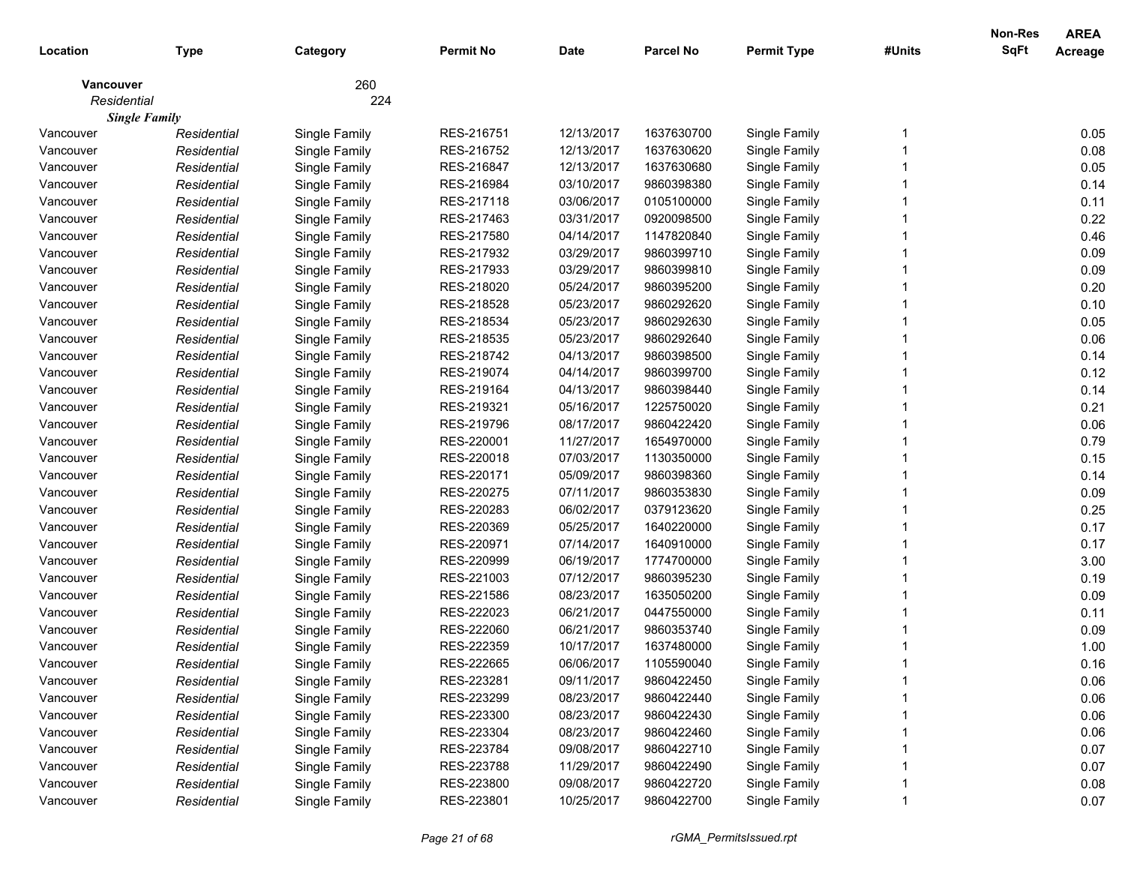| Location    | <b>Type</b>          | Category      | <b>Permit No</b> | <b>Date</b> | <b>Parcel No</b> | <b>Permit Type</b> | #Units | <b>Non-Res</b><br><b>SqFt</b> | <b>AREA</b><br><b>Acreage</b> |
|-------------|----------------------|---------------|------------------|-------------|------------------|--------------------|--------|-------------------------------|-------------------------------|
|             |                      |               |                  |             |                  |                    |        |                               |                               |
| Vancouver   |                      | 260           |                  |             |                  |                    |        |                               |                               |
| Residential |                      | 224           |                  |             |                  |                    |        |                               |                               |
|             | <b>Single Family</b> |               |                  |             |                  |                    |        |                               |                               |
| Vancouver   | Residential          | Single Family | RES-216751       | 12/13/2017  | 1637630700       | Single Family      |        |                               | 0.05                          |
| Vancouver   | Residential          | Single Family | RES-216752       | 12/13/2017  | 1637630620       | Single Family      |        |                               | 0.08                          |
| Vancouver   | Residential          | Single Family | RES-216847       | 12/13/2017  | 1637630680       | Single Family      |        |                               | 0.05                          |
| Vancouver   | Residential          | Single Family | RES-216984       | 03/10/2017  | 9860398380       | Single Family      |        |                               | 0.14                          |
| Vancouver   | Residential          | Single Family | RES-217118       | 03/06/2017  | 0105100000       | Single Family      |        |                               | 0.11                          |
| Vancouver   | Residential          | Single Family | RES-217463       | 03/31/2017  | 0920098500       | Single Family      |        |                               | 0.22                          |
| Vancouver   | Residential          | Single Family | RES-217580       | 04/14/2017  | 1147820840       | Single Family      |        |                               | 0.46                          |
| Vancouver   | Residential          | Single Family | RES-217932       | 03/29/2017  | 9860399710       | Single Family      |        |                               | 0.09                          |
| Vancouver   | Residential          | Single Family | RES-217933       | 03/29/2017  | 9860399810       | Single Family      |        |                               | 0.09                          |
| Vancouver   | Residential          | Single Family | RES-218020       | 05/24/2017  | 9860395200       | Single Family      |        |                               | 0.20                          |
| Vancouver   | Residential          | Single Family | RES-218528       | 05/23/2017  | 9860292620       | Single Family      |        |                               | 0.10                          |
| Vancouver   | Residential          | Single Family | RES-218534       | 05/23/2017  | 9860292630       | Single Family      |        |                               | 0.05                          |
| Vancouver   | Residential          | Single Family | RES-218535       | 05/23/2017  | 9860292640       | Single Family      |        |                               | 0.06                          |
| Vancouver   | Residential          | Single Family | RES-218742       | 04/13/2017  | 9860398500       | Single Family      |        |                               | 0.14                          |
| Vancouver   | Residential          | Single Family | RES-219074       | 04/14/2017  | 9860399700       | Single Family      |        |                               | 0.12                          |
| Vancouver   | Residential          | Single Family | RES-219164       | 04/13/2017  | 9860398440       | Single Family      |        |                               | 0.14                          |
| Vancouver   | Residential          | Single Family | RES-219321       | 05/16/2017  | 1225750020       | Single Family      |        |                               | 0.21                          |
| Vancouver   | Residential          | Single Family | RES-219796       | 08/17/2017  | 9860422420       | Single Family      |        |                               | 0.06                          |
| Vancouver   | Residential          | Single Family | RES-220001       | 11/27/2017  | 1654970000       | Single Family      |        |                               | 0.79                          |
| Vancouver   | Residential          | Single Family | RES-220018       | 07/03/2017  | 1130350000       | Single Family      |        |                               | 0.15                          |
| Vancouver   | Residential          | Single Family | RES-220171       | 05/09/2017  | 9860398360       | Single Family      |        |                               | 0.14                          |
| Vancouver   | Residential          | Single Family | RES-220275       | 07/11/2017  | 9860353830       | Single Family      |        |                               | 0.09                          |
| Vancouver   | Residential          | Single Family | RES-220283       | 06/02/2017  | 0379123620       | Single Family      |        |                               | 0.25                          |
| Vancouver   | Residential          | Single Family | RES-220369       | 05/25/2017  | 1640220000       | Single Family      |        |                               | 0.17                          |
| Vancouver   | Residential          | Single Family | RES-220971       | 07/14/2017  | 1640910000       | Single Family      |        |                               | 0.17                          |
| Vancouver   | Residential          | Single Family | RES-220999       | 06/19/2017  | 1774700000       | Single Family      |        |                               | 3.00                          |
| Vancouver   | Residential          | Single Family | RES-221003       | 07/12/2017  | 9860395230       | Single Family      |        |                               | 0.19                          |
| Vancouver   | Residential          | Single Family | RES-221586       | 08/23/2017  | 1635050200       | Single Family      |        |                               | 0.09                          |
| Vancouver   | Residential          | Single Family | RES-222023       | 06/21/2017  | 0447550000       | Single Family      |        |                               | 0.11                          |
| Vancouver   | Residential          | Single Family | RES-222060       | 06/21/2017  | 9860353740       | Single Family      |        |                               | 0.09                          |
| Vancouver   | Residential          | Single Family | RES-222359       | 10/17/2017  | 1637480000       | Single Family      |        |                               | 1.00                          |
| Vancouver   | Residential          | Single Family | RES-222665       | 06/06/2017  | 1105590040       | Single Family      |        |                               | 0.16                          |
| Vancouver   | Residential          | Single Family | RES-223281       | 09/11/2017  | 9860422450       | Single Family      |        |                               | 0.06                          |
| Vancouver   | Residential          | Single Family | RES-223299       | 08/23/2017  | 9860422440       | Single Family      |        |                               | 0.06                          |
| Vancouver   | Residential          | Single Family | RES-223300       | 08/23/2017  | 9860422430       | Single Family      |        |                               | 0.06                          |
| Vancouver   | Residential          | Single Family | RES-223304       | 08/23/2017  | 9860422460       | Single Family      |        |                               | 0.06                          |
| Vancouver   | Residential          | Single Family | RES-223784       | 09/08/2017  | 9860422710       | Single Family      |        |                               | 0.07                          |
| Vancouver   | Residential          | Single Family | RES-223788       | 11/29/2017  | 9860422490       | Single Family      |        |                               | 0.07                          |
| Vancouver   | Residential          | Single Family | RES-223800       | 09/08/2017  | 9860422720       | Single Family      |        |                               | 0.08                          |
| Vancouver   | Residential          | Single Family | RES-223801       | 10/25/2017  | 9860422700       | Single Family      |        |                               | 0.07                          |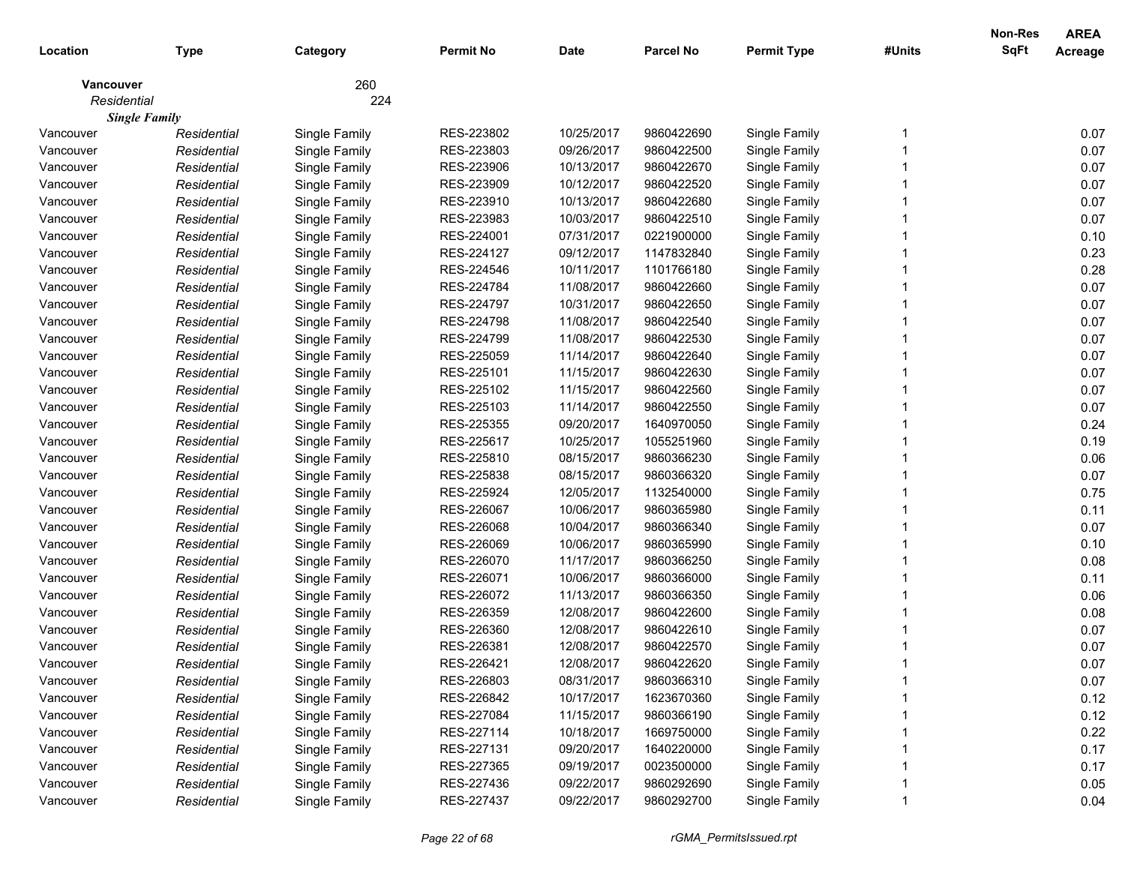| <b>SqFt</b><br><b>Permit Type</b><br>#Units<br>Location<br><b>Type</b><br><b>Permit No</b><br><b>Date</b><br><b>Parcel No</b><br><b>Acreage</b><br>Category<br>260<br>Vancouver<br>224<br>Residential<br><b>Single Family</b><br>RES-223802<br>10/25/2017<br>Single Family<br>0.07<br>Single Family<br>9860422690<br>Vancouver<br>Residential<br>RES-223803<br>0.07<br>Residential<br>Single Family<br>09/26/2017<br>9860422500<br>Single Family<br>Vancouver<br>RES-223906<br>0.07<br>10/13/2017<br>9860422670<br>Single Family<br>Vancouver<br>Residential<br>Single Family<br>RES-223909<br>0.07<br>Residential<br>Single Family<br>10/12/2017<br>9860422520<br>Single Family<br>Vancouver<br>RES-223910<br>10/13/2017<br>0.07<br>Residential<br>Single Family<br>9860422680<br>Single Family<br>Vancouver<br>RES-223983<br>10/03/2017<br>0.07<br>Residential<br>Single Family<br>9860422510<br>Single Family<br>Vancouver<br>RES-224001<br>07/31/2017<br>0.10<br>Residential<br>Single Family<br>0221900000<br>Single Family<br>Vancouver<br>0.23<br>RES-224127<br>Residential<br>Single Family<br>09/12/2017<br>1147832840<br>Single Family<br>Vancouver<br>0.28<br>RES-224546<br>Residential<br>Single Family<br>10/11/2017<br>1101766180<br>Single Family<br>Vancouver<br>RES-224784<br>Single Family<br>11/08/2017<br>9860422660<br>Single Family<br>0.07<br>Vancouver<br>Residential<br>RES-224797<br>10/31/2017<br>Single Family<br>9860422650<br>Single Family<br>0.07<br>Vancouver<br>Residential<br>Single Family<br>RES-224798<br>0.07<br>Residential<br>11/08/2017<br>9860422540<br>Single Family<br>Vancouver<br>RES-224799<br>0.07<br>Residential<br>Single Family<br>11/08/2017<br>9860422530<br>Single Family<br>Vancouver<br>0.07<br>Residential<br>Single Family<br>RES-225059<br>11/14/2017<br>9860422640<br>Single Family<br>Vancouver<br>RES-225101<br>0.07<br>Residential<br>Single Family<br>11/15/2017<br>9860422630<br>Single Family<br>Vancouver<br>RES-225102<br>11/15/2017<br>0.07<br>Residential<br>Single Family<br>9860422560<br>Single Family<br>Vancouver<br>RES-225103<br>0.07<br>Residential<br>Single Family<br>11/14/2017<br>9860422550<br>Single Family<br>Vancouver<br>RES-225355<br>Single Family<br>09/20/2017<br>1640970050<br>Single Family<br>0.24<br>Vancouver<br>Residential<br>0.19<br>RES-225617<br>10/25/2017<br>1055251960<br>Vancouver<br>Residential<br>Single Family<br>Single Family<br>RES-225810<br>08/15/2017<br>9860366230<br>0.06<br>Vancouver<br>Residential<br>Single Family<br>Single Family<br>08/15/2017<br>9860366320<br>0.07<br>Vancouver<br>Residential<br>Single Family<br>RES-225838<br>Single Family<br>0.75<br>RES-225924<br>1132540000<br>Vancouver<br>Residential<br>Single Family<br>12/05/2017<br>Single Family<br>RES-226067<br>10/06/2017<br>9860365980<br>0.11<br>Vancouver<br>Residential<br>Single Family<br>Single Family<br>10/04/2017<br>9860366340<br>0.07<br>Vancouver<br>Residential<br>Single Family<br>RES-226068<br>Single Family<br>10/06/2017<br>9860365990<br>0.10<br>Vancouver<br>RES-226069<br>Single Family<br>Residential<br>Single Family<br>11/17/2017<br>9860366250<br>Vancouver<br>RES-226070<br>Single Family<br>0.08<br>Residential<br>Single Family<br>RES-226071<br>10/06/2017<br>9860366000<br>0.11<br>Vancouver<br>Residential<br>Single Family<br>Single Family<br>RES-226072<br>11/13/2017<br>9860366350<br>0.06<br>Residential<br>Single Family<br>Single Family<br>Vancouver<br>RES-226359<br>12/08/2017<br>9860422600<br>0.08<br>Residential<br>Single Family<br>Single Family<br>Vancouver<br>RES-226360<br>12/08/2017<br>0.07<br>Residential<br>Single Family<br>9860422610<br>Single Family<br>Vancouver<br>RES-226381<br>12/08/2017<br>9860422570<br>0.07<br>Residential<br>Single Family<br>Single Family<br>Vancouver<br>RES-226421<br>0.07<br>12/08/2017<br>9860422620<br>Single Family<br>Residential<br>Single Family<br>Vancouver<br>RES-226803<br>08/31/2017<br>9860366310<br>Single Family<br>0.07<br>Vancouver<br>Single Family<br>Residential<br>Single Family<br>0.12<br>Single Family<br>RES-226842<br>10/17/2017<br>1623670360<br>Vancouver<br>Residential<br>Single Family<br>RES-227084<br>11/15/2017<br>9860366190<br>Single Family<br>0.12<br>Vancouver<br>Residential<br>Single Family<br>RES-227114<br>10/18/2017<br>1669750000<br>Single Family<br>0.22<br>Vancouver<br>Residential<br>Single Family<br>RES-227131<br>09/20/2017<br>1640220000<br>Single Family<br>0.17<br>Vancouver<br>Residential<br>Single Family<br>RES-227365<br>09/19/2017<br>0023500000<br>Single Family<br>0.17<br>Vancouver<br>Residential<br>Single Family<br>RES-227436<br>09/22/2017<br>9860292690<br>Single Family<br>0.05<br>Vancouver<br>Residential<br>RES-227437<br>09/22/2017<br>9860292700<br>Single Family<br>Vancouver<br>Single Family<br>0.04<br>Residential |  |  |  |  | <b>Non-Res</b> | <b>AREA</b> |
|-----------------------------------------------------------------------------------------------------------------------------------------------------------------------------------------------------------------------------------------------------------------------------------------------------------------------------------------------------------------------------------------------------------------------------------------------------------------------------------------------------------------------------------------------------------------------------------------------------------------------------------------------------------------------------------------------------------------------------------------------------------------------------------------------------------------------------------------------------------------------------------------------------------------------------------------------------------------------------------------------------------------------------------------------------------------------------------------------------------------------------------------------------------------------------------------------------------------------------------------------------------------------------------------------------------------------------------------------------------------------------------------------------------------------------------------------------------------------------------------------------------------------------------------------------------------------------------------------------------------------------------------------------------------------------------------------------------------------------------------------------------------------------------------------------------------------------------------------------------------------------------------------------------------------------------------------------------------------------------------------------------------------------------------------------------------------------------------------------------------------------------------------------------------------------------------------------------------------------------------------------------------------------------------------------------------------------------------------------------------------------------------------------------------------------------------------------------------------------------------------------------------------------------------------------------------------------------------------------------------------------------------------------------------------------------------------------------------------------------------------------------------------------------------------------------------------------------------------------------------------------------------------------------------------------------------------------------------------------------------------------------------------------------------------------------------------------------------------------------------------------------------------------------------------------------------------------------------------------------------------------------------------------------------------------------------------------------------------------------------------------------------------------------------------------------------------------------------------------------------------------------------------------------------------------------------------------------------------------------------------------------------------------------------------------------------------------------------------------------------------------------------------------------------------------------------------------------------------------------------------------------------------------------------------------------------------------------------------------------------------------------------------------------------------------------------------------------------------------------------------------------------------------------------------------------------------------------------------------------------------------------------------------------------------------------------------------------------------------------------------------------------------------------------------------------------------------------------------------------------------------------------------------------------------------------------------------------------------------------------------------------------------------------------------------------------------------------------------------------------------------------------------------------------------------------------------------------------------------------------------------------------------|--|--|--|--|----------------|-------------|
|                                                                                                                                                                                                                                                                                                                                                                                                                                                                                                                                                                                                                                                                                                                                                                                                                                                                                                                                                                                                                                                                                                                                                                                                                                                                                                                                                                                                                                                                                                                                                                                                                                                                                                                                                                                                                                                                                                                                                                                                                                                                                                                                                                                                                                                                                                                                                                                                                                                                                                                                                                                                                                                                                                                                                                                                                                                                                                                                                                                                                                                                                                                                                                                                                                                                                                                                                                                                                                                                                                                                                                                                                                                                                                                                                                                                                                                                                                                                                                                                                                                                                                                                                                                                                                                                                                                                                                                                                                                                                                                                                                                                                                                                                                                                                                                                                                                                                               |  |  |  |  |                |             |
|                                                                                                                                                                                                                                                                                                                                                                                                                                                                                                                                                                                                                                                                                                                                                                                                                                                                                                                                                                                                                                                                                                                                                                                                                                                                                                                                                                                                                                                                                                                                                                                                                                                                                                                                                                                                                                                                                                                                                                                                                                                                                                                                                                                                                                                                                                                                                                                                                                                                                                                                                                                                                                                                                                                                                                                                                                                                                                                                                                                                                                                                                                                                                                                                                                                                                                                                                                                                                                                                                                                                                                                                                                                                                                                                                                                                                                                                                                                                                                                                                                                                                                                                                                                                                                                                                                                                                                                                                                                                                                                                                                                                                                                                                                                                                                                                                                                                                               |  |  |  |  |                |             |
|                                                                                                                                                                                                                                                                                                                                                                                                                                                                                                                                                                                                                                                                                                                                                                                                                                                                                                                                                                                                                                                                                                                                                                                                                                                                                                                                                                                                                                                                                                                                                                                                                                                                                                                                                                                                                                                                                                                                                                                                                                                                                                                                                                                                                                                                                                                                                                                                                                                                                                                                                                                                                                                                                                                                                                                                                                                                                                                                                                                                                                                                                                                                                                                                                                                                                                                                                                                                                                                                                                                                                                                                                                                                                                                                                                                                                                                                                                                                                                                                                                                                                                                                                                                                                                                                                                                                                                                                                                                                                                                                                                                                                                                                                                                                                                                                                                                                                               |  |  |  |  |                |             |
|                                                                                                                                                                                                                                                                                                                                                                                                                                                                                                                                                                                                                                                                                                                                                                                                                                                                                                                                                                                                                                                                                                                                                                                                                                                                                                                                                                                                                                                                                                                                                                                                                                                                                                                                                                                                                                                                                                                                                                                                                                                                                                                                                                                                                                                                                                                                                                                                                                                                                                                                                                                                                                                                                                                                                                                                                                                                                                                                                                                                                                                                                                                                                                                                                                                                                                                                                                                                                                                                                                                                                                                                                                                                                                                                                                                                                                                                                                                                                                                                                                                                                                                                                                                                                                                                                                                                                                                                                                                                                                                                                                                                                                                                                                                                                                                                                                                                                               |  |  |  |  |                |             |
|                                                                                                                                                                                                                                                                                                                                                                                                                                                                                                                                                                                                                                                                                                                                                                                                                                                                                                                                                                                                                                                                                                                                                                                                                                                                                                                                                                                                                                                                                                                                                                                                                                                                                                                                                                                                                                                                                                                                                                                                                                                                                                                                                                                                                                                                                                                                                                                                                                                                                                                                                                                                                                                                                                                                                                                                                                                                                                                                                                                                                                                                                                                                                                                                                                                                                                                                                                                                                                                                                                                                                                                                                                                                                                                                                                                                                                                                                                                                                                                                                                                                                                                                                                                                                                                                                                                                                                                                                                                                                                                                                                                                                                                                                                                                                                                                                                                                                               |  |  |  |  |                |             |
|                                                                                                                                                                                                                                                                                                                                                                                                                                                                                                                                                                                                                                                                                                                                                                                                                                                                                                                                                                                                                                                                                                                                                                                                                                                                                                                                                                                                                                                                                                                                                                                                                                                                                                                                                                                                                                                                                                                                                                                                                                                                                                                                                                                                                                                                                                                                                                                                                                                                                                                                                                                                                                                                                                                                                                                                                                                                                                                                                                                                                                                                                                                                                                                                                                                                                                                                                                                                                                                                                                                                                                                                                                                                                                                                                                                                                                                                                                                                                                                                                                                                                                                                                                                                                                                                                                                                                                                                                                                                                                                                                                                                                                                                                                                                                                                                                                                                                               |  |  |  |  |                |             |
|                                                                                                                                                                                                                                                                                                                                                                                                                                                                                                                                                                                                                                                                                                                                                                                                                                                                                                                                                                                                                                                                                                                                                                                                                                                                                                                                                                                                                                                                                                                                                                                                                                                                                                                                                                                                                                                                                                                                                                                                                                                                                                                                                                                                                                                                                                                                                                                                                                                                                                                                                                                                                                                                                                                                                                                                                                                                                                                                                                                                                                                                                                                                                                                                                                                                                                                                                                                                                                                                                                                                                                                                                                                                                                                                                                                                                                                                                                                                                                                                                                                                                                                                                                                                                                                                                                                                                                                                                                                                                                                                                                                                                                                                                                                                                                                                                                                                                               |  |  |  |  |                |             |
|                                                                                                                                                                                                                                                                                                                                                                                                                                                                                                                                                                                                                                                                                                                                                                                                                                                                                                                                                                                                                                                                                                                                                                                                                                                                                                                                                                                                                                                                                                                                                                                                                                                                                                                                                                                                                                                                                                                                                                                                                                                                                                                                                                                                                                                                                                                                                                                                                                                                                                                                                                                                                                                                                                                                                                                                                                                                                                                                                                                                                                                                                                                                                                                                                                                                                                                                                                                                                                                                                                                                                                                                                                                                                                                                                                                                                                                                                                                                                                                                                                                                                                                                                                                                                                                                                                                                                                                                                                                                                                                                                                                                                                                                                                                                                                                                                                                                                               |  |  |  |  |                |             |
|                                                                                                                                                                                                                                                                                                                                                                                                                                                                                                                                                                                                                                                                                                                                                                                                                                                                                                                                                                                                                                                                                                                                                                                                                                                                                                                                                                                                                                                                                                                                                                                                                                                                                                                                                                                                                                                                                                                                                                                                                                                                                                                                                                                                                                                                                                                                                                                                                                                                                                                                                                                                                                                                                                                                                                                                                                                                                                                                                                                                                                                                                                                                                                                                                                                                                                                                                                                                                                                                                                                                                                                                                                                                                                                                                                                                                                                                                                                                                                                                                                                                                                                                                                                                                                                                                                                                                                                                                                                                                                                                                                                                                                                                                                                                                                                                                                                                                               |  |  |  |  |                |             |
|                                                                                                                                                                                                                                                                                                                                                                                                                                                                                                                                                                                                                                                                                                                                                                                                                                                                                                                                                                                                                                                                                                                                                                                                                                                                                                                                                                                                                                                                                                                                                                                                                                                                                                                                                                                                                                                                                                                                                                                                                                                                                                                                                                                                                                                                                                                                                                                                                                                                                                                                                                                                                                                                                                                                                                                                                                                                                                                                                                                                                                                                                                                                                                                                                                                                                                                                                                                                                                                                                                                                                                                                                                                                                                                                                                                                                                                                                                                                                                                                                                                                                                                                                                                                                                                                                                                                                                                                                                                                                                                                                                                                                                                                                                                                                                                                                                                                                               |  |  |  |  |                |             |
|                                                                                                                                                                                                                                                                                                                                                                                                                                                                                                                                                                                                                                                                                                                                                                                                                                                                                                                                                                                                                                                                                                                                                                                                                                                                                                                                                                                                                                                                                                                                                                                                                                                                                                                                                                                                                                                                                                                                                                                                                                                                                                                                                                                                                                                                                                                                                                                                                                                                                                                                                                                                                                                                                                                                                                                                                                                                                                                                                                                                                                                                                                                                                                                                                                                                                                                                                                                                                                                                                                                                                                                                                                                                                                                                                                                                                                                                                                                                                                                                                                                                                                                                                                                                                                                                                                                                                                                                                                                                                                                                                                                                                                                                                                                                                                                                                                                                                               |  |  |  |  |                |             |
|                                                                                                                                                                                                                                                                                                                                                                                                                                                                                                                                                                                                                                                                                                                                                                                                                                                                                                                                                                                                                                                                                                                                                                                                                                                                                                                                                                                                                                                                                                                                                                                                                                                                                                                                                                                                                                                                                                                                                                                                                                                                                                                                                                                                                                                                                                                                                                                                                                                                                                                                                                                                                                                                                                                                                                                                                                                                                                                                                                                                                                                                                                                                                                                                                                                                                                                                                                                                                                                                                                                                                                                                                                                                                                                                                                                                                                                                                                                                                                                                                                                                                                                                                                                                                                                                                                                                                                                                                                                                                                                                                                                                                                                                                                                                                                                                                                                                                               |  |  |  |  |                |             |
|                                                                                                                                                                                                                                                                                                                                                                                                                                                                                                                                                                                                                                                                                                                                                                                                                                                                                                                                                                                                                                                                                                                                                                                                                                                                                                                                                                                                                                                                                                                                                                                                                                                                                                                                                                                                                                                                                                                                                                                                                                                                                                                                                                                                                                                                                                                                                                                                                                                                                                                                                                                                                                                                                                                                                                                                                                                                                                                                                                                                                                                                                                                                                                                                                                                                                                                                                                                                                                                                                                                                                                                                                                                                                                                                                                                                                                                                                                                                                                                                                                                                                                                                                                                                                                                                                                                                                                                                                                                                                                                                                                                                                                                                                                                                                                                                                                                                                               |  |  |  |  |                |             |
|                                                                                                                                                                                                                                                                                                                                                                                                                                                                                                                                                                                                                                                                                                                                                                                                                                                                                                                                                                                                                                                                                                                                                                                                                                                                                                                                                                                                                                                                                                                                                                                                                                                                                                                                                                                                                                                                                                                                                                                                                                                                                                                                                                                                                                                                                                                                                                                                                                                                                                                                                                                                                                                                                                                                                                                                                                                                                                                                                                                                                                                                                                                                                                                                                                                                                                                                                                                                                                                                                                                                                                                                                                                                                                                                                                                                                                                                                                                                                                                                                                                                                                                                                                                                                                                                                                                                                                                                                                                                                                                                                                                                                                                                                                                                                                                                                                                                                               |  |  |  |  |                |             |
|                                                                                                                                                                                                                                                                                                                                                                                                                                                                                                                                                                                                                                                                                                                                                                                                                                                                                                                                                                                                                                                                                                                                                                                                                                                                                                                                                                                                                                                                                                                                                                                                                                                                                                                                                                                                                                                                                                                                                                                                                                                                                                                                                                                                                                                                                                                                                                                                                                                                                                                                                                                                                                                                                                                                                                                                                                                                                                                                                                                                                                                                                                                                                                                                                                                                                                                                                                                                                                                                                                                                                                                                                                                                                                                                                                                                                                                                                                                                                                                                                                                                                                                                                                                                                                                                                                                                                                                                                                                                                                                                                                                                                                                                                                                                                                                                                                                                                               |  |  |  |  |                |             |
|                                                                                                                                                                                                                                                                                                                                                                                                                                                                                                                                                                                                                                                                                                                                                                                                                                                                                                                                                                                                                                                                                                                                                                                                                                                                                                                                                                                                                                                                                                                                                                                                                                                                                                                                                                                                                                                                                                                                                                                                                                                                                                                                                                                                                                                                                                                                                                                                                                                                                                                                                                                                                                                                                                                                                                                                                                                                                                                                                                                                                                                                                                                                                                                                                                                                                                                                                                                                                                                                                                                                                                                                                                                                                                                                                                                                                                                                                                                                                                                                                                                                                                                                                                                                                                                                                                                                                                                                                                                                                                                                                                                                                                                                                                                                                                                                                                                                                               |  |  |  |  |                |             |
|                                                                                                                                                                                                                                                                                                                                                                                                                                                                                                                                                                                                                                                                                                                                                                                                                                                                                                                                                                                                                                                                                                                                                                                                                                                                                                                                                                                                                                                                                                                                                                                                                                                                                                                                                                                                                                                                                                                                                                                                                                                                                                                                                                                                                                                                                                                                                                                                                                                                                                                                                                                                                                                                                                                                                                                                                                                                                                                                                                                                                                                                                                                                                                                                                                                                                                                                                                                                                                                                                                                                                                                                                                                                                                                                                                                                                                                                                                                                                                                                                                                                                                                                                                                                                                                                                                                                                                                                                                                                                                                                                                                                                                                                                                                                                                                                                                                                                               |  |  |  |  |                |             |
|                                                                                                                                                                                                                                                                                                                                                                                                                                                                                                                                                                                                                                                                                                                                                                                                                                                                                                                                                                                                                                                                                                                                                                                                                                                                                                                                                                                                                                                                                                                                                                                                                                                                                                                                                                                                                                                                                                                                                                                                                                                                                                                                                                                                                                                                                                                                                                                                                                                                                                                                                                                                                                                                                                                                                                                                                                                                                                                                                                                                                                                                                                                                                                                                                                                                                                                                                                                                                                                                                                                                                                                                                                                                                                                                                                                                                                                                                                                                                                                                                                                                                                                                                                                                                                                                                                                                                                                                                                                                                                                                                                                                                                                                                                                                                                                                                                                                                               |  |  |  |  |                |             |
|                                                                                                                                                                                                                                                                                                                                                                                                                                                                                                                                                                                                                                                                                                                                                                                                                                                                                                                                                                                                                                                                                                                                                                                                                                                                                                                                                                                                                                                                                                                                                                                                                                                                                                                                                                                                                                                                                                                                                                                                                                                                                                                                                                                                                                                                                                                                                                                                                                                                                                                                                                                                                                                                                                                                                                                                                                                                                                                                                                                                                                                                                                                                                                                                                                                                                                                                                                                                                                                                                                                                                                                                                                                                                                                                                                                                                                                                                                                                                                                                                                                                                                                                                                                                                                                                                                                                                                                                                                                                                                                                                                                                                                                                                                                                                                                                                                                                                               |  |  |  |  |                |             |
|                                                                                                                                                                                                                                                                                                                                                                                                                                                                                                                                                                                                                                                                                                                                                                                                                                                                                                                                                                                                                                                                                                                                                                                                                                                                                                                                                                                                                                                                                                                                                                                                                                                                                                                                                                                                                                                                                                                                                                                                                                                                                                                                                                                                                                                                                                                                                                                                                                                                                                                                                                                                                                                                                                                                                                                                                                                                                                                                                                                                                                                                                                                                                                                                                                                                                                                                                                                                                                                                                                                                                                                                                                                                                                                                                                                                                                                                                                                                                                                                                                                                                                                                                                                                                                                                                                                                                                                                                                                                                                                                                                                                                                                                                                                                                                                                                                                                                               |  |  |  |  |                |             |
|                                                                                                                                                                                                                                                                                                                                                                                                                                                                                                                                                                                                                                                                                                                                                                                                                                                                                                                                                                                                                                                                                                                                                                                                                                                                                                                                                                                                                                                                                                                                                                                                                                                                                                                                                                                                                                                                                                                                                                                                                                                                                                                                                                                                                                                                                                                                                                                                                                                                                                                                                                                                                                                                                                                                                                                                                                                                                                                                                                                                                                                                                                                                                                                                                                                                                                                                                                                                                                                                                                                                                                                                                                                                                                                                                                                                                                                                                                                                                                                                                                                                                                                                                                                                                                                                                                                                                                                                                                                                                                                                                                                                                                                                                                                                                                                                                                                                                               |  |  |  |  |                |             |
|                                                                                                                                                                                                                                                                                                                                                                                                                                                                                                                                                                                                                                                                                                                                                                                                                                                                                                                                                                                                                                                                                                                                                                                                                                                                                                                                                                                                                                                                                                                                                                                                                                                                                                                                                                                                                                                                                                                                                                                                                                                                                                                                                                                                                                                                                                                                                                                                                                                                                                                                                                                                                                                                                                                                                                                                                                                                                                                                                                                                                                                                                                                                                                                                                                                                                                                                                                                                                                                                                                                                                                                                                                                                                                                                                                                                                                                                                                                                                                                                                                                                                                                                                                                                                                                                                                                                                                                                                                                                                                                                                                                                                                                                                                                                                                                                                                                                                               |  |  |  |  |                |             |
|                                                                                                                                                                                                                                                                                                                                                                                                                                                                                                                                                                                                                                                                                                                                                                                                                                                                                                                                                                                                                                                                                                                                                                                                                                                                                                                                                                                                                                                                                                                                                                                                                                                                                                                                                                                                                                                                                                                                                                                                                                                                                                                                                                                                                                                                                                                                                                                                                                                                                                                                                                                                                                                                                                                                                                                                                                                                                                                                                                                                                                                                                                                                                                                                                                                                                                                                                                                                                                                                                                                                                                                                                                                                                                                                                                                                                                                                                                                                                                                                                                                                                                                                                                                                                                                                                                                                                                                                                                                                                                                                                                                                                                                                                                                                                                                                                                                                                               |  |  |  |  |                |             |
|                                                                                                                                                                                                                                                                                                                                                                                                                                                                                                                                                                                                                                                                                                                                                                                                                                                                                                                                                                                                                                                                                                                                                                                                                                                                                                                                                                                                                                                                                                                                                                                                                                                                                                                                                                                                                                                                                                                                                                                                                                                                                                                                                                                                                                                                                                                                                                                                                                                                                                                                                                                                                                                                                                                                                                                                                                                                                                                                                                                                                                                                                                                                                                                                                                                                                                                                                                                                                                                                                                                                                                                                                                                                                                                                                                                                                                                                                                                                                                                                                                                                                                                                                                                                                                                                                                                                                                                                                                                                                                                                                                                                                                                                                                                                                                                                                                                                                               |  |  |  |  |                |             |
|                                                                                                                                                                                                                                                                                                                                                                                                                                                                                                                                                                                                                                                                                                                                                                                                                                                                                                                                                                                                                                                                                                                                                                                                                                                                                                                                                                                                                                                                                                                                                                                                                                                                                                                                                                                                                                                                                                                                                                                                                                                                                                                                                                                                                                                                                                                                                                                                                                                                                                                                                                                                                                                                                                                                                                                                                                                                                                                                                                                                                                                                                                                                                                                                                                                                                                                                                                                                                                                                                                                                                                                                                                                                                                                                                                                                                                                                                                                                                                                                                                                                                                                                                                                                                                                                                                                                                                                                                                                                                                                                                                                                                                                                                                                                                                                                                                                                                               |  |  |  |  |                |             |
|                                                                                                                                                                                                                                                                                                                                                                                                                                                                                                                                                                                                                                                                                                                                                                                                                                                                                                                                                                                                                                                                                                                                                                                                                                                                                                                                                                                                                                                                                                                                                                                                                                                                                                                                                                                                                                                                                                                                                                                                                                                                                                                                                                                                                                                                                                                                                                                                                                                                                                                                                                                                                                                                                                                                                                                                                                                                                                                                                                                                                                                                                                                                                                                                                                                                                                                                                                                                                                                                                                                                                                                                                                                                                                                                                                                                                                                                                                                                                                                                                                                                                                                                                                                                                                                                                                                                                                                                                                                                                                                                                                                                                                                                                                                                                                                                                                                                                               |  |  |  |  |                |             |
|                                                                                                                                                                                                                                                                                                                                                                                                                                                                                                                                                                                                                                                                                                                                                                                                                                                                                                                                                                                                                                                                                                                                                                                                                                                                                                                                                                                                                                                                                                                                                                                                                                                                                                                                                                                                                                                                                                                                                                                                                                                                                                                                                                                                                                                                                                                                                                                                                                                                                                                                                                                                                                                                                                                                                                                                                                                                                                                                                                                                                                                                                                                                                                                                                                                                                                                                                                                                                                                                                                                                                                                                                                                                                                                                                                                                                                                                                                                                                                                                                                                                                                                                                                                                                                                                                                                                                                                                                                                                                                                                                                                                                                                                                                                                                                                                                                                                                               |  |  |  |  |                |             |
|                                                                                                                                                                                                                                                                                                                                                                                                                                                                                                                                                                                                                                                                                                                                                                                                                                                                                                                                                                                                                                                                                                                                                                                                                                                                                                                                                                                                                                                                                                                                                                                                                                                                                                                                                                                                                                                                                                                                                                                                                                                                                                                                                                                                                                                                                                                                                                                                                                                                                                                                                                                                                                                                                                                                                                                                                                                                                                                                                                                                                                                                                                                                                                                                                                                                                                                                                                                                                                                                                                                                                                                                                                                                                                                                                                                                                                                                                                                                                                                                                                                                                                                                                                                                                                                                                                                                                                                                                                                                                                                                                                                                                                                                                                                                                                                                                                                                                               |  |  |  |  |                |             |
|                                                                                                                                                                                                                                                                                                                                                                                                                                                                                                                                                                                                                                                                                                                                                                                                                                                                                                                                                                                                                                                                                                                                                                                                                                                                                                                                                                                                                                                                                                                                                                                                                                                                                                                                                                                                                                                                                                                                                                                                                                                                                                                                                                                                                                                                                                                                                                                                                                                                                                                                                                                                                                                                                                                                                                                                                                                                                                                                                                                                                                                                                                                                                                                                                                                                                                                                                                                                                                                                                                                                                                                                                                                                                                                                                                                                                                                                                                                                                                                                                                                                                                                                                                                                                                                                                                                                                                                                                                                                                                                                                                                                                                                                                                                                                                                                                                                                                               |  |  |  |  |                |             |
|                                                                                                                                                                                                                                                                                                                                                                                                                                                                                                                                                                                                                                                                                                                                                                                                                                                                                                                                                                                                                                                                                                                                                                                                                                                                                                                                                                                                                                                                                                                                                                                                                                                                                                                                                                                                                                                                                                                                                                                                                                                                                                                                                                                                                                                                                                                                                                                                                                                                                                                                                                                                                                                                                                                                                                                                                                                                                                                                                                                                                                                                                                                                                                                                                                                                                                                                                                                                                                                                                                                                                                                                                                                                                                                                                                                                                                                                                                                                                                                                                                                                                                                                                                                                                                                                                                                                                                                                                                                                                                                                                                                                                                                                                                                                                                                                                                                                                               |  |  |  |  |                |             |
|                                                                                                                                                                                                                                                                                                                                                                                                                                                                                                                                                                                                                                                                                                                                                                                                                                                                                                                                                                                                                                                                                                                                                                                                                                                                                                                                                                                                                                                                                                                                                                                                                                                                                                                                                                                                                                                                                                                                                                                                                                                                                                                                                                                                                                                                                                                                                                                                                                                                                                                                                                                                                                                                                                                                                                                                                                                                                                                                                                                                                                                                                                                                                                                                                                                                                                                                                                                                                                                                                                                                                                                                                                                                                                                                                                                                                                                                                                                                                                                                                                                                                                                                                                                                                                                                                                                                                                                                                                                                                                                                                                                                                                                                                                                                                                                                                                                                                               |  |  |  |  |                |             |
|                                                                                                                                                                                                                                                                                                                                                                                                                                                                                                                                                                                                                                                                                                                                                                                                                                                                                                                                                                                                                                                                                                                                                                                                                                                                                                                                                                                                                                                                                                                                                                                                                                                                                                                                                                                                                                                                                                                                                                                                                                                                                                                                                                                                                                                                                                                                                                                                                                                                                                                                                                                                                                                                                                                                                                                                                                                                                                                                                                                                                                                                                                                                                                                                                                                                                                                                                                                                                                                                                                                                                                                                                                                                                                                                                                                                                                                                                                                                                                                                                                                                                                                                                                                                                                                                                                                                                                                                                                                                                                                                                                                                                                                                                                                                                                                                                                                                                               |  |  |  |  |                |             |
|                                                                                                                                                                                                                                                                                                                                                                                                                                                                                                                                                                                                                                                                                                                                                                                                                                                                                                                                                                                                                                                                                                                                                                                                                                                                                                                                                                                                                                                                                                                                                                                                                                                                                                                                                                                                                                                                                                                                                                                                                                                                                                                                                                                                                                                                                                                                                                                                                                                                                                                                                                                                                                                                                                                                                                                                                                                                                                                                                                                                                                                                                                                                                                                                                                                                                                                                                                                                                                                                                                                                                                                                                                                                                                                                                                                                                                                                                                                                                                                                                                                                                                                                                                                                                                                                                                                                                                                                                                                                                                                                                                                                                                                                                                                                                                                                                                                                                               |  |  |  |  |                |             |
|                                                                                                                                                                                                                                                                                                                                                                                                                                                                                                                                                                                                                                                                                                                                                                                                                                                                                                                                                                                                                                                                                                                                                                                                                                                                                                                                                                                                                                                                                                                                                                                                                                                                                                                                                                                                                                                                                                                                                                                                                                                                                                                                                                                                                                                                                                                                                                                                                                                                                                                                                                                                                                                                                                                                                                                                                                                                                                                                                                                                                                                                                                                                                                                                                                                                                                                                                                                                                                                                                                                                                                                                                                                                                                                                                                                                                                                                                                                                                                                                                                                                                                                                                                                                                                                                                                                                                                                                                                                                                                                                                                                                                                                                                                                                                                                                                                                                                               |  |  |  |  |                |             |
|                                                                                                                                                                                                                                                                                                                                                                                                                                                                                                                                                                                                                                                                                                                                                                                                                                                                                                                                                                                                                                                                                                                                                                                                                                                                                                                                                                                                                                                                                                                                                                                                                                                                                                                                                                                                                                                                                                                                                                                                                                                                                                                                                                                                                                                                                                                                                                                                                                                                                                                                                                                                                                                                                                                                                                                                                                                                                                                                                                                                                                                                                                                                                                                                                                                                                                                                                                                                                                                                                                                                                                                                                                                                                                                                                                                                                                                                                                                                                                                                                                                                                                                                                                                                                                                                                                                                                                                                                                                                                                                                                                                                                                                                                                                                                                                                                                                                                               |  |  |  |  |                |             |
|                                                                                                                                                                                                                                                                                                                                                                                                                                                                                                                                                                                                                                                                                                                                                                                                                                                                                                                                                                                                                                                                                                                                                                                                                                                                                                                                                                                                                                                                                                                                                                                                                                                                                                                                                                                                                                                                                                                                                                                                                                                                                                                                                                                                                                                                                                                                                                                                                                                                                                                                                                                                                                                                                                                                                                                                                                                                                                                                                                                                                                                                                                                                                                                                                                                                                                                                                                                                                                                                                                                                                                                                                                                                                                                                                                                                                                                                                                                                                                                                                                                                                                                                                                                                                                                                                                                                                                                                                                                                                                                                                                                                                                                                                                                                                                                                                                                                                               |  |  |  |  |                |             |
|                                                                                                                                                                                                                                                                                                                                                                                                                                                                                                                                                                                                                                                                                                                                                                                                                                                                                                                                                                                                                                                                                                                                                                                                                                                                                                                                                                                                                                                                                                                                                                                                                                                                                                                                                                                                                                                                                                                                                                                                                                                                                                                                                                                                                                                                                                                                                                                                                                                                                                                                                                                                                                                                                                                                                                                                                                                                                                                                                                                                                                                                                                                                                                                                                                                                                                                                                                                                                                                                                                                                                                                                                                                                                                                                                                                                                                                                                                                                                                                                                                                                                                                                                                                                                                                                                                                                                                                                                                                                                                                                                                                                                                                                                                                                                                                                                                                                                               |  |  |  |  |                |             |
|                                                                                                                                                                                                                                                                                                                                                                                                                                                                                                                                                                                                                                                                                                                                                                                                                                                                                                                                                                                                                                                                                                                                                                                                                                                                                                                                                                                                                                                                                                                                                                                                                                                                                                                                                                                                                                                                                                                                                                                                                                                                                                                                                                                                                                                                                                                                                                                                                                                                                                                                                                                                                                                                                                                                                                                                                                                                                                                                                                                                                                                                                                                                                                                                                                                                                                                                                                                                                                                                                                                                                                                                                                                                                                                                                                                                                                                                                                                                                                                                                                                                                                                                                                                                                                                                                                                                                                                                                                                                                                                                                                                                                                                                                                                                                                                                                                                                                               |  |  |  |  |                |             |
|                                                                                                                                                                                                                                                                                                                                                                                                                                                                                                                                                                                                                                                                                                                                                                                                                                                                                                                                                                                                                                                                                                                                                                                                                                                                                                                                                                                                                                                                                                                                                                                                                                                                                                                                                                                                                                                                                                                                                                                                                                                                                                                                                                                                                                                                                                                                                                                                                                                                                                                                                                                                                                                                                                                                                                                                                                                                                                                                                                                                                                                                                                                                                                                                                                                                                                                                                                                                                                                                                                                                                                                                                                                                                                                                                                                                                                                                                                                                                                                                                                                                                                                                                                                                                                                                                                                                                                                                                                                                                                                                                                                                                                                                                                                                                                                                                                                                                               |  |  |  |  |                |             |
|                                                                                                                                                                                                                                                                                                                                                                                                                                                                                                                                                                                                                                                                                                                                                                                                                                                                                                                                                                                                                                                                                                                                                                                                                                                                                                                                                                                                                                                                                                                                                                                                                                                                                                                                                                                                                                                                                                                                                                                                                                                                                                                                                                                                                                                                                                                                                                                                                                                                                                                                                                                                                                                                                                                                                                                                                                                                                                                                                                                                                                                                                                                                                                                                                                                                                                                                                                                                                                                                                                                                                                                                                                                                                                                                                                                                                                                                                                                                                                                                                                                                                                                                                                                                                                                                                                                                                                                                                                                                                                                                                                                                                                                                                                                                                                                                                                                                                               |  |  |  |  |                |             |
|                                                                                                                                                                                                                                                                                                                                                                                                                                                                                                                                                                                                                                                                                                                                                                                                                                                                                                                                                                                                                                                                                                                                                                                                                                                                                                                                                                                                                                                                                                                                                                                                                                                                                                                                                                                                                                                                                                                                                                                                                                                                                                                                                                                                                                                                                                                                                                                                                                                                                                                                                                                                                                                                                                                                                                                                                                                                                                                                                                                                                                                                                                                                                                                                                                                                                                                                                                                                                                                                                                                                                                                                                                                                                                                                                                                                                                                                                                                                                                                                                                                                                                                                                                                                                                                                                                                                                                                                                                                                                                                                                                                                                                                                                                                                                                                                                                                                                               |  |  |  |  |                |             |
|                                                                                                                                                                                                                                                                                                                                                                                                                                                                                                                                                                                                                                                                                                                                                                                                                                                                                                                                                                                                                                                                                                                                                                                                                                                                                                                                                                                                                                                                                                                                                                                                                                                                                                                                                                                                                                                                                                                                                                                                                                                                                                                                                                                                                                                                                                                                                                                                                                                                                                                                                                                                                                                                                                                                                                                                                                                                                                                                                                                                                                                                                                                                                                                                                                                                                                                                                                                                                                                                                                                                                                                                                                                                                                                                                                                                                                                                                                                                                                                                                                                                                                                                                                                                                                                                                                                                                                                                                                                                                                                                                                                                                                                                                                                                                                                                                                                                                               |  |  |  |  |                |             |
|                                                                                                                                                                                                                                                                                                                                                                                                                                                                                                                                                                                                                                                                                                                                                                                                                                                                                                                                                                                                                                                                                                                                                                                                                                                                                                                                                                                                                                                                                                                                                                                                                                                                                                                                                                                                                                                                                                                                                                                                                                                                                                                                                                                                                                                                                                                                                                                                                                                                                                                                                                                                                                                                                                                                                                                                                                                                                                                                                                                                                                                                                                                                                                                                                                                                                                                                                                                                                                                                                                                                                                                                                                                                                                                                                                                                                                                                                                                                                                                                                                                                                                                                                                                                                                                                                                                                                                                                                                                                                                                                                                                                                                                                                                                                                                                                                                                                                               |  |  |  |  |                |             |
|                                                                                                                                                                                                                                                                                                                                                                                                                                                                                                                                                                                                                                                                                                                                                                                                                                                                                                                                                                                                                                                                                                                                                                                                                                                                                                                                                                                                                                                                                                                                                                                                                                                                                                                                                                                                                                                                                                                                                                                                                                                                                                                                                                                                                                                                                                                                                                                                                                                                                                                                                                                                                                                                                                                                                                                                                                                                                                                                                                                                                                                                                                                                                                                                                                                                                                                                                                                                                                                                                                                                                                                                                                                                                                                                                                                                                                                                                                                                                                                                                                                                                                                                                                                                                                                                                                                                                                                                                                                                                                                                                                                                                                                                                                                                                                                                                                                                                               |  |  |  |  |                |             |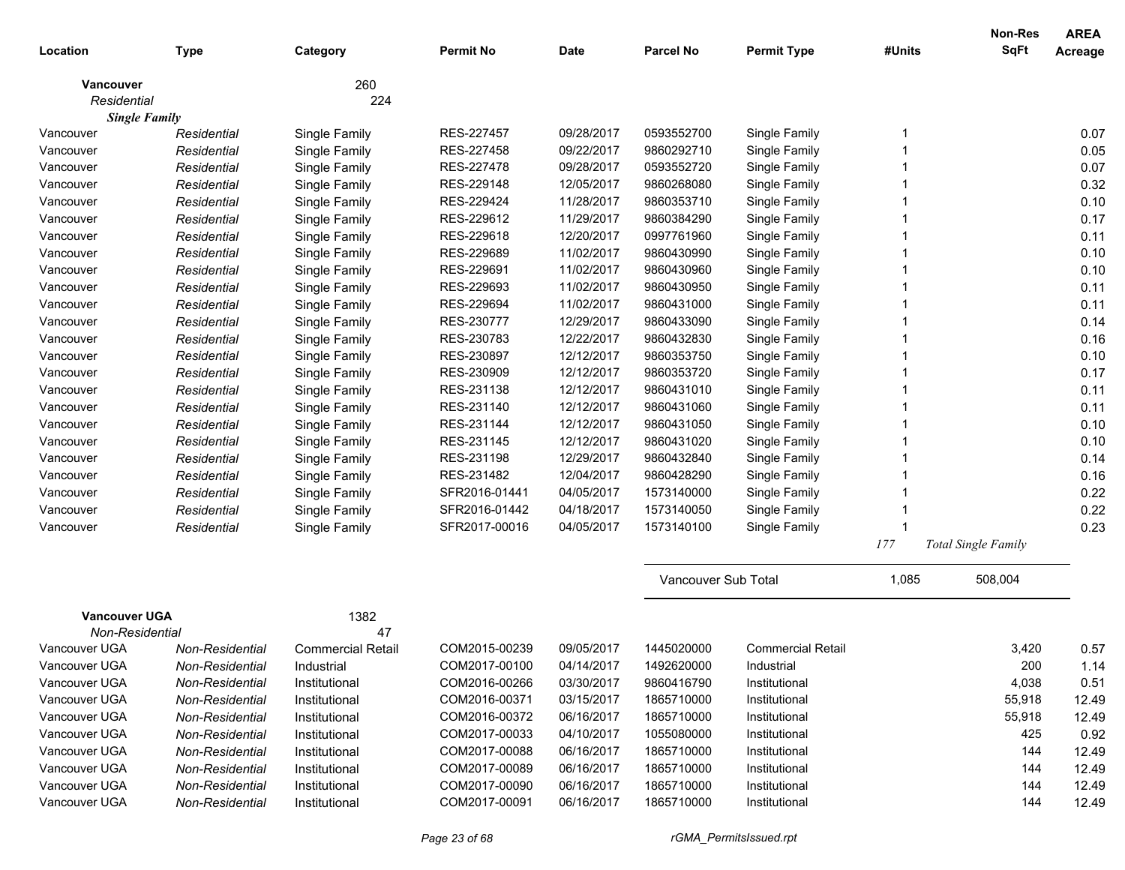|                      |                 |                          |                  |             |                     |                          |        | <b>Non-Res</b>             | <b>AREA</b> |
|----------------------|-----------------|--------------------------|------------------|-------------|---------------------|--------------------------|--------|----------------------------|-------------|
| Location             | <b>Type</b>     | Category                 | <b>Permit No</b> | <b>Date</b> | <b>Parcel No</b>    | <b>Permit Type</b>       | #Units | <b>SqFt</b>                | Acreage     |
| <b>Vancouver</b>     |                 | 260                      |                  |             |                     |                          |        |                            |             |
| Residential          |                 | 224                      |                  |             |                     |                          |        |                            |             |
| <b>Single Family</b> |                 |                          |                  |             |                     |                          |        |                            |             |
| Vancouver            | Residential     | Single Family            | RES-227457       | 09/28/2017  | 0593552700          | Single Family            | -1     |                            | 0.07        |
| Vancouver            | Residential     | Single Family            | RES-227458       | 09/22/2017  | 9860292710          | Single Family            |        |                            | 0.05        |
| Vancouver            | Residential     | Single Family            | RES-227478       | 09/28/2017  | 0593552720          | Single Family            |        |                            | 0.07        |
| Vancouver            | Residential     | Single Family            | RES-229148       | 12/05/2017  | 9860268080          | Single Family            |        |                            | 0.32        |
| Vancouver            | Residential     | Single Family            | RES-229424       | 11/28/2017  | 9860353710          | Single Family            |        |                            | 0.10        |
| Vancouver            | Residential     | Single Family            | RES-229612       | 11/29/2017  | 9860384290          | Single Family            |        |                            | 0.17        |
| Vancouver            | Residential     | Single Family            | RES-229618       | 12/20/2017  | 0997761960          | Single Family            |        |                            | 0.11        |
| Vancouver            | Residential     | Single Family            | RES-229689       | 11/02/2017  | 9860430990          | Single Family            |        |                            | 0.10        |
| Vancouver            | Residential     | Single Family            | RES-229691       | 11/02/2017  | 9860430960          | Single Family            |        |                            | 0.10        |
| Vancouver            | Residential     | Single Family            | RES-229693       | 11/02/2017  | 9860430950          | Single Family            |        |                            | 0.11        |
| Vancouver            | Residential     | Single Family            | RES-229694       | 11/02/2017  | 9860431000          | Single Family            |        |                            | 0.11        |
| Vancouver            | Residential     | Single Family            | RES-230777       | 12/29/2017  | 9860433090          | Single Family            |        |                            | 0.14        |
| Vancouver            | Residential     | Single Family            | RES-230783       | 12/22/2017  | 9860432830          | Single Family            |        |                            | 0.16        |
| Vancouver            | Residential     | Single Family            | RES-230897       | 12/12/2017  | 9860353750          | Single Family            |        |                            | 0.10        |
| Vancouver            | Residential     | Single Family            | RES-230909       | 12/12/2017  | 9860353720          | Single Family            |        |                            | 0.17        |
| Vancouver            | Residential     | Single Family            | RES-231138       | 12/12/2017  | 9860431010          | Single Family            |        |                            | 0.11        |
| Vancouver            | Residential     | Single Family            | RES-231140       | 12/12/2017  | 9860431060          | Single Family            |        |                            | 0.11        |
| Vancouver            | Residential     | Single Family            | RES-231144       | 12/12/2017  | 9860431050          | Single Family            |        |                            | 0.10        |
| Vancouver            | Residential     | Single Family            | RES-231145       | 12/12/2017  | 9860431020          | Single Family            |        |                            | 0.10        |
| Vancouver            | Residential     | Single Family            | RES-231198       | 12/29/2017  | 9860432840          | Single Family            |        |                            | 0.14        |
| Vancouver            | Residential     | Single Family            | RES-231482       | 12/04/2017  | 9860428290          | Single Family            |        |                            | 0.16        |
| Vancouver            | Residential     | Single Family            | SFR2016-01441    | 04/05/2017  | 1573140000          | Single Family            |        |                            | 0.22        |
| Vancouver            | Residential     | Single Family            | SFR2016-01442    | 04/18/2017  | 1573140050          | Single Family            |        |                            | 0.22        |
| Vancouver            | Residential     | Single Family            | SFR2017-00016    | 04/05/2017  | 1573140100          | Single Family            |        |                            | 0.23        |
|                      |                 |                          |                  |             |                     |                          | 177    | <b>Total Single Family</b> |             |
|                      |                 |                          |                  |             | Vancouver Sub Total |                          | 1,085  | 508,004                    |             |
| <b>Vancouver UGA</b> |                 | 1382                     |                  |             |                     |                          |        |                            |             |
| Non-Residential      |                 | 47                       |                  |             |                     |                          |        |                            |             |
| Vancouver UGA        | Non-Residential | <b>Commercial Retail</b> | COM2015-00239    | 09/05/2017  | 1445020000          | <b>Commercial Retail</b> |        | 3,420                      | 0.57        |
| Vancouver UGA        | Non-Residential | Industrial               | COM2017-00100    | 04/14/2017  | 1492620000          | Industrial               |        | 200                        | 1.14        |
| Vancouver UGA        | Non-Residential | Institutional            | COM2016-00266    | 03/30/2017  | 9860416790          | Institutional            |        | 4,038                      | 0.51        |
| Vancouver UGA        | Non-Residential | Institutional            | COM2016-00371    | 03/15/2017  | 1865710000          | Institutional            |        | 55,918                     | 12.49       |
| Vancouver UGA        | Non-Residential | Institutional            | COM2016-00372    | 06/16/2017  | 1865710000          | Institutional            |        | 55,918                     | 12.49       |
| Vancouver UGA        | Non-Residential | Institutional            | COM2017-00033    | 04/10/2017  | 1055080000          | Institutional            |        | 425                        | 0.92        |
| Vancouver UGA        | Non-Residential | Institutional            | COM2017-00088    | 06/16/2017  | 1865710000          | Institutional            |        | 144                        | 12.49       |
| Vancouver UGA        | Non-Residential | Institutional            | COM2017-00089    | 06/16/2017  | 1865710000          | Institutional            |        | 144                        | 12.49       |
| Vancouver UGA        | Non-Residential | Institutional            | COM2017-00090    | 06/16/2017  | 1865710000          | Institutional            |        | 144                        | 12.49       |
| Vancouver UGA        | Non-Residential | Institutional            | COM2017-00091    | 06/16/2017  | 1865710000          | Institutional            |        | 144                        | 12.49       |
|                      |                 |                          |                  |             |                     |                          |        |                            |             |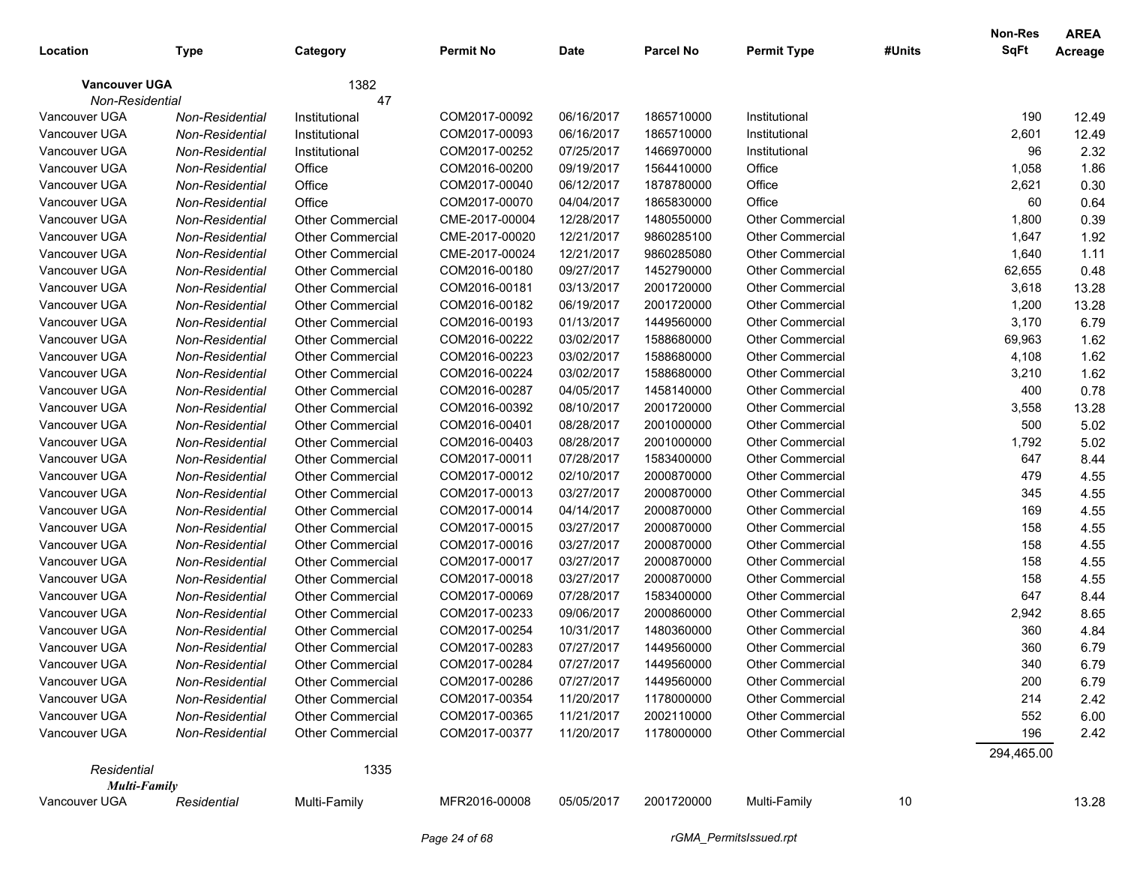|                      |                 |                         |                  |             |                  |                         |        | Non-Res    | <b>AREA</b> |
|----------------------|-----------------|-------------------------|------------------|-------------|------------------|-------------------------|--------|------------|-------------|
| Location             | <b>Type</b>     | Category                | <b>Permit No</b> | <b>Date</b> | <b>Parcel No</b> | <b>Permit Type</b>      | #Units | SqFt       | Acreage     |
| <b>Vancouver UGA</b> |                 | 1382                    |                  |             |                  |                         |        |            |             |
| Non-Residential      |                 | 47                      |                  |             |                  |                         |        |            |             |
| Vancouver UGA        | Non-Residential | Institutional           | COM2017-00092    | 06/16/2017  | 1865710000       | Institutional           |        | 190        | 12.49       |
| Vancouver UGA        | Non-Residential | Institutional           | COM2017-00093    | 06/16/2017  | 1865710000       | Institutional           |        | 2,601      | 12.49       |
| Vancouver UGA        | Non-Residential | Institutional           | COM2017-00252    | 07/25/2017  | 1466970000       | Institutional           |        | 96         | 2.32        |
| Vancouver UGA        | Non-Residential | Office                  | COM2016-00200    | 09/19/2017  | 1564410000       | Office                  |        | 1,058      | 1.86        |
| Vancouver UGA        | Non-Residential | Office                  | COM2017-00040    | 06/12/2017  | 1878780000       | Office                  |        | 2,621      | 0.30        |
| Vancouver UGA        | Non-Residential | Office                  | COM2017-00070    | 04/04/2017  | 1865830000       | Office                  |        | 60         | 0.64        |
| Vancouver UGA        | Non-Residential | <b>Other Commercial</b> | CME-2017-00004   | 12/28/2017  | 1480550000       | <b>Other Commercial</b> |        | 1,800      | 0.39        |
| Vancouver UGA        | Non-Residential | <b>Other Commercial</b> | CME-2017-00020   | 12/21/2017  | 9860285100       | <b>Other Commercial</b> |        | 1,647      | 1.92        |
| Vancouver UGA        | Non-Residential | <b>Other Commercial</b> | CME-2017-00024   | 12/21/2017  | 9860285080       | <b>Other Commercial</b> |        | 1,640      | 1.11        |
| Vancouver UGA        | Non-Residential | <b>Other Commercial</b> | COM2016-00180    | 09/27/2017  | 1452790000       | <b>Other Commercial</b> |        | 62,655     | 0.48        |
| Vancouver UGA        | Non-Residential | <b>Other Commercial</b> | COM2016-00181    | 03/13/2017  | 2001720000       | <b>Other Commercial</b> |        | 3,618      | 13.28       |
| Vancouver UGA        | Non-Residential | <b>Other Commercial</b> | COM2016-00182    | 06/19/2017  | 2001720000       | <b>Other Commercial</b> |        | 1,200      | 13.28       |
| Vancouver UGA        | Non-Residential | <b>Other Commercial</b> | COM2016-00193    | 01/13/2017  | 1449560000       | <b>Other Commercial</b> |        | 3,170      | 6.79        |
| Vancouver UGA        | Non-Residential | <b>Other Commercial</b> | COM2016-00222    | 03/02/2017  | 1588680000       | <b>Other Commercial</b> |        | 69,963     | 1.62        |
| Vancouver UGA        | Non-Residential | <b>Other Commercial</b> | COM2016-00223    | 03/02/2017  | 1588680000       | <b>Other Commercial</b> |        | 4,108      | 1.62        |
| Vancouver UGA        | Non-Residential | <b>Other Commercial</b> | COM2016-00224    | 03/02/2017  | 1588680000       | <b>Other Commercial</b> |        | 3,210      | 1.62        |
| Vancouver UGA        | Non-Residential | <b>Other Commercial</b> | COM2016-00287    | 04/05/2017  | 1458140000       | <b>Other Commercial</b> |        | 400        | 0.78        |
| Vancouver UGA        | Non-Residential | <b>Other Commercial</b> | COM2016-00392    | 08/10/2017  | 2001720000       | <b>Other Commercial</b> |        | 3,558      | 13.28       |
| Vancouver UGA        | Non-Residential | <b>Other Commercial</b> | COM2016-00401    | 08/28/2017  | 2001000000       | <b>Other Commercial</b> |        | 500        | 5.02        |
| Vancouver UGA        | Non-Residential | <b>Other Commercial</b> | COM2016-00403    | 08/28/2017  | 2001000000       | <b>Other Commercial</b> |        | 1,792      | 5.02        |
| Vancouver UGA        | Non-Residential | <b>Other Commercial</b> | COM2017-00011    | 07/28/2017  | 1583400000       | <b>Other Commercial</b> |        | 647        | 8.44        |
| Vancouver UGA        | Non-Residential | <b>Other Commercial</b> | COM2017-00012    | 02/10/2017  | 2000870000       | <b>Other Commercial</b> |        | 479        | 4.55        |
| Vancouver UGA        | Non-Residential | <b>Other Commercial</b> | COM2017-00013    | 03/27/2017  | 2000870000       | <b>Other Commercial</b> |        | 345        | 4.55        |
| Vancouver UGA        | Non-Residential | <b>Other Commercial</b> | COM2017-00014    | 04/14/2017  | 2000870000       | <b>Other Commercial</b> |        | 169        | 4.55        |
| Vancouver UGA        | Non-Residential | <b>Other Commercial</b> | COM2017-00015    | 03/27/2017  | 2000870000       | <b>Other Commercial</b> |        | 158        | 4.55        |
| Vancouver UGA        | Non-Residential | <b>Other Commercial</b> | COM2017-00016    | 03/27/2017  | 2000870000       | <b>Other Commercial</b> |        | 158        | 4.55        |
| Vancouver UGA        | Non-Residential | <b>Other Commercial</b> | COM2017-00017    | 03/27/2017  | 2000870000       | <b>Other Commercial</b> |        | 158        | 4.55        |
| Vancouver UGA        | Non-Residential | <b>Other Commercial</b> | COM2017-00018    | 03/27/2017  | 2000870000       | <b>Other Commercial</b> |        | 158        | 4.55        |
| Vancouver UGA        | Non-Residential | <b>Other Commercial</b> | COM2017-00069    | 07/28/2017  | 1583400000       | <b>Other Commercial</b> |        | 647        | 8.44        |
| Vancouver UGA        | Non-Residential | Other Commercial        | COM2017-00233    | 09/06/2017  | 2000860000       | <b>Other Commercial</b> |        | 2,942      | 8.65        |
| Vancouver UGA        | Non-Residential | <b>Other Commercial</b> | COM2017-00254    | 10/31/2017  | 1480360000       | <b>Other Commercial</b> |        | 360        | 4.84        |
| Vancouver UGA        | Non-Residential | <b>Other Commercial</b> | COM2017-00283    | 07/27/2017  | 1449560000       | <b>Other Commercial</b> |        | 360        | 6.79        |
| Vancouver UGA        | Non-Residential | <b>Other Commercial</b> | COM2017-00284    | 07/27/2017  | 1449560000       | <b>Other Commercial</b> |        | 340        | 6.79        |
| Vancouver UGA        | Non-Residential | <b>Other Commercial</b> | COM2017-00286    | 07/27/2017  | 1449560000       | <b>Other Commercial</b> |        | 200        | 6.79        |
| Vancouver UGA        | Non-Residential | Other Commercial        | COM2017-00354    | 11/20/2017  | 1178000000       | <b>Other Commercial</b> |        | 214        | 2.42        |
| Vancouver UGA        | Non-Residential | Other Commercial        | COM2017-00365    | 11/21/2017  | 2002110000       | <b>Other Commercial</b> |        | 552        | 6.00        |
| Vancouver UGA        | Non-Residential | <b>Other Commercial</b> | COM2017-00377    | 11/20/2017  | 1178000000       | <b>Other Commercial</b> |        | 196        | 2.42        |
|                      |                 |                         |                  |             |                  |                         |        | 294,465.00 |             |
| Residential          |                 | 1335                    |                  |             |                  |                         |        |            |             |
| <b>Multi-Family</b>  |                 |                         |                  |             |                  |                         |        |            |             |
| Vancouver UGA        | Residential     | Multi-Family            | MFR2016-00008    | 05/05/2017  | 2001720000       | Multi-Family            | 10     |            | 13.28       |
|                      |                 |                         |                  |             |                  |                         |        |            |             |

*Page 24 of 68 rGMA\_PermitsIssued.rpt*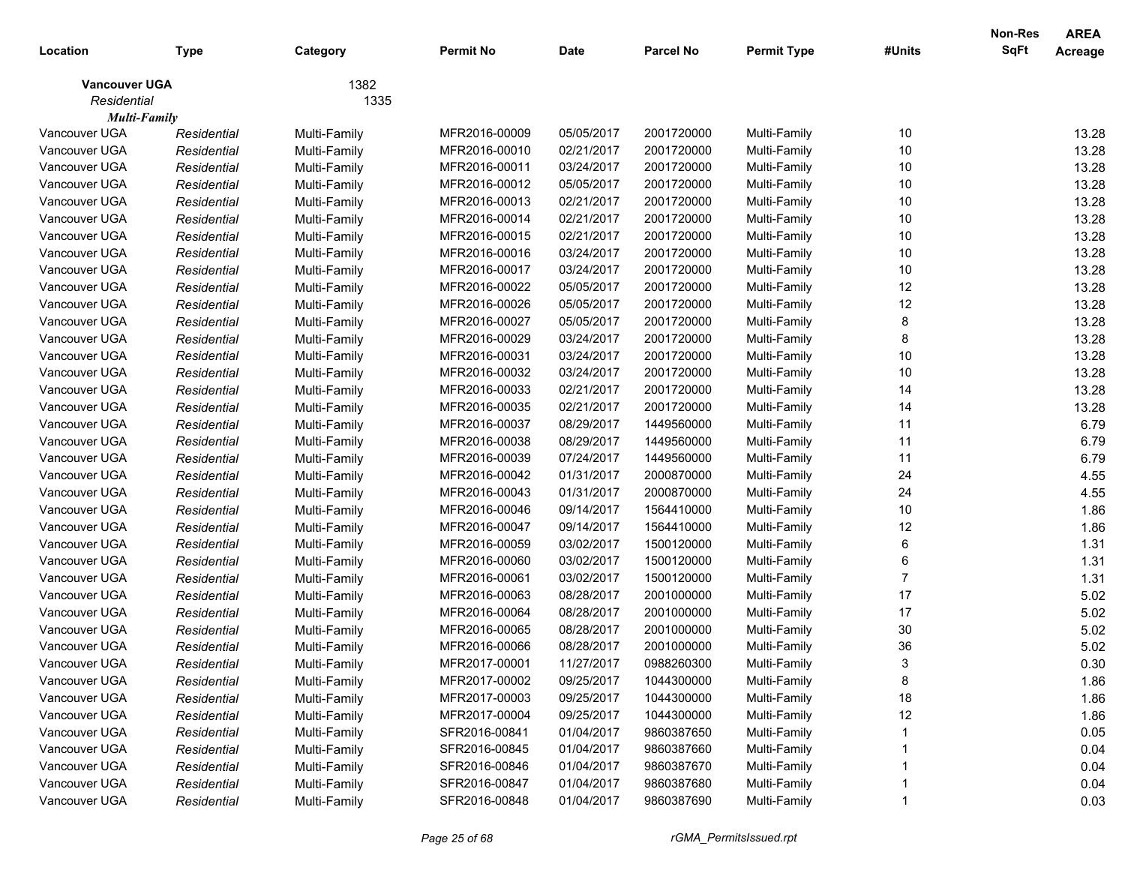|                      |             |              |                  |            |                  |                    |        | <b>Non-Res</b> | <b>AREA</b> |
|----------------------|-------------|--------------|------------------|------------|------------------|--------------------|--------|----------------|-------------|
| Location             | <b>Type</b> | Category     | <b>Permit No</b> | Date       | <b>Parcel No</b> | <b>Permit Type</b> | #Units | <b>SqFt</b>    | Acreage     |
| <b>Vancouver UGA</b> |             | 1382         |                  |            |                  |                    |        |                |             |
| Residential          |             | 1335         |                  |            |                  |                    |        |                |             |
| <b>Multi-Family</b>  |             |              |                  |            |                  |                    |        |                |             |
| Vancouver UGA        | Residential | Multi-Family | MFR2016-00009    | 05/05/2017 | 2001720000       | Multi-Family       | 10     |                | 13.28       |
| Vancouver UGA        | Residential | Multi-Family | MFR2016-00010    | 02/21/2017 | 2001720000       | Multi-Family       | 10     |                | 13.28       |
| Vancouver UGA        | Residential | Multi-Family | MFR2016-00011    | 03/24/2017 | 2001720000       | Multi-Family       | 10     |                | 13.28       |
| Vancouver UGA        | Residential | Multi-Family | MFR2016-00012    | 05/05/2017 | 2001720000       | Multi-Family       | 10     |                | 13.28       |
| Vancouver UGA        | Residential | Multi-Family | MFR2016-00013    | 02/21/2017 | 2001720000       | Multi-Family       | 10     |                | 13.28       |
| Vancouver UGA        | Residential | Multi-Family | MFR2016-00014    | 02/21/2017 | 2001720000       | Multi-Family       | 10     |                | 13.28       |
| Vancouver UGA        | Residential | Multi-Family | MFR2016-00015    | 02/21/2017 | 2001720000       | Multi-Family       | 10     |                | 13.28       |
| Vancouver UGA        | Residential | Multi-Family | MFR2016-00016    | 03/24/2017 | 2001720000       | Multi-Family       | 10     |                | 13.28       |
| Vancouver UGA        | Residential | Multi-Family | MFR2016-00017    | 03/24/2017 | 2001720000       | Multi-Family       | 10     |                | 13.28       |
| Vancouver UGA        | Residential | Multi-Family | MFR2016-00022    | 05/05/2017 | 2001720000       | Multi-Family       | 12     |                | 13.28       |
| Vancouver UGA        | Residential | Multi-Family | MFR2016-00026    | 05/05/2017 | 2001720000       | Multi-Family       | 12     |                | 13.28       |
| Vancouver UGA        | Residential | Multi-Family | MFR2016-00027    | 05/05/2017 | 2001720000       | Multi-Family       | 8      |                | 13.28       |
| Vancouver UGA        | Residential | Multi-Family | MFR2016-00029    | 03/24/2017 | 2001720000       | Multi-Family       | 8      |                | 13.28       |
| Vancouver UGA        | Residential | Multi-Family | MFR2016-00031    | 03/24/2017 | 2001720000       | Multi-Family       | 10     |                | 13.28       |
| Vancouver UGA        | Residential | Multi-Family | MFR2016-00032    | 03/24/2017 | 2001720000       | Multi-Family       | 10     |                | 13.28       |
| Vancouver UGA        | Residential | Multi-Family | MFR2016-00033    | 02/21/2017 | 2001720000       | Multi-Family       | 14     |                | 13.28       |
| Vancouver UGA        | Residential | Multi-Family | MFR2016-00035    | 02/21/2017 | 2001720000       | Multi-Family       | 14     |                | 13.28       |
| Vancouver UGA        | Residential | Multi-Family | MFR2016-00037    | 08/29/2017 | 1449560000       | Multi-Family       | 11     |                | 6.79        |
| Vancouver UGA        | Residential | Multi-Family | MFR2016-00038    | 08/29/2017 | 1449560000       | Multi-Family       | 11     |                | 6.79        |
| Vancouver UGA        | Residential | Multi-Family | MFR2016-00039    | 07/24/2017 | 1449560000       | Multi-Family       | 11     |                | 6.79        |
| Vancouver UGA        | Residential | Multi-Family | MFR2016-00042    | 01/31/2017 | 2000870000       | Multi-Family       | 24     |                | 4.55        |
| Vancouver UGA        | Residential | Multi-Family | MFR2016-00043    | 01/31/2017 | 2000870000       | Multi-Family       | 24     |                | 4.55        |
| Vancouver UGA        | Residential | Multi-Family | MFR2016-00046    | 09/14/2017 | 1564410000       | Multi-Family       | 10     |                | 1.86        |
| Vancouver UGA        | Residential | Multi-Family | MFR2016-00047    | 09/14/2017 | 1564410000       | Multi-Family       | 12     |                | 1.86        |
| Vancouver UGA        | Residential | Multi-Family | MFR2016-00059    | 03/02/2017 | 1500120000       | Multi-Family       | 6      |                | 1.31        |
| Vancouver UGA        | Residential | Multi-Family | MFR2016-00060    | 03/02/2017 | 1500120000       | Multi-Family       | 6      |                | 1.31        |
| Vancouver UGA        | Residential | Multi-Family | MFR2016-00061    | 03/02/2017 | 1500120000       | Multi-Family       | 7      |                | 1.31        |
| Vancouver UGA        | Residential | Multi-Family | MFR2016-00063    | 08/28/2017 | 2001000000       | Multi-Family       | 17     |                | 5.02        |
| Vancouver UGA        | Residential | Multi-Family | MFR2016-00064    | 08/28/2017 | 2001000000       | Multi-Family       | 17     |                | 5.02        |
| Vancouver UGA        | Residential | Multi-Family | MFR2016-00065    | 08/28/2017 | 2001000000       | Multi-Family       | 30     |                | 5.02        |
| Vancouver UGA        | Residential | Multi-Family | MFR2016-00066    | 08/28/2017 | 2001000000       | Multi-Family       | 36     |                | 5.02        |
| Vancouver UGA        | Residential | Multi-Family | MFR2017-00001    | 11/27/2017 | 0988260300       | Multi-Family       | 3      |                | 0.30        |
| Vancouver UGA        | Residential | Multi-Family | MFR2017-00002    | 09/25/2017 | 1044300000       | Multi-Family       | 8      |                | 1.86        |
| Vancouver UGA        | Residential | Multi-Family | MFR2017-00003    | 09/25/2017 | 1044300000       | Multi-Family       | 18     |                | 1.86        |
| Vancouver UGA        | Residential | Multi-Family | MFR2017-00004    | 09/25/2017 | 1044300000       | Multi-Family       | 12     |                | 1.86        |
| Vancouver UGA        | Residential | Multi-Family | SFR2016-00841    | 01/04/2017 | 9860387650       | Multi-Family       |        |                | 0.05        |
| Vancouver UGA        | Residential | Multi-Family | SFR2016-00845    | 01/04/2017 | 9860387660       | Multi-Family       |        |                | 0.04        |
| Vancouver UGA        | Residential | Multi-Family | SFR2016-00846    | 01/04/2017 | 9860387670       | Multi-Family       |        |                | 0.04        |
| Vancouver UGA        | Residential | Multi-Family | SFR2016-00847    | 01/04/2017 | 9860387680       | Multi-Family       |        |                | 0.04        |
| Vancouver UGA        | Residential | Multi-Family | SFR2016-00848    | 01/04/2017 | 9860387690       | Multi-Family       |        |                | 0.03        |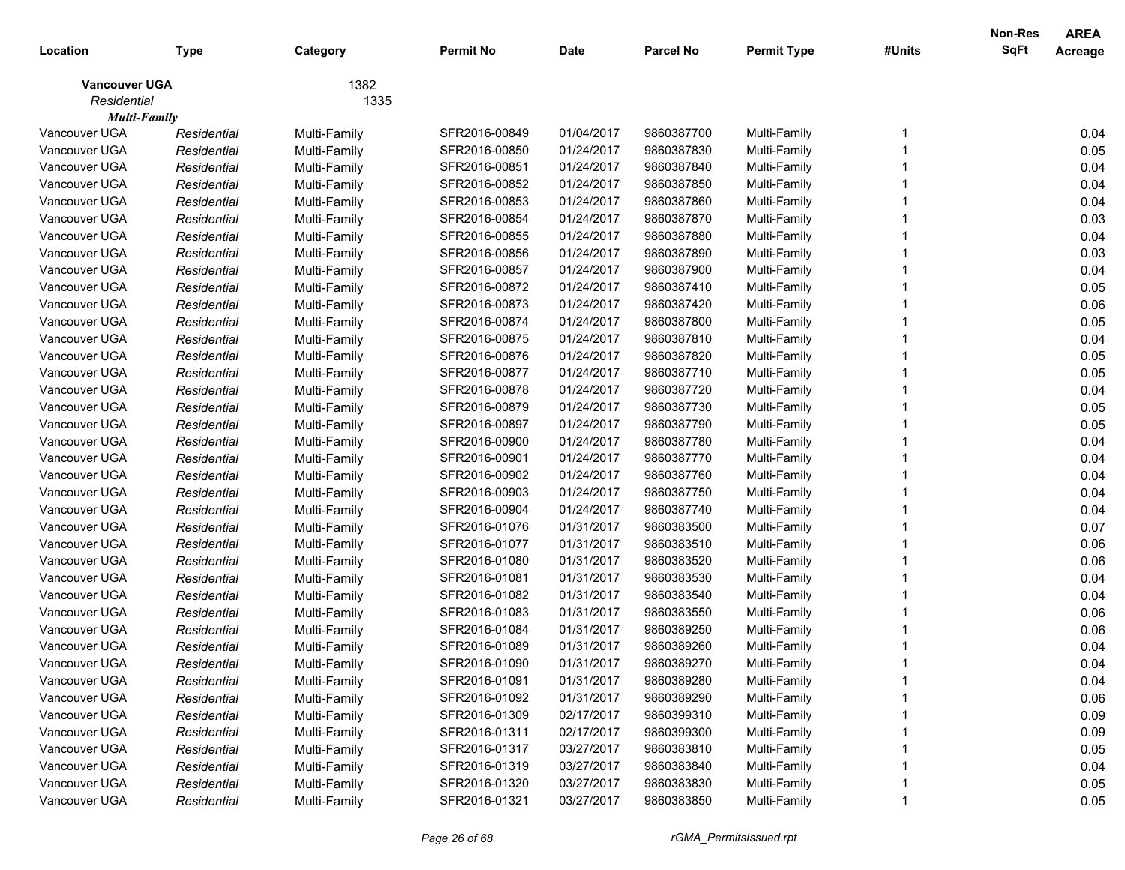|                      |             |              |                  |             |                  |                    |        | <b>Non-Res</b> | <b>AREA</b> |
|----------------------|-------------|--------------|------------------|-------------|------------------|--------------------|--------|----------------|-------------|
| Location             | <b>Type</b> | Category     | <b>Permit No</b> | <b>Date</b> | <b>Parcel No</b> | <b>Permit Type</b> | #Units | <b>SqFt</b>    | Acreage     |
| <b>Vancouver UGA</b> |             | 1382         |                  |             |                  |                    |        |                |             |
| Residential          |             | 1335         |                  |             |                  |                    |        |                |             |
| <b>Multi-Family</b>  |             |              |                  |             |                  |                    |        |                |             |
| Vancouver UGA        | Residential | Multi-Family | SFR2016-00849    | 01/04/2017  | 9860387700       | Multi-Family       |        |                | 0.04        |
| Vancouver UGA        | Residential | Multi-Family | SFR2016-00850    | 01/24/2017  | 9860387830       | Multi-Family       |        |                | 0.05        |
| Vancouver UGA        | Residential | Multi-Family | SFR2016-00851    | 01/24/2017  | 9860387840       | Multi-Family       |        |                | 0.04        |
| Vancouver UGA        | Residential | Multi-Family | SFR2016-00852    | 01/24/2017  | 9860387850       | Multi-Family       |        |                | 0.04        |
| Vancouver UGA        | Residential | Multi-Family | SFR2016-00853    | 01/24/2017  | 9860387860       | Multi-Family       |        |                | 0.04        |
| Vancouver UGA        | Residential | Multi-Family | SFR2016-00854    | 01/24/2017  | 9860387870       | Multi-Family       |        |                | 0.03        |
| Vancouver UGA        | Residential | Multi-Family | SFR2016-00855    | 01/24/2017  | 9860387880       | Multi-Family       |        |                | 0.04        |
| Vancouver UGA        | Residential | Multi-Family | SFR2016-00856    | 01/24/2017  | 9860387890       | Multi-Family       |        |                | 0.03        |
| Vancouver UGA        | Residential | Multi-Family | SFR2016-00857    | 01/24/2017  | 9860387900       | Multi-Family       |        |                | 0.04        |
| Vancouver UGA        | Residential | Multi-Family | SFR2016-00872    | 01/24/2017  | 9860387410       | Multi-Family       |        |                | 0.05        |
| Vancouver UGA        | Residential | Multi-Family | SFR2016-00873    | 01/24/2017  | 9860387420       | Multi-Family       |        |                | 0.06        |
| Vancouver UGA        | Residential | Multi-Family | SFR2016-00874    | 01/24/2017  | 9860387800       | Multi-Family       |        |                | 0.05        |
| Vancouver UGA        | Residential | Multi-Family | SFR2016-00875    | 01/24/2017  | 9860387810       | Multi-Family       |        |                | 0.04        |
| Vancouver UGA        | Residential | Multi-Family | SFR2016-00876    | 01/24/2017  | 9860387820       | Multi-Family       |        |                | 0.05        |
| Vancouver UGA        | Residential | Multi-Family | SFR2016-00877    | 01/24/2017  | 9860387710       | Multi-Family       |        |                | 0.05        |
| Vancouver UGA        | Residential | Multi-Family | SFR2016-00878    | 01/24/2017  | 9860387720       | Multi-Family       |        |                | 0.04        |
| Vancouver UGA        | Residential | Multi-Family | SFR2016-00879    | 01/24/2017  | 9860387730       | Multi-Family       |        |                | 0.05        |
| Vancouver UGA        | Residential | Multi-Family | SFR2016-00897    | 01/24/2017  | 9860387790       | Multi-Family       |        |                | 0.05        |
| Vancouver UGA        | Residential | Multi-Family | SFR2016-00900    | 01/24/2017  | 9860387780       | Multi-Family       |        |                | 0.04        |
| Vancouver UGA        | Residential | Multi-Family | SFR2016-00901    | 01/24/2017  | 9860387770       | Multi-Family       |        |                | 0.04        |
| Vancouver UGA        | Residential | Multi-Family | SFR2016-00902    | 01/24/2017  | 9860387760       | Multi-Family       |        |                | 0.04        |
| Vancouver UGA        | Residential | Multi-Family | SFR2016-00903    | 01/24/2017  | 9860387750       | Multi-Family       |        |                | 0.04        |
| Vancouver UGA        | Residential | Multi-Family | SFR2016-00904    | 01/24/2017  | 9860387740       | Multi-Family       |        |                | 0.04        |
| Vancouver UGA        | Residential | Multi-Family | SFR2016-01076    | 01/31/2017  | 9860383500       | Multi-Family       |        |                | 0.07        |
| Vancouver UGA        | Residential | Multi-Family | SFR2016-01077    | 01/31/2017  | 9860383510       | Multi-Family       |        |                | 0.06        |
| Vancouver UGA        | Residential | Multi-Family | SFR2016-01080    | 01/31/2017  | 9860383520       | Multi-Family       |        |                | 0.06        |
| Vancouver UGA        | Residential | Multi-Family | SFR2016-01081    | 01/31/2017  | 9860383530       | Multi-Family       |        |                | 0.04        |
| Vancouver UGA        | Residential | Multi-Family | SFR2016-01082    | 01/31/2017  | 9860383540       | Multi-Family       |        |                | 0.04        |
| Vancouver UGA        | Residential | Multi-Family | SFR2016-01083    | 01/31/2017  | 9860383550       | Multi-Family       |        |                | 0.06        |
| Vancouver UGA        | Residential | Multi-Family | SFR2016-01084    | 01/31/2017  | 9860389250       | Multi-Family       |        |                | 0.06        |
| Vancouver UGA        | Residential | Multi-Family | SFR2016-01089    | 01/31/2017  | 9860389260       | Multi-Family       |        |                | 0.04        |
| Vancouver UGA        | Residential | Multi-Family | SFR2016-01090    | 01/31/2017  | 9860389270       | Multi-Family       |        |                | 0.04        |
| Vancouver UGA        | Residential | Multi-Family | SFR2016-01091    | 01/31/2017  | 9860389280       | Multi-Family       |        |                | 0.04        |
| Vancouver UGA        | Residential | Multi-Family | SFR2016-01092    | 01/31/2017  | 9860389290       | Multi-Family       |        |                | 0.06        |
| Vancouver UGA        | Residential | Multi-Family | SFR2016-01309    | 02/17/2017  | 9860399310       | Multi-Family       |        |                | 0.09        |
| Vancouver UGA        | Residential | Multi-Family | SFR2016-01311    | 02/17/2017  | 9860399300       | Multi-Family       |        |                | 0.09        |
| Vancouver UGA        | Residential | Multi-Family | SFR2016-01317    | 03/27/2017  | 9860383810       | Multi-Family       |        |                | 0.05        |
| Vancouver UGA        | Residential | Multi-Family | SFR2016-01319    | 03/27/2017  | 9860383840       | Multi-Family       |        |                | 0.04        |
| Vancouver UGA        | Residential | Multi-Family | SFR2016-01320    | 03/27/2017  | 9860383830       | Multi-Family       |        |                | 0.05        |
| Vancouver UGA        | Residential | Multi-Family | SFR2016-01321    | 03/27/2017  | 9860383850       | Multi-Family       |        |                | 0.05        |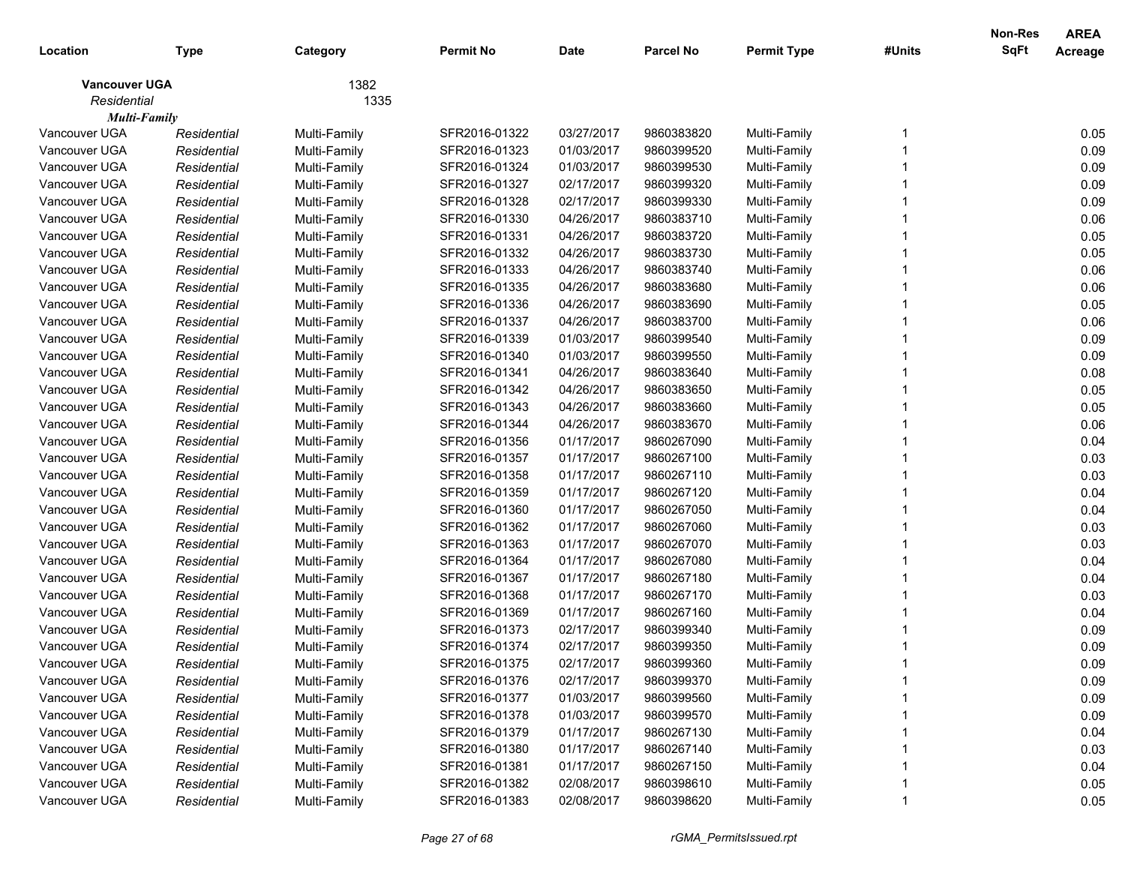|                      |             |              |                  |             |                  |                    |        | <b>Non-Res</b> | <b>AREA</b> |
|----------------------|-------------|--------------|------------------|-------------|------------------|--------------------|--------|----------------|-------------|
| Location             | <b>Type</b> | Category     | <b>Permit No</b> | <b>Date</b> | <b>Parcel No</b> | <b>Permit Type</b> | #Units | <b>SqFt</b>    | Acreage     |
| <b>Vancouver UGA</b> |             | 1382         |                  |             |                  |                    |        |                |             |
| Residential          |             | 1335         |                  |             |                  |                    |        |                |             |
| <b>Multi-Family</b>  |             |              |                  |             |                  |                    |        |                |             |
| Vancouver UGA        | Residential | Multi-Family | SFR2016-01322    | 03/27/2017  | 9860383820       | Multi-Family       |        |                | 0.05        |
| Vancouver UGA        | Residential | Multi-Family | SFR2016-01323    | 01/03/2017  | 9860399520       | Multi-Family       |        |                | 0.09        |
| Vancouver UGA        | Residential | Multi-Family | SFR2016-01324    | 01/03/2017  | 9860399530       | Multi-Family       |        |                | 0.09        |
| Vancouver UGA        | Residential | Multi-Family | SFR2016-01327    | 02/17/2017  | 9860399320       | Multi-Family       |        |                | 0.09        |
| Vancouver UGA        | Residential | Multi-Family | SFR2016-01328    | 02/17/2017  | 9860399330       | Multi-Family       |        |                | 0.09        |
| Vancouver UGA        | Residential | Multi-Family | SFR2016-01330    | 04/26/2017  | 9860383710       | Multi-Family       |        |                | 0.06        |
| Vancouver UGA        | Residential | Multi-Family | SFR2016-01331    | 04/26/2017  | 9860383720       | Multi-Family       |        |                | 0.05        |
| Vancouver UGA        | Residential | Multi-Family | SFR2016-01332    | 04/26/2017  | 9860383730       | Multi-Family       |        |                | 0.05        |
| Vancouver UGA        | Residential | Multi-Family | SFR2016-01333    | 04/26/2017  | 9860383740       | Multi-Family       |        |                | 0.06        |
| Vancouver UGA        | Residential | Multi-Family | SFR2016-01335    | 04/26/2017  | 9860383680       | Multi-Family       |        |                | 0.06        |
| Vancouver UGA        | Residential | Multi-Family | SFR2016-01336    | 04/26/2017  | 9860383690       | Multi-Family       |        |                | 0.05        |
| Vancouver UGA        | Residential | Multi-Family | SFR2016-01337    | 04/26/2017  | 9860383700       | Multi-Family       |        |                | 0.06        |
| Vancouver UGA        | Residential | Multi-Family | SFR2016-01339    | 01/03/2017  | 9860399540       | Multi-Family       |        |                | 0.09        |
| Vancouver UGA        | Residential | Multi-Family | SFR2016-01340    | 01/03/2017  | 9860399550       | Multi-Family       |        |                | 0.09        |
| Vancouver UGA        | Residential | Multi-Family | SFR2016-01341    | 04/26/2017  | 9860383640       | Multi-Family       |        |                | 0.08        |
| Vancouver UGA        | Residential | Multi-Family | SFR2016-01342    | 04/26/2017  | 9860383650       | Multi-Family       |        |                | 0.05        |
| Vancouver UGA        | Residential | Multi-Family | SFR2016-01343    | 04/26/2017  | 9860383660       | Multi-Family       |        |                | 0.05        |
| Vancouver UGA        | Residential | Multi-Family | SFR2016-01344    | 04/26/2017  | 9860383670       | Multi-Family       |        |                | 0.06        |
| Vancouver UGA        | Residential | Multi-Family | SFR2016-01356    | 01/17/2017  | 9860267090       | Multi-Family       |        |                | 0.04        |
| Vancouver UGA        | Residential | Multi-Family | SFR2016-01357    | 01/17/2017  | 9860267100       | Multi-Family       |        |                | 0.03        |
| Vancouver UGA        | Residential | Multi-Family | SFR2016-01358    | 01/17/2017  | 9860267110       | Multi-Family       |        |                | 0.03        |
| Vancouver UGA        | Residential | Multi-Family | SFR2016-01359    | 01/17/2017  | 9860267120       | Multi-Family       |        |                | 0.04        |
| Vancouver UGA        | Residential | Multi-Family | SFR2016-01360    | 01/17/2017  | 9860267050       | Multi-Family       |        |                | 0.04        |
| Vancouver UGA        | Residential | Multi-Family | SFR2016-01362    | 01/17/2017  | 9860267060       | Multi-Family       |        |                | 0.03        |
| Vancouver UGA        | Residential | Multi-Family | SFR2016-01363    | 01/17/2017  | 9860267070       | Multi-Family       |        |                | 0.03        |
| Vancouver UGA        | Residential | Multi-Family | SFR2016-01364    | 01/17/2017  | 9860267080       | Multi-Family       |        |                | 0.04        |
| Vancouver UGA        | Residential | Multi-Family | SFR2016-01367    | 01/17/2017  | 9860267180       | Multi-Family       |        |                | 0.04        |
| Vancouver UGA        | Residential | Multi-Family | SFR2016-01368    | 01/17/2017  | 9860267170       | Multi-Family       |        |                | 0.03        |
| Vancouver UGA        | Residential | Multi-Family | SFR2016-01369    | 01/17/2017  | 9860267160       | Multi-Family       |        |                | 0.04        |
| Vancouver UGA        | Residential | Multi-Family | SFR2016-01373    | 02/17/2017  | 9860399340       | Multi-Family       |        |                | 0.09        |
| Vancouver UGA        | Residential | Multi-Family | SFR2016-01374    | 02/17/2017  | 9860399350       | Multi-Family       |        |                | 0.09        |
| Vancouver UGA        | Residential | Multi-Family | SFR2016-01375    | 02/17/2017  | 9860399360       | Multi-Family       |        |                | 0.09        |
| Vancouver UGA        | Residential | Multi-Family | SFR2016-01376    | 02/17/2017  | 9860399370       | Multi-Family       |        |                | 0.09        |
| Vancouver UGA        | Residential | Multi-Family | SFR2016-01377    | 01/03/2017  | 9860399560       | Multi-Family       |        |                | 0.09        |
| Vancouver UGA        | Residential | Multi-Family | SFR2016-01378    | 01/03/2017  | 9860399570       | Multi-Family       |        |                | 0.09        |
| Vancouver UGA        | Residential | Multi-Family | SFR2016-01379    | 01/17/2017  | 9860267130       | Multi-Family       |        |                | 0.04        |
| Vancouver UGA        | Residential | Multi-Family | SFR2016-01380    | 01/17/2017  | 9860267140       | Multi-Family       |        |                | 0.03        |
| Vancouver UGA        | Residential | Multi-Family | SFR2016-01381    | 01/17/2017  | 9860267150       | Multi-Family       |        |                | 0.04        |
| Vancouver UGA        | Residential | Multi-Family | SFR2016-01382    | 02/08/2017  | 9860398610       | Multi-Family       |        |                | 0.05        |
| Vancouver UGA        | Residential | Multi-Family | SFR2016-01383    | 02/08/2017  | 9860398620       | Multi-Family       |        |                | 0.05        |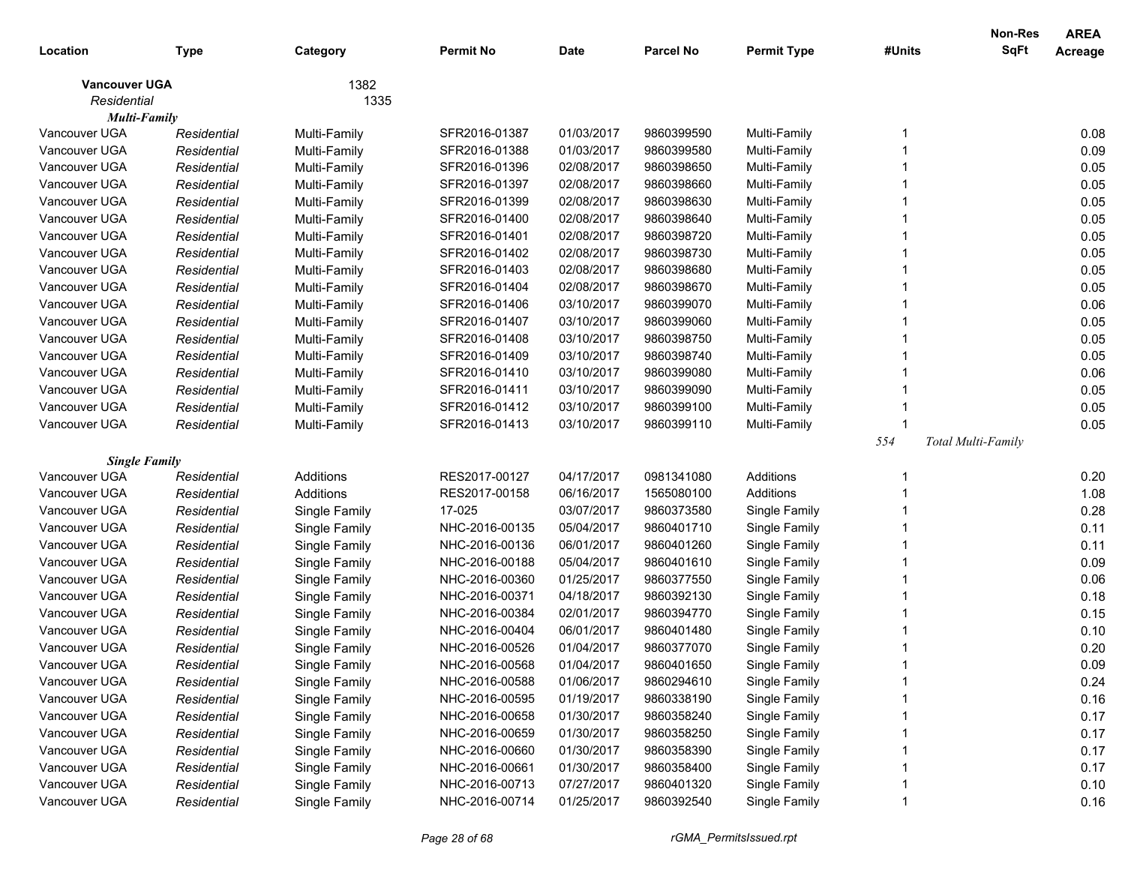|                      |             |               |                  |            |                  |                    |        | <b>Non-Res</b>     | <b>AREA</b> |
|----------------------|-------------|---------------|------------------|------------|------------------|--------------------|--------|--------------------|-------------|
| Location             | <b>Type</b> | Category      | <b>Permit No</b> | Date       | <b>Parcel No</b> | <b>Permit Type</b> | #Units | <b>SqFt</b>        | Acreage     |
| <b>Vancouver UGA</b> |             | 1382          |                  |            |                  |                    |        |                    |             |
| Residential          |             | 1335          |                  |            |                  |                    |        |                    |             |
| <b>Multi-Family</b>  |             |               |                  |            |                  |                    |        |                    |             |
| Vancouver UGA        | Residential | Multi-Family  | SFR2016-01387    | 01/03/2017 | 9860399590       | Multi-Family       |        |                    | 0.08        |
| Vancouver UGA        | Residential | Multi-Family  | SFR2016-01388    | 01/03/2017 | 9860399580       | Multi-Family       |        |                    | 0.09        |
| Vancouver UGA        | Residential | Multi-Family  | SFR2016-01396    | 02/08/2017 | 9860398650       | Multi-Family       |        |                    | 0.05        |
| Vancouver UGA        | Residential | Multi-Family  | SFR2016-01397    | 02/08/2017 | 9860398660       | Multi-Family       |        |                    | 0.05        |
| Vancouver UGA        | Residential | Multi-Family  | SFR2016-01399    | 02/08/2017 | 9860398630       | Multi-Family       |        |                    | 0.05        |
| Vancouver UGA        | Residential | Multi-Family  | SFR2016-01400    | 02/08/2017 | 9860398640       | Multi-Family       |        |                    | 0.05        |
| Vancouver UGA        | Residential | Multi-Family  | SFR2016-01401    | 02/08/2017 | 9860398720       | Multi-Family       |        |                    | 0.05        |
| Vancouver UGA        | Residential | Multi-Family  | SFR2016-01402    | 02/08/2017 | 9860398730       | Multi-Family       |        |                    | 0.05        |
| Vancouver UGA        | Residential | Multi-Family  | SFR2016-01403    | 02/08/2017 | 9860398680       | Multi-Family       |        |                    | 0.05        |
| Vancouver UGA        | Residential | Multi-Family  | SFR2016-01404    | 02/08/2017 | 9860398670       | Multi-Family       |        |                    | 0.05        |
| Vancouver UGA        | Residential | Multi-Family  | SFR2016-01406    | 03/10/2017 | 9860399070       | Multi-Family       |        |                    | 0.06        |
| Vancouver UGA        | Residential | Multi-Family  | SFR2016-01407    | 03/10/2017 | 9860399060       | Multi-Family       |        |                    | 0.05        |
| Vancouver UGA        | Residential | Multi-Family  | SFR2016-01408    | 03/10/2017 | 9860398750       | Multi-Family       |        |                    | 0.05        |
| Vancouver UGA        | Residential | Multi-Family  | SFR2016-01409    | 03/10/2017 | 9860398740       | Multi-Family       |        |                    | 0.05        |
| Vancouver UGA        | Residential | Multi-Family  | SFR2016-01410    | 03/10/2017 | 9860399080       | Multi-Family       |        |                    | 0.06        |
| Vancouver UGA        | Residential | Multi-Family  | SFR2016-01411    | 03/10/2017 | 9860399090       | Multi-Family       |        |                    | 0.05        |
| Vancouver UGA        | Residential | Multi-Family  | SFR2016-01412    | 03/10/2017 | 9860399100       | Multi-Family       |        |                    | 0.05        |
| Vancouver UGA        | Residential | Multi-Family  | SFR2016-01413    | 03/10/2017 | 9860399110       | Multi-Family       |        |                    | 0.05        |
|                      |             |               |                  |            |                  |                    | 554    | Total Multi-Family |             |
| <b>Single Family</b> |             |               |                  |            |                  |                    |        |                    |             |
| Vancouver UGA        | Residential | Additions     | RES2017-00127    | 04/17/2017 | 0981341080       | Additions          |        |                    | 0.20        |
| Vancouver UGA        | Residential | Additions     | RES2017-00158    | 06/16/2017 | 1565080100       | Additions          |        |                    | 1.08        |
| Vancouver UGA        | Residential | Single Family | 17-025           | 03/07/2017 | 9860373580       | Single Family      |        |                    | 0.28        |
| Vancouver UGA        | Residential | Single Family | NHC-2016-00135   | 05/04/2017 | 9860401710       | Single Family      |        |                    | 0.11        |
| Vancouver UGA        | Residential | Single Family | NHC-2016-00136   | 06/01/2017 | 9860401260       | Single Family      |        |                    | 0.11        |
| Vancouver UGA        | Residential | Single Family | NHC-2016-00188   | 05/04/2017 | 9860401610       | Single Family      |        |                    | 0.09        |
| Vancouver UGA        | Residential | Single Family | NHC-2016-00360   | 01/25/2017 | 9860377550       | Single Family      |        |                    | 0.06        |
| Vancouver UGA        | Residential | Single Family | NHC-2016-00371   | 04/18/2017 | 9860392130       | Single Family      |        |                    | 0.18        |
| Vancouver UGA        | Residential | Single Family | NHC-2016-00384   | 02/01/2017 | 9860394770       | Single Family      |        |                    | 0.15        |
| Vancouver UGA        | Residential | Single Family | NHC-2016-00404   | 06/01/2017 | 9860401480       | Single Family      |        |                    | 0.10        |
| Vancouver UGA        | Residential | Single Family | NHC-2016-00526   | 01/04/2017 | 9860377070       | Single Family      |        |                    | 0.20        |
| Vancouver UGA        | Residential | Single Family | NHC-2016-00568   | 01/04/2017 | 9860401650       | Single Family      |        |                    | 0.09        |
| Vancouver UGA        | Residential | Single Family | NHC-2016-00588   | 01/06/2017 | 9860294610       | Single Family      |        |                    | 0.24        |
| Vancouver UGA        | Residential | Single Family | NHC-2016-00595   | 01/19/2017 | 9860338190       | Single Family      |        |                    | 0.16        |
| Vancouver UGA        | Residential | Single Family | NHC-2016-00658   | 01/30/2017 | 9860358240       | Single Family      |        |                    | 0.17        |
| Vancouver UGA        | Residential | Single Family | NHC-2016-00659   | 01/30/2017 | 9860358250       | Single Family      |        |                    | 0.17        |
| Vancouver UGA        | Residential | Single Family | NHC-2016-00660   | 01/30/2017 | 9860358390       | Single Family      |        |                    | 0.17        |
| Vancouver UGA        | Residential | Single Family | NHC-2016-00661   | 01/30/2017 | 9860358400       | Single Family      |        |                    | 0.17        |
| Vancouver UGA        | Residential | Single Family | NHC-2016-00713   | 07/27/2017 | 9860401320       | Single Family      |        |                    | 0.10        |
| Vancouver UGA        | Residential | Single Family | NHC-2016-00714   | 01/25/2017 | 9860392540       | Single Family      |        |                    | 0.16        |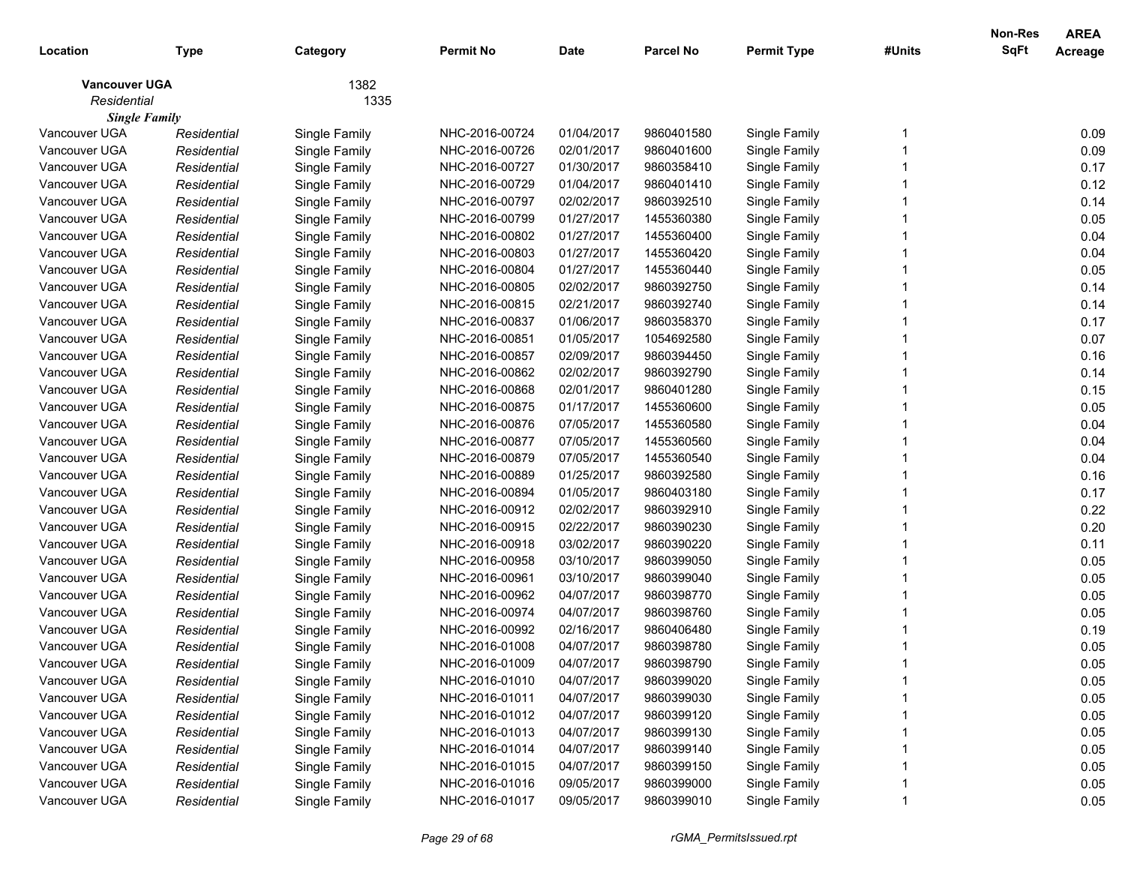| Location                            | <b>Type</b> | Category      | <b>Permit No</b> | <b>Date</b> | <b>Parcel No</b> | <b>Permit Type</b> | #Units | Non-Res<br>SqFt | <b>AREA</b><br>Acreage |
|-------------------------------------|-------------|---------------|------------------|-------------|------------------|--------------------|--------|-----------------|------------------------|
| <b>Vancouver UGA</b><br>Residential |             | 1382<br>1335  |                  |             |                  |                    |        |                 |                        |
| <b>Single Family</b>                |             |               |                  |             |                  |                    |        |                 |                        |
| Vancouver UGA                       | Residential | Single Family | NHC-2016-00724   | 01/04/2017  | 9860401580       | Single Family      |        |                 | 0.09                   |
| Vancouver UGA                       | Residential | Single Family | NHC-2016-00726   | 02/01/2017  | 9860401600       | Single Family      |        |                 | 0.09                   |
| Vancouver UGA                       | Residential | Single Family | NHC-2016-00727   | 01/30/2017  | 9860358410       | Single Family      |        |                 | 0.17                   |
| Vancouver UGA                       | Residential | Single Family | NHC-2016-00729   | 01/04/2017  | 9860401410       | Single Family      |        |                 | 0.12                   |
| Vancouver UGA                       | Residential | Single Family | NHC-2016-00797   | 02/02/2017  | 9860392510       | Single Family      |        |                 | 0.14                   |
| Vancouver UGA                       | Residential | Single Family | NHC-2016-00799   | 01/27/2017  | 1455360380       | Single Family      |        |                 | 0.05                   |
| Vancouver UGA                       | Residential | Single Family | NHC-2016-00802   | 01/27/2017  | 1455360400       | Single Family      |        |                 | 0.04                   |
| Vancouver UGA                       | Residential | Single Family | NHC-2016-00803   | 01/27/2017  | 1455360420       | Single Family      |        |                 | 0.04                   |
| Vancouver UGA                       | Residential | Single Family | NHC-2016-00804   | 01/27/2017  | 1455360440       | Single Family      |        |                 | 0.05                   |
| Vancouver UGA                       | Residential | Single Family | NHC-2016-00805   | 02/02/2017  | 9860392750       | Single Family      |        |                 | 0.14                   |
| Vancouver UGA                       | Residential | Single Family | NHC-2016-00815   | 02/21/2017  | 9860392740       | Single Family      |        |                 | 0.14                   |
| Vancouver UGA                       | Residential | Single Family | NHC-2016-00837   | 01/06/2017  | 9860358370       | Single Family      |        |                 | 0.17                   |
| Vancouver UGA                       | Residential | Single Family | NHC-2016-00851   | 01/05/2017  | 1054692580       | Single Family      |        |                 | 0.07                   |
| Vancouver UGA                       | Residential | Single Family | NHC-2016-00857   | 02/09/2017  | 9860394450       | Single Family      |        |                 | 0.16                   |
| Vancouver UGA                       | Residential | Single Family | NHC-2016-00862   | 02/02/2017  | 9860392790       | Single Family      |        |                 | 0.14                   |
| Vancouver UGA                       | Residential | Single Family | NHC-2016-00868   | 02/01/2017  | 9860401280       | Single Family      |        |                 | 0.15                   |
| Vancouver UGA                       | Residential | Single Family | NHC-2016-00875   | 01/17/2017  | 1455360600       | Single Family      |        |                 | 0.05                   |
| Vancouver UGA                       | Residential | Single Family | NHC-2016-00876   | 07/05/2017  | 1455360580       | Single Family      |        |                 | 0.04                   |
| Vancouver UGA                       | Residential | Single Family | NHC-2016-00877   | 07/05/2017  | 1455360560       | Single Family      |        |                 | 0.04                   |
| Vancouver UGA                       | Residential | Single Family | NHC-2016-00879   | 07/05/2017  | 1455360540       | Single Family      |        |                 | 0.04                   |
| Vancouver UGA                       | Residential | Single Family | NHC-2016-00889   | 01/25/2017  | 9860392580       | Single Family      |        |                 | 0.16                   |
| Vancouver UGA                       | Residential | Single Family | NHC-2016-00894   | 01/05/2017  | 9860403180       | Single Family      |        |                 | 0.17                   |
| Vancouver UGA                       | Residential | Single Family | NHC-2016-00912   | 02/02/2017  | 9860392910       | Single Family      |        |                 | 0.22                   |
| Vancouver UGA                       | Residential | Single Family | NHC-2016-00915   | 02/22/2017  | 9860390230       | Single Family      |        |                 | 0.20                   |
| Vancouver UGA                       | Residential | Single Family | NHC-2016-00918   | 03/02/2017  | 9860390220       | Single Family      |        |                 | 0.11                   |
| Vancouver UGA                       | Residential | Single Family | NHC-2016-00958   | 03/10/2017  | 9860399050       | Single Family      |        |                 | 0.05                   |
| Vancouver UGA                       | Residential | Single Family | NHC-2016-00961   | 03/10/2017  | 9860399040       | Single Family      |        |                 | 0.05                   |
| Vancouver UGA                       | Residential | Single Family | NHC-2016-00962   | 04/07/2017  | 9860398770       | Single Family      |        |                 | 0.05                   |
| Vancouver UGA                       | Residential | Single Family | NHC-2016-00974   | 04/07/2017  | 9860398760       | Single Family      |        |                 | 0.05                   |
| Vancouver UGA                       | Residential | Single Family | NHC-2016-00992   | 02/16/2017  | 9860406480       | Single Family      |        |                 | 0.19                   |
| Vancouver UGA                       | Residential | Single Family | NHC-2016-01008   | 04/07/2017  | 9860398780       | Single Family      |        |                 | 0.05                   |
| Vancouver UGA                       | Residential | Single Family | NHC-2016-01009   | 04/07/2017  | 9860398790       | Single Family      |        |                 | 0.05                   |
| Vancouver UGA                       | Residential | Single Family | NHC-2016-01010   | 04/07/2017  | 9860399020       | Single Family      |        |                 | 0.05                   |
| Vancouver UGA                       | Residential | Single Family | NHC-2016-01011   | 04/07/2017  | 9860399030       | Single Family      |        |                 | 0.05                   |
| Vancouver UGA                       | Residential | Single Family | NHC-2016-01012   | 04/07/2017  | 9860399120       | Single Family      |        |                 | 0.05                   |
| Vancouver UGA                       | Residential | Single Family | NHC-2016-01013   | 04/07/2017  | 9860399130       | Single Family      |        |                 | 0.05                   |
| Vancouver UGA                       | Residential | Single Family | NHC-2016-01014   | 04/07/2017  | 9860399140       | Single Family      |        |                 | 0.05                   |
| Vancouver UGA                       | Residential | Single Family | NHC-2016-01015   | 04/07/2017  | 9860399150       | Single Family      |        |                 | 0.05                   |
| Vancouver UGA                       | Residential | Single Family | NHC-2016-01016   | 09/05/2017  | 9860399000       | Single Family      |        |                 | 0.05                   |
| Vancouver UGA                       | Residential | Single Family | NHC-2016-01017   | 09/05/2017  | 9860399010       | Single Family      |        |                 | 0.05                   |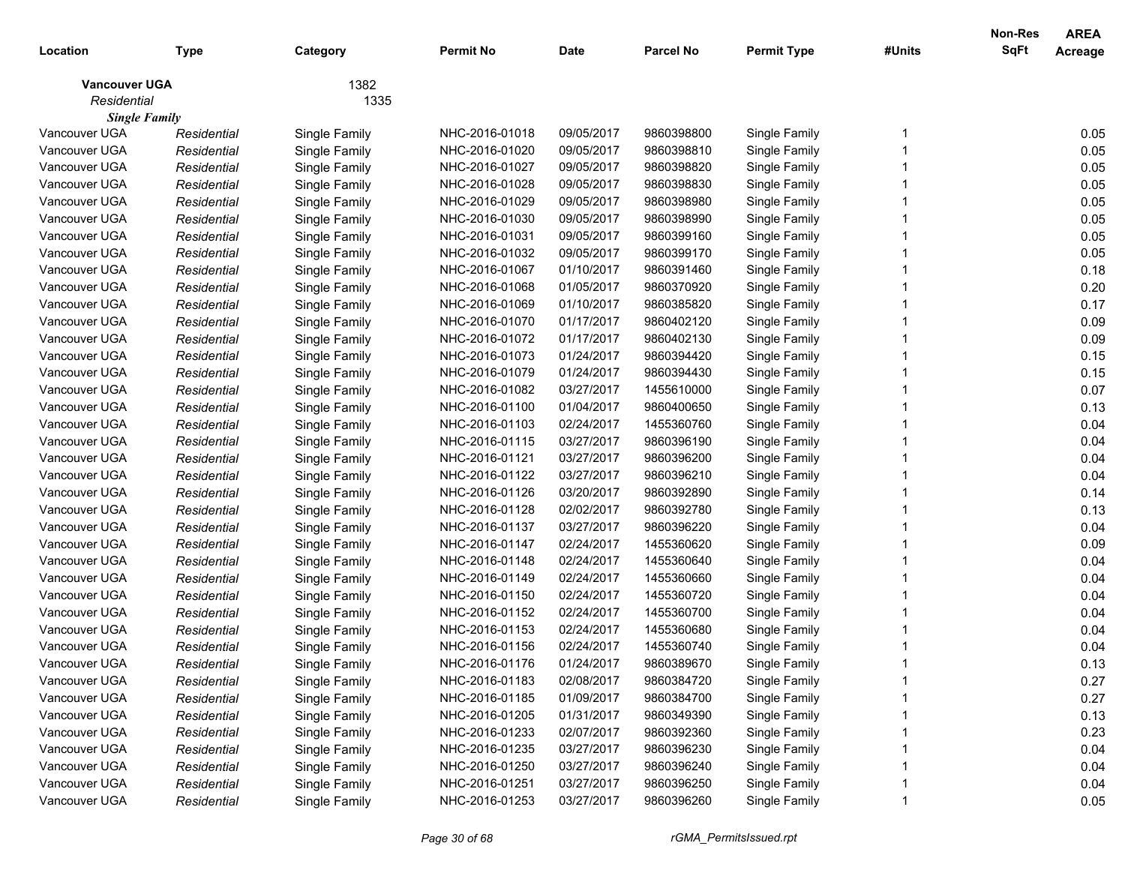| 1382<br><b>Vancouver UGA</b><br>Residential<br>1335<br><b>Single Family</b><br>Vancouver UGA<br>09/05/2017<br>9860398800<br>0.05<br>Single Family<br>NHC-2016-01018<br>Single Family<br>Residential<br>09/05/2017<br>0.05<br>Vancouver UGA<br>Residential<br>Single Family<br>NHC-2016-01020<br>9860398810<br>Single Family<br>Vancouver UGA<br>NHC-2016-01027<br>09/05/2017<br>9860398820<br>Single Family<br>0.05<br>Residential<br>Single Family<br>0.05<br>Vancouver UGA<br>NHC-2016-01028<br>Residential<br>Single Family<br>09/05/2017<br>9860398830<br>Single Family<br>0.05<br>Vancouver UGA<br>NHC-2016-01029<br>Residential<br>Single Family<br>09/05/2017<br>9860398980<br>Single Family<br>0.05<br>Vancouver UGA<br>Residential<br>Single Family<br>NHC-2016-01030<br>09/05/2017<br>9860398990<br>Single Family<br>0.05<br>Vancouver UGA<br>NHC-2016-01031<br>Residential<br>Single Family<br>09/05/2017<br>9860399160<br>Single Family<br>0.05<br>Vancouver UGA<br>NHC-2016-01032<br>Residential<br>Single Family<br>09/05/2017<br>9860399170<br>Single Family<br>0.18<br>Vancouver UGA<br>Residential<br>Single Family<br>NHC-2016-01067<br>01/10/2017<br>9860391460<br>Single Family<br>Vancouver UGA<br>NHC-2016-01068<br>01/05/2017<br>9860370920<br>Single Family<br>0.20<br>Residential<br>Single Family<br>Vancouver UGA<br>NHC-2016-01069<br>01/10/2017<br>9860385820<br>Single Family<br>0.17<br>Residential<br>Single Family<br>Vancouver UGA<br>0.09<br>Residential<br>Single Family<br>NHC-2016-01070<br>01/17/2017<br>9860402120<br>Single Family<br>Vancouver UGA<br>0.09<br>Residential<br>Single Family<br>NHC-2016-01072<br>01/17/2017<br>9860402130<br>Single Family<br>0.15<br>Vancouver UGA<br>Residential<br>Single Family<br>NHC-2016-01073<br>01/24/2017<br>9860394420<br>Single Family<br>0.15<br>Vancouver UGA<br>Residential<br>Single Family<br>NHC-2016-01079<br>01/24/2017<br>9860394430<br>Single Family<br>0.07<br>Vancouver UGA<br>03/27/2017<br>Residential<br>Single Family<br>NHC-2016-01082<br>1455610000<br>Single Family<br>0.13<br>Vancouver UGA<br>Residential<br>Single Family<br>NHC-2016-01100<br>01/04/2017<br>9860400650<br>Single Family<br>Vancouver UGA<br>NHC-2016-01103<br>02/24/2017<br>1455360760<br>Single Family<br>0.04<br>Residential<br>Single Family<br>Vancouver UGA<br>0.04<br>Residential<br>Single Family<br>NHC-2016-01115<br>03/27/2017<br>9860396190<br>Single Family<br>Vancouver UGA<br>0.04<br>Residential<br>Single Family<br>NHC-2016-01121<br>03/27/2017<br>9860396200<br>Single Family<br>Vancouver UGA<br>0.04<br>Residential<br>Single Family<br>NHC-2016-01122<br>03/27/2017<br>9860396210<br>Single Family<br>Vancouver UGA<br>0.14<br>Residential<br>Single Family<br>NHC-2016-01126<br>03/20/2017<br>9860392890<br>Single Family<br>0.13<br>Vancouver UGA<br>02/02/2017<br>Residential<br>Single Family<br>NHC-2016-01128<br>9860392780<br>Single Family<br>Vancouver UGA<br>03/27/2017<br>0.04<br>Residential<br>Single Family<br>NHC-2016-01137<br>9860396220<br>Single Family<br>Vancouver UGA<br>0.09<br>NHC-2016-01147<br>02/24/2017<br>1455360620<br>Single Family<br>Residential<br>Single Family<br>Vancouver UGA<br>NHC-2016-01148<br>02/24/2017<br>1455360640<br>Single Family<br>0.04<br>Residential<br>Single Family<br>Vancouver UGA<br>02/24/2017<br>1455360660<br>0.04<br>Residential<br>Single Family<br>NHC-2016-01149<br>Single Family<br>Vancouver UGA<br>02/24/2017<br>1455360720<br>0.04<br>Residential<br>Single Family<br>NHC-2016-01150<br>Single Family<br>02/24/2017<br>1455360700<br>0.04<br>Vancouver UGA<br>Residential<br>Single Family<br>NHC-2016-01152<br>Single Family<br>02/24/2017<br>1455360680<br>0.04<br>Vancouver UGA<br>Residential<br>Single Family<br>NHC-2016-01153<br>Single Family<br>0.04<br>Vancouver UGA<br>Single Family<br>NHC-2016-01156<br>02/24/2017<br>1455360740<br>Single Family<br>Residential<br>Vancouver UGA<br>01/24/2017<br>Single Family<br>Residential<br>NHC-2016-01176<br>9860389670<br>0.13<br>Single Family<br>02/08/2017<br>9860384720<br>Single Family<br>Vancouver UGA<br>NHC-2016-01183<br>0.27<br>Residential<br>Single Family<br>0.27<br>Vancouver UGA<br>Single Family<br>NHC-2016-01185<br>01/09/2017<br>9860384700<br>Single Family<br>Residential<br>0.13<br>Vancouver UGA<br>Single Family<br>01/31/2017<br>Single Family<br>Residential<br>NHC-2016-01205<br>9860349390<br>0.23<br>Vancouver UGA<br>Single Family<br>02/07/2017<br>Single Family<br>Residential<br>NHC-2016-01233<br>9860392360<br>Vancouver UGA<br>Single Family<br>03/27/2017<br>Single Family<br>0.04<br>Residential<br>NHC-2016-01235<br>9860396230<br>Vancouver UGA<br>Single Family<br>03/27/2017<br>Single Family<br>0.04<br>Residential<br>NHC-2016-01250<br>9860396240<br>Vancouver UGA<br>Single Family<br>NHC-2016-01251<br>03/27/2017<br>Single Family<br>0.04<br>Residential<br>9860396250<br>Vancouver UGA<br>NHC-2016-01253<br>03/27/2017<br>Single Family<br>Single Family<br>9860396260<br>0.05<br>Residential | Location | <b>Type</b> | Category | <b>Permit No</b> | <b>Date</b> | <b>Parcel No</b> | <b>Permit Type</b> | #Units | <b>Non-Res</b><br>SqFt | <b>AREA</b><br>Acreage |
|-----------------------------------------------------------------------------------------------------------------------------------------------------------------------------------------------------------------------------------------------------------------------------------------------------------------------------------------------------------------------------------------------------------------------------------------------------------------------------------------------------------------------------------------------------------------------------------------------------------------------------------------------------------------------------------------------------------------------------------------------------------------------------------------------------------------------------------------------------------------------------------------------------------------------------------------------------------------------------------------------------------------------------------------------------------------------------------------------------------------------------------------------------------------------------------------------------------------------------------------------------------------------------------------------------------------------------------------------------------------------------------------------------------------------------------------------------------------------------------------------------------------------------------------------------------------------------------------------------------------------------------------------------------------------------------------------------------------------------------------------------------------------------------------------------------------------------------------------------------------------------------------------------------------------------------------------------------------------------------------------------------------------------------------------------------------------------------------------------------------------------------------------------------------------------------------------------------------------------------------------------------------------------------------------------------------------------------------------------------------------------------------------------------------------------------------------------------------------------------------------------------------------------------------------------------------------------------------------------------------------------------------------------------------------------------------------------------------------------------------------------------------------------------------------------------------------------------------------------------------------------------------------------------------------------------------------------------------------------------------------------------------------------------------------------------------------------------------------------------------------------------------------------------------------------------------------------------------------------------------------------------------------------------------------------------------------------------------------------------------------------------------------------------------------------------------------------------------------------------------------------------------------------------------------------------------------------------------------------------------------------------------------------------------------------------------------------------------------------------------------------------------------------------------------------------------------------------------------------------------------------------------------------------------------------------------------------------------------------------------------------------------------------------------------------------------------------------------------------------------------------------------------------------------------------------------------------------------------------------------------------------------------------------------------------------------------------------------------------------------------------------------------------------------------------------------------------------------------------------------------------------------------------------------------------------------------------------------------------------------------------------------------------------------------------------------------------------------------------------------------------------------------------------------------------------------------------------------------------------------------------------------------------------------------------------------------------------------------------------------------------------------------------------------------------------------------------|----------|-------------|----------|------------------|-------------|------------------|--------------------|--------|------------------------|------------------------|
|                                                                                                                                                                                                                                                                                                                                                                                                                                                                                                                                                                                                                                                                                                                                                                                                                                                                                                                                                                                                                                                                                                                                                                                                                                                                                                                                                                                                                                                                                                                                                                                                                                                                                                                                                                                                                                                                                                                                                                                                                                                                                                                                                                                                                                                                                                                                                                                                                                                                                                                                                                                                                                                                                                                                                                                                                                                                                                                                                                                                                                                                                                                                                                                                                                                                                                                                                                                                                                                                                                                                                                                                                                                                                                                                                                                                                                                                                                                                                                                                                                                                                                                                                                                                                                                                                                                                                                                                                                                                                                                                                                                                                                                                                                                                                                                                                                                                                                                                                                                                                                                                             |          |             |          |                  |             |                  |                    |        |                        |                        |
|                                                                                                                                                                                                                                                                                                                                                                                                                                                                                                                                                                                                                                                                                                                                                                                                                                                                                                                                                                                                                                                                                                                                                                                                                                                                                                                                                                                                                                                                                                                                                                                                                                                                                                                                                                                                                                                                                                                                                                                                                                                                                                                                                                                                                                                                                                                                                                                                                                                                                                                                                                                                                                                                                                                                                                                                                                                                                                                                                                                                                                                                                                                                                                                                                                                                                                                                                                                                                                                                                                                                                                                                                                                                                                                                                                                                                                                                                                                                                                                                                                                                                                                                                                                                                                                                                                                                                                                                                                                                                                                                                                                                                                                                                                                                                                                                                                                                                                                                                                                                                                                                             |          |             |          |                  |             |                  |                    |        |                        |                        |
|                                                                                                                                                                                                                                                                                                                                                                                                                                                                                                                                                                                                                                                                                                                                                                                                                                                                                                                                                                                                                                                                                                                                                                                                                                                                                                                                                                                                                                                                                                                                                                                                                                                                                                                                                                                                                                                                                                                                                                                                                                                                                                                                                                                                                                                                                                                                                                                                                                                                                                                                                                                                                                                                                                                                                                                                                                                                                                                                                                                                                                                                                                                                                                                                                                                                                                                                                                                                                                                                                                                                                                                                                                                                                                                                                                                                                                                                                                                                                                                                                                                                                                                                                                                                                                                                                                                                                                                                                                                                                                                                                                                                                                                                                                                                                                                                                                                                                                                                                                                                                                                                             |          |             |          |                  |             |                  |                    |        |                        |                        |
|                                                                                                                                                                                                                                                                                                                                                                                                                                                                                                                                                                                                                                                                                                                                                                                                                                                                                                                                                                                                                                                                                                                                                                                                                                                                                                                                                                                                                                                                                                                                                                                                                                                                                                                                                                                                                                                                                                                                                                                                                                                                                                                                                                                                                                                                                                                                                                                                                                                                                                                                                                                                                                                                                                                                                                                                                                                                                                                                                                                                                                                                                                                                                                                                                                                                                                                                                                                                                                                                                                                                                                                                                                                                                                                                                                                                                                                                                                                                                                                                                                                                                                                                                                                                                                                                                                                                                                                                                                                                                                                                                                                                                                                                                                                                                                                                                                                                                                                                                                                                                                                                             |          |             |          |                  |             |                  |                    |        |                        |                        |
|                                                                                                                                                                                                                                                                                                                                                                                                                                                                                                                                                                                                                                                                                                                                                                                                                                                                                                                                                                                                                                                                                                                                                                                                                                                                                                                                                                                                                                                                                                                                                                                                                                                                                                                                                                                                                                                                                                                                                                                                                                                                                                                                                                                                                                                                                                                                                                                                                                                                                                                                                                                                                                                                                                                                                                                                                                                                                                                                                                                                                                                                                                                                                                                                                                                                                                                                                                                                                                                                                                                                                                                                                                                                                                                                                                                                                                                                                                                                                                                                                                                                                                                                                                                                                                                                                                                                                                                                                                                                                                                                                                                                                                                                                                                                                                                                                                                                                                                                                                                                                                                                             |          |             |          |                  |             |                  |                    |        |                        |                        |
|                                                                                                                                                                                                                                                                                                                                                                                                                                                                                                                                                                                                                                                                                                                                                                                                                                                                                                                                                                                                                                                                                                                                                                                                                                                                                                                                                                                                                                                                                                                                                                                                                                                                                                                                                                                                                                                                                                                                                                                                                                                                                                                                                                                                                                                                                                                                                                                                                                                                                                                                                                                                                                                                                                                                                                                                                                                                                                                                                                                                                                                                                                                                                                                                                                                                                                                                                                                                                                                                                                                                                                                                                                                                                                                                                                                                                                                                                                                                                                                                                                                                                                                                                                                                                                                                                                                                                                                                                                                                                                                                                                                                                                                                                                                                                                                                                                                                                                                                                                                                                                                                             |          |             |          |                  |             |                  |                    |        |                        |                        |
|                                                                                                                                                                                                                                                                                                                                                                                                                                                                                                                                                                                                                                                                                                                                                                                                                                                                                                                                                                                                                                                                                                                                                                                                                                                                                                                                                                                                                                                                                                                                                                                                                                                                                                                                                                                                                                                                                                                                                                                                                                                                                                                                                                                                                                                                                                                                                                                                                                                                                                                                                                                                                                                                                                                                                                                                                                                                                                                                                                                                                                                                                                                                                                                                                                                                                                                                                                                                                                                                                                                                                                                                                                                                                                                                                                                                                                                                                                                                                                                                                                                                                                                                                                                                                                                                                                                                                                                                                                                                                                                                                                                                                                                                                                                                                                                                                                                                                                                                                                                                                                                                             |          |             |          |                  |             |                  |                    |        |                        |                        |
|                                                                                                                                                                                                                                                                                                                                                                                                                                                                                                                                                                                                                                                                                                                                                                                                                                                                                                                                                                                                                                                                                                                                                                                                                                                                                                                                                                                                                                                                                                                                                                                                                                                                                                                                                                                                                                                                                                                                                                                                                                                                                                                                                                                                                                                                                                                                                                                                                                                                                                                                                                                                                                                                                                                                                                                                                                                                                                                                                                                                                                                                                                                                                                                                                                                                                                                                                                                                                                                                                                                                                                                                                                                                                                                                                                                                                                                                                                                                                                                                                                                                                                                                                                                                                                                                                                                                                                                                                                                                                                                                                                                                                                                                                                                                                                                                                                                                                                                                                                                                                                                                             |          |             |          |                  |             |                  |                    |        |                        |                        |
|                                                                                                                                                                                                                                                                                                                                                                                                                                                                                                                                                                                                                                                                                                                                                                                                                                                                                                                                                                                                                                                                                                                                                                                                                                                                                                                                                                                                                                                                                                                                                                                                                                                                                                                                                                                                                                                                                                                                                                                                                                                                                                                                                                                                                                                                                                                                                                                                                                                                                                                                                                                                                                                                                                                                                                                                                                                                                                                                                                                                                                                                                                                                                                                                                                                                                                                                                                                                                                                                                                                                                                                                                                                                                                                                                                                                                                                                                                                                                                                                                                                                                                                                                                                                                                                                                                                                                                                                                                                                                                                                                                                                                                                                                                                                                                                                                                                                                                                                                                                                                                                                             |          |             |          |                  |             |                  |                    |        |                        |                        |
|                                                                                                                                                                                                                                                                                                                                                                                                                                                                                                                                                                                                                                                                                                                                                                                                                                                                                                                                                                                                                                                                                                                                                                                                                                                                                                                                                                                                                                                                                                                                                                                                                                                                                                                                                                                                                                                                                                                                                                                                                                                                                                                                                                                                                                                                                                                                                                                                                                                                                                                                                                                                                                                                                                                                                                                                                                                                                                                                                                                                                                                                                                                                                                                                                                                                                                                                                                                                                                                                                                                                                                                                                                                                                                                                                                                                                                                                                                                                                                                                                                                                                                                                                                                                                                                                                                                                                                                                                                                                                                                                                                                                                                                                                                                                                                                                                                                                                                                                                                                                                                                                             |          |             |          |                  |             |                  |                    |        |                        |                        |
|                                                                                                                                                                                                                                                                                                                                                                                                                                                                                                                                                                                                                                                                                                                                                                                                                                                                                                                                                                                                                                                                                                                                                                                                                                                                                                                                                                                                                                                                                                                                                                                                                                                                                                                                                                                                                                                                                                                                                                                                                                                                                                                                                                                                                                                                                                                                                                                                                                                                                                                                                                                                                                                                                                                                                                                                                                                                                                                                                                                                                                                                                                                                                                                                                                                                                                                                                                                                                                                                                                                                                                                                                                                                                                                                                                                                                                                                                                                                                                                                                                                                                                                                                                                                                                                                                                                                                                                                                                                                                                                                                                                                                                                                                                                                                                                                                                                                                                                                                                                                                                                                             |          |             |          |                  |             |                  |                    |        |                        |                        |
|                                                                                                                                                                                                                                                                                                                                                                                                                                                                                                                                                                                                                                                                                                                                                                                                                                                                                                                                                                                                                                                                                                                                                                                                                                                                                                                                                                                                                                                                                                                                                                                                                                                                                                                                                                                                                                                                                                                                                                                                                                                                                                                                                                                                                                                                                                                                                                                                                                                                                                                                                                                                                                                                                                                                                                                                                                                                                                                                                                                                                                                                                                                                                                                                                                                                                                                                                                                                                                                                                                                                                                                                                                                                                                                                                                                                                                                                                                                                                                                                                                                                                                                                                                                                                                                                                                                                                                                                                                                                                                                                                                                                                                                                                                                                                                                                                                                                                                                                                                                                                                                                             |          |             |          |                  |             |                  |                    |        |                        |                        |
|                                                                                                                                                                                                                                                                                                                                                                                                                                                                                                                                                                                                                                                                                                                                                                                                                                                                                                                                                                                                                                                                                                                                                                                                                                                                                                                                                                                                                                                                                                                                                                                                                                                                                                                                                                                                                                                                                                                                                                                                                                                                                                                                                                                                                                                                                                                                                                                                                                                                                                                                                                                                                                                                                                                                                                                                                                                                                                                                                                                                                                                                                                                                                                                                                                                                                                                                                                                                                                                                                                                                                                                                                                                                                                                                                                                                                                                                                                                                                                                                                                                                                                                                                                                                                                                                                                                                                                                                                                                                                                                                                                                                                                                                                                                                                                                                                                                                                                                                                                                                                                                                             |          |             |          |                  |             |                  |                    |        |                        |                        |
|                                                                                                                                                                                                                                                                                                                                                                                                                                                                                                                                                                                                                                                                                                                                                                                                                                                                                                                                                                                                                                                                                                                                                                                                                                                                                                                                                                                                                                                                                                                                                                                                                                                                                                                                                                                                                                                                                                                                                                                                                                                                                                                                                                                                                                                                                                                                                                                                                                                                                                                                                                                                                                                                                                                                                                                                                                                                                                                                                                                                                                                                                                                                                                                                                                                                                                                                                                                                                                                                                                                                                                                                                                                                                                                                                                                                                                                                                                                                                                                                                                                                                                                                                                                                                                                                                                                                                                                                                                                                                                                                                                                                                                                                                                                                                                                                                                                                                                                                                                                                                                                                             |          |             |          |                  |             |                  |                    |        |                        |                        |
|                                                                                                                                                                                                                                                                                                                                                                                                                                                                                                                                                                                                                                                                                                                                                                                                                                                                                                                                                                                                                                                                                                                                                                                                                                                                                                                                                                                                                                                                                                                                                                                                                                                                                                                                                                                                                                                                                                                                                                                                                                                                                                                                                                                                                                                                                                                                                                                                                                                                                                                                                                                                                                                                                                                                                                                                                                                                                                                                                                                                                                                                                                                                                                                                                                                                                                                                                                                                                                                                                                                                                                                                                                                                                                                                                                                                                                                                                                                                                                                                                                                                                                                                                                                                                                                                                                                                                                                                                                                                                                                                                                                                                                                                                                                                                                                                                                                                                                                                                                                                                                                                             |          |             |          |                  |             |                  |                    |        |                        |                        |
|                                                                                                                                                                                                                                                                                                                                                                                                                                                                                                                                                                                                                                                                                                                                                                                                                                                                                                                                                                                                                                                                                                                                                                                                                                                                                                                                                                                                                                                                                                                                                                                                                                                                                                                                                                                                                                                                                                                                                                                                                                                                                                                                                                                                                                                                                                                                                                                                                                                                                                                                                                                                                                                                                                                                                                                                                                                                                                                                                                                                                                                                                                                                                                                                                                                                                                                                                                                                                                                                                                                                                                                                                                                                                                                                                                                                                                                                                                                                                                                                                                                                                                                                                                                                                                                                                                                                                                                                                                                                                                                                                                                                                                                                                                                                                                                                                                                                                                                                                                                                                                                                             |          |             |          |                  |             |                  |                    |        |                        |                        |
|                                                                                                                                                                                                                                                                                                                                                                                                                                                                                                                                                                                                                                                                                                                                                                                                                                                                                                                                                                                                                                                                                                                                                                                                                                                                                                                                                                                                                                                                                                                                                                                                                                                                                                                                                                                                                                                                                                                                                                                                                                                                                                                                                                                                                                                                                                                                                                                                                                                                                                                                                                                                                                                                                                                                                                                                                                                                                                                                                                                                                                                                                                                                                                                                                                                                                                                                                                                                                                                                                                                                                                                                                                                                                                                                                                                                                                                                                                                                                                                                                                                                                                                                                                                                                                                                                                                                                                                                                                                                                                                                                                                                                                                                                                                                                                                                                                                                                                                                                                                                                                                                             |          |             |          |                  |             |                  |                    |        |                        |                        |
|                                                                                                                                                                                                                                                                                                                                                                                                                                                                                                                                                                                                                                                                                                                                                                                                                                                                                                                                                                                                                                                                                                                                                                                                                                                                                                                                                                                                                                                                                                                                                                                                                                                                                                                                                                                                                                                                                                                                                                                                                                                                                                                                                                                                                                                                                                                                                                                                                                                                                                                                                                                                                                                                                                                                                                                                                                                                                                                                                                                                                                                                                                                                                                                                                                                                                                                                                                                                                                                                                                                                                                                                                                                                                                                                                                                                                                                                                                                                                                                                                                                                                                                                                                                                                                                                                                                                                                                                                                                                                                                                                                                                                                                                                                                                                                                                                                                                                                                                                                                                                                                                             |          |             |          |                  |             |                  |                    |        |                        |                        |
|                                                                                                                                                                                                                                                                                                                                                                                                                                                                                                                                                                                                                                                                                                                                                                                                                                                                                                                                                                                                                                                                                                                                                                                                                                                                                                                                                                                                                                                                                                                                                                                                                                                                                                                                                                                                                                                                                                                                                                                                                                                                                                                                                                                                                                                                                                                                                                                                                                                                                                                                                                                                                                                                                                                                                                                                                                                                                                                                                                                                                                                                                                                                                                                                                                                                                                                                                                                                                                                                                                                                                                                                                                                                                                                                                                                                                                                                                                                                                                                                                                                                                                                                                                                                                                                                                                                                                                                                                                                                                                                                                                                                                                                                                                                                                                                                                                                                                                                                                                                                                                                                             |          |             |          |                  |             |                  |                    |        |                        |                        |
|                                                                                                                                                                                                                                                                                                                                                                                                                                                                                                                                                                                                                                                                                                                                                                                                                                                                                                                                                                                                                                                                                                                                                                                                                                                                                                                                                                                                                                                                                                                                                                                                                                                                                                                                                                                                                                                                                                                                                                                                                                                                                                                                                                                                                                                                                                                                                                                                                                                                                                                                                                                                                                                                                                                                                                                                                                                                                                                                                                                                                                                                                                                                                                                                                                                                                                                                                                                                                                                                                                                                                                                                                                                                                                                                                                                                                                                                                                                                                                                                                                                                                                                                                                                                                                                                                                                                                                                                                                                                                                                                                                                                                                                                                                                                                                                                                                                                                                                                                                                                                                                                             |          |             |          |                  |             |                  |                    |        |                        |                        |
|                                                                                                                                                                                                                                                                                                                                                                                                                                                                                                                                                                                                                                                                                                                                                                                                                                                                                                                                                                                                                                                                                                                                                                                                                                                                                                                                                                                                                                                                                                                                                                                                                                                                                                                                                                                                                                                                                                                                                                                                                                                                                                                                                                                                                                                                                                                                                                                                                                                                                                                                                                                                                                                                                                                                                                                                                                                                                                                                                                                                                                                                                                                                                                                                                                                                                                                                                                                                                                                                                                                                                                                                                                                                                                                                                                                                                                                                                                                                                                                                                                                                                                                                                                                                                                                                                                                                                                                                                                                                                                                                                                                                                                                                                                                                                                                                                                                                                                                                                                                                                                                                             |          |             |          |                  |             |                  |                    |        |                        |                        |
|                                                                                                                                                                                                                                                                                                                                                                                                                                                                                                                                                                                                                                                                                                                                                                                                                                                                                                                                                                                                                                                                                                                                                                                                                                                                                                                                                                                                                                                                                                                                                                                                                                                                                                                                                                                                                                                                                                                                                                                                                                                                                                                                                                                                                                                                                                                                                                                                                                                                                                                                                                                                                                                                                                                                                                                                                                                                                                                                                                                                                                                                                                                                                                                                                                                                                                                                                                                                                                                                                                                                                                                                                                                                                                                                                                                                                                                                                                                                                                                                                                                                                                                                                                                                                                                                                                                                                                                                                                                                                                                                                                                                                                                                                                                                                                                                                                                                                                                                                                                                                                                                             |          |             |          |                  |             |                  |                    |        |                        |                        |
|                                                                                                                                                                                                                                                                                                                                                                                                                                                                                                                                                                                                                                                                                                                                                                                                                                                                                                                                                                                                                                                                                                                                                                                                                                                                                                                                                                                                                                                                                                                                                                                                                                                                                                                                                                                                                                                                                                                                                                                                                                                                                                                                                                                                                                                                                                                                                                                                                                                                                                                                                                                                                                                                                                                                                                                                                                                                                                                                                                                                                                                                                                                                                                                                                                                                                                                                                                                                                                                                                                                                                                                                                                                                                                                                                                                                                                                                                                                                                                                                                                                                                                                                                                                                                                                                                                                                                                                                                                                                                                                                                                                                                                                                                                                                                                                                                                                                                                                                                                                                                                                                             |          |             |          |                  |             |                  |                    |        |                        |                        |
|                                                                                                                                                                                                                                                                                                                                                                                                                                                                                                                                                                                                                                                                                                                                                                                                                                                                                                                                                                                                                                                                                                                                                                                                                                                                                                                                                                                                                                                                                                                                                                                                                                                                                                                                                                                                                                                                                                                                                                                                                                                                                                                                                                                                                                                                                                                                                                                                                                                                                                                                                                                                                                                                                                                                                                                                                                                                                                                                                                                                                                                                                                                                                                                                                                                                                                                                                                                                                                                                                                                                                                                                                                                                                                                                                                                                                                                                                                                                                                                                                                                                                                                                                                                                                                                                                                                                                                                                                                                                                                                                                                                                                                                                                                                                                                                                                                                                                                                                                                                                                                                                             |          |             |          |                  |             |                  |                    |        |                        |                        |
|                                                                                                                                                                                                                                                                                                                                                                                                                                                                                                                                                                                                                                                                                                                                                                                                                                                                                                                                                                                                                                                                                                                                                                                                                                                                                                                                                                                                                                                                                                                                                                                                                                                                                                                                                                                                                                                                                                                                                                                                                                                                                                                                                                                                                                                                                                                                                                                                                                                                                                                                                                                                                                                                                                                                                                                                                                                                                                                                                                                                                                                                                                                                                                                                                                                                                                                                                                                                                                                                                                                                                                                                                                                                                                                                                                                                                                                                                                                                                                                                                                                                                                                                                                                                                                                                                                                                                                                                                                                                                                                                                                                                                                                                                                                                                                                                                                                                                                                                                                                                                                                                             |          |             |          |                  |             |                  |                    |        |                        |                        |
|                                                                                                                                                                                                                                                                                                                                                                                                                                                                                                                                                                                                                                                                                                                                                                                                                                                                                                                                                                                                                                                                                                                                                                                                                                                                                                                                                                                                                                                                                                                                                                                                                                                                                                                                                                                                                                                                                                                                                                                                                                                                                                                                                                                                                                                                                                                                                                                                                                                                                                                                                                                                                                                                                                                                                                                                                                                                                                                                                                                                                                                                                                                                                                                                                                                                                                                                                                                                                                                                                                                                                                                                                                                                                                                                                                                                                                                                                                                                                                                                                                                                                                                                                                                                                                                                                                                                                                                                                                                                                                                                                                                                                                                                                                                                                                                                                                                                                                                                                                                                                                                                             |          |             |          |                  |             |                  |                    |        |                        |                        |
|                                                                                                                                                                                                                                                                                                                                                                                                                                                                                                                                                                                                                                                                                                                                                                                                                                                                                                                                                                                                                                                                                                                                                                                                                                                                                                                                                                                                                                                                                                                                                                                                                                                                                                                                                                                                                                                                                                                                                                                                                                                                                                                                                                                                                                                                                                                                                                                                                                                                                                                                                                                                                                                                                                                                                                                                                                                                                                                                                                                                                                                                                                                                                                                                                                                                                                                                                                                                                                                                                                                                                                                                                                                                                                                                                                                                                                                                                                                                                                                                                                                                                                                                                                                                                                                                                                                                                                                                                                                                                                                                                                                                                                                                                                                                                                                                                                                                                                                                                                                                                                                                             |          |             |          |                  |             |                  |                    |        |                        |                        |
|                                                                                                                                                                                                                                                                                                                                                                                                                                                                                                                                                                                                                                                                                                                                                                                                                                                                                                                                                                                                                                                                                                                                                                                                                                                                                                                                                                                                                                                                                                                                                                                                                                                                                                                                                                                                                                                                                                                                                                                                                                                                                                                                                                                                                                                                                                                                                                                                                                                                                                                                                                                                                                                                                                                                                                                                                                                                                                                                                                                                                                                                                                                                                                                                                                                                                                                                                                                                                                                                                                                                                                                                                                                                                                                                                                                                                                                                                                                                                                                                                                                                                                                                                                                                                                                                                                                                                                                                                                                                                                                                                                                                                                                                                                                                                                                                                                                                                                                                                                                                                                                                             |          |             |          |                  |             |                  |                    |        |                        |                        |
|                                                                                                                                                                                                                                                                                                                                                                                                                                                                                                                                                                                                                                                                                                                                                                                                                                                                                                                                                                                                                                                                                                                                                                                                                                                                                                                                                                                                                                                                                                                                                                                                                                                                                                                                                                                                                                                                                                                                                                                                                                                                                                                                                                                                                                                                                                                                                                                                                                                                                                                                                                                                                                                                                                                                                                                                                                                                                                                                                                                                                                                                                                                                                                                                                                                                                                                                                                                                                                                                                                                                                                                                                                                                                                                                                                                                                                                                                                                                                                                                                                                                                                                                                                                                                                                                                                                                                                                                                                                                                                                                                                                                                                                                                                                                                                                                                                                                                                                                                                                                                                                                             |          |             |          |                  |             |                  |                    |        |                        |                        |
|                                                                                                                                                                                                                                                                                                                                                                                                                                                                                                                                                                                                                                                                                                                                                                                                                                                                                                                                                                                                                                                                                                                                                                                                                                                                                                                                                                                                                                                                                                                                                                                                                                                                                                                                                                                                                                                                                                                                                                                                                                                                                                                                                                                                                                                                                                                                                                                                                                                                                                                                                                                                                                                                                                                                                                                                                                                                                                                                                                                                                                                                                                                                                                                                                                                                                                                                                                                                                                                                                                                                                                                                                                                                                                                                                                                                                                                                                                                                                                                                                                                                                                                                                                                                                                                                                                                                                                                                                                                                                                                                                                                                                                                                                                                                                                                                                                                                                                                                                                                                                                                                             |          |             |          |                  |             |                  |                    |        |                        |                        |
|                                                                                                                                                                                                                                                                                                                                                                                                                                                                                                                                                                                                                                                                                                                                                                                                                                                                                                                                                                                                                                                                                                                                                                                                                                                                                                                                                                                                                                                                                                                                                                                                                                                                                                                                                                                                                                                                                                                                                                                                                                                                                                                                                                                                                                                                                                                                                                                                                                                                                                                                                                                                                                                                                                                                                                                                                                                                                                                                                                                                                                                                                                                                                                                                                                                                                                                                                                                                                                                                                                                                                                                                                                                                                                                                                                                                                                                                                                                                                                                                                                                                                                                                                                                                                                                                                                                                                                                                                                                                                                                                                                                                                                                                                                                                                                                                                                                                                                                                                                                                                                                                             |          |             |          |                  |             |                  |                    |        |                        |                        |
|                                                                                                                                                                                                                                                                                                                                                                                                                                                                                                                                                                                                                                                                                                                                                                                                                                                                                                                                                                                                                                                                                                                                                                                                                                                                                                                                                                                                                                                                                                                                                                                                                                                                                                                                                                                                                                                                                                                                                                                                                                                                                                                                                                                                                                                                                                                                                                                                                                                                                                                                                                                                                                                                                                                                                                                                                                                                                                                                                                                                                                                                                                                                                                                                                                                                                                                                                                                                                                                                                                                                                                                                                                                                                                                                                                                                                                                                                                                                                                                                                                                                                                                                                                                                                                                                                                                                                                                                                                                                                                                                                                                                                                                                                                                                                                                                                                                                                                                                                                                                                                                                             |          |             |          |                  |             |                  |                    |        |                        |                        |
|                                                                                                                                                                                                                                                                                                                                                                                                                                                                                                                                                                                                                                                                                                                                                                                                                                                                                                                                                                                                                                                                                                                                                                                                                                                                                                                                                                                                                                                                                                                                                                                                                                                                                                                                                                                                                                                                                                                                                                                                                                                                                                                                                                                                                                                                                                                                                                                                                                                                                                                                                                                                                                                                                                                                                                                                                                                                                                                                                                                                                                                                                                                                                                                                                                                                                                                                                                                                                                                                                                                                                                                                                                                                                                                                                                                                                                                                                                                                                                                                                                                                                                                                                                                                                                                                                                                                                                                                                                                                                                                                                                                                                                                                                                                                                                                                                                                                                                                                                                                                                                                                             |          |             |          |                  |             |                  |                    |        |                        |                        |
|                                                                                                                                                                                                                                                                                                                                                                                                                                                                                                                                                                                                                                                                                                                                                                                                                                                                                                                                                                                                                                                                                                                                                                                                                                                                                                                                                                                                                                                                                                                                                                                                                                                                                                                                                                                                                                                                                                                                                                                                                                                                                                                                                                                                                                                                                                                                                                                                                                                                                                                                                                                                                                                                                                                                                                                                                                                                                                                                                                                                                                                                                                                                                                                                                                                                                                                                                                                                                                                                                                                                                                                                                                                                                                                                                                                                                                                                                                                                                                                                                                                                                                                                                                                                                                                                                                                                                                                                                                                                                                                                                                                                                                                                                                                                                                                                                                                                                                                                                                                                                                                                             |          |             |          |                  |             |                  |                    |        |                        |                        |
|                                                                                                                                                                                                                                                                                                                                                                                                                                                                                                                                                                                                                                                                                                                                                                                                                                                                                                                                                                                                                                                                                                                                                                                                                                                                                                                                                                                                                                                                                                                                                                                                                                                                                                                                                                                                                                                                                                                                                                                                                                                                                                                                                                                                                                                                                                                                                                                                                                                                                                                                                                                                                                                                                                                                                                                                                                                                                                                                                                                                                                                                                                                                                                                                                                                                                                                                                                                                                                                                                                                                                                                                                                                                                                                                                                                                                                                                                                                                                                                                                                                                                                                                                                                                                                                                                                                                                                                                                                                                                                                                                                                                                                                                                                                                                                                                                                                                                                                                                                                                                                                                             |          |             |          |                  |             |                  |                    |        |                        |                        |
|                                                                                                                                                                                                                                                                                                                                                                                                                                                                                                                                                                                                                                                                                                                                                                                                                                                                                                                                                                                                                                                                                                                                                                                                                                                                                                                                                                                                                                                                                                                                                                                                                                                                                                                                                                                                                                                                                                                                                                                                                                                                                                                                                                                                                                                                                                                                                                                                                                                                                                                                                                                                                                                                                                                                                                                                                                                                                                                                                                                                                                                                                                                                                                                                                                                                                                                                                                                                                                                                                                                                                                                                                                                                                                                                                                                                                                                                                                                                                                                                                                                                                                                                                                                                                                                                                                                                                                                                                                                                                                                                                                                                                                                                                                                                                                                                                                                                                                                                                                                                                                                                             |          |             |          |                  |             |                  |                    |        |                        |                        |
|                                                                                                                                                                                                                                                                                                                                                                                                                                                                                                                                                                                                                                                                                                                                                                                                                                                                                                                                                                                                                                                                                                                                                                                                                                                                                                                                                                                                                                                                                                                                                                                                                                                                                                                                                                                                                                                                                                                                                                                                                                                                                                                                                                                                                                                                                                                                                                                                                                                                                                                                                                                                                                                                                                                                                                                                                                                                                                                                                                                                                                                                                                                                                                                                                                                                                                                                                                                                                                                                                                                                                                                                                                                                                                                                                                                                                                                                                                                                                                                                                                                                                                                                                                                                                                                                                                                                                                                                                                                                                                                                                                                                                                                                                                                                                                                                                                                                                                                                                                                                                                                                             |          |             |          |                  |             |                  |                    |        |                        |                        |
|                                                                                                                                                                                                                                                                                                                                                                                                                                                                                                                                                                                                                                                                                                                                                                                                                                                                                                                                                                                                                                                                                                                                                                                                                                                                                                                                                                                                                                                                                                                                                                                                                                                                                                                                                                                                                                                                                                                                                                                                                                                                                                                                                                                                                                                                                                                                                                                                                                                                                                                                                                                                                                                                                                                                                                                                                                                                                                                                                                                                                                                                                                                                                                                                                                                                                                                                                                                                                                                                                                                                                                                                                                                                                                                                                                                                                                                                                                                                                                                                                                                                                                                                                                                                                                                                                                                                                                                                                                                                                                                                                                                                                                                                                                                                                                                                                                                                                                                                                                                                                                                                             |          |             |          |                  |             |                  |                    |        |                        |                        |
|                                                                                                                                                                                                                                                                                                                                                                                                                                                                                                                                                                                                                                                                                                                                                                                                                                                                                                                                                                                                                                                                                                                                                                                                                                                                                                                                                                                                                                                                                                                                                                                                                                                                                                                                                                                                                                                                                                                                                                                                                                                                                                                                                                                                                                                                                                                                                                                                                                                                                                                                                                                                                                                                                                                                                                                                                                                                                                                                                                                                                                                                                                                                                                                                                                                                                                                                                                                                                                                                                                                                                                                                                                                                                                                                                                                                                                                                                                                                                                                                                                                                                                                                                                                                                                                                                                                                                                                                                                                                                                                                                                                                                                                                                                                                                                                                                                                                                                                                                                                                                                                                             |          |             |          |                  |             |                  |                    |        |                        |                        |
|                                                                                                                                                                                                                                                                                                                                                                                                                                                                                                                                                                                                                                                                                                                                                                                                                                                                                                                                                                                                                                                                                                                                                                                                                                                                                                                                                                                                                                                                                                                                                                                                                                                                                                                                                                                                                                                                                                                                                                                                                                                                                                                                                                                                                                                                                                                                                                                                                                                                                                                                                                                                                                                                                                                                                                                                                                                                                                                                                                                                                                                                                                                                                                                                                                                                                                                                                                                                                                                                                                                                                                                                                                                                                                                                                                                                                                                                                                                                                                                                                                                                                                                                                                                                                                                                                                                                                                                                                                                                                                                                                                                                                                                                                                                                                                                                                                                                                                                                                                                                                                                                             |          |             |          |                  |             |                  |                    |        |                        |                        |
|                                                                                                                                                                                                                                                                                                                                                                                                                                                                                                                                                                                                                                                                                                                                                                                                                                                                                                                                                                                                                                                                                                                                                                                                                                                                                                                                                                                                                                                                                                                                                                                                                                                                                                                                                                                                                                                                                                                                                                                                                                                                                                                                                                                                                                                                                                                                                                                                                                                                                                                                                                                                                                                                                                                                                                                                                                                                                                                                                                                                                                                                                                                                                                                                                                                                                                                                                                                                                                                                                                                                                                                                                                                                                                                                                                                                                                                                                                                                                                                                                                                                                                                                                                                                                                                                                                                                                                                                                                                                                                                                                                                                                                                                                                                                                                                                                                                                                                                                                                                                                                                                             |          |             |          |                  |             |                  |                    |        |                        |                        |
|                                                                                                                                                                                                                                                                                                                                                                                                                                                                                                                                                                                                                                                                                                                                                                                                                                                                                                                                                                                                                                                                                                                                                                                                                                                                                                                                                                                                                                                                                                                                                                                                                                                                                                                                                                                                                                                                                                                                                                                                                                                                                                                                                                                                                                                                                                                                                                                                                                                                                                                                                                                                                                                                                                                                                                                                                                                                                                                                                                                                                                                                                                                                                                                                                                                                                                                                                                                                                                                                                                                                                                                                                                                                                                                                                                                                                                                                                                                                                                                                                                                                                                                                                                                                                                                                                                                                                                                                                                                                                                                                                                                                                                                                                                                                                                                                                                                                                                                                                                                                                                                                             |          |             |          |                  |             |                  |                    |        |                        |                        |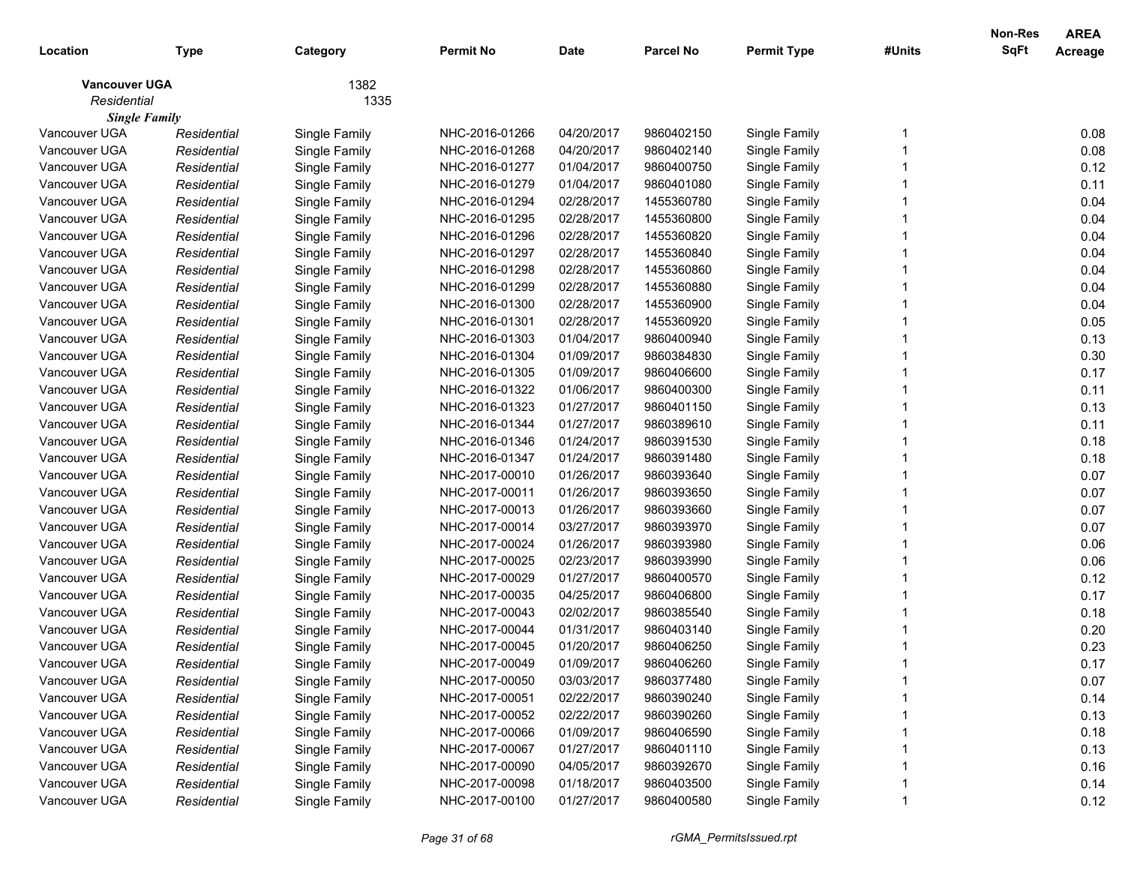| Location                            | <b>Type</b> | Category      | <b>Permit No</b> | <b>Date</b> | <b>Parcel No</b> | <b>Permit Type</b> | #Units | <b>Non-Res</b><br>SqFt | <b>AREA</b><br>Acreage |
|-------------------------------------|-------------|---------------|------------------|-------------|------------------|--------------------|--------|------------------------|------------------------|
| <b>Vancouver UGA</b><br>Residential |             | 1382<br>1335  |                  |             |                  |                    |        |                        |                        |
| <b>Single Family</b>                |             |               |                  |             |                  |                    |        |                        |                        |
| Vancouver UGA                       | Residential | Single Family | NHC-2016-01266   | 04/20/2017  | 9860402150       | Single Family      |        |                        | 0.08                   |
| Vancouver UGA                       | Residential | Single Family | NHC-2016-01268   | 04/20/2017  | 9860402140       | Single Family      |        |                        | 0.08                   |
| Vancouver UGA                       | Residential | Single Family | NHC-2016-01277   | 01/04/2017  | 9860400750       | Single Family      |        |                        | 0.12                   |
| Vancouver UGA                       | Residential | Single Family | NHC-2016-01279   | 01/04/2017  | 9860401080       | Single Family      |        |                        | 0.11                   |
| Vancouver UGA                       | Residential | Single Family | NHC-2016-01294   | 02/28/2017  | 1455360780       | Single Family      |        |                        | 0.04                   |
| Vancouver UGA                       | Residential | Single Family | NHC-2016-01295   | 02/28/2017  | 1455360800       | Single Family      |        |                        | 0.04                   |
| Vancouver UGA                       | Residential | Single Family | NHC-2016-01296   | 02/28/2017  | 1455360820       | Single Family      |        |                        | 0.04                   |
| Vancouver UGA                       | Residential | Single Family | NHC-2016-01297   | 02/28/2017  | 1455360840       | Single Family      |        |                        | 0.04                   |
| Vancouver UGA                       | Residential | Single Family | NHC-2016-01298   | 02/28/2017  | 1455360860       | Single Family      |        |                        | 0.04                   |
| Vancouver UGA                       | Residential | Single Family | NHC-2016-01299   | 02/28/2017  | 1455360880       | Single Family      |        |                        | 0.04                   |
| Vancouver UGA                       | Residential | Single Family | NHC-2016-01300   | 02/28/2017  | 1455360900       | Single Family      |        |                        | 0.04                   |
| Vancouver UGA                       | Residential | Single Family | NHC-2016-01301   | 02/28/2017  | 1455360920       | Single Family      |        |                        | 0.05                   |
| Vancouver UGA                       | Residential | Single Family | NHC-2016-01303   | 01/04/2017  | 9860400940       | Single Family      |        |                        | 0.13                   |
| Vancouver UGA                       | Residential | Single Family | NHC-2016-01304   | 01/09/2017  | 9860384830       | Single Family      |        |                        | 0.30                   |
| Vancouver UGA                       | Residential | Single Family | NHC-2016-01305   | 01/09/2017  | 9860406600       | Single Family      |        |                        | 0.17                   |
| Vancouver UGA                       | Residential | Single Family | NHC-2016-01322   | 01/06/2017  | 9860400300       | Single Family      |        |                        | 0.11                   |
| Vancouver UGA                       | Residential | Single Family | NHC-2016-01323   | 01/27/2017  | 9860401150       | Single Family      |        |                        | 0.13                   |
| Vancouver UGA                       | Residential | Single Family | NHC-2016-01344   | 01/27/2017  | 9860389610       | Single Family      |        |                        | 0.11                   |
| Vancouver UGA                       | Residential | Single Family | NHC-2016-01346   | 01/24/2017  | 9860391530       | Single Family      |        |                        | 0.18                   |
| Vancouver UGA                       | Residential | Single Family | NHC-2016-01347   | 01/24/2017  | 9860391480       | Single Family      |        |                        | 0.18                   |
| Vancouver UGA                       | Residential | Single Family | NHC-2017-00010   | 01/26/2017  | 9860393640       | Single Family      |        |                        | 0.07                   |
| Vancouver UGA                       | Residential | Single Family | NHC-2017-00011   | 01/26/2017  | 9860393650       | Single Family      |        |                        | 0.07                   |
| Vancouver UGA                       | Residential | Single Family | NHC-2017-00013   | 01/26/2017  | 9860393660       | Single Family      |        |                        | 0.07                   |
| Vancouver UGA                       | Residential | Single Family | NHC-2017-00014   | 03/27/2017  | 9860393970       | Single Family      |        |                        | 0.07                   |
| Vancouver UGA                       | Residential | Single Family | NHC-2017-00024   | 01/26/2017  | 9860393980       | Single Family      |        |                        | 0.06                   |
| Vancouver UGA                       | Residential | Single Family | NHC-2017-00025   | 02/23/2017  | 9860393990       | Single Family      |        |                        | 0.06                   |
| Vancouver UGA                       | Residential | Single Family | NHC-2017-00029   | 01/27/2017  | 9860400570       | Single Family      |        |                        | 0.12                   |
| Vancouver UGA                       | Residential | Single Family | NHC-2017-00035   | 04/25/2017  | 9860406800       | Single Family      |        |                        | 0.17                   |
| Vancouver UGA                       | Residential | Single Family | NHC-2017-00043   | 02/02/2017  | 9860385540       | Single Family      |        |                        | 0.18                   |
| Vancouver UGA                       | Residential | Single Family | NHC-2017-00044   | 01/31/2017  | 9860403140       | Single Family      |        |                        | 0.20                   |
| Vancouver UGA                       | Residential | Single Family | NHC-2017-00045   | 01/20/2017  | 9860406250       | Single Family      |        |                        | 0.23                   |
| Vancouver UGA                       | Residential | Single Family | NHC-2017-00049   | 01/09/2017  | 9860406260       | Single Family      |        |                        | 0.17                   |
| Vancouver UGA                       | Residential | Single Family | NHC-2017-00050   | 03/03/2017  | 9860377480       | Single Family      |        |                        | 0.07                   |
| Vancouver UGA                       | Residential | Single Family | NHC-2017-00051   | 02/22/2017  | 9860390240       | Single Family      |        |                        | 0.14                   |
| Vancouver UGA                       | Residential | Single Family | NHC-2017-00052   | 02/22/2017  | 9860390260       | Single Family      |        |                        | 0.13                   |
| Vancouver UGA                       | Residential | Single Family | NHC-2017-00066   | 01/09/2017  | 9860406590       | Single Family      |        |                        | 0.18                   |
| Vancouver UGA                       | Residential | Single Family | NHC-2017-00067   | 01/27/2017  | 9860401110       | Single Family      |        |                        | 0.13                   |
| Vancouver UGA                       | Residential | Single Family | NHC-2017-00090   | 04/05/2017  | 9860392670       | Single Family      |        |                        | 0.16                   |
| Vancouver UGA                       | Residential | Single Family | NHC-2017-00098   | 01/18/2017  | 9860403500       | Single Family      |        |                        | 0.14                   |
| Vancouver UGA                       | Residential | Single Family | NHC-2017-00100   | 01/27/2017  | 9860400580       | Single Family      |        |                        | 0.12                   |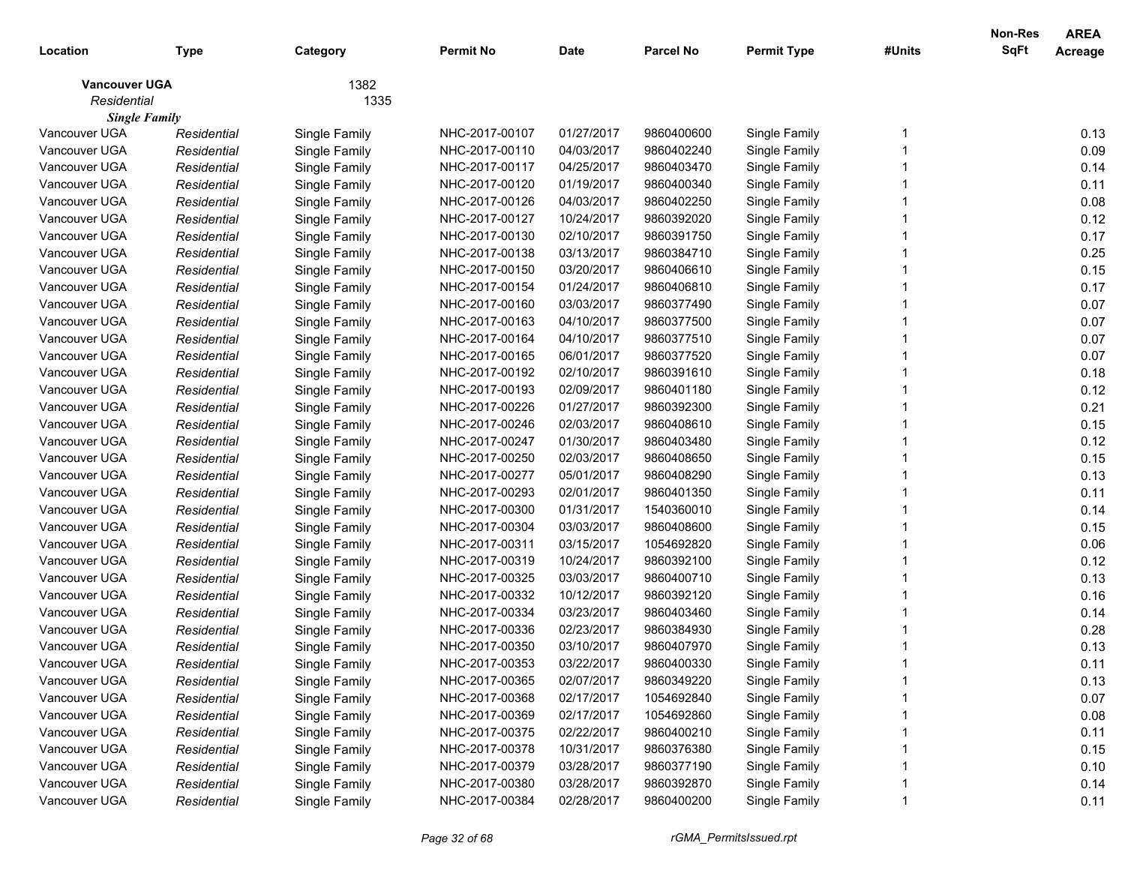| Location                            | <b>Type</b> | Category      | <b>Permit No</b> | <b>Date</b> | <b>Parcel No</b> | <b>Permit Type</b> | #Units | Non-Res<br>SqFt | <b>AREA</b><br>Acreage |
|-------------------------------------|-------------|---------------|------------------|-------------|------------------|--------------------|--------|-----------------|------------------------|
| <b>Vancouver UGA</b><br>Residential |             | 1382<br>1335  |                  |             |                  |                    |        |                 |                        |
| <b>Single Family</b>                |             |               |                  |             |                  |                    |        |                 |                        |
| Vancouver UGA                       | Residential | Single Family | NHC-2017-00107   | 01/27/2017  | 9860400600       | Single Family      |        |                 | 0.13                   |
| Vancouver UGA                       | Residential | Single Family | NHC-2017-00110   | 04/03/2017  | 9860402240       | Single Family      |        |                 | 0.09                   |
| Vancouver UGA                       | Residential | Single Family | NHC-2017-00117   | 04/25/2017  | 9860403470       | Single Family      |        |                 | 0.14                   |
| Vancouver UGA                       | Residential | Single Family | NHC-2017-00120   | 01/19/2017  | 9860400340       | Single Family      |        |                 | 0.11                   |
| Vancouver UGA                       | Residential | Single Family | NHC-2017-00126   | 04/03/2017  | 9860402250       | Single Family      |        |                 | 0.08                   |
| Vancouver UGA                       | Residential | Single Family | NHC-2017-00127   | 10/24/2017  | 9860392020       | Single Family      |        |                 | 0.12                   |
| Vancouver UGA                       | Residential | Single Family | NHC-2017-00130   | 02/10/2017  | 9860391750       | Single Family      |        |                 | 0.17                   |
| Vancouver UGA                       | Residential | Single Family | NHC-2017-00138   | 03/13/2017  | 9860384710       | Single Family      |        |                 | 0.25                   |
| Vancouver UGA                       | Residential | Single Family | NHC-2017-00150   | 03/20/2017  | 9860406610       | Single Family      |        |                 | 0.15                   |
| Vancouver UGA                       | Residential | Single Family | NHC-2017-00154   | 01/24/2017  | 9860406810       | Single Family      |        |                 | 0.17                   |
| Vancouver UGA                       | Residential | Single Family | NHC-2017-00160   | 03/03/2017  | 9860377490       | Single Family      |        |                 | 0.07                   |
| Vancouver UGA                       | Residential | Single Family | NHC-2017-00163   | 04/10/2017  | 9860377500       | Single Family      |        |                 | 0.07                   |
| Vancouver UGA                       | Residential | Single Family | NHC-2017-00164   | 04/10/2017  | 9860377510       | Single Family      |        |                 | 0.07                   |
| Vancouver UGA                       | Residential | Single Family | NHC-2017-00165   | 06/01/2017  | 9860377520       | Single Family      |        |                 | 0.07                   |
| Vancouver UGA                       | Residential | Single Family | NHC-2017-00192   | 02/10/2017  | 9860391610       | Single Family      |        |                 | 0.18                   |
| Vancouver UGA                       | Residential | Single Family | NHC-2017-00193   | 02/09/2017  | 9860401180       | Single Family      |        |                 | 0.12                   |
| Vancouver UGA                       | Residential | Single Family | NHC-2017-00226   | 01/27/2017  | 9860392300       | Single Family      |        |                 | 0.21                   |
| Vancouver UGA                       | Residential | Single Family | NHC-2017-00246   | 02/03/2017  | 9860408610       | Single Family      |        |                 | 0.15                   |
| Vancouver UGA                       | Residential | Single Family | NHC-2017-00247   | 01/30/2017  | 9860403480       | Single Family      |        |                 | 0.12                   |
| Vancouver UGA                       | Residential | Single Family | NHC-2017-00250   | 02/03/2017  | 9860408650       | Single Family      |        |                 | 0.15                   |
| Vancouver UGA                       | Residential | Single Family | NHC-2017-00277   | 05/01/2017  | 9860408290       | Single Family      |        |                 | 0.13                   |
| Vancouver UGA                       | Residential | Single Family | NHC-2017-00293   | 02/01/2017  | 9860401350       | Single Family      |        |                 | 0.11                   |
| Vancouver UGA                       | Residential | Single Family | NHC-2017-00300   | 01/31/2017  | 1540360010       | Single Family      |        |                 | 0.14                   |
| Vancouver UGA                       | Residential | Single Family | NHC-2017-00304   | 03/03/2017  | 9860408600       | Single Family      |        |                 | 0.15                   |
| Vancouver UGA                       | Residential | Single Family | NHC-2017-00311   | 03/15/2017  | 1054692820       | Single Family      |        |                 | 0.06                   |
| Vancouver UGA                       | Residential | Single Family | NHC-2017-00319   | 10/24/2017  | 9860392100       | Single Family      |        |                 | 0.12                   |
| Vancouver UGA                       | Residential | Single Family | NHC-2017-00325   | 03/03/2017  | 9860400710       | Single Family      |        |                 | 0.13                   |
| Vancouver UGA                       | Residential | Single Family | NHC-2017-00332   | 10/12/2017  | 9860392120       | Single Family      |        |                 | 0.16                   |
| Vancouver UGA                       | Residential | Single Family | NHC-2017-00334   | 03/23/2017  | 9860403460       | Single Family      |        |                 | 0.14                   |
| Vancouver UGA                       | Residential | Single Family | NHC-2017-00336   | 02/23/2017  | 9860384930       | Single Family      |        |                 | 0.28                   |
| Vancouver UGA                       | Residential | Single Family | NHC-2017-00350   | 03/10/2017  | 9860407970       | Single Family      |        |                 | 0.13                   |
| Vancouver UGA                       | Residential | Single Family | NHC-2017-00353   | 03/22/2017  | 9860400330       | Single Family      |        |                 | 0.11                   |
| Vancouver UGA                       | Residential | Single Family | NHC-2017-00365   | 02/07/2017  | 9860349220       | Single Family      |        |                 | 0.13                   |
| Vancouver UGA                       | Residential | Single Family | NHC-2017-00368   | 02/17/2017  | 1054692840       | Single Family      |        |                 | 0.07                   |
| Vancouver UGA                       | Residential | Single Family | NHC-2017-00369   | 02/17/2017  | 1054692860       | Single Family      |        |                 | 0.08                   |
| Vancouver UGA                       | Residential | Single Family | NHC-2017-00375   | 02/22/2017  | 9860400210       | Single Family      |        |                 | 0.11                   |
| Vancouver UGA                       | Residential | Single Family | NHC-2017-00378   | 10/31/2017  | 9860376380       | Single Family      |        |                 | 0.15                   |
| Vancouver UGA                       | Residential | Single Family | NHC-2017-00379   | 03/28/2017  | 9860377190       | Single Family      |        |                 | 0.10                   |
| Vancouver UGA                       | Residential | Single Family | NHC-2017-00380   | 03/28/2017  | 9860392870       | Single Family      |        |                 | 0.14                   |
| Vancouver UGA                       | Residential | Single Family | NHC-2017-00384   | 02/28/2017  | 9860400200       | Single Family      |        |                 | 0.11                   |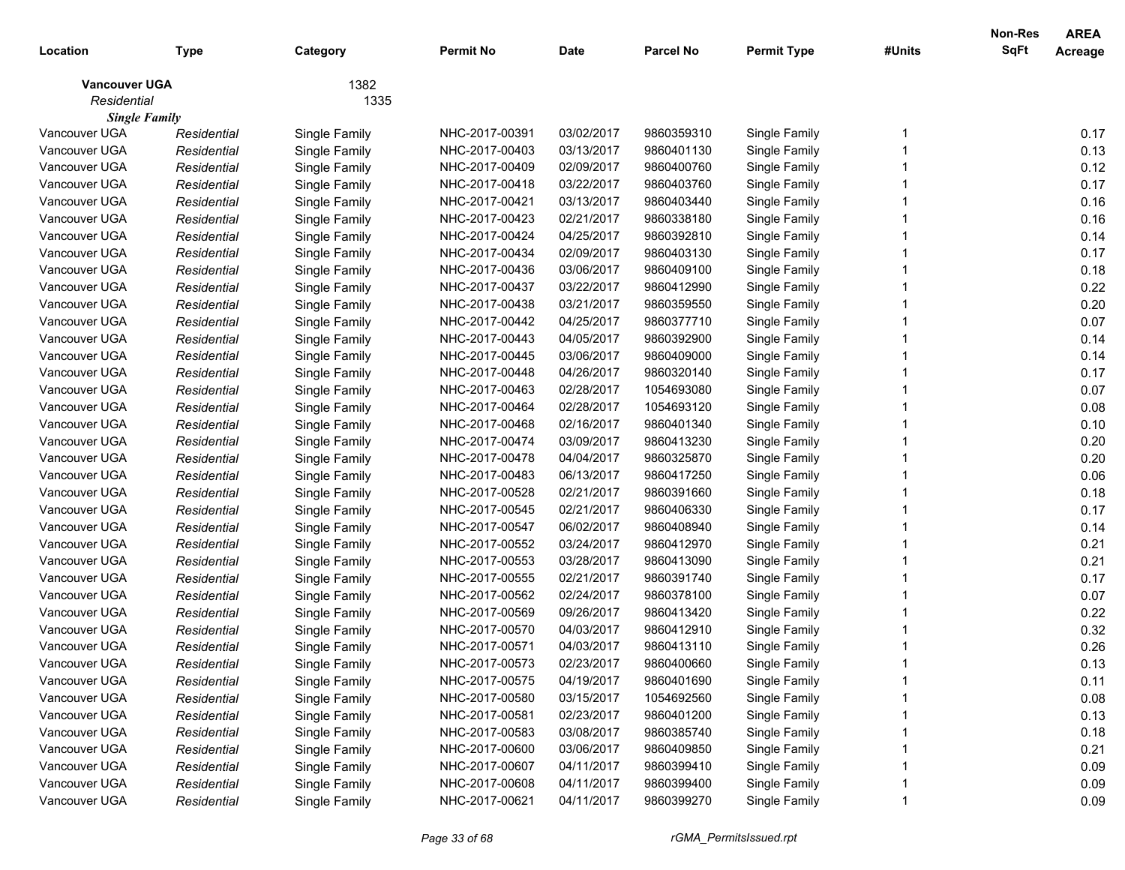| 1382<br><b>Vancouver UGA</b><br>Residential<br>1335<br><b>Single Family</b><br>Vancouver UGA<br>03/02/2017<br>9860359310<br>0.17<br>Single Family<br>NHC-2017-00391<br>Single Family<br>Residential<br>0.13<br>Vancouver UGA<br>03/13/2017<br>Residential<br>Single Family<br>NHC-2017-00403<br>9860401130<br>Single Family<br>0.12<br>Vancouver UGA<br>NHC-2017-00409<br>02/09/2017<br>9860400760<br>Single Family<br>Residential<br>Single Family<br>0.17<br>Vancouver UGA<br>NHC-2017-00418<br>Residential<br>Single Family<br>03/22/2017<br>9860403760<br>Single Family<br>0.16<br>Vancouver UGA<br>NHC-2017-00421<br>Residential<br>Single Family<br>03/13/2017<br>9860403440<br>Single Family<br>0.16<br>Vancouver UGA<br>Residential<br>Single Family<br>NHC-2017-00423<br>02/21/2017<br>9860338180<br>Single Family<br>0.14<br>Vancouver UGA<br>04/25/2017<br>Residential<br>Single Family<br>NHC-2017-00424<br>9860392810<br>Single Family<br>0.17<br>Vancouver UGA<br>Residential<br>Single Family<br>NHC-2017-00434<br>02/09/2017<br>9860403130<br>Single Family<br>0.18<br>Vancouver UGA<br>03/06/2017<br>Residential<br>Single Family<br>NHC-2017-00436<br>9860409100<br>Single Family<br>Vancouver UGA<br>0.22<br>NHC-2017-00437<br>03/22/2017<br>9860412990<br>Single Family<br>Residential<br>Single Family<br>0.20<br>Vancouver UGA<br>NHC-2017-00438<br>03/21/2017<br>9860359550<br>Single Family<br>Residential<br>Single Family<br>0.07<br>Vancouver UGA<br>Residential<br>Single Family<br>NHC-2017-00442<br>04/25/2017<br>9860377710<br>Single Family<br>0.14<br>Vancouver UGA<br>NHC-2017-00443<br>Residential<br>Single Family<br>04/05/2017<br>9860392900<br>Single Family<br>0.14<br>Vancouver UGA<br>Residential<br>Single Family<br>NHC-2017-00445<br>03/06/2017<br>9860409000<br>Single Family<br>0.17<br>Vancouver UGA<br>Residential<br>Single Family<br>NHC-2017-00448<br>04/26/2017<br>9860320140<br>Single Family<br>0.07<br>Vancouver UGA<br>Residential<br>Single Family<br>NHC-2017-00463<br>02/28/2017<br>1054693080<br>Single Family<br>0.08<br>Vancouver UGA<br>Residential<br>Single Family<br>NHC-2017-00464<br>02/28/2017<br>1054693120<br>Single Family<br>0.10<br>Vancouver UGA<br>NHC-2017-00468<br>02/16/2017<br>9860401340<br>Single Family<br>Residential<br>Single Family<br>0.20<br>Vancouver UGA<br>NHC-2017-00474<br>Residential<br>Single Family<br>03/09/2017<br>9860413230<br>Single Family<br>0.20<br>NHC-2017-00478<br>Vancouver UGA<br>Residential<br>Single Family<br>04/04/2017<br>9860325870<br>Single Family<br>0.06<br>NHC-2017-00483<br>Vancouver UGA<br>Residential<br>Single Family<br>06/13/2017<br>9860417250<br>Single Family<br>0.18<br>NHC-2017-00528<br>Vancouver UGA<br>Residential<br>Single Family<br>02/21/2017<br>9860391660<br>Single Family<br>0.17<br>NHC-2017-00545<br>02/21/2017<br>Vancouver UGA<br>Residential<br>Single Family<br>9860406330<br>Single Family<br>0.14<br>NHC-2017-00547<br>06/02/2017<br>Vancouver UGA<br>Residential<br>Single Family<br>9860408940<br>Single Family<br>NHC-2017-00552<br>0.21<br>Vancouver UGA<br>03/24/2017<br>9860412970<br>Single Family<br>Residential<br>Single Family<br>0.21<br>Vancouver UGA<br>NHC-2017-00553<br>03/28/2017<br>9860413090<br>Single Family<br>Residential<br>Single Family<br>NHC-2017-00555<br>02/21/2017<br>0.17<br>Vancouver UGA<br>Residential<br>Single Family<br>9860391740<br>Single Family<br>0.07<br>NHC-2017-00562<br>02/24/2017<br>9860378100<br>Vancouver UGA<br>Residential<br>Single Family<br>Single Family<br>0.22<br>NHC-2017-00569<br>Vancouver UGA<br>Residential<br>Single Family<br>09/26/2017<br>9860413420<br>Single Family<br>0.32<br>NHC-2017-00570<br>Vancouver UGA<br>Residential<br>Single Family<br>04/03/2017<br>9860412910<br>Single Family<br>0.26<br>Vancouver UGA<br>Single Family<br>NHC-2017-00571<br>04/03/2017<br>9860413110<br>Single Family<br>Residential<br>Vancouver UGA<br>Residential<br>NHC-2017-00573<br>Single Family<br>02/23/2017<br>9860400660<br>0.13<br>Single Family<br>04/19/2017<br>Single Family<br>Vancouver UGA<br>NHC-2017-00575<br>9860401690<br>Single Family<br>0.11<br>Residential<br>0.08<br>Vancouver UGA<br>Single Family<br>NHC-2017-00580<br>03/15/2017<br>Single Family<br>Residential<br>1054692560<br>0.13<br>Vancouver UGA<br>Single Family<br>02/23/2017<br>Single Family<br>Residential<br>NHC-2017-00581<br>9860401200<br>0.18<br>Vancouver UGA<br>Single Family<br>03/08/2017<br>9860385740<br>Single Family<br>Residential<br>NHC-2017-00583<br>0.21<br>Vancouver UGA<br>Single Family<br>03/06/2017<br>Single Family<br>Residential<br>NHC-2017-00600<br>9860409850<br>0.09<br>Vancouver UGA<br>Single Family<br>04/11/2017<br>Single Family<br>Residential<br>NHC-2017-00607<br>9860399410<br>0.09<br>Vancouver UGA<br>Single Family<br>NHC-2017-00608<br>04/11/2017<br>Single Family<br>Residential<br>9860399400<br>Vancouver UGA<br>NHC-2017-00621<br>04/11/2017<br>9860399270<br>Single Family<br>Single Family<br>0.09<br>Residential | Location | <b>Type</b> | Category | <b>Permit No</b> | <b>Date</b> | <b>Parcel No</b> | <b>Permit Type</b> | #Units | Non-Res<br><b>SqFt</b> | <b>AREA</b><br>Acreage |
|-----------------------------------------------------------------------------------------------------------------------------------------------------------------------------------------------------------------------------------------------------------------------------------------------------------------------------------------------------------------------------------------------------------------------------------------------------------------------------------------------------------------------------------------------------------------------------------------------------------------------------------------------------------------------------------------------------------------------------------------------------------------------------------------------------------------------------------------------------------------------------------------------------------------------------------------------------------------------------------------------------------------------------------------------------------------------------------------------------------------------------------------------------------------------------------------------------------------------------------------------------------------------------------------------------------------------------------------------------------------------------------------------------------------------------------------------------------------------------------------------------------------------------------------------------------------------------------------------------------------------------------------------------------------------------------------------------------------------------------------------------------------------------------------------------------------------------------------------------------------------------------------------------------------------------------------------------------------------------------------------------------------------------------------------------------------------------------------------------------------------------------------------------------------------------------------------------------------------------------------------------------------------------------------------------------------------------------------------------------------------------------------------------------------------------------------------------------------------------------------------------------------------------------------------------------------------------------------------------------------------------------------------------------------------------------------------------------------------------------------------------------------------------------------------------------------------------------------------------------------------------------------------------------------------------------------------------------------------------------------------------------------------------------------------------------------------------------------------------------------------------------------------------------------------------------------------------------------------------------------------------------------------------------------------------------------------------------------------------------------------------------------------------------------------------------------------------------------------------------------------------------------------------------------------------------------------------------------------------------------------------------------------------------------------------------------------------------------------------------------------------------------------------------------------------------------------------------------------------------------------------------------------------------------------------------------------------------------------------------------------------------------------------------------------------------------------------------------------------------------------------------------------------------------------------------------------------------------------------------------------------------------------------------------------------------------------------------------------------------------------------------------------------------------------------------------------------------------------------------------------------------------------------------------------------------------------------------------------------------------------------------------------------------------------------------------------------------------------------------------------------------------------------------------------------------------------------------------------------------------------------------------------------------------------------------------------------------------------------------------------------------------------------------------------------------------------------|----------|-------------|----------|------------------|-------------|------------------|--------------------|--------|------------------------|------------------------|
|                                                                                                                                                                                                                                                                                                                                                                                                                                                                                                                                                                                                                                                                                                                                                                                                                                                                                                                                                                                                                                                                                                                                                                                                                                                                                                                                                                                                                                                                                                                                                                                                                                                                                                                                                                                                                                                                                                                                                                                                                                                                                                                                                                                                                                                                                                                                                                                                                                                                                                                                                                                                                                                                                                                                                                                                                                                                                                                                                                                                                                                                                                                                                                                                                                                                                                                                                                                                                                                                                                                                                                                                                                                                                                                                                                                                                                                                                                                                                                                                                                                                                                                                                                                                                                                                                                                                                                                                                                                                                                                                                                                                                                                                                                                                                                                                                                                                                                                                                                                                                                                                             |          |             |          |                  |             |                  |                    |        |                        |                        |
|                                                                                                                                                                                                                                                                                                                                                                                                                                                                                                                                                                                                                                                                                                                                                                                                                                                                                                                                                                                                                                                                                                                                                                                                                                                                                                                                                                                                                                                                                                                                                                                                                                                                                                                                                                                                                                                                                                                                                                                                                                                                                                                                                                                                                                                                                                                                                                                                                                                                                                                                                                                                                                                                                                                                                                                                                                                                                                                                                                                                                                                                                                                                                                                                                                                                                                                                                                                                                                                                                                                                                                                                                                                                                                                                                                                                                                                                                                                                                                                                                                                                                                                                                                                                                                                                                                                                                                                                                                                                                                                                                                                                                                                                                                                                                                                                                                                                                                                                                                                                                                                                             |          |             |          |                  |             |                  |                    |        |                        |                        |
|                                                                                                                                                                                                                                                                                                                                                                                                                                                                                                                                                                                                                                                                                                                                                                                                                                                                                                                                                                                                                                                                                                                                                                                                                                                                                                                                                                                                                                                                                                                                                                                                                                                                                                                                                                                                                                                                                                                                                                                                                                                                                                                                                                                                                                                                                                                                                                                                                                                                                                                                                                                                                                                                                                                                                                                                                                                                                                                                                                                                                                                                                                                                                                                                                                                                                                                                                                                                                                                                                                                                                                                                                                                                                                                                                                                                                                                                                                                                                                                                                                                                                                                                                                                                                                                                                                                                                                                                                                                                                                                                                                                                                                                                                                                                                                                                                                                                                                                                                                                                                                                                             |          |             |          |                  |             |                  |                    |        |                        |                        |
|                                                                                                                                                                                                                                                                                                                                                                                                                                                                                                                                                                                                                                                                                                                                                                                                                                                                                                                                                                                                                                                                                                                                                                                                                                                                                                                                                                                                                                                                                                                                                                                                                                                                                                                                                                                                                                                                                                                                                                                                                                                                                                                                                                                                                                                                                                                                                                                                                                                                                                                                                                                                                                                                                                                                                                                                                                                                                                                                                                                                                                                                                                                                                                                                                                                                                                                                                                                                                                                                                                                                                                                                                                                                                                                                                                                                                                                                                                                                                                                                                                                                                                                                                                                                                                                                                                                                                                                                                                                                                                                                                                                                                                                                                                                                                                                                                                                                                                                                                                                                                                                                             |          |             |          |                  |             |                  |                    |        |                        |                        |
|                                                                                                                                                                                                                                                                                                                                                                                                                                                                                                                                                                                                                                                                                                                                                                                                                                                                                                                                                                                                                                                                                                                                                                                                                                                                                                                                                                                                                                                                                                                                                                                                                                                                                                                                                                                                                                                                                                                                                                                                                                                                                                                                                                                                                                                                                                                                                                                                                                                                                                                                                                                                                                                                                                                                                                                                                                                                                                                                                                                                                                                                                                                                                                                                                                                                                                                                                                                                                                                                                                                                                                                                                                                                                                                                                                                                                                                                                                                                                                                                                                                                                                                                                                                                                                                                                                                                                                                                                                                                                                                                                                                                                                                                                                                                                                                                                                                                                                                                                                                                                                                                             |          |             |          |                  |             |                  |                    |        |                        |                        |
|                                                                                                                                                                                                                                                                                                                                                                                                                                                                                                                                                                                                                                                                                                                                                                                                                                                                                                                                                                                                                                                                                                                                                                                                                                                                                                                                                                                                                                                                                                                                                                                                                                                                                                                                                                                                                                                                                                                                                                                                                                                                                                                                                                                                                                                                                                                                                                                                                                                                                                                                                                                                                                                                                                                                                                                                                                                                                                                                                                                                                                                                                                                                                                                                                                                                                                                                                                                                                                                                                                                                                                                                                                                                                                                                                                                                                                                                                                                                                                                                                                                                                                                                                                                                                                                                                                                                                                                                                                                                                                                                                                                                                                                                                                                                                                                                                                                                                                                                                                                                                                                                             |          |             |          |                  |             |                  |                    |        |                        |                        |
|                                                                                                                                                                                                                                                                                                                                                                                                                                                                                                                                                                                                                                                                                                                                                                                                                                                                                                                                                                                                                                                                                                                                                                                                                                                                                                                                                                                                                                                                                                                                                                                                                                                                                                                                                                                                                                                                                                                                                                                                                                                                                                                                                                                                                                                                                                                                                                                                                                                                                                                                                                                                                                                                                                                                                                                                                                                                                                                                                                                                                                                                                                                                                                                                                                                                                                                                                                                                                                                                                                                                                                                                                                                                                                                                                                                                                                                                                                                                                                                                                                                                                                                                                                                                                                                                                                                                                                                                                                                                                                                                                                                                                                                                                                                                                                                                                                                                                                                                                                                                                                                                             |          |             |          |                  |             |                  |                    |        |                        |                        |
|                                                                                                                                                                                                                                                                                                                                                                                                                                                                                                                                                                                                                                                                                                                                                                                                                                                                                                                                                                                                                                                                                                                                                                                                                                                                                                                                                                                                                                                                                                                                                                                                                                                                                                                                                                                                                                                                                                                                                                                                                                                                                                                                                                                                                                                                                                                                                                                                                                                                                                                                                                                                                                                                                                                                                                                                                                                                                                                                                                                                                                                                                                                                                                                                                                                                                                                                                                                                                                                                                                                                                                                                                                                                                                                                                                                                                                                                                                                                                                                                                                                                                                                                                                                                                                                                                                                                                                                                                                                                                                                                                                                                                                                                                                                                                                                                                                                                                                                                                                                                                                                                             |          |             |          |                  |             |                  |                    |        |                        |                        |
|                                                                                                                                                                                                                                                                                                                                                                                                                                                                                                                                                                                                                                                                                                                                                                                                                                                                                                                                                                                                                                                                                                                                                                                                                                                                                                                                                                                                                                                                                                                                                                                                                                                                                                                                                                                                                                                                                                                                                                                                                                                                                                                                                                                                                                                                                                                                                                                                                                                                                                                                                                                                                                                                                                                                                                                                                                                                                                                                                                                                                                                                                                                                                                                                                                                                                                                                                                                                                                                                                                                                                                                                                                                                                                                                                                                                                                                                                                                                                                                                                                                                                                                                                                                                                                                                                                                                                                                                                                                                                                                                                                                                                                                                                                                                                                                                                                                                                                                                                                                                                                                                             |          |             |          |                  |             |                  |                    |        |                        |                        |
|                                                                                                                                                                                                                                                                                                                                                                                                                                                                                                                                                                                                                                                                                                                                                                                                                                                                                                                                                                                                                                                                                                                                                                                                                                                                                                                                                                                                                                                                                                                                                                                                                                                                                                                                                                                                                                                                                                                                                                                                                                                                                                                                                                                                                                                                                                                                                                                                                                                                                                                                                                                                                                                                                                                                                                                                                                                                                                                                                                                                                                                                                                                                                                                                                                                                                                                                                                                                                                                                                                                                                                                                                                                                                                                                                                                                                                                                                                                                                                                                                                                                                                                                                                                                                                                                                                                                                                                                                                                                                                                                                                                                                                                                                                                                                                                                                                                                                                                                                                                                                                                                             |          |             |          |                  |             |                  |                    |        |                        |                        |
|                                                                                                                                                                                                                                                                                                                                                                                                                                                                                                                                                                                                                                                                                                                                                                                                                                                                                                                                                                                                                                                                                                                                                                                                                                                                                                                                                                                                                                                                                                                                                                                                                                                                                                                                                                                                                                                                                                                                                                                                                                                                                                                                                                                                                                                                                                                                                                                                                                                                                                                                                                                                                                                                                                                                                                                                                                                                                                                                                                                                                                                                                                                                                                                                                                                                                                                                                                                                                                                                                                                                                                                                                                                                                                                                                                                                                                                                                                                                                                                                                                                                                                                                                                                                                                                                                                                                                                                                                                                                                                                                                                                                                                                                                                                                                                                                                                                                                                                                                                                                                                                                             |          |             |          |                  |             |                  |                    |        |                        |                        |
|                                                                                                                                                                                                                                                                                                                                                                                                                                                                                                                                                                                                                                                                                                                                                                                                                                                                                                                                                                                                                                                                                                                                                                                                                                                                                                                                                                                                                                                                                                                                                                                                                                                                                                                                                                                                                                                                                                                                                                                                                                                                                                                                                                                                                                                                                                                                                                                                                                                                                                                                                                                                                                                                                                                                                                                                                                                                                                                                                                                                                                                                                                                                                                                                                                                                                                                                                                                                                                                                                                                                                                                                                                                                                                                                                                                                                                                                                                                                                                                                                                                                                                                                                                                                                                                                                                                                                                                                                                                                                                                                                                                                                                                                                                                                                                                                                                                                                                                                                                                                                                                                             |          |             |          |                  |             |                  |                    |        |                        |                        |
|                                                                                                                                                                                                                                                                                                                                                                                                                                                                                                                                                                                                                                                                                                                                                                                                                                                                                                                                                                                                                                                                                                                                                                                                                                                                                                                                                                                                                                                                                                                                                                                                                                                                                                                                                                                                                                                                                                                                                                                                                                                                                                                                                                                                                                                                                                                                                                                                                                                                                                                                                                                                                                                                                                                                                                                                                                                                                                                                                                                                                                                                                                                                                                                                                                                                                                                                                                                                                                                                                                                                                                                                                                                                                                                                                                                                                                                                                                                                                                                                                                                                                                                                                                                                                                                                                                                                                                                                                                                                                                                                                                                                                                                                                                                                                                                                                                                                                                                                                                                                                                                                             |          |             |          |                  |             |                  |                    |        |                        |                        |
|                                                                                                                                                                                                                                                                                                                                                                                                                                                                                                                                                                                                                                                                                                                                                                                                                                                                                                                                                                                                                                                                                                                                                                                                                                                                                                                                                                                                                                                                                                                                                                                                                                                                                                                                                                                                                                                                                                                                                                                                                                                                                                                                                                                                                                                                                                                                                                                                                                                                                                                                                                                                                                                                                                                                                                                                                                                                                                                                                                                                                                                                                                                                                                                                                                                                                                                                                                                                                                                                                                                                                                                                                                                                                                                                                                                                                                                                                                                                                                                                                                                                                                                                                                                                                                                                                                                                                                                                                                                                                                                                                                                                                                                                                                                                                                                                                                                                                                                                                                                                                                                                             |          |             |          |                  |             |                  |                    |        |                        |                        |
|                                                                                                                                                                                                                                                                                                                                                                                                                                                                                                                                                                                                                                                                                                                                                                                                                                                                                                                                                                                                                                                                                                                                                                                                                                                                                                                                                                                                                                                                                                                                                                                                                                                                                                                                                                                                                                                                                                                                                                                                                                                                                                                                                                                                                                                                                                                                                                                                                                                                                                                                                                                                                                                                                                                                                                                                                                                                                                                                                                                                                                                                                                                                                                                                                                                                                                                                                                                                                                                                                                                                                                                                                                                                                                                                                                                                                                                                                                                                                                                                                                                                                                                                                                                                                                                                                                                                                                                                                                                                                                                                                                                                                                                                                                                                                                                                                                                                                                                                                                                                                                                                             |          |             |          |                  |             |                  |                    |        |                        |                        |
|                                                                                                                                                                                                                                                                                                                                                                                                                                                                                                                                                                                                                                                                                                                                                                                                                                                                                                                                                                                                                                                                                                                                                                                                                                                                                                                                                                                                                                                                                                                                                                                                                                                                                                                                                                                                                                                                                                                                                                                                                                                                                                                                                                                                                                                                                                                                                                                                                                                                                                                                                                                                                                                                                                                                                                                                                                                                                                                                                                                                                                                                                                                                                                                                                                                                                                                                                                                                                                                                                                                                                                                                                                                                                                                                                                                                                                                                                                                                                                                                                                                                                                                                                                                                                                                                                                                                                                                                                                                                                                                                                                                                                                                                                                                                                                                                                                                                                                                                                                                                                                                                             |          |             |          |                  |             |                  |                    |        |                        |                        |
|                                                                                                                                                                                                                                                                                                                                                                                                                                                                                                                                                                                                                                                                                                                                                                                                                                                                                                                                                                                                                                                                                                                                                                                                                                                                                                                                                                                                                                                                                                                                                                                                                                                                                                                                                                                                                                                                                                                                                                                                                                                                                                                                                                                                                                                                                                                                                                                                                                                                                                                                                                                                                                                                                                                                                                                                                                                                                                                                                                                                                                                                                                                                                                                                                                                                                                                                                                                                                                                                                                                                                                                                                                                                                                                                                                                                                                                                                                                                                                                                                                                                                                                                                                                                                                                                                                                                                                                                                                                                                                                                                                                                                                                                                                                                                                                                                                                                                                                                                                                                                                                                             |          |             |          |                  |             |                  |                    |        |                        |                        |
|                                                                                                                                                                                                                                                                                                                                                                                                                                                                                                                                                                                                                                                                                                                                                                                                                                                                                                                                                                                                                                                                                                                                                                                                                                                                                                                                                                                                                                                                                                                                                                                                                                                                                                                                                                                                                                                                                                                                                                                                                                                                                                                                                                                                                                                                                                                                                                                                                                                                                                                                                                                                                                                                                                                                                                                                                                                                                                                                                                                                                                                                                                                                                                                                                                                                                                                                                                                                                                                                                                                                                                                                                                                                                                                                                                                                                                                                                                                                                                                                                                                                                                                                                                                                                                                                                                                                                                                                                                                                                                                                                                                                                                                                                                                                                                                                                                                                                                                                                                                                                                                                             |          |             |          |                  |             |                  |                    |        |                        |                        |
|                                                                                                                                                                                                                                                                                                                                                                                                                                                                                                                                                                                                                                                                                                                                                                                                                                                                                                                                                                                                                                                                                                                                                                                                                                                                                                                                                                                                                                                                                                                                                                                                                                                                                                                                                                                                                                                                                                                                                                                                                                                                                                                                                                                                                                                                                                                                                                                                                                                                                                                                                                                                                                                                                                                                                                                                                                                                                                                                                                                                                                                                                                                                                                                                                                                                                                                                                                                                                                                                                                                                                                                                                                                                                                                                                                                                                                                                                                                                                                                                                                                                                                                                                                                                                                                                                                                                                                                                                                                                                                                                                                                                                                                                                                                                                                                                                                                                                                                                                                                                                                                                             |          |             |          |                  |             |                  |                    |        |                        |                        |
|                                                                                                                                                                                                                                                                                                                                                                                                                                                                                                                                                                                                                                                                                                                                                                                                                                                                                                                                                                                                                                                                                                                                                                                                                                                                                                                                                                                                                                                                                                                                                                                                                                                                                                                                                                                                                                                                                                                                                                                                                                                                                                                                                                                                                                                                                                                                                                                                                                                                                                                                                                                                                                                                                                                                                                                                                                                                                                                                                                                                                                                                                                                                                                                                                                                                                                                                                                                                                                                                                                                                                                                                                                                                                                                                                                                                                                                                                                                                                                                                                                                                                                                                                                                                                                                                                                                                                                                                                                                                                                                                                                                                                                                                                                                                                                                                                                                                                                                                                                                                                                                                             |          |             |          |                  |             |                  |                    |        |                        |                        |
|                                                                                                                                                                                                                                                                                                                                                                                                                                                                                                                                                                                                                                                                                                                                                                                                                                                                                                                                                                                                                                                                                                                                                                                                                                                                                                                                                                                                                                                                                                                                                                                                                                                                                                                                                                                                                                                                                                                                                                                                                                                                                                                                                                                                                                                                                                                                                                                                                                                                                                                                                                                                                                                                                                                                                                                                                                                                                                                                                                                                                                                                                                                                                                                                                                                                                                                                                                                                                                                                                                                                                                                                                                                                                                                                                                                                                                                                                                                                                                                                                                                                                                                                                                                                                                                                                                                                                                                                                                                                                                                                                                                                                                                                                                                                                                                                                                                                                                                                                                                                                                                                             |          |             |          |                  |             |                  |                    |        |                        |                        |
|                                                                                                                                                                                                                                                                                                                                                                                                                                                                                                                                                                                                                                                                                                                                                                                                                                                                                                                                                                                                                                                                                                                                                                                                                                                                                                                                                                                                                                                                                                                                                                                                                                                                                                                                                                                                                                                                                                                                                                                                                                                                                                                                                                                                                                                                                                                                                                                                                                                                                                                                                                                                                                                                                                                                                                                                                                                                                                                                                                                                                                                                                                                                                                                                                                                                                                                                                                                                                                                                                                                                                                                                                                                                                                                                                                                                                                                                                                                                                                                                                                                                                                                                                                                                                                                                                                                                                                                                                                                                                                                                                                                                                                                                                                                                                                                                                                                                                                                                                                                                                                                                             |          |             |          |                  |             |                  |                    |        |                        |                        |
|                                                                                                                                                                                                                                                                                                                                                                                                                                                                                                                                                                                                                                                                                                                                                                                                                                                                                                                                                                                                                                                                                                                                                                                                                                                                                                                                                                                                                                                                                                                                                                                                                                                                                                                                                                                                                                                                                                                                                                                                                                                                                                                                                                                                                                                                                                                                                                                                                                                                                                                                                                                                                                                                                                                                                                                                                                                                                                                                                                                                                                                                                                                                                                                                                                                                                                                                                                                                                                                                                                                                                                                                                                                                                                                                                                                                                                                                                                                                                                                                                                                                                                                                                                                                                                                                                                                                                                                                                                                                                                                                                                                                                                                                                                                                                                                                                                                                                                                                                                                                                                                                             |          |             |          |                  |             |                  |                    |        |                        |                        |
|                                                                                                                                                                                                                                                                                                                                                                                                                                                                                                                                                                                                                                                                                                                                                                                                                                                                                                                                                                                                                                                                                                                                                                                                                                                                                                                                                                                                                                                                                                                                                                                                                                                                                                                                                                                                                                                                                                                                                                                                                                                                                                                                                                                                                                                                                                                                                                                                                                                                                                                                                                                                                                                                                                                                                                                                                                                                                                                                                                                                                                                                                                                                                                                                                                                                                                                                                                                                                                                                                                                                                                                                                                                                                                                                                                                                                                                                                                                                                                                                                                                                                                                                                                                                                                                                                                                                                                                                                                                                                                                                                                                                                                                                                                                                                                                                                                                                                                                                                                                                                                                                             |          |             |          |                  |             |                  |                    |        |                        |                        |
|                                                                                                                                                                                                                                                                                                                                                                                                                                                                                                                                                                                                                                                                                                                                                                                                                                                                                                                                                                                                                                                                                                                                                                                                                                                                                                                                                                                                                                                                                                                                                                                                                                                                                                                                                                                                                                                                                                                                                                                                                                                                                                                                                                                                                                                                                                                                                                                                                                                                                                                                                                                                                                                                                                                                                                                                                                                                                                                                                                                                                                                                                                                                                                                                                                                                                                                                                                                                                                                                                                                                                                                                                                                                                                                                                                                                                                                                                                                                                                                                                                                                                                                                                                                                                                                                                                                                                                                                                                                                                                                                                                                                                                                                                                                                                                                                                                                                                                                                                                                                                                                                             |          |             |          |                  |             |                  |                    |        |                        |                        |
|                                                                                                                                                                                                                                                                                                                                                                                                                                                                                                                                                                                                                                                                                                                                                                                                                                                                                                                                                                                                                                                                                                                                                                                                                                                                                                                                                                                                                                                                                                                                                                                                                                                                                                                                                                                                                                                                                                                                                                                                                                                                                                                                                                                                                                                                                                                                                                                                                                                                                                                                                                                                                                                                                                                                                                                                                                                                                                                                                                                                                                                                                                                                                                                                                                                                                                                                                                                                                                                                                                                                                                                                                                                                                                                                                                                                                                                                                                                                                                                                                                                                                                                                                                                                                                                                                                                                                                                                                                                                                                                                                                                                                                                                                                                                                                                                                                                                                                                                                                                                                                                                             |          |             |          |                  |             |                  |                    |        |                        |                        |
|                                                                                                                                                                                                                                                                                                                                                                                                                                                                                                                                                                                                                                                                                                                                                                                                                                                                                                                                                                                                                                                                                                                                                                                                                                                                                                                                                                                                                                                                                                                                                                                                                                                                                                                                                                                                                                                                                                                                                                                                                                                                                                                                                                                                                                                                                                                                                                                                                                                                                                                                                                                                                                                                                                                                                                                                                                                                                                                                                                                                                                                                                                                                                                                                                                                                                                                                                                                                                                                                                                                                                                                                                                                                                                                                                                                                                                                                                                                                                                                                                                                                                                                                                                                                                                                                                                                                                                                                                                                                                                                                                                                                                                                                                                                                                                                                                                                                                                                                                                                                                                                                             |          |             |          |                  |             |                  |                    |        |                        |                        |
|                                                                                                                                                                                                                                                                                                                                                                                                                                                                                                                                                                                                                                                                                                                                                                                                                                                                                                                                                                                                                                                                                                                                                                                                                                                                                                                                                                                                                                                                                                                                                                                                                                                                                                                                                                                                                                                                                                                                                                                                                                                                                                                                                                                                                                                                                                                                                                                                                                                                                                                                                                                                                                                                                                                                                                                                                                                                                                                                                                                                                                                                                                                                                                                                                                                                                                                                                                                                                                                                                                                                                                                                                                                                                                                                                                                                                                                                                                                                                                                                                                                                                                                                                                                                                                                                                                                                                                                                                                                                                                                                                                                                                                                                                                                                                                                                                                                                                                                                                                                                                                                                             |          |             |          |                  |             |                  |                    |        |                        |                        |
|                                                                                                                                                                                                                                                                                                                                                                                                                                                                                                                                                                                                                                                                                                                                                                                                                                                                                                                                                                                                                                                                                                                                                                                                                                                                                                                                                                                                                                                                                                                                                                                                                                                                                                                                                                                                                                                                                                                                                                                                                                                                                                                                                                                                                                                                                                                                                                                                                                                                                                                                                                                                                                                                                                                                                                                                                                                                                                                                                                                                                                                                                                                                                                                                                                                                                                                                                                                                                                                                                                                                                                                                                                                                                                                                                                                                                                                                                                                                                                                                                                                                                                                                                                                                                                                                                                                                                                                                                                                                                                                                                                                                                                                                                                                                                                                                                                                                                                                                                                                                                                                                             |          |             |          |                  |             |                  |                    |        |                        |                        |
|                                                                                                                                                                                                                                                                                                                                                                                                                                                                                                                                                                                                                                                                                                                                                                                                                                                                                                                                                                                                                                                                                                                                                                                                                                                                                                                                                                                                                                                                                                                                                                                                                                                                                                                                                                                                                                                                                                                                                                                                                                                                                                                                                                                                                                                                                                                                                                                                                                                                                                                                                                                                                                                                                                                                                                                                                                                                                                                                                                                                                                                                                                                                                                                                                                                                                                                                                                                                                                                                                                                                                                                                                                                                                                                                                                                                                                                                                                                                                                                                                                                                                                                                                                                                                                                                                                                                                                                                                                                                                                                                                                                                                                                                                                                                                                                                                                                                                                                                                                                                                                                                             |          |             |          |                  |             |                  |                    |        |                        |                        |
|                                                                                                                                                                                                                                                                                                                                                                                                                                                                                                                                                                                                                                                                                                                                                                                                                                                                                                                                                                                                                                                                                                                                                                                                                                                                                                                                                                                                                                                                                                                                                                                                                                                                                                                                                                                                                                                                                                                                                                                                                                                                                                                                                                                                                                                                                                                                                                                                                                                                                                                                                                                                                                                                                                                                                                                                                                                                                                                                                                                                                                                                                                                                                                                                                                                                                                                                                                                                                                                                                                                                                                                                                                                                                                                                                                                                                                                                                                                                                                                                                                                                                                                                                                                                                                                                                                                                                                                                                                                                                                                                                                                                                                                                                                                                                                                                                                                                                                                                                                                                                                                                             |          |             |          |                  |             |                  |                    |        |                        |                        |
|                                                                                                                                                                                                                                                                                                                                                                                                                                                                                                                                                                                                                                                                                                                                                                                                                                                                                                                                                                                                                                                                                                                                                                                                                                                                                                                                                                                                                                                                                                                                                                                                                                                                                                                                                                                                                                                                                                                                                                                                                                                                                                                                                                                                                                                                                                                                                                                                                                                                                                                                                                                                                                                                                                                                                                                                                                                                                                                                                                                                                                                                                                                                                                                                                                                                                                                                                                                                                                                                                                                                                                                                                                                                                                                                                                                                                                                                                                                                                                                                                                                                                                                                                                                                                                                                                                                                                                                                                                                                                                                                                                                                                                                                                                                                                                                                                                                                                                                                                                                                                                                                             |          |             |          |                  |             |                  |                    |        |                        |                        |
|                                                                                                                                                                                                                                                                                                                                                                                                                                                                                                                                                                                                                                                                                                                                                                                                                                                                                                                                                                                                                                                                                                                                                                                                                                                                                                                                                                                                                                                                                                                                                                                                                                                                                                                                                                                                                                                                                                                                                                                                                                                                                                                                                                                                                                                                                                                                                                                                                                                                                                                                                                                                                                                                                                                                                                                                                                                                                                                                                                                                                                                                                                                                                                                                                                                                                                                                                                                                                                                                                                                                                                                                                                                                                                                                                                                                                                                                                                                                                                                                                                                                                                                                                                                                                                                                                                                                                                                                                                                                                                                                                                                                                                                                                                                                                                                                                                                                                                                                                                                                                                                                             |          |             |          |                  |             |                  |                    |        |                        |                        |
|                                                                                                                                                                                                                                                                                                                                                                                                                                                                                                                                                                                                                                                                                                                                                                                                                                                                                                                                                                                                                                                                                                                                                                                                                                                                                                                                                                                                                                                                                                                                                                                                                                                                                                                                                                                                                                                                                                                                                                                                                                                                                                                                                                                                                                                                                                                                                                                                                                                                                                                                                                                                                                                                                                                                                                                                                                                                                                                                                                                                                                                                                                                                                                                                                                                                                                                                                                                                                                                                                                                                                                                                                                                                                                                                                                                                                                                                                                                                                                                                                                                                                                                                                                                                                                                                                                                                                                                                                                                                                                                                                                                                                                                                                                                                                                                                                                                                                                                                                                                                                                                                             |          |             |          |                  |             |                  |                    |        |                        |                        |
|                                                                                                                                                                                                                                                                                                                                                                                                                                                                                                                                                                                                                                                                                                                                                                                                                                                                                                                                                                                                                                                                                                                                                                                                                                                                                                                                                                                                                                                                                                                                                                                                                                                                                                                                                                                                                                                                                                                                                                                                                                                                                                                                                                                                                                                                                                                                                                                                                                                                                                                                                                                                                                                                                                                                                                                                                                                                                                                                                                                                                                                                                                                                                                                                                                                                                                                                                                                                                                                                                                                                                                                                                                                                                                                                                                                                                                                                                                                                                                                                                                                                                                                                                                                                                                                                                                                                                                                                                                                                                                                                                                                                                                                                                                                                                                                                                                                                                                                                                                                                                                                                             |          |             |          |                  |             |                  |                    |        |                        |                        |
|                                                                                                                                                                                                                                                                                                                                                                                                                                                                                                                                                                                                                                                                                                                                                                                                                                                                                                                                                                                                                                                                                                                                                                                                                                                                                                                                                                                                                                                                                                                                                                                                                                                                                                                                                                                                                                                                                                                                                                                                                                                                                                                                                                                                                                                                                                                                                                                                                                                                                                                                                                                                                                                                                                                                                                                                                                                                                                                                                                                                                                                                                                                                                                                                                                                                                                                                                                                                                                                                                                                                                                                                                                                                                                                                                                                                                                                                                                                                                                                                                                                                                                                                                                                                                                                                                                                                                                                                                                                                                                                                                                                                                                                                                                                                                                                                                                                                                                                                                                                                                                                                             |          |             |          |                  |             |                  |                    |        |                        |                        |
|                                                                                                                                                                                                                                                                                                                                                                                                                                                                                                                                                                                                                                                                                                                                                                                                                                                                                                                                                                                                                                                                                                                                                                                                                                                                                                                                                                                                                                                                                                                                                                                                                                                                                                                                                                                                                                                                                                                                                                                                                                                                                                                                                                                                                                                                                                                                                                                                                                                                                                                                                                                                                                                                                                                                                                                                                                                                                                                                                                                                                                                                                                                                                                                                                                                                                                                                                                                                                                                                                                                                                                                                                                                                                                                                                                                                                                                                                                                                                                                                                                                                                                                                                                                                                                                                                                                                                                                                                                                                                                                                                                                                                                                                                                                                                                                                                                                                                                                                                                                                                                                                             |          |             |          |                  |             |                  |                    |        |                        |                        |
|                                                                                                                                                                                                                                                                                                                                                                                                                                                                                                                                                                                                                                                                                                                                                                                                                                                                                                                                                                                                                                                                                                                                                                                                                                                                                                                                                                                                                                                                                                                                                                                                                                                                                                                                                                                                                                                                                                                                                                                                                                                                                                                                                                                                                                                                                                                                                                                                                                                                                                                                                                                                                                                                                                                                                                                                                                                                                                                                                                                                                                                                                                                                                                                                                                                                                                                                                                                                                                                                                                                                                                                                                                                                                                                                                                                                                                                                                                                                                                                                                                                                                                                                                                                                                                                                                                                                                                                                                                                                                                                                                                                                                                                                                                                                                                                                                                                                                                                                                                                                                                                                             |          |             |          |                  |             |                  |                    |        |                        |                        |
|                                                                                                                                                                                                                                                                                                                                                                                                                                                                                                                                                                                                                                                                                                                                                                                                                                                                                                                                                                                                                                                                                                                                                                                                                                                                                                                                                                                                                                                                                                                                                                                                                                                                                                                                                                                                                                                                                                                                                                                                                                                                                                                                                                                                                                                                                                                                                                                                                                                                                                                                                                                                                                                                                                                                                                                                                                                                                                                                                                                                                                                                                                                                                                                                                                                                                                                                                                                                                                                                                                                                                                                                                                                                                                                                                                                                                                                                                                                                                                                                                                                                                                                                                                                                                                                                                                                                                                                                                                                                                                                                                                                                                                                                                                                                                                                                                                                                                                                                                                                                                                                                             |          |             |          |                  |             |                  |                    |        |                        |                        |
|                                                                                                                                                                                                                                                                                                                                                                                                                                                                                                                                                                                                                                                                                                                                                                                                                                                                                                                                                                                                                                                                                                                                                                                                                                                                                                                                                                                                                                                                                                                                                                                                                                                                                                                                                                                                                                                                                                                                                                                                                                                                                                                                                                                                                                                                                                                                                                                                                                                                                                                                                                                                                                                                                                                                                                                                                                                                                                                                                                                                                                                                                                                                                                                                                                                                                                                                                                                                                                                                                                                                                                                                                                                                                                                                                                                                                                                                                                                                                                                                                                                                                                                                                                                                                                                                                                                                                                                                                                                                                                                                                                                                                                                                                                                                                                                                                                                                                                                                                                                                                                                                             |          |             |          |                  |             |                  |                    |        |                        |                        |
|                                                                                                                                                                                                                                                                                                                                                                                                                                                                                                                                                                                                                                                                                                                                                                                                                                                                                                                                                                                                                                                                                                                                                                                                                                                                                                                                                                                                                                                                                                                                                                                                                                                                                                                                                                                                                                                                                                                                                                                                                                                                                                                                                                                                                                                                                                                                                                                                                                                                                                                                                                                                                                                                                                                                                                                                                                                                                                                                                                                                                                                                                                                                                                                                                                                                                                                                                                                                                                                                                                                                                                                                                                                                                                                                                                                                                                                                                                                                                                                                                                                                                                                                                                                                                                                                                                                                                                                                                                                                                                                                                                                                                                                                                                                                                                                                                                                                                                                                                                                                                                                                             |          |             |          |                  |             |                  |                    |        |                        |                        |
|                                                                                                                                                                                                                                                                                                                                                                                                                                                                                                                                                                                                                                                                                                                                                                                                                                                                                                                                                                                                                                                                                                                                                                                                                                                                                                                                                                                                                                                                                                                                                                                                                                                                                                                                                                                                                                                                                                                                                                                                                                                                                                                                                                                                                                                                                                                                                                                                                                                                                                                                                                                                                                                                                                                                                                                                                                                                                                                                                                                                                                                                                                                                                                                                                                                                                                                                                                                                                                                                                                                                                                                                                                                                                                                                                                                                                                                                                                                                                                                                                                                                                                                                                                                                                                                                                                                                                                                                                                                                                                                                                                                                                                                                                                                                                                                                                                                                                                                                                                                                                                                                             |          |             |          |                  |             |                  |                    |        |                        |                        |
|                                                                                                                                                                                                                                                                                                                                                                                                                                                                                                                                                                                                                                                                                                                                                                                                                                                                                                                                                                                                                                                                                                                                                                                                                                                                                                                                                                                                                                                                                                                                                                                                                                                                                                                                                                                                                                                                                                                                                                                                                                                                                                                                                                                                                                                                                                                                                                                                                                                                                                                                                                                                                                                                                                                                                                                                                                                                                                                                                                                                                                                                                                                                                                                                                                                                                                                                                                                                                                                                                                                                                                                                                                                                                                                                                                                                                                                                                                                                                                                                                                                                                                                                                                                                                                                                                                                                                                                                                                                                                                                                                                                                                                                                                                                                                                                                                                                                                                                                                                                                                                                                             |          |             |          |                  |             |                  |                    |        |                        |                        |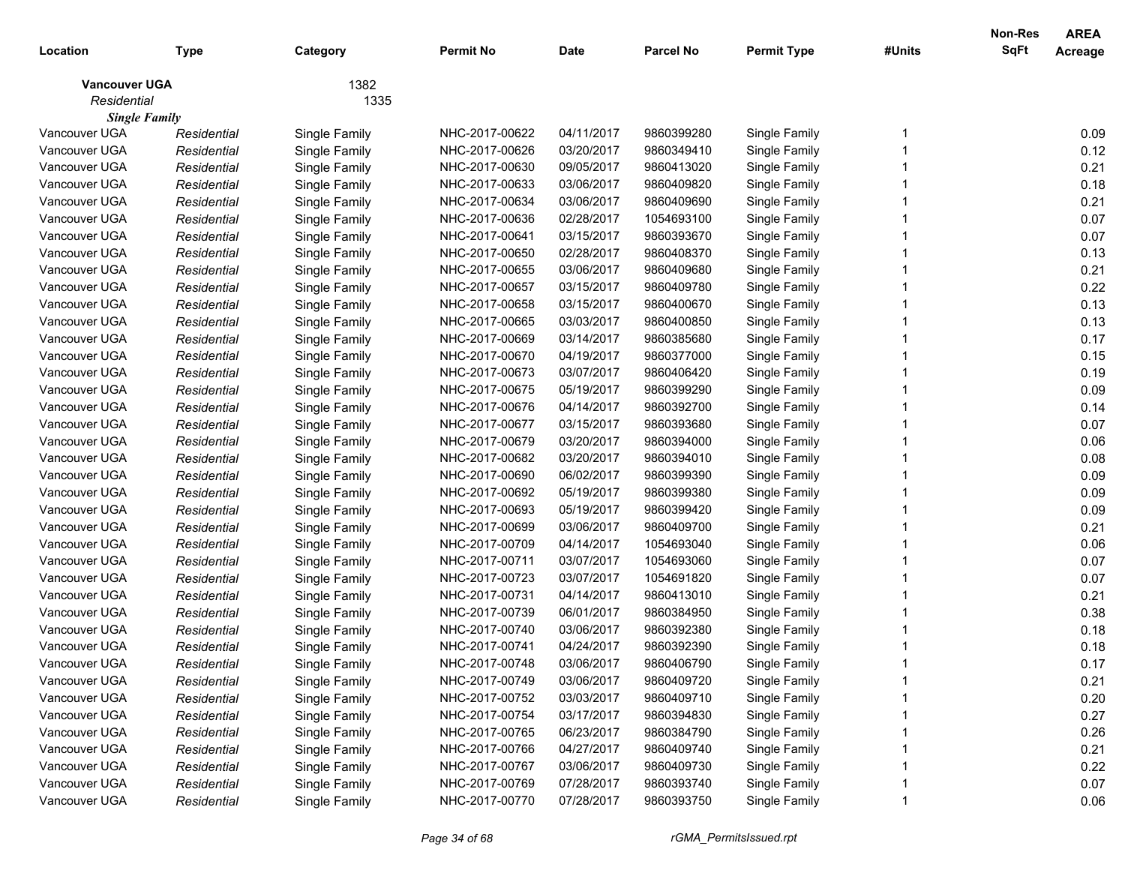| Location                            | <b>Type</b> | Category      | <b>Permit No</b> | <b>Date</b> | <b>Parcel No</b> | <b>Permit Type</b> | #Units | Non-Res<br>SqFt | <b>AREA</b><br>Acreage |
|-------------------------------------|-------------|---------------|------------------|-------------|------------------|--------------------|--------|-----------------|------------------------|
| <b>Vancouver UGA</b><br>Residential |             | 1382<br>1335  |                  |             |                  |                    |        |                 |                        |
| <b>Single Family</b>                |             |               |                  |             |                  |                    |        |                 |                        |
| Vancouver UGA                       | Residential | Single Family | NHC-2017-00622   | 04/11/2017  | 9860399280       | Single Family      |        |                 | 0.09                   |
| Vancouver UGA                       | Residential | Single Family | NHC-2017-00626   | 03/20/2017  | 9860349410       | Single Family      |        |                 | 0.12                   |
| Vancouver UGA                       | Residential | Single Family | NHC-2017-00630   | 09/05/2017  | 9860413020       | Single Family      |        |                 | 0.21                   |
| Vancouver UGA                       | Residential | Single Family | NHC-2017-00633   | 03/06/2017  | 9860409820       | Single Family      |        |                 | 0.18                   |
| Vancouver UGA                       | Residential | Single Family | NHC-2017-00634   | 03/06/2017  | 9860409690       | Single Family      |        |                 | 0.21                   |
| Vancouver UGA                       | Residential | Single Family | NHC-2017-00636   | 02/28/2017  | 1054693100       | Single Family      |        |                 | 0.07                   |
| Vancouver UGA                       | Residential | Single Family | NHC-2017-00641   | 03/15/2017  | 9860393670       | Single Family      |        |                 | 0.07                   |
| Vancouver UGA                       | Residential | Single Family | NHC-2017-00650   | 02/28/2017  | 9860408370       | Single Family      |        |                 | 0.13                   |
| Vancouver UGA                       | Residential | Single Family | NHC-2017-00655   | 03/06/2017  | 9860409680       | Single Family      |        |                 | 0.21                   |
| Vancouver UGA                       | Residential | Single Family | NHC-2017-00657   | 03/15/2017  | 9860409780       | Single Family      |        |                 | 0.22                   |
| Vancouver UGA                       | Residential | Single Family | NHC-2017-00658   | 03/15/2017  | 9860400670       | Single Family      |        |                 | 0.13                   |
| Vancouver UGA                       | Residential | Single Family | NHC-2017-00665   | 03/03/2017  | 9860400850       | Single Family      |        |                 | 0.13                   |
| Vancouver UGA                       | Residential | Single Family | NHC-2017-00669   | 03/14/2017  | 9860385680       | Single Family      |        |                 | 0.17                   |
| Vancouver UGA                       | Residential | Single Family | NHC-2017-00670   | 04/19/2017  | 9860377000       | Single Family      |        |                 | 0.15                   |
| Vancouver UGA                       | Residential | Single Family | NHC-2017-00673   | 03/07/2017  | 9860406420       | Single Family      |        |                 | 0.19                   |
| Vancouver UGA                       | Residential | Single Family | NHC-2017-00675   | 05/19/2017  | 9860399290       | Single Family      |        |                 | 0.09                   |
| Vancouver UGA                       | Residential | Single Family | NHC-2017-00676   | 04/14/2017  | 9860392700       | Single Family      |        |                 | 0.14                   |
| Vancouver UGA                       | Residential | Single Family | NHC-2017-00677   | 03/15/2017  | 9860393680       | Single Family      |        |                 | 0.07                   |
| Vancouver UGA                       | Residential | Single Family | NHC-2017-00679   | 03/20/2017  | 9860394000       | Single Family      |        |                 | 0.06                   |
| Vancouver UGA                       | Residential | Single Family | NHC-2017-00682   | 03/20/2017  | 9860394010       | Single Family      |        |                 | 0.08                   |
| Vancouver UGA                       | Residential | Single Family | NHC-2017-00690   | 06/02/2017  | 9860399390       | Single Family      |        |                 | 0.09                   |
| Vancouver UGA                       | Residential | Single Family | NHC-2017-00692   | 05/19/2017  | 9860399380       | Single Family      |        |                 | 0.09                   |
| Vancouver UGA                       | Residential | Single Family | NHC-2017-00693   | 05/19/2017  | 9860399420       | Single Family      |        |                 | 0.09                   |
| Vancouver UGA                       | Residential | Single Family | NHC-2017-00699   | 03/06/2017  | 9860409700       | Single Family      |        |                 | 0.21                   |
| Vancouver UGA                       | Residential | Single Family | NHC-2017-00709   | 04/14/2017  | 1054693040       | Single Family      |        |                 | 0.06                   |
| Vancouver UGA                       | Residential | Single Family | NHC-2017-00711   | 03/07/2017  | 1054693060       | Single Family      |        |                 | 0.07                   |
| Vancouver UGA                       | Residential | Single Family | NHC-2017-00723   | 03/07/2017  | 1054691820       | Single Family      |        |                 | 0.07                   |
| Vancouver UGA                       | Residential | Single Family | NHC-2017-00731   | 04/14/2017  | 9860413010       | Single Family      |        |                 | 0.21                   |
| Vancouver UGA                       | Residential | Single Family | NHC-2017-00739   | 06/01/2017  | 9860384950       | Single Family      |        |                 | 0.38                   |
| Vancouver UGA                       | Residential | Single Family | NHC-2017-00740   | 03/06/2017  | 9860392380       | Single Family      |        |                 | 0.18                   |
| Vancouver UGA                       | Residential | Single Family | NHC-2017-00741   | 04/24/2017  | 9860392390       | Single Family      |        |                 | 0.18                   |
| Vancouver UGA                       | Residential | Single Family | NHC-2017-00748   | 03/06/2017  | 9860406790       | Single Family      |        |                 | 0.17                   |
| Vancouver UGA                       | Residential | Single Family | NHC-2017-00749   | 03/06/2017  | 9860409720       | Single Family      |        |                 | 0.21                   |
| Vancouver UGA                       | Residential | Single Family | NHC-2017-00752   | 03/03/2017  | 9860409710       | Single Family      |        |                 | 0.20                   |
| Vancouver UGA                       | Residential | Single Family | NHC-2017-00754   | 03/17/2017  | 9860394830       | Single Family      |        |                 | 0.27                   |
| Vancouver UGA                       | Residential | Single Family | NHC-2017-00765   | 06/23/2017  | 9860384790       | Single Family      |        |                 | 0.26                   |
| Vancouver UGA                       | Residential | Single Family | NHC-2017-00766   | 04/27/2017  | 9860409740       | Single Family      |        |                 | 0.21                   |
| Vancouver UGA                       | Residential | Single Family | NHC-2017-00767   | 03/06/2017  | 9860409730       | Single Family      |        |                 | 0.22                   |
| Vancouver UGA                       | Residential | Single Family | NHC-2017-00769   | 07/28/2017  | 9860393740       | Single Family      |        |                 | 0.07                   |
| Vancouver UGA                       | Residential | Single Family | NHC-2017-00770   | 07/28/2017  | 9860393750       | Single Family      |        |                 | 0.06                   |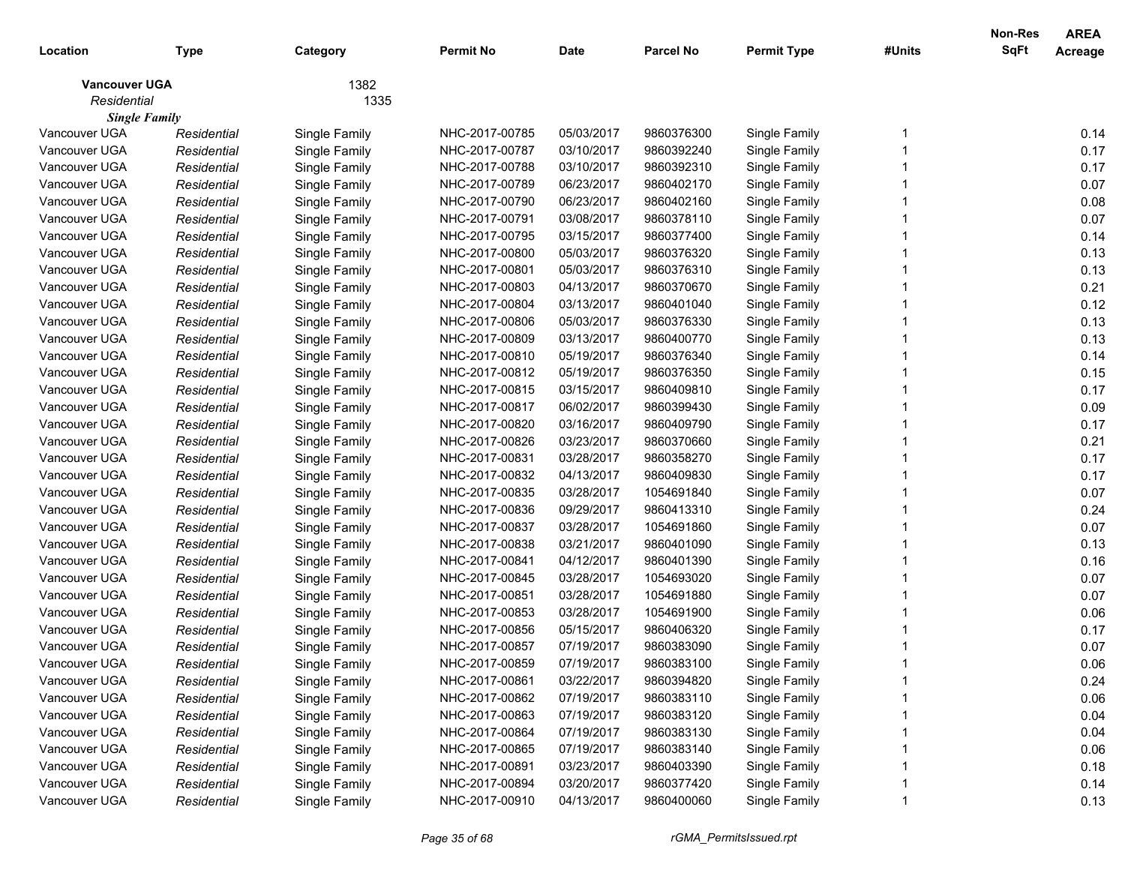| Location                              | <b>Type</b> | Category      | <b>Permit No</b> | <b>Date</b> | <b>Parcel No</b> | <b>Permit Type</b> | #Units | Non-Res<br>SqFt | <b>AREA</b><br>Acreage |
|---------------------------------------|-------------|---------------|------------------|-------------|------------------|--------------------|--------|-----------------|------------------------|
| <b>Vancouver UGA</b>                  |             | 1382          |                  |             |                  |                    |        |                 |                        |
| Residential                           |             | 1335          |                  |             |                  |                    |        |                 |                        |
| <b>Single Family</b><br>Vancouver UGA | Residential | Single Family | NHC-2017-00785   | 05/03/2017  | 9860376300       | Single Family      |        |                 | 0.14                   |
| Vancouver UGA                         | Residential | Single Family | NHC-2017-00787   | 03/10/2017  | 9860392240       | Single Family      |        |                 | 0.17                   |
| Vancouver UGA                         | Residential | Single Family | NHC-2017-00788   | 03/10/2017  | 9860392310       | Single Family      |        |                 | 0.17                   |
| Vancouver UGA                         | Residential | Single Family | NHC-2017-00789   | 06/23/2017  | 9860402170       | Single Family      |        |                 | 0.07                   |
| Vancouver UGA                         | Residential | Single Family | NHC-2017-00790   | 06/23/2017  | 9860402160       | Single Family      |        |                 | 0.08                   |
| Vancouver UGA                         | Residential | Single Family | NHC-2017-00791   | 03/08/2017  | 9860378110       | Single Family      |        |                 | 0.07                   |
| Vancouver UGA                         | Residential | Single Family | NHC-2017-00795   | 03/15/2017  | 9860377400       | Single Family      |        |                 | 0.14                   |
| Vancouver UGA                         | Residential | Single Family | NHC-2017-00800   | 05/03/2017  | 9860376320       | Single Family      |        |                 | 0.13                   |
| Vancouver UGA                         | Residential | Single Family | NHC-2017-00801   | 05/03/2017  | 9860376310       | Single Family      |        |                 | 0.13                   |
| Vancouver UGA                         | Residential | Single Family | NHC-2017-00803   | 04/13/2017  | 9860370670       | Single Family      |        |                 | 0.21                   |
| Vancouver UGA                         | Residential | Single Family | NHC-2017-00804   | 03/13/2017  | 9860401040       | Single Family      |        |                 | 0.12                   |
| Vancouver UGA                         | Residential | Single Family | NHC-2017-00806   | 05/03/2017  | 9860376330       | Single Family      |        |                 | 0.13                   |
| Vancouver UGA                         | Residential | Single Family | NHC-2017-00809   | 03/13/2017  | 9860400770       | Single Family      |        |                 | 0.13                   |
| Vancouver UGA                         | Residential | Single Family | NHC-2017-00810   | 05/19/2017  | 9860376340       | Single Family      |        |                 | 0.14                   |
| Vancouver UGA                         | Residential | Single Family | NHC-2017-00812   | 05/19/2017  | 9860376350       | Single Family      |        |                 | 0.15                   |
| Vancouver UGA                         | Residential | Single Family | NHC-2017-00815   | 03/15/2017  | 9860409810       | Single Family      |        |                 | 0.17                   |
| Vancouver UGA                         | Residential | Single Family | NHC-2017-00817   | 06/02/2017  | 9860399430       | Single Family      |        |                 | 0.09                   |
| Vancouver UGA                         | Residential | Single Family | NHC-2017-00820   | 03/16/2017  | 9860409790       | Single Family      |        |                 | 0.17                   |
| Vancouver UGA                         | Residential | Single Family | NHC-2017-00826   | 03/23/2017  | 9860370660       | Single Family      |        |                 | 0.21                   |
| Vancouver UGA                         | Residential | Single Family | NHC-2017-00831   | 03/28/2017  | 9860358270       | Single Family      |        |                 | 0.17                   |
| Vancouver UGA                         | Residential | Single Family | NHC-2017-00832   | 04/13/2017  | 9860409830       | Single Family      |        |                 | 0.17                   |
| Vancouver UGA                         | Residential | Single Family | NHC-2017-00835   | 03/28/2017  | 1054691840       | Single Family      |        |                 | 0.07                   |
| Vancouver UGA                         | Residential | Single Family | NHC-2017-00836   | 09/29/2017  | 9860413310       | Single Family      |        |                 | 0.24                   |
| Vancouver UGA                         | Residential | Single Family | NHC-2017-00837   | 03/28/2017  | 1054691860       | Single Family      |        |                 | 0.07                   |
| Vancouver UGA                         | Residential | Single Family | NHC-2017-00838   | 03/21/2017  | 9860401090       | Single Family      |        |                 | 0.13                   |
| Vancouver UGA                         | Residential | Single Family | NHC-2017-00841   | 04/12/2017  | 9860401390       | Single Family      |        |                 | 0.16                   |
| Vancouver UGA                         | Residential | Single Family | NHC-2017-00845   | 03/28/2017  | 1054693020       | Single Family      |        |                 | 0.07                   |
| Vancouver UGA                         | Residential | Single Family | NHC-2017-00851   | 03/28/2017  | 1054691880       | Single Family      |        |                 | 0.07                   |
| Vancouver UGA                         | Residential | Single Family | NHC-2017-00853   | 03/28/2017  | 1054691900       | Single Family      |        |                 | 0.06                   |
| Vancouver UGA                         | Residential | Single Family | NHC-2017-00856   | 05/15/2017  | 9860406320       | Single Family      |        |                 | 0.17                   |
| Vancouver UGA                         | Residential | Single Family | NHC-2017-00857   | 07/19/2017  | 9860383090       | Single Family      |        |                 | 0.07                   |
| Vancouver UGA                         | Residential | Single Family | NHC-2017-00859   | 07/19/2017  | 9860383100       | Single Family      |        |                 | 0.06                   |
| Vancouver UGA                         | Residential | Single Family | NHC-2017-00861   | 03/22/2017  | 9860394820       | Single Family      |        |                 | 0.24                   |
| Vancouver UGA                         | Residential | Single Family | NHC-2017-00862   | 07/19/2017  | 9860383110       | Single Family      |        |                 | 0.06                   |
| Vancouver UGA                         | Residential | Single Family | NHC-2017-00863   | 07/19/2017  | 9860383120       | Single Family      |        |                 | 0.04                   |
| Vancouver UGA                         | Residential | Single Family | NHC-2017-00864   | 07/19/2017  | 9860383130       | Single Family      |        |                 | 0.04                   |
| Vancouver UGA                         | Residential | Single Family | NHC-2017-00865   | 07/19/2017  | 9860383140       | Single Family      |        |                 | 0.06                   |
| Vancouver UGA                         | Residential | Single Family | NHC-2017-00891   | 03/23/2017  | 9860403390       | Single Family      |        |                 | 0.18                   |
| Vancouver UGA                         | Residential | Single Family | NHC-2017-00894   | 03/20/2017  | 9860377420       | Single Family      |        |                 | 0.14                   |
| Vancouver UGA                         | Residential | Single Family | NHC-2017-00910   | 04/13/2017  | 9860400060       | Single Family      |        |                 | 0.13                   |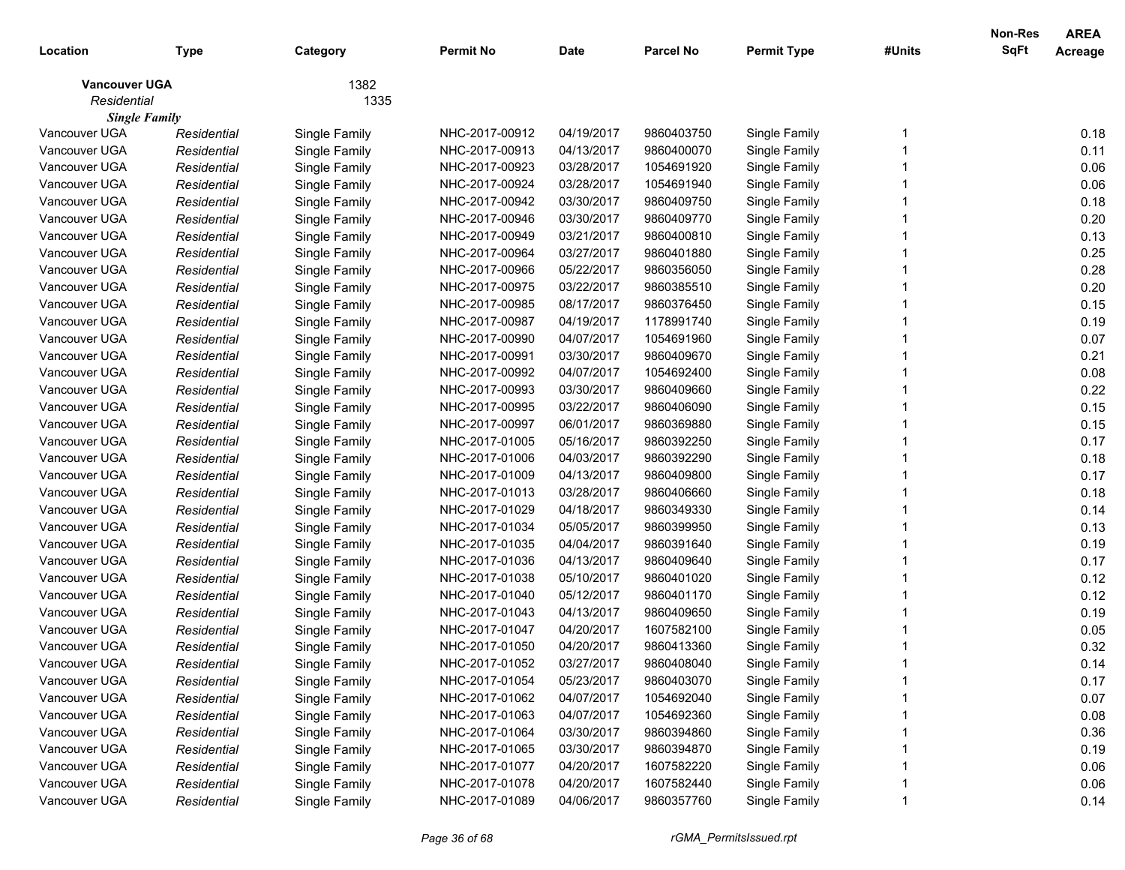| Location                            | <b>Type</b> | Category      | <b>Permit No</b> | <b>Date</b> | <b>Parcel No</b> | <b>Permit Type</b> | #Units | <b>Non-Res</b><br>SqFt | <b>AREA</b><br>Acreage |
|-------------------------------------|-------------|---------------|------------------|-------------|------------------|--------------------|--------|------------------------|------------------------|
| <b>Vancouver UGA</b><br>Residential |             | 1382<br>1335  |                  |             |                  |                    |        |                        |                        |
| <b>Single Family</b>                |             |               |                  |             |                  |                    |        |                        |                        |
| Vancouver UGA                       | Residential | Single Family | NHC-2017-00912   | 04/19/2017  | 9860403750       | Single Family      |        |                        | 0.18                   |
| Vancouver UGA                       | Residential | Single Family | NHC-2017-00913   | 04/13/2017  | 9860400070       | Single Family      |        |                        | 0.11                   |
| Vancouver UGA                       | Residential | Single Family | NHC-2017-00923   | 03/28/2017  | 1054691920       | Single Family      |        |                        | 0.06                   |
| Vancouver UGA                       | Residential | Single Family | NHC-2017-00924   | 03/28/2017  | 1054691940       | Single Family      |        |                        | 0.06                   |
| Vancouver UGA                       | Residential | Single Family | NHC-2017-00942   | 03/30/2017  | 9860409750       | Single Family      |        |                        | 0.18                   |
| Vancouver UGA                       | Residential | Single Family | NHC-2017-00946   | 03/30/2017  | 9860409770       | Single Family      |        |                        | 0.20                   |
| Vancouver UGA                       | Residential | Single Family | NHC-2017-00949   | 03/21/2017  | 9860400810       | Single Family      |        |                        | 0.13                   |
| Vancouver UGA                       | Residential | Single Family | NHC-2017-00964   | 03/27/2017  | 9860401880       | Single Family      |        |                        | 0.25                   |
| Vancouver UGA                       | Residential | Single Family | NHC-2017-00966   | 05/22/2017  | 9860356050       | Single Family      |        |                        | 0.28                   |
| Vancouver UGA                       | Residential | Single Family | NHC-2017-00975   | 03/22/2017  | 9860385510       | Single Family      |        |                        | 0.20                   |
| Vancouver UGA                       | Residential | Single Family | NHC-2017-00985   | 08/17/2017  | 9860376450       | Single Family      |        |                        | 0.15                   |
| Vancouver UGA                       | Residential | Single Family | NHC-2017-00987   | 04/19/2017  | 1178991740       | Single Family      |        |                        | 0.19                   |
| Vancouver UGA                       | Residential | Single Family | NHC-2017-00990   | 04/07/2017  | 1054691960       | Single Family      |        |                        | 0.07                   |
| Vancouver UGA                       | Residential | Single Family | NHC-2017-00991   | 03/30/2017  | 9860409670       | Single Family      |        |                        | 0.21                   |
| Vancouver UGA                       | Residential | Single Family | NHC-2017-00992   | 04/07/2017  | 1054692400       | Single Family      |        |                        | 0.08                   |
| Vancouver UGA                       | Residential | Single Family | NHC-2017-00993   | 03/30/2017  | 9860409660       | Single Family      |        |                        | 0.22                   |
| Vancouver UGA                       | Residential | Single Family | NHC-2017-00995   | 03/22/2017  | 9860406090       | Single Family      |        |                        | 0.15                   |
| Vancouver UGA                       | Residential | Single Family | NHC-2017-00997   | 06/01/2017  | 9860369880       | Single Family      |        |                        | 0.15                   |
| Vancouver UGA                       | Residential | Single Family | NHC-2017-01005   | 05/16/2017  | 9860392250       | Single Family      |        |                        | 0.17                   |
| Vancouver UGA                       | Residential | Single Family | NHC-2017-01006   | 04/03/2017  | 9860392290       | Single Family      |        |                        | 0.18                   |
| Vancouver UGA                       | Residential | Single Family | NHC-2017-01009   | 04/13/2017  | 9860409800       | Single Family      |        |                        | 0.17                   |
| Vancouver UGA                       | Residential | Single Family | NHC-2017-01013   | 03/28/2017  | 9860406660       | Single Family      |        |                        | 0.18                   |
| Vancouver UGA                       | Residential | Single Family | NHC-2017-01029   | 04/18/2017  | 9860349330       | Single Family      |        |                        | 0.14                   |
| Vancouver UGA                       | Residential | Single Family | NHC-2017-01034   | 05/05/2017  | 9860399950       | Single Family      |        |                        | 0.13                   |
| Vancouver UGA                       | Residential | Single Family | NHC-2017-01035   | 04/04/2017  | 9860391640       | Single Family      |        |                        | 0.19                   |
| Vancouver UGA                       | Residential | Single Family | NHC-2017-01036   | 04/13/2017  | 9860409640       | Single Family      |        |                        | 0.17                   |
| Vancouver UGA                       | Residential | Single Family | NHC-2017-01038   | 05/10/2017  | 9860401020       | Single Family      |        |                        | 0.12                   |
| Vancouver UGA                       | Residential | Single Family | NHC-2017-01040   | 05/12/2017  | 9860401170       | Single Family      |        |                        | 0.12                   |
| Vancouver UGA                       | Residential | Single Family | NHC-2017-01043   | 04/13/2017  | 9860409650       | Single Family      |        |                        | 0.19                   |
| Vancouver UGA                       | Residential | Single Family | NHC-2017-01047   | 04/20/2017  | 1607582100       | Single Family      |        |                        | 0.05                   |
| Vancouver UGA                       | Residential | Single Family | NHC-2017-01050   | 04/20/2017  | 9860413360       | Single Family      |        |                        | 0.32                   |
| Vancouver UGA                       | Residential | Single Family | NHC-2017-01052   | 03/27/2017  | 9860408040       | Single Family      |        |                        | 0.14                   |
| Vancouver UGA                       | Residential | Single Family | NHC-2017-01054   | 05/23/2017  | 9860403070       | Single Family      |        |                        | 0.17                   |
| Vancouver UGA                       | Residential | Single Family | NHC-2017-01062   | 04/07/2017  | 1054692040       | Single Family      |        |                        | 0.07                   |
| Vancouver UGA                       | Residential | Single Family | NHC-2017-01063   | 04/07/2017  | 1054692360       | Single Family      |        |                        | 0.08                   |
| Vancouver UGA                       | Residential | Single Family | NHC-2017-01064   | 03/30/2017  | 9860394860       | Single Family      |        |                        | 0.36                   |
| Vancouver UGA                       | Residential | Single Family | NHC-2017-01065   | 03/30/2017  | 9860394870       | Single Family      |        |                        | 0.19                   |
| Vancouver UGA                       | Residential | Single Family | NHC-2017-01077   | 04/20/2017  | 1607582220       | Single Family      |        |                        | 0.06                   |
| Vancouver UGA                       | Residential | Single Family | NHC-2017-01078   | 04/20/2017  | 1607582440       | Single Family      |        |                        | 0.06                   |
| Vancouver UGA                       | Residential | Single Family | NHC-2017-01089   | 04/06/2017  | 9860357760       | Single Family      |        |                        | 0.14                   |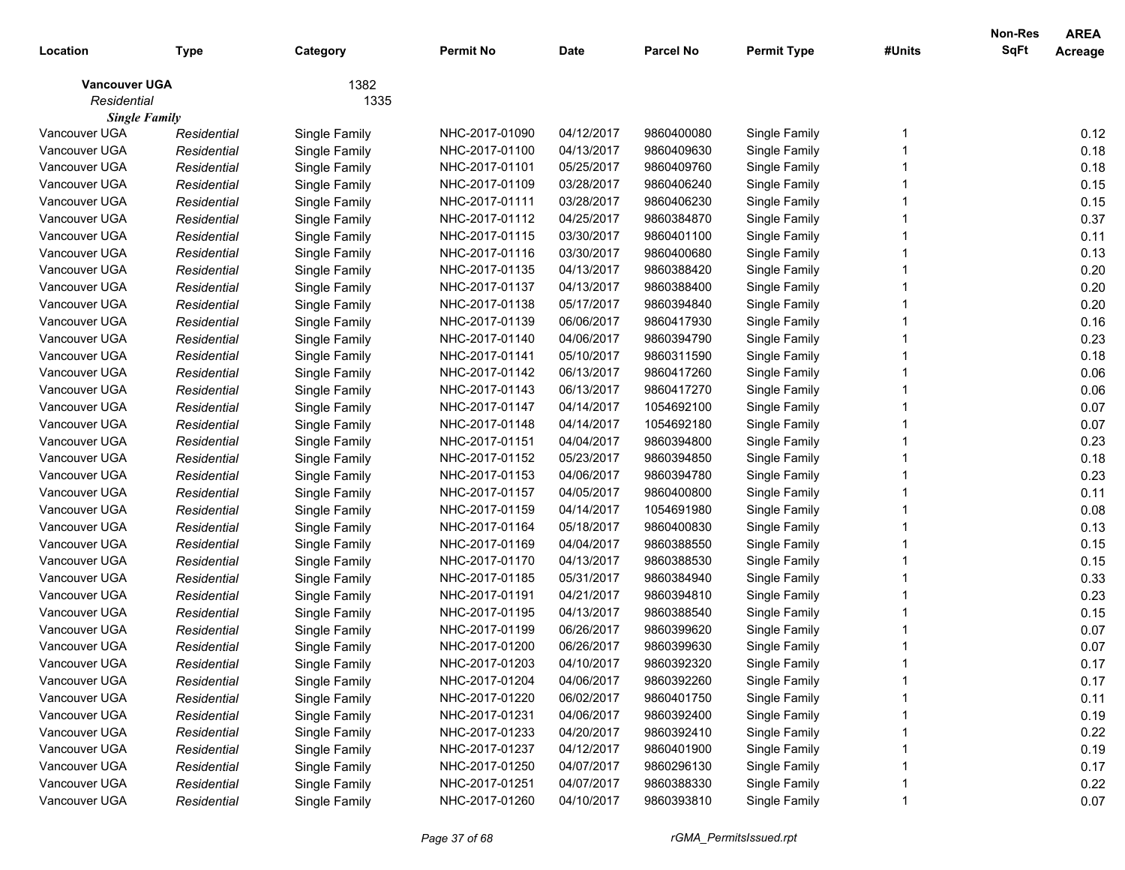| Location             | <b>Type</b> | Category      | <b>Permit No</b> | <b>Date</b> | <b>Parcel No</b> | <b>Permit Type</b> | #Units | <b>Non-Res</b><br><b>SqFt</b> | <b>AREA</b><br>Acreage |
|----------------------|-------------|---------------|------------------|-------------|------------------|--------------------|--------|-------------------------------|------------------------|
| <b>Vancouver UGA</b> |             | 1382          |                  |             |                  |                    |        |                               |                        |
| Residential          |             | 1335          |                  |             |                  |                    |        |                               |                        |
| <b>Single Family</b> |             |               |                  |             |                  |                    |        |                               |                        |
| Vancouver UGA        | Residential | Single Family | NHC-2017-01090   | 04/12/2017  | 9860400080       | Single Family      |        |                               | 0.12                   |
| Vancouver UGA        | Residential | Single Family | NHC-2017-01100   | 04/13/2017  | 9860409630       | Single Family      |        |                               | 0.18                   |
| Vancouver UGA        | Residential | Single Family | NHC-2017-01101   | 05/25/2017  | 9860409760       | Single Family      |        |                               | 0.18                   |
| Vancouver UGA        | Residential | Single Family | NHC-2017-01109   | 03/28/2017  | 9860406240       | Single Family      |        |                               | 0.15                   |
| Vancouver UGA        | Residential | Single Family | NHC-2017-01111   | 03/28/2017  | 9860406230       | Single Family      |        |                               | 0.15                   |
| Vancouver UGA        | Residential | Single Family | NHC-2017-01112   | 04/25/2017  | 9860384870       | Single Family      |        |                               | 0.37                   |
| Vancouver UGA        | Residential | Single Family | NHC-2017-01115   | 03/30/2017  | 9860401100       | Single Family      |        |                               | 0.11                   |
| Vancouver UGA        | Residential | Single Family | NHC-2017-01116   | 03/30/2017  | 9860400680       | Single Family      |        |                               | 0.13                   |
| Vancouver UGA        | Residential | Single Family | NHC-2017-01135   | 04/13/2017  | 9860388420       | Single Family      |        |                               | 0.20                   |
| Vancouver UGA        | Residential | Single Family | NHC-2017-01137   | 04/13/2017  | 9860388400       | Single Family      |        |                               | 0.20                   |
| Vancouver UGA        | Residential | Single Family | NHC-2017-01138   | 05/17/2017  | 9860394840       | Single Family      |        |                               | 0.20                   |
| Vancouver UGA        | Residential | Single Family | NHC-2017-01139   | 06/06/2017  | 9860417930       | Single Family      |        |                               | 0.16                   |
| Vancouver UGA        | Residential | Single Family | NHC-2017-01140   | 04/06/2017  | 9860394790       | Single Family      |        |                               | 0.23                   |
| Vancouver UGA        | Residential | Single Family | NHC-2017-01141   | 05/10/2017  | 9860311590       | Single Family      |        |                               | 0.18                   |
| Vancouver UGA        | Residential | Single Family | NHC-2017-01142   | 06/13/2017  | 9860417260       | Single Family      |        |                               | 0.06                   |
| Vancouver UGA        | Residential | Single Family | NHC-2017-01143   | 06/13/2017  | 9860417270       | Single Family      |        |                               | 0.06                   |
| Vancouver UGA        | Residential | Single Family | NHC-2017-01147   | 04/14/2017  | 1054692100       | Single Family      |        |                               | 0.07                   |
| Vancouver UGA        | Residential | Single Family | NHC-2017-01148   | 04/14/2017  | 1054692180       | Single Family      |        |                               | 0.07                   |
| Vancouver UGA        | Residential | Single Family | NHC-2017-01151   | 04/04/2017  | 9860394800       | Single Family      |        |                               | 0.23                   |
| Vancouver UGA        | Residential | Single Family | NHC-2017-01152   | 05/23/2017  | 9860394850       | Single Family      |        |                               | 0.18                   |
| Vancouver UGA        | Residential | Single Family | NHC-2017-01153   | 04/06/2017  | 9860394780       | Single Family      |        |                               | 0.23                   |
| Vancouver UGA        | Residential | Single Family | NHC-2017-01157   | 04/05/2017  | 9860400800       | Single Family      |        |                               | 0.11                   |
| Vancouver UGA        | Residential | Single Family | NHC-2017-01159   | 04/14/2017  | 1054691980       | Single Family      |        |                               | 0.08                   |
| Vancouver UGA        | Residential | Single Family | NHC-2017-01164   | 05/18/2017  | 9860400830       | Single Family      |        |                               | 0.13                   |
| Vancouver UGA        | Residential | Single Family | NHC-2017-01169   | 04/04/2017  | 9860388550       | Single Family      |        |                               | 0.15                   |
| Vancouver UGA        | Residential | Single Family | NHC-2017-01170   | 04/13/2017  | 9860388530       | Single Family      |        |                               | 0.15                   |
| Vancouver UGA        | Residential | Single Family | NHC-2017-01185   | 05/31/2017  | 9860384940       | Single Family      |        |                               | 0.33                   |
| Vancouver UGA        | Residential | Single Family | NHC-2017-01191   | 04/21/2017  | 9860394810       | Single Family      |        |                               | 0.23                   |
| Vancouver UGA        | Residential | Single Family | NHC-2017-01195   | 04/13/2017  | 9860388540       | Single Family      |        |                               | 0.15                   |
| Vancouver UGA        | Residential | Single Family | NHC-2017-01199   | 06/26/2017  | 9860399620       | Single Family      |        |                               | 0.07                   |
| Vancouver UGA        | Residential | Single Family | NHC-2017-01200   | 06/26/2017  | 9860399630       | Single Family      |        |                               | 0.07                   |
| Vancouver UGA        | Residential | Single Family | NHC-2017-01203   | 04/10/2017  | 9860392320       | Single Family      |        |                               | 0.17                   |
| Vancouver UGA        | Residential | Single Family | NHC-2017-01204   | 04/06/2017  | 9860392260       | Single Family      |        |                               | 0.17                   |
| Vancouver UGA        | Residential | Single Family | NHC-2017-01220   | 06/02/2017  | 9860401750       | Single Family      |        |                               | 0.11                   |
| Vancouver UGA        | Residential | Single Family | NHC-2017-01231   | 04/06/2017  | 9860392400       | Single Family      |        |                               | 0.19                   |
| Vancouver UGA        | Residential | Single Family | NHC-2017-01233   | 04/20/2017  | 9860392410       | Single Family      |        |                               | 0.22                   |
| Vancouver UGA        | Residential | Single Family | NHC-2017-01237   | 04/12/2017  | 9860401900       | Single Family      |        |                               | 0.19                   |
| Vancouver UGA        | Residential | Single Family | NHC-2017-01250   | 04/07/2017  | 9860296130       | Single Family      |        |                               | 0.17                   |
| Vancouver UGA        | Residential | Single Family | NHC-2017-01251   | 04/07/2017  | 9860388330       | Single Family      |        |                               | 0.22                   |
| Vancouver UGA        | Residential | Single Family | NHC-2017-01260   | 04/10/2017  | 9860393810       | Single Family      |        |                               | 0.07                   |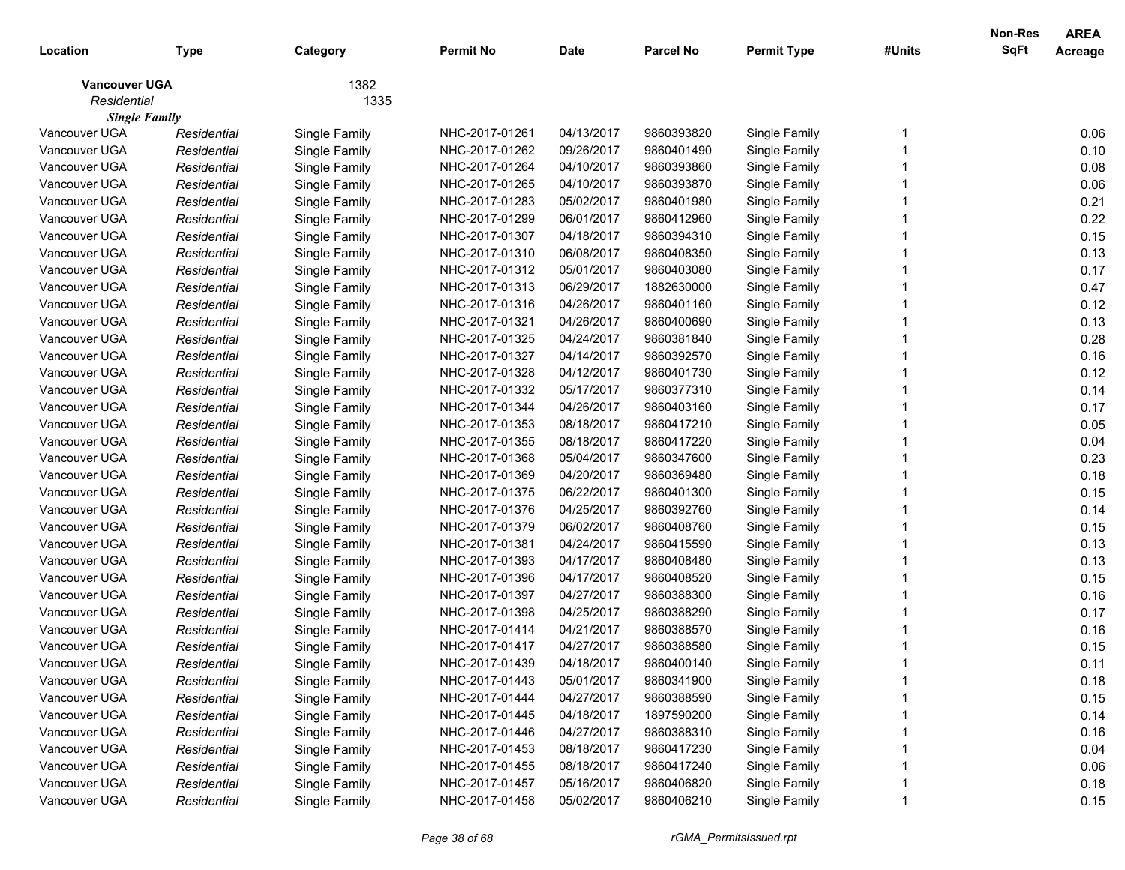| Location                            | <b>Type</b> | Category      | <b>Permit No</b> | <b>Date</b> | <b>Parcel No</b> | <b>Permit Type</b> | #Units | Non-Res<br>SqFt | <b>AREA</b><br>Acreage |
|-------------------------------------|-------------|---------------|------------------|-------------|------------------|--------------------|--------|-----------------|------------------------|
| <b>Vancouver UGA</b><br>Residential |             | 1382<br>1335  |                  |             |                  |                    |        |                 |                        |
| <b>Single Family</b>                |             |               |                  |             |                  |                    |        |                 |                        |
| Vancouver UGA                       | Residential | Single Family | NHC-2017-01261   | 04/13/2017  | 9860393820       | Single Family      |        |                 | 0.06                   |
| Vancouver UGA                       | Residential | Single Family | NHC-2017-01262   | 09/26/2017  | 9860401490       | Single Family      |        |                 | 0.10                   |
| Vancouver UGA                       | Residential | Single Family | NHC-2017-01264   | 04/10/2017  | 9860393860       | Single Family      |        |                 | 0.08                   |
| Vancouver UGA                       | Residential | Single Family | NHC-2017-01265   | 04/10/2017  | 9860393870       | Single Family      |        |                 | 0.06                   |
| Vancouver UGA                       | Residential | Single Family | NHC-2017-01283   | 05/02/2017  | 9860401980       | Single Family      |        |                 | 0.21                   |
| Vancouver UGA                       | Residential | Single Family | NHC-2017-01299   | 06/01/2017  | 9860412960       | Single Family      |        |                 | 0.22                   |
| Vancouver UGA                       | Residential | Single Family | NHC-2017-01307   | 04/18/2017  | 9860394310       | Single Family      |        |                 | 0.15                   |
| Vancouver UGA                       | Residential | Single Family | NHC-2017-01310   | 06/08/2017  | 9860408350       | Single Family      |        |                 | 0.13                   |
| Vancouver UGA                       | Residential | Single Family | NHC-2017-01312   | 05/01/2017  | 9860403080       | Single Family      |        |                 | 0.17                   |
| Vancouver UGA                       | Residential | Single Family | NHC-2017-01313   | 06/29/2017  | 1882630000       | Single Family      |        |                 | 0.47                   |
| Vancouver UGA                       | Residential | Single Family | NHC-2017-01316   | 04/26/2017  | 9860401160       | Single Family      |        |                 | 0.12                   |
| Vancouver UGA                       | Residential | Single Family | NHC-2017-01321   | 04/26/2017  | 9860400690       | Single Family      |        |                 | 0.13                   |
| Vancouver UGA                       | Residential | Single Family | NHC-2017-01325   | 04/24/2017  | 9860381840       | Single Family      |        |                 | 0.28                   |
| Vancouver UGA                       | Residential | Single Family | NHC-2017-01327   | 04/14/2017  | 9860392570       | Single Family      |        |                 | 0.16                   |
| Vancouver UGA                       | Residential | Single Family | NHC-2017-01328   | 04/12/2017  | 9860401730       | Single Family      |        |                 | 0.12                   |
| Vancouver UGA                       | Residential | Single Family | NHC-2017-01332   | 05/17/2017  | 9860377310       | Single Family      |        |                 | 0.14                   |
| Vancouver UGA                       | Residential | Single Family | NHC-2017-01344   | 04/26/2017  | 9860403160       | Single Family      |        |                 | 0.17                   |
| Vancouver UGA                       | Residential | Single Family | NHC-2017-01353   | 08/18/2017  | 9860417210       | Single Family      |        |                 | 0.05                   |
| Vancouver UGA                       | Residential | Single Family | NHC-2017-01355   | 08/18/2017  | 9860417220       | Single Family      |        |                 | 0.04                   |
| Vancouver UGA                       | Residential | Single Family | NHC-2017-01368   | 05/04/2017  | 9860347600       | Single Family      |        |                 | 0.23                   |
| Vancouver UGA                       | Residential | Single Family | NHC-2017-01369   | 04/20/2017  | 9860369480       | Single Family      |        |                 | 0.18                   |
| Vancouver UGA                       | Residential | Single Family | NHC-2017-01375   | 06/22/2017  | 9860401300       | Single Family      |        |                 | 0.15                   |
| Vancouver UGA                       | Residential | Single Family | NHC-2017-01376   | 04/25/2017  | 9860392760       | Single Family      |        |                 | 0.14                   |
| Vancouver UGA                       | Residential | Single Family | NHC-2017-01379   | 06/02/2017  | 9860408760       | Single Family      |        |                 | 0.15                   |
| Vancouver UGA                       | Residential | Single Family | NHC-2017-01381   | 04/24/2017  | 9860415590       | Single Family      |        |                 | 0.13                   |
| Vancouver UGA                       | Residential | Single Family | NHC-2017-01393   | 04/17/2017  | 9860408480       | Single Family      |        |                 | 0.13                   |
| Vancouver UGA                       | Residential | Single Family | NHC-2017-01396   | 04/17/2017  | 9860408520       | Single Family      |        |                 | 0.15                   |
| Vancouver UGA                       | Residential | Single Family | NHC-2017-01397   | 04/27/2017  | 9860388300       | Single Family      |        |                 | 0.16                   |
| Vancouver UGA                       | Residential | Single Family | NHC-2017-01398   | 04/25/2017  | 9860388290       | Single Family      |        |                 | 0.17                   |
| Vancouver UGA                       | Residential | Single Family | NHC-2017-01414   | 04/21/2017  | 9860388570       | Single Family      |        |                 | 0.16                   |
| Vancouver UGA                       | Residential | Single Family | NHC-2017-01417   | 04/27/2017  | 9860388580       | Single Family      |        |                 | 0.15                   |
| Vancouver UGA                       | Residential | Single Family | NHC-2017-01439   | 04/18/2017  | 9860400140       | Single Family      |        |                 | 0.11                   |
| Vancouver UGA                       | Residential | Single Family | NHC-2017-01443   | 05/01/2017  | 9860341900       | Single Family      |        |                 | 0.18                   |
| Vancouver UGA                       | Residential | Single Family | NHC-2017-01444   | 04/27/2017  | 9860388590       | Single Family      |        |                 | 0.15                   |
| Vancouver UGA                       | Residential | Single Family | NHC-2017-01445   | 04/18/2017  | 1897590200       | Single Family      |        |                 | 0.14                   |
| Vancouver UGA                       | Residential | Single Family | NHC-2017-01446   | 04/27/2017  | 9860388310       | Single Family      |        |                 | 0.16                   |
| Vancouver UGA                       | Residential | Single Family | NHC-2017-01453   | 08/18/2017  | 9860417230       | Single Family      |        |                 | 0.04                   |
| Vancouver UGA                       | Residential | Single Family | NHC-2017-01455   | 08/18/2017  | 9860417240       | Single Family      |        |                 | 0.06                   |
| Vancouver UGA                       | Residential | Single Family | NHC-2017-01457   | 05/16/2017  | 9860406820       | Single Family      |        |                 | 0.18                   |
| Vancouver UGA                       | Residential | Single Family | NHC-2017-01458   | 05/02/2017  | 9860406210       | Single Family      |        |                 | 0.15                   |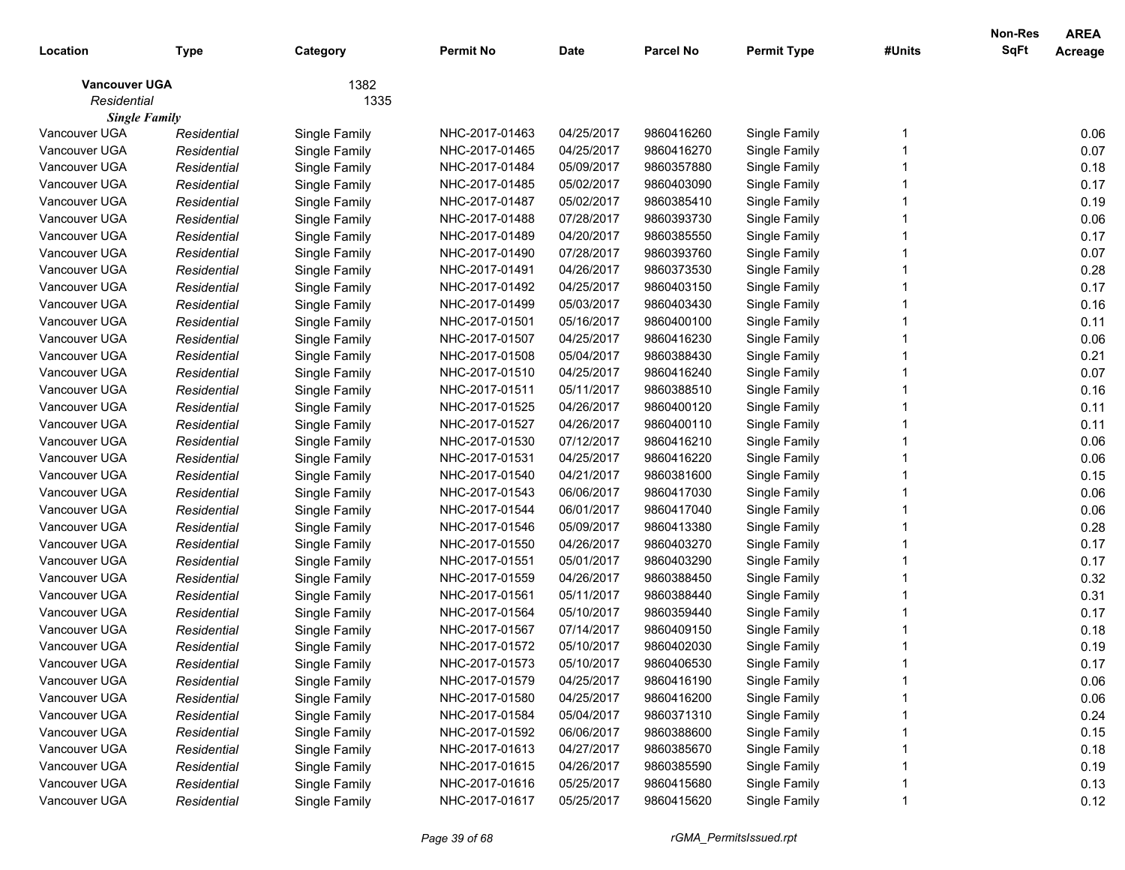|                      |             |               |                  |             |                  |                    |        | <b>Non-Res</b> | <b>AREA</b> |
|----------------------|-------------|---------------|------------------|-------------|------------------|--------------------|--------|----------------|-------------|
| Location             | Type        | Category      | <b>Permit No</b> | <b>Date</b> | <b>Parcel No</b> | <b>Permit Type</b> | #Units | <b>SqFt</b>    | Acreage     |
| <b>Vancouver UGA</b> |             | 1382          |                  |             |                  |                    |        |                |             |
| Residential          |             | 1335          |                  |             |                  |                    |        |                |             |
| <b>Single Family</b> |             |               |                  |             |                  |                    |        |                |             |
| Vancouver UGA        | Residential | Single Family | NHC-2017-01463   | 04/25/2017  | 9860416260       | Single Family      |        |                | 0.06        |
| Vancouver UGA        | Residential | Single Family | NHC-2017-01465   | 04/25/2017  | 9860416270       | Single Family      |        |                | 0.07        |
| Vancouver UGA        | Residential | Single Family | NHC-2017-01484   | 05/09/2017  | 9860357880       | Single Family      |        |                | 0.18        |
| Vancouver UGA        | Residential | Single Family | NHC-2017-01485   | 05/02/2017  | 9860403090       | Single Family      |        |                | 0.17        |
| Vancouver UGA        | Residential | Single Family | NHC-2017-01487   | 05/02/2017  | 9860385410       | Single Family      |        |                | 0.19        |
| Vancouver UGA        | Residential | Single Family | NHC-2017-01488   | 07/28/2017  | 9860393730       | Single Family      |        |                | 0.06        |
| Vancouver UGA        | Residential | Single Family | NHC-2017-01489   | 04/20/2017  | 9860385550       | Single Family      |        |                | 0.17        |
| Vancouver UGA        | Residential | Single Family | NHC-2017-01490   | 07/28/2017  | 9860393760       | Single Family      |        |                | 0.07        |
| Vancouver UGA        | Residential | Single Family | NHC-2017-01491   | 04/26/2017  | 9860373530       | Single Family      |        |                | 0.28        |
| Vancouver UGA        | Residential | Single Family | NHC-2017-01492   | 04/25/2017  | 9860403150       | Single Family      |        |                | 0.17        |
| Vancouver UGA        | Residential | Single Family | NHC-2017-01499   | 05/03/2017  | 9860403430       | Single Family      |        |                | 0.16        |
| Vancouver UGA        | Residential | Single Family | NHC-2017-01501   | 05/16/2017  | 9860400100       | Single Family      |        |                | 0.11        |
| Vancouver UGA        | Residential | Single Family | NHC-2017-01507   | 04/25/2017  | 9860416230       | Single Family      |        |                | 0.06        |
| Vancouver UGA        | Residential | Single Family | NHC-2017-01508   | 05/04/2017  | 9860388430       | Single Family      |        |                | 0.21        |
| Vancouver UGA        | Residential | Single Family | NHC-2017-01510   | 04/25/2017  | 9860416240       | Single Family      |        |                | 0.07        |
| Vancouver UGA        | Residential | Single Family | NHC-2017-01511   | 05/11/2017  | 9860388510       | Single Family      |        |                | 0.16        |
| Vancouver UGA        | Residential | Single Family | NHC-2017-01525   | 04/26/2017  | 9860400120       | Single Family      |        |                | 0.11        |
| Vancouver UGA        | Residential | Single Family | NHC-2017-01527   | 04/26/2017  | 9860400110       | Single Family      |        |                | 0.11        |
| Vancouver UGA        | Residential | Single Family | NHC-2017-01530   | 07/12/2017  | 9860416210       | Single Family      |        |                | 0.06        |
| Vancouver UGA        | Residential | Single Family | NHC-2017-01531   | 04/25/2017  | 9860416220       | Single Family      |        |                | 0.06        |
| Vancouver UGA        | Residential | Single Family | NHC-2017-01540   | 04/21/2017  | 9860381600       | Single Family      |        |                | 0.15        |
| Vancouver UGA        | Residential | Single Family | NHC-2017-01543   | 06/06/2017  | 9860417030       | Single Family      |        |                | 0.06        |
| Vancouver UGA        | Residential | Single Family | NHC-2017-01544   | 06/01/2017  | 9860417040       | Single Family      |        |                | 0.06        |
| Vancouver UGA        | Residential | Single Family | NHC-2017-01546   | 05/09/2017  | 9860413380       | Single Family      |        |                | 0.28        |
| Vancouver UGA        | Residential | Single Family | NHC-2017-01550   | 04/26/2017  | 9860403270       | Single Family      |        |                | 0.17        |
| Vancouver UGA        | Residential | Single Family | NHC-2017-01551   | 05/01/2017  | 9860403290       | Single Family      |        |                | 0.17        |
| Vancouver UGA        | Residential | Single Family | NHC-2017-01559   | 04/26/2017  | 9860388450       | Single Family      |        |                | 0.32        |
| Vancouver UGA        | Residential | Single Family | NHC-2017-01561   | 05/11/2017  | 9860388440       | Single Family      |        |                | 0.31        |
| Vancouver UGA        | Residential | Single Family | NHC-2017-01564   | 05/10/2017  | 9860359440       | Single Family      |        |                | 0.17        |
| Vancouver UGA        | Residential | Single Family | NHC-2017-01567   | 07/14/2017  | 9860409150       | Single Family      |        |                | 0.18        |
| Vancouver UGA        | Residential | Single Family | NHC-2017-01572   | 05/10/2017  | 9860402030       | Single Family      |        |                | 0.19        |
| Vancouver UGA        | Residential | Single Family | NHC-2017-01573   | 05/10/2017  | 9860406530       | Single Family      |        |                | 0.17        |
| Vancouver UGA        | Residential | Single Family | NHC-2017-01579   | 04/25/2017  | 9860416190       | Single Family      |        |                | 0.06        |
| Vancouver UGA        | Residential | Single Family | NHC-2017-01580   | 04/25/2017  | 9860416200       | Single Family      |        |                | 0.06        |
| Vancouver UGA        | Residential | Single Family | NHC-2017-01584   | 05/04/2017  | 9860371310       | Single Family      |        |                | 0.24        |
| Vancouver UGA        | Residential | Single Family | NHC-2017-01592   | 06/06/2017  | 9860388600       | Single Family      |        |                | 0.15        |
| Vancouver UGA        | Residential | Single Family | NHC-2017-01613   | 04/27/2017  | 9860385670       | Single Family      |        |                | 0.18        |
| Vancouver UGA        | Residential | Single Family | NHC-2017-01615   | 04/26/2017  | 9860385590       | Single Family      |        |                | 0.19        |
| Vancouver UGA        | Residential | Single Family | NHC-2017-01616   | 05/25/2017  | 9860415680       | Single Family      |        |                | 0.13        |
| Vancouver UGA        | Residential | Single Family | NHC-2017-01617   | 05/25/2017  | 9860415620       | Single Family      |        |                | 0.12        |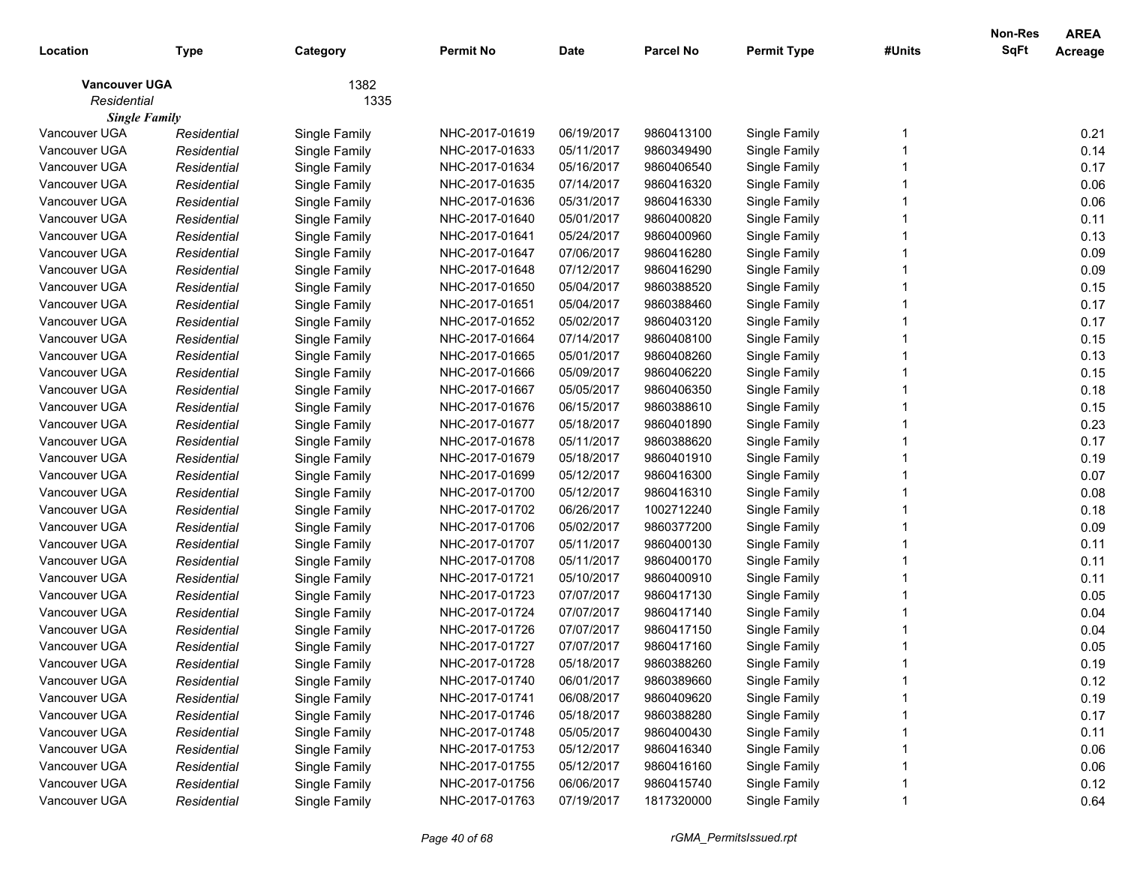| Location             | Type        | Category      | <b>Permit No</b> | <b>Date</b> | <b>Parcel No</b> | <b>Permit Type</b> | #Units | Non-Res<br><b>SqFt</b> | <b>AREA</b><br>Acreage |
|----------------------|-------------|---------------|------------------|-------------|------------------|--------------------|--------|------------------------|------------------------|
| <b>Vancouver UGA</b> |             | 1382          |                  |             |                  |                    |        |                        |                        |
| Residential          |             | 1335          |                  |             |                  |                    |        |                        |                        |
| <b>Single Family</b> |             |               |                  |             |                  |                    |        |                        |                        |
| Vancouver UGA        | Residential | Single Family | NHC-2017-01619   | 06/19/2017  | 9860413100       | Single Family      |        |                        | 0.21                   |
| Vancouver UGA        | Residential | Single Family | NHC-2017-01633   | 05/11/2017  | 9860349490       | Single Family      |        |                        | 0.14                   |
| Vancouver UGA        | Residential | Single Family | NHC-2017-01634   | 05/16/2017  | 9860406540       | Single Family      |        |                        | 0.17                   |
| Vancouver UGA        | Residential | Single Family | NHC-2017-01635   | 07/14/2017  | 9860416320       | Single Family      |        |                        | 0.06                   |
| Vancouver UGA        | Residential | Single Family | NHC-2017-01636   | 05/31/2017  | 9860416330       | Single Family      |        |                        | 0.06                   |
| Vancouver UGA        | Residential | Single Family | NHC-2017-01640   | 05/01/2017  | 9860400820       | Single Family      |        |                        | 0.11                   |
| Vancouver UGA        | Residential | Single Family | NHC-2017-01641   | 05/24/2017  | 9860400960       | Single Family      |        |                        | 0.13                   |
| Vancouver UGA        | Residential | Single Family | NHC-2017-01647   | 07/06/2017  | 9860416280       | Single Family      |        |                        | 0.09                   |
| Vancouver UGA        | Residential | Single Family | NHC-2017-01648   | 07/12/2017  | 9860416290       | Single Family      |        |                        | 0.09                   |
| Vancouver UGA        | Residential | Single Family | NHC-2017-01650   | 05/04/2017  | 9860388520       | Single Family      |        |                        | 0.15                   |
| Vancouver UGA        | Residential | Single Family | NHC-2017-01651   | 05/04/2017  | 9860388460       | Single Family      |        |                        | 0.17                   |
| Vancouver UGA        | Residential | Single Family | NHC-2017-01652   | 05/02/2017  | 9860403120       | Single Family      |        |                        | 0.17                   |
| Vancouver UGA        | Residential | Single Family | NHC-2017-01664   | 07/14/2017  | 9860408100       | Single Family      |        |                        | 0.15                   |
| Vancouver UGA        | Residential | Single Family | NHC-2017-01665   | 05/01/2017  | 9860408260       | Single Family      |        |                        | 0.13                   |
| Vancouver UGA        | Residential | Single Family | NHC-2017-01666   | 05/09/2017  | 9860406220       | Single Family      |        |                        | 0.15                   |
| Vancouver UGA        | Residential | Single Family | NHC-2017-01667   | 05/05/2017  | 9860406350       | Single Family      |        |                        | 0.18                   |
| Vancouver UGA        | Residential | Single Family | NHC-2017-01676   | 06/15/2017  | 9860388610       | Single Family      |        |                        | 0.15                   |
| Vancouver UGA        | Residential | Single Family | NHC-2017-01677   | 05/18/2017  | 9860401890       | Single Family      |        |                        | 0.23                   |
| Vancouver UGA        | Residential | Single Family | NHC-2017-01678   | 05/11/2017  | 9860388620       | Single Family      |        |                        | 0.17                   |
| Vancouver UGA        | Residential | Single Family | NHC-2017-01679   | 05/18/2017  | 9860401910       | Single Family      |        |                        | 0.19                   |
| Vancouver UGA        | Residential | Single Family | NHC-2017-01699   | 05/12/2017  | 9860416300       | Single Family      |        |                        | 0.07                   |
| Vancouver UGA        | Residential | Single Family | NHC-2017-01700   | 05/12/2017  | 9860416310       | Single Family      |        |                        | 0.08                   |
| Vancouver UGA        | Residential | Single Family | NHC-2017-01702   | 06/26/2017  | 1002712240       | Single Family      |        |                        | 0.18                   |
| Vancouver UGA        | Residential | Single Family | NHC-2017-01706   | 05/02/2017  | 9860377200       | Single Family      |        |                        | 0.09                   |
| Vancouver UGA        | Residential | Single Family | NHC-2017-01707   | 05/11/2017  | 9860400130       | Single Family      |        |                        | 0.11                   |
| Vancouver UGA        | Residential | Single Family | NHC-2017-01708   | 05/11/2017  | 9860400170       | Single Family      |        |                        | 0.11                   |
| Vancouver UGA        | Residential | Single Family | NHC-2017-01721   | 05/10/2017  | 9860400910       | Single Family      |        |                        | 0.11                   |
| Vancouver UGA        | Residential | Single Family | NHC-2017-01723   | 07/07/2017  | 9860417130       | Single Family      |        |                        | 0.05                   |
| Vancouver UGA        | Residential | Single Family | NHC-2017-01724   | 07/07/2017  | 9860417140       | Single Family      |        |                        | 0.04                   |
| Vancouver UGA        | Residential | Single Family | NHC-2017-01726   | 07/07/2017  | 9860417150       | Single Family      |        |                        | 0.04                   |
| Vancouver UGA        | Residential | Single Family | NHC-2017-01727   | 07/07/2017  | 9860417160       | Single Family      |        |                        | 0.05                   |
| Vancouver UGA        | Residential | Single Family | NHC-2017-01728   | 05/18/2017  | 9860388260       | Single Family      |        |                        | 0.19                   |
| Vancouver UGA        | Residential | Single Family | NHC-2017-01740   | 06/01/2017  | 9860389660       | Single Family      |        |                        | 0.12                   |
| Vancouver UGA        | Residential | Single Family | NHC-2017-01741   | 06/08/2017  | 9860409620       | Single Family      |        |                        | 0.19                   |
| Vancouver UGA        | Residential | Single Family | NHC-2017-01746   | 05/18/2017  | 9860388280       | Single Family      |        |                        | 0.17                   |
| Vancouver UGA        | Residential | Single Family | NHC-2017-01748   | 05/05/2017  | 9860400430       | Single Family      |        |                        | 0.11                   |
| Vancouver UGA        | Residential | Single Family | NHC-2017-01753   | 05/12/2017  | 9860416340       | Single Family      |        |                        | 0.06                   |
| Vancouver UGA        | Residential | Single Family | NHC-2017-01755   | 05/12/2017  | 9860416160       | Single Family      |        |                        | 0.06                   |
| Vancouver UGA        | Residential | Single Family | NHC-2017-01756   | 06/06/2017  | 9860415740       | Single Family      |        |                        | 0.12                   |
| Vancouver UGA        | Residential | Single Family | NHC-2017-01763   | 07/19/2017  | 1817320000       | Single Family      |        |                        | 0.64                   |
|                      |             |               |                  |             |                  |                    |        |                        |                        |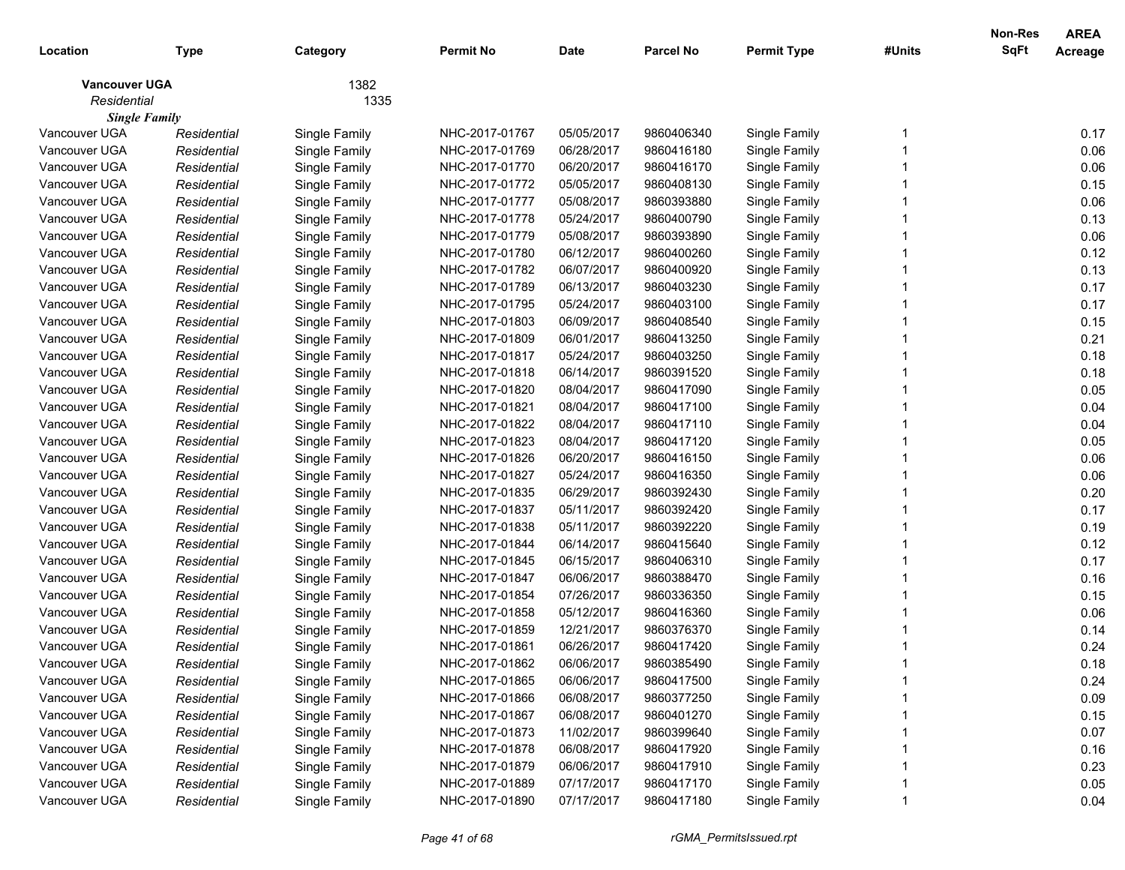| Location                            | <b>Type</b> | Category      | <b>Permit No</b> | <b>Date</b> | <b>Parcel No</b> | <b>Permit Type</b> | #Units | Non-Res<br>SqFt | <b>AREA</b><br>Acreage |
|-------------------------------------|-------------|---------------|------------------|-------------|------------------|--------------------|--------|-----------------|------------------------|
| <b>Vancouver UGA</b><br>Residential |             | 1382<br>1335  |                  |             |                  |                    |        |                 |                        |
| <b>Single Family</b>                |             |               |                  |             |                  |                    |        |                 |                        |
| Vancouver UGA                       | Residential | Single Family | NHC-2017-01767   | 05/05/2017  | 9860406340       | Single Family      |        |                 | 0.17                   |
| Vancouver UGA                       | Residential | Single Family | NHC-2017-01769   | 06/28/2017  | 9860416180       | Single Family      |        |                 | 0.06                   |
| Vancouver UGA                       | Residential | Single Family | NHC-2017-01770   | 06/20/2017  | 9860416170       | Single Family      |        |                 | 0.06                   |
| Vancouver UGA                       | Residential | Single Family | NHC-2017-01772   | 05/05/2017  | 9860408130       | Single Family      |        |                 | 0.15                   |
| Vancouver UGA                       | Residential | Single Family | NHC-2017-01777   | 05/08/2017  | 9860393880       | Single Family      |        |                 | 0.06                   |
| Vancouver UGA                       | Residential | Single Family | NHC-2017-01778   | 05/24/2017  | 9860400790       | Single Family      |        |                 | 0.13                   |
| Vancouver UGA                       | Residential | Single Family | NHC-2017-01779   | 05/08/2017  | 9860393890       | Single Family      |        |                 | 0.06                   |
| Vancouver UGA                       | Residential | Single Family | NHC-2017-01780   | 06/12/2017  | 9860400260       | Single Family      |        |                 | 0.12                   |
| Vancouver UGA                       | Residential | Single Family | NHC-2017-01782   | 06/07/2017  | 9860400920       | Single Family      |        |                 | 0.13                   |
| Vancouver UGA                       | Residential | Single Family | NHC-2017-01789   | 06/13/2017  | 9860403230       | Single Family      |        |                 | 0.17                   |
| Vancouver UGA                       | Residential | Single Family | NHC-2017-01795   | 05/24/2017  | 9860403100       | Single Family      |        |                 | 0.17                   |
| Vancouver UGA                       | Residential | Single Family | NHC-2017-01803   | 06/09/2017  | 9860408540       | Single Family      |        |                 | 0.15                   |
| Vancouver UGA                       | Residential | Single Family | NHC-2017-01809   | 06/01/2017  | 9860413250       | Single Family      |        |                 | 0.21                   |
| Vancouver UGA                       | Residential | Single Family | NHC-2017-01817   | 05/24/2017  | 9860403250       | Single Family      |        |                 | 0.18                   |
| Vancouver UGA                       | Residential | Single Family | NHC-2017-01818   | 06/14/2017  | 9860391520       | Single Family      |        |                 | 0.18                   |
| Vancouver UGA                       | Residential | Single Family | NHC-2017-01820   | 08/04/2017  | 9860417090       | Single Family      |        |                 | 0.05                   |
| Vancouver UGA                       | Residential | Single Family | NHC-2017-01821   | 08/04/2017  | 9860417100       | Single Family      |        |                 | 0.04                   |
| Vancouver UGA                       | Residential | Single Family | NHC-2017-01822   | 08/04/2017  | 9860417110       | Single Family      |        |                 | 0.04                   |
| Vancouver UGA                       | Residential | Single Family | NHC-2017-01823   | 08/04/2017  | 9860417120       | Single Family      |        |                 | 0.05                   |
| Vancouver UGA                       | Residential | Single Family | NHC-2017-01826   | 06/20/2017  | 9860416150       | Single Family      |        |                 | 0.06                   |
| Vancouver UGA                       | Residential | Single Family | NHC-2017-01827   | 05/24/2017  | 9860416350       | Single Family      |        |                 | 0.06                   |
| Vancouver UGA                       | Residential | Single Family | NHC-2017-01835   | 06/29/2017  | 9860392430       | Single Family      |        |                 | 0.20                   |
| Vancouver UGA                       | Residential | Single Family | NHC-2017-01837   | 05/11/2017  | 9860392420       | Single Family      |        |                 | 0.17                   |
| Vancouver UGA                       | Residential | Single Family | NHC-2017-01838   | 05/11/2017  | 9860392220       | Single Family      |        |                 | 0.19                   |
| Vancouver UGA                       | Residential | Single Family | NHC-2017-01844   | 06/14/2017  | 9860415640       | Single Family      |        |                 | 0.12                   |
| Vancouver UGA                       | Residential | Single Family | NHC-2017-01845   | 06/15/2017  | 9860406310       | Single Family      |        |                 | 0.17                   |
| Vancouver UGA                       | Residential | Single Family | NHC-2017-01847   | 06/06/2017  | 9860388470       | Single Family      |        |                 | 0.16                   |
| Vancouver UGA                       | Residential | Single Family | NHC-2017-01854   | 07/26/2017  | 9860336350       | Single Family      |        |                 | 0.15                   |
| Vancouver UGA                       | Residential | Single Family | NHC-2017-01858   | 05/12/2017  | 9860416360       | Single Family      |        |                 | 0.06                   |
| Vancouver UGA                       | Residential | Single Family | NHC-2017-01859   | 12/21/2017  | 9860376370       | Single Family      |        |                 | 0.14                   |
| Vancouver UGA                       | Residential | Single Family | NHC-2017-01861   | 06/26/2017  | 9860417420       | Single Family      |        |                 | 0.24                   |
| Vancouver UGA                       | Residential | Single Family | NHC-2017-01862   | 06/06/2017  | 9860385490       | Single Family      |        |                 | 0.18                   |
| Vancouver UGA                       | Residential | Single Family | NHC-2017-01865   | 06/06/2017  | 9860417500       | Single Family      |        |                 | 0.24                   |
| Vancouver UGA                       | Residential | Single Family | NHC-2017-01866   | 06/08/2017  | 9860377250       | Single Family      |        |                 | 0.09                   |
| Vancouver UGA                       | Residential | Single Family | NHC-2017-01867   | 06/08/2017  | 9860401270       | Single Family      |        |                 | 0.15                   |
| Vancouver UGA                       | Residential | Single Family | NHC-2017-01873   | 11/02/2017  | 9860399640       | Single Family      |        |                 | 0.07                   |
| Vancouver UGA                       | Residential | Single Family | NHC-2017-01878   | 06/08/2017  | 9860417920       | Single Family      |        |                 | 0.16                   |
| Vancouver UGA                       | Residential | Single Family | NHC-2017-01879   | 06/06/2017  | 9860417910       | Single Family      |        |                 | 0.23                   |
| Vancouver UGA                       | Residential | Single Family | NHC-2017-01889   | 07/17/2017  | 9860417170       | Single Family      |        |                 | 0.05                   |
| Vancouver UGA                       | Residential | Single Family | NHC-2017-01890   | 07/17/2017  | 9860417180       | Single Family      |        |                 | 0.04                   |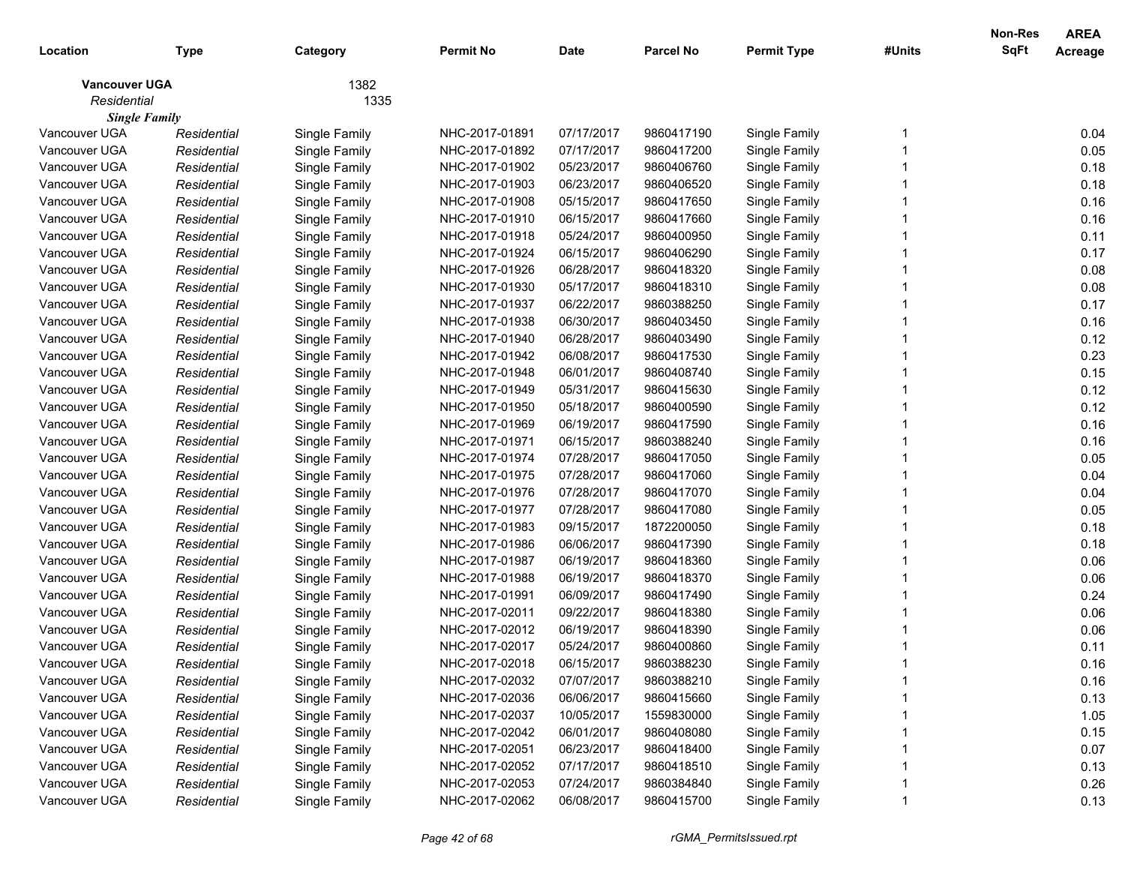| Location                            | <b>Type</b> | Category      | <b>Permit No</b> | <b>Date</b> | <b>Parcel No</b> | <b>Permit Type</b> | #Units | Non-Res<br>SqFt | <b>AREA</b><br>Acreage |
|-------------------------------------|-------------|---------------|------------------|-------------|------------------|--------------------|--------|-----------------|------------------------|
| <b>Vancouver UGA</b><br>Residential |             | 1382<br>1335  |                  |             |                  |                    |        |                 |                        |
| <b>Single Family</b>                |             |               |                  |             |                  |                    |        |                 |                        |
| Vancouver UGA                       | Residential | Single Family | NHC-2017-01891   | 07/17/2017  | 9860417190       | Single Family      |        |                 | 0.04                   |
| Vancouver UGA                       | Residential | Single Family | NHC-2017-01892   | 07/17/2017  | 9860417200       | Single Family      |        |                 | 0.05                   |
| Vancouver UGA                       | Residential | Single Family | NHC-2017-01902   | 05/23/2017  | 9860406760       | Single Family      |        |                 | 0.18                   |
| Vancouver UGA                       | Residential | Single Family | NHC-2017-01903   | 06/23/2017  | 9860406520       | Single Family      |        |                 | 0.18                   |
| Vancouver UGA                       | Residential | Single Family | NHC-2017-01908   | 05/15/2017  | 9860417650       | Single Family      |        |                 | 0.16                   |
| Vancouver UGA                       | Residential | Single Family | NHC-2017-01910   | 06/15/2017  | 9860417660       | Single Family      |        |                 | 0.16                   |
| Vancouver UGA                       | Residential | Single Family | NHC-2017-01918   | 05/24/2017  | 9860400950       | Single Family      |        |                 | 0.11                   |
| Vancouver UGA                       | Residential | Single Family | NHC-2017-01924   | 06/15/2017  | 9860406290       | Single Family      |        |                 | 0.17                   |
| Vancouver UGA                       | Residential | Single Family | NHC-2017-01926   | 06/28/2017  | 9860418320       | Single Family      |        |                 | 0.08                   |
| Vancouver UGA                       | Residential | Single Family | NHC-2017-01930   | 05/17/2017  | 9860418310       | Single Family      |        |                 | 0.08                   |
| Vancouver UGA                       | Residential | Single Family | NHC-2017-01937   | 06/22/2017  | 9860388250       | Single Family      |        |                 | 0.17                   |
| Vancouver UGA                       | Residential | Single Family | NHC-2017-01938   | 06/30/2017  | 9860403450       | Single Family      |        |                 | 0.16                   |
| Vancouver UGA                       | Residential | Single Family | NHC-2017-01940   | 06/28/2017  | 9860403490       | Single Family      |        |                 | 0.12                   |
| Vancouver UGA                       | Residential | Single Family | NHC-2017-01942   | 06/08/2017  | 9860417530       | Single Family      |        |                 | 0.23                   |
| Vancouver UGA                       | Residential | Single Family | NHC-2017-01948   | 06/01/2017  | 9860408740       | Single Family      |        |                 | 0.15                   |
| Vancouver UGA                       | Residential | Single Family | NHC-2017-01949   | 05/31/2017  | 9860415630       | Single Family      |        |                 | 0.12                   |
| Vancouver UGA                       | Residential | Single Family | NHC-2017-01950   | 05/18/2017  | 9860400590       | Single Family      |        |                 | 0.12                   |
| Vancouver UGA                       | Residential | Single Family | NHC-2017-01969   | 06/19/2017  | 9860417590       | Single Family      |        |                 | 0.16                   |
| Vancouver UGA                       | Residential | Single Family | NHC-2017-01971   | 06/15/2017  | 9860388240       | Single Family      |        |                 | 0.16                   |
| Vancouver UGA                       | Residential | Single Family | NHC-2017-01974   | 07/28/2017  | 9860417050       | Single Family      |        |                 | 0.05                   |
| Vancouver UGA                       | Residential | Single Family | NHC-2017-01975   | 07/28/2017  | 9860417060       | Single Family      |        |                 | 0.04                   |
| Vancouver UGA                       | Residential | Single Family | NHC-2017-01976   | 07/28/2017  | 9860417070       | Single Family      |        |                 | 0.04                   |
| Vancouver UGA                       | Residential | Single Family | NHC-2017-01977   | 07/28/2017  | 9860417080       | Single Family      |        |                 | 0.05                   |
| Vancouver UGA                       | Residential | Single Family | NHC-2017-01983   | 09/15/2017  | 1872200050       | Single Family      |        |                 | 0.18                   |
| Vancouver UGA                       | Residential | Single Family | NHC-2017-01986   | 06/06/2017  | 9860417390       | Single Family      |        |                 | 0.18                   |
| Vancouver UGA                       | Residential | Single Family | NHC-2017-01987   | 06/19/2017  | 9860418360       | Single Family      |        |                 | 0.06                   |
| Vancouver UGA                       | Residential | Single Family | NHC-2017-01988   | 06/19/2017  | 9860418370       | Single Family      |        |                 | 0.06                   |
| Vancouver UGA                       | Residential | Single Family | NHC-2017-01991   | 06/09/2017  | 9860417490       | Single Family      |        |                 | 0.24                   |
| Vancouver UGA                       | Residential | Single Family | NHC-2017-02011   | 09/22/2017  | 9860418380       | Single Family      |        |                 | 0.06                   |
| Vancouver UGA                       | Residential | Single Family | NHC-2017-02012   | 06/19/2017  | 9860418390       | Single Family      |        |                 | 0.06                   |
| Vancouver UGA                       | Residential | Single Family | NHC-2017-02017   | 05/24/2017  | 9860400860       | Single Family      |        |                 | 0.11                   |
| Vancouver UGA                       | Residential | Single Family | NHC-2017-02018   | 06/15/2017  | 9860388230       | Single Family      |        |                 | 0.16                   |
| Vancouver UGA                       | Residential | Single Family | NHC-2017-02032   | 07/07/2017  | 9860388210       | Single Family      |        |                 | 0.16                   |
| Vancouver UGA                       | Residential | Single Family | NHC-2017-02036   | 06/06/2017  | 9860415660       | Single Family      |        |                 | 0.13                   |
| Vancouver UGA                       | Residential | Single Family | NHC-2017-02037   | 10/05/2017  | 1559830000       | Single Family      |        |                 | 1.05                   |
| Vancouver UGA                       | Residential | Single Family | NHC-2017-02042   | 06/01/2017  | 9860408080       | Single Family      |        |                 | 0.15                   |
| Vancouver UGA                       | Residential | Single Family | NHC-2017-02051   | 06/23/2017  | 9860418400       | Single Family      |        |                 | 0.07                   |
| Vancouver UGA                       | Residential | Single Family | NHC-2017-02052   | 07/17/2017  | 9860418510       | Single Family      |        |                 | 0.13                   |
| Vancouver UGA                       | Residential | Single Family | NHC-2017-02053   | 07/24/2017  | 9860384840       | Single Family      |        |                 | 0.26                   |
| Vancouver UGA                       | Residential | Single Family | NHC-2017-02062   | 06/08/2017  | 9860415700       | Single Family      |        |                 | 0.13                   |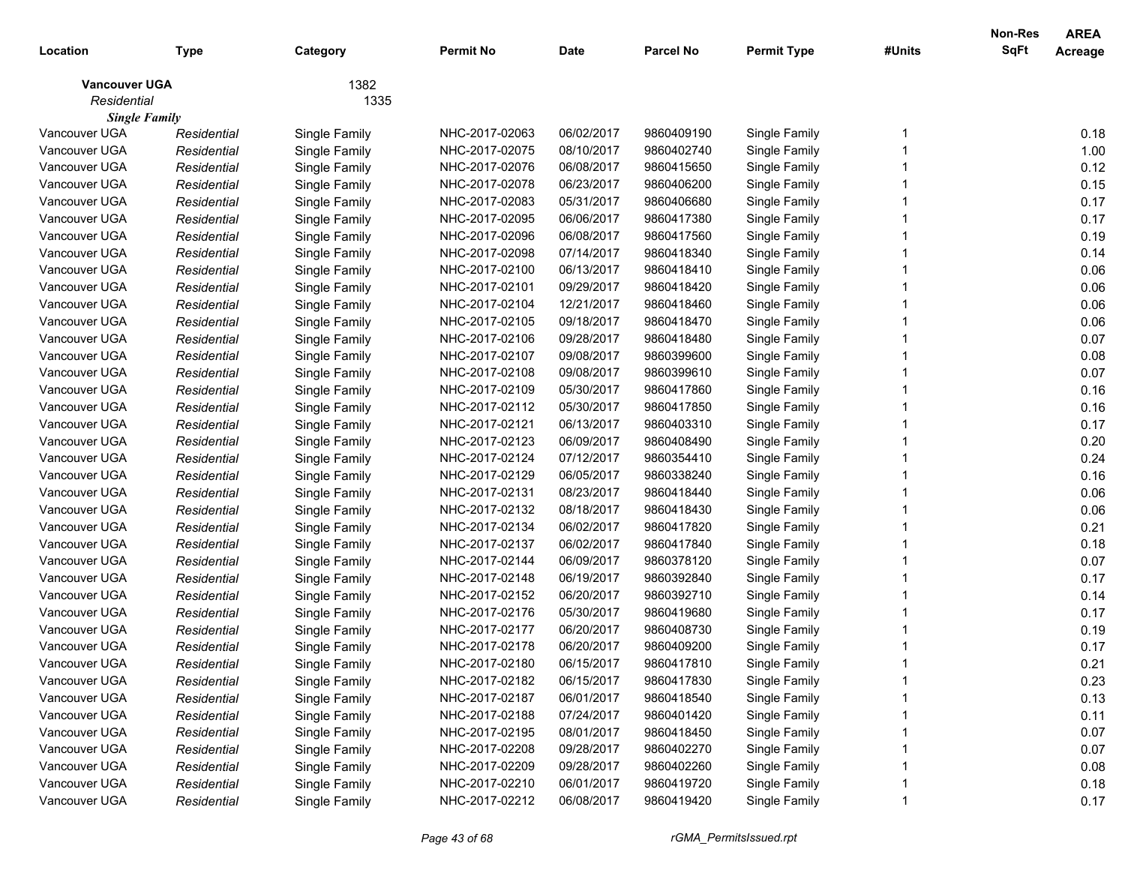| 1382<br><b>Vancouver UGA</b><br>Residential<br>1335<br><b>Single Family</b><br>Vancouver UGA<br>NHC-2017-02063<br>9860409190<br>0.18<br>Single Family<br>06/02/2017<br>Single Family<br>Residential<br>1.00<br>Vancouver UGA<br>Residential<br>Single Family<br>NHC-2017-02075<br>08/10/2017<br>9860402740<br>Single Family<br>0.12<br>Vancouver UGA<br>NHC-2017-02076<br>06/08/2017<br>9860415650<br>Single Family<br>Residential<br>Single Family<br>0.15<br>Vancouver UGA<br>NHC-2017-02078<br>Residential<br>Single Family<br>06/23/2017<br>9860406200<br>Single Family<br>0.17<br>Vancouver UGA<br>NHC-2017-02083<br>Residential<br>Single Family<br>05/31/2017<br>9860406680<br>Single Family<br>0.17<br>Vancouver UGA<br>NHC-2017-02095<br>Residential<br>Single Family<br>06/06/2017<br>9860417380<br>Single Family<br>0.19<br>Vancouver UGA<br>NHC-2017-02096<br>Residential<br>Single Family<br>06/08/2017<br>9860417560<br>Single Family<br>0.14<br>Vancouver UGA<br>NHC-2017-02098<br>Residential<br>Single Family<br>07/14/2017<br>9860418340<br>Single Family<br>0.06<br>Vancouver UGA<br>NHC-2017-02100<br>Residential<br>Single Family<br>06/13/2017<br>9860418410<br>Single Family<br>Vancouver UGA<br>NHC-2017-02101<br>0.06<br>09/29/2017<br>9860418420<br>Single Family<br>Residential<br>Single Family<br>Vancouver UGA<br>0.06<br>NHC-2017-02104<br>12/21/2017<br>9860418460<br>Single Family<br>Residential<br>Single Family<br>0.06<br>Vancouver UGA<br>Residential<br>Single Family<br>NHC-2017-02105<br>09/18/2017<br>9860418470<br>Single Family<br>0.07<br>Vancouver UGA<br>NHC-2017-02106<br>Residential<br>Single Family<br>09/28/2017<br>9860418480<br>Single Family<br>0.08<br>Vancouver UGA<br>Residential<br>Single Family<br>NHC-2017-02107<br>09/08/2017<br>9860399600<br>Single Family<br>0.07<br>Vancouver UGA<br>Residential<br>Single Family<br>NHC-2017-02108<br>09/08/2017<br>9860399610<br>Single Family<br>0.16<br>Vancouver UGA<br>Residential<br>Single Family<br>NHC-2017-02109<br>05/30/2017<br>9860417860<br>Single Family<br>0.16<br>Vancouver UGA<br>Residential<br>Single Family<br>NHC-2017-02112<br>05/30/2017<br>9860417850<br>Single Family<br>0.17<br>Vancouver UGA<br>NHC-2017-02121<br>06/13/2017<br>9860403310<br>Single Family<br>Residential<br>Single Family<br>0.20<br>Vancouver UGA<br>NHC-2017-02123<br>Residential<br>Single Family<br>06/09/2017<br>9860408490<br>Single Family<br>0.24<br>NHC-2017-02124<br>Vancouver UGA<br>Residential<br>Single Family<br>07/12/2017<br>9860354410<br>Single Family<br>0.16<br>Vancouver UGA<br>Residential<br>Single Family<br>NHC-2017-02129<br>06/05/2017<br>9860338240<br>Single Family<br>0.06<br>Vancouver UGA<br>Residential<br>Single Family<br>NHC-2017-02131<br>08/23/2017<br>9860418440<br>Single Family<br>0.06<br>NHC-2017-02132<br>Vancouver UGA<br>Residential<br>Single Family<br>08/18/2017<br>9860418430<br>Single Family<br>0.21<br>Vancouver UGA<br>Residential<br>Single Family<br>NHC-2017-02134<br>06/02/2017<br>9860417820<br>Single Family<br>0.18<br>Vancouver UGA<br>NHC-2017-02137<br>06/02/2017<br>9860417840<br>Single Family<br>Residential<br>Single Family<br>0.07<br>Vancouver UGA<br>NHC-2017-02144<br>06/09/2017<br>9860378120<br>Single Family<br>Residential<br>Single Family<br>0.17<br>Vancouver UGA<br>NHC-2017-02148<br>06/19/2017<br>9860392840<br>Residential<br>Single Family<br>Single Family<br>0.14<br>Vancouver UGA<br>NHC-2017-02152<br>9860392710<br>Residential<br>Single Family<br>06/20/2017<br>Single Family<br>NHC-2017-02176<br>0.17<br>Vancouver UGA<br>Residential<br>Single Family<br>05/30/2017<br>9860419680<br>Single Family<br>0.19<br>NHC-2017-02177<br>Vancouver UGA<br>Residential<br>Single Family<br>06/20/2017<br>9860408730<br>Single Family<br>0.17<br>Vancouver UGA<br>Single Family<br>NHC-2017-02178<br>06/20/2017<br>9860409200<br>Single Family<br>Residential<br>Single Family<br>Vancouver UGA<br>NHC-2017-02180<br>0.21<br>Residential<br>06/15/2017<br>9860417810<br>Single Family<br>06/15/2017<br>9860417830<br>0.23<br>Vancouver UGA<br>NHC-2017-02182<br>Single Family<br>Residential<br>Single Family<br>0.13<br>Vancouver UGA<br>Single Family<br>06/01/2017<br>9860418540<br>Single Family<br>Residential<br>NHC-2017-02187<br>Vancouver UGA<br>Single Family<br>07/24/2017<br>9860401420<br>Single Family<br>0.11<br>Residential<br>NHC-2017-02188<br>0.07<br>Vancouver UGA<br>Single Family<br>08/01/2017<br>Single Family<br>Residential<br>NHC-2017-02195<br>9860418450<br>0.07<br>Vancouver UGA<br>Single Family<br>09/28/2017<br>Single Family<br>Residential<br>NHC-2017-02208<br>9860402270<br>0.08<br>Vancouver UGA<br>Single Family<br>09/28/2017<br>Single Family<br>Residential<br>NHC-2017-02209<br>9860402260<br>0.18<br>Vancouver UGA<br>Single Family<br>06/01/2017<br>Single Family<br>Residential<br>NHC-2017-02210<br>9860419720<br>Vancouver UGA<br>NHC-2017-02212<br>06/08/2017<br>9860419420<br>Single Family<br>Single Family<br>0.17<br>Residential | Location | <b>Type</b> | Category | Permit No | <b>Date</b> | <b>Parcel No</b> | <b>Permit Type</b> | #Units | <b>Non-Res</b><br>SqFt | <b>AREA</b><br>Acreage |
|-----------------------------------------------------------------------------------------------------------------------------------------------------------------------------------------------------------------------------------------------------------------------------------------------------------------------------------------------------------------------------------------------------------------------------------------------------------------------------------------------------------------------------------------------------------------------------------------------------------------------------------------------------------------------------------------------------------------------------------------------------------------------------------------------------------------------------------------------------------------------------------------------------------------------------------------------------------------------------------------------------------------------------------------------------------------------------------------------------------------------------------------------------------------------------------------------------------------------------------------------------------------------------------------------------------------------------------------------------------------------------------------------------------------------------------------------------------------------------------------------------------------------------------------------------------------------------------------------------------------------------------------------------------------------------------------------------------------------------------------------------------------------------------------------------------------------------------------------------------------------------------------------------------------------------------------------------------------------------------------------------------------------------------------------------------------------------------------------------------------------------------------------------------------------------------------------------------------------------------------------------------------------------------------------------------------------------------------------------------------------------------------------------------------------------------------------------------------------------------------------------------------------------------------------------------------------------------------------------------------------------------------------------------------------------------------------------------------------------------------------------------------------------------------------------------------------------------------------------------------------------------------------------------------------------------------------------------------------------------------------------------------------------------------------------------------------------------------------------------------------------------------------------------------------------------------------------------------------------------------------------------------------------------------------------------------------------------------------------------------------------------------------------------------------------------------------------------------------------------------------------------------------------------------------------------------------------------------------------------------------------------------------------------------------------------------------------------------------------------------------------------------------------------------------------------------------------------------------------------------------------------------------------------------------------------------------------------------------------------------------------------------------------------------------------------------------------------------------------------------------------------------------------------------------------------------------------------------------------------------------------------------------------------------------------------------------------------------------------------------------------------------------------------------------------------------------------------------------------------------------------------------------------------------------------------------------------------------------------------------------------------------------------------------------------------------------------------------------------------------------------------------------------------------------------------------------------------------------------------------------------------------------------------------------------------------------------------------------------------------------------------------------------------------------------------------------------|----------|-------------|----------|-----------|-------------|------------------|--------------------|--------|------------------------|------------------------|
|                                                                                                                                                                                                                                                                                                                                                                                                                                                                                                                                                                                                                                                                                                                                                                                                                                                                                                                                                                                                                                                                                                                                                                                                                                                                                                                                                                                                                                                                                                                                                                                                                                                                                                                                                                                                                                                                                                                                                                                                                                                                                                                                                                                                                                                                                                                                                                                                                                                                                                                                                                                                                                                                                                                                                                                                                                                                                                                                                                                                                                                                                                                                                                                                                                                                                                                                                                                                                                                                                                                                                                                                                                                                                                                                                                                                                                                                                                                                                                                                                                                                                                                                                                                                                                                                                                                                                                                                                                                                                                                                                                                                                                                                                                                                                                                                                                                                                                                                                                                                                                                                             |          |             |          |           |             |                  |                    |        |                        |                        |
|                                                                                                                                                                                                                                                                                                                                                                                                                                                                                                                                                                                                                                                                                                                                                                                                                                                                                                                                                                                                                                                                                                                                                                                                                                                                                                                                                                                                                                                                                                                                                                                                                                                                                                                                                                                                                                                                                                                                                                                                                                                                                                                                                                                                                                                                                                                                                                                                                                                                                                                                                                                                                                                                                                                                                                                                                                                                                                                                                                                                                                                                                                                                                                                                                                                                                                                                                                                                                                                                                                                                                                                                                                                                                                                                                                                                                                                                                                                                                                                                                                                                                                                                                                                                                                                                                                                                                                                                                                                                                                                                                                                                                                                                                                                                                                                                                                                                                                                                                                                                                                                                             |          |             |          |           |             |                  |                    |        |                        |                        |
|                                                                                                                                                                                                                                                                                                                                                                                                                                                                                                                                                                                                                                                                                                                                                                                                                                                                                                                                                                                                                                                                                                                                                                                                                                                                                                                                                                                                                                                                                                                                                                                                                                                                                                                                                                                                                                                                                                                                                                                                                                                                                                                                                                                                                                                                                                                                                                                                                                                                                                                                                                                                                                                                                                                                                                                                                                                                                                                                                                                                                                                                                                                                                                                                                                                                                                                                                                                                                                                                                                                                                                                                                                                                                                                                                                                                                                                                                                                                                                                                                                                                                                                                                                                                                                                                                                                                                                                                                                                                                                                                                                                                                                                                                                                                                                                                                                                                                                                                                                                                                                                                             |          |             |          |           |             |                  |                    |        |                        |                        |
|                                                                                                                                                                                                                                                                                                                                                                                                                                                                                                                                                                                                                                                                                                                                                                                                                                                                                                                                                                                                                                                                                                                                                                                                                                                                                                                                                                                                                                                                                                                                                                                                                                                                                                                                                                                                                                                                                                                                                                                                                                                                                                                                                                                                                                                                                                                                                                                                                                                                                                                                                                                                                                                                                                                                                                                                                                                                                                                                                                                                                                                                                                                                                                                                                                                                                                                                                                                                                                                                                                                                                                                                                                                                                                                                                                                                                                                                                                                                                                                                                                                                                                                                                                                                                                                                                                                                                                                                                                                                                                                                                                                                                                                                                                                                                                                                                                                                                                                                                                                                                                                                             |          |             |          |           |             |                  |                    |        |                        |                        |
|                                                                                                                                                                                                                                                                                                                                                                                                                                                                                                                                                                                                                                                                                                                                                                                                                                                                                                                                                                                                                                                                                                                                                                                                                                                                                                                                                                                                                                                                                                                                                                                                                                                                                                                                                                                                                                                                                                                                                                                                                                                                                                                                                                                                                                                                                                                                                                                                                                                                                                                                                                                                                                                                                                                                                                                                                                                                                                                                                                                                                                                                                                                                                                                                                                                                                                                                                                                                                                                                                                                                                                                                                                                                                                                                                                                                                                                                                                                                                                                                                                                                                                                                                                                                                                                                                                                                                                                                                                                                                                                                                                                                                                                                                                                                                                                                                                                                                                                                                                                                                                                                             |          |             |          |           |             |                  |                    |        |                        |                        |
|                                                                                                                                                                                                                                                                                                                                                                                                                                                                                                                                                                                                                                                                                                                                                                                                                                                                                                                                                                                                                                                                                                                                                                                                                                                                                                                                                                                                                                                                                                                                                                                                                                                                                                                                                                                                                                                                                                                                                                                                                                                                                                                                                                                                                                                                                                                                                                                                                                                                                                                                                                                                                                                                                                                                                                                                                                                                                                                                                                                                                                                                                                                                                                                                                                                                                                                                                                                                                                                                                                                                                                                                                                                                                                                                                                                                                                                                                                                                                                                                                                                                                                                                                                                                                                                                                                                                                                                                                                                                                                                                                                                                                                                                                                                                                                                                                                                                                                                                                                                                                                                                             |          |             |          |           |             |                  |                    |        |                        |                        |
|                                                                                                                                                                                                                                                                                                                                                                                                                                                                                                                                                                                                                                                                                                                                                                                                                                                                                                                                                                                                                                                                                                                                                                                                                                                                                                                                                                                                                                                                                                                                                                                                                                                                                                                                                                                                                                                                                                                                                                                                                                                                                                                                                                                                                                                                                                                                                                                                                                                                                                                                                                                                                                                                                                                                                                                                                                                                                                                                                                                                                                                                                                                                                                                                                                                                                                                                                                                                                                                                                                                                                                                                                                                                                                                                                                                                                                                                                                                                                                                                                                                                                                                                                                                                                                                                                                                                                                                                                                                                                                                                                                                                                                                                                                                                                                                                                                                                                                                                                                                                                                                                             |          |             |          |           |             |                  |                    |        |                        |                        |
|                                                                                                                                                                                                                                                                                                                                                                                                                                                                                                                                                                                                                                                                                                                                                                                                                                                                                                                                                                                                                                                                                                                                                                                                                                                                                                                                                                                                                                                                                                                                                                                                                                                                                                                                                                                                                                                                                                                                                                                                                                                                                                                                                                                                                                                                                                                                                                                                                                                                                                                                                                                                                                                                                                                                                                                                                                                                                                                                                                                                                                                                                                                                                                                                                                                                                                                                                                                                                                                                                                                                                                                                                                                                                                                                                                                                                                                                                                                                                                                                                                                                                                                                                                                                                                                                                                                                                                                                                                                                                                                                                                                                                                                                                                                                                                                                                                                                                                                                                                                                                                                                             |          |             |          |           |             |                  |                    |        |                        |                        |
|                                                                                                                                                                                                                                                                                                                                                                                                                                                                                                                                                                                                                                                                                                                                                                                                                                                                                                                                                                                                                                                                                                                                                                                                                                                                                                                                                                                                                                                                                                                                                                                                                                                                                                                                                                                                                                                                                                                                                                                                                                                                                                                                                                                                                                                                                                                                                                                                                                                                                                                                                                                                                                                                                                                                                                                                                                                                                                                                                                                                                                                                                                                                                                                                                                                                                                                                                                                                                                                                                                                                                                                                                                                                                                                                                                                                                                                                                                                                                                                                                                                                                                                                                                                                                                                                                                                                                                                                                                                                                                                                                                                                                                                                                                                                                                                                                                                                                                                                                                                                                                                                             |          |             |          |           |             |                  |                    |        |                        |                        |
|                                                                                                                                                                                                                                                                                                                                                                                                                                                                                                                                                                                                                                                                                                                                                                                                                                                                                                                                                                                                                                                                                                                                                                                                                                                                                                                                                                                                                                                                                                                                                                                                                                                                                                                                                                                                                                                                                                                                                                                                                                                                                                                                                                                                                                                                                                                                                                                                                                                                                                                                                                                                                                                                                                                                                                                                                                                                                                                                                                                                                                                                                                                                                                                                                                                                                                                                                                                                                                                                                                                                                                                                                                                                                                                                                                                                                                                                                                                                                                                                                                                                                                                                                                                                                                                                                                                                                                                                                                                                                                                                                                                                                                                                                                                                                                                                                                                                                                                                                                                                                                                                             |          |             |          |           |             |                  |                    |        |                        |                        |
|                                                                                                                                                                                                                                                                                                                                                                                                                                                                                                                                                                                                                                                                                                                                                                                                                                                                                                                                                                                                                                                                                                                                                                                                                                                                                                                                                                                                                                                                                                                                                                                                                                                                                                                                                                                                                                                                                                                                                                                                                                                                                                                                                                                                                                                                                                                                                                                                                                                                                                                                                                                                                                                                                                                                                                                                                                                                                                                                                                                                                                                                                                                                                                                                                                                                                                                                                                                                                                                                                                                                                                                                                                                                                                                                                                                                                                                                                                                                                                                                                                                                                                                                                                                                                                                                                                                                                                                                                                                                                                                                                                                                                                                                                                                                                                                                                                                                                                                                                                                                                                                                             |          |             |          |           |             |                  |                    |        |                        |                        |
|                                                                                                                                                                                                                                                                                                                                                                                                                                                                                                                                                                                                                                                                                                                                                                                                                                                                                                                                                                                                                                                                                                                                                                                                                                                                                                                                                                                                                                                                                                                                                                                                                                                                                                                                                                                                                                                                                                                                                                                                                                                                                                                                                                                                                                                                                                                                                                                                                                                                                                                                                                                                                                                                                                                                                                                                                                                                                                                                                                                                                                                                                                                                                                                                                                                                                                                                                                                                                                                                                                                                                                                                                                                                                                                                                                                                                                                                                                                                                                                                                                                                                                                                                                                                                                                                                                                                                                                                                                                                                                                                                                                                                                                                                                                                                                                                                                                                                                                                                                                                                                                                             |          |             |          |           |             |                  |                    |        |                        |                        |
|                                                                                                                                                                                                                                                                                                                                                                                                                                                                                                                                                                                                                                                                                                                                                                                                                                                                                                                                                                                                                                                                                                                                                                                                                                                                                                                                                                                                                                                                                                                                                                                                                                                                                                                                                                                                                                                                                                                                                                                                                                                                                                                                                                                                                                                                                                                                                                                                                                                                                                                                                                                                                                                                                                                                                                                                                                                                                                                                                                                                                                                                                                                                                                                                                                                                                                                                                                                                                                                                                                                                                                                                                                                                                                                                                                                                                                                                                                                                                                                                                                                                                                                                                                                                                                                                                                                                                                                                                                                                                                                                                                                                                                                                                                                                                                                                                                                                                                                                                                                                                                                                             |          |             |          |           |             |                  |                    |        |                        |                        |
|                                                                                                                                                                                                                                                                                                                                                                                                                                                                                                                                                                                                                                                                                                                                                                                                                                                                                                                                                                                                                                                                                                                                                                                                                                                                                                                                                                                                                                                                                                                                                                                                                                                                                                                                                                                                                                                                                                                                                                                                                                                                                                                                                                                                                                                                                                                                                                                                                                                                                                                                                                                                                                                                                                                                                                                                                                                                                                                                                                                                                                                                                                                                                                                                                                                                                                                                                                                                                                                                                                                                                                                                                                                                                                                                                                                                                                                                                                                                                                                                                                                                                                                                                                                                                                                                                                                                                                                                                                                                                                                                                                                                                                                                                                                                                                                                                                                                                                                                                                                                                                                                             |          |             |          |           |             |                  |                    |        |                        |                        |
|                                                                                                                                                                                                                                                                                                                                                                                                                                                                                                                                                                                                                                                                                                                                                                                                                                                                                                                                                                                                                                                                                                                                                                                                                                                                                                                                                                                                                                                                                                                                                                                                                                                                                                                                                                                                                                                                                                                                                                                                                                                                                                                                                                                                                                                                                                                                                                                                                                                                                                                                                                                                                                                                                                                                                                                                                                                                                                                                                                                                                                                                                                                                                                                                                                                                                                                                                                                                                                                                                                                                                                                                                                                                                                                                                                                                                                                                                                                                                                                                                                                                                                                                                                                                                                                                                                                                                                                                                                                                                                                                                                                                                                                                                                                                                                                                                                                                                                                                                                                                                                                                             |          |             |          |           |             |                  |                    |        |                        |                        |
|                                                                                                                                                                                                                                                                                                                                                                                                                                                                                                                                                                                                                                                                                                                                                                                                                                                                                                                                                                                                                                                                                                                                                                                                                                                                                                                                                                                                                                                                                                                                                                                                                                                                                                                                                                                                                                                                                                                                                                                                                                                                                                                                                                                                                                                                                                                                                                                                                                                                                                                                                                                                                                                                                                                                                                                                                                                                                                                                                                                                                                                                                                                                                                                                                                                                                                                                                                                                                                                                                                                                                                                                                                                                                                                                                                                                                                                                                                                                                                                                                                                                                                                                                                                                                                                                                                                                                                                                                                                                                                                                                                                                                                                                                                                                                                                                                                                                                                                                                                                                                                                                             |          |             |          |           |             |                  |                    |        |                        |                        |
|                                                                                                                                                                                                                                                                                                                                                                                                                                                                                                                                                                                                                                                                                                                                                                                                                                                                                                                                                                                                                                                                                                                                                                                                                                                                                                                                                                                                                                                                                                                                                                                                                                                                                                                                                                                                                                                                                                                                                                                                                                                                                                                                                                                                                                                                                                                                                                                                                                                                                                                                                                                                                                                                                                                                                                                                                                                                                                                                                                                                                                                                                                                                                                                                                                                                                                                                                                                                                                                                                                                                                                                                                                                                                                                                                                                                                                                                                                                                                                                                                                                                                                                                                                                                                                                                                                                                                                                                                                                                                                                                                                                                                                                                                                                                                                                                                                                                                                                                                                                                                                                                             |          |             |          |           |             |                  |                    |        |                        |                        |
|                                                                                                                                                                                                                                                                                                                                                                                                                                                                                                                                                                                                                                                                                                                                                                                                                                                                                                                                                                                                                                                                                                                                                                                                                                                                                                                                                                                                                                                                                                                                                                                                                                                                                                                                                                                                                                                                                                                                                                                                                                                                                                                                                                                                                                                                                                                                                                                                                                                                                                                                                                                                                                                                                                                                                                                                                                                                                                                                                                                                                                                                                                                                                                                                                                                                                                                                                                                                                                                                                                                                                                                                                                                                                                                                                                                                                                                                                                                                                                                                                                                                                                                                                                                                                                                                                                                                                                                                                                                                                                                                                                                                                                                                                                                                                                                                                                                                                                                                                                                                                                                                             |          |             |          |           |             |                  |                    |        |                        |                        |
|                                                                                                                                                                                                                                                                                                                                                                                                                                                                                                                                                                                                                                                                                                                                                                                                                                                                                                                                                                                                                                                                                                                                                                                                                                                                                                                                                                                                                                                                                                                                                                                                                                                                                                                                                                                                                                                                                                                                                                                                                                                                                                                                                                                                                                                                                                                                                                                                                                                                                                                                                                                                                                                                                                                                                                                                                                                                                                                                                                                                                                                                                                                                                                                                                                                                                                                                                                                                                                                                                                                                                                                                                                                                                                                                                                                                                                                                                                                                                                                                                                                                                                                                                                                                                                                                                                                                                                                                                                                                                                                                                                                                                                                                                                                                                                                                                                                                                                                                                                                                                                                                             |          |             |          |           |             |                  |                    |        |                        |                        |
|                                                                                                                                                                                                                                                                                                                                                                                                                                                                                                                                                                                                                                                                                                                                                                                                                                                                                                                                                                                                                                                                                                                                                                                                                                                                                                                                                                                                                                                                                                                                                                                                                                                                                                                                                                                                                                                                                                                                                                                                                                                                                                                                                                                                                                                                                                                                                                                                                                                                                                                                                                                                                                                                                                                                                                                                                                                                                                                                                                                                                                                                                                                                                                                                                                                                                                                                                                                                                                                                                                                                                                                                                                                                                                                                                                                                                                                                                                                                                                                                                                                                                                                                                                                                                                                                                                                                                                                                                                                                                                                                                                                                                                                                                                                                                                                                                                                                                                                                                                                                                                                                             |          |             |          |           |             |                  |                    |        |                        |                        |
|                                                                                                                                                                                                                                                                                                                                                                                                                                                                                                                                                                                                                                                                                                                                                                                                                                                                                                                                                                                                                                                                                                                                                                                                                                                                                                                                                                                                                                                                                                                                                                                                                                                                                                                                                                                                                                                                                                                                                                                                                                                                                                                                                                                                                                                                                                                                                                                                                                                                                                                                                                                                                                                                                                                                                                                                                                                                                                                                                                                                                                                                                                                                                                                                                                                                                                                                                                                                                                                                                                                                                                                                                                                                                                                                                                                                                                                                                                                                                                                                                                                                                                                                                                                                                                                                                                                                                                                                                                                                                                                                                                                                                                                                                                                                                                                                                                                                                                                                                                                                                                                                             |          |             |          |           |             |                  |                    |        |                        |                        |
|                                                                                                                                                                                                                                                                                                                                                                                                                                                                                                                                                                                                                                                                                                                                                                                                                                                                                                                                                                                                                                                                                                                                                                                                                                                                                                                                                                                                                                                                                                                                                                                                                                                                                                                                                                                                                                                                                                                                                                                                                                                                                                                                                                                                                                                                                                                                                                                                                                                                                                                                                                                                                                                                                                                                                                                                                                                                                                                                                                                                                                                                                                                                                                                                                                                                                                                                                                                                                                                                                                                                                                                                                                                                                                                                                                                                                                                                                                                                                                                                                                                                                                                                                                                                                                                                                                                                                                                                                                                                                                                                                                                                                                                                                                                                                                                                                                                                                                                                                                                                                                                                             |          |             |          |           |             |                  |                    |        |                        |                        |
|                                                                                                                                                                                                                                                                                                                                                                                                                                                                                                                                                                                                                                                                                                                                                                                                                                                                                                                                                                                                                                                                                                                                                                                                                                                                                                                                                                                                                                                                                                                                                                                                                                                                                                                                                                                                                                                                                                                                                                                                                                                                                                                                                                                                                                                                                                                                                                                                                                                                                                                                                                                                                                                                                                                                                                                                                                                                                                                                                                                                                                                                                                                                                                                                                                                                                                                                                                                                                                                                                                                                                                                                                                                                                                                                                                                                                                                                                                                                                                                                                                                                                                                                                                                                                                                                                                                                                                                                                                                                                                                                                                                                                                                                                                                                                                                                                                                                                                                                                                                                                                                                             |          |             |          |           |             |                  |                    |        |                        |                        |
|                                                                                                                                                                                                                                                                                                                                                                                                                                                                                                                                                                                                                                                                                                                                                                                                                                                                                                                                                                                                                                                                                                                                                                                                                                                                                                                                                                                                                                                                                                                                                                                                                                                                                                                                                                                                                                                                                                                                                                                                                                                                                                                                                                                                                                                                                                                                                                                                                                                                                                                                                                                                                                                                                                                                                                                                                                                                                                                                                                                                                                                                                                                                                                                                                                                                                                                                                                                                                                                                                                                                                                                                                                                                                                                                                                                                                                                                                                                                                                                                                                                                                                                                                                                                                                                                                                                                                                                                                                                                                                                                                                                                                                                                                                                                                                                                                                                                                                                                                                                                                                                                             |          |             |          |           |             |                  |                    |        |                        |                        |
|                                                                                                                                                                                                                                                                                                                                                                                                                                                                                                                                                                                                                                                                                                                                                                                                                                                                                                                                                                                                                                                                                                                                                                                                                                                                                                                                                                                                                                                                                                                                                                                                                                                                                                                                                                                                                                                                                                                                                                                                                                                                                                                                                                                                                                                                                                                                                                                                                                                                                                                                                                                                                                                                                                                                                                                                                                                                                                                                                                                                                                                                                                                                                                                                                                                                                                                                                                                                                                                                                                                                                                                                                                                                                                                                                                                                                                                                                                                                                                                                                                                                                                                                                                                                                                                                                                                                                                                                                                                                                                                                                                                                                                                                                                                                                                                                                                                                                                                                                                                                                                                                             |          |             |          |           |             |                  |                    |        |                        |                        |
|                                                                                                                                                                                                                                                                                                                                                                                                                                                                                                                                                                                                                                                                                                                                                                                                                                                                                                                                                                                                                                                                                                                                                                                                                                                                                                                                                                                                                                                                                                                                                                                                                                                                                                                                                                                                                                                                                                                                                                                                                                                                                                                                                                                                                                                                                                                                                                                                                                                                                                                                                                                                                                                                                                                                                                                                                                                                                                                                                                                                                                                                                                                                                                                                                                                                                                                                                                                                                                                                                                                                                                                                                                                                                                                                                                                                                                                                                                                                                                                                                                                                                                                                                                                                                                                                                                                                                                                                                                                                                                                                                                                                                                                                                                                                                                                                                                                                                                                                                                                                                                                                             |          |             |          |           |             |                  |                    |        |                        |                        |
|                                                                                                                                                                                                                                                                                                                                                                                                                                                                                                                                                                                                                                                                                                                                                                                                                                                                                                                                                                                                                                                                                                                                                                                                                                                                                                                                                                                                                                                                                                                                                                                                                                                                                                                                                                                                                                                                                                                                                                                                                                                                                                                                                                                                                                                                                                                                                                                                                                                                                                                                                                                                                                                                                                                                                                                                                                                                                                                                                                                                                                                                                                                                                                                                                                                                                                                                                                                                                                                                                                                                                                                                                                                                                                                                                                                                                                                                                                                                                                                                                                                                                                                                                                                                                                                                                                                                                                                                                                                                                                                                                                                                                                                                                                                                                                                                                                                                                                                                                                                                                                                                             |          |             |          |           |             |                  |                    |        |                        |                        |
|                                                                                                                                                                                                                                                                                                                                                                                                                                                                                                                                                                                                                                                                                                                                                                                                                                                                                                                                                                                                                                                                                                                                                                                                                                                                                                                                                                                                                                                                                                                                                                                                                                                                                                                                                                                                                                                                                                                                                                                                                                                                                                                                                                                                                                                                                                                                                                                                                                                                                                                                                                                                                                                                                                                                                                                                                                                                                                                                                                                                                                                                                                                                                                                                                                                                                                                                                                                                                                                                                                                                                                                                                                                                                                                                                                                                                                                                                                                                                                                                                                                                                                                                                                                                                                                                                                                                                                                                                                                                                                                                                                                                                                                                                                                                                                                                                                                                                                                                                                                                                                                                             |          |             |          |           |             |                  |                    |        |                        |                        |
|                                                                                                                                                                                                                                                                                                                                                                                                                                                                                                                                                                                                                                                                                                                                                                                                                                                                                                                                                                                                                                                                                                                                                                                                                                                                                                                                                                                                                                                                                                                                                                                                                                                                                                                                                                                                                                                                                                                                                                                                                                                                                                                                                                                                                                                                                                                                                                                                                                                                                                                                                                                                                                                                                                                                                                                                                                                                                                                                                                                                                                                                                                                                                                                                                                                                                                                                                                                                                                                                                                                                                                                                                                                                                                                                                                                                                                                                                                                                                                                                                                                                                                                                                                                                                                                                                                                                                                                                                                                                                                                                                                                                                                                                                                                                                                                                                                                                                                                                                                                                                                                                             |          |             |          |           |             |                  |                    |        |                        |                        |
|                                                                                                                                                                                                                                                                                                                                                                                                                                                                                                                                                                                                                                                                                                                                                                                                                                                                                                                                                                                                                                                                                                                                                                                                                                                                                                                                                                                                                                                                                                                                                                                                                                                                                                                                                                                                                                                                                                                                                                                                                                                                                                                                                                                                                                                                                                                                                                                                                                                                                                                                                                                                                                                                                                                                                                                                                                                                                                                                                                                                                                                                                                                                                                                                                                                                                                                                                                                                                                                                                                                                                                                                                                                                                                                                                                                                                                                                                                                                                                                                                                                                                                                                                                                                                                                                                                                                                                                                                                                                                                                                                                                                                                                                                                                                                                                                                                                                                                                                                                                                                                                                             |          |             |          |           |             |                  |                    |        |                        |                        |
|                                                                                                                                                                                                                                                                                                                                                                                                                                                                                                                                                                                                                                                                                                                                                                                                                                                                                                                                                                                                                                                                                                                                                                                                                                                                                                                                                                                                                                                                                                                                                                                                                                                                                                                                                                                                                                                                                                                                                                                                                                                                                                                                                                                                                                                                                                                                                                                                                                                                                                                                                                                                                                                                                                                                                                                                                                                                                                                                                                                                                                                                                                                                                                                                                                                                                                                                                                                                                                                                                                                                                                                                                                                                                                                                                                                                                                                                                                                                                                                                                                                                                                                                                                                                                                                                                                                                                                                                                                                                                                                                                                                                                                                                                                                                                                                                                                                                                                                                                                                                                                                                             |          |             |          |           |             |                  |                    |        |                        |                        |
|                                                                                                                                                                                                                                                                                                                                                                                                                                                                                                                                                                                                                                                                                                                                                                                                                                                                                                                                                                                                                                                                                                                                                                                                                                                                                                                                                                                                                                                                                                                                                                                                                                                                                                                                                                                                                                                                                                                                                                                                                                                                                                                                                                                                                                                                                                                                                                                                                                                                                                                                                                                                                                                                                                                                                                                                                                                                                                                                                                                                                                                                                                                                                                                                                                                                                                                                                                                                                                                                                                                                                                                                                                                                                                                                                                                                                                                                                                                                                                                                                                                                                                                                                                                                                                                                                                                                                                                                                                                                                                                                                                                                                                                                                                                                                                                                                                                                                                                                                                                                                                                                             |          |             |          |           |             |                  |                    |        |                        |                        |
|                                                                                                                                                                                                                                                                                                                                                                                                                                                                                                                                                                                                                                                                                                                                                                                                                                                                                                                                                                                                                                                                                                                                                                                                                                                                                                                                                                                                                                                                                                                                                                                                                                                                                                                                                                                                                                                                                                                                                                                                                                                                                                                                                                                                                                                                                                                                                                                                                                                                                                                                                                                                                                                                                                                                                                                                                                                                                                                                                                                                                                                                                                                                                                                                                                                                                                                                                                                                                                                                                                                                                                                                                                                                                                                                                                                                                                                                                                                                                                                                                                                                                                                                                                                                                                                                                                                                                                                                                                                                                                                                                                                                                                                                                                                                                                                                                                                                                                                                                                                                                                                                             |          |             |          |           |             |                  |                    |        |                        |                        |
|                                                                                                                                                                                                                                                                                                                                                                                                                                                                                                                                                                                                                                                                                                                                                                                                                                                                                                                                                                                                                                                                                                                                                                                                                                                                                                                                                                                                                                                                                                                                                                                                                                                                                                                                                                                                                                                                                                                                                                                                                                                                                                                                                                                                                                                                                                                                                                                                                                                                                                                                                                                                                                                                                                                                                                                                                                                                                                                                                                                                                                                                                                                                                                                                                                                                                                                                                                                                                                                                                                                                                                                                                                                                                                                                                                                                                                                                                                                                                                                                                                                                                                                                                                                                                                                                                                                                                                                                                                                                                                                                                                                                                                                                                                                                                                                                                                                                                                                                                                                                                                                                             |          |             |          |           |             |                  |                    |        |                        |                        |
|                                                                                                                                                                                                                                                                                                                                                                                                                                                                                                                                                                                                                                                                                                                                                                                                                                                                                                                                                                                                                                                                                                                                                                                                                                                                                                                                                                                                                                                                                                                                                                                                                                                                                                                                                                                                                                                                                                                                                                                                                                                                                                                                                                                                                                                                                                                                                                                                                                                                                                                                                                                                                                                                                                                                                                                                                                                                                                                                                                                                                                                                                                                                                                                                                                                                                                                                                                                                                                                                                                                                                                                                                                                                                                                                                                                                                                                                                                                                                                                                                                                                                                                                                                                                                                                                                                                                                                                                                                                                                                                                                                                                                                                                                                                                                                                                                                                                                                                                                                                                                                                                             |          |             |          |           |             |                  |                    |        |                        |                        |
|                                                                                                                                                                                                                                                                                                                                                                                                                                                                                                                                                                                                                                                                                                                                                                                                                                                                                                                                                                                                                                                                                                                                                                                                                                                                                                                                                                                                                                                                                                                                                                                                                                                                                                                                                                                                                                                                                                                                                                                                                                                                                                                                                                                                                                                                                                                                                                                                                                                                                                                                                                                                                                                                                                                                                                                                                                                                                                                                                                                                                                                                                                                                                                                                                                                                                                                                                                                                                                                                                                                                                                                                                                                                                                                                                                                                                                                                                                                                                                                                                                                                                                                                                                                                                                                                                                                                                                                                                                                                                                                                                                                                                                                                                                                                                                                                                                                                                                                                                                                                                                                                             |          |             |          |           |             |                  |                    |        |                        |                        |
|                                                                                                                                                                                                                                                                                                                                                                                                                                                                                                                                                                                                                                                                                                                                                                                                                                                                                                                                                                                                                                                                                                                                                                                                                                                                                                                                                                                                                                                                                                                                                                                                                                                                                                                                                                                                                                                                                                                                                                                                                                                                                                                                                                                                                                                                                                                                                                                                                                                                                                                                                                                                                                                                                                                                                                                                                                                                                                                                                                                                                                                                                                                                                                                                                                                                                                                                                                                                                                                                                                                                                                                                                                                                                                                                                                                                                                                                                                                                                                                                                                                                                                                                                                                                                                                                                                                                                                                                                                                                                                                                                                                                                                                                                                                                                                                                                                                                                                                                                                                                                                                                             |          |             |          |           |             |                  |                    |        |                        |                        |
|                                                                                                                                                                                                                                                                                                                                                                                                                                                                                                                                                                                                                                                                                                                                                                                                                                                                                                                                                                                                                                                                                                                                                                                                                                                                                                                                                                                                                                                                                                                                                                                                                                                                                                                                                                                                                                                                                                                                                                                                                                                                                                                                                                                                                                                                                                                                                                                                                                                                                                                                                                                                                                                                                                                                                                                                                                                                                                                                                                                                                                                                                                                                                                                                                                                                                                                                                                                                                                                                                                                                                                                                                                                                                                                                                                                                                                                                                                                                                                                                                                                                                                                                                                                                                                                                                                                                                                                                                                                                                                                                                                                                                                                                                                                                                                                                                                                                                                                                                                                                                                                                             |          |             |          |           |             |                  |                    |        |                        |                        |
|                                                                                                                                                                                                                                                                                                                                                                                                                                                                                                                                                                                                                                                                                                                                                                                                                                                                                                                                                                                                                                                                                                                                                                                                                                                                                                                                                                                                                                                                                                                                                                                                                                                                                                                                                                                                                                                                                                                                                                                                                                                                                                                                                                                                                                                                                                                                                                                                                                                                                                                                                                                                                                                                                                                                                                                                                                                                                                                                                                                                                                                                                                                                                                                                                                                                                                                                                                                                                                                                                                                                                                                                                                                                                                                                                                                                                                                                                                                                                                                                                                                                                                                                                                                                                                                                                                                                                                                                                                                                                                                                                                                                                                                                                                                                                                                                                                                                                                                                                                                                                                                                             |          |             |          |           |             |                  |                    |        |                        |                        |
|                                                                                                                                                                                                                                                                                                                                                                                                                                                                                                                                                                                                                                                                                                                                                                                                                                                                                                                                                                                                                                                                                                                                                                                                                                                                                                                                                                                                                                                                                                                                                                                                                                                                                                                                                                                                                                                                                                                                                                                                                                                                                                                                                                                                                                                                                                                                                                                                                                                                                                                                                                                                                                                                                                                                                                                                                                                                                                                                                                                                                                                                                                                                                                                                                                                                                                                                                                                                                                                                                                                                                                                                                                                                                                                                                                                                                                                                                                                                                                                                                                                                                                                                                                                                                                                                                                                                                                                                                                                                                                                                                                                                                                                                                                                                                                                                                                                                                                                                                                                                                                                                             |          |             |          |           |             |                  |                    |        |                        |                        |
|                                                                                                                                                                                                                                                                                                                                                                                                                                                                                                                                                                                                                                                                                                                                                                                                                                                                                                                                                                                                                                                                                                                                                                                                                                                                                                                                                                                                                                                                                                                                                                                                                                                                                                                                                                                                                                                                                                                                                                                                                                                                                                                                                                                                                                                                                                                                                                                                                                                                                                                                                                                                                                                                                                                                                                                                                                                                                                                                                                                                                                                                                                                                                                                                                                                                                                                                                                                                                                                                                                                                                                                                                                                                                                                                                                                                                                                                                                                                                                                                                                                                                                                                                                                                                                                                                                                                                                                                                                                                                                                                                                                                                                                                                                                                                                                                                                                                                                                                                                                                                                                                             |          |             |          |           |             |                  |                    |        |                        |                        |
|                                                                                                                                                                                                                                                                                                                                                                                                                                                                                                                                                                                                                                                                                                                                                                                                                                                                                                                                                                                                                                                                                                                                                                                                                                                                                                                                                                                                                                                                                                                                                                                                                                                                                                                                                                                                                                                                                                                                                                                                                                                                                                                                                                                                                                                                                                                                                                                                                                                                                                                                                                                                                                                                                                                                                                                                                                                                                                                                                                                                                                                                                                                                                                                                                                                                                                                                                                                                                                                                                                                                                                                                                                                                                                                                                                                                                                                                                                                                                                                                                                                                                                                                                                                                                                                                                                                                                                                                                                                                                                                                                                                                                                                                                                                                                                                                                                                                                                                                                                                                                                                                             |          |             |          |           |             |                  |                    |        |                        |                        |
|                                                                                                                                                                                                                                                                                                                                                                                                                                                                                                                                                                                                                                                                                                                                                                                                                                                                                                                                                                                                                                                                                                                                                                                                                                                                                                                                                                                                                                                                                                                                                                                                                                                                                                                                                                                                                                                                                                                                                                                                                                                                                                                                                                                                                                                                                                                                                                                                                                                                                                                                                                                                                                                                                                                                                                                                                                                                                                                                                                                                                                                                                                                                                                                                                                                                                                                                                                                                                                                                                                                                                                                                                                                                                                                                                                                                                                                                                                                                                                                                                                                                                                                                                                                                                                                                                                                                                                                                                                                                                                                                                                                                                                                                                                                                                                                                                                                                                                                                                                                                                                                                             |          |             |          |           |             |                  |                    |        |                        |                        |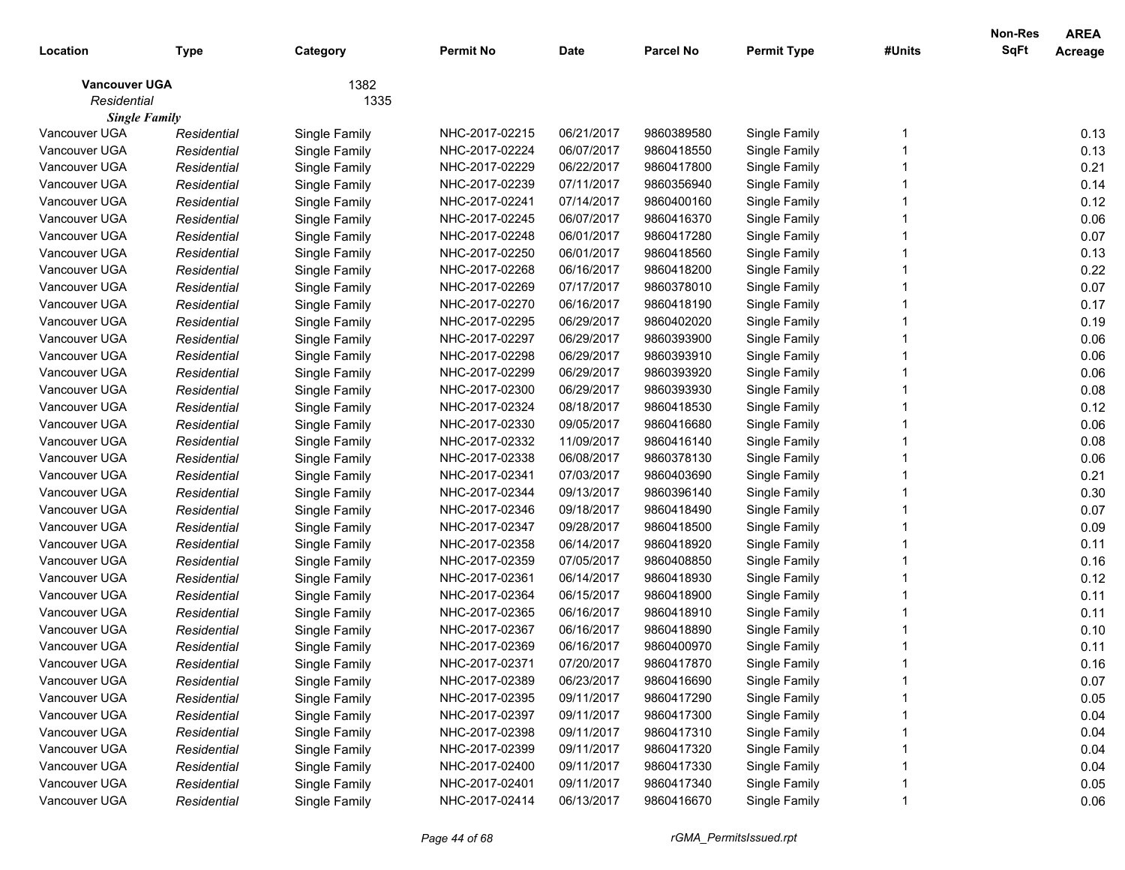| Location                            | <b>Type</b> | Category      | <b>Permit No</b> | <b>Date</b> | <b>Parcel No</b> | <b>Permit Type</b> | #Units | Non-Res<br>SqFt | <b>AREA</b><br>Acreage |
|-------------------------------------|-------------|---------------|------------------|-------------|------------------|--------------------|--------|-----------------|------------------------|
| <b>Vancouver UGA</b><br>Residential |             | 1382<br>1335  |                  |             |                  |                    |        |                 |                        |
| <b>Single Family</b>                |             |               |                  |             |                  |                    |        |                 |                        |
| Vancouver UGA                       | Residential | Single Family | NHC-2017-02215   | 06/21/2017  | 9860389580       | Single Family      |        |                 | 0.13                   |
| Vancouver UGA                       | Residential | Single Family | NHC-2017-02224   | 06/07/2017  | 9860418550       | Single Family      |        |                 | 0.13                   |
| Vancouver UGA                       | Residential | Single Family | NHC-2017-02229   | 06/22/2017  | 9860417800       | Single Family      |        |                 | 0.21                   |
| Vancouver UGA                       | Residential | Single Family | NHC-2017-02239   | 07/11/2017  | 9860356940       | Single Family      |        |                 | 0.14                   |
| Vancouver UGA                       | Residential | Single Family | NHC-2017-02241   | 07/14/2017  | 9860400160       | Single Family      |        |                 | 0.12                   |
| Vancouver UGA                       | Residential | Single Family | NHC-2017-02245   | 06/07/2017  | 9860416370       | Single Family      |        |                 | 0.06                   |
| Vancouver UGA                       | Residential | Single Family | NHC-2017-02248   | 06/01/2017  | 9860417280       | Single Family      |        |                 | 0.07                   |
| Vancouver UGA                       | Residential | Single Family | NHC-2017-02250   | 06/01/2017  | 9860418560       | Single Family      |        |                 | 0.13                   |
| Vancouver UGA                       | Residential | Single Family | NHC-2017-02268   | 06/16/2017  | 9860418200       | Single Family      |        |                 | 0.22                   |
| Vancouver UGA                       | Residential | Single Family | NHC-2017-02269   | 07/17/2017  | 9860378010       | Single Family      |        |                 | 0.07                   |
| Vancouver UGA                       | Residential | Single Family | NHC-2017-02270   | 06/16/2017  | 9860418190       | Single Family      |        |                 | 0.17                   |
| Vancouver UGA                       | Residential | Single Family | NHC-2017-02295   | 06/29/2017  | 9860402020       | Single Family      |        |                 | 0.19                   |
| Vancouver UGA                       | Residential | Single Family | NHC-2017-02297   | 06/29/2017  | 9860393900       | Single Family      |        |                 | 0.06                   |
| Vancouver UGA                       | Residential | Single Family | NHC-2017-02298   | 06/29/2017  | 9860393910       | Single Family      |        |                 | 0.06                   |
| Vancouver UGA                       | Residential | Single Family | NHC-2017-02299   | 06/29/2017  | 9860393920       | Single Family      |        |                 | 0.06                   |
| Vancouver UGA                       | Residential | Single Family | NHC-2017-02300   | 06/29/2017  | 9860393930       | Single Family      |        |                 | 0.08                   |
| Vancouver UGA                       | Residential | Single Family | NHC-2017-02324   | 08/18/2017  | 9860418530       | Single Family      |        |                 | 0.12                   |
| Vancouver UGA                       | Residential | Single Family | NHC-2017-02330   | 09/05/2017  | 9860416680       | Single Family      |        |                 | 0.06                   |
| Vancouver UGA                       | Residential | Single Family | NHC-2017-02332   | 11/09/2017  | 9860416140       | Single Family      |        |                 | 0.08                   |
| Vancouver UGA                       | Residential | Single Family | NHC-2017-02338   | 06/08/2017  | 9860378130       | Single Family      |        |                 | 0.06                   |
| Vancouver UGA                       | Residential | Single Family | NHC-2017-02341   | 07/03/2017  | 9860403690       | Single Family      |        |                 | 0.21                   |
| Vancouver UGA                       | Residential | Single Family | NHC-2017-02344   | 09/13/2017  | 9860396140       | Single Family      |        |                 | 0.30                   |
| Vancouver UGA                       | Residential | Single Family | NHC-2017-02346   | 09/18/2017  | 9860418490       | Single Family      |        |                 | 0.07                   |
| Vancouver UGA                       | Residential | Single Family | NHC-2017-02347   | 09/28/2017  | 9860418500       | Single Family      |        |                 | 0.09                   |
| Vancouver UGA                       | Residential | Single Family | NHC-2017-02358   | 06/14/2017  | 9860418920       | Single Family      |        |                 | 0.11                   |
| Vancouver UGA                       | Residential | Single Family | NHC-2017-02359   | 07/05/2017  | 9860408850       | Single Family      |        |                 | 0.16                   |
| Vancouver UGA                       | Residential | Single Family | NHC-2017-02361   | 06/14/2017  | 9860418930       | Single Family      |        |                 | 0.12                   |
| Vancouver UGA                       | Residential | Single Family | NHC-2017-02364   | 06/15/2017  | 9860418900       | Single Family      |        |                 | 0.11                   |
| Vancouver UGA                       | Residential | Single Family | NHC-2017-02365   | 06/16/2017  | 9860418910       | Single Family      |        |                 | 0.11                   |
| Vancouver UGA                       | Residential | Single Family | NHC-2017-02367   | 06/16/2017  | 9860418890       | Single Family      |        |                 | 0.10                   |
| Vancouver UGA                       | Residential | Single Family | NHC-2017-02369   | 06/16/2017  | 9860400970       | Single Family      |        |                 | 0.11                   |
| Vancouver UGA                       | Residential | Single Family | NHC-2017-02371   | 07/20/2017  | 9860417870       | Single Family      |        |                 | 0.16                   |
| Vancouver UGA                       | Residential | Single Family | NHC-2017-02389   | 06/23/2017  | 9860416690       | Single Family      |        |                 | 0.07                   |
| Vancouver UGA                       | Residential | Single Family | NHC-2017-02395   | 09/11/2017  | 9860417290       | Single Family      |        |                 | 0.05                   |
| Vancouver UGA                       | Residential | Single Family | NHC-2017-02397   | 09/11/2017  | 9860417300       | Single Family      |        |                 | 0.04                   |
| Vancouver UGA                       | Residential | Single Family | NHC-2017-02398   | 09/11/2017  | 9860417310       | Single Family      |        |                 | 0.04                   |
| Vancouver UGA                       | Residential | Single Family | NHC-2017-02399   | 09/11/2017  | 9860417320       | Single Family      |        |                 | 0.04                   |
| Vancouver UGA                       | Residential | Single Family | NHC-2017-02400   | 09/11/2017  | 9860417330       | Single Family      |        |                 | 0.04                   |
| Vancouver UGA                       | Residential | Single Family | NHC-2017-02401   | 09/11/2017  | 9860417340       | Single Family      |        |                 | 0.05                   |
| Vancouver UGA                       | Residential | Single Family | NHC-2017-02414   | 06/13/2017  | 9860416670       | Single Family      |        |                 | 0.06                   |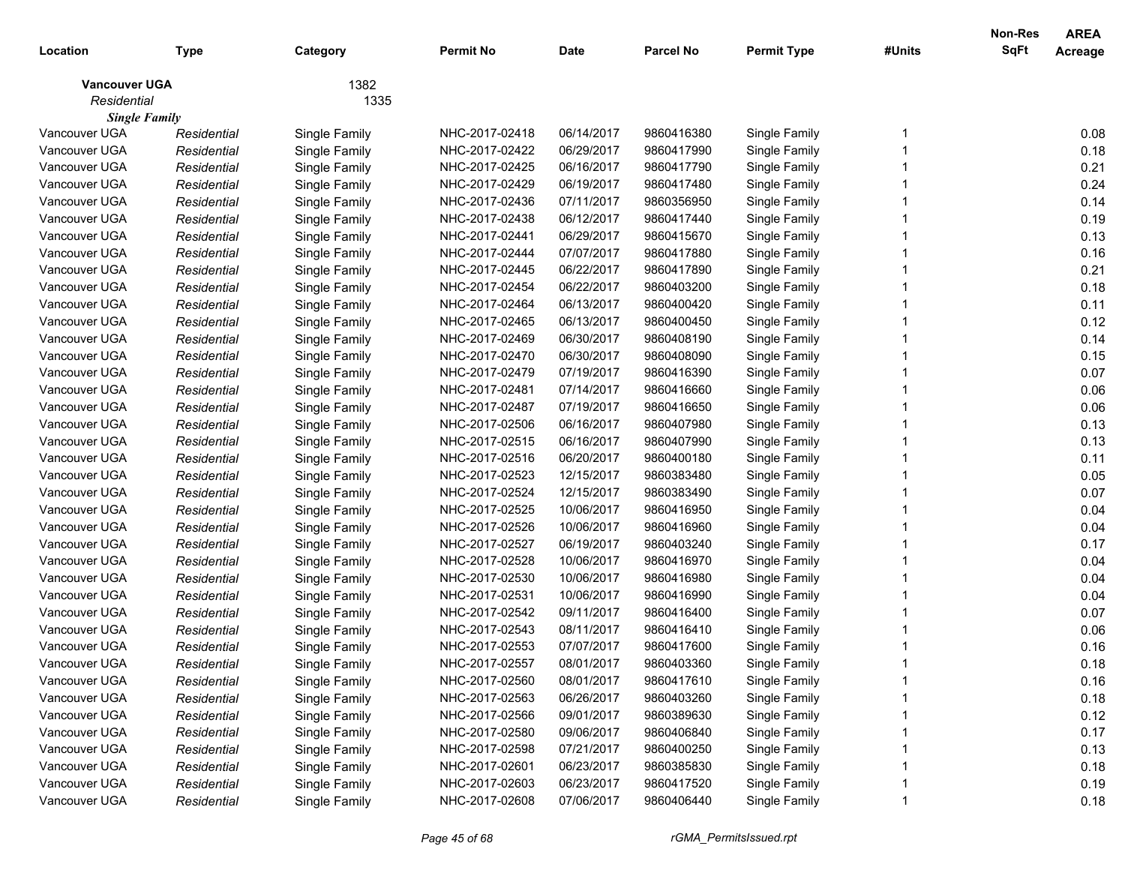| Location                              | <b>Type</b>                | Category      | <b>Permit No</b>                 | <b>Date</b>              | <b>Parcel No</b>         | <b>Permit Type</b>             | #Units | Non-Res<br>SqFt | <b>AREA</b><br>Acreage |
|---------------------------------------|----------------------------|---------------|----------------------------------|--------------------------|--------------------------|--------------------------------|--------|-----------------|------------------------|
| <b>Vancouver UGA</b>                  |                            | 1382          |                                  |                          |                          |                                |        |                 |                        |
| Residential                           |                            | 1335          |                                  |                          |                          |                                |        |                 |                        |
| <b>Single Family</b><br>Vancouver UGA |                            |               |                                  |                          |                          |                                |        |                 |                        |
| Vancouver UGA                         | Residential                | Single Family | NHC-2017-02418<br>NHC-2017-02422 | 06/14/2017<br>06/29/2017 | 9860416380<br>9860417990 | Single Family                  |        |                 | 0.08<br>0.18           |
| Vancouver UGA                         | Residential<br>Residential | Single Family | NHC-2017-02425                   | 06/16/2017               | 9860417790               | Single Family<br>Single Family |        |                 | 0.21                   |
| Vancouver UGA                         | Residential                | Single Family | NHC-2017-02429                   | 06/19/2017               | 9860417480               |                                |        |                 | 0.24                   |
| Vancouver UGA                         | Residential                | Single Family | NHC-2017-02436                   | 07/11/2017               | 9860356950               | Single Family                  |        |                 | 0.14                   |
| Vancouver UGA                         | Residential                | Single Family | NHC-2017-02438                   | 06/12/2017               | 9860417440               | Single Family<br>Single Family |        |                 | 0.19                   |
| Vancouver UGA                         | Residential                | Single Family | NHC-2017-02441                   | 06/29/2017               | 9860415670               |                                |        |                 | 0.13                   |
| Vancouver UGA                         | Residential                | Single Family | NHC-2017-02444                   | 07/07/2017               | 9860417880               | Single Family                  |        |                 | 0.16                   |
| Vancouver UGA                         |                            | Single Family | NHC-2017-02445                   | 06/22/2017               | 9860417890               | Single Family                  |        |                 | 0.21                   |
| Vancouver UGA                         | Residential                | Single Family | NHC-2017-02454                   | 06/22/2017               | 9860403200               | Single Family                  |        |                 | 0.18                   |
| Vancouver UGA                         | Residential                | Single Family | NHC-2017-02464                   | 06/13/2017               | 9860400420               | Single Family                  |        |                 | 0.11                   |
| Vancouver UGA                         | Residential                | Single Family |                                  | 06/13/2017               |                          | Single Family                  |        |                 |                        |
| Vancouver UGA                         | Residential                | Single Family | NHC-2017-02465<br>NHC-2017-02469 | 06/30/2017               | 9860400450<br>9860408190 | Single Family                  |        |                 | 0.12<br>0.14           |
| Vancouver UGA                         | Residential                | Single Family |                                  |                          |                          | Single Family                  |        |                 |                        |
|                                       | Residential                | Single Family | NHC-2017-02470                   | 06/30/2017               | 9860408090               | Single Family                  |        |                 | 0.15                   |
| Vancouver UGA                         | Residential                | Single Family | NHC-2017-02479                   | 07/19/2017               | 9860416390               | Single Family                  |        |                 | 0.07                   |
| Vancouver UGA                         | Residential                | Single Family | NHC-2017-02481                   | 07/14/2017               | 9860416660               | Single Family                  |        |                 | 0.06                   |
| Vancouver UGA                         | Residential                | Single Family | NHC-2017-02487                   | 07/19/2017               | 9860416650               | Single Family                  |        |                 | 0.06                   |
| Vancouver UGA                         | Residential                | Single Family | NHC-2017-02506                   | 06/16/2017               | 9860407980               | Single Family                  |        |                 | 0.13                   |
| Vancouver UGA                         | Residential                | Single Family | NHC-2017-02515                   | 06/16/2017               | 9860407990               | Single Family                  |        |                 | 0.13                   |
| Vancouver UGA                         | Residential                | Single Family | NHC-2017-02516                   | 06/20/2017               | 9860400180               | Single Family                  |        |                 | 0.11                   |
| Vancouver UGA                         | Residential                | Single Family | NHC-2017-02523                   | 12/15/2017               | 9860383480               | Single Family                  |        |                 | 0.05                   |
| Vancouver UGA                         | Residential                | Single Family | NHC-2017-02524                   | 12/15/2017               | 9860383490               | Single Family                  |        |                 | 0.07                   |
| Vancouver UGA                         | Residential                | Single Family | NHC-2017-02525                   | 10/06/2017               | 9860416950               | Single Family                  |        |                 | 0.04                   |
| Vancouver UGA                         | Residential                | Single Family | NHC-2017-02526                   | 10/06/2017               | 9860416960               | Single Family                  |        |                 | 0.04                   |
| Vancouver UGA                         | Residential                | Single Family | NHC-2017-02527                   | 06/19/2017               | 9860403240               | Single Family                  |        |                 | 0.17                   |
| Vancouver UGA                         | Residential                | Single Family | NHC-2017-02528                   | 10/06/2017               | 9860416970               | Single Family                  |        |                 | 0.04                   |
| Vancouver UGA                         | Residential                | Single Family | NHC-2017-02530                   | 10/06/2017               | 9860416980               | Single Family                  |        |                 | 0.04                   |
| Vancouver UGA                         | Residential                | Single Family | NHC-2017-02531                   | 10/06/2017               | 9860416990               | Single Family                  |        |                 | 0.04                   |
| Vancouver UGA                         | Residential                | Single Family | NHC-2017-02542                   | 09/11/2017               | 9860416400               | Single Family                  |        |                 | 0.07                   |
| Vancouver UGA                         | Residential                | Single Family | NHC-2017-02543                   | 08/11/2017               | 9860416410               | Single Family                  |        |                 | 0.06                   |
| Vancouver UGA                         | Residential                | Single Family | NHC-2017-02553                   | 07/07/2017               | 9860417600               | Single Family                  |        |                 | 0.16                   |
| Vancouver UGA                         | Residential                | Single Family | NHC-2017-02557                   | 08/01/2017               | 9860403360               | Single Family                  |        |                 | 0.18                   |
| Vancouver UGA                         | Residential                | Single Family | NHC-2017-02560                   | 08/01/2017               | 9860417610               | Single Family                  |        |                 | 0.16                   |
| Vancouver UGA                         | Residential                | Single Family | NHC-2017-02563                   | 06/26/2017               | 9860403260               | Single Family                  |        |                 | 0.18                   |
| Vancouver UGA                         | Residential                | Single Family | NHC-2017-02566                   | 09/01/2017               | 9860389630               | Single Family                  |        |                 | 0.12                   |
| Vancouver UGA                         | Residential                | Single Family | NHC-2017-02580                   | 09/06/2017               | 9860406840               | Single Family                  |        |                 | 0.17                   |
| Vancouver UGA                         | Residential                | Single Family | NHC-2017-02598                   | 07/21/2017               | 9860400250               | Single Family                  |        |                 | 0.13                   |
| Vancouver UGA                         | Residential                | Single Family | NHC-2017-02601                   | 06/23/2017               | 9860385830               | Single Family                  |        |                 | 0.18                   |
| Vancouver UGA                         | Residential                | Single Family | NHC-2017-02603                   | 06/23/2017               | 9860417520               | Single Family                  |        |                 | 0.19                   |
| Vancouver UGA                         | Residential                | Single Family | NHC-2017-02608                   | 07/06/2017               | 9860406440               | Single Family                  |        |                 | 0.18                   |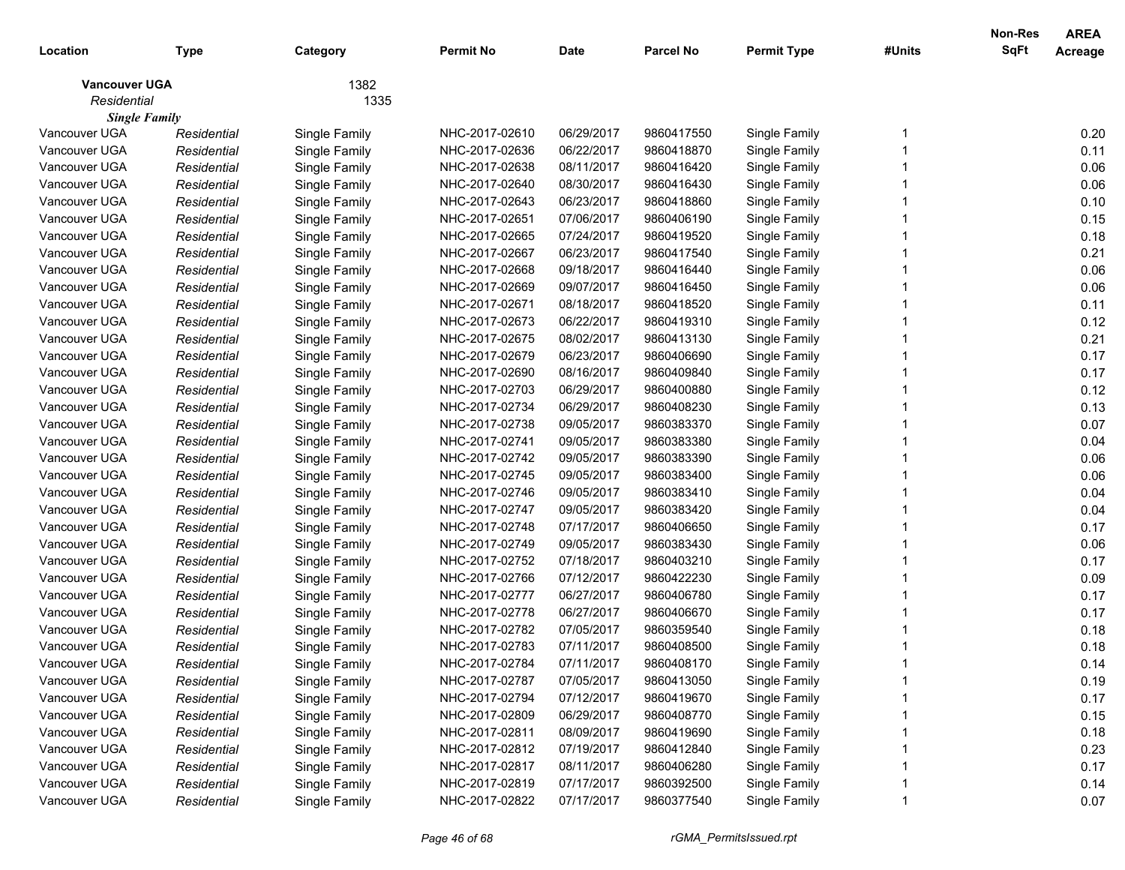|                      |             |               |                  |             |                  |                    |        | <b>Non-Res</b> | <b>AREA</b> |
|----------------------|-------------|---------------|------------------|-------------|------------------|--------------------|--------|----------------|-------------|
| Location             | Type        | Category      | <b>Permit No</b> | <b>Date</b> | <b>Parcel No</b> | <b>Permit Type</b> | #Units | SqFt           | Acreage     |
| <b>Vancouver UGA</b> |             | 1382          |                  |             |                  |                    |        |                |             |
| Residential          |             | 1335          |                  |             |                  |                    |        |                |             |
| <b>Single Family</b> |             |               |                  |             |                  |                    |        |                |             |
| Vancouver UGA        | Residential | Single Family | NHC-2017-02610   | 06/29/2017  | 9860417550       | Single Family      |        |                | 0.20        |
| Vancouver UGA        | Residential | Single Family | NHC-2017-02636   | 06/22/2017  | 9860418870       | Single Family      |        |                | 0.11        |
| Vancouver UGA        | Residential | Single Family | NHC-2017-02638   | 08/11/2017  | 9860416420       | Single Family      |        |                | 0.06        |
| Vancouver UGA        | Residential | Single Family | NHC-2017-02640   | 08/30/2017  | 9860416430       | Single Family      |        |                | 0.06        |
| Vancouver UGA        | Residential | Single Family | NHC-2017-02643   | 06/23/2017  | 9860418860       | Single Family      |        |                | 0.10        |
| Vancouver UGA        | Residential | Single Family | NHC-2017-02651   | 07/06/2017  | 9860406190       | Single Family      |        |                | 0.15        |
| Vancouver UGA        | Residential | Single Family | NHC-2017-02665   | 07/24/2017  | 9860419520       | Single Family      |        |                | 0.18        |
| Vancouver UGA        | Residential | Single Family | NHC-2017-02667   | 06/23/2017  | 9860417540       | Single Family      |        |                | 0.21        |
| Vancouver UGA        | Residential | Single Family | NHC-2017-02668   | 09/18/2017  | 9860416440       | Single Family      |        |                | 0.06        |
| Vancouver UGA        | Residential | Single Family | NHC-2017-02669   | 09/07/2017  | 9860416450       | Single Family      |        |                | 0.06        |
| Vancouver UGA        | Residential | Single Family | NHC-2017-02671   | 08/18/2017  | 9860418520       | Single Family      |        |                | 0.11        |
| Vancouver UGA        | Residential | Single Family | NHC-2017-02673   | 06/22/2017  | 9860419310       | Single Family      |        |                | 0.12        |
| Vancouver UGA        | Residential | Single Family | NHC-2017-02675   | 08/02/2017  | 9860413130       | Single Family      |        |                | 0.21        |
| Vancouver UGA        | Residential | Single Family | NHC-2017-02679   | 06/23/2017  | 9860406690       | Single Family      |        |                | 0.17        |
| Vancouver UGA        | Residential | Single Family | NHC-2017-02690   | 08/16/2017  | 9860409840       | Single Family      |        |                | 0.17        |
| Vancouver UGA        | Residential | Single Family | NHC-2017-02703   | 06/29/2017  | 9860400880       | Single Family      |        |                | 0.12        |
| Vancouver UGA        | Residential | Single Family | NHC-2017-02734   | 06/29/2017  | 9860408230       | Single Family      |        |                | 0.13        |
| Vancouver UGA        | Residential | Single Family | NHC-2017-02738   | 09/05/2017  | 9860383370       | Single Family      |        |                | 0.07        |
| Vancouver UGA        | Residential | Single Family | NHC-2017-02741   | 09/05/2017  | 9860383380       | Single Family      |        |                | 0.04        |
| Vancouver UGA        | Residential | Single Family | NHC-2017-02742   | 09/05/2017  | 9860383390       | Single Family      |        |                | 0.06        |
| Vancouver UGA        | Residential | Single Family | NHC-2017-02745   | 09/05/2017  | 9860383400       | Single Family      |        |                | 0.06        |
| Vancouver UGA        | Residential | Single Family | NHC-2017-02746   | 09/05/2017  | 9860383410       | Single Family      |        |                | 0.04        |
| Vancouver UGA        | Residential | Single Family | NHC-2017-02747   | 09/05/2017  | 9860383420       | Single Family      |        |                | 0.04        |
| Vancouver UGA        | Residential | Single Family | NHC-2017-02748   | 07/17/2017  | 9860406650       | Single Family      |        |                | 0.17        |
| Vancouver UGA        | Residential | Single Family | NHC-2017-02749   | 09/05/2017  | 9860383430       | Single Family      |        |                | 0.06        |
| Vancouver UGA        | Residential | Single Family | NHC-2017-02752   | 07/18/2017  | 9860403210       | Single Family      |        |                | 0.17        |
| Vancouver UGA        | Residential | Single Family | NHC-2017-02766   | 07/12/2017  | 9860422230       | Single Family      |        |                | 0.09        |
| Vancouver UGA        | Residential | Single Family | NHC-2017-02777   | 06/27/2017  | 9860406780       | Single Family      |        |                | 0.17        |
| Vancouver UGA        | Residential | Single Family | NHC-2017-02778   | 06/27/2017  | 9860406670       | Single Family      |        |                | 0.17        |
| Vancouver UGA        | Residential | Single Family | NHC-2017-02782   | 07/05/2017  | 9860359540       | Single Family      |        |                | 0.18        |
| Vancouver UGA        | Residential | Single Family | NHC-2017-02783   | 07/11/2017  | 9860408500       | Single Family      |        |                | 0.18        |
| Vancouver UGA        | Residential | Single Family | NHC-2017-02784   | 07/11/2017  | 9860408170       | Single Family      |        |                | 0.14        |
| Vancouver UGA        | Residential | Single Family | NHC-2017-02787   | 07/05/2017  | 9860413050       | Single Family      |        |                | 0.19        |
| Vancouver UGA        | Residential | Single Family | NHC-2017-02794   | 07/12/2017  | 9860419670       | Single Family      |        |                | 0.17        |
| Vancouver UGA        | Residential | Single Family | NHC-2017-02809   | 06/29/2017  | 9860408770       | Single Family      |        |                | 0.15        |
| Vancouver UGA        | Residential | Single Family | NHC-2017-02811   | 08/09/2017  | 9860419690       | Single Family      |        |                | 0.18        |
| Vancouver UGA        | Residential | Single Family | NHC-2017-02812   | 07/19/2017  | 9860412840       | Single Family      |        |                | 0.23        |
| Vancouver UGA        | Residential | Single Family | NHC-2017-02817   | 08/11/2017  | 9860406280       | Single Family      |        |                | 0.17        |
| Vancouver UGA        | Residential | Single Family | NHC-2017-02819   | 07/17/2017  | 9860392500       | Single Family      |        |                | 0.14        |
| Vancouver UGA        | Residential | Single Family | NHC-2017-02822   | 07/17/2017  | 9860377540       | Single Family      |        |                | 0.07        |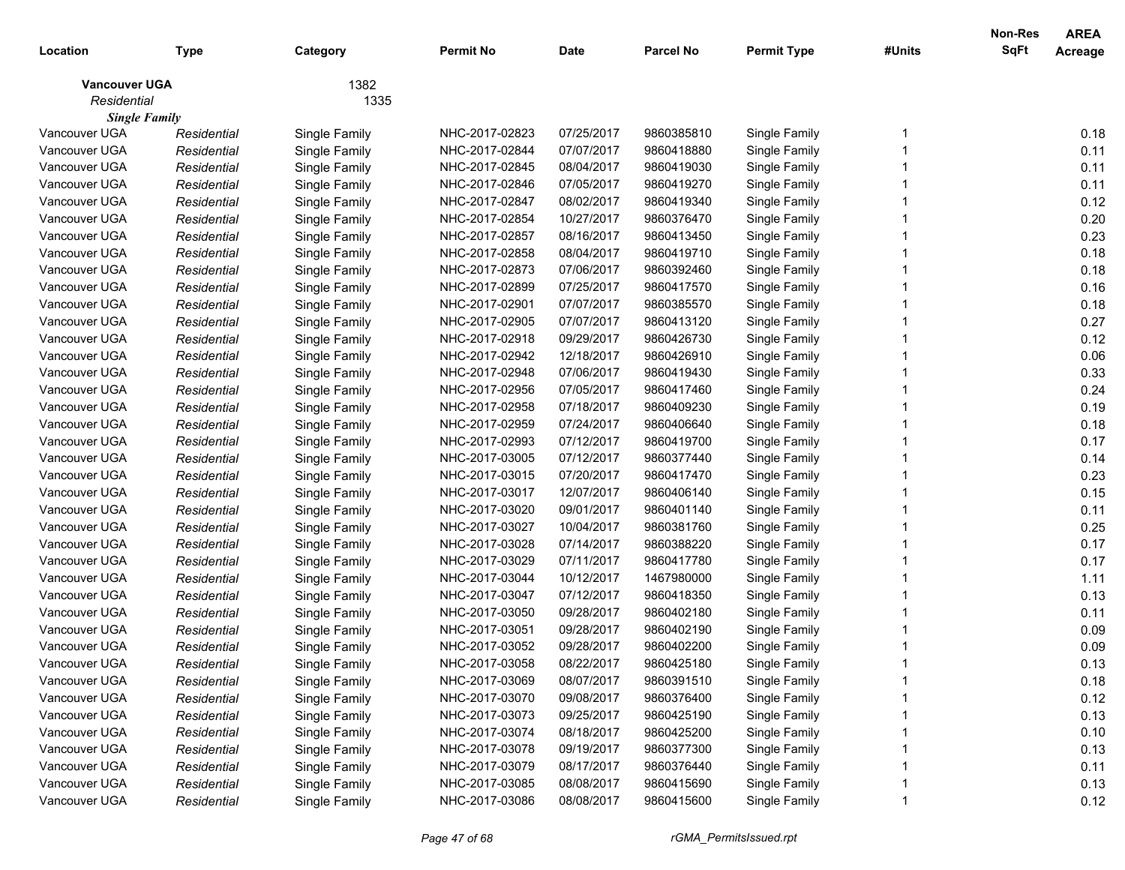| Location             | Type        | Category      | <b>Permit No</b> | <b>Date</b> | <b>Parcel No</b> | <b>Permit Type</b> | #Units | <b>Non-Res</b><br><b>SqFt</b> | <b>AREA</b><br>Acreage |
|----------------------|-------------|---------------|------------------|-------------|------------------|--------------------|--------|-------------------------------|------------------------|
| <b>Vancouver UGA</b> |             | 1382          |                  |             |                  |                    |        |                               |                        |
| Residential          |             | 1335          |                  |             |                  |                    |        |                               |                        |
| <b>Single Family</b> |             |               |                  |             |                  |                    |        |                               |                        |
| Vancouver UGA        | Residential | Single Family | NHC-2017-02823   | 07/25/2017  | 9860385810       | Single Family      |        |                               | 0.18                   |
| Vancouver UGA        | Residential | Single Family | NHC-2017-02844   | 07/07/2017  | 9860418880       | Single Family      |        |                               | 0.11                   |
| Vancouver UGA        | Residential | Single Family | NHC-2017-02845   | 08/04/2017  | 9860419030       | Single Family      |        |                               | 0.11                   |
| Vancouver UGA        | Residential | Single Family | NHC-2017-02846   | 07/05/2017  | 9860419270       | Single Family      |        |                               | 0.11                   |
| Vancouver UGA        | Residential | Single Family | NHC-2017-02847   | 08/02/2017  | 9860419340       | Single Family      |        |                               | 0.12                   |
| Vancouver UGA        | Residential | Single Family | NHC-2017-02854   | 10/27/2017  | 9860376470       | Single Family      |        |                               | 0.20                   |
| Vancouver UGA        | Residential | Single Family | NHC-2017-02857   | 08/16/2017  | 9860413450       | Single Family      |        |                               | 0.23                   |
| Vancouver UGA        | Residential | Single Family | NHC-2017-02858   | 08/04/2017  | 9860419710       | Single Family      |        |                               | 0.18                   |
| Vancouver UGA        | Residential | Single Family | NHC-2017-02873   | 07/06/2017  | 9860392460       | Single Family      |        |                               | 0.18                   |
| Vancouver UGA        | Residential | Single Family | NHC-2017-02899   | 07/25/2017  | 9860417570       | Single Family      |        |                               | 0.16                   |
| Vancouver UGA        | Residential | Single Family | NHC-2017-02901   | 07/07/2017  | 9860385570       | Single Family      |        |                               | 0.18                   |
| Vancouver UGA        | Residential | Single Family | NHC-2017-02905   | 07/07/2017  | 9860413120       | Single Family      |        |                               | 0.27                   |
| Vancouver UGA        | Residential | Single Family | NHC-2017-02918   | 09/29/2017  | 9860426730       | Single Family      |        |                               | 0.12                   |
| Vancouver UGA        | Residential | Single Family | NHC-2017-02942   | 12/18/2017  | 9860426910       | Single Family      |        |                               | 0.06                   |
| Vancouver UGA        | Residential | Single Family | NHC-2017-02948   | 07/06/2017  | 9860419430       | Single Family      |        |                               | 0.33                   |
| Vancouver UGA        | Residential | Single Family | NHC-2017-02956   | 07/05/2017  | 9860417460       | Single Family      |        |                               | 0.24                   |
| Vancouver UGA        | Residential | Single Family | NHC-2017-02958   | 07/18/2017  | 9860409230       | Single Family      |        |                               | 0.19                   |
| Vancouver UGA        | Residential | Single Family | NHC-2017-02959   | 07/24/2017  | 9860406640       | Single Family      |        |                               | 0.18                   |
| Vancouver UGA        | Residential | Single Family | NHC-2017-02993   | 07/12/2017  | 9860419700       | Single Family      |        |                               | 0.17                   |
| Vancouver UGA        | Residential | Single Family | NHC-2017-03005   | 07/12/2017  | 9860377440       | Single Family      |        |                               | 0.14                   |
| Vancouver UGA        | Residential | Single Family | NHC-2017-03015   | 07/20/2017  | 9860417470       | Single Family      |        |                               | 0.23                   |
| Vancouver UGA        | Residential | Single Family | NHC-2017-03017   | 12/07/2017  | 9860406140       | Single Family      |        |                               | 0.15                   |
| Vancouver UGA        | Residential | Single Family | NHC-2017-03020   | 09/01/2017  | 9860401140       | Single Family      |        |                               | 0.11                   |
| Vancouver UGA        | Residential | Single Family | NHC-2017-03027   | 10/04/2017  | 9860381760       | Single Family      |        |                               | 0.25                   |
| Vancouver UGA        | Residential | Single Family | NHC-2017-03028   | 07/14/2017  | 9860388220       | Single Family      |        |                               | 0.17                   |
| Vancouver UGA        | Residential | Single Family | NHC-2017-03029   | 07/11/2017  | 9860417780       | Single Family      |        |                               | 0.17                   |
| Vancouver UGA        | Residential | Single Family | NHC-2017-03044   | 10/12/2017  | 1467980000       | Single Family      |        |                               | 1.11                   |
| Vancouver UGA        | Residential | Single Family | NHC-2017-03047   | 07/12/2017  | 9860418350       | Single Family      |        |                               | 0.13                   |
| Vancouver UGA        | Residential | Single Family | NHC-2017-03050   | 09/28/2017  | 9860402180       | Single Family      |        |                               | 0.11                   |
| Vancouver UGA        | Residential | Single Family | NHC-2017-03051   | 09/28/2017  | 9860402190       | Single Family      |        |                               | 0.09                   |
| Vancouver UGA        | Residential | Single Family | NHC-2017-03052   | 09/28/2017  | 9860402200       | Single Family      |        |                               | 0.09                   |
| Vancouver UGA        | Residential | Single Family | NHC-2017-03058   | 08/22/2017  | 9860425180       | Single Family      |        |                               | 0.13                   |
| Vancouver UGA        | Residential | Single Family | NHC-2017-03069   | 08/07/2017  | 9860391510       | Single Family      |        |                               | 0.18                   |
| Vancouver UGA        | Residential | Single Family | NHC-2017-03070   | 09/08/2017  | 9860376400       | Single Family      |        |                               | 0.12                   |
| Vancouver UGA        | Residential | Single Family | NHC-2017-03073   | 09/25/2017  | 9860425190       | Single Family      |        |                               | 0.13                   |
| Vancouver UGA        | Residential | Single Family | NHC-2017-03074   | 08/18/2017  | 9860425200       | Single Family      |        |                               | 0.10                   |
| Vancouver UGA        | Residential | Single Family | NHC-2017-03078   | 09/19/2017  | 9860377300       | Single Family      |        |                               | 0.13                   |
| Vancouver UGA        | Residential | Single Family | NHC-2017-03079   | 08/17/2017  | 9860376440       | Single Family      |        |                               | 0.11                   |
| Vancouver UGA        | Residential | Single Family | NHC-2017-03085   | 08/08/2017  | 9860415690       | Single Family      |        |                               | 0.13                   |
| Vancouver UGA        | Residential | Single Family | NHC-2017-03086   | 08/08/2017  | 9860415600       | Single Family      |        |                               | 0.12                   |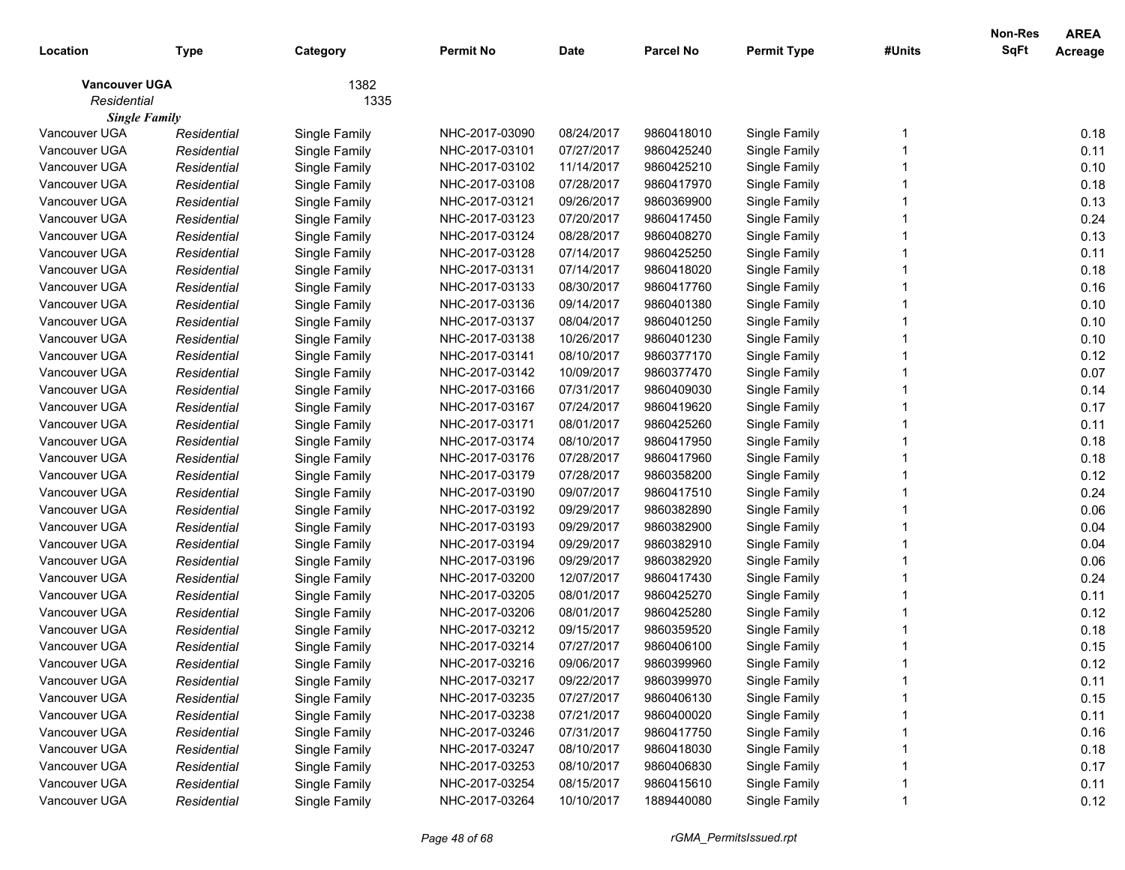| Location             | Type        | Category      | <b>Permit No</b> | <b>Date</b> | <b>Parcel No</b> | <b>Permit Type</b> | #Units | <b>Non-Res</b><br><b>SqFt</b> | <b>AREA</b><br>Acreage |
|----------------------|-------------|---------------|------------------|-------------|------------------|--------------------|--------|-------------------------------|------------------------|
| <b>Vancouver UGA</b> |             | 1382          |                  |             |                  |                    |        |                               |                        |
| Residential          |             | 1335          |                  |             |                  |                    |        |                               |                        |
| <b>Single Family</b> |             |               |                  |             |                  |                    |        |                               |                        |
| Vancouver UGA        | Residential | Single Family | NHC-2017-03090   | 08/24/2017  | 9860418010       | Single Family      |        |                               | 0.18                   |
| Vancouver UGA        | Residential | Single Family | NHC-2017-03101   | 07/27/2017  | 9860425240       | Single Family      |        |                               | 0.11                   |
| Vancouver UGA        | Residential | Single Family | NHC-2017-03102   | 11/14/2017  | 9860425210       | Single Family      |        |                               | 0.10                   |
| Vancouver UGA        | Residential | Single Family | NHC-2017-03108   | 07/28/2017  | 9860417970       | Single Family      |        |                               | 0.18                   |
| Vancouver UGA        | Residential | Single Family | NHC-2017-03121   | 09/26/2017  | 9860369900       | Single Family      |        |                               | 0.13                   |
| Vancouver UGA        | Residential | Single Family | NHC-2017-03123   | 07/20/2017  | 9860417450       | Single Family      |        |                               | 0.24                   |
| Vancouver UGA        | Residential | Single Family | NHC-2017-03124   | 08/28/2017  | 9860408270       | Single Family      |        |                               | 0.13                   |
| Vancouver UGA        | Residential | Single Family | NHC-2017-03128   | 07/14/2017  | 9860425250       | Single Family      |        |                               | 0.11                   |
| Vancouver UGA        | Residential | Single Family | NHC-2017-03131   | 07/14/2017  | 9860418020       | Single Family      |        |                               | 0.18                   |
| Vancouver UGA        | Residential | Single Family | NHC-2017-03133   | 08/30/2017  | 9860417760       | Single Family      |        |                               | 0.16                   |
| Vancouver UGA        | Residential | Single Family | NHC-2017-03136   | 09/14/2017  | 9860401380       | Single Family      |        |                               | 0.10                   |
| Vancouver UGA        | Residential | Single Family | NHC-2017-03137   | 08/04/2017  | 9860401250       | Single Family      |        |                               | 0.10                   |
| Vancouver UGA        | Residential | Single Family | NHC-2017-03138   | 10/26/2017  | 9860401230       | Single Family      |        |                               | 0.10                   |
| Vancouver UGA        | Residential | Single Family | NHC-2017-03141   | 08/10/2017  | 9860377170       | Single Family      |        |                               | 0.12                   |
| Vancouver UGA        | Residential | Single Family | NHC-2017-03142   | 10/09/2017  | 9860377470       | Single Family      |        |                               | 0.07                   |
| Vancouver UGA        | Residential | Single Family | NHC-2017-03166   | 07/31/2017  | 9860409030       | Single Family      |        |                               | 0.14                   |
| Vancouver UGA        | Residential | Single Family | NHC-2017-03167   | 07/24/2017  | 9860419620       | Single Family      |        |                               | 0.17                   |
| Vancouver UGA        | Residential | Single Family | NHC-2017-03171   | 08/01/2017  | 9860425260       | Single Family      |        |                               | 0.11                   |
| Vancouver UGA        | Residential | Single Family | NHC-2017-03174   | 08/10/2017  | 9860417950       | Single Family      |        |                               | 0.18                   |
| Vancouver UGA        | Residential | Single Family | NHC-2017-03176   | 07/28/2017  | 9860417960       | Single Family      |        |                               | 0.18                   |
| Vancouver UGA        | Residential | Single Family | NHC-2017-03179   | 07/28/2017  | 9860358200       | Single Family      |        |                               | 0.12                   |
| Vancouver UGA        | Residential | Single Family | NHC-2017-03190   | 09/07/2017  | 9860417510       | Single Family      |        |                               | 0.24                   |
| Vancouver UGA        | Residential | Single Family | NHC-2017-03192   | 09/29/2017  | 9860382890       | Single Family      |        |                               | 0.06                   |
| Vancouver UGA        | Residential | Single Family | NHC-2017-03193   | 09/29/2017  | 9860382900       | Single Family      |        |                               | 0.04                   |
| Vancouver UGA        | Residential | Single Family | NHC-2017-03194   | 09/29/2017  | 9860382910       | Single Family      |        |                               | 0.04                   |
| Vancouver UGA        | Residential | Single Family | NHC-2017-03196   | 09/29/2017  | 9860382920       | Single Family      |        |                               | 0.06                   |
| Vancouver UGA        | Residential | Single Family | NHC-2017-03200   | 12/07/2017  | 9860417430       | Single Family      |        |                               | 0.24                   |
| Vancouver UGA        | Residential | Single Family | NHC-2017-03205   | 08/01/2017  | 9860425270       | Single Family      |        |                               | 0.11                   |
| Vancouver UGA        | Residential | Single Family | NHC-2017-03206   | 08/01/2017  | 9860425280       | Single Family      |        |                               | 0.12                   |
| Vancouver UGA        | Residential | Single Family | NHC-2017-03212   | 09/15/2017  | 9860359520       | Single Family      |        |                               | 0.18                   |
| Vancouver UGA        | Residential | Single Family | NHC-2017-03214   | 07/27/2017  | 9860406100       | Single Family      |        |                               | 0.15                   |
| Vancouver UGA        | Residential | Single Family | NHC-2017-03216   | 09/06/2017  | 9860399960       | Single Family      |        |                               | 0.12                   |
| Vancouver UGA        | Residential | Single Family | NHC-2017-03217   | 09/22/2017  | 9860399970       | Single Family      |        |                               | 0.11                   |
| Vancouver UGA        | Residential | Single Family | NHC-2017-03235   | 07/27/2017  | 9860406130       | Single Family      |        |                               | 0.15                   |
| Vancouver UGA        | Residential | Single Family | NHC-2017-03238   | 07/21/2017  | 9860400020       | Single Family      |        |                               | 0.11                   |
| Vancouver UGA        | Residential | Single Family | NHC-2017-03246   | 07/31/2017  | 9860417750       | Single Family      |        |                               | 0.16                   |
| Vancouver UGA        | Residential | Single Family | NHC-2017-03247   | 08/10/2017  | 9860418030       | Single Family      |        |                               | 0.18                   |
| Vancouver UGA        | Residential | Single Family | NHC-2017-03253   | 08/10/2017  | 9860406830       | Single Family      |        |                               | 0.17                   |
| Vancouver UGA        | Residential | Single Family | NHC-2017-03254   | 08/15/2017  | 9860415610       | Single Family      |        |                               | 0.11                   |
| Vancouver UGA        | Residential | Single Family | NHC-2017-03264   | 10/10/2017  | 1889440080       | Single Family      |        |                               | 0.12                   |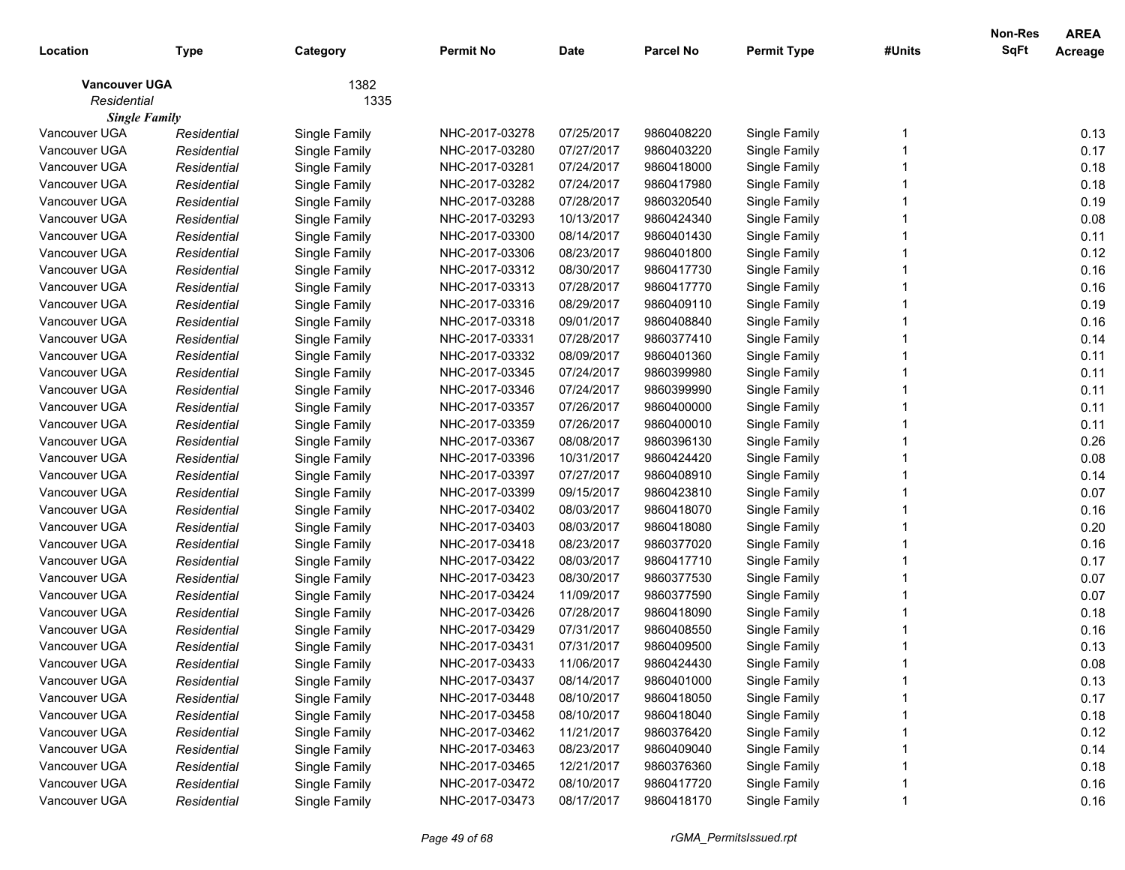| Location                            | <b>Type</b> | Category      | <b>Permit No</b> | <b>Date</b> | <b>Parcel No</b> | <b>Permit Type</b> | #Units | Non-Res<br>SqFt | <b>AREA</b><br>Acreage |
|-------------------------------------|-------------|---------------|------------------|-------------|------------------|--------------------|--------|-----------------|------------------------|
| <b>Vancouver UGA</b>                |             | 1382          |                  |             |                  |                    |        |                 |                        |
| Residential<br><b>Single Family</b> |             | 1335          |                  |             |                  |                    |        |                 |                        |
| Vancouver UGA                       | Residential | Single Family | NHC-2017-03278   | 07/25/2017  | 9860408220       | Single Family      |        |                 | 0.13                   |
| Vancouver UGA                       | Residential | Single Family | NHC-2017-03280   | 07/27/2017  | 9860403220       | Single Family      |        |                 | 0.17                   |
| Vancouver UGA                       | Residential | Single Family | NHC-2017-03281   | 07/24/2017  | 9860418000       | Single Family      |        |                 | 0.18                   |
| Vancouver UGA                       | Residential | Single Family | NHC-2017-03282   | 07/24/2017  | 9860417980       | Single Family      |        |                 | 0.18                   |
| Vancouver UGA                       | Residential | Single Family | NHC-2017-03288   | 07/28/2017  | 9860320540       | Single Family      |        |                 | 0.19                   |
| Vancouver UGA                       | Residential | Single Family | NHC-2017-03293   | 10/13/2017  | 9860424340       | Single Family      |        |                 | 0.08                   |
| Vancouver UGA                       | Residential | Single Family | NHC-2017-03300   | 08/14/2017  | 9860401430       | Single Family      |        |                 | 0.11                   |
| Vancouver UGA                       | Residential | Single Family | NHC-2017-03306   | 08/23/2017  | 9860401800       | Single Family      |        |                 | 0.12                   |
| Vancouver UGA                       | Residential | Single Family | NHC-2017-03312   | 08/30/2017  | 9860417730       | Single Family      |        |                 | 0.16                   |
| Vancouver UGA                       | Residential | Single Family | NHC-2017-03313   | 07/28/2017  | 9860417770       | Single Family      |        |                 | 0.16                   |
| Vancouver UGA                       | Residential | Single Family | NHC-2017-03316   | 08/29/2017  | 9860409110       | Single Family      |        |                 | 0.19                   |
| Vancouver UGA                       | Residential | Single Family | NHC-2017-03318   | 09/01/2017  | 9860408840       | Single Family      |        |                 | 0.16                   |
| Vancouver UGA                       | Residential | Single Family | NHC-2017-03331   | 07/28/2017  | 9860377410       | Single Family      |        |                 | 0.14                   |
| Vancouver UGA                       | Residential | Single Family | NHC-2017-03332   | 08/09/2017  | 9860401360       | Single Family      |        |                 | 0.11                   |
| Vancouver UGA                       | Residential | Single Family | NHC-2017-03345   | 07/24/2017  | 9860399980       | Single Family      |        |                 | 0.11                   |
| Vancouver UGA                       | Residential | Single Family | NHC-2017-03346   | 07/24/2017  | 9860399990       | Single Family      |        |                 | 0.11                   |
| Vancouver UGA                       | Residential | Single Family | NHC-2017-03357   | 07/26/2017  | 9860400000       | Single Family      |        |                 | 0.11                   |
| Vancouver UGA                       | Residential | Single Family | NHC-2017-03359   | 07/26/2017  | 9860400010       | Single Family      |        |                 | 0.11                   |
| Vancouver UGA                       | Residential | Single Family | NHC-2017-03367   | 08/08/2017  | 9860396130       | Single Family      |        |                 | 0.26                   |
| Vancouver UGA                       | Residential | Single Family | NHC-2017-03396   | 10/31/2017  | 9860424420       | Single Family      |        |                 | 0.08                   |
| Vancouver UGA                       | Residential | Single Family | NHC-2017-03397   | 07/27/2017  | 9860408910       | Single Family      |        |                 | 0.14                   |
| Vancouver UGA                       | Residential | Single Family | NHC-2017-03399   | 09/15/2017  | 9860423810       | Single Family      |        |                 | 0.07                   |
| Vancouver UGA                       | Residential | Single Family | NHC-2017-03402   | 08/03/2017  | 9860418070       | Single Family      |        |                 | 0.16                   |
| Vancouver UGA                       | Residential | Single Family | NHC-2017-03403   | 08/03/2017  | 9860418080       | Single Family      |        |                 | 0.20                   |
| Vancouver UGA                       | Residential | Single Family | NHC-2017-03418   | 08/23/2017  | 9860377020       | Single Family      |        |                 | 0.16                   |
| Vancouver UGA                       | Residential | Single Family | NHC-2017-03422   | 08/03/2017  | 9860417710       | Single Family      |        |                 | 0.17                   |
| Vancouver UGA                       | Residential | Single Family | NHC-2017-03423   | 08/30/2017  | 9860377530       | Single Family      |        |                 | 0.07                   |
| Vancouver UGA                       | Residential | Single Family | NHC-2017-03424   | 11/09/2017  | 9860377590       | Single Family      |        |                 | 0.07                   |
| Vancouver UGA                       | Residential | Single Family | NHC-2017-03426   | 07/28/2017  | 9860418090       | Single Family      |        |                 | 0.18                   |
| Vancouver UGA                       | Residential | Single Family | NHC-2017-03429   | 07/31/2017  | 9860408550       | Single Family      |        |                 | 0.16                   |
| Vancouver UGA                       | Residential | Single Family | NHC-2017-03431   | 07/31/2017  | 9860409500       | Single Family      |        |                 | 0.13                   |
| Vancouver UGA                       | Residential | Single Family | NHC-2017-03433   | 11/06/2017  | 9860424430       | Single Family      |        |                 | 0.08                   |
| Vancouver UGA                       | Residential | Single Family | NHC-2017-03437   | 08/14/2017  | 9860401000       | Single Family      |        |                 | 0.13                   |
| Vancouver UGA                       | Residential | Single Family | NHC-2017-03448   | 08/10/2017  | 9860418050       | Single Family      |        |                 | 0.17                   |
| Vancouver UGA                       | Residential | Single Family | NHC-2017-03458   | 08/10/2017  | 9860418040       | Single Family      |        |                 | 0.18                   |
| Vancouver UGA                       | Residential | Single Family | NHC-2017-03462   | 11/21/2017  | 9860376420       | Single Family      |        |                 | 0.12                   |
| Vancouver UGA                       | Residential | Single Family | NHC-2017-03463   | 08/23/2017  | 9860409040       | Single Family      |        |                 | 0.14                   |
| Vancouver UGA                       | Residential | Single Family | NHC-2017-03465   | 12/21/2017  | 9860376360       | Single Family      |        |                 | 0.18                   |
| Vancouver UGA                       | Residential | Single Family | NHC-2017-03472   | 08/10/2017  | 9860417720       | Single Family      |        |                 | 0.16                   |
| Vancouver UGA                       | Residential | Single Family | NHC-2017-03473   | 08/17/2017  | 9860418170       | Single Family      |        |                 | 0.16                   |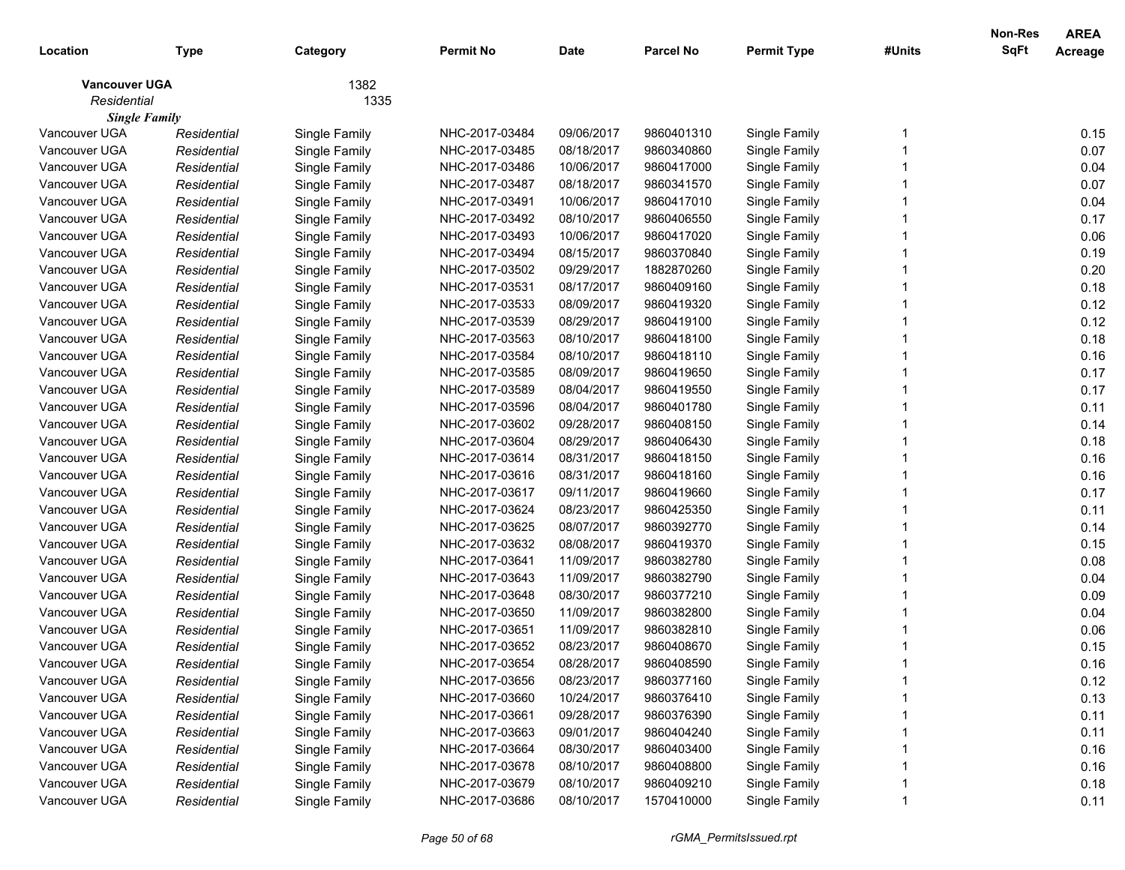| Location                            | <b>Type</b> | Category      | <b>Permit No</b> | <b>Date</b> | <b>Parcel No</b> | <b>Permit Type</b> | #Units | Non-Res<br>SqFt | <b>AREA</b><br>Acreage |
|-------------------------------------|-------------|---------------|------------------|-------------|------------------|--------------------|--------|-----------------|------------------------|
| <b>Vancouver UGA</b><br>Residential |             | 1382<br>1335  |                  |             |                  |                    |        |                 |                        |
| <b>Single Family</b>                |             |               |                  |             |                  |                    |        |                 |                        |
| Vancouver UGA                       | Residential | Single Family | NHC-2017-03484   | 09/06/2017  | 9860401310       | Single Family      |        |                 | 0.15                   |
| Vancouver UGA                       | Residential | Single Family | NHC-2017-03485   | 08/18/2017  | 9860340860       | Single Family      |        |                 | 0.07                   |
| Vancouver UGA                       | Residential | Single Family | NHC-2017-03486   | 10/06/2017  | 9860417000       | Single Family      |        |                 | 0.04                   |
| Vancouver UGA                       | Residential | Single Family | NHC-2017-03487   | 08/18/2017  | 9860341570       | Single Family      |        |                 | 0.07                   |
| Vancouver UGA                       | Residential | Single Family | NHC-2017-03491   | 10/06/2017  | 9860417010       | Single Family      |        |                 | 0.04                   |
| Vancouver UGA                       | Residential | Single Family | NHC-2017-03492   | 08/10/2017  | 9860406550       | Single Family      |        |                 | 0.17                   |
| Vancouver UGA                       | Residential | Single Family | NHC-2017-03493   | 10/06/2017  | 9860417020       | Single Family      |        |                 | 0.06                   |
| Vancouver UGA                       | Residential | Single Family | NHC-2017-03494   | 08/15/2017  | 9860370840       | Single Family      |        |                 | 0.19                   |
| Vancouver UGA                       | Residential | Single Family | NHC-2017-03502   | 09/29/2017  | 1882870260       | Single Family      |        |                 | 0.20                   |
| Vancouver UGA                       | Residential | Single Family | NHC-2017-03531   | 08/17/2017  | 9860409160       | Single Family      |        |                 | 0.18                   |
| Vancouver UGA                       | Residential | Single Family | NHC-2017-03533   | 08/09/2017  | 9860419320       | Single Family      |        |                 | 0.12                   |
| Vancouver UGA                       | Residential | Single Family | NHC-2017-03539   | 08/29/2017  | 9860419100       | Single Family      |        |                 | 0.12                   |
| Vancouver UGA                       | Residential | Single Family | NHC-2017-03563   | 08/10/2017  | 9860418100       | Single Family      |        |                 | 0.18                   |
| Vancouver UGA                       | Residential | Single Family | NHC-2017-03584   | 08/10/2017  | 9860418110       | Single Family      |        |                 | 0.16                   |
| Vancouver UGA                       | Residential | Single Family | NHC-2017-03585   | 08/09/2017  | 9860419650       | Single Family      |        |                 | 0.17                   |
| Vancouver UGA                       | Residential | Single Family | NHC-2017-03589   | 08/04/2017  | 9860419550       | Single Family      |        |                 | 0.17                   |
| Vancouver UGA                       | Residential | Single Family | NHC-2017-03596   | 08/04/2017  | 9860401780       | Single Family      |        |                 | 0.11                   |
| Vancouver UGA                       | Residential | Single Family | NHC-2017-03602   | 09/28/2017  | 9860408150       | Single Family      |        |                 | 0.14                   |
| Vancouver UGA                       | Residential | Single Family | NHC-2017-03604   | 08/29/2017  | 9860406430       | Single Family      |        |                 | 0.18                   |
| Vancouver UGA                       | Residential | Single Family | NHC-2017-03614   | 08/31/2017  | 9860418150       | Single Family      |        |                 | 0.16                   |
| Vancouver UGA                       | Residential | Single Family | NHC-2017-03616   | 08/31/2017  | 9860418160       | Single Family      |        |                 | 0.16                   |
| Vancouver UGA                       | Residential | Single Family | NHC-2017-03617   | 09/11/2017  | 9860419660       | Single Family      |        |                 | 0.17                   |
| Vancouver UGA                       | Residential | Single Family | NHC-2017-03624   | 08/23/2017  | 9860425350       | Single Family      |        |                 | 0.11                   |
| Vancouver UGA                       | Residential | Single Family | NHC-2017-03625   | 08/07/2017  | 9860392770       | Single Family      |        |                 | 0.14                   |
| Vancouver UGA                       | Residential | Single Family | NHC-2017-03632   | 08/08/2017  | 9860419370       | Single Family      |        |                 | 0.15                   |
| Vancouver UGA                       | Residential | Single Family | NHC-2017-03641   | 11/09/2017  | 9860382780       | Single Family      |        |                 | 0.08                   |
| Vancouver UGA                       | Residential | Single Family | NHC-2017-03643   | 11/09/2017  | 9860382790       | Single Family      |        |                 | 0.04                   |
| Vancouver UGA                       | Residential | Single Family | NHC-2017-03648   | 08/30/2017  | 9860377210       | Single Family      |        |                 | 0.09                   |
| Vancouver UGA                       | Residential | Single Family | NHC-2017-03650   | 11/09/2017  | 9860382800       | Single Family      |        |                 | 0.04                   |
| Vancouver UGA                       | Residential | Single Family | NHC-2017-03651   | 11/09/2017  | 9860382810       | Single Family      |        |                 | 0.06                   |
| Vancouver UGA                       | Residential | Single Family | NHC-2017-03652   | 08/23/2017  | 9860408670       | Single Family      |        |                 | 0.15                   |
| Vancouver UGA                       | Residential | Single Family | NHC-2017-03654   | 08/28/2017  | 9860408590       | Single Family      |        |                 | 0.16                   |
| Vancouver UGA                       | Residential | Single Family | NHC-2017-03656   | 08/23/2017  | 9860377160       | Single Family      |        |                 | 0.12                   |
| Vancouver UGA                       | Residential | Single Family | NHC-2017-03660   | 10/24/2017  | 9860376410       | Single Family      |        |                 | 0.13                   |
| Vancouver UGA                       | Residential | Single Family | NHC-2017-03661   | 09/28/2017  | 9860376390       | Single Family      |        |                 | 0.11                   |
| Vancouver UGA                       | Residential | Single Family | NHC-2017-03663   | 09/01/2017  | 9860404240       | Single Family      |        |                 | 0.11                   |
| Vancouver UGA                       | Residential | Single Family | NHC-2017-03664   | 08/30/2017  | 9860403400       | Single Family      |        |                 | 0.16                   |
| Vancouver UGA                       | Residential | Single Family | NHC-2017-03678   | 08/10/2017  | 9860408800       | Single Family      |        |                 | 0.16                   |
| Vancouver UGA                       | Residential | Single Family | NHC-2017-03679   | 08/10/2017  | 9860409210       | Single Family      |        |                 | 0.18                   |
| Vancouver UGA                       | Residential | Single Family | NHC-2017-03686   | 08/10/2017  | 1570410000       | Single Family      |        |                 | 0.11                   |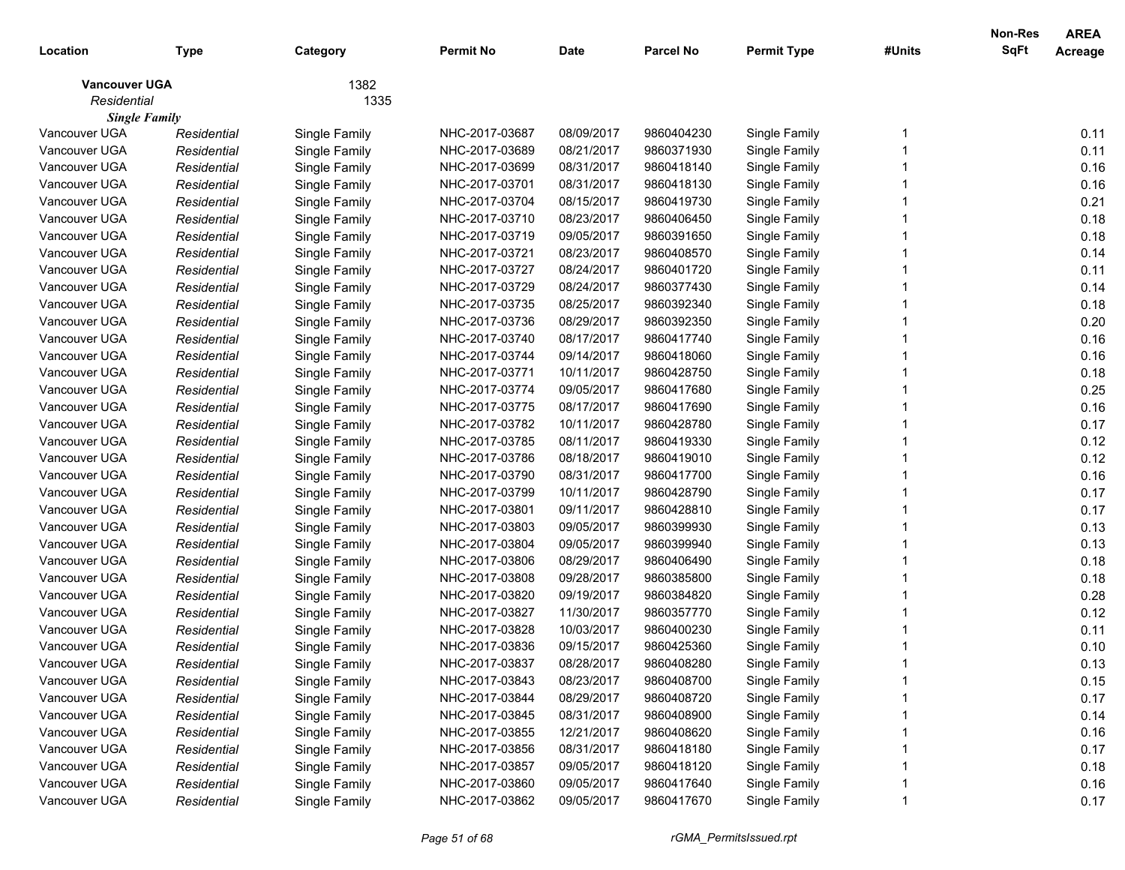| Location                            | <b>Type</b> | Category      | <b>Permit No</b> | <b>Date</b> | <b>Parcel No</b> | <b>Permit Type</b> | #Units | Non-Res<br>SqFt | <b>AREA</b><br>Acreage |
|-------------------------------------|-------------|---------------|------------------|-------------|------------------|--------------------|--------|-----------------|------------------------|
| <b>Vancouver UGA</b><br>Residential |             | 1382<br>1335  |                  |             |                  |                    |        |                 |                        |
| <b>Single Family</b>                |             |               |                  |             |                  |                    |        |                 |                        |
| Vancouver UGA                       | Residential | Single Family | NHC-2017-03687   | 08/09/2017  | 9860404230       | Single Family      |        |                 | 0.11                   |
| Vancouver UGA                       | Residential | Single Family | NHC-2017-03689   | 08/21/2017  | 9860371930       | Single Family      |        |                 | 0.11                   |
| Vancouver UGA                       | Residential | Single Family | NHC-2017-03699   | 08/31/2017  | 9860418140       | Single Family      |        |                 | 0.16                   |
| Vancouver UGA                       | Residential | Single Family | NHC-2017-03701   | 08/31/2017  | 9860418130       | Single Family      |        |                 | 0.16                   |
| Vancouver UGA                       | Residential | Single Family | NHC-2017-03704   | 08/15/2017  | 9860419730       | Single Family      |        |                 | 0.21                   |
| Vancouver UGA                       | Residential | Single Family | NHC-2017-03710   | 08/23/2017  | 9860406450       | Single Family      |        |                 | 0.18                   |
| Vancouver UGA                       | Residential | Single Family | NHC-2017-03719   | 09/05/2017  | 9860391650       | Single Family      |        |                 | 0.18                   |
| Vancouver UGA                       | Residential | Single Family | NHC-2017-03721   | 08/23/2017  | 9860408570       | Single Family      |        |                 | 0.14                   |
| Vancouver UGA                       | Residential | Single Family | NHC-2017-03727   | 08/24/2017  | 9860401720       | Single Family      |        |                 | 0.11                   |
| Vancouver UGA                       | Residential | Single Family | NHC-2017-03729   | 08/24/2017  | 9860377430       | Single Family      |        |                 | 0.14                   |
| Vancouver UGA                       | Residential | Single Family | NHC-2017-03735   | 08/25/2017  | 9860392340       | Single Family      |        |                 | 0.18                   |
| Vancouver UGA                       | Residential | Single Family | NHC-2017-03736   | 08/29/2017  | 9860392350       | Single Family      |        |                 | 0.20                   |
| Vancouver UGA                       | Residential | Single Family | NHC-2017-03740   | 08/17/2017  | 9860417740       | Single Family      |        |                 | 0.16                   |
| Vancouver UGA                       | Residential | Single Family | NHC-2017-03744   | 09/14/2017  | 9860418060       | Single Family      |        |                 | 0.16                   |
| Vancouver UGA                       | Residential | Single Family | NHC-2017-03771   | 10/11/2017  | 9860428750       | Single Family      |        |                 | 0.18                   |
| Vancouver UGA                       | Residential | Single Family | NHC-2017-03774   | 09/05/2017  | 9860417680       | Single Family      |        |                 | 0.25                   |
| Vancouver UGA                       | Residential | Single Family | NHC-2017-03775   | 08/17/2017  | 9860417690       | Single Family      |        |                 | 0.16                   |
| Vancouver UGA                       | Residential | Single Family | NHC-2017-03782   | 10/11/2017  | 9860428780       | Single Family      |        |                 | 0.17                   |
| Vancouver UGA                       | Residential | Single Family | NHC-2017-03785   | 08/11/2017  | 9860419330       | Single Family      |        |                 | 0.12                   |
| Vancouver UGA                       | Residential | Single Family | NHC-2017-03786   | 08/18/2017  | 9860419010       | Single Family      |        |                 | 0.12                   |
| Vancouver UGA                       | Residential | Single Family | NHC-2017-03790   | 08/31/2017  | 9860417700       | Single Family      |        |                 | 0.16                   |
| Vancouver UGA                       | Residential | Single Family | NHC-2017-03799   | 10/11/2017  | 9860428790       | Single Family      |        |                 | 0.17                   |
| Vancouver UGA                       | Residential | Single Family | NHC-2017-03801   | 09/11/2017  | 9860428810       | Single Family      |        |                 | 0.17                   |
| Vancouver UGA                       | Residential | Single Family | NHC-2017-03803   | 09/05/2017  | 9860399930       | Single Family      |        |                 | 0.13                   |
| Vancouver UGA                       | Residential | Single Family | NHC-2017-03804   | 09/05/2017  | 9860399940       | Single Family      |        |                 | 0.13                   |
| Vancouver UGA                       | Residential | Single Family | NHC-2017-03806   | 08/29/2017  | 9860406490       | Single Family      |        |                 | 0.18                   |
| Vancouver UGA                       | Residential | Single Family | NHC-2017-03808   | 09/28/2017  | 9860385800       | Single Family      |        |                 | 0.18                   |
| Vancouver UGA                       | Residential | Single Family | NHC-2017-03820   | 09/19/2017  | 9860384820       | Single Family      |        |                 | 0.28                   |
| Vancouver UGA                       | Residential | Single Family | NHC-2017-03827   | 11/30/2017  | 9860357770       | Single Family      |        |                 | 0.12                   |
| Vancouver UGA                       | Residential | Single Family | NHC-2017-03828   | 10/03/2017  | 9860400230       | Single Family      |        |                 | 0.11                   |
| Vancouver UGA                       | Residential | Single Family | NHC-2017-03836   | 09/15/2017  | 9860425360       | Single Family      |        |                 | 0.10                   |
| Vancouver UGA                       | Residential | Single Family | NHC-2017-03837   | 08/28/2017  | 9860408280       | Single Family      |        |                 | 0.13                   |
| Vancouver UGA                       | Residential | Single Family | NHC-2017-03843   | 08/23/2017  | 9860408700       | Single Family      |        |                 | 0.15                   |
| Vancouver UGA                       | Residential | Single Family | NHC-2017-03844   | 08/29/2017  | 9860408720       | Single Family      |        |                 | 0.17                   |
| Vancouver UGA                       | Residential | Single Family | NHC-2017-03845   | 08/31/2017  | 9860408900       | Single Family      |        |                 | 0.14                   |
| Vancouver UGA                       | Residential | Single Family | NHC-2017-03855   | 12/21/2017  | 9860408620       | Single Family      |        |                 | 0.16                   |
| Vancouver UGA                       | Residential | Single Family | NHC-2017-03856   | 08/31/2017  | 9860418180       | Single Family      |        |                 | 0.17                   |
| Vancouver UGA                       | Residential | Single Family | NHC-2017-03857   | 09/05/2017  | 9860418120       | Single Family      |        |                 | 0.18                   |
| Vancouver UGA                       | Residential | Single Family | NHC-2017-03860   | 09/05/2017  | 9860417640       | Single Family      |        |                 | 0.16                   |
| Vancouver UGA                       | Residential | Single Family | NHC-2017-03862   | 09/05/2017  | 9860417670       | Single Family      |        |                 | 0.17                   |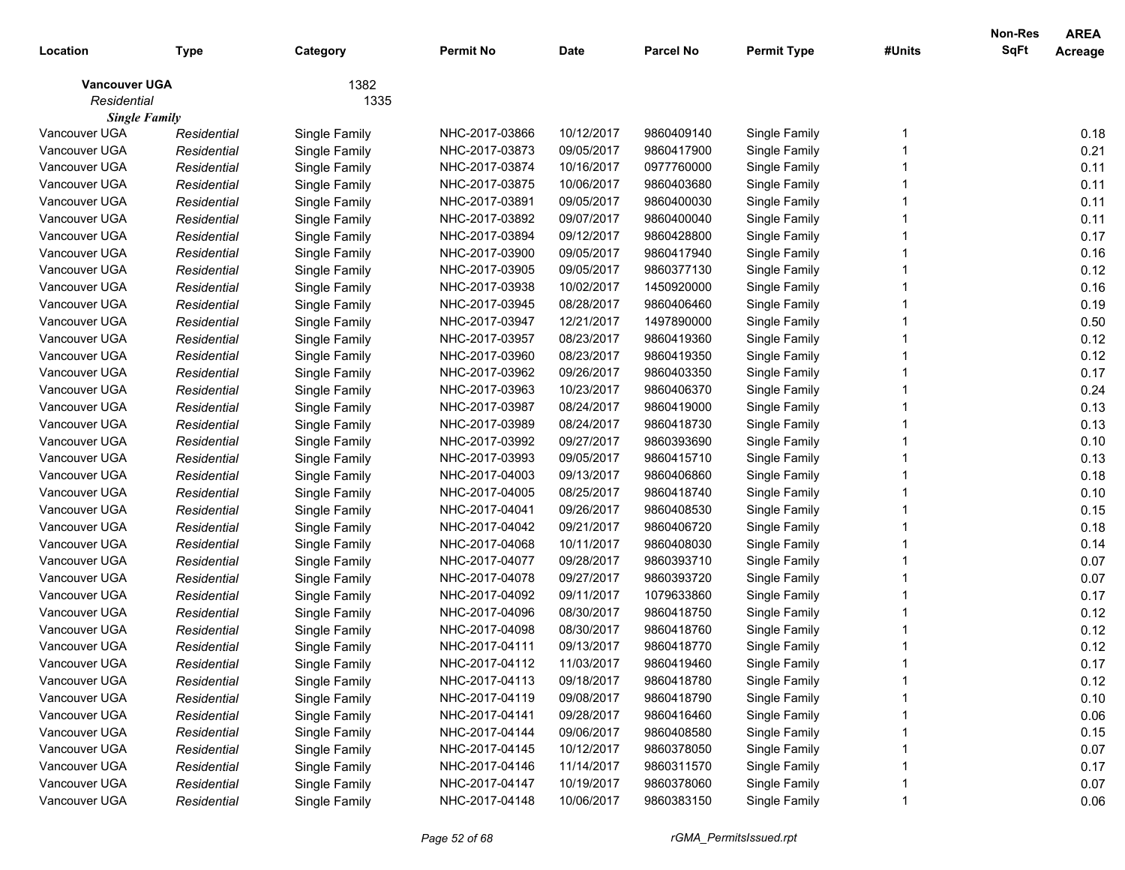| Location             | <b>Type</b> | Category      | <b>Permit No</b> | <b>Date</b> | <b>Parcel No</b> | <b>Permit Type</b> | #Units | Non-Res<br><b>SqFt</b> | <b>AREA</b><br>Acreage |
|----------------------|-------------|---------------|------------------|-------------|------------------|--------------------|--------|------------------------|------------------------|
| <b>Vancouver UGA</b> |             | 1382          |                  |             |                  |                    |        |                        |                        |
| Residential          |             | 1335          |                  |             |                  |                    |        |                        |                        |
| <b>Single Family</b> |             |               |                  |             |                  |                    |        |                        |                        |
| Vancouver UGA        | Residential | Single Family | NHC-2017-03866   | 10/12/2017  | 9860409140       | Single Family      |        |                        | 0.18                   |
| Vancouver UGA        | Residential | Single Family | NHC-2017-03873   | 09/05/2017  | 9860417900       | Single Family      |        |                        | 0.21                   |
| Vancouver UGA        | Residential | Single Family | NHC-2017-03874   | 10/16/2017  | 0977760000       | Single Family      |        |                        | 0.11                   |
| Vancouver UGA        | Residential | Single Family | NHC-2017-03875   | 10/06/2017  | 9860403680       | Single Family      |        |                        | 0.11                   |
| Vancouver UGA        | Residential | Single Family | NHC-2017-03891   | 09/05/2017  | 9860400030       | Single Family      |        |                        | 0.11                   |
| Vancouver UGA        | Residential | Single Family | NHC-2017-03892   | 09/07/2017  | 9860400040       | Single Family      |        |                        | 0.11                   |
| Vancouver UGA        | Residential | Single Family | NHC-2017-03894   | 09/12/2017  | 9860428800       | Single Family      |        |                        | 0.17                   |
| Vancouver UGA        | Residential | Single Family | NHC-2017-03900   | 09/05/2017  | 9860417940       | Single Family      |        |                        | 0.16                   |
| Vancouver UGA        | Residential | Single Family | NHC-2017-03905   | 09/05/2017  | 9860377130       | Single Family      |        |                        | 0.12                   |
| Vancouver UGA        | Residential | Single Family | NHC-2017-03938   | 10/02/2017  | 1450920000       | Single Family      |        |                        | 0.16                   |
| Vancouver UGA        | Residential | Single Family | NHC-2017-03945   | 08/28/2017  | 9860406460       | Single Family      |        |                        | 0.19                   |
| Vancouver UGA        | Residential | Single Family | NHC-2017-03947   | 12/21/2017  | 1497890000       | Single Family      |        |                        | 0.50                   |
| Vancouver UGA        | Residential | Single Family | NHC-2017-03957   | 08/23/2017  | 9860419360       | Single Family      |        |                        | 0.12                   |
| Vancouver UGA        | Residential | Single Family | NHC-2017-03960   | 08/23/2017  | 9860419350       | Single Family      |        |                        | 0.12                   |
| Vancouver UGA        | Residential | Single Family | NHC-2017-03962   | 09/26/2017  | 9860403350       | Single Family      |        |                        | 0.17                   |
| Vancouver UGA        | Residential | Single Family | NHC-2017-03963   | 10/23/2017  | 9860406370       | Single Family      |        |                        | 0.24                   |
| Vancouver UGA        | Residential | Single Family | NHC-2017-03987   | 08/24/2017  | 9860419000       | Single Family      |        |                        | 0.13                   |
| Vancouver UGA        | Residential | Single Family | NHC-2017-03989   | 08/24/2017  | 9860418730       | Single Family      |        |                        | 0.13                   |
| Vancouver UGA        | Residential | Single Family | NHC-2017-03992   | 09/27/2017  | 9860393690       | Single Family      |        |                        | 0.10                   |
| Vancouver UGA        | Residential | Single Family | NHC-2017-03993   | 09/05/2017  | 9860415710       | Single Family      |        |                        | 0.13                   |
| Vancouver UGA        | Residential | Single Family | NHC-2017-04003   | 09/13/2017  | 9860406860       | Single Family      |        |                        | 0.18                   |
| Vancouver UGA        | Residential | Single Family | NHC-2017-04005   | 08/25/2017  | 9860418740       | Single Family      |        |                        | 0.10                   |
| Vancouver UGA        | Residential | Single Family | NHC-2017-04041   | 09/26/2017  | 9860408530       | Single Family      |        |                        | 0.15                   |
| Vancouver UGA        | Residential | Single Family | NHC-2017-04042   | 09/21/2017  | 9860406720       | Single Family      |        |                        | 0.18                   |
| Vancouver UGA        | Residential | Single Family | NHC-2017-04068   | 10/11/2017  | 9860408030       | Single Family      |        |                        | 0.14                   |
| Vancouver UGA        | Residential | Single Family | NHC-2017-04077   | 09/28/2017  | 9860393710       | Single Family      |        |                        | 0.07                   |
| Vancouver UGA        | Residential | Single Family | NHC-2017-04078   | 09/27/2017  | 9860393720       | Single Family      |        |                        | 0.07                   |
| Vancouver UGA        | Residential | Single Family | NHC-2017-04092   | 09/11/2017  | 1079633860       | Single Family      |        |                        | 0.17                   |
| Vancouver UGA        | Residential | Single Family | NHC-2017-04096   | 08/30/2017  | 9860418750       | Single Family      |        |                        | 0.12                   |
| Vancouver UGA        | Residential | Single Family | NHC-2017-04098   | 08/30/2017  | 9860418760       | Single Family      |        |                        | 0.12                   |
| Vancouver UGA        | Residential | Single Family | NHC-2017-04111   | 09/13/2017  | 9860418770       | Single Family      |        |                        | 0.12                   |
| Vancouver UGA        | Residential | Single Family | NHC-2017-04112   | 11/03/2017  | 9860419460       | Single Family      |        |                        | 0.17                   |
| Vancouver UGA        | Residential | Single Family | NHC-2017-04113   | 09/18/2017  | 9860418780       | Single Family      |        |                        | 0.12                   |
| Vancouver UGA        | Residential | Single Family | NHC-2017-04119   | 09/08/2017  | 9860418790       | Single Family      |        |                        | 0.10                   |
| Vancouver UGA        | Residential | Single Family | NHC-2017-04141   | 09/28/2017  | 9860416460       | Single Family      |        |                        | 0.06                   |
| Vancouver UGA        | Residential | Single Family | NHC-2017-04144   | 09/06/2017  | 9860408580       | Single Family      |        |                        | 0.15                   |
| Vancouver UGA        | Residential | Single Family | NHC-2017-04145   | 10/12/2017  | 9860378050       | Single Family      |        |                        | 0.07                   |
| Vancouver UGA        | Residential | Single Family | NHC-2017-04146   | 11/14/2017  | 9860311570       | Single Family      |        |                        | 0.17                   |
| Vancouver UGA        | Residential | Single Family | NHC-2017-04147   | 10/19/2017  | 9860378060       | Single Family      |        |                        | 0.07                   |
| Vancouver UGA        | Residential | Single Family | NHC-2017-04148   | 10/06/2017  | 9860383150       | Single Family      |        |                        | 0.06                   |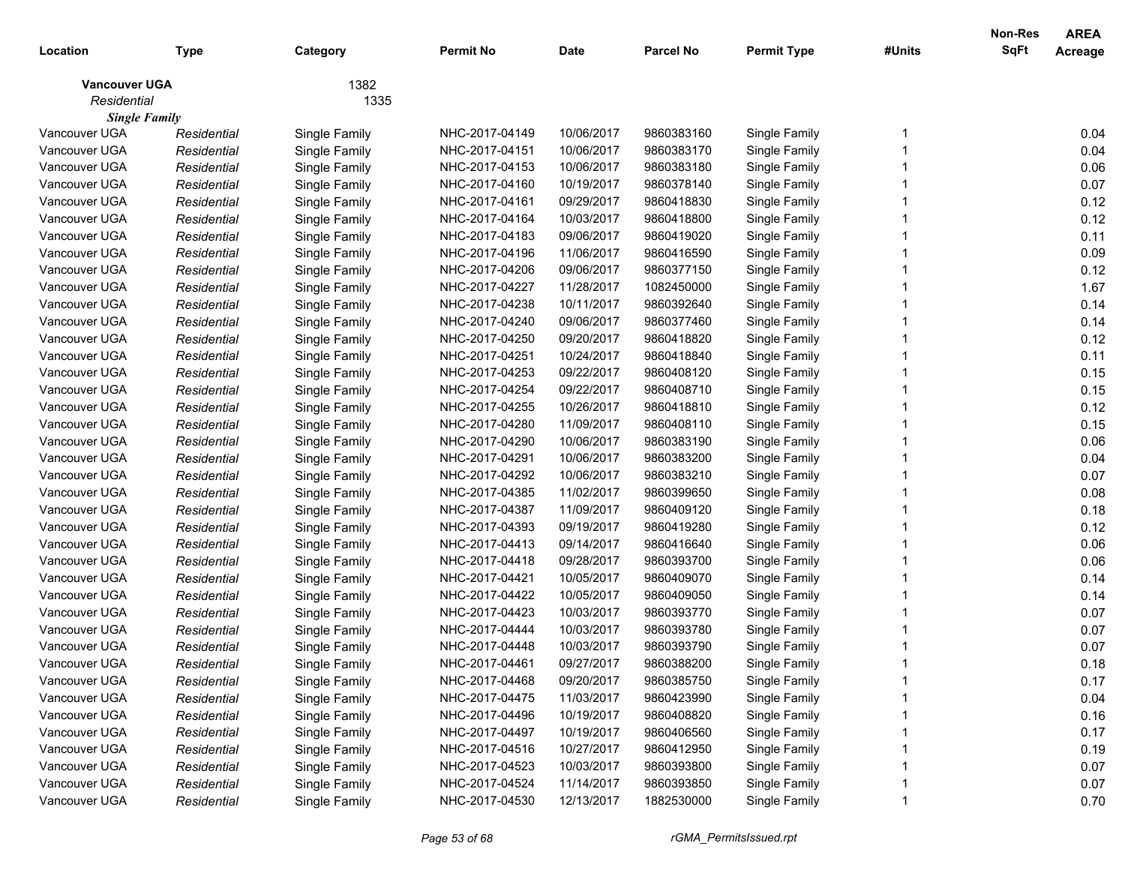| Location                            | <b>Type</b> | Category      | <b>Permit No</b> | <b>Date</b> | <b>Parcel No</b> | <b>Permit Type</b> | #Units | Non-Res<br>SqFt | <b>AREA</b><br>Acreage |
|-------------------------------------|-------------|---------------|------------------|-------------|------------------|--------------------|--------|-----------------|------------------------|
| <b>Vancouver UGA</b><br>Residential |             | 1382<br>1335  |                  |             |                  |                    |        |                 |                        |
| <b>Single Family</b>                |             |               |                  |             |                  |                    |        |                 |                        |
| Vancouver UGA                       | Residential | Single Family | NHC-2017-04149   | 10/06/2017  | 9860383160       | Single Family      |        |                 | 0.04                   |
| Vancouver UGA                       | Residential | Single Family | NHC-2017-04151   | 10/06/2017  | 9860383170       | Single Family      |        |                 | 0.04                   |
| Vancouver UGA                       | Residential | Single Family | NHC-2017-04153   | 10/06/2017  | 9860383180       | Single Family      |        |                 | 0.06                   |
| Vancouver UGA                       | Residential | Single Family | NHC-2017-04160   | 10/19/2017  | 9860378140       | Single Family      |        |                 | 0.07                   |
| Vancouver UGA                       | Residential | Single Family | NHC-2017-04161   | 09/29/2017  | 9860418830       | Single Family      |        |                 | 0.12                   |
| Vancouver UGA                       | Residential | Single Family | NHC-2017-04164   | 10/03/2017  | 9860418800       | Single Family      |        |                 | 0.12                   |
| Vancouver UGA                       | Residential | Single Family | NHC-2017-04183   | 09/06/2017  | 9860419020       | Single Family      |        |                 | 0.11                   |
| Vancouver UGA                       | Residential | Single Family | NHC-2017-04196   | 11/06/2017  | 9860416590       | Single Family      |        |                 | 0.09                   |
| Vancouver UGA                       | Residential | Single Family | NHC-2017-04206   | 09/06/2017  | 9860377150       | Single Family      |        |                 | 0.12                   |
| Vancouver UGA                       | Residential | Single Family | NHC-2017-04227   | 11/28/2017  | 1082450000       | Single Family      |        |                 | 1.67                   |
| Vancouver UGA                       | Residential | Single Family | NHC-2017-04238   | 10/11/2017  | 9860392640       | Single Family      |        |                 | 0.14                   |
| Vancouver UGA                       | Residential | Single Family | NHC-2017-04240   | 09/06/2017  | 9860377460       | Single Family      |        |                 | 0.14                   |
| Vancouver UGA                       | Residential | Single Family | NHC-2017-04250   | 09/20/2017  | 9860418820       | Single Family      |        |                 | 0.12                   |
| Vancouver UGA                       | Residential | Single Family | NHC-2017-04251   | 10/24/2017  | 9860418840       | Single Family      |        |                 | 0.11                   |
| Vancouver UGA                       | Residential | Single Family | NHC-2017-04253   | 09/22/2017  | 9860408120       | Single Family      |        |                 | 0.15                   |
| Vancouver UGA                       | Residential | Single Family | NHC-2017-04254   | 09/22/2017  | 9860408710       | Single Family      |        |                 | 0.15                   |
| Vancouver UGA                       | Residential | Single Family | NHC-2017-04255   | 10/26/2017  | 9860418810       | Single Family      |        |                 | 0.12                   |
| Vancouver UGA                       | Residential | Single Family | NHC-2017-04280   | 11/09/2017  | 9860408110       | Single Family      |        |                 | 0.15                   |
| Vancouver UGA                       | Residential | Single Family | NHC-2017-04290   | 10/06/2017  | 9860383190       | Single Family      |        |                 | 0.06                   |
| Vancouver UGA                       | Residential | Single Family | NHC-2017-04291   | 10/06/2017  | 9860383200       | Single Family      |        |                 | 0.04                   |
| Vancouver UGA                       | Residential | Single Family | NHC-2017-04292   | 10/06/2017  | 9860383210       | Single Family      |        |                 | 0.07                   |
| Vancouver UGA                       | Residential | Single Family | NHC-2017-04385   | 11/02/2017  | 9860399650       | Single Family      |        |                 | 0.08                   |
| Vancouver UGA                       | Residential | Single Family | NHC-2017-04387   | 11/09/2017  | 9860409120       | Single Family      |        |                 | 0.18                   |
| Vancouver UGA                       | Residential | Single Family | NHC-2017-04393   | 09/19/2017  | 9860419280       | Single Family      |        |                 | 0.12                   |
| Vancouver UGA                       | Residential | Single Family | NHC-2017-04413   | 09/14/2017  | 9860416640       | Single Family      |        |                 | 0.06                   |
| Vancouver UGA                       | Residential | Single Family | NHC-2017-04418   | 09/28/2017  | 9860393700       | Single Family      |        |                 | 0.06                   |
| Vancouver UGA                       | Residential | Single Family | NHC-2017-04421   | 10/05/2017  | 9860409070       | Single Family      |        |                 | 0.14                   |
| Vancouver UGA                       | Residential | Single Family | NHC-2017-04422   | 10/05/2017  | 9860409050       | Single Family      |        |                 | 0.14                   |
| Vancouver UGA                       | Residential | Single Family | NHC-2017-04423   | 10/03/2017  | 9860393770       | Single Family      |        |                 | 0.07                   |
| Vancouver UGA                       | Residential | Single Family | NHC-2017-04444   | 10/03/2017  | 9860393780       | Single Family      |        |                 | 0.07                   |
| Vancouver UGA                       | Residential | Single Family | NHC-2017-04448   | 10/03/2017  | 9860393790       | Single Family      |        |                 | 0.07                   |
| Vancouver UGA                       | Residential | Single Family | NHC-2017-04461   | 09/27/2017  | 9860388200       | Single Family      |        |                 | 0.18                   |
| Vancouver UGA                       | Residential | Single Family | NHC-2017-04468   | 09/20/2017  | 9860385750       | Single Family      |        |                 | 0.17                   |
| Vancouver UGA                       | Residential | Single Family | NHC-2017-04475   | 11/03/2017  | 9860423990       | Single Family      |        |                 | 0.04                   |
| Vancouver UGA                       | Residential | Single Family | NHC-2017-04496   | 10/19/2017  | 9860408820       | Single Family      |        |                 | 0.16                   |
| Vancouver UGA                       | Residential | Single Family | NHC-2017-04497   | 10/19/2017  | 9860406560       | Single Family      |        |                 | 0.17                   |
| Vancouver UGA                       | Residential | Single Family | NHC-2017-04516   | 10/27/2017  | 9860412950       | Single Family      |        |                 | 0.19                   |
| Vancouver UGA                       | Residential | Single Family | NHC-2017-04523   | 10/03/2017  | 9860393800       | Single Family      |        |                 | 0.07                   |
| Vancouver UGA                       | Residential | Single Family | NHC-2017-04524   | 11/14/2017  | 9860393850       | Single Family      |        |                 | 0.07                   |
| Vancouver UGA                       | Residential | Single Family | NHC-2017-04530   | 12/13/2017  | 1882530000       | Single Family      |        |                 | 0.70                   |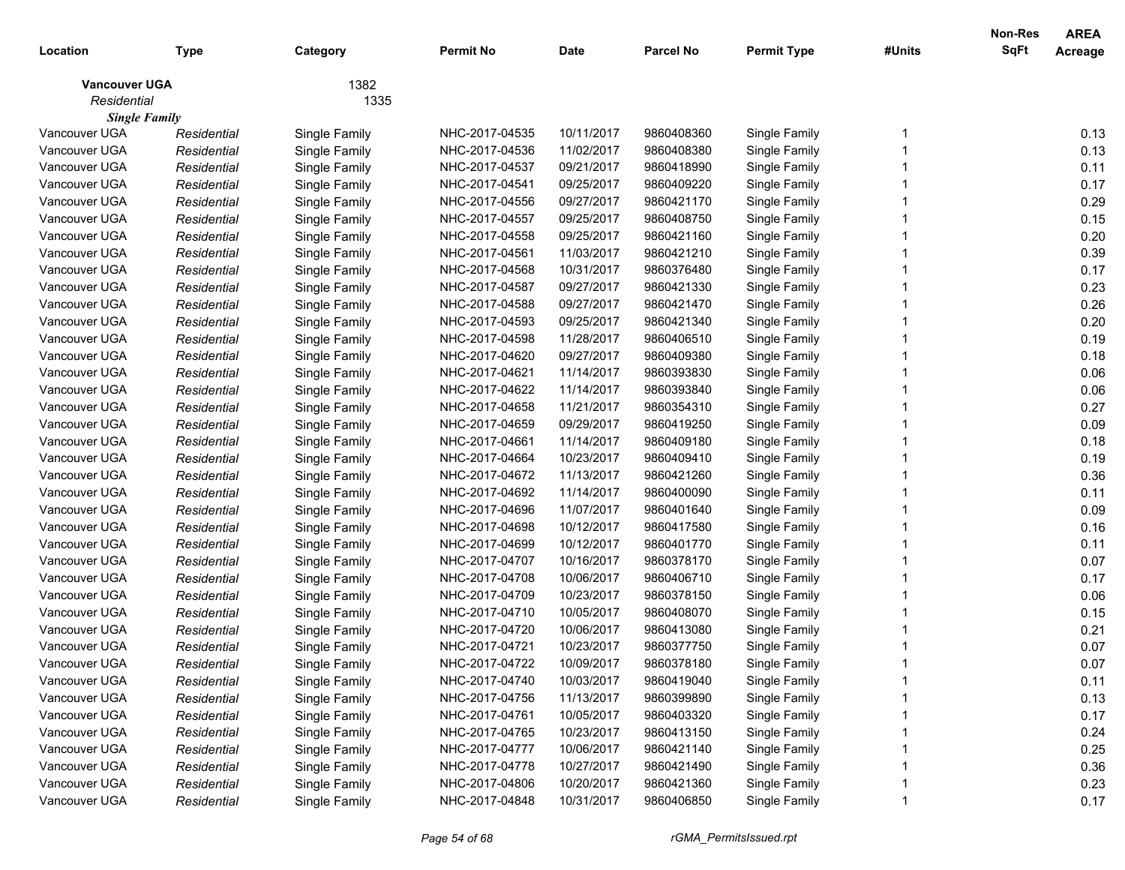| 1382<br><b>Vancouver UGA</b><br>Residential<br>1335<br><b>Single Family</b><br>Vancouver UGA<br>9860408360<br>Single Family<br>NHC-2017-04535<br>10/11/2017<br>Single Family<br>Residential<br>Vancouver UGA<br>Residential<br>Single Family<br>NHC-2017-04536<br>11/02/2017<br>9860408380<br>Single Family<br>NHC-2017-04537<br>Vancouver UGA<br>09/21/2017<br>9860418990<br>Single Family<br>Residential<br>Single Family<br>Vancouver UGA<br>NHC-2017-04541<br>09/25/2017<br>Residential<br>Single Family<br>9860409220<br>Single Family<br>Vancouver UGA<br>NHC-2017-04556<br>09/27/2017<br>Residential<br>Single Family<br>9860421170<br>Single Family | 0.13<br>0.13<br>0.11<br>0.17<br>0.29<br>0.15<br>0.20<br>0.39<br>0.17<br>0.23<br>0.26 |
|-------------------------------------------------------------------------------------------------------------------------------------------------------------------------------------------------------------------------------------------------------------------------------------------------------------------------------------------------------------------------------------------------------------------------------------------------------------------------------------------------------------------------------------------------------------------------------------------------------------------------------------------------------------|--------------------------------------------------------------------------------------|
|                                                                                                                                                                                                                                                                                                                                                                                                                                                                                                                                                                                                                                                             |                                                                                      |
|                                                                                                                                                                                                                                                                                                                                                                                                                                                                                                                                                                                                                                                             |                                                                                      |
|                                                                                                                                                                                                                                                                                                                                                                                                                                                                                                                                                                                                                                                             |                                                                                      |
|                                                                                                                                                                                                                                                                                                                                                                                                                                                                                                                                                                                                                                                             |                                                                                      |
|                                                                                                                                                                                                                                                                                                                                                                                                                                                                                                                                                                                                                                                             |                                                                                      |
|                                                                                                                                                                                                                                                                                                                                                                                                                                                                                                                                                                                                                                                             |                                                                                      |
|                                                                                                                                                                                                                                                                                                                                                                                                                                                                                                                                                                                                                                                             |                                                                                      |
| Vancouver UGA<br>09/25/2017<br>Residential<br>Single Family<br>NHC-2017-04557<br>9860408750<br>Single Family                                                                                                                                                                                                                                                                                                                                                                                                                                                                                                                                                |                                                                                      |
| Vancouver UGA<br>09/25/2017<br>Residential<br>Single Family<br>NHC-2017-04558<br>9860421160<br>Single Family                                                                                                                                                                                                                                                                                                                                                                                                                                                                                                                                                |                                                                                      |
| Vancouver UGA<br>NHC-2017-04561<br>Residential<br>Single Family<br>11/03/2017<br>9860421210<br>Single Family                                                                                                                                                                                                                                                                                                                                                                                                                                                                                                                                                |                                                                                      |
| Vancouver UGA<br>NHC-2017-04568<br>Residential<br>Single Family<br>10/31/2017<br>9860376480<br>Single Family                                                                                                                                                                                                                                                                                                                                                                                                                                                                                                                                                |                                                                                      |
| Vancouver UGA<br>09/27/2017<br>NHC-2017-04587<br>9860421330<br>Single Family<br>Residential<br>Single Family                                                                                                                                                                                                                                                                                                                                                                                                                                                                                                                                                |                                                                                      |
| 09/27/2017<br>Vancouver UGA<br>NHC-2017-04588<br>9860421470<br>Single Family<br>Residential<br>Single Family                                                                                                                                                                                                                                                                                                                                                                                                                                                                                                                                                |                                                                                      |
| Vancouver UGA<br>Residential<br>Single Family<br>NHC-2017-04593<br>09/25/2017<br>9860421340<br>Single Family                                                                                                                                                                                                                                                                                                                                                                                                                                                                                                                                                | 0.20                                                                                 |
| Vancouver UGA<br>NHC-2017-04598<br>Residential<br>Single Family<br>11/28/2017<br>9860406510<br>Single Family                                                                                                                                                                                                                                                                                                                                                                                                                                                                                                                                                | 0.19                                                                                 |
| Vancouver UGA<br>NHC-2017-04620<br>09/27/2017<br>Residential<br>Single Family<br>9860409380<br>Single Family                                                                                                                                                                                                                                                                                                                                                                                                                                                                                                                                                | 0.18                                                                                 |
| Vancouver UGA<br>NHC-2017-04621<br>Residential<br>Single Family<br>11/14/2017<br>9860393830<br>Single Family                                                                                                                                                                                                                                                                                                                                                                                                                                                                                                                                                | 0.06                                                                                 |
| Vancouver UGA<br>NHC-2017-04622<br>Residential<br>Single Family<br>11/14/2017<br>9860393840<br>Single Family                                                                                                                                                                                                                                                                                                                                                                                                                                                                                                                                                | 0.06                                                                                 |
| Vancouver UGA<br>Residential<br>Single Family<br>NHC-2017-04658<br>11/21/2017<br>9860354310<br>Single Family                                                                                                                                                                                                                                                                                                                                                                                                                                                                                                                                                | 0.27                                                                                 |
| Vancouver UGA<br>NHC-2017-04659<br>09/29/2017<br>9860419250<br>Single Family<br>Residential<br>Single Family                                                                                                                                                                                                                                                                                                                                                                                                                                                                                                                                                | 0.09                                                                                 |
| Vancouver UGA<br>NHC-2017-04661<br>Residential<br>Single Family<br>11/14/2017<br>9860409180<br>Single Family                                                                                                                                                                                                                                                                                                                                                                                                                                                                                                                                                | 0.18                                                                                 |
| Vancouver UGA<br>NHC-2017-04664<br>10/23/2017<br>Residential<br>Single Family<br>9860409410<br>Single Family                                                                                                                                                                                                                                                                                                                                                                                                                                                                                                                                                | 0.19                                                                                 |
| Vancouver UGA<br>NHC-2017-04672<br>Residential<br>Single Family<br>11/13/2017<br>9860421260<br>Single Family                                                                                                                                                                                                                                                                                                                                                                                                                                                                                                                                                | 0.36                                                                                 |
| Vancouver UGA<br>NHC-2017-04692<br>Residential<br>Single Family<br>11/14/2017<br>9860400090<br>Single Family                                                                                                                                                                                                                                                                                                                                                                                                                                                                                                                                                | 0.11                                                                                 |
| Vancouver UGA<br>NHC-2017-04696<br>Residential<br>Single Family<br>11/07/2017<br>9860401640<br>Single Family                                                                                                                                                                                                                                                                                                                                                                                                                                                                                                                                                | 0.09                                                                                 |
| Vancouver UGA<br>NHC-2017-04698<br>10/12/2017<br>Residential<br>Single Family<br>9860417580<br>Single Family                                                                                                                                                                                                                                                                                                                                                                                                                                                                                                                                                | 0.16                                                                                 |
| Vancouver UGA<br>10/12/2017<br>NHC-2017-04699<br>9860401770<br>Single Family<br>Residential<br>Single Family                                                                                                                                                                                                                                                                                                                                                                                                                                                                                                                                                | 0.11                                                                                 |
| Vancouver UGA<br>NHC-2017-04707<br>10/16/2017<br>9860378170<br>Single Family<br>Residential<br>Single Family                                                                                                                                                                                                                                                                                                                                                                                                                                                                                                                                                | 0.07                                                                                 |
| Vancouver UGA<br>NHC-2017-04708<br>10/06/2017<br>Residential<br>Single Family<br>9860406710<br>Single Family                                                                                                                                                                                                                                                                                                                                                                                                                                                                                                                                                | 0.17                                                                                 |
| Vancouver UGA<br>NHC-2017-04709<br>10/23/2017<br>Residential<br>Single Family<br>9860378150<br>Single Family                                                                                                                                                                                                                                                                                                                                                                                                                                                                                                                                                | 0.06                                                                                 |
| NHC-2017-04710<br>10/05/2017<br>Vancouver UGA<br>Residential<br>Single Family<br>9860408070<br>Single Family                                                                                                                                                                                                                                                                                                                                                                                                                                                                                                                                                | 0.15                                                                                 |
| NHC-2017-04720<br>10/06/2017<br>Vancouver UGA<br>Residential<br>Single Family<br>9860413080<br>Single Family                                                                                                                                                                                                                                                                                                                                                                                                                                                                                                                                                | 0.21                                                                                 |
| Vancouver UGA<br>Single Family<br>NHC-2017-04721<br>10/23/2017<br>9860377750<br>Single Family<br>Residential                                                                                                                                                                                                                                                                                                                                                                                                                                                                                                                                                | 0.07                                                                                 |
| Vancouver UGA<br>NHC-2017-04722<br>10/09/2017<br>Single Family<br>Residential<br>9860378180<br>Single Family                                                                                                                                                                                                                                                                                                                                                                                                                                                                                                                                                | 0.07                                                                                 |
| 10/03/2017<br>Single Family<br>Vancouver UGA<br>NHC-2017-04740<br>9860419040<br>Residential<br>Single Family                                                                                                                                                                                                                                                                                                                                                                                                                                                                                                                                                | 0.11                                                                                 |
| Vancouver UGA<br>Single Family<br>NHC-2017-04756<br>11/13/2017<br>Single Family<br>Residential<br>9860399890                                                                                                                                                                                                                                                                                                                                                                                                                                                                                                                                                | 0.13                                                                                 |
| Vancouver UGA<br>Single Family<br>NHC-2017-04761<br>10/05/2017<br>Single Family<br>Residential<br>9860403320                                                                                                                                                                                                                                                                                                                                                                                                                                                                                                                                                | 0.17                                                                                 |
| Vancouver UGA<br>Single Family<br>10/23/2017<br>Single Family<br>Residential<br>NHC-2017-04765<br>9860413150                                                                                                                                                                                                                                                                                                                                                                                                                                                                                                                                                | 0.24                                                                                 |
| Vancouver UGA<br>Single Family<br>10/06/2017<br>Single Family<br>Residential<br>NHC-2017-04777<br>9860421140                                                                                                                                                                                                                                                                                                                                                                                                                                                                                                                                                | 0.25                                                                                 |
| Vancouver UGA<br>Single Family<br>10/27/2017<br>Single Family<br>Residential<br>NHC-2017-04778<br>9860421490                                                                                                                                                                                                                                                                                                                                                                                                                                                                                                                                                |                                                                                      |
| Vancouver UGA<br>Single Family<br>NHC-2017-04806<br>10/20/2017<br>Single Family<br>Residential<br>9860421360                                                                                                                                                                                                                                                                                                                                                                                                                                                                                                                                                |                                                                                      |
| Vancouver UGA<br>NHC-2017-04848<br>10/31/2017<br>Single Family<br>Single Family<br>9860406850<br>Residential                                                                                                                                                                                                                                                                                                                                                                                                                                                                                                                                                | 0.36<br>0.23                                                                         |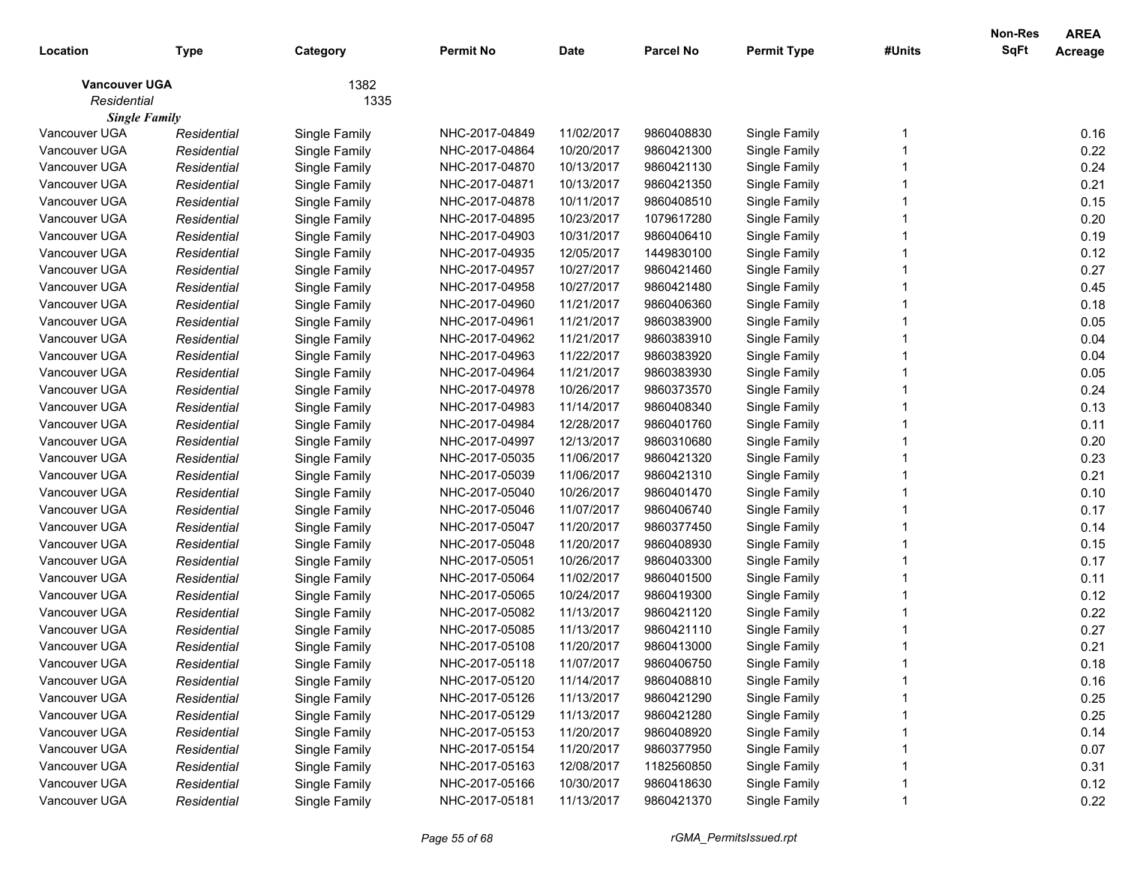| Location                            | <b>Type</b> | Category      | <b>Permit No</b> | <b>Date</b> | <b>Parcel No</b> | <b>Permit Type</b> | #Units | Non-Res<br>SqFt | <b>AREA</b><br>Acreage |
|-------------------------------------|-------------|---------------|------------------|-------------|------------------|--------------------|--------|-----------------|------------------------|
| <b>Vancouver UGA</b><br>Residential |             | 1382<br>1335  |                  |             |                  |                    |        |                 |                        |
| <b>Single Family</b>                |             |               |                  |             |                  |                    |        |                 |                        |
| Vancouver UGA                       | Residential | Single Family | NHC-2017-04849   | 11/02/2017  | 9860408830       | Single Family      |        |                 | 0.16                   |
| Vancouver UGA                       | Residential | Single Family | NHC-2017-04864   | 10/20/2017  | 9860421300       | Single Family      |        |                 | 0.22                   |
| Vancouver UGA                       | Residential | Single Family | NHC-2017-04870   | 10/13/2017  | 9860421130       | Single Family      |        |                 | 0.24                   |
| Vancouver UGA                       | Residential | Single Family | NHC-2017-04871   | 10/13/2017  | 9860421350       | Single Family      |        |                 | 0.21                   |
| Vancouver UGA                       | Residential | Single Family | NHC-2017-04878   | 10/11/2017  | 9860408510       | Single Family      |        |                 | 0.15                   |
| Vancouver UGA                       | Residential | Single Family | NHC-2017-04895   | 10/23/2017  | 1079617280       | Single Family      |        |                 | 0.20                   |
| Vancouver UGA                       | Residential | Single Family | NHC-2017-04903   | 10/31/2017  | 9860406410       | Single Family      |        |                 | 0.19                   |
| Vancouver UGA                       | Residential | Single Family | NHC-2017-04935   | 12/05/2017  | 1449830100       | Single Family      |        |                 | 0.12                   |
| Vancouver UGA                       | Residential | Single Family | NHC-2017-04957   | 10/27/2017  | 9860421460       | Single Family      |        |                 | 0.27                   |
| Vancouver UGA                       | Residential | Single Family | NHC-2017-04958   | 10/27/2017  | 9860421480       | Single Family      |        |                 | 0.45                   |
| Vancouver UGA                       | Residential | Single Family | NHC-2017-04960   | 11/21/2017  | 9860406360       | Single Family      |        |                 | 0.18                   |
| Vancouver UGA                       | Residential | Single Family | NHC-2017-04961   | 11/21/2017  | 9860383900       | Single Family      |        |                 | 0.05                   |
| Vancouver UGA                       | Residential | Single Family | NHC-2017-04962   | 11/21/2017  | 9860383910       | Single Family      |        |                 | 0.04                   |
| Vancouver UGA                       | Residential | Single Family | NHC-2017-04963   | 11/22/2017  | 9860383920       | Single Family      |        |                 | 0.04                   |
| Vancouver UGA                       | Residential | Single Family | NHC-2017-04964   | 11/21/2017  | 9860383930       | Single Family      |        |                 | 0.05                   |
| Vancouver UGA                       | Residential | Single Family | NHC-2017-04978   | 10/26/2017  | 9860373570       | Single Family      |        |                 | 0.24                   |
| Vancouver UGA                       | Residential | Single Family | NHC-2017-04983   | 11/14/2017  | 9860408340       | Single Family      |        |                 | 0.13                   |
| Vancouver UGA                       | Residential | Single Family | NHC-2017-04984   | 12/28/2017  | 9860401760       | Single Family      |        |                 | 0.11                   |
| Vancouver UGA                       | Residential | Single Family | NHC-2017-04997   | 12/13/2017  | 9860310680       | Single Family      |        |                 | 0.20                   |
| Vancouver UGA                       | Residential | Single Family | NHC-2017-05035   | 11/06/2017  | 9860421320       | Single Family      |        |                 | 0.23                   |
| Vancouver UGA                       | Residential | Single Family | NHC-2017-05039   | 11/06/2017  | 9860421310       | Single Family      |        |                 | 0.21                   |
| Vancouver UGA                       | Residential | Single Family | NHC-2017-05040   | 10/26/2017  | 9860401470       | Single Family      |        |                 | 0.10                   |
| Vancouver UGA                       | Residential | Single Family | NHC-2017-05046   | 11/07/2017  | 9860406740       | Single Family      |        |                 | 0.17                   |
| Vancouver UGA                       | Residential | Single Family | NHC-2017-05047   | 11/20/2017  | 9860377450       | Single Family      |        |                 | 0.14                   |
| Vancouver UGA                       | Residential | Single Family | NHC-2017-05048   | 11/20/2017  | 9860408930       | Single Family      |        |                 | 0.15                   |
| Vancouver UGA                       | Residential | Single Family | NHC-2017-05051   | 10/26/2017  | 9860403300       | Single Family      |        |                 | 0.17                   |
| Vancouver UGA                       | Residential | Single Family | NHC-2017-05064   | 11/02/2017  | 9860401500       | Single Family      |        |                 | 0.11                   |
| Vancouver UGA                       | Residential | Single Family | NHC-2017-05065   | 10/24/2017  | 9860419300       | Single Family      |        |                 | 0.12                   |
| Vancouver UGA                       | Residential | Single Family | NHC-2017-05082   | 11/13/2017  | 9860421120       | Single Family      |        |                 | 0.22                   |
| Vancouver UGA                       | Residential | Single Family | NHC-2017-05085   | 11/13/2017  | 9860421110       | Single Family      |        |                 | 0.27                   |
| Vancouver UGA                       | Residential | Single Family | NHC-2017-05108   | 11/20/2017  | 9860413000       | Single Family      |        |                 | 0.21                   |
| Vancouver UGA                       | Residential | Single Family | NHC-2017-05118   | 11/07/2017  | 9860406750       | Single Family      |        |                 | 0.18                   |
| Vancouver UGA                       | Residential | Single Family | NHC-2017-05120   | 11/14/2017  | 9860408810       | Single Family      |        |                 | 0.16                   |
| Vancouver UGA                       | Residential | Single Family | NHC-2017-05126   | 11/13/2017  | 9860421290       | Single Family      |        |                 | 0.25                   |
| Vancouver UGA                       | Residential | Single Family | NHC-2017-05129   | 11/13/2017  | 9860421280       | Single Family      |        |                 | 0.25                   |
| Vancouver UGA                       | Residential | Single Family | NHC-2017-05153   | 11/20/2017  | 9860408920       | Single Family      |        |                 | 0.14                   |
| Vancouver UGA                       | Residential | Single Family | NHC-2017-05154   | 11/20/2017  | 9860377950       | Single Family      |        |                 | 0.07                   |
| Vancouver UGA                       | Residential | Single Family | NHC-2017-05163   | 12/08/2017  | 1182560850       | Single Family      |        |                 | 0.31                   |
| Vancouver UGA                       | Residential | Single Family | NHC-2017-05166   | 10/30/2017  | 9860418630       | Single Family      |        |                 | 0.12                   |
| Vancouver UGA                       | Residential | Single Family | NHC-2017-05181   | 11/13/2017  | 9860421370       | Single Family      |        |                 | 0.22                   |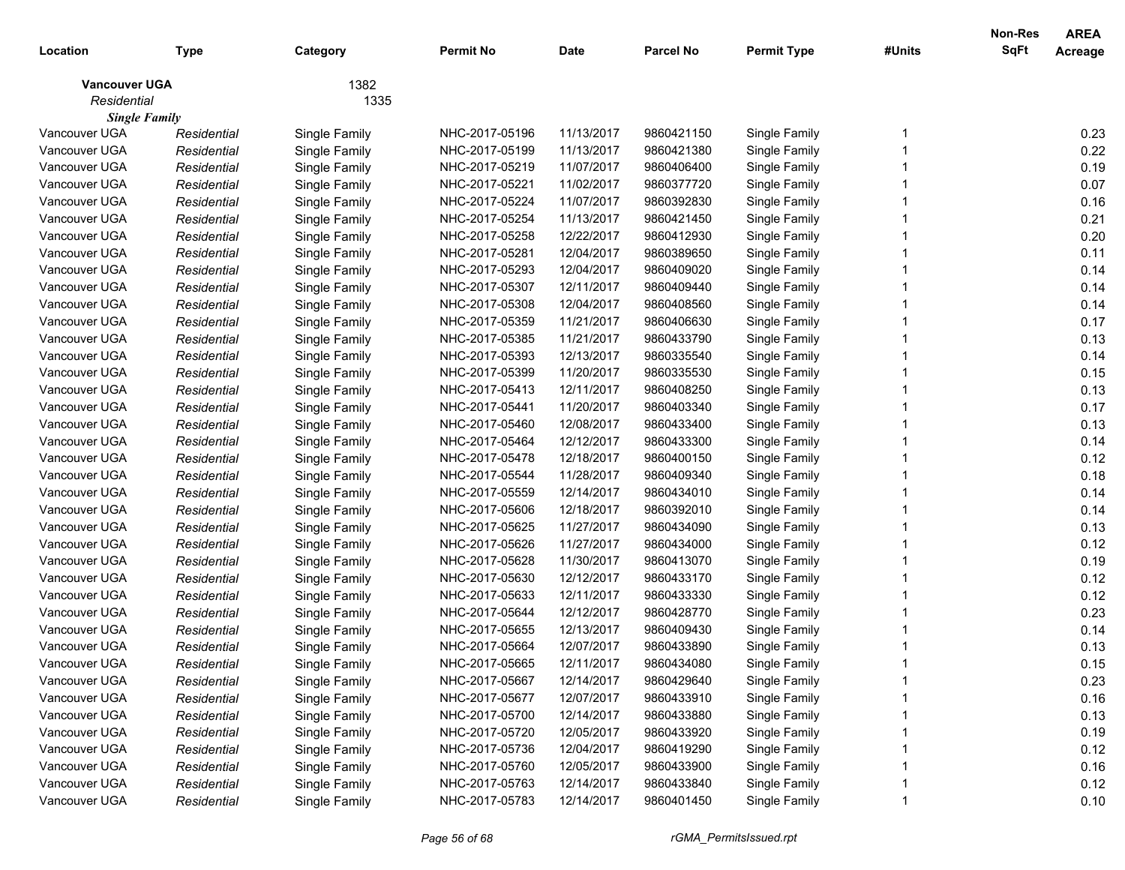| Location                            | <b>Type</b> | Category      | <b>Permit No</b> | <b>Date</b> | <b>Parcel No</b> | <b>Permit Type</b> | #Units | Non-Res<br>SqFt | <b>AREA</b><br>Acreage |
|-------------------------------------|-------------|---------------|------------------|-------------|------------------|--------------------|--------|-----------------|------------------------|
| <b>Vancouver UGA</b><br>Residential |             | 1382<br>1335  |                  |             |                  |                    |        |                 |                        |
| <b>Single Family</b>                |             |               |                  |             |                  |                    |        |                 |                        |
| Vancouver UGA                       | Residential | Single Family | NHC-2017-05196   | 11/13/2017  | 9860421150       | Single Family      |        |                 | 0.23                   |
| Vancouver UGA                       | Residential | Single Family | NHC-2017-05199   | 11/13/2017  | 9860421380       | Single Family      |        |                 | 0.22                   |
| Vancouver UGA                       | Residential | Single Family | NHC-2017-05219   | 11/07/2017  | 9860406400       | Single Family      |        |                 | 0.19                   |
| Vancouver UGA                       | Residential | Single Family | NHC-2017-05221   | 11/02/2017  | 9860377720       | Single Family      |        |                 | 0.07                   |
| Vancouver UGA                       | Residential | Single Family | NHC-2017-05224   | 11/07/2017  | 9860392830       | Single Family      |        |                 | 0.16                   |
| Vancouver UGA                       | Residential | Single Family | NHC-2017-05254   | 11/13/2017  | 9860421450       | Single Family      |        |                 | 0.21                   |
| Vancouver UGA                       | Residential | Single Family | NHC-2017-05258   | 12/22/2017  | 9860412930       | Single Family      |        |                 | 0.20                   |
| Vancouver UGA                       | Residential | Single Family | NHC-2017-05281   | 12/04/2017  | 9860389650       | Single Family      |        |                 | 0.11                   |
| Vancouver UGA                       | Residential | Single Family | NHC-2017-05293   | 12/04/2017  | 9860409020       | Single Family      |        |                 | 0.14                   |
| Vancouver UGA                       | Residential | Single Family | NHC-2017-05307   | 12/11/2017  | 9860409440       | Single Family      |        |                 | 0.14                   |
| Vancouver UGA                       | Residential | Single Family | NHC-2017-05308   | 12/04/2017  | 9860408560       | Single Family      |        |                 | 0.14                   |
| Vancouver UGA                       | Residential | Single Family | NHC-2017-05359   | 11/21/2017  | 9860406630       | Single Family      |        |                 | 0.17                   |
| Vancouver UGA                       | Residential | Single Family | NHC-2017-05385   | 11/21/2017  | 9860433790       | Single Family      |        |                 | 0.13                   |
| Vancouver UGA                       | Residential | Single Family | NHC-2017-05393   | 12/13/2017  | 9860335540       | Single Family      |        |                 | 0.14                   |
| Vancouver UGA                       | Residential | Single Family | NHC-2017-05399   | 11/20/2017  | 9860335530       | Single Family      |        |                 | 0.15                   |
| Vancouver UGA                       | Residential | Single Family | NHC-2017-05413   | 12/11/2017  | 9860408250       | Single Family      |        |                 | 0.13                   |
| Vancouver UGA                       | Residential | Single Family | NHC-2017-05441   | 11/20/2017  | 9860403340       | Single Family      |        |                 | 0.17                   |
| Vancouver UGA                       | Residential | Single Family | NHC-2017-05460   | 12/08/2017  | 9860433400       | Single Family      |        |                 | 0.13                   |
| Vancouver UGA                       | Residential | Single Family | NHC-2017-05464   | 12/12/2017  | 9860433300       | Single Family      |        |                 | 0.14                   |
| Vancouver UGA                       | Residential | Single Family | NHC-2017-05478   | 12/18/2017  | 9860400150       | Single Family      |        |                 | 0.12                   |
| Vancouver UGA                       | Residential | Single Family | NHC-2017-05544   | 11/28/2017  | 9860409340       | Single Family      |        |                 | 0.18                   |
| Vancouver UGA                       | Residential | Single Family | NHC-2017-05559   | 12/14/2017  | 9860434010       | Single Family      |        |                 | 0.14                   |
| Vancouver UGA                       | Residential | Single Family | NHC-2017-05606   | 12/18/2017  | 9860392010       | Single Family      |        |                 | 0.14                   |
| Vancouver UGA                       | Residential | Single Family | NHC-2017-05625   | 11/27/2017  | 9860434090       | Single Family      |        |                 | 0.13                   |
| Vancouver UGA                       | Residential | Single Family | NHC-2017-05626   | 11/27/2017  | 9860434000       | Single Family      |        |                 | 0.12                   |
| Vancouver UGA                       | Residential | Single Family | NHC-2017-05628   | 11/30/2017  | 9860413070       | Single Family      |        |                 | 0.19                   |
| Vancouver UGA                       | Residential | Single Family | NHC-2017-05630   | 12/12/2017  | 9860433170       | Single Family      |        |                 | 0.12                   |
| Vancouver UGA                       | Residential | Single Family | NHC-2017-05633   | 12/11/2017  | 9860433330       | Single Family      |        |                 | 0.12                   |
| Vancouver UGA                       | Residential | Single Family | NHC-2017-05644   | 12/12/2017  | 9860428770       | Single Family      |        |                 | 0.23                   |
| Vancouver UGA                       | Residential | Single Family | NHC-2017-05655   | 12/13/2017  | 9860409430       | Single Family      |        |                 | 0.14                   |
| Vancouver UGA                       | Residential | Single Family | NHC-2017-05664   | 12/07/2017  | 9860433890       | Single Family      |        |                 | 0.13                   |
| Vancouver UGA                       | Residential | Single Family | NHC-2017-05665   | 12/11/2017  | 9860434080       | Single Family      |        |                 | 0.15                   |
| Vancouver UGA                       | Residential | Single Family | NHC-2017-05667   | 12/14/2017  | 9860429640       | Single Family      |        |                 | 0.23                   |
| Vancouver UGA                       | Residential | Single Family | NHC-2017-05677   | 12/07/2017  | 9860433910       | Single Family      |        |                 | 0.16                   |
| Vancouver UGA                       | Residential | Single Family | NHC-2017-05700   | 12/14/2017  | 9860433880       | Single Family      |        |                 | 0.13                   |
| Vancouver UGA                       | Residential | Single Family | NHC-2017-05720   | 12/05/2017  | 9860433920       | Single Family      |        |                 | 0.19                   |
| Vancouver UGA                       | Residential | Single Family | NHC-2017-05736   | 12/04/2017  | 9860419290       | Single Family      |        |                 | 0.12                   |
| Vancouver UGA                       | Residential | Single Family | NHC-2017-05760   | 12/05/2017  | 9860433900       | Single Family      |        |                 | 0.16                   |
| Vancouver UGA                       | Residential | Single Family | NHC-2017-05763   | 12/14/2017  | 9860433840       | Single Family      |        |                 | 0.12                   |
| Vancouver UGA                       | Residential | Single Family | NHC-2017-05783   | 12/14/2017  | 9860401450       | Single Family      |        |                 | 0.10                   |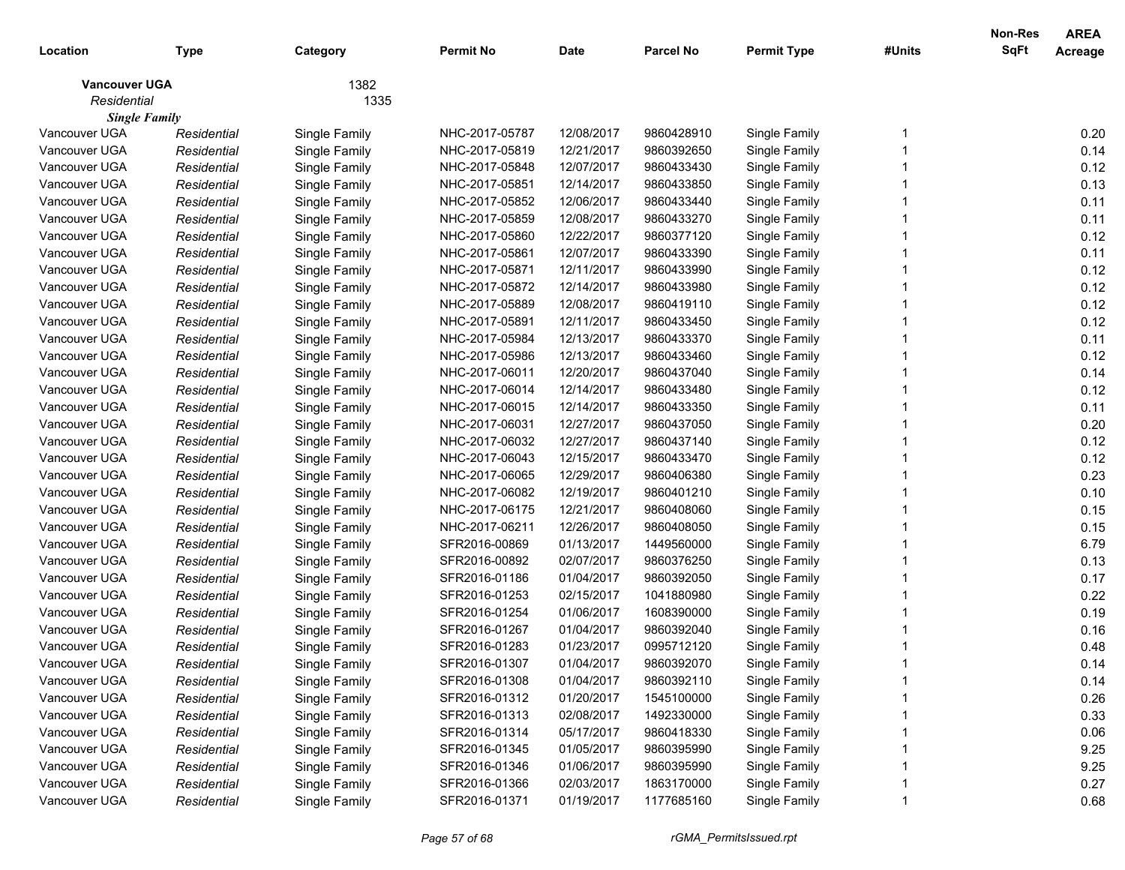|                      |             |               |                  |             |                  |                    |        | <b>Non-Res</b> | <b>AREA</b> |
|----------------------|-------------|---------------|------------------|-------------|------------------|--------------------|--------|----------------|-------------|
| Location             | Type        | Category      | <b>Permit No</b> | <b>Date</b> | <b>Parcel No</b> | <b>Permit Type</b> | #Units | <b>SqFt</b>    | Acreage     |
| <b>Vancouver UGA</b> |             | 1382          |                  |             |                  |                    |        |                |             |
| Residential          |             | 1335          |                  |             |                  |                    |        |                |             |
| <b>Single Family</b> |             |               |                  |             |                  |                    |        |                |             |
| Vancouver UGA        | Residential | Single Family | NHC-2017-05787   | 12/08/2017  | 9860428910       | Single Family      |        |                | 0.20        |
| Vancouver UGA        | Residential | Single Family | NHC-2017-05819   | 12/21/2017  | 9860392650       | Single Family      |        |                | 0.14        |
| Vancouver UGA        | Residential | Single Family | NHC-2017-05848   | 12/07/2017  | 9860433430       | Single Family      |        |                | 0.12        |
| Vancouver UGA        | Residential | Single Family | NHC-2017-05851   | 12/14/2017  | 9860433850       | Single Family      |        |                | 0.13        |
| Vancouver UGA        | Residential | Single Family | NHC-2017-05852   | 12/06/2017  | 9860433440       | Single Family      |        |                | 0.11        |
| Vancouver UGA        | Residential | Single Family | NHC-2017-05859   | 12/08/2017  | 9860433270       | Single Family      |        |                | 0.11        |
| Vancouver UGA        | Residential | Single Family | NHC-2017-05860   | 12/22/2017  | 9860377120       | Single Family      |        |                | 0.12        |
| Vancouver UGA        | Residential | Single Family | NHC-2017-05861   | 12/07/2017  | 9860433390       | Single Family      |        |                | 0.11        |
| Vancouver UGA        | Residential | Single Family | NHC-2017-05871   | 12/11/2017  | 9860433990       | Single Family      |        |                | 0.12        |
| Vancouver UGA        | Residential | Single Family | NHC-2017-05872   | 12/14/2017  | 9860433980       | Single Family      |        |                | 0.12        |
| Vancouver UGA        | Residential | Single Family | NHC-2017-05889   | 12/08/2017  | 9860419110       | Single Family      |        |                | 0.12        |
| Vancouver UGA        | Residential | Single Family | NHC-2017-05891   | 12/11/2017  | 9860433450       | Single Family      |        |                | 0.12        |
| Vancouver UGA        | Residential | Single Family | NHC-2017-05984   | 12/13/2017  | 9860433370       | Single Family      |        |                | 0.11        |
| Vancouver UGA        | Residential | Single Family | NHC-2017-05986   | 12/13/2017  | 9860433460       | Single Family      |        |                | 0.12        |
| Vancouver UGA        | Residential | Single Family | NHC-2017-06011   | 12/20/2017  | 9860437040       | Single Family      |        |                | 0.14        |
| Vancouver UGA        | Residential | Single Family | NHC-2017-06014   | 12/14/2017  | 9860433480       | Single Family      |        |                | 0.12        |
| Vancouver UGA        | Residential | Single Family | NHC-2017-06015   | 12/14/2017  | 9860433350       | Single Family      |        |                | 0.11        |
| Vancouver UGA        | Residential | Single Family | NHC-2017-06031   | 12/27/2017  | 9860437050       | Single Family      |        |                | 0.20        |
| Vancouver UGA        | Residential | Single Family | NHC-2017-06032   | 12/27/2017  | 9860437140       | Single Family      |        |                | 0.12        |
| Vancouver UGA        | Residential | Single Family | NHC-2017-06043   | 12/15/2017  | 9860433470       | Single Family      |        |                | 0.12        |
| Vancouver UGA        | Residential | Single Family | NHC-2017-06065   | 12/29/2017  | 9860406380       | Single Family      |        |                | 0.23        |
| Vancouver UGA        | Residential | Single Family | NHC-2017-06082   | 12/19/2017  | 9860401210       | Single Family      |        |                | 0.10        |
| Vancouver UGA        | Residential | Single Family | NHC-2017-06175   | 12/21/2017  | 9860408060       | Single Family      |        |                | 0.15        |
| Vancouver UGA        | Residential | Single Family | NHC-2017-06211   | 12/26/2017  | 9860408050       | Single Family      |        |                | 0.15        |
| Vancouver UGA        | Residential | Single Family | SFR2016-00869    | 01/13/2017  | 1449560000       | Single Family      |        |                | 6.79        |
| Vancouver UGA        | Residential | Single Family | SFR2016-00892    | 02/07/2017  | 9860376250       | Single Family      |        |                | 0.13        |
| Vancouver UGA        | Residential | Single Family | SFR2016-01186    | 01/04/2017  | 9860392050       | Single Family      |        |                | 0.17        |
| Vancouver UGA        | Residential | Single Family | SFR2016-01253    | 02/15/2017  | 1041880980       | Single Family      |        |                | 0.22        |
| Vancouver UGA        | Residential | Single Family | SFR2016-01254    | 01/06/2017  | 1608390000       | Single Family      |        |                | 0.19        |
| Vancouver UGA        | Residential | Single Family | SFR2016-01267    | 01/04/2017  | 9860392040       | Single Family      |        |                | 0.16        |
| Vancouver UGA        | Residential | Single Family | SFR2016-01283    | 01/23/2017  | 0995712120       | Single Family      |        |                | 0.48        |
| Vancouver UGA        | Residential | Single Family | SFR2016-01307    | 01/04/2017  | 9860392070       | Single Family      |        |                | 0.14        |
| Vancouver UGA        | Residential | Single Family | SFR2016-01308    | 01/04/2017  | 9860392110       | Single Family      |        |                | 0.14        |
| Vancouver UGA        | Residential | Single Family | SFR2016-01312    | 01/20/2017  | 1545100000       | Single Family      |        |                | 0.26        |
| Vancouver UGA        | Residential | Single Family | SFR2016-01313    | 02/08/2017  | 1492330000       | Single Family      |        |                | 0.33        |
| Vancouver UGA        | Residential | Single Family | SFR2016-01314    | 05/17/2017  | 9860418330       | Single Family      |        |                | 0.06        |
| Vancouver UGA        | Residential | Single Family | SFR2016-01345    | 01/05/2017  | 9860395990       | Single Family      |        |                | 9.25        |
| Vancouver UGA        | Residential | Single Family | SFR2016-01346    | 01/06/2017  | 9860395990       | Single Family      |        |                | 9.25        |
| Vancouver UGA        | Residential | Single Family | SFR2016-01366    | 02/03/2017  | 1863170000       | Single Family      |        |                | 0.27        |
| Vancouver UGA        | Residential | Single Family | SFR2016-01371    | 01/19/2017  | 1177685160       | Single Family      |        |                | 0.68        |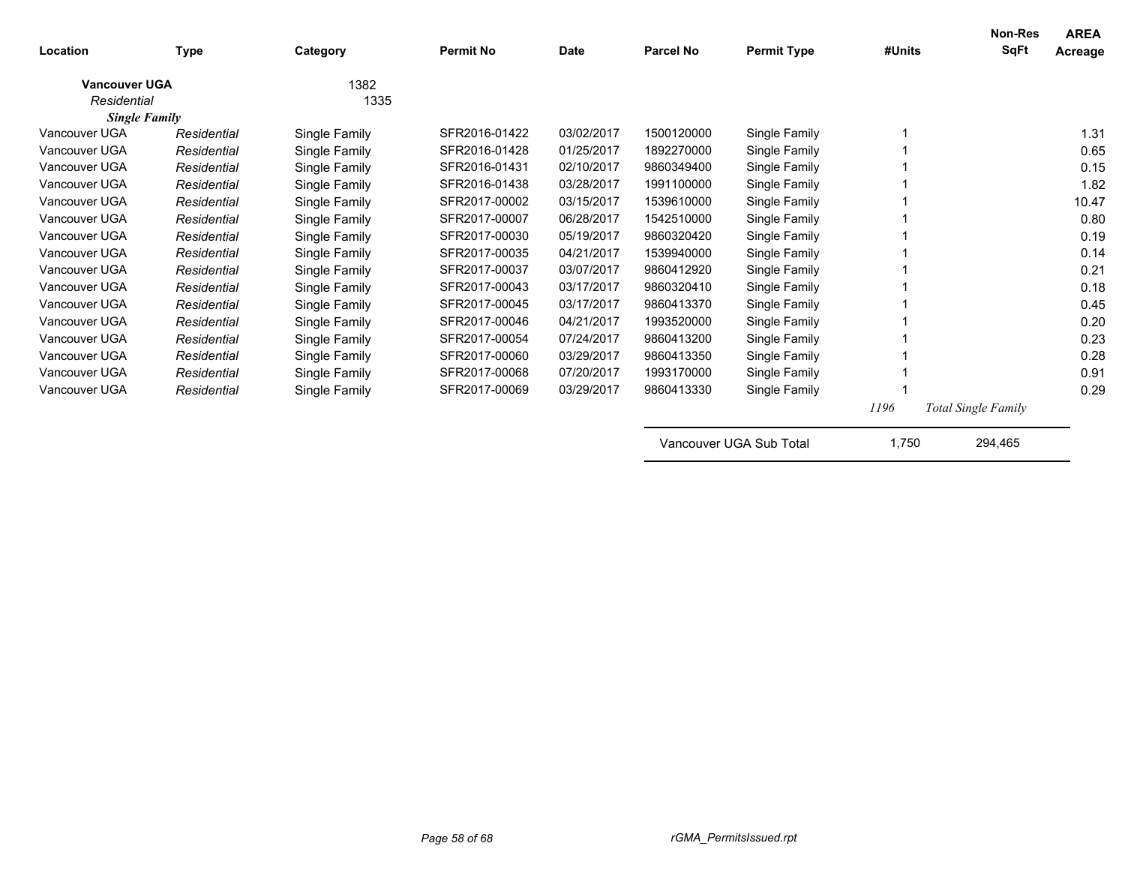| Location             | Type        | Category      | <b>Permit No</b> | <b>Date</b> | <b>Parcel No</b> | <b>Permit Type</b>      | #Units | Non-Res<br><b>SqFt</b>     | <b>AREA</b><br>Acreage |
|----------------------|-------------|---------------|------------------|-------------|------------------|-------------------------|--------|----------------------------|------------------------|
| <b>Vancouver UGA</b> |             | 1382          |                  |             |                  |                         |        |                            |                        |
| Residential          |             | 1335          |                  |             |                  |                         |        |                            |                        |
| <b>Single Family</b> |             |               |                  |             |                  |                         |        |                            |                        |
| Vancouver UGA        | Residential | Single Family | SFR2016-01422    | 03/02/2017  | 1500120000       | Single Family           |        |                            | 1.31                   |
| Vancouver UGA        | Residential | Single Family | SFR2016-01428    | 01/25/2017  | 1892270000       | Single Family           |        |                            | 0.65                   |
| Vancouver UGA        | Residential | Single Family | SFR2016-01431    | 02/10/2017  | 9860349400       | Single Family           |        |                            | 0.15                   |
| Vancouver UGA        | Residential | Single Family | SFR2016-01438    | 03/28/2017  | 1991100000       | Single Family           |        |                            | 1.82                   |
| Vancouver UGA        | Residential | Single Family | SFR2017-00002    | 03/15/2017  | 1539610000       | Single Family           |        |                            | 10.47                  |
| Vancouver UGA        | Residential | Single Family | SFR2017-00007    | 06/28/2017  | 1542510000       | Single Family           |        |                            | 0.80                   |
| Vancouver UGA        | Residential | Single Family | SFR2017-00030    | 05/19/2017  | 9860320420       | Single Family           |        |                            | 0.19                   |
| Vancouver UGA        | Residential | Single Family | SFR2017-00035    | 04/21/2017  | 1539940000       | Single Family           |        |                            | 0.14                   |
| Vancouver UGA        | Residential | Single Family | SFR2017-00037    | 03/07/2017  | 9860412920       | Single Family           |        |                            | 0.21                   |
| Vancouver UGA        | Residential | Single Family | SFR2017-00043    | 03/17/2017  | 9860320410       | Single Family           |        |                            | 0.18                   |
| Vancouver UGA        | Residential | Single Family | SFR2017-00045    | 03/17/2017  | 9860413370       | Single Family           |        |                            | 0.45                   |
| Vancouver UGA        | Residential | Single Family | SFR2017-00046    | 04/21/2017  | 1993520000       | Single Family           |        |                            | 0.20                   |
| Vancouver UGA        | Residential | Single Family | SFR2017-00054    | 07/24/2017  | 9860413200       | Single Family           |        |                            | 0.23                   |
| Vancouver UGA        | Residential | Single Family | SFR2017-00060    | 03/29/2017  | 9860413350       | Single Family           |        |                            | 0.28                   |
| Vancouver UGA        | Residential | Single Family | SFR2017-00068    | 07/20/2017  | 1993170000       | Single Family           |        |                            | 0.91                   |
| Vancouver UGA        | Residential | Single Family | SFR2017-00069    | 03/29/2017  | 9860413330       | Single Family           |        |                            | 0.29                   |
|                      |             |               |                  |             |                  |                         | 1196   | <b>Total Single Family</b> |                        |
|                      |             |               |                  |             |                  | Vancouver UGA Sub Total | 1,750  | 294,465                    |                        |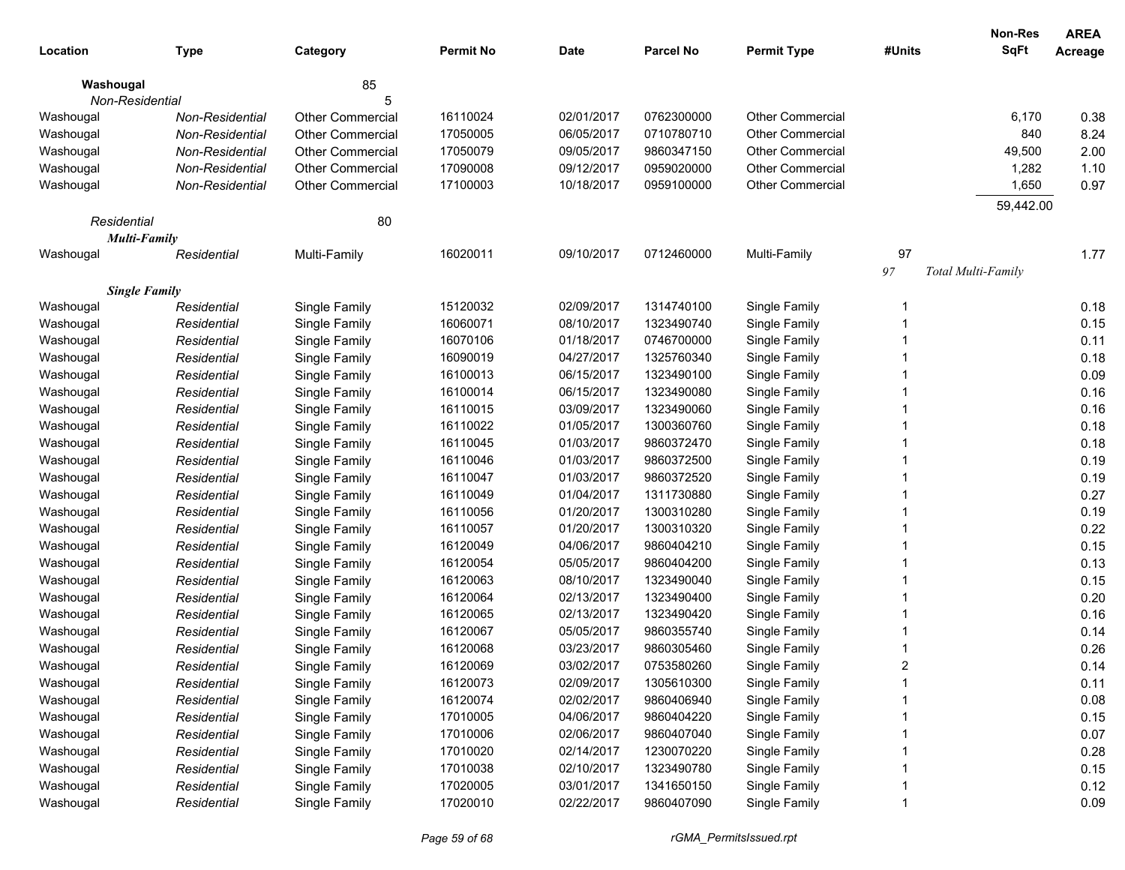|                 |                        |                         |                  |            |            |                         |                   | Non-Res                   | <b>AREA</b> |
|-----------------|------------------------|-------------------------|------------------|------------|------------|-------------------------|-------------------|---------------------------|-------------|
| Location        | <b>Type</b>            | Category                | <b>Permit No</b> | Date       | Parcel No  | <b>Permit Type</b>      | #Units            | <b>SqFt</b>               | Acreage     |
| Washougal       |                        | 85                      |                  |            |            |                         |                   |                           |             |
| Non-Residential |                        | 5                       |                  |            |            |                         |                   |                           |             |
| Washougal       | <b>Non-Residential</b> | <b>Other Commercial</b> | 16110024         | 02/01/2017 | 0762300000 | Other Commercial        |                   | 6,170                     | 0.38        |
| Washougal       | Non-Residential        | <b>Other Commercial</b> | 17050005         | 06/05/2017 | 0710780710 | <b>Other Commercial</b> |                   | 840                       | 8.24        |
| Washougal       | Non-Residential        | <b>Other Commercial</b> | 17050079         | 09/05/2017 | 9860347150 | <b>Other Commercial</b> |                   | 49,500                    | 2.00        |
| Washougal       | Non-Residential        | <b>Other Commercial</b> | 17090008         | 09/12/2017 | 0959020000 | Other Commercial        |                   | 1,282                     | 1.10        |
| Washougal       | <b>Non-Residential</b> | <b>Other Commercial</b> | 17100003         | 10/18/2017 | 0959100000 | <b>Other Commercial</b> |                   | 1,650                     | 0.97        |
|                 |                        |                         |                  |            |            |                         |                   | 59,442.00                 |             |
| Residential     |                        | 80                      |                  |            |            |                         |                   |                           |             |
|                 | <b>Multi-Family</b>    |                         |                  |            |            |                         |                   |                           |             |
| Washougal       | Residential            | Multi-Family            | 16020011         | 09/10/2017 | 0712460000 | Multi-Family            | 97                |                           | 1.77        |
|                 |                        |                         |                  |            |            |                         | $\ensuremath{97}$ | <b>Total Multi-Family</b> |             |
|                 | <b>Single Family</b>   |                         |                  |            |            |                         |                   |                           |             |
| Washougal       | Residential            | Single Family           | 15120032         | 02/09/2017 | 1314740100 | Single Family           | -1                |                           | 0.18        |
| Washougal       | Residential            | Single Family           | 16060071         | 08/10/2017 | 1323490740 | Single Family           |                   |                           | 0.15        |
| Washougal       | Residential            | Single Family           | 16070106         | 01/18/2017 | 0746700000 | Single Family           |                   |                           | 0.11        |
| Washougal       | Residential            | Single Family           | 16090019         | 04/27/2017 | 1325760340 | Single Family           |                   |                           | 0.18        |
| Washougal       | Residential            | Single Family           | 16100013         | 06/15/2017 | 1323490100 | Single Family           |                   |                           | 0.09        |
| Washougal       | Residential            | Single Family           | 16100014         | 06/15/2017 | 1323490080 | Single Family           |                   |                           | 0.16        |
| Washougal       | Residential            | Single Family           | 16110015         | 03/09/2017 | 1323490060 | Single Family           |                   |                           | 0.16        |
| Washougal       | Residential            | Single Family           | 16110022         | 01/05/2017 | 1300360760 | Single Family           |                   |                           | 0.18        |
| Washougal       | Residential            | Single Family           | 16110045         | 01/03/2017 | 9860372470 | Single Family           |                   |                           | 0.18        |
| Washougal       | Residential            | Single Family           | 16110046         | 01/03/2017 | 9860372500 | Single Family           |                   |                           | 0.19        |
| Washougal       | Residential            | Single Family           | 16110047         | 01/03/2017 | 9860372520 | Single Family           |                   |                           | 0.19        |
| Washougal       | Residential            | Single Family           | 16110049         | 01/04/2017 | 1311730880 | Single Family           |                   |                           | 0.27        |
| Washougal       | Residential            | Single Family           | 16110056         | 01/20/2017 | 1300310280 | Single Family           |                   |                           | 0.19        |
| Washougal       | Residential            | Single Family           | 16110057         | 01/20/2017 | 1300310320 | Single Family           |                   |                           | 0.22        |
| Washougal       | Residential            | Single Family           | 16120049         | 04/06/2017 | 9860404210 | Single Family           |                   |                           | 0.15        |
| Washougal       | Residential            | Single Family           | 16120054         | 05/05/2017 | 9860404200 | Single Family           |                   |                           | 0.13        |
| Washougal       | Residential            | Single Family           | 16120063         | 08/10/2017 | 1323490040 | Single Family           |                   |                           | 0.15        |
| Washougal       | Residential            | Single Family           | 16120064         | 02/13/2017 | 1323490400 | Single Family           |                   |                           | 0.20        |
| Washougal       | Residential            | Single Family           | 16120065         | 02/13/2017 | 1323490420 | Single Family           |                   |                           | 0.16        |
| Washougal       | Residential            | Single Family           | 16120067         | 05/05/2017 | 9860355740 | Single Family           |                   |                           | 0.14        |
| Washougal       | Residential            | Single Family           | 16120068         | 03/23/2017 | 9860305460 | Single Family           |                   |                           | 0.26        |
| Washougal       | Residential            | Single Family           | 16120069         | 03/02/2017 | 0753580260 | Single Family           | 2                 |                           | 0.14        |
| Washougal       | Residential            | Single Family           | 16120073         | 02/09/2017 | 1305610300 | Single Family           |                   |                           | 0.11        |
| Washougal       | Residential            | Single Family           | 16120074         | 02/02/2017 | 9860406940 | Single Family           |                   |                           | 0.08        |
| Washougal       | Residential            | Single Family           | 17010005         | 04/06/2017 | 9860404220 | Single Family           |                   |                           | 0.15        |
| Washougal       | Residential            | Single Family           | 17010006         | 02/06/2017 | 9860407040 | Single Family           |                   |                           | 0.07        |
| Washougal       | Residential            | Single Family           | 17010020         | 02/14/2017 | 1230070220 | Single Family           |                   |                           | 0.28        |
| Washougal       | Residential            | Single Family           | 17010038         | 02/10/2017 | 1323490780 | Single Family           |                   |                           | 0.15        |
| Washougal       | Residential            | Single Family           | 17020005         | 03/01/2017 | 1341650150 | Single Family           |                   |                           | 0.12        |
| Washougal       | Residential            | Single Family           | 17020010         | 02/22/2017 | 9860407090 | Single Family           |                   |                           | 0.09        |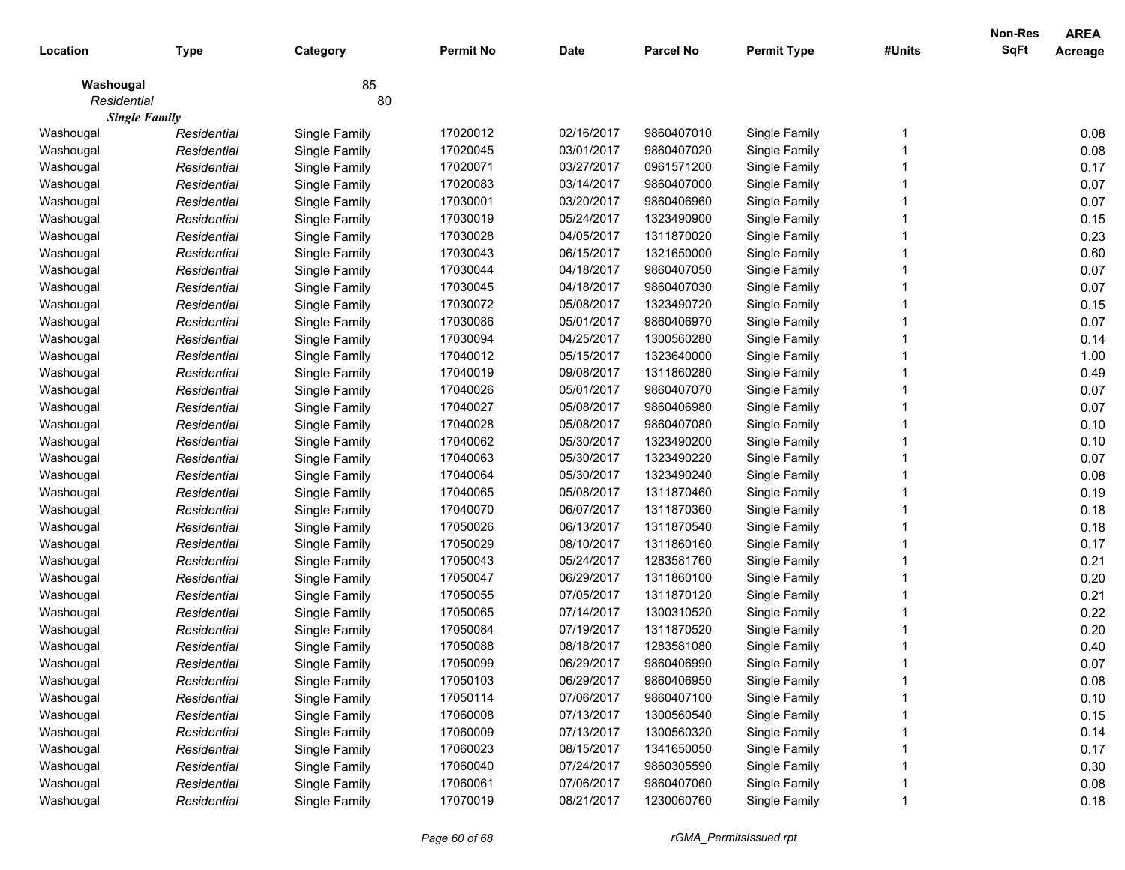|             |                      |               |                  |             |                  |                    |        | <b>Non-Res</b> | <b>AREA</b>    |
|-------------|----------------------|---------------|------------------|-------------|------------------|--------------------|--------|----------------|----------------|
| Location    | <b>Type</b>          | Category      | <b>Permit No</b> | <b>Date</b> | <b>Parcel No</b> | <b>Permit Type</b> | #Units | <b>SqFt</b>    | <b>Acreage</b> |
| Washougal   |                      | 85            |                  |             |                  |                    |        |                |                |
| Residential |                      | 80            |                  |             |                  |                    |        |                |                |
|             | <b>Single Family</b> |               |                  |             |                  |                    |        |                |                |
| Washougal   | Residential          | Single Family | 17020012         | 02/16/2017  | 9860407010       | Single Family      |        |                | 0.08           |
| Washougal   | Residential          | Single Family | 17020045         | 03/01/2017  | 9860407020       | Single Family      |        |                | 0.08           |
| Washougal   | Residential          | Single Family | 17020071         | 03/27/2017  | 0961571200       | Single Family      |        |                | 0.17           |
| Washougal   | Residential          | Single Family | 17020083         | 03/14/2017  | 9860407000       | Single Family      |        |                | 0.07           |
| Washougal   | Residential          | Single Family | 17030001         | 03/20/2017  | 9860406960       | Single Family      |        |                | 0.07           |
| Washougal   | Residential          | Single Family | 17030019         | 05/24/2017  | 1323490900       | Single Family      |        |                | 0.15           |
| Washougal   | Residential          | Single Family | 17030028         | 04/05/2017  | 1311870020       | Single Family      |        |                | 0.23           |
| Washougal   | Residential          | Single Family | 17030043         | 06/15/2017  | 1321650000       | Single Family      |        |                | 0.60           |
| Washougal   | Residential          | Single Family | 17030044         | 04/18/2017  | 9860407050       | Single Family      |        |                | 0.07           |
| Washougal   | Residential          | Single Family | 17030045         | 04/18/2017  | 9860407030       | Single Family      |        |                | 0.07           |
| Washougal   | Residential          | Single Family | 17030072         | 05/08/2017  | 1323490720       | Single Family      |        |                | 0.15           |
| Washougal   | Residential          | Single Family | 17030086         | 05/01/2017  | 9860406970       | Single Family      |        |                | 0.07           |
| Washougal   | Residential          | Single Family | 17030094         | 04/25/2017  | 1300560280       | Single Family      |        |                | 0.14           |
| Washougal   | Residential          | Single Family | 17040012         | 05/15/2017  | 1323640000       | Single Family      |        |                | 1.00           |
| Washougal   | Residential          | Single Family | 17040019         | 09/08/2017  | 1311860280       | Single Family      |        |                | 0.49           |
| Washougal   | Residential          | Single Family | 17040026         | 05/01/2017  | 9860407070       | Single Family      |        |                | 0.07           |
| Washougal   | Residential          | Single Family | 17040027         | 05/08/2017  | 9860406980       | Single Family      |        |                | 0.07           |
| Washougal   | Residential          | Single Family | 17040028         | 05/08/2017  | 9860407080       | Single Family      |        |                | 0.10           |
| Washougal   | Residential          | Single Family | 17040062         | 05/30/2017  | 1323490200       | Single Family      |        |                | 0.10           |
| Washougal   | Residential          | Single Family | 17040063         | 05/30/2017  | 1323490220       | Single Family      |        |                | 0.07           |
| Washougal   | Residential          | Single Family | 17040064         | 05/30/2017  | 1323490240       | Single Family      |        |                | 0.08           |
| Washougal   | Residential          | Single Family | 17040065         | 05/08/2017  | 1311870460       | Single Family      |        |                | 0.19           |
| Washougal   | Residential          | Single Family | 17040070         | 06/07/2017  | 1311870360       | Single Family      |        |                | 0.18           |
| Washougal   | Residential          | Single Family | 17050026         | 06/13/2017  | 1311870540       | Single Family      |        |                | 0.18           |
| Washougal   | Residential          | Single Family | 17050029         | 08/10/2017  | 1311860160       | Single Family      |        |                | 0.17           |
| Washougal   | Residential          | Single Family | 17050043         | 05/24/2017  | 1283581760       | Single Family      |        |                | 0.21           |
| Washougal   | Residential          | Single Family | 17050047         | 06/29/2017  | 1311860100       | Single Family      |        |                | 0.20           |
| Washougal   | Residential          | Single Family | 17050055         | 07/05/2017  | 1311870120       | Single Family      |        |                | 0.21           |
| Washougal   | Residential          | Single Family | 17050065         | 07/14/2017  | 1300310520       | Single Family      |        |                | 0.22           |
| Washougal   | Residential          | Single Family | 17050084         | 07/19/2017  | 1311870520       | Single Family      |        |                | 0.20           |
| Washougal   | Residential          | Single Family | 17050088         | 08/18/2017  | 1283581080       | Single Family      |        |                | 0.40           |
| Washougal   | Residential          | Single Family | 17050099         | 06/29/2017  | 9860406990       | Single Family      |        |                | 0.07           |
| Washougal   | Residential          | Single Family | 17050103         | 06/29/2017  | 9860406950       | Single Family      |        |                | 0.08           |
| Washougal   | Residential          | Single Family | 17050114         | 07/06/2017  | 9860407100       | Single Family      |        |                | 0.10           |
| Washougal   | Residential          | Single Family | 17060008         | 07/13/2017  | 1300560540       | Single Family      |        |                | 0.15           |
| Washougal   | Residential          | Single Family | 17060009         | 07/13/2017  | 1300560320       | Single Family      |        |                | 0.14           |
| Washougal   | Residential          | Single Family | 17060023         | 08/15/2017  | 1341650050       | Single Family      |        |                | 0.17           |
| Washougal   | Residential          | Single Family | 17060040         | 07/24/2017  | 9860305590       | Single Family      |        |                | 0.30           |
| Washougal   | Residential          | Single Family | 17060061         | 07/06/2017  | 9860407060       | Single Family      |        |                | 0.08           |
| Washougal   | Residential          | Single Family | 17070019         | 08/21/2017  | 1230060760       | Single Family      |        |                | 0.18           |
|             |                      |               |                  |             |                  |                    |        |                |                |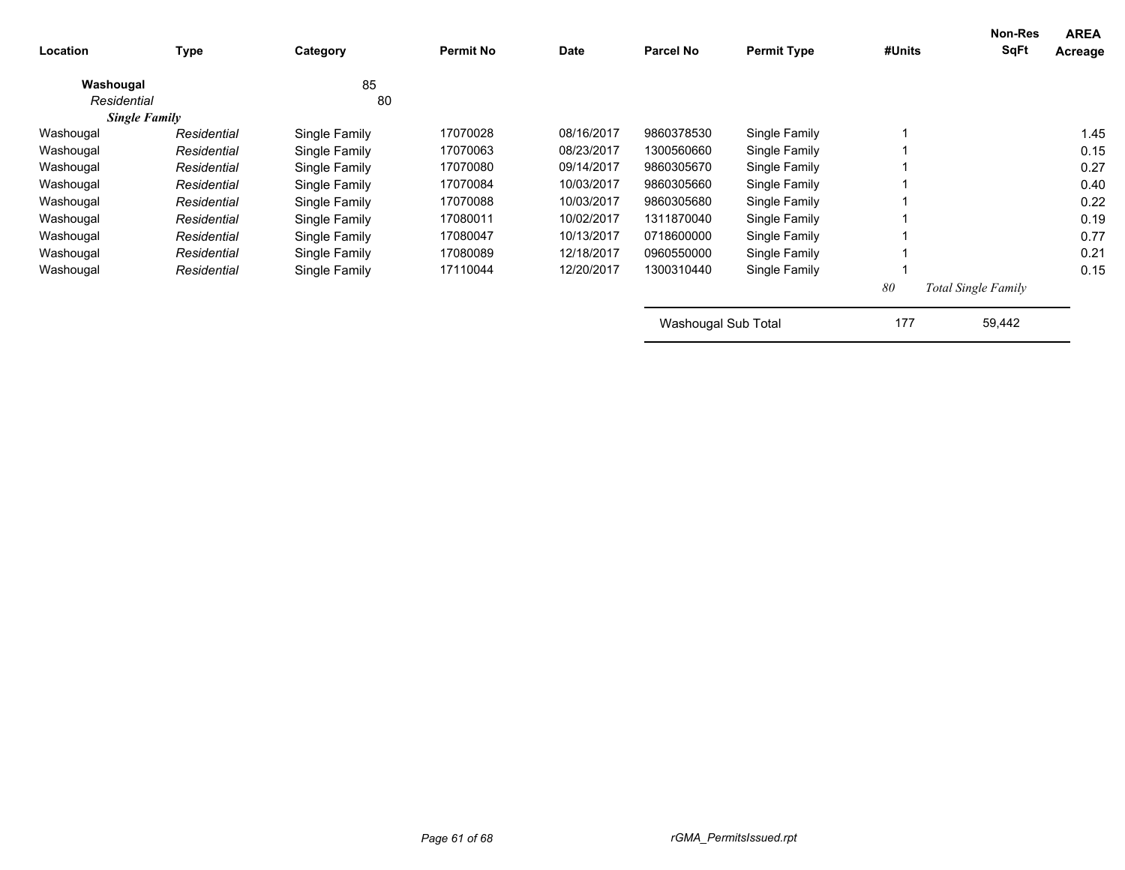| Location    | <b>Type</b>          | Category      | <b>Permit No</b> | <b>Date</b> | <b>Parcel No</b>    | <b>Permit Type</b> | #Units | <b>Non-Res</b><br><b>SqFt</b> | <b>AREA</b><br>Acreage |
|-------------|----------------------|---------------|------------------|-------------|---------------------|--------------------|--------|-------------------------------|------------------------|
| Washougal   |                      | 85            |                  |             |                     |                    |        |                               |                        |
| Residential |                      | 80            |                  |             |                     |                    |        |                               |                        |
|             | <b>Single Family</b> |               |                  |             |                     |                    |        |                               |                        |
| Washougal   | Residential          | Single Family | 17070028         | 08/16/2017  | 9860378530          | Single Family      |        |                               | 1.45                   |
| Washougal   | Residential          | Single Family | 17070063         | 08/23/2017  | 1300560660          | Single Family      |        |                               | 0.15                   |
| Washougal   | Residential          | Single Family | 17070080         | 09/14/2017  | 9860305670          | Single Family      |        |                               | 0.27                   |
| Washougal   | Residential          | Single Family | 17070084         | 10/03/2017  | 9860305660          | Single Family      |        |                               | 0.40                   |
| Washougal   | Residential          | Single Family | 17070088         | 10/03/2017  | 9860305680          | Single Family      |        |                               | 0.22                   |
| Washougal   | Residential          | Single Family | 17080011         | 10/02/2017  | 1311870040          | Single Family      |        |                               | 0.19                   |
| Washougal   | Residential          | Single Family | 17080047         | 10/13/2017  | 0718600000          | Single Family      |        |                               | 0.77                   |
| Washougal   | Residential          | Single Family | 17080089         | 12/18/2017  | 0960550000          | Single Family      |        |                               | 0.21                   |
| Washougal   | Residential          | Single Family | 17110044         | 12/20/2017  | 1300310440          | Single Family      |        |                               | 0.15                   |
|             |                      |               |                  |             |                     |                    | 80     | <b>Total Single Family</b>    |                        |
|             |                      |               |                  |             | Washougal Sub Total |                    | 177    | 59,442                        |                        |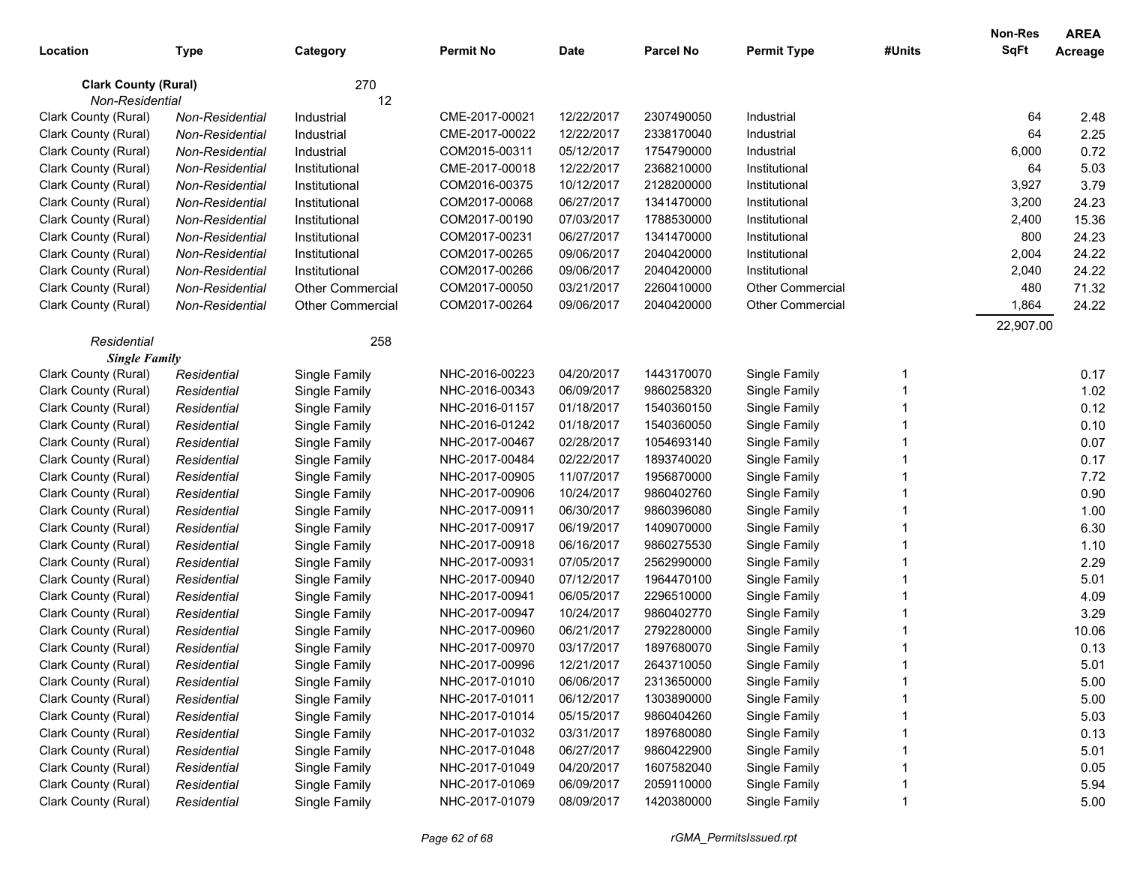|                             |                 |                         |                  |             |                  |                         |        | <b>Non-Res</b> | <b>AREA</b> |
|-----------------------------|-----------------|-------------------------|------------------|-------------|------------------|-------------------------|--------|----------------|-------------|
| Location                    | Type            | Category                | <b>Permit No</b> | <b>Date</b> | <b>Parcel No</b> | <b>Permit Type</b>      | #Units | SqFt           | Acreage     |
| <b>Clark County (Rural)</b> |                 | 270                     |                  |             |                  |                         |        |                |             |
| Non-Residential             |                 | 12                      |                  |             |                  |                         |        |                |             |
| Clark County (Rural)        | Non-Residential | Industrial              | CME-2017-00021   | 12/22/2017  | 2307490050       | Industrial              |        | 64             | 2.48        |
| Clark County (Rural)        | Non-Residential | Industrial              | CME-2017-00022   | 12/22/2017  | 2338170040       | Industrial              |        | 64             | 2.25        |
| Clark County (Rural)        | Non-Residential | Industrial              | COM2015-00311    | 05/12/2017  | 1754790000       | Industrial              |        | 6,000          | 0.72        |
| Clark County (Rural)        | Non-Residential | Institutional           | CME-2017-00018   | 12/22/2017  | 2368210000       | Institutional           |        | 64             | 5.03        |
| Clark County (Rural)        | Non-Residential | Institutional           | COM2016-00375    | 10/12/2017  | 2128200000       | Institutional           |        | 3,927          | 3.79        |
| Clark County (Rural)        | Non-Residential | Institutional           | COM2017-00068    | 06/27/2017  | 1341470000       | Institutional           |        | 3,200          | 24.23       |
| Clark County (Rural)        | Non-Residential | Institutional           | COM2017-00190    | 07/03/2017  | 1788530000       | Institutional           |        | 2,400          | 15.36       |
| Clark County (Rural)        | Non-Residential | Institutional           | COM2017-00231    | 06/27/2017  | 1341470000       | Institutional           |        | 800            | 24.23       |
| Clark County (Rural)        | Non-Residential | Institutional           | COM2017-00265    | 09/06/2017  | 2040420000       | Institutional           |        | 2,004          | 24.22       |
| Clark County (Rural)        | Non-Residential | Institutional           | COM2017-00266    | 09/06/2017  | 2040420000       | Institutional           |        | 2,040          | 24.22       |
| Clark County (Rural)        | Non-Residential | <b>Other Commercial</b> | COM2017-00050    | 03/21/2017  | 2260410000       | <b>Other Commercial</b> |        | 480            | 71.32       |
| Clark County (Rural)        | Non-Residential | <b>Other Commercial</b> | COM2017-00264    | 09/06/2017  | 2040420000       | <b>Other Commercial</b> |        | 1,864          | 24.22       |
|                             |                 |                         |                  |             |                  |                         |        | 22,907.00      |             |
| Residential                 |                 | 258                     |                  |             |                  |                         |        |                |             |
| <b>Single Family</b>        |                 |                         |                  |             |                  |                         |        |                |             |
| Clark County (Rural)        | Residential     | Single Family           | NHC-2016-00223   | 04/20/2017  | 1443170070       | Single Family           | -1     |                | 0.17        |
| Clark County (Rural)        | Residential     | Single Family           | NHC-2016-00343   | 06/09/2017  | 9860258320       | Single Family           |        |                | 1.02        |
| Clark County (Rural)        | Residential     | Single Family           | NHC-2016-01157   | 01/18/2017  | 1540360150       | Single Family           |        |                | 0.12        |
| Clark County (Rural)        | Residential     | Single Family           | NHC-2016-01242   | 01/18/2017  | 1540360050       | Single Family           |        |                | 0.10        |
| Clark County (Rural)        | Residential     | Single Family           | NHC-2017-00467   | 02/28/2017  | 1054693140       | Single Family           |        |                | 0.07        |
| Clark County (Rural)        | Residential     | Single Family           | NHC-2017-00484   | 02/22/2017  | 1893740020       | Single Family           |        |                | 0.17        |
| Clark County (Rural)        | Residential     | Single Family           | NHC-2017-00905   | 11/07/2017  | 1956870000       | Single Family           |        |                | 7.72        |
| Clark County (Rural)        | Residential     | Single Family           | NHC-2017-00906   | 10/24/2017  | 9860402760       | Single Family           |        |                | 0.90        |
| Clark County (Rural)        | Residential     | Single Family           | NHC-2017-00911   | 06/30/2017  | 9860396080       | Single Family           |        |                | 1.00        |
| Clark County (Rural)        | Residential     | Single Family           | NHC-2017-00917   | 06/19/2017  | 1409070000       | Single Family           |        |                | 6.30        |
| Clark County (Rural)        | Residential     | Single Family           | NHC-2017-00918   | 06/16/2017  | 9860275530       | Single Family           |        |                | 1.10        |
| Clark County (Rural)        | Residential     | Single Family           | NHC-2017-00931   | 07/05/2017  | 2562990000       | Single Family           |        |                | 2.29        |
| Clark County (Rural)        | Residential     | Single Family           | NHC-2017-00940   | 07/12/2017  | 1964470100       | Single Family           |        |                | 5.01        |
| Clark County (Rural)        | Residential     | Single Family           | NHC-2017-00941   | 06/05/2017  | 2296510000       | Single Family           |        |                | 4.09        |
| Clark County (Rural)        | Residential     | Single Family           | NHC-2017-00947   | 10/24/2017  | 9860402770       | Single Family           |        |                | 3.29        |
| Clark County (Rural)        | Residential     | Single Family           | NHC-2017-00960   | 06/21/2017  | 2792280000       | Single Family           |        |                | 10.06       |
| Clark County (Rural)        | Residential     | Single Family           | NHC-2017-00970   | 03/17/2017  | 1897680070       | Single Family           |        |                | 0.13        |
| Clark County (Rural)        | Residential     | Single Family           | NHC-2017-00996   | 12/21/2017  | 2643710050       | Single Family           |        |                | 5.01        |
| Clark County (Rural)        | Residential     | Single Family           | NHC-2017-01010   | 06/06/2017  | 2313650000       | Single Family           |        |                | 5.00        |
| Clark County (Rural)        | Residential     | Single Family           | NHC-2017-01011   | 06/12/2017  | 1303890000       | Single Family           |        |                | 5.00        |
| Clark County (Rural)        | Residential     | Single Family           | NHC-2017-01014   | 05/15/2017  | 9860404260       | Single Family           |        |                | 5.03        |
| Clark County (Rural)        | Residential     | Single Family           | NHC-2017-01032   | 03/31/2017  | 1897680080       | Single Family           |        |                | 0.13        |
| Clark County (Rural)        | Residential     | Single Family           | NHC-2017-01048   | 06/27/2017  | 9860422900       | Single Family           |        |                | 5.01        |
| Clark County (Rural)        | Residential     | Single Family           | NHC-2017-01049   | 04/20/2017  | 1607582040       | Single Family           |        |                | 0.05        |
| Clark County (Rural)        | Residential     | Single Family           | NHC-2017-01069   | 06/09/2017  | 2059110000       | Single Family           |        |                | 5.94        |
| Clark County (Rural)        | Residential     | Single Family           | NHC-2017-01079   | 08/09/2017  | 1420380000       | Single Family           |        |                | 5.00        |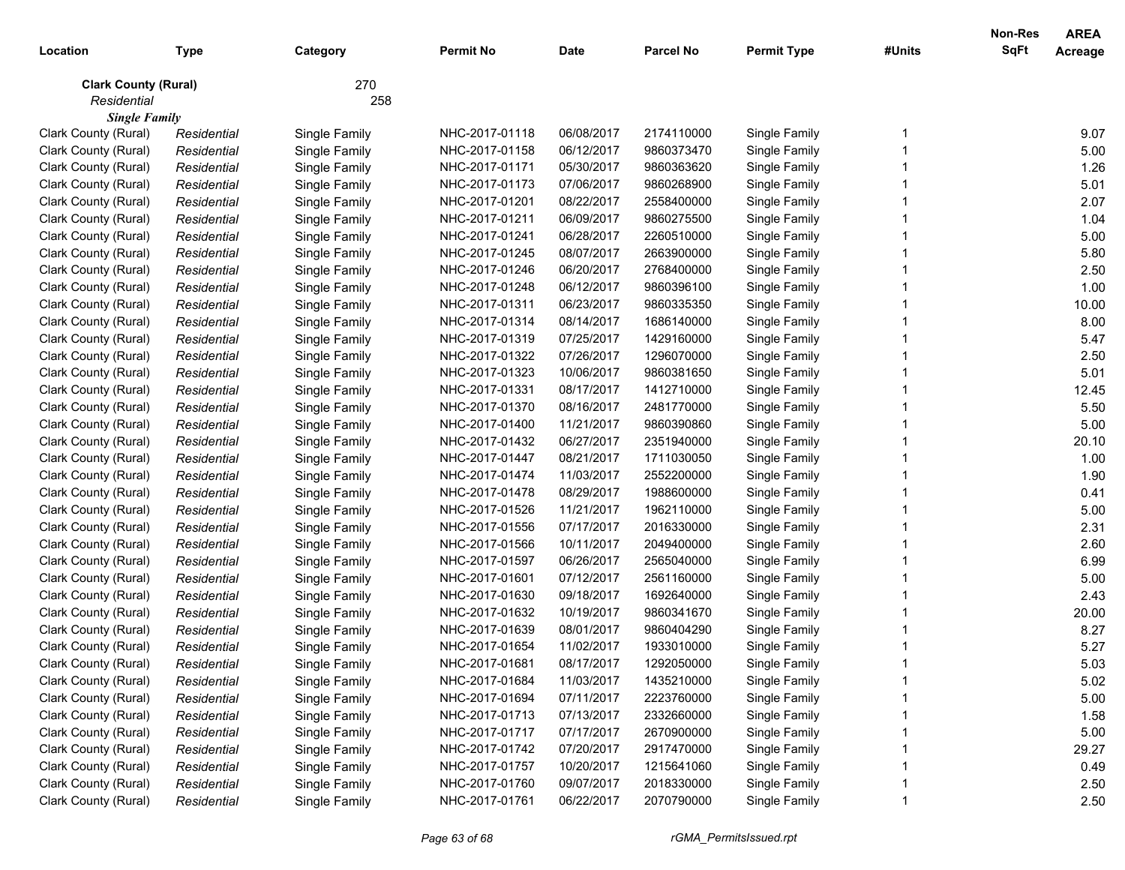| Location                                   | <b>Type</b> | Category      | <b>Permit No</b> | <b>Date</b> | <b>Parcel No</b> | <b>Permit Type</b> | #Units | <b>Non-Res</b><br><b>SqFt</b> | <b>AREA</b><br>Acreage |
|--------------------------------------------|-------------|---------------|------------------|-------------|------------------|--------------------|--------|-------------------------------|------------------------|
| <b>Clark County (Rural)</b><br>Residential |             | 270<br>258    |                  |             |                  |                    |        |                               |                        |
| <b>Single Family</b>                       |             |               |                  |             |                  |                    |        |                               |                        |
| Clark County (Rural)                       | Residential | Single Family | NHC-2017-01118   | 06/08/2017  | 2174110000       | Single Family      |        |                               | 9.07                   |
| Clark County (Rural)                       | Residential | Single Family | NHC-2017-01158   | 06/12/2017  | 9860373470       | Single Family      |        |                               | 5.00                   |
| Clark County (Rural)                       | Residential | Single Family | NHC-2017-01171   | 05/30/2017  | 9860363620       | Single Family      |        |                               | 1.26                   |
| Clark County (Rural)                       | Residential | Single Family | NHC-2017-01173   | 07/06/2017  | 9860268900       | Single Family      |        |                               | 5.01                   |
| Clark County (Rural)                       | Residential | Single Family | NHC-2017-01201   | 08/22/2017  | 2558400000       | Single Family      |        |                               | 2.07                   |
| Clark County (Rural)                       | Residential | Single Family | NHC-2017-01211   | 06/09/2017  | 9860275500       | Single Family      |        |                               | 1.04                   |
| Clark County (Rural)                       | Residential | Single Family | NHC-2017-01241   | 06/28/2017  | 2260510000       | Single Family      |        |                               | 5.00                   |
| Clark County (Rural)                       | Residential | Single Family | NHC-2017-01245   | 08/07/2017  | 2663900000       | Single Family      |        |                               | 5.80                   |
| Clark County (Rural)                       | Residential | Single Family | NHC-2017-01246   | 06/20/2017  | 2768400000       | Single Family      |        |                               | 2.50                   |
| Clark County (Rural)                       | Residential | Single Family | NHC-2017-01248   | 06/12/2017  | 9860396100       | Single Family      |        |                               | 1.00                   |
| Clark County (Rural)                       | Residential | Single Family | NHC-2017-01311   | 06/23/2017  | 9860335350       | Single Family      |        |                               | 10.00                  |
| Clark County (Rural)                       | Residential | Single Family | NHC-2017-01314   | 08/14/2017  | 1686140000       | Single Family      |        |                               | 8.00                   |
| Clark County (Rural)                       | Residential | Single Family | NHC-2017-01319   | 07/25/2017  | 1429160000       | Single Family      |        |                               | 5.47                   |
| Clark County (Rural)                       | Residential | Single Family | NHC-2017-01322   | 07/26/2017  | 1296070000       | Single Family      |        |                               | 2.50                   |
| Clark County (Rural)                       | Residential | Single Family | NHC-2017-01323   | 10/06/2017  | 9860381650       | Single Family      |        |                               | 5.01                   |
| Clark County (Rural)                       | Residential | Single Family | NHC-2017-01331   | 08/17/2017  | 1412710000       | Single Family      |        |                               | 12.45                  |
| Clark County (Rural)                       | Residential | Single Family | NHC-2017-01370   | 08/16/2017  | 2481770000       | Single Family      |        |                               | 5.50                   |
| Clark County (Rural)                       | Residential | Single Family | NHC-2017-01400   | 11/21/2017  | 9860390860       | Single Family      |        |                               | 5.00                   |
| Clark County (Rural)                       | Residential | Single Family | NHC-2017-01432   | 06/27/2017  | 2351940000       | Single Family      |        |                               | 20.10                  |
| Clark County (Rural)                       | Residential | Single Family | NHC-2017-01447   | 08/21/2017  | 1711030050       | Single Family      |        |                               | 1.00                   |
| Clark County (Rural)                       | Residential | Single Family | NHC-2017-01474   | 11/03/2017  | 2552200000       | Single Family      |        |                               | 1.90                   |
| Clark County (Rural)                       | Residential | Single Family | NHC-2017-01478   | 08/29/2017  | 1988600000       | Single Family      |        |                               | 0.41                   |
| Clark County (Rural)                       | Residential | Single Family | NHC-2017-01526   | 11/21/2017  | 1962110000       | Single Family      |        |                               | 5.00                   |
| Clark County (Rural)                       | Residential | Single Family | NHC-2017-01556   | 07/17/2017  | 2016330000       | Single Family      |        |                               | 2.31                   |
| Clark County (Rural)                       | Residential | Single Family | NHC-2017-01566   | 10/11/2017  | 2049400000       | Single Family      |        |                               | 2.60                   |
| Clark County (Rural)                       | Residential | Single Family | NHC-2017-01597   | 06/26/2017  | 2565040000       | Single Family      |        |                               | 6.99                   |
| Clark County (Rural)                       | Residential | Single Family | NHC-2017-01601   | 07/12/2017  | 2561160000       | Single Family      |        |                               | 5.00                   |
| Clark County (Rural)                       | Residential | Single Family | NHC-2017-01630   | 09/18/2017  | 1692640000       | Single Family      |        |                               | 2.43                   |
| Clark County (Rural)                       | Residential | Single Family | NHC-2017-01632   | 10/19/2017  | 9860341670       | Single Family      |        |                               | 20.00                  |
| Clark County (Rural)                       | Residential | Single Family | NHC-2017-01639   | 08/01/2017  | 9860404290       | Single Family      |        |                               | 8.27                   |
| Clark County (Rural)                       | Residential | Single Family | NHC-2017-01654   | 11/02/2017  | 1933010000       | Single Family      |        |                               | 5.27                   |
| Clark County (Rural)                       | Residential | Single Family | NHC-2017-01681   | 08/17/2017  | 1292050000       | Single Family      |        |                               | 5.03                   |
| Clark County (Rural)                       | Residential | Single Family | NHC-2017-01684   | 11/03/2017  | 1435210000       | Single Family      |        |                               | 5.02                   |
| Clark County (Rural)                       | Residential | Single Family | NHC-2017-01694   | 07/11/2017  | 2223760000       | Single Family      |        |                               | 5.00                   |
| Clark County (Rural)                       | Residential | Single Family | NHC-2017-01713   | 07/13/2017  | 2332660000       | Single Family      |        |                               | 1.58                   |
| Clark County (Rural)                       | Residential | Single Family | NHC-2017-01717   | 07/17/2017  | 2670900000       | Single Family      |        |                               | 5.00                   |
| Clark County (Rural)                       | Residential | Single Family | NHC-2017-01742   | 07/20/2017  | 2917470000       | Single Family      |        |                               | 29.27                  |
| Clark County (Rural)                       | Residential | Single Family | NHC-2017-01757   | 10/20/2017  | 1215641060       | Single Family      |        |                               | 0.49                   |
| Clark County (Rural)                       | Residential | Single Family | NHC-2017-01760   | 09/07/2017  | 2018330000       | Single Family      |        |                               | 2.50                   |
| Clark County (Rural)                       | Residential | Single Family | NHC-2017-01761   | 06/22/2017  | 2070790000       | Single Family      |        |                               | 2.50                   |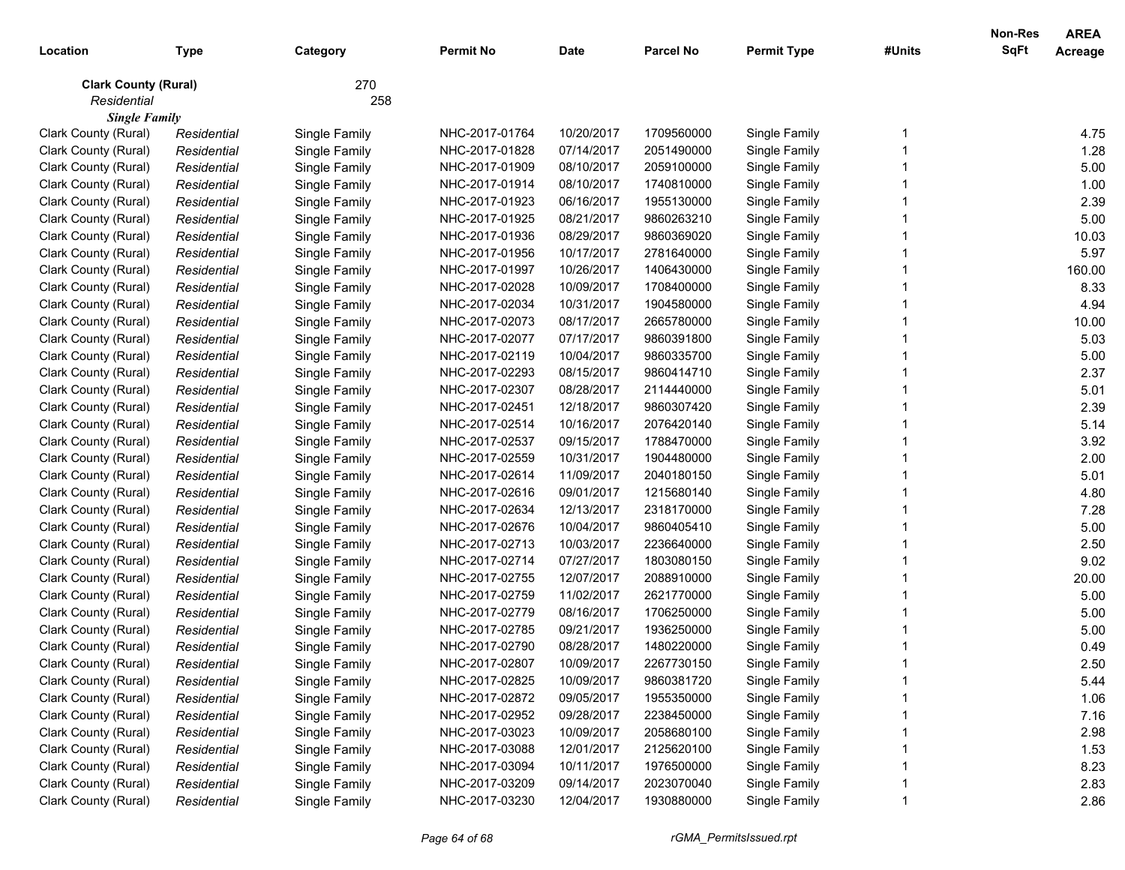| Location                    | <b>Type</b> | Category      | <b>Permit No</b> | <b>Date</b> | <b>Parcel No</b> | <b>Permit Type</b> | #Units | <b>Non-Res</b><br><b>SqFt</b> | <b>AREA</b><br>Acreage |
|-----------------------------|-------------|---------------|------------------|-------------|------------------|--------------------|--------|-------------------------------|------------------------|
| <b>Clark County (Rural)</b> |             | 270           |                  |             |                  |                    |        |                               |                        |
| Residential                 |             | 258           |                  |             |                  |                    |        |                               |                        |
| <b>Single Family</b>        |             |               |                  |             |                  |                    |        |                               |                        |
| Clark County (Rural)        | Residential | Single Family | NHC-2017-01764   | 10/20/2017  | 1709560000       | Single Family      |        |                               | 4.75                   |
| Clark County (Rural)        | Residential | Single Family | NHC-2017-01828   | 07/14/2017  | 2051490000       | Single Family      |        |                               | 1.28                   |
| Clark County (Rural)        | Residential | Single Family | NHC-2017-01909   | 08/10/2017  | 2059100000       | Single Family      |        |                               | 5.00                   |
| Clark County (Rural)        | Residential | Single Family | NHC-2017-01914   | 08/10/2017  | 1740810000       | Single Family      |        |                               | 1.00                   |
| Clark County (Rural)        | Residential | Single Family | NHC-2017-01923   | 06/16/2017  | 1955130000       | Single Family      |        |                               | 2.39                   |
| Clark County (Rural)        | Residential | Single Family | NHC-2017-01925   | 08/21/2017  | 9860263210       | Single Family      |        |                               | 5.00                   |
| Clark County (Rural)        | Residential | Single Family | NHC-2017-01936   | 08/29/2017  | 9860369020       | Single Family      |        |                               | 10.03                  |
| Clark County (Rural)        | Residential | Single Family | NHC-2017-01956   | 10/17/2017  | 2781640000       | Single Family      |        |                               | 5.97                   |
| Clark County (Rural)        | Residential | Single Family | NHC-2017-01997   | 10/26/2017  | 1406430000       | Single Family      |        |                               | 160.00                 |
| Clark County (Rural)        | Residential | Single Family | NHC-2017-02028   | 10/09/2017  | 1708400000       | Single Family      |        |                               | 8.33                   |
| Clark County (Rural)        | Residential | Single Family | NHC-2017-02034   | 10/31/2017  | 1904580000       | Single Family      |        |                               | 4.94                   |
| Clark County (Rural)        | Residential | Single Family | NHC-2017-02073   | 08/17/2017  | 2665780000       | Single Family      |        |                               | 10.00                  |
| Clark County (Rural)        | Residential | Single Family | NHC-2017-02077   | 07/17/2017  | 9860391800       | Single Family      |        |                               | 5.03                   |
| Clark County (Rural)        | Residential | Single Family | NHC-2017-02119   | 10/04/2017  | 9860335700       | Single Family      |        |                               | 5.00                   |
| Clark County (Rural)        | Residential | Single Family | NHC-2017-02293   | 08/15/2017  | 9860414710       | Single Family      |        |                               | 2.37                   |
| Clark County (Rural)        | Residential | Single Family | NHC-2017-02307   | 08/28/2017  | 2114440000       | Single Family      |        |                               | 5.01                   |
| Clark County (Rural)        | Residential | Single Family | NHC-2017-02451   | 12/18/2017  | 9860307420       | Single Family      |        |                               | 2.39                   |
| Clark County (Rural)        | Residential | Single Family | NHC-2017-02514   | 10/16/2017  | 2076420140       | Single Family      |        |                               | 5.14                   |
| Clark County (Rural)        | Residential | Single Family | NHC-2017-02537   | 09/15/2017  | 1788470000       | Single Family      |        |                               | 3.92                   |
| Clark County (Rural)        | Residential | Single Family | NHC-2017-02559   | 10/31/2017  | 1904480000       | Single Family      |        |                               | 2.00                   |
| Clark County (Rural)        | Residential | Single Family | NHC-2017-02614   | 11/09/2017  | 2040180150       | Single Family      |        |                               | 5.01                   |
| Clark County (Rural)        | Residential | Single Family | NHC-2017-02616   | 09/01/2017  | 1215680140       | Single Family      |        |                               | 4.80                   |
| Clark County (Rural)        | Residential | Single Family | NHC-2017-02634   | 12/13/2017  | 2318170000       | Single Family      |        |                               | 7.28                   |
| Clark County (Rural)        | Residential | Single Family | NHC-2017-02676   | 10/04/2017  | 9860405410       | Single Family      |        |                               | 5.00                   |
| Clark County (Rural)        | Residential | Single Family | NHC-2017-02713   | 10/03/2017  | 2236640000       | Single Family      |        |                               | 2.50                   |
| Clark County (Rural)        | Residential | Single Family | NHC-2017-02714   | 07/27/2017  | 1803080150       | Single Family      |        |                               | 9.02                   |
| Clark County (Rural)        | Residential | Single Family | NHC-2017-02755   | 12/07/2017  | 2088910000       | Single Family      |        |                               | 20.00                  |
| Clark County (Rural)        | Residential | Single Family | NHC-2017-02759   | 11/02/2017  | 2621770000       | Single Family      |        |                               | 5.00                   |
| Clark County (Rural)        | Residential | Single Family | NHC-2017-02779   | 08/16/2017  | 1706250000       | Single Family      |        |                               | 5.00                   |
| Clark County (Rural)        | Residential | Single Family | NHC-2017-02785   | 09/21/2017  | 1936250000       | Single Family      |        |                               | 5.00                   |
| Clark County (Rural)        | Residential | Single Family | NHC-2017-02790   | 08/28/2017  | 1480220000       | Single Family      |        |                               | 0.49                   |
| Clark County (Rural)        | Residential | Single Family | NHC-2017-02807   | 10/09/2017  | 2267730150       | Single Family      |        |                               | 2.50                   |
| Clark County (Rural)        | Residential | Single Family | NHC-2017-02825   | 10/09/2017  | 9860381720       | Single Family      |        |                               | 5.44                   |
| Clark County (Rural)        | Residential | Single Family | NHC-2017-02872   | 09/05/2017  | 1955350000       | Single Family      |        |                               | 1.06                   |
| Clark County (Rural)        | Residential | Single Family | NHC-2017-02952   | 09/28/2017  | 2238450000       | Single Family      |        |                               | 7.16                   |
| Clark County (Rural)        | Residential | Single Family | NHC-2017-03023   | 10/09/2017  | 2058680100       | Single Family      |        |                               | 2.98                   |
| Clark County (Rural)        | Residential | Single Family | NHC-2017-03088   | 12/01/2017  | 2125620100       | Single Family      |        |                               | 1.53                   |
| Clark County (Rural)        | Residential | Single Family | NHC-2017-03094   | 10/11/2017  | 1976500000       | Single Family      |        |                               | 8.23                   |
| Clark County (Rural)        | Residential | Single Family | NHC-2017-03209   | 09/14/2017  | 2023070040       | Single Family      |        |                               | 2.83                   |
| Clark County (Rural)        | Residential | Single Family | NHC-2017-03230   | 12/04/2017  | 1930880000       | Single Family      |        |                               | 2.86                   |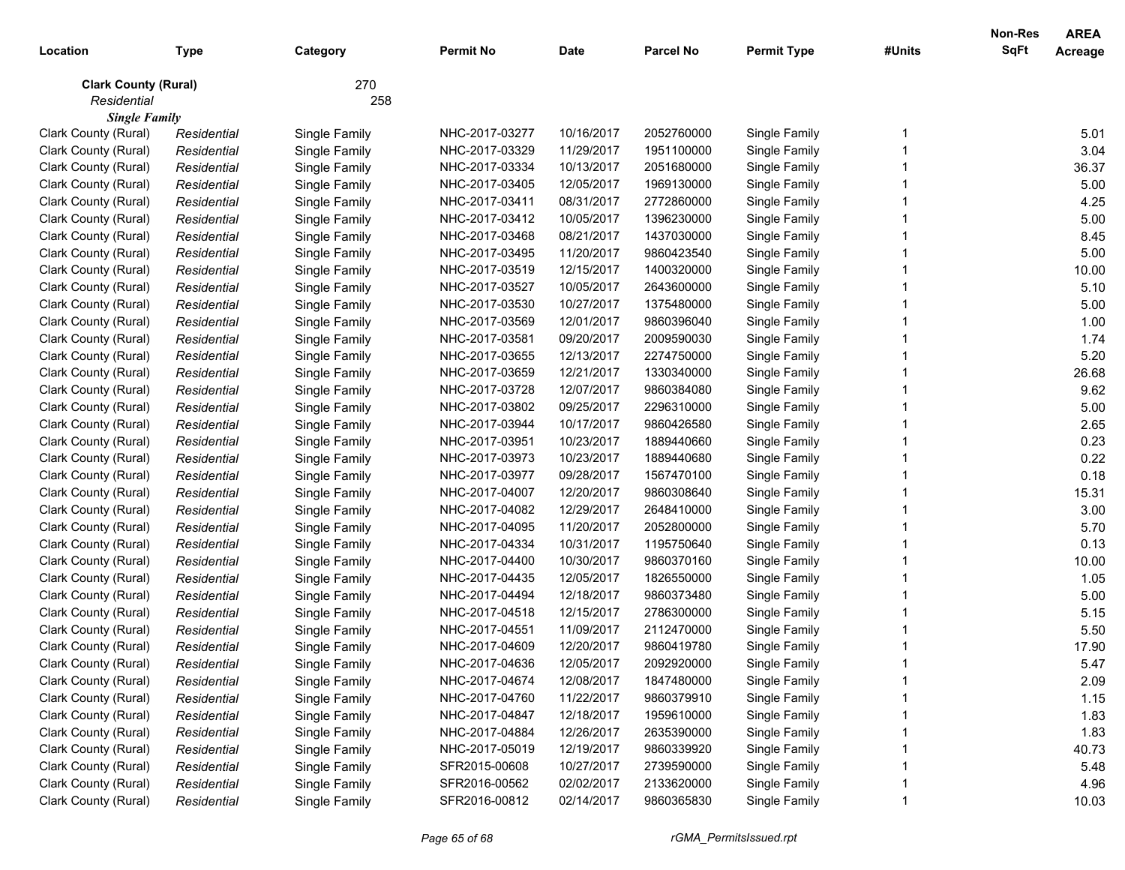|                             |             |               |                  |             |                  |                    |        | <b>Non-Res</b> | <b>AREA</b>    |
|-----------------------------|-------------|---------------|------------------|-------------|------------------|--------------------|--------|----------------|----------------|
| Location                    | <b>Type</b> | Category      | <b>Permit No</b> | <b>Date</b> | <b>Parcel No</b> | <b>Permit Type</b> | #Units | SqFt           | <b>Acreage</b> |
| <b>Clark County (Rural)</b> |             | 270           |                  |             |                  |                    |        |                |                |
| Residential                 |             | 258           |                  |             |                  |                    |        |                |                |
| <b>Single Family</b>        |             |               |                  |             |                  |                    |        |                |                |
| Clark County (Rural)        | Residential | Single Family | NHC-2017-03277   | 10/16/2017  | 2052760000       | Single Family      |        |                | 5.01           |
| Clark County (Rural)        | Residential | Single Family | NHC-2017-03329   | 11/29/2017  | 1951100000       | Single Family      |        |                | 3.04           |
| Clark County (Rural)        | Residential | Single Family | NHC-2017-03334   | 10/13/2017  | 2051680000       | Single Family      |        |                | 36.37          |
| Clark County (Rural)        | Residential | Single Family | NHC-2017-03405   | 12/05/2017  | 1969130000       | Single Family      |        |                | 5.00           |
| Clark County (Rural)        | Residential | Single Family | NHC-2017-03411   | 08/31/2017  | 2772860000       | Single Family      |        |                | 4.25           |
| Clark County (Rural)        | Residential | Single Family | NHC-2017-03412   | 10/05/2017  | 1396230000       | Single Family      |        |                | 5.00           |
| Clark County (Rural)        | Residential | Single Family | NHC-2017-03468   | 08/21/2017  | 1437030000       | Single Family      |        |                | 8.45           |
| Clark County (Rural)        | Residential | Single Family | NHC-2017-03495   | 11/20/2017  | 9860423540       | Single Family      |        |                | 5.00           |
| Clark County (Rural)        | Residential | Single Family | NHC-2017-03519   | 12/15/2017  | 1400320000       | Single Family      |        |                | 10.00          |
| Clark County (Rural)        | Residential | Single Family | NHC-2017-03527   | 10/05/2017  | 2643600000       | Single Family      |        |                | 5.10           |
| Clark County (Rural)        | Residential | Single Family | NHC-2017-03530   | 10/27/2017  | 1375480000       | Single Family      |        |                | 5.00           |
| Clark County (Rural)        | Residential | Single Family | NHC-2017-03569   | 12/01/2017  | 9860396040       | Single Family      |        |                | 1.00           |
| Clark County (Rural)        | Residential | Single Family | NHC-2017-03581   | 09/20/2017  | 2009590030       | Single Family      |        |                | 1.74           |
| Clark County (Rural)        | Residential | Single Family | NHC-2017-03655   | 12/13/2017  | 2274750000       | Single Family      |        |                | 5.20           |
| Clark County (Rural)        | Residential | Single Family | NHC-2017-03659   | 12/21/2017  | 1330340000       | Single Family      |        |                | 26.68          |
| Clark County (Rural)        | Residential | Single Family | NHC-2017-03728   | 12/07/2017  | 9860384080       | Single Family      |        |                | 9.62           |
| Clark County (Rural)        | Residential | Single Family | NHC-2017-03802   | 09/25/2017  | 2296310000       | Single Family      |        |                | 5.00           |
| Clark County (Rural)        | Residential | Single Family | NHC-2017-03944   | 10/17/2017  | 9860426580       | Single Family      |        |                | 2.65           |
| Clark County (Rural)        | Residential | Single Family | NHC-2017-03951   | 10/23/2017  | 1889440660       | Single Family      |        |                | 0.23           |
| Clark County (Rural)        | Residential | Single Family | NHC-2017-03973   | 10/23/2017  | 1889440680       | Single Family      |        |                | 0.22           |
| Clark County (Rural)        | Residential | Single Family | NHC-2017-03977   | 09/28/2017  | 1567470100       | Single Family      |        |                | 0.18           |
| Clark County (Rural)        | Residential | Single Family | NHC-2017-04007   | 12/20/2017  | 9860308640       | Single Family      |        |                | 15.31          |
| Clark County (Rural)        | Residential | Single Family | NHC-2017-04082   | 12/29/2017  | 2648410000       | Single Family      |        |                | 3.00           |
| Clark County (Rural)        | Residential | Single Family | NHC-2017-04095   | 11/20/2017  | 2052800000       | Single Family      |        |                | 5.70           |
| Clark County (Rural)        | Residential | Single Family | NHC-2017-04334   | 10/31/2017  | 1195750640       | Single Family      |        |                | 0.13           |
| Clark County (Rural)        | Residential | Single Family | NHC-2017-04400   | 10/30/2017  | 9860370160       | Single Family      |        |                | 10.00          |
| Clark County (Rural)        | Residential | Single Family | NHC-2017-04435   | 12/05/2017  | 1826550000       | Single Family      |        |                | 1.05           |
| Clark County (Rural)        | Residential | Single Family | NHC-2017-04494   | 12/18/2017  | 9860373480       | Single Family      |        |                | 5.00           |
| Clark County (Rural)        | Residential | Single Family | NHC-2017-04518   | 12/15/2017  | 2786300000       | Single Family      |        |                | 5.15           |
| Clark County (Rural)        | Residential | Single Family | NHC-2017-04551   | 11/09/2017  | 2112470000       | Single Family      |        |                | 5.50           |
| Clark County (Rural)        | Residential | Single Family | NHC-2017-04609   | 12/20/2017  | 9860419780       | Single Family      |        |                | 17.90          |
| Clark County (Rural)        | Residential | Single Family | NHC-2017-04636   | 12/05/2017  | 2092920000       | Single Family      |        |                | 5.47           |
| Clark County (Rural)        | Residential | Single Family | NHC-2017-04674   | 12/08/2017  | 1847480000       | Single Family      |        |                | 2.09           |
| Clark County (Rural)        | Residential | Single Family | NHC-2017-04760   | 11/22/2017  | 9860379910       | Single Family      |        |                | 1.15           |
| Clark County (Rural)        | Residential | Single Family | NHC-2017-04847   | 12/18/2017  | 1959610000       | Single Family      |        |                | 1.83           |
| Clark County (Rural)        | Residential | Single Family | NHC-2017-04884   | 12/26/2017  | 2635390000       | Single Family      |        |                | 1.83           |
| Clark County (Rural)        | Residential | Single Family | NHC-2017-05019   | 12/19/2017  | 9860339920       | Single Family      |        |                | 40.73          |
| Clark County (Rural)        | Residential | Single Family | SFR2015-00608    | 10/27/2017  | 2739590000       | Single Family      |        |                | 5.48           |
| Clark County (Rural)        | Residential | Single Family | SFR2016-00562    | 02/02/2017  | 2133620000       | Single Family      |        |                | 4.96           |
| Clark County (Rural)        | Residential | Single Family | SFR2016-00812    | 02/14/2017  | 9860365830       | Single Family      |        |                | 10.03          |
|                             |             |               |                  |             |                  |                    |        |                |                |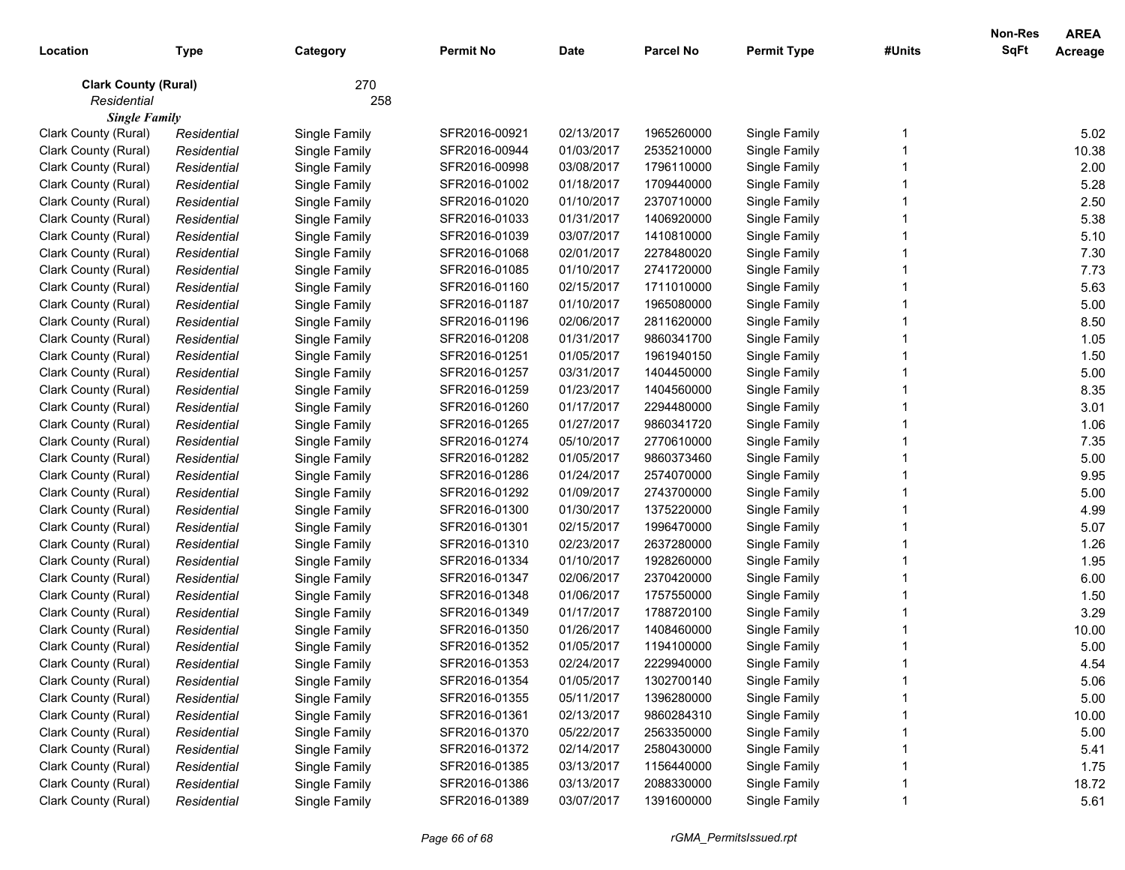| Location                                   | <b>Type</b> | Category      | <b>Permit No</b> | <b>Date</b> | <b>Parcel No</b> | <b>Permit Type</b> | #Units | Non-Res<br><b>SqFt</b> | <b>AREA</b><br>Acreage |
|--------------------------------------------|-------------|---------------|------------------|-------------|------------------|--------------------|--------|------------------------|------------------------|
| <b>Clark County (Rural)</b><br>Residential |             | 270<br>258    |                  |             |                  |                    |        |                        |                        |
| <b>Single Family</b>                       |             |               |                  |             |                  |                    |        |                        |                        |
| Clark County (Rural)                       | Residential | Single Family | SFR2016-00921    | 02/13/2017  | 1965260000       | Single Family      |        |                        | 5.02                   |
| Clark County (Rural)                       | Residential | Single Family | SFR2016-00944    | 01/03/2017  | 2535210000       | Single Family      |        |                        | 10.38                  |
| Clark County (Rural)                       | Residential | Single Family | SFR2016-00998    | 03/08/2017  | 1796110000       | Single Family      |        |                        | 2.00                   |
| Clark County (Rural)                       | Residential | Single Family | SFR2016-01002    | 01/18/2017  | 1709440000       | Single Family      |        |                        | 5.28                   |
| Clark County (Rural)                       | Residential | Single Family | SFR2016-01020    | 01/10/2017  | 2370710000       | Single Family      |        |                        | 2.50                   |
| Clark County (Rural)                       | Residential | Single Family | SFR2016-01033    | 01/31/2017  | 1406920000       | Single Family      |        |                        | 5.38                   |
| Clark County (Rural)                       | Residential | Single Family | SFR2016-01039    | 03/07/2017  | 1410810000       | Single Family      |        |                        | 5.10                   |
| Clark County (Rural)                       | Residential | Single Family | SFR2016-01068    | 02/01/2017  | 2278480020       | Single Family      |        |                        | 7.30                   |
| Clark County (Rural)                       | Residential | Single Family | SFR2016-01085    | 01/10/2017  | 2741720000       | Single Family      |        |                        | 7.73                   |
| Clark County (Rural)                       | Residential | Single Family | SFR2016-01160    | 02/15/2017  | 1711010000       | Single Family      |        |                        | 5.63                   |
| Clark County (Rural)                       | Residential | Single Family | SFR2016-01187    | 01/10/2017  | 1965080000       | Single Family      |        |                        | 5.00                   |
| Clark County (Rural)                       | Residential | Single Family | SFR2016-01196    | 02/06/2017  | 2811620000       | Single Family      |        |                        | 8.50                   |
| Clark County (Rural)                       | Residential | Single Family | SFR2016-01208    | 01/31/2017  | 9860341700       | Single Family      |        |                        | 1.05                   |
| Clark County (Rural)                       | Residential | Single Family | SFR2016-01251    | 01/05/2017  | 1961940150       | Single Family      |        |                        | 1.50                   |
| Clark County (Rural)                       | Residential | Single Family | SFR2016-01257    | 03/31/2017  | 1404450000       | Single Family      |        |                        | 5.00                   |
| Clark County (Rural)                       | Residential | Single Family | SFR2016-01259    | 01/23/2017  | 1404560000       | Single Family      |        |                        | 8.35                   |
| Clark County (Rural)                       | Residential | Single Family | SFR2016-01260    | 01/17/2017  | 2294480000       | Single Family      |        |                        | 3.01                   |
| Clark County (Rural)                       | Residential | Single Family | SFR2016-01265    | 01/27/2017  | 9860341720       | Single Family      |        |                        | 1.06                   |
| Clark County (Rural)                       | Residential | Single Family | SFR2016-01274    | 05/10/2017  | 2770610000       | Single Family      |        |                        | 7.35                   |
| Clark County (Rural)                       | Residential | Single Family | SFR2016-01282    | 01/05/2017  | 9860373460       | Single Family      |        |                        | 5.00                   |
| Clark County (Rural)                       | Residential | Single Family | SFR2016-01286    | 01/24/2017  | 2574070000       | Single Family      |        |                        | 9.95                   |
| Clark County (Rural)                       | Residential | Single Family | SFR2016-01292    | 01/09/2017  | 2743700000       | Single Family      |        |                        | 5.00                   |
| Clark County (Rural)                       | Residential | Single Family | SFR2016-01300    | 01/30/2017  | 1375220000       | Single Family      |        |                        | 4.99                   |
| Clark County (Rural)                       | Residential | Single Family | SFR2016-01301    | 02/15/2017  | 1996470000       | Single Family      |        |                        | 5.07                   |
| Clark County (Rural)                       | Residential | Single Family | SFR2016-01310    | 02/23/2017  | 2637280000       | Single Family      |        |                        | 1.26                   |
| Clark County (Rural)                       | Residential | Single Family | SFR2016-01334    | 01/10/2017  | 1928260000       | Single Family      |        |                        | 1.95                   |
| Clark County (Rural)                       | Residential | Single Family | SFR2016-01347    | 02/06/2017  | 2370420000       | Single Family      |        |                        | 6.00                   |
| Clark County (Rural)                       | Residential | Single Family | SFR2016-01348    | 01/06/2017  | 1757550000       | Single Family      |        |                        | 1.50                   |
| Clark County (Rural)                       | Residential | Single Family | SFR2016-01349    | 01/17/2017  | 1788720100       | Single Family      |        |                        | 3.29                   |
| Clark County (Rural)                       | Residential | Single Family | SFR2016-01350    | 01/26/2017  | 1408460000       | Single Family      |        |                        | 10.00                  |
| Clark County (Rural)                       | Residential | Single Family | SFR2016-01352    | 01/05/2017  | 1194100000       | Single Family      |        |                        | 5.00                   |
| Clark County (Rural)                       | Residential | Single Family | SFR2016-01353    | 02/24/2017  | 2229940000       | Single Family      |        |                        | 4.54                   |
| Clark County (Rural)                       | Residential | Single Family | SFR2016-01354    | 01/05/2017  | 1302700140       | Single Family      |        |                        | 5.06                   |
| Clark County (Rural)                       | Residential | Single Family | SFR2016-01355    | 05/11/2017  | 1396280000       | Single Family      |        |                        | 5.00                   |
| Clark County (Rural)                       | Residential | Single Family | SFR2016-01361    | 02/13/2017  | 9860284310       | Single Family      |        |                        | 10.00                  |
| Clark County (Rural)                       | Residential | Single Family | SFR2016-01370    | 05/22/2017  | 2563350000       | Single Family      |        |                        | 5.00                   |
| Clark County (Rural)                       | Residential | Single Family | SFR2016-01372    | 02/14/2017  | 2580430000       | Single Family      |        |                        | 5.41                   |
| Clark County (Rural)                       | Residential | Single Family | SFR2016-01385    | 03/13/2017  | 1156440000       | Single Family      |        |                        | 1.75                   |
| Clark County (Rural)                       | Residential | Single Family | SFR2016-01386    | 03/13/2017  | 2088330000       | Single Family      |        |                        | 18.72                  |
| Clark County (Rural)                       | Residential | Single Family | SFR2016-01389    | 03/07/2017  | 1391600000       | Single Family      |        |                        | 5.61                   |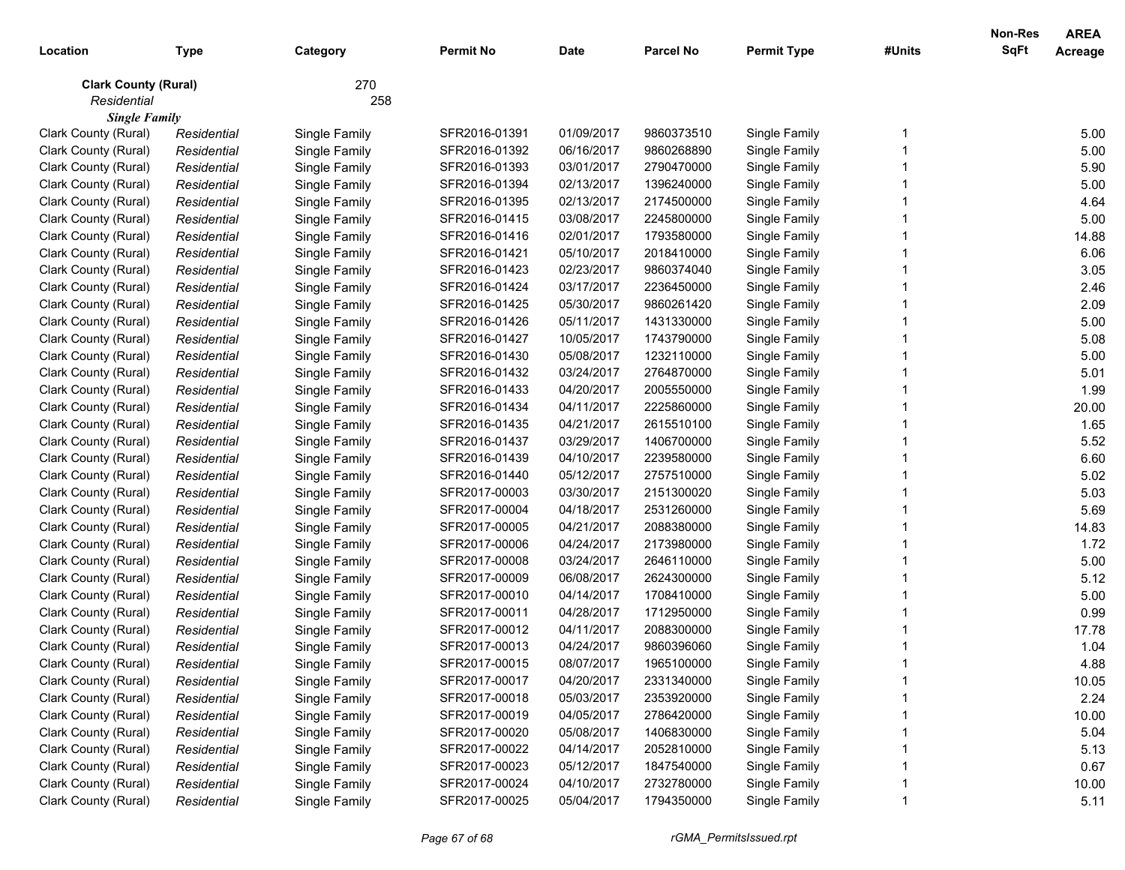|                             |             |               |                  |             |                  |                    |        | <b>Non-Res</b> | <b>AREA</b>    |
|-----------------------------|-------------|---------------|------------------|-------------|------------------|--------------------|--------|----------------|----------------|
| Location                    | <b>Type</b> | Category      | <b>Permit No</b> | <b>Date</b> | <b>Parcel No</b> | <b>Permit Type</b> | #Units | SqFt           | <b>Acreage</b> |
| <b>Clark County (Rural)</b> |             | 270           |                  |             |                  |                    |        |                |                |
| Residential                 |             | 258           |                  |             |                  |                    |        |                |                |
| <b>Single Family</b>        |             |               |                  |             |                  |                    |        |                |                |
| Clark County (Rural)        | Residential | Single Family | SFR2016-01391    | 01/09/2017  | 9860373510       | Single Family      |        |                | 5.00           |
| Clark County (Rural)        | Residential | Single Family | SFR2016-01392    | 06/16/2017  | 9860268890       | Single Family      |        |                | 5.00           |
| Clark County (Rural)        | Residential | Single Family | SFR2016-01393    | 03/01/2017  | 2790470000       | Single Family      |        |                | 5.90           |
| Clark County (Rural)        | Residential | Single Family | SFR2016-01394    | 02/13/2017  | 1396240000       | Single Family      |        |                | 5.00           |
| Clark County (Rural)        | Residential | Single Family | SFR2016-01395    | 02/13/2017  | 2174500000       | Single Family      |        |                | 4.64           |
| Clark County (Rural)        | Residential | Single Family | SFR2016-01415    | 03/08/2017  | 2245800000       | Single Family      |        |                | 5.00           |
| Clark County (Rural)        | Residential | Single Family | SFR2016-01416    | 02/01/2017  | 1793580000       | Single Family      |        |                | 14.88          |
| Clark County (Rural)        | Residential | Single Family | SFR2016-01421    | 05/10/2017  | 2018410000       | Single Family      |        |                | 6.06           |
| Clark County (Rural)        | Residential | Single Family | SFR2016-01423    | 02/23/2017  | 9860374040       | Single Family      |        |                | 3.05           |
| Clark County (Rural)        | Residential | Single Family | SFR2016-01424    | 03/17/2017  | 2236450000       | Single Family      |        |                | 2.46           |
| Clark County (Rural)        | Residential | Single Family | SFR2016-01425    | 05/30/2017  | 9860261420       | Single Family      |        |                | 2.09           |
| Clark County (Rural)        | Residential | Single Family | SFR2016-01426    | 05/11/2017  | 1431330000       | Single Family      |        |                | 5.00           |
| Clark County (Rural)        | Residential | Single Family | SFR2016-01427    | 10/05/2017  | 1743790000       | Single Family      |        |                | 5.08           |
| Clark County (Rural)        | Residential | Single Family | SFR2016-01430    | 05/08/2017  | 1232110000       | Single Family      |        |                | 5.00           |
| Clark County (Rural)        | Residential | Single Family | SFR2016-01432    | 03/24/2017  | 2764870000       | Single Family      |        |                | 5.01           |
| Clark County (Rural)        | Residential | Single Family | SFR2016-01433    | 04/20/2017  | 2005550000       | Single Family      |        |                | 1.99           |
| Clark County (Rural)        | Residential | Single Family | SFR2016-01434    | 04/11/2017  | 2225860000       | Single Family      |        |                | 20.00          |
| Clark County (Rural)        | Residential | Single Family | SFR2016-01435    | 04/21/2017  | 2615510100       | Single Family      |        |                | 1.65           |
| Clark County (Rural)        | Residential | Single Family | SFR2016-01437    | 03/29/2017  | 1406700000       | Single Family      |        |                | 5.52           |
| Clark County (Rural)        | Residential | Single Family | SFR2016-01439    | 04/10/2017  | 2239580000       | Single Family      |        |                | 6.60           |
| Clark County (Rural)        | Residential | Single Family | SFR2016-01440    | 05/12/2017  | 2757510000       | Single Family      |        |                | 5.02           |
| Clark County (Rural)        | Residential | Single Family | SFR2017-00003    | 03/30/2017  | 2151300020       | Single Family      |        |                | 5.03           |
| Clark County (Rural)        | Residential | Single Family | SFR2017-00004    | 04/18/2017  | 2531260000       | Single Family      |        |                | 5.69           |
| Clark County (Rural)        | Residential | Single Family | SFR2017-00005    | 04/21/2017  | 2088380000       | Single Family      |        |                | 14.83          |
| Clark County (Rural)        | Residential | Single Family | SFR2017-00006    | 04/24/2017  | 2173980000       | Single Family      |        |                | 1.72           |
| Clark County (Rural)        | Residential | Single Family | SFR2017-00008    | 03/24/2017  | 2646110000       | Single Family      |        |                | 5.00           |
| Clark County (Rural)        | Residential | Single Family | SFR2017-00009    | 06/08/2017  | 2624300000       | Single Family      |        |                | 5.12           |
| Clark County (Rural)        | Residential | Single Family | SFR2017-00010    | 04/14/2017  | 1708410000       | Single Family      |        |                | 5.00           |
| Clark County (Rural)        | Residential | Single Family | SFR2017-00011    | 04/28/2017  | 1712950000       | Single Family      |        |                | 0.99           |
| Clark County (Rural)        | Residential | Single Family | SFR2017-00012    | 04/11/2017  | 2088300000       | Single Family      |        |                | 17.78          |
| Clark County (Rural)        | Residential | Single Family | SFR2017-00013    | 04/24/2017  | 9860396060       | Single Family      |        |                | 1.04           |
| Clark County (Rural)        | Residential | Single Family | SFR2017-00015    | 08/07/2017  | 1965100000       | Single Family      |        |                | 4.88           |
| Clark County (Rural)        | Residential | Single Family | SFR2017-00017    | 04/20/2017  | 2331340000       | Single Family      |        |                | 10.05          |
| Clark County (Rural)        | Residential | Single Family | SFR2017-00018    | 05/03/2017  | 2353920000       | Single Family      |        |                | 2.24           |
| Clark County (Rural)        | Residential | Single Family | SFR2017-00019    | 04/05/2017  | 2786420000       | Single Family      |        |                | 10.00          |
| Clark County (Rural)        | Residential | Single Family | SFR2017-00020    | 05/08/2017  | 1406830000       | Single Family      |        |                | 5.04           |
| Clark County (Rural)        | Residential | Single Family | SFR2017-00022    | 04/14/2017  | 2052810000       | Single Family      |        |                | 5.13           |
| Clark County (Rural)        | Residential | Single Family | SFR2017-00023    | 05/12/2017  | 1847540000       | Single Family      |        |                | 0.67           |
| Clark County (Rural)        | Residential | Single Family | SFR2017-00024    | 04/10/2017  | 2732780000       | Single Family      |        |                | 10.00          |
| Clark County (Rural)        | Residential | Single Family | SFR2017-00025    | 05/04/2017  | 1794350000       | Single Family      |        |                | 5.11           |